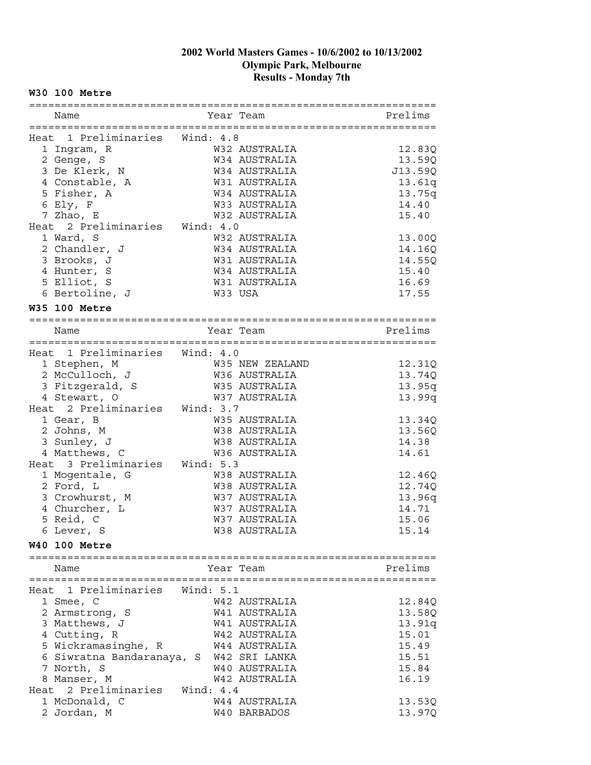#### **W30 100 Metre**

| Name                           |             | Year Team       | Prelims |
|--------------------------------|-------------|-----------------|---------|
|                                |             |                 |         |
| Heat 1 Preliminaries Wind: 4.8 |             |                 |         |
| 1 Ingram, R                    |             | W32 AUSTRALIA   | 12.83Q  |
| 2 Genge, S                     |             | W34 AUSTRALIA   | 13.59Q  |
| 3 De Klerk, N                  |             | W34 AUSTRALIA   | J13.59Q |
| 4 Constable, A                 |             | W31 AUSTRALIA   | 13.61q  |
| 5 Fisher, A                    |             | W34 AUSTRALIA   | 13.75q  |
| 6 Ely, F                       |             | W33 AUSTRALIA   | 14.40   |
| 7 Zhao, E                      |             | W32 AUSTRALIA   | 15.40   |
| Heat 2 Preliminaries Wind: 4.0 |             |                 |         |
| 1 Ward, S                      |             | W32 AUSTRALIA   | 13.00Q  |
| 2 Chandler, J                  |             | W34 AUSTRALIA   | 14.16Q  |
| 3 Brooks, J                    |             | W31 AUSTRALIA   | 14.55Q  |
| 4 Hunter, S                    |             | W34 AUSTRALIA   | 15.40   |
| 5 Elliot, S                    |             | W31 AUSTRALIA   | 16.69   |
| 6 Bertoline, J                 |             | W33 USA         |         |
|                                |             |                 | 17.55   |
| W35 100 Metre                  |             |                 |         |
|                                |             |                 |         |
| Name                           |             | Year Team       | Prelims |
|                                |             |                 |         |
| Heat 1 Preliminaries Wind: 4.0 |             |                 |         |
| 1 Stephen, M                   |             | W35 NEW ZEALAND | 12.31Q  |
| 2 McCulloch, J                 |             | W36 AUSTRALIA   | 13.74Q  |
| 3 Fitzgerald, S                |             | W35 AUSTRALIA   | 13.95q  |
| 4 Stewart, O                   |             | W37 AUSTRALIA   | 13.99q  |
| Heat 2 Preliminaries           | Wind: $3.7$ |                 |         |
| 1 Gear, B                      |             | W35 AUSTRALIA   | 13.34Q  |
| 2 Johns, M                     |             | W38 AUSTRALIA   | 13.56Q  |
| 3 Sunley, J                    |             | W38 AUSTRALIA   | 14.38   |
| 4 Matthews, C                  |             | W36 AUSTRALIA   | 14.61   |
| Heat 3 Preliminaries           | Wind: 5.3   |                 |         |
| 1 Mogentale, G                 |             | W38 AUSTRALIA   | 12.46Q  |
| 2 Ford, L                      |             | W38 AUSTRALIA   | 12.74Q  |
| 3 Crowhurst, M                 |             | W37 AUSTRALIA   | 13.96q  |
| 4 Churcher, L                  |             | W37 AUSTRALIA   | 14.71   |
| 5 Reid, C                      |             | W37 AUSTRALIA   | 15.06   |
| 6 Lever, S                     |             | W38 AUSTRALIA   | 15.14   |
| <b>W40 100 Metre</b>           |             |                 |         |
|                                |             |                 |         |
| Name                           |             | Year Team       | Prelims |
|                                |             |                 |         |
| Heat 1 Preliminaries Wind: 5.1 |             |                 |         |
| 1 Smee, C                      |             | W42 AUSTRALIA   | 12.84Q  |
| 2 Armstrong, S                 |             | W41 AUSTRALIA   | 13.58Q  |
| 3 Matthews, J                  |             | W41 AUSTRALIA   | 13.91q  |
| 4 Cutting, R                   |             | W42 AUSTRALIA   | 15.01   |
| 5 Wickramasinghe, R            |             | W44 AUSTRALIA   | 15.49   |
| 6 Siwratna Bandaranaya, S      |             | W42 SRI LANKA   | 15.51   |
| 7 North, S                     |             | W40 AUSTRALIA   | 15.84   |
| 8 Manser, M                    |             | W42 AUSTRALIA   | 16.19   |
| Heat 2 Preliminaries           | Wind: 4.4   |                 |         |
| 1 McDonald, C                  |             | W44 AUSTRALIA   | 13.53Q  |
| 2 Jordan, M                    |             | W40 BARBADOS    | 13.97Q  |
|                                |             |                 |         |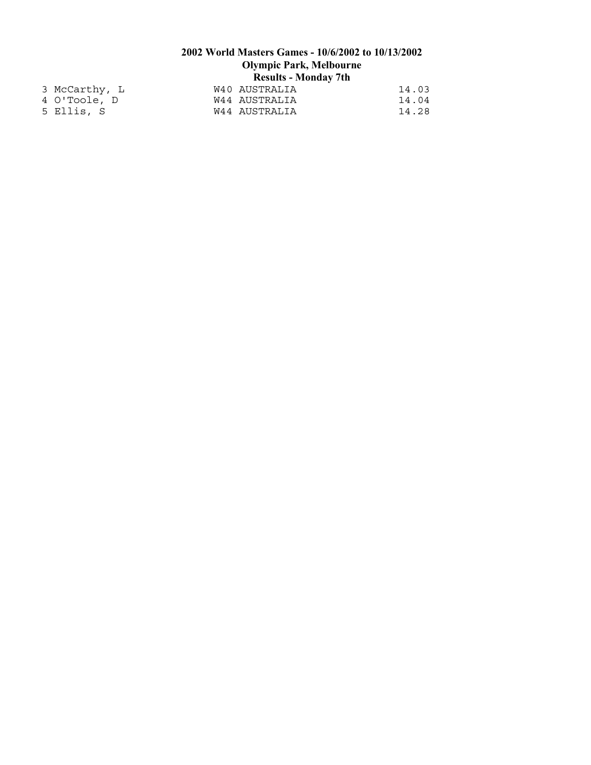| 3 McCarthy, L | W40 AUSTRALIA | 14.03 |
|---------------|---------------|-------|
| 4 O'Toole, D  | W44 AUSTRALIA | 14.04 |
| 5 Ellis, S    | W44 AUSTRALIA | 14.28 |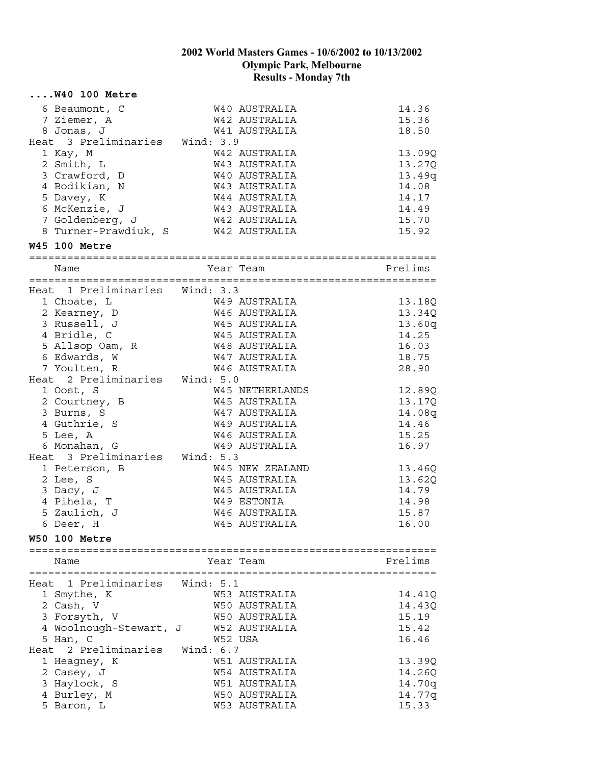|      | $\ldots$ . W40 100 Metre           |             |                 |                                  |
|------|------------------------------------|-------------|-----------------|----------------------------------|
|      | 6 Beaumont, C                      |             | W40 AUSTRALIA   | 14.36                            |
|      | 7 Ziemer, A                        |             | W42 AUSTRALIA   | 15.36                            |
|      | 8 Jonas, J                         |             | W41 AUSTRALIA   | 18.50                            |
|      | Heat 3 Preliminaries Wind: 3.9     |             |                 |                                  |
|      | 1 Kay, M                           |             | W42 AUSTRALIA   | 13.09Q                           |
|      | 2 Smith, L                         |             | W43 AUSTRALIA   | 13.27Q                           |
|      | 3 Crawford, D                      |             | W40 AUSTRALIA   | 13.49q                           |
|      | 4 Bodikian, N                      |             | W43 AUSTRALIA   | 14.08                            |
|      | 5 Davey, K                         |             | W44 AUSTRALIA   | 14.17                            |
|      | 6 McKenzie, J                      |             | W43 AUSTRALIA   | 14.49                            |
|      | 7 Goldenberg, J                    |             | W42 AUSTRALIA   | 15.70                            |
|      | 8 Turner-Prawdiuk, S W42 AUSTRALIA |             |                 | 15.92                            |
|      | <b>W45 100 Metre</b>               |             |                 |                                  |
|      | Name                               |             | Year Team       | Prelims                          |
|      |                                    |             |                 |                                  |
|      | Heat 1 Preliminaries Wind: 3.3     |             |                 |                                  |
|      | 1 Choate, L                        |             | W49 AUSTRALIA   | 13.18Q                           |
|      | 2 Kearney, D                       |             | W46 AUSTRALIA   | 13.34Q                           |
|      | 3 Russell, J                       |             | W45 AUSTRALIA   | 13.60q                           |
|      | 4 Bridle, C                        |             | W45 AUSTRALIA   | 14.25                            |
|      | 5 Allsop Oam, R                    |             | W48 AUSTRALIA   | 16.03                            |
|      | 6 Edwards, W                       |             | W47 AUSTRALIA   | 18.75                            |
|      | 7 Youlten, R                       |             | W46 AUSTRALIA   | 28.90                            |
|      | Heat 2 Preliminaries Wind: 5.0     |             |                 |                                  |
|      | 1 Oost, S                          |             | W45 NETHERLANDS | 12.89Q                           |
|      | 2 Courtney, B                      |             | W45 AUSTRALIA   | 13.17Q                           |
|      | 3 Burns, S                         |             | W47 AUSTRALIA   | 14.08q                           |
|      | 4 Guthrie, S                       |             | W49 AUSTRALIA   | 14.46                            |
|      | 5 Lee, A                           |             | W46 AUSTRALIA   | 15.25                            |
|      | 6 Monahan, G                       |             | W49 AUSTRALIA   | 16.97                            |
|      | Heat 3 Preliminaries Wind: 5.3     |             |                 |                                  |
|      | 1 Peterson, B                      |             | W45 NEW ZEALAND | 13.46Q                           |
|      | 2 Lee, S                           |             | W45 AUSTRALIA   | 13.62Q                           |
|      | 3 Dacy, J                          |             | W45 AUSTRALIA   | 14.79                            |
|      | 4 Pihela, T                        |             | W49 ESTONIA     | 14.98                            |
|      | 5 Zaulich, J                       |             | W46 AUSTRALIA   | 15.87                            |
|      | 6 Deer, H                          |             | W45 AUSTRALIA   | 16.00                            |
|      | <b>W50 100 Metre</b>               |             |                 |                                  |
|      | =================================  |             |                 | ================================ |
|      | Name                               |             | Year Team       | Prelims                          |
| Heat | 1 Preliminaries                    | Wind: 5.1   |                 |                                  |
|      | 1 Smythe, K                        |             | W53 AUSTRALIA   | 14.41Q                           |
|      | 2 Cash, V                          |             | W50 AUSTRALIA   | 14.43Q                           |
|      | 3 Forsyth, V                       |             | W50 AUSTRALIA   | 15.19                            |
|      | 4 Woolnough-Stewart, J             |             | W52 AUSTRALIA   | 15.42                            |
|      | 5 Han, C                           |             | W52 USA         | 16.46                            |
|      | Heat 2 Preliminaries               | Wind: $6.7$ |                 |                                  |
|      | 1 Heagney, K                       |             | W51 AUSTRALIA   | 13.39Q                           |
|      | 2 Casey, J                         |             | W54 AUSTRALIA   | 14.26Q                           |
|      | 3 Haylock, S                       |             | W51 AUSTRALIA   | 14.70q                           |
|      | 4 Burley, M                        |             | W50 AUSTRALIA   | 14.77q                           |
|      | 5 Baron, L                         |             | W53 AUSTRALIA   | 15.33                            |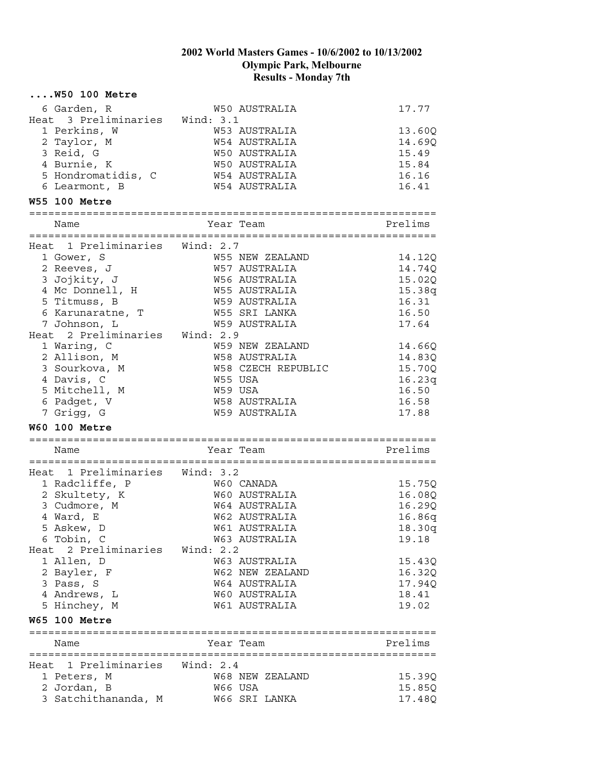| $\ldots$ . W50 100 Metre       |                                  |                  |
|--------------------------------|----------------------------------|------------------|
| 6 Garden, R                    | W50 AUSTRALIA                    | 17.77            |
| Heat 3 Preliminaries Wind: 3.1 |                                  |                  |
| 1 Perkins, W                   | W53 AUSTRALIA                    | 13.60Q           |
| 2 Taylor, M                    | W54 AUSTRALIA                    | 14.69Q           |
| 3 Reid, G                      | W50 AUSTRALIA                    | 15.49            |
| 4 Burnie, K                    | W50 AUSTRALIA                    | 15.84            |
| 5 Hondromatidis, C             | <b>W54 AUSTRALIA</b>             | 16.16            |
| 6 Learmont, B                  | <b>W54 AUSTRALIA</b>             | 16.41            |
| <b>W55 100 Metre</b>           |                                  |                  |
|                                |                                  |                  |
| Name                           | Year Team                        | Prelims          |
| Heat 1 Preliminaries Wind: 2.7 |                                  |                  |
|                                | W55 NEW ZEALAND                  |                  |
| 1 Gower, S<br>2 Reeves, J      | W57 AUSTRALIA                    | 14.12Q           |
| 3 Jojkity, J                   | W56 AUSTRALIA                    | 14.74Q<br>15.02Q |
| 4 Mc Donnell, H                | W55 AUSTRALIA                    |                  |
| 5 Titmuss, B                   | W59 AUSTRALIA                    | 15.38q<br>16.31  |
| 6 Karunaratne, T               | W55 SRI LANKA                    | 16.50            |
| 7 Johnson, L                   | <b>W59 AUSTRALIA</b>             | 17.64            |
| Heat 2 Preliminaries Wind: 2.9 |                                  |                  |
| 1 Waring, C                    |                                  |                  |
| 2 Allison, M                   | W59 NEW ZEALAND<br>W58 AUSTRALIA | 14.66Q           |
| 3 Sourkova, M                  | W58 CZECH REPUBLIC               | 14.83Q<br>15.70Q |
| 4 Davis, C                     | W55 USA                          | 16.23q           |
| 5 Mitchell, M                  | W59 USA                          | 16.50            |
| 6 Padget, V                    | W58 AUSTRALIA                    | 16.58            |
| 7 Grigg, G                     | W59 AUSTRALIA                    | 17.88            |
|                                |                                  |                  |
| <b>W60 100 Metre</b>           |                                  |                  |
| Name                           | Year Team                        | Prelims          |
|                                |                                  |                  |
| Heat 1 Preliminaries Wind: 3.2 |                                  |                  |
| 1 Radcliffe, P                 | W60 CANADA                       | 15.75Q           |
| 2 Skultety, K                  | W60 AUSTRALIA                    | 16.08Q           |
| 3 Cudmore, M                   | W64 AUSTRALIA                    | 16.29Q           |
| 4 Ward, E                      | W62 AUSTRALIA                    | 16.86q           |
| 5 Askew, D                     | W61 AUSTRALIA                    | 18.30g           |
| 6 Tobin, C                     | W63 AUSTRALIA                    | 19.18            |
| Heat 2 Preliminaries Wind: 2.2 |                                  |                  |
| 1 Allen, D                     | W63 AUSTRALIA                    | 15.43Q           |
| 2 Bayler, F                    | W62 NEW ZEALAND                  | 16.32Q           |
| 3 Pass, S                      | W64 AUSTRALIA                    | 17.94Q           |
| 4 Andrews, L                   | W60 AUSTRALIA                    | 18.41            |
| 5 Hinchey, M                   | W61 AUSTRALIA                    | 19.02            |
| <b>W65 100 Metre</b>           |                                  |                  |
| Name                           | Year Team                        | Prelims          |
|                                |                                  |                  |
| Heat 1 Preliminaries Wind: 2.4 |                                  |                  |
| 1 Peters, M                    | W68 NEW ZEALAND                  | 15.39Q           |
| 2 Jordan, B                    | W66 USA                          | 15.85Q           |
| 3 Satchithananda, M            | W66 SRI LANKA                    | 17.48Q           |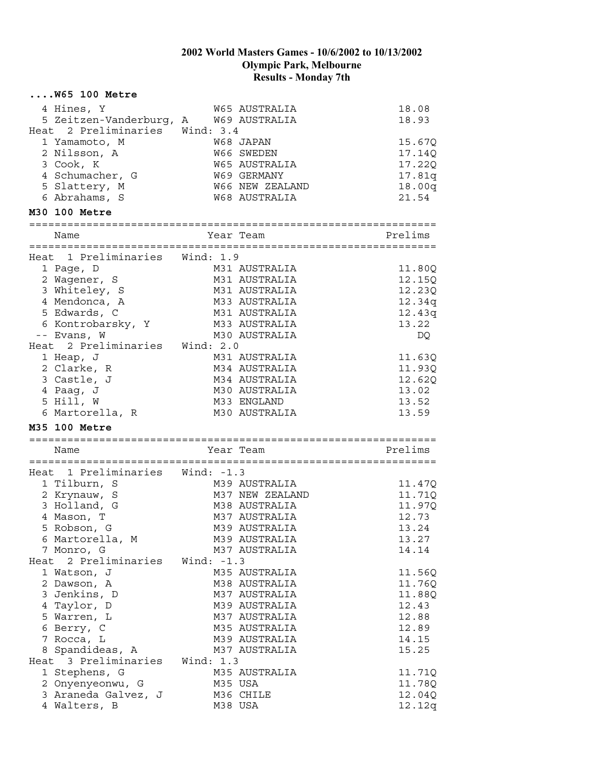|      | $\ldots$ . W65 100 Metre        |              |                    |         |  |
|------|---------------------------------|--------------|--------------------|---------|--|
|      | 4 Hines, Y                      |              | W65 AUSTRALIA      | 18.08   |  |
|      | 5 Zeitzen-Vanderburg, A         |              | W69 AUSTRALIA      | 18.93   |  |
| Heat | 2 Preliminaries Wind: 3.4       |              |                    |         |  |
|      | 1 Yamamoto, M                   |              | W68 JAPAN          | 15.67Q  |  |
|      | 2 Nilsson, A                    |              | W66 SWEDEN         | 17.14Q  |  |
|      | 3 Cook, K                       |              | W65 AUSTRALIA      | 17.22Q  |  |
|      | 4 Schumacher, G                 |              | <b>W69 GERMANY</b> | 17.81q  |  |
|      | 5 Slattery, M                   |              | W66 NEW ZEALAND    | 18.00q  |  |
|      | 6 Abrahams, S                   |              | W68 AUSTRALIA      | 21.54   |  |
|      | M30 100 Metre                   |              |                    |         |  |
|      |                                 |              |                    |         |  |
|      | Name                            |              | Year Team          | Prelims |  |
|      | Heat 1 Preliminaries Wind: 1.9  |              |                    |         |  |
|      | 1 Page, D                       |              | M31 AUSTRALIA      | 11.80Q  |  |
|      | 2 Wagener, S                    |              | M31 AUSTRALIA      | 12.15Q  |  |
|      | 3 Whiteley, S                   |              | M31 AUSTRALIA      | 12.23Q  |  |
|      | 4 Mendonca, A                   |              | M33 AUSTRALIA      | 12.34q  |  |
|      | 5 Edwards, C                    |              | M31 AUSTRALIA      | 12.43q  |  |
|      | 6 Kontrobarsky, Y               |              | M33 AUSTRALIA      | 13.22   |  |
|      | -- Evans, W                     |              | M30 AUSTRALIA      | DQ      |  |
|      | Heat 2 Preliminaries Wind: 2.0  |              |                    |         |  |
|      | 1 Heap, J                       |              | M31 AUSTRALIA      | 11.63Q  |  |
|      | 2 Clarke, R                     |              | M34 AUSTRALIA      | 11.93Q  |  |
|      | 3 Castle, J                     |              | M34 AUSTRALIA      | 12.62Q  |  |
|      | 4 Paag, J                       |              | M30 AUSTRALIA      | 13.02   |  |
|      | 5 Hill, W                       |              | M33 ENGLAND        | 13.52   |  |
|      | 6 Martorella, R                 |              | M30 AUSTRALIA      | 13.59   |  |
|      | M35 100 Metre                   |              |                    |         |  |
|      |                                 |              |                    |         |  |
|      | Name                            |              | Year Team          | Prelims |  |
|      |                                 |              |                    |         |  |
|      | Heat 1 Preliminaries Wind: -1.3 |              |                    |         |  |
|      | 1 Tilburn, S                    |              | M39 AUSTRALIA      | 11.47Q  |  |
|      | 2 Krynauw, S                    |              | M37 NEW ZEALAND    | 11.71Q  |  |
|      | 3 Holland, G                    |              | M38 AUSTRALIA      | 11.97Q  |  |
|      | 4 Mason, T                      |              | M37 AUSTRALIA      | 12.73   |  |
|      | 5 Robson, G                     |              | M39 AUSTRALIA      | 13.24   |  |
|      | 6 Martorella, M                 |              | M39 AUSTRALIA      | 13.27   |  |
|      | 7 Monro, G                      |              | M37 AUSTRALIA      | 14.14   |  |
| Heat | 2 Preliminaries                 | Wind: $-1.3$ |                    |         |  |
|      | 1 Watson, J                     |              | M35 AUSTRALIA      | 11.56Q  |  |
|      | 2 Dawson, A                     |              | M38 AUSTRALIA      | 11.76Q  |  |
|      | 3 Jenkins, D                    |              | M37 AUSTRALIA      | 11.88Q  |  |
|      | 4 Taylor, D                     |              | M39 AUSTRALIA      | 12.43   |  |
|      | 5 Warren, L                     |              | M37 AUSTRALIA      | 12.88   |  |
|      | 6 Berry, C                      |              | M35 AUSTRALIA      | 12.89   |  |
|      | 7 Rocca, L                      |              | M39 AUSTRALIA      | 14.15   |  |
|      | 8 Spandideas, A                 |              | M37 AUSTRALIA      | 15.25   |  |
|      | Heat 3 Preliminaries            | Wind: $1.3$  |                    |         |  |
|      | 1 Stephens, G                   |              | M35 AUSTRALIA      | 11.71Q  |  |
|      | 2 Onyenyeonwu, G                |              | M35 USA            | 11.78Q  |  |
|      | 3 Araneda Galvez, J             |              | M36 CHILE          | 12.04Q  |  |
|      | 4 Walters, B                    |              | M38 USA            | 12.12q  |  |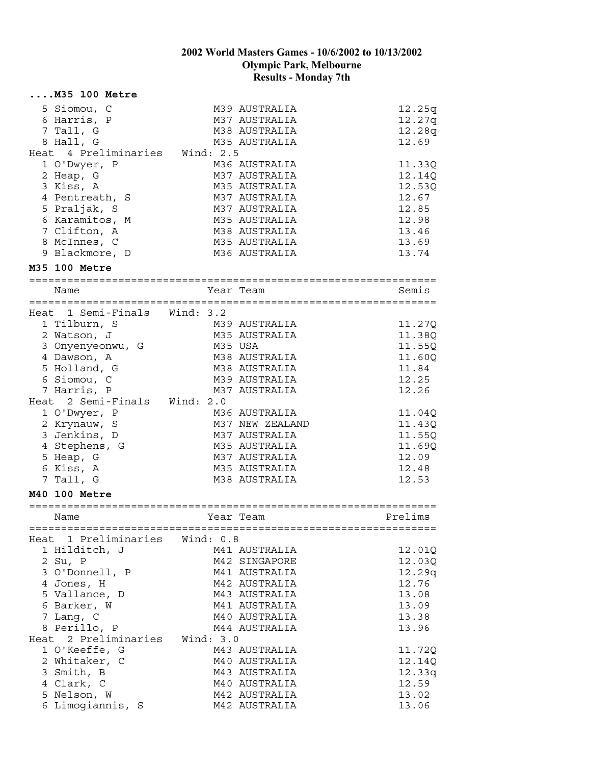| $\ldots$ . M35 100 Metre       |         |                                  |                  |
|--------------------------------|---------|----------------------------------|------------------|
| 5 Siomou, C                    |         | M39 AUSTRALIA                    | 12.25q           |
| 6 Harris, P                    |         | M37 AUSTRALIA                    | 12.27q           |
| 7 Tall, G                      |         | M38 AUSTRALIA                    | 12.28q           |
| 8 Hall, G                      |         | M35 AUSTRALIA                    | 12.69            |
| Heat 4 Preliminaries Wind: 2.5 |         |                                  |                  |
| 1 O'Dwyer, P                   |         | M36 AUSTRALIA                    | 11.33Q           |
| 2 Heap, G                      |         | M37 AUSTRALIA                    | 12.14Q           |
| 3 Kiss, A                      |         | M35 AUSTRALIA                    | 12.53Q           |
| 4 Pentreath, S                 |         | M37 AUSTRALIA                    | 12.67            |
| 5 Praljak, S                   |         | M37 AUSTRALIA                    | 12.85            |
| 6 Karamitos, M                 |         | M35 AUSTRALIA                    | 12.98            |
| 7 Clifton, A                   |         | M38 AUSTRALIA                    | 13.46            |
| 8 McInnes, C                   |         | M35 AUSTRALIA                    | 13.69            |
| 9 Blackmore, D                 |         | M36 AUSTRALIA                    | 13.74            |
| M35 100 Metre                  |         |                                  |                  |
| Name                           |         | Year Team                        | Semis            |
|                                |         |                                  |                  |
| Heat 1 Semi-Finals Wind: 3.2   |         |                                  |                  |
| 1 Tilburn, S                   |         | M39 AUSTRALIA                    | 11.27Q           |
| 2 Watson, J                    |         | M35 AUSTRALIA                    | 11.38Q           |
| 3 Onyenyeonwu, G               | M35 USA |                                  | 11.55Q           |
| 4 Dawson, A                    |         | M38 AUSTRALIA                    | 11.60Q           |
| 5 Holland, G                   |         | M38 AUSTRALIA                    | 11.84            |
| 6 Siomou, C                    |         | M39 AUSTRALIA                    | 12.25            |
| 7 Harris, P                    |         | M37 AUSTRALIA                    | 12.26            |
| Heat 2 Semi-Finals Wind: 2.0   |         |                                  |                  |
| 1 O'Dwyer, P                   |         | M36 AUSTRALIA                    | 11.04Q           |
| 2 Krynauw, S<br>3 Jenkins, D   |         | M37 NEW ZEALAND<br>M37 AUSTRALIA | 11.43Q<br>11.55Q |
| 4 Stephens, G                  |         | M35 AUSTRALIA                    | 11.69Q           |
| 5 Heap, G                      |         | M37 AUSTRALIA                    | 12.09            |
| 6 Kiss, A                      |         | M35 AUSTRALIA                    | 12.48            |
| 7 Tall, G                      |         | M38 AUSTRALIA                    | 12.53            |
| M40 100 Metre                  |         |                                  |                  |
|                                |         |                                  |                  |
| Name                           |         | Year Team                        | Prelims          |
| Heat 1 Preliminaries Wind: 0.8 |         |                                  |                  |
| 1 Hilditch, J                  |         | M41 AUSTRALIA                    | 12.01Q           |
| 2 Su, P                        |         | M42 SINGAPORE                    | 12.03Q           |
| 3 O'Donnell, P                 |         | M41 AUSTRALIA                    | 12.29q           |
| 4 Jones, H                     |         | M42 AUSTRALIA                    | 12.76            |
| 5 Vallance, D                  |         | M43 AUSTRALIA                    | 13.08            |
| 6 Barker, W                    |         | M41 AUSTRALIA                    | 13.09            |
| 7 Lang, C                      |         | M40 AUSTRALIA                    | 13.38            |
| 8 Perillo, P                   |         | M44 AUSTRALIA                    | 13.96            |
| Heat 2 Preliminaries Wind: 3.0 |         |                                  |                  |
| 1 O'Keeffe, G                  |         | M43 AUSTRALIA                    | 11.72Q           |
| 2 Whitaker, C                  |         | M40 AUSTRALIA                    | 12.14Q           |
| 3 Smith, B                     |         | M43 AUSTRALIA                    | 12.33g           |
| 4 Clark, C                     |         | M40 AUSTRALIA                    | 12.59            |
| 5 Nelson, W                    |         | M42 AUSTRALIA                    | 13.02            |
| 6 Limogiannis, S               |         | M42 AUSTRALIA                    | 13.06            |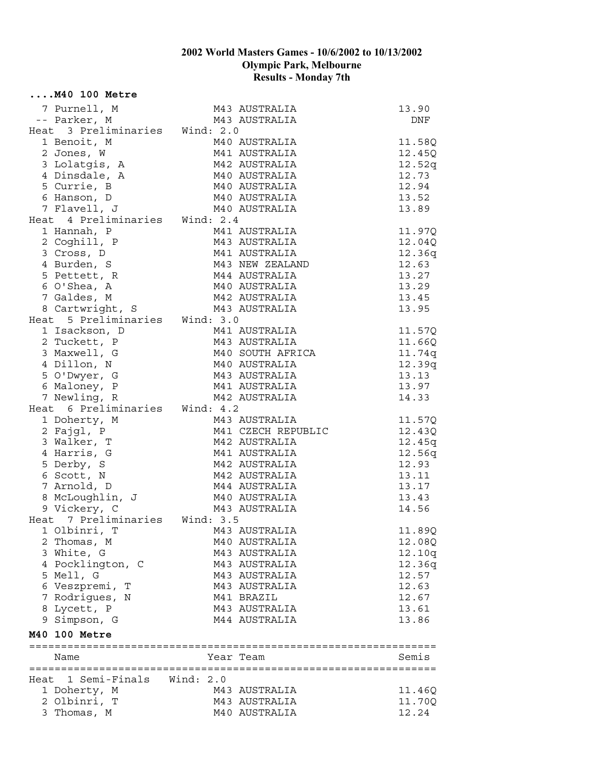| $\ldots$ . M40 100 Metre        |                                |                                    |                |
|---------------------------------|--------------------------------|------------------------------------|----------------|
| 7 Purnell, M                    |                                | M43 AUSTRALIA<br>M43 AUSTRALIA     | 13.90          |
| -- Parker, M                    |                                | M43 AUSTRALIA                      | DNF            |
| Heat 3 Preliminaries Wind: 2.0  |                                |                                    |                |
| 1 Benoit, M                     |                                | M40 AUSTRALIA                      | 11.58Q         |
| 2 Jones, W                      |                                | M41 AUSTRALIA                      | 12.45Q         |
| 3 Lolatgis, A                   |                                | M42 AUSTRALIA                      | 12.52q         |
| 4 Dinsdale, A                   |                                | M40 AUSTRALIA                      | 12.73          |
| 5 Currie, B                     |                                | M40 AUSTRALIA                      | 12.94          |
| 6 Hanson, D                     | M40 AUSTRALIA<br>M40 AUSTRALIA |                                    | 13.52          |
| 7 Flavell, J                    |                                | M40 AUSTRALIA                      | 13.89          |
| Heat 4 Preliminaries Wind: 2.4  |                                |                                    |                |
| 1 Hannah, P                     |                                | M41 AUSTRALIA                      | 11.97Q         |
| 2 Coghill, P                    |                                | M43 AUSTRALIA                      | 12.04Q         |
| 3 Cross, D                      |                                | M41 AUSTRALIA                      | 12.36q         |
| 4 Burden, S                     |                                | M43 NEW ZEALAND                    | 12.63          |
| 5 Pettett, R                    |                                | M44 AUSTRALIA                      | 13.27          |
| 6 O'Shea, A                     |                                | M40 AUSTRALIA                      | 13.29          |
| 7 Galdes, M                     |                                | M42 AUSTRALIA                      | 13.45          |
| 8 Cartwright, S                 | M43 AUSTRALIA                  |                                    | 13.95          |
| Heat 5 Preliminaries Wind: 3.0  |                                |                                    |                |
| 1 Isackson, D                   |                                | M41 AUSTRALIA                      | 11.57Q         |
| 2 Tuckett, P                    |                                | M43 AUSTRALIA<br>M40 SOUTH AFRICA  | 11.66Q         |
| 3 Maxwell, G                    |                                |                                    | 11.74q         |
| 4 Dillon, N                     |                                | M40 AUSTRALIA<br>M43 AUSTRALIA     | 12.39q         |
| 5 O'Dwyer, G<br>6 Maloney, P    |                                | M41 AUSTRALIA                      | 13.13<br>13.97 |
| 7 Newling, R                    |                                | M42 AUSTRALIA                      | 14.33          |
| Heat 6 Preliminaries Wind: 4.2  |                                |                                    |                |
| 1 Doherty, M                    |                                | M43 AUSTRALIA                      | 11.57Q         |
| 2 Fajgl, P                      |                                | M41 CZECH REPUBLIC                 | 12.43Q         |
| 3 Walker, T                     |                                | M42 AUSTRALIA                      | 12.45q         |
| 4 Harris, G                     |                                | M41 AUSTRALIA                      | 12.56q         |
| 5 Derby, S                      |                                | M42 AUSTRALIA                      | 12.93          |
| 6 Scott, N                      |                                | M42 AUSTRALIA                      | 13.11          |
| 7 Arnold, D                     |                                | M44 AUSTRALIA                      | 13.17          |
|                                 |                                | <br>M40 AUSTRALIA<br>M43 AUSTRALIA | 13.43          |
| 8 McLoughlin, J<br>9 Vickery, C |                                |                                    | 14.56          |
| Heat 7 Preliminaries Wind: 3.5  |                                |                                    |                |
| 1 Olbinri, T                    |                                | M43 AUSTRALIA                      | 11.89Q         |
| 2 Thomas, M                     |                                | M40 AUSTRALIA                      | 12.08Q         |
| 3 White, G                      |                                | M43 AUSTRALIA                      | 12.10q         |
| 4 Pocklington, C                |                                | M43 AUSTRALIA                      | 12.36q         |
| 5 Mell, G                       |                                | M43 AUSTRALIA                      | 12.57          |
| 6 Veszpremi, T                  |                                | M43 AUSTRALIA                      | 12.63          |
| 7 Rodrigues, N                  |                                | M41 BRAZIL                         | 12.67          |
| 8 Lycett, P                     |                                | M43 AUSTRALIA                      | 13.61          |
| 9 Simpson, G                    |                                | M44 AUSTRALIA                      | 13.86          |
| M40 100 Metre                   |                                |                                    |                |
|                                 |                                |                                    |                |
| Name                            |                                | Year Team                          | Semis          |
| Heat 1 Semi-Finals              | Wind: $2.0$                    |                                    |                |
| 1 Doherty, M                    |                                | M43 AUSTRALIA                      | 11.46Q         |
| 2 Olbinri, T                    |                                | M43 AUSTRALIA                      | 11.70Q         |
| 3 Thomas, M                     |                                | M40 AUSTRALIA                      | 12.24          |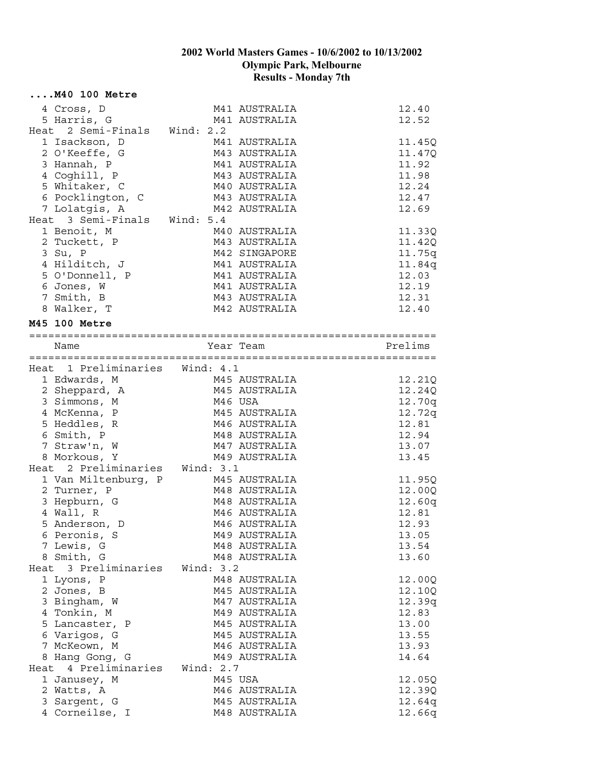|      | $\ldots$ . M40 100 Metre       |             |               |         |
|------|--------------------------------|-------------|---------------|---------|
|      | 4 Cross, D                     |             | M41 AUSTRALIA | 12.40   |
|      | 5 Harris, G                    |             | M41 AUSTRALIA | 12.52   |
|      | Heat 2 Semi-Finals Wind: 2.2   |             |               |         |
|      | 1 Isackson, D                  |             | M41 AUSTRALIA | 11.45Q  |
|      | 2 O'Keeffe, G                  |             | M43 AUSTRALIA | 11.47Q  |
|      | 3 Hannah, P                    |             | M41 AUSTRALIA | 11.92   |
|      | 4 Coghill, P                   |             | M43 AUSTRALIA | 11.98   |
|      | 5 Whitaker, C                  |             | M40 AUSTRALIA | 12.24   |
|      | 6 Pocklington, C               |             | M43 AUSTRALIA | 12.47   |
|      | 7 Lolatgis, A                  |             | M42 AUSTRALIA | 12.69   |
|      | Heat 3 Semi-Finals Wind: 5.4   |             |               |         |
|      | 1 Benoit, M                    |             | M40 AUSTRALIA | 11.33Q  |
|      | 2 Tuckett, P                   |             | M43 AUSTRALIA | 11.42Q  |
|      | 3 Su, P                        |             | M42 SINGAPORE | 11.75q  |
|      | 4 Hilditch, J                  |             | M41 AUSTRALIA | 11.84q  |
|      | 5 O'Donnell, P                 |             | M41 AUSTRALIA | 12.03   |
|      | 6 Jones, W                     |             | M41 AUSTRALIA | 12.19   |
|      | 7 Smith, B                     |             | M43 AUSTRALIA | 12.31   |
|      | 8 Walker, T                    |             | M42 AUSTRALIA | 12.40   |
|      | <b>M45 100 Metre</b>           |             |               |         |
|      |                                |             |               |         |
|      | Name                           | Year Team   |               | Prelims |
|      | Heat 1 Preliminaries Wind: 4.1 |             |               |         |
|      | 1 Edwards, M                   |             | M45 AUSTRALIA | 12.21Q  |
|      | 2 Sheppard, A                  |             | M45 AUSTRALIA | 12.24Q  |
|      | 3 Simmons, M                   | M46 USA     |               | 12.70q  |
|      | 4 McKenna, P                   |             | M45 AUSTRALIA | 12.72q  |
|      | 5 Heddles, R                   |             | M46 AUSTRALIA | 12.81   |
|      | 6 Smith, P                     |             | M48 AUSTRALIA | 12.94   |
|      | 7 Straw'n, W                   |             | M47 AUSTRALIA | 13.07   |
|      | 8 Morkous, Y                   |             | M49 AUSTRALIA | 13.45   |
|      | Heat 2 Preliminaries Wind: 3.1 |             |               |         |
|      | 1 Van Miltenburg, P            |             | M45 AUSTRALIA | 11.95Q  |
|      | 2 Turner, P                    |             | M48 AUSTRALIA | 12.00Q  |
|      | 3 Hepburn, G                   |             | M48 AUSTRALIA | 12.60q  |
|      | 4 Wall, R                      |             | M46 AUSTRALIA | 12.81   |
|      | 5 Anderson, D                  |             | M46 AUSTRALIA | 12.93   |
|      | 6 Peronis, S                   |             | M49 AUSTRALIA | 13.05   |
|      | 7 Lewis, G                     |             | M48 AUSTRALIA | 13.54   |
|      | 8 Smith, G                     |             | M48 AUSTRALIA | 13.60   |
|      | Heat 3 Preliminaries Wind: 3.2 |             |               |         |
|      | 1 Lyons, P                     |             | M48 AUSTRALIA | 12.00Q  |
|      | 2 Jones, B                     |             | M45 AUSTRALIA | 12.10Q  |
|      | 3 Bingham, W                   |             | M47 AUSTRALIA | 12.39q  |
|      | 4 Tonkin, M                    |             | M49 AUSTRALIA | 12.83   |
|      | 5 Lancaster, P                 |             | M45 AUSTRALIA | 13.00   |
|      | 6 Varigos, G                   |             | M45 AUSTRALIA | 13.55   |
|      | 7 McKeown, M                   |             | M46 AUSTRALIA | 13.93   |
|      | 8 Hang Gong, G                 |             | M49 AUSTRALIA | 14.64   |
| Heat | 4 Preliminaries                | Wind: $2.7$ |               |         |
|      | 1 Janusey, M                   | M45 USA     |               | 12.05Q  |
|      | 2 Watts, A                     |             | M46 AUSTRALIA | 12.39Q  |
|      | 3 Sargent, G                   |             | M45 AUSTRALIA | 12.64q  |
|      | 4 Corneilse, I                 |             | M48 AUSTRALIA | 12.66q  |
|      |                                |             |               |         |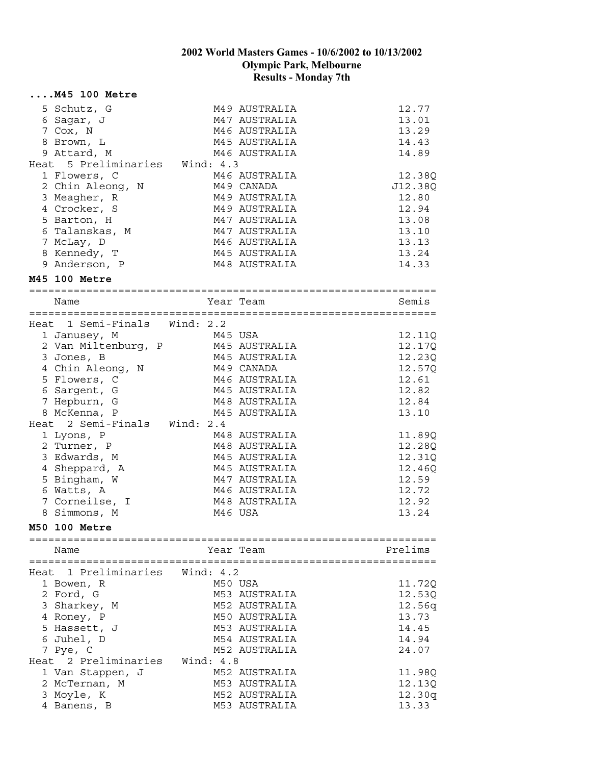|      | $\ldots$ . M45 100 Metre              |             |               |                                          |
|------|---------------------------------------|-------------|---------------|------------------------------------------|
|      | 5 Schutz, G                           |             | M49 AUSTRALIA | 12.77                                    |
|      | 6 Sagar, J                            |             | M47 AUSTRALIA | 13.01                                    |
|      | 7 Cox, N                              |             | M46 AUSTRALIA | 13.29                                    |
|      | 8 Brown, L                            |             | M45 AUSTRALIA | 14.43                                    |
|      | 9 Attard, M                           |             | M46 AUSTRALIA | 14.89                                    |
|      | Heat 5 Preliminaries Wind: 4.3        |             |               |                                          |
|      | 1 Flowers, C                          |             | M46 AUSTRALIA | 12.38Q                                   |
|      | 2 Chin Aleong, N                      |             | M49 CANADA    | J12.38Q                                  |
|      | 3 Meagher, R                          |             | M49 AUSTRALIA | 12.80                                    |
|      | 4 Crocker, S                          |             | M49 AUSTRALIA | 12.94                                    |
|      | 5 Barton, H                           |             | M47 AUSTRALIA | 13.08                                    |
|      | 6 Talanskas, M                        |             | M47 AUSTRALIA | 13.10                                    |
|      | 7 McLay, D                            |             | M46 AUSTRALIA | 13.13                                    |
|      | 8 Kennedy, T                          |             | M45 AUSTRALIA | 13.24                                    |
|      | 9 Anderson, P                         |             | M48 AUSTRALIA | 14.33                                    |
|      | M45 100 Metre                         |             |               |                                          |
|      | Name                                  | Year Team   |               | Semis                                    |
|      |                                       |             |               |                                          |
|      | Heat 1 Semi-Finals Wind: 2.2          |             |               |                                          |
|      | 1 Janusey, M                          | M45 USA     |               | 12.11Q                                   |
|      | 2 Van Miltenburg, P                   |             | M45 AUSTRALIA | 12.17Q                                   |
|      | 3 Jones, B                            |             | M45 AUSTRALIA | 12.23Q                                   |
|      | 4 Chin Aleong, N                      |             | M49 CANADA    | 12.57Q                                   |
|      | 5 Flowers, C                          |             | M46 AUSTRALIA | 12.61                                    |
|      | 6 Sargent, G                          |             | M45 AUSTRALIA | 12.82                                    |
|      | 7 Hepburn, G                          |             | M48 AUSTRALIA | 12.84                                    |
|      | 8 McKenna, P                          |             | M45 AUSTRALIA | 13.10                                    |
|      | Heat 2 Semi-Finals Wind: 2.4          |             |               |                                          |
|      | 1 Lyons, P                            |             | M48 AUSTRALIA | 11.89Q                                   |
|      | 2 Turner, P                           |             | M48 AUSTRALIA | 12.28Q                                   |
|      | 3 Edwards, M                          |             | M45 AUSTRALIA | 12.31Q                                   |
|      | 4 Sheppard, A                         |             | M45 AUSTRALIA | 12.46Q                                   |
|      | 5 Bingham, W                          |             | M47 AUSTRALIA | 12.59                                    |
|      | 6 Watts, A                            |             | M46 AUSTRALIA | 12.72                                    |
|      | 7 Corneilse, I                        |             | M48 AUSTRALIA | 12.92                                    |
|      | 8 Simmons, M                          |             | M46 USA       | 13.24                                    |
|      | M50 100 Metre                         |             |               |                                          |
|      | =============================<br>Name |             | Year Team     | :================<br>========<br>Prelims |
|      |                                       |             |               |                                          |
| Heat | 1 Preliminaries                       | Wind: $4.2$ |               |                                          |
|      | 1 Bowen, R                            |             | M50 USA       | 11.72Q                                   |
|      | 2 Ford, G                             |             | M53 AUSTRALIA | 12.53Q                                   |
|      | 3 Sharkey, M                          |             | M52 AUSTRALIA | 12.56q                                   |
|      | 4 Roney, P                            |             | M50 AUSTRALIA | 13.73                                    |
|      | 5 Hassett, J                          |             | M53 AUSTRALIA | 14.45                                    |
|      | 6 Juhel, D                            |             | M54 AUSTRALIA | 14.94                                    |
|      | 7 Pye, C                              |             | M52 AUSTRALIA | 24.07                                    |
|      | Heat 2 Preliminaries                  | Wind: 4.8   |               |                                          |
|      | 1 Van Stappen, J                      |             | M52 AUSTRALIA | 11.98Q                                   |
|      | 2 McTernan, M                         |             | M53 AUSTRALIA | 12.13Q                                   |
|      | 3 Moyle, K                            |             | M52 AUSTRALIA | 12.30q                                   |
|      | 4 Banens, B                           |             | M53 AUSTRALIA | 13.33                                    |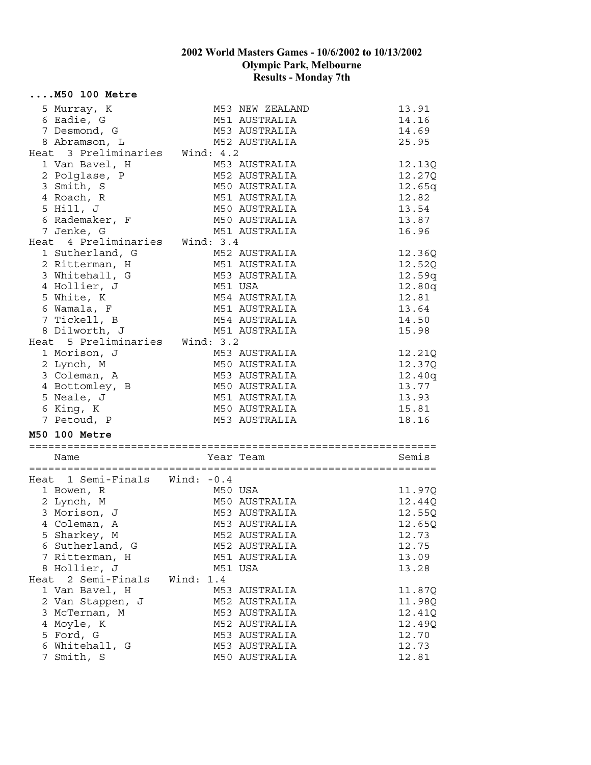|      | $\ldots$ . M50 100 Metre       |              |                                |        |
|------|--------------------------------|--------------|--------------------------------|--------|
|      | 5 Murray, K                    |              | M53 NEW ZEALAND                | 13.91  |
|      | 6 Eadie, G                     |              | M51 AUSTRALIA                  | 14.16  |
|      | 7 Desmond, G                   |              | M53 AUSTRALIA                  | 14.69  |
|      | 8 Abramson, L                  |              | M52 AUSTRALIA                  | 25.95  |
|      | Heat 3 Preliminaries Wind: 4.2 |              |                                |        |
|      | 1 Van Bavel, H                 |              | M53 AUSTRALIA                  | 12.13Q |
|      | 2 Polglase, P                  |              | M52 AUSTRALIA                  | 12.27Q |
|      | 3 Smith, S                     |              | M50 AUSTRALIA                  | 12.65q |
|      | 4 Roach, R                     |              | M51 AUSTRALIA                  | 12.82  |
|      | 5 Hill, J                      |              | M50 AUSTRALIA                  | 13.54  |
|      | 6 Rademaker, F                 |              | M50 AUSTRALIA                  | 13.87  |
|      | 7 Jenke, G                     |              | M51 AUSTRALIA                  | 16.96  |
|      | Heat 4 Preliminaries Wind: 3.4 |              |                                |        |
|      | 1 Sutherland, G                |              | M52 AUSTRALIA                  | 12.36Q |
|      | 2 Ritterman, H                 |              | M51 AUSTRALIA                  | 12.52Q |
|      | 3 Whitehall, G                 |              | M53 AUSTRALIA                  | 12.59q |
|      | 4 Hollier, J                   |              | M51 USA                        | 12.80q |
|      | 5 White, K                     |              | M54 AUSTRALIA                  | 12.81  |
|      | 6 Wamala, F                    |              | M51 AUSTRALIA                  | 13.64  |
|      | 7 Tickell, B                   |              | M54 AUSTRALIA                  | 14.50  |
|      | 8 Dilworth, J                  |              | M51 AUSTRALIA                  | 15.98  |
|      | Heat 5 Preliminaries Wind: 3.2 |              |                                |        |
|      | 1 Morison, J                   |              | M53 AUSTRALIA                  | 12.21Q |
|      | 2 Lynch, M                     |              | M50 AUSTRALIA                  | 12.37Q |
|      | 3 Coleman, A                   |              | M53 AUSTRALIA                  | 12.40q |
|      | 4 Bottomley, B                 |              | M50 AUSTRALIA                  | 13.77  |
|      | 5 Neale, J                     |              | M51 AUSTRALIA                  | 13.93  |
|      | 6 King, K                      |              | M50 AUSTRALIA                  | 15.81  |
|      |                                |              |                                |        |
|      | 7 Petoud, P                    |              | M53 AUSTRALIA                  | 18.16  |
|      | <b>M50 100 Metre</b>           |              |                                |        |
|      |                                |              | Year Team                      | Semis  |
|      | Name                           |              |                                |        |
|      | Heat 1 Semi-Finals Wind: -0.4  |              |                                |        |
|      | 1 Bowen, R                     |              | M50 USA                        | 11.97Q |
|      | 2 Lynch, M                     |              | M50 AUSTRALIA                  | 12.44Q |
|      | 3 Morison, J                   |              | M53 AUSTRALIA                  | 12.55Q |
|      | 4 Coleman, A                   |              | M53 AUSTRALIA                  | 12.65Q |
|      | 5 Sharkey, M                   |              |                                | 12.73  |
|      | 6 Sutherland, G                |              | M52 AUSTRALIA                  | 12.75  |
|      | 7 Ritterman, H                 |              | M52 AUSTRALIA<br>M51 AUSTRALIA |        |
|      |                                |              |                                | 13.09  |
|      | 8 Hollier, J<br>2 Semi-Finals  |              | M51 USA                        | 13.28  |
| Heat |                                | Wind:<br>1.4 |                                |        |
|      | 1 Van Bavel, H                 |              | M53 AUSTRALIA                  | 11.87Q |
|      | 2 Van Stappen, J               |              | M52 AUSTRALIA                  | 11.98Q |
|      | 3 McTernan, M                  |              | M53 AUSTRALIA                  | 12.41Q |
|      | 4 Moyle, K                     |              | M52 AUSTRALIA                  | 12.49Q |
|      | 5 Ford, G                      |              | M53 AUSTRALIA                  | 12.70  |
|      | 6 Whitehall, G                 |              | M53 AUSTRALIA                  | 12.73  |
|      | 7 Smith, S                     |              | M50 AUSTRALIA                  | 12.81  |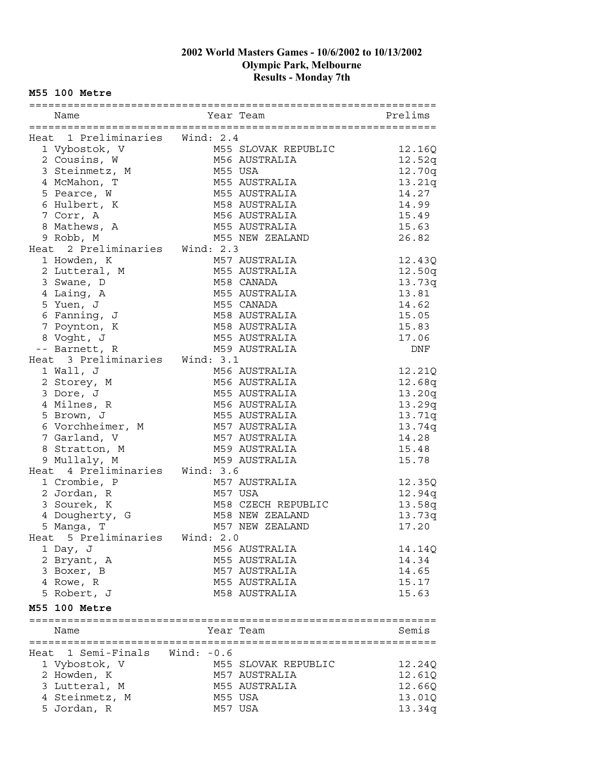#### **M55 100 Metre**

| Name                           |              | Year Team           | Prelims |
|--------------------------------|--------------|---------------------|---------|
|                                |              |                     |         |
| Heat 1 Preliminaries Wind: 2.4 |              |                     |         |
| 1 Vybostok, V                  |              | M55 SLOVAK REPUBLIC | 12.16Q  |
| 2 Cousins, W                   |              | M56 AUSTRALIA       | 12.52q  |
| 3 Steinmetz, M                 |              | M55 USA             | 12.70q  |
| 4 McMahon, T                   |              | M55 AUSTRALIA       | 13.21q  |
| 5 Pearce, W                    |              | M55 AUSTRALIA       | 14.27   |
| 6 Hulbert, K                   |              | M58 AUSTRALIA       | 14.99   |
| 7 Corr, A                      |              | M56 AUSTRALIA       | 15.49   |
| 8 Mathews, A                   |              | M55 AUSTRALIA       | 15.63   |
| 9 Robb, M                      |              | M55 NEW ZEALAND     | 26.82   |
| Heat 2 Preliminaries Wind: 2.3 |              |                     |         |
| 1 Howden, K                    |              | M57 AUSTRALIA       | 12.43Q  |
| 2 Lutteral, M                  |              | M55 AUSTRALIA       | 12.50q  |
| 3 Swane, D                     |              | M58 CANADA          | 13.73q  |
| 4 Laing, A                     |              | M55 AUSTRALIA       | 13.81   |
| 5 Yuen, J                      |              | M55 CANADA          | 14.62   |
| 6 Fanning, J                   |              | M58 AUSTRALIA       | 15.05   |
| 7 Poynton, K                   |              | M58 AUSTRALIA       | 15.83   |
| 8 Voght, J                     |              | M55 AUSTRALIA       | 17.06   |
| -- Barnett, R                  |              | M59 AUSTRALIA       | DNF     |
| Heat 3 Preliminaries Wind: 3.1 |              |                     |         |
| 1 Wall, J                      |              | M56 AUSTRALIA       | 12.21Q  |
| 2 Storey, M                    |              | M56 AUSTRALIA       | 12.68q  |
| 3 Dore, J                      |              | M55 AUSTRALIA       | 13.20q  |
| 4 Milnes, R                    |              | M56 AUSTRALIA       | 13.29q  |
| 5 Brown, J                     |              | M55 AUSTRALIA       | 13.71q  |
| 6 Vorchheimer, M M57 AUSTRALIA |              |                     | 13.74q  |
| 7 Garland, V                   |              | M57 AUSTRALIA       | 14.28   |
| 8 Stratton, M                  |              | M59 AUSTRALIA       | 15.48   |
| 9 Mullaly, M                   |              | M59 AUSTRALIA       | 15.78   |
| Heat 4 Preliminaries Wind: 3.6 |              |                     |         |
| 1 Crombie, P                   |              | M57 AUSTRALIA       | 12.35Q  |
| 2 Jordan, R                    |              | M57 USA             | 12.94q  |
| 3 Sourek, K                    |              | M58 CZECH REPUBLIC  | 13.58q  |
| 4 Dougherty, G                 |              | M58 NEW ZEALAND     | 13.73q  |
| 5 Manga, T                     |              | M57 NEW ZEALAND     | 17.20   |
| 5 Preliminaries<br>Heat        | Wind: 2.0    |                     |         |
| 1 Day, J                       |              | M56 AUSTRALIA       | 14.14Q  |
| 2 Bryant, A                    |              | M55 AUSTRALIA       | 14.34   |
| 3 Boxer, B                     |              | M57 AUSTRALIA       | 14.65   |
| 4 Rowe, R                      |              | M55 AUSTRALIA       | 15.17   |
| 5 Robert, J                    |              |                     |         |
|                                |              | M58 AUSTRALIA       | 15.63   |
| M55 100 Metre                  |              |                     |         |
| Name                           |              | Year Team           | Semis   |
|                                |              |                     |         |
| 1 Semi-Finals<br>Heat          | Wind: $-0.6$ |                     |         |
| 1 Vybostok, V                  |              | M55 SLOVAK REPUBLIC | 12.24Q  |
| 2 Howden, K                    |              | M57 AUSTRALIA       | 12.61Q  |
| 3 Lutteral, M                  |              | M55 AUSTRALIA       | 12.66Q  |
| 4 Steinmetz, M                 |              | M55 USA             | 13.01Q  |
| 5 Jordan, R                    |              | M57 USA             | 13.34q  |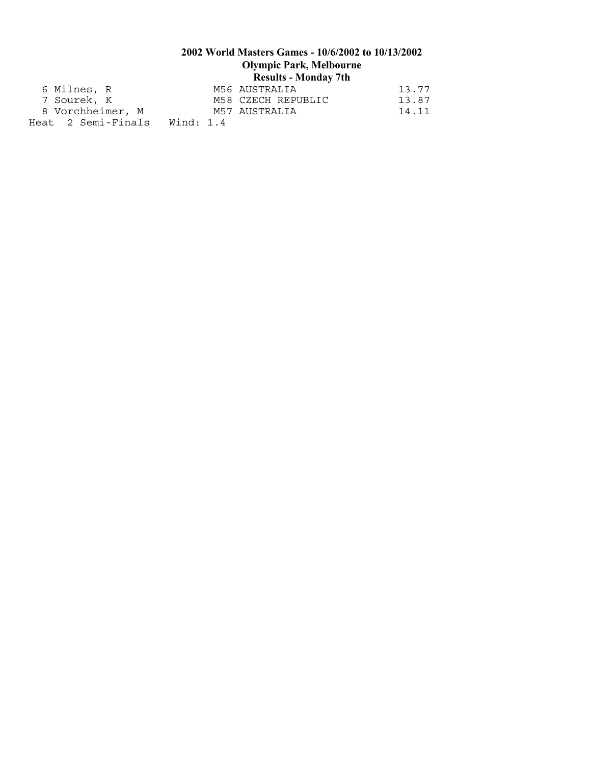## **2002 World Masters Games - 10/6/2002 to 10/13/2002 Olympic Park, Melbourne Results - Monday 7th**  6 Milnes, R M56 AUSTRALIA 13.77 7 Sourek, K M58 CZECH REPUBLIC 13.87

8 Vorchheimer, M M57 AUSTRALIA 14.11 Heat 2 Semi-Finals Wind: 1.4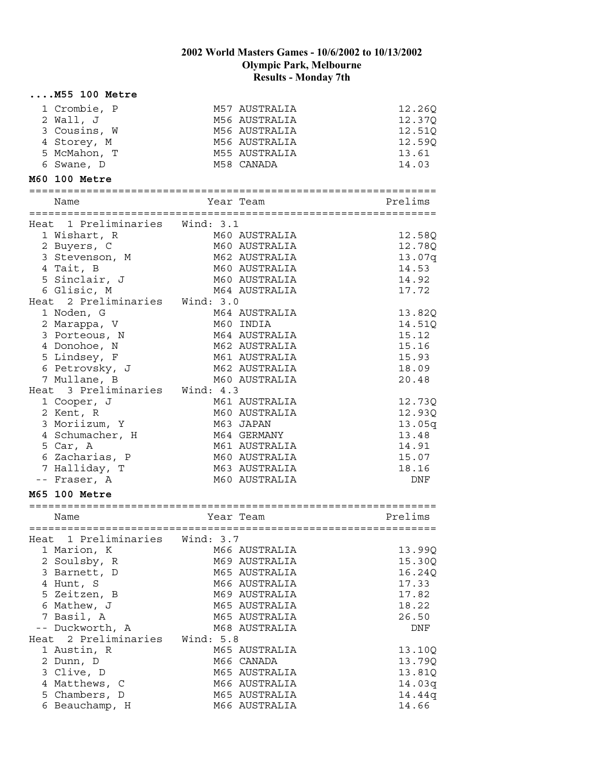### **....M55 100 Metre**

| 1 Crombie, P<br>2 Wall, J<br>3 Cousins, W<br>4 Storey, M<br>5 McMahon, T<br>6 Swane, D | M57 AUSTRALIA<br>M56 AUSTRALIA<br>M56 AUSTRALIA<br>M56 AUSTRALIA<br>M55 AUSTRALIA<br>M58 CANADA | 12.26Q<br>12.37Q<br>12.51Q<br>12.59Q<br>13.61<br>14.03 |
|----------------------------------------------------------------------------------------|-------------------------------------------------------------------------------------------------|--------------------------------------------------------|
| M60 100 Metre                                                                          |                                                                                                 |                                                        |
| Name                                                                                   | Year Team                                                                                       | Prelims                                                |
| Heat 1 Preliminaries Wind: 3.1                                                         |                                                                                                 |                                                        |
| 1 Wishart, R                                                                           | M60 AUSTRALIA                                                                                   | 12.58Q                                                 |
| 2 Buyers, C                                                                            | M60 AUSTRALIA                                                                                   | 12.78Q                                                 |
| 3 Stevenson, M                                                                         | M62 AUSTRALIA                                                                                   | 13.07q                                                 |
| 4 Tait, B                                                                              | M60 AUSTRALIA                                                                                   | 14.53                                                  |
| 5 Sinclair, J                                                                          | M60 AUSTRALIA                                                                                   | 14.92                                                  |
| 6 Glisic, M                                                                            | M64 AUSTRALIA                                                                                   | 17.72                                                  |
| Heat 2 Preliminaries Wind: 3.0                                                         |                                                                                                 |                                                        |
| 1 Noden, G<br>2 Marappa, V                                                             | M64 AUSTRALIA<br>M60 INDIA                                                                      | 13.82Q                                                 |
| 3 Porteous, N                                                                          | M64 AUSTRALIA                                                                                   | 14.51Q<br>15.12                                        |
| 4 Donohoe, N                                                                           | M62 AUSTRALIA                                                                                   | 15.16                                                  |
| 5 Lindsey, F                                                                           | M61 AUSTRALIA                                                                                   | 15.93                                                  |
| 6 Petrovsky, J                                                                         | M62 AUSTRALIA                                                                                   | 18.09                                                  |
| 7 Mullane, B                                                                           | M60 AUSTRALIA                                                                                   | 20.48                                                  |
| Heat 3 Preliminaries Wind: 4.3                                                         |                                                                                                 |                                                        |
| 1 Cooper, J                                                                            | M61 AUSTRALIA                                                                                   | 12.73Q                                                 |
| 2 Kent, R                                                                              | M60 AUSTRALIA                                                                                   | 12.93Q                                                 |
| 3 Moriizum, Y                                                                          | M63 JAPAN                                                                                       | 13.05q                                                 |
| 4 Schumacher, H                                                                        | M64 GERMANY                                                                                     | 13.48                                                  |
| 5 Car, A                                                                               | M61 AUSTRALIA                                                                                   | 14.91                                                  |
| 6 Zacharias, P                                                                         | M60 AUSTRALIA                                                                                   | 15.07                                                  |
| 7 Halliday, T                                                                          | M63 AUSTRALIA                                                                                   | 18.16                                                  |
| -- Fraser, A                                                                           | M60 AUSTRALIA                                                                                   | DNF                                                    |
| M65 100 Metre                                                                          |                                                                                                 |                                                        |
| Name                                                                                   | Year Team                                                                                       | Prelims                                                |
| Heat 1 Preliminaries                                                                   | Wind: 3.7                                                                                       |                                                        |
| 1 Marion, K                                                                            | M66 AUSTRALIA                                                                                   | 13.99Q                                                 |
| 2 Soulsby, R                                                                           | M69 AUSTRALIA                                                                                   | 15.30Q                                                 |
| 3 Barnett, D                                                                           | M65 AUSTRALIA                                                                                   | 16.24Q                                                 |
| 4 Hunt, S                                                                              | M66 AUSTRALIA                                                                                   | 17.33                                                  |
| 5 Zeitzen, B                                                                           | M69 AUSTRALIA                                                                                   | 17.82                                                  |
| 6 Mathew, J                                                                            | M65 AUSTRALIA                                                                                   | 18.22                                                  |
| 7 Basil, A                                                                             | M65 AUSTRALIA                                                                                   | 26.50                                                  |
| -- Duckworth, A                                                                        | M68 AUSTRALIA                                                                                   | DNF                                                    |
| 2 Preliminaries<br>Heat                                                                | Wind: 5.8                                                                                       |                                                        |
| 1 Austin, R                                                                            | M65 AUSTRALIA                                                                                   | 13.10Q                                                 |
| 2 Dunn, D<br>3 Clive, D                                                                | M66 CANADA<br>M65 AUSTRALIA                                                                     | 13.79Q                                                 |
| 4 Matthews, C                                                                          | M66 AUSTRALIA                                                                                   | 13.81Q<br>14.03q                                       |
| 5 Chambers, D                                                                          | M65 AUSTRALIA                                                                                   | 14.44q                                                 |
| 6 Beauchamp, H                                                                         | M66 AUSTRALIA                                                                                   | 14.66                                                  |
|                                                                                        |                                                                                                 |                                                        |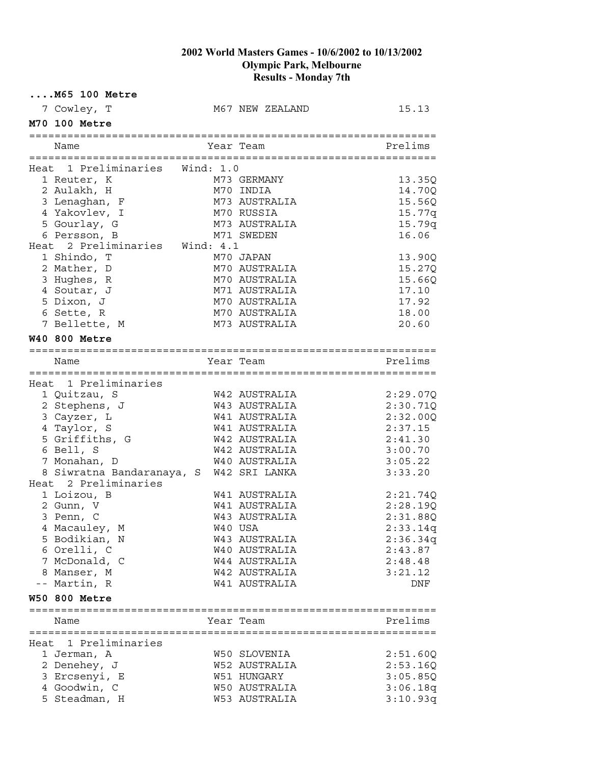| $\ldots$ . M65 100 Metre   |                                         |                 |                  |
|----------------------------|-----------------------------------------|-----------------|------------------|
| 7 Cowley, T                |                                         | M67 NEW ZEALAND | 15.13            |
| M70 100 Metre              |                                         |                 |                  |
| Name                       |                                         | Year Team       | Prelims          |
|                            | Heat 1 Preliminaries Wind: 1.0          |                 |                  |
|                            |                                         | M73 GERMANY     | 13.35Q           |
| 1 Reuter, K<br>2 Aulakh, H |                                         | M70 INDIA       | 14.70Q           |
| 3 Lenaghan, F              |                                         | M73 AUSTRALIA   | 15.560           |
| 4 Yakovlev, I              |                                         | M70 RUSSIA      |                  |
| 5 Gourlay, G               |                                         | M73 AUSTRALIA   | 15.77q<br>15.79q |
| 6 Persson, B               |                                         | M71 SWEDEN      | 16.06            |
|                            | Heat 2 Preliminaries Wind: 4.1          |                 |                  |
| 1 Shindo, T                |                                         | M70 JAPAN       | 13.90Q           |
| 2 Mather, D                |                                         | M70 AUSTRALIA   | 15.27Q           |
| 3 Hughes, R                |                                         | M70 AUSTRALIA   | 15.66Q           |
| 4 Soutar, J                |                                         | M71 AUSTRALIA   | 17.10            |
| 5 Dixon, J                 |                                         | M70 AUSTRALIA   | 17.92            |
| 6 Sette, R                 |                                         | M70 AUSTRALIA   | 18.00            |
| 7 Bellette, M              |                                         | M73 AUSTRALIA   | 20.60            |
|                            |                                         |                 |                  |
| <b>W40 800 Metre</b>       |                                         |                 |                  |
| Name                       |                                         | Year Team       | Prelims          |
|                            |                                         |                 |                  |
|                            | Heat 1 Preliminaries                    |                 |                  |
| 1 Quitzau, S               |                                         | W42 AUSTRALIA   | 2:29.07Q         |
| 2 Stephens, J              |                                         | W43 AUSTRALIA   | 2:30.71Q         |
| 3 Cayzer, L                |                                         | W41 AUSTRALIA   | 2:32.00Q         |
| 4 Taylor, S                |                                         | W41 AUSTRALIA   | 2:37.15          |
| 5 Griffiths, G             |                                         | W42 AUSTRALIA   | 2:41.30          |
| 6 Bell, S                  |                                         | W42 AUSTRALIA   | 3:00.70          |
| 7 Monahan, D               |                                         | W40 AUSTRALIA   | 3:05.22          |
|                            | 8 Siwratna Bandaranaya, S W42 SRI LANKA |                 | 3:33.20          |
|                            | Heat 2 Preliminaries                    |                 |                  |
| 1 Loizou, B                |                                         | W41 AUSTRALIA   | 2:21.74Q         |
| 2 Gunn, V                  |                                         | W41 AUSTRALIA   | 2:28.19Q         |
| 3 Penn, C                  |                                         | W43 AUSTRALIA   | 2:31.88Q         |
| 4 Macauley, M              |                                         | W40 USA         | 2:33.14q         |
| 5 Bodikian, N              |                                         | W43 AUSTRALIA   | 2:36.34q         |
| 6 Orelli, C                |                                         | W40 AUSTRALIA   | 2:43.87          |
| 7 McDonald, C              |                                         | W44 AUSTRALIA   | 2:48.48          |
| 8 Manser, M                |                                         | W42 AUSTRALIA   | 3:21.12          |
| -- Martin, R               |                                         | W41 AUSTRALIA   | DNF              |
| <b>W50 800 Metre</b>       |                                         |                 |                  |
| Name                       |                                         | Year Team       | Prelims          |
|                            |                                         |                 |                  |
|                            | Heat 1 Preliminaries                    |                 |                  |
| 1 Jerman, A                |                                         | W50 SLOVENIA    | 2:51.60Q         |
| 2 Denehey, J               |                                         | W52 AUSTRALIA   | 2:53.16Q         |
| 3 Ercsenyi, E              |                                         | W51 HUNGARY     | 3:05.85Q         |
| 4 Goodwin, C               |                                         | W50 AUSTRALIA   | 3:06.18q         |
| 5 Steadman, H              |                                         | W53 AUSTRALIA   | 3:10.93q         |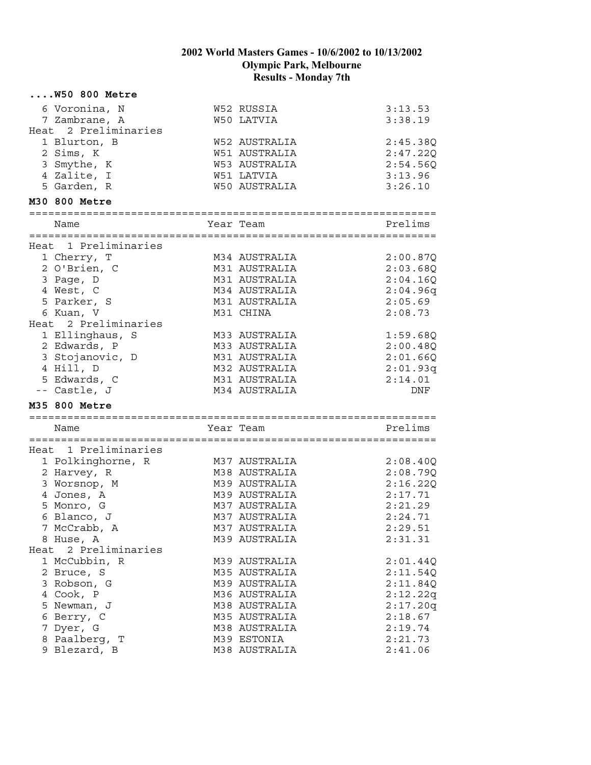| $\ldots$ . W50 800 Metre |                                |                    |
|--------------------------|--------------------------------|--------------------|
| 6 Voronina, N            | W52 RUSSIA                     | 3:13.53            |
| 7 Zambrane, A            | W50 LATVIA                     | 3:38.19            |
| Heat 2 Preliminaries     |                                |                    |
| 1 Blurton, B             | W52 AUSTRALIA                  | 2:45.38Q           |
| 2 Sims, K                | W51 AUSTRALIA                  | 2:47.22Q           |
| 3 Smythe, K              | W53 AUSTRALIA                  | 2:54.56Q           |
| 4 Zalite, I              | W51 LATVIA                     | 3:13.96            |
| 5 Garden, R              | <b>W50 AUSTRALIA</b>           | 3:26.10            |
| M30 800 Metre            |                                |                    |
| Name                     | Year Team                      | Prelims            |
|                          |                                |                    |
| Heat 1 Preliminaries     |                                |                    |
| 1 Cherry, T              | M34 AUSTRALIA                  | 2:00.87Q           |
| 2 O'Brien, C             | M31 AUSTRALIA                  | 2:03.68Q           |
| 3 Page, D                | M31 AUSTRALIA                  | 2:04.16Q           |
| 4 West, C                | M34 AUSTRALIA                  | 2:04.96q           |
| 5 Parker, S              | M31 AUSTRALIA                  | 2:05.69            |
| 6 Kuan, V                | M31 CHINA                      | 2:08.73            |
| Heat 2 Preliminaries     |                                |                    |
| 1 Ellinghaus, S          | M33 AUSTRALIA                  | 1:59.68Q           |
| 2 Edwards, P             | M33 AUSTRALIA                  | 2:00.48Q           |
| 3 Stojanovic, D          | M31 AUSTRALIA                  | 2:01.66Q           |
| 4 Hill, D                | M32 AUSTRALIA                  | 2:01.93q           |
| 5 Edwards, C             | M31 AUSTRALIA                  | 2:14.01            |
| -- Castle, J             | M34 AUSTRALIA                  | DNF                |
| M35 800 Metre            |                                |                    |
| Name                     | Year Team                      | Prelims            |
|                          |                                |                    |
| Heat 1 Preliminaries     |                                |                    |
| 1 Polkinghorne, R        | M37 AUSTRALIA                  | 2:08.40Q           |
| 2 Harvey, R              | M38 AUSTRALIA                  | 2:08.79Q           |
| 3 Worsnop, M             | M39 AUSTRALIA                  | 2:16.22Q           |
| 4 Jones, A<br>5 Monro, G | M39 AUSTRALIA<br>M37 AUSTRALIA | 2:17.71<br>2:21.29 |
| 6 Blanco, J              | M37 AUSTRALIA                  | 2:24.71            |
| 7 McCrabb, A             | M37 AUSTRALIA                  | 2:29.51            |
| 8 Huse, A                | M39 AUSTRALIA                  | 2:31.31            |
| Heat 2 Preliminaries     |                                |                    |
| 1 McCubbin, R            | M39 AUSTRALIA                  | 2:01.44Q           |
| 2 Bruce, S               | M35 AUSTRALIA                  | 2:11.54Q           |
| 3 Robson, G              | M39 AUSTRALIA                  | 2:11.84Q           |
| 4 Cook, P                | M36 AUSTRALIA                  | 2:12.22q           |
| 5 Newman, J              | M38 AUSTRALIA                  | 2:17.20q           |
| 6 Berry, C               | M35 AUSTRALIA                  | 2:18.67            |
| 7 Dyer, G                | M38 AUSTRALIA                  | 2:19.74            |
| 8 Paalberg, T            | M39 ESTONIA                    | 2:21.73            |
| 9 Blezard, B             | M38 AUSTRALIA                  | 2:41.06            |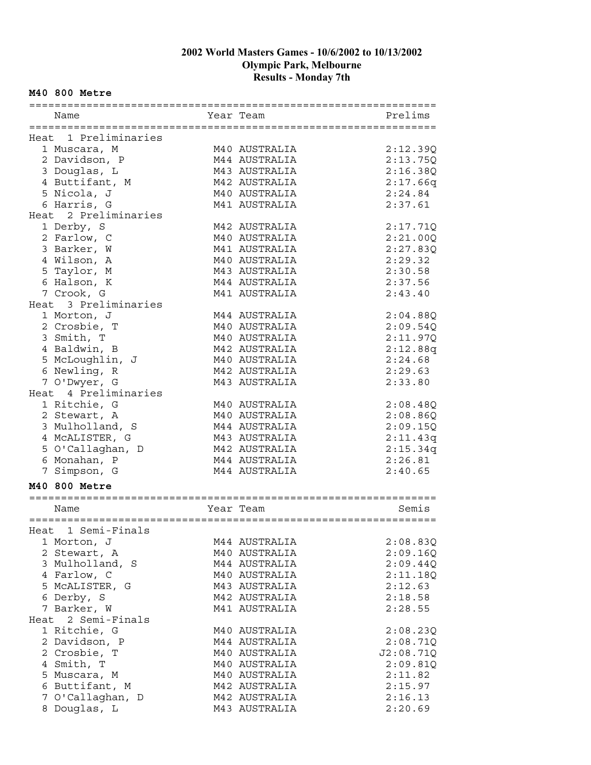#### **M40 800 Metre**

| Name                 | Year Team     | Prelims   |
|----------------------|---------------|-----------|
|                      |               |           |
| Heat 1 Preliminaries |               |           |
| 1 Muscara, M         | M40 AUSTRALIA | 2:12.39Q  |
| 2 Davidson, P        | M44 AUSTRALIA | 2:13.75Q  |
| 3 Douglas, L         | M43 AUSTRALIA | 2:16.38Q  |
| 4 Buttifant, M       | M42 AUSTRALIA | 2:17.66q  |
| 5 Nicola, J          | M40 AUSTRALIA | 2:24.84   |
| 6 Harris, G          | M41 AUSTRALIA | 2:37.61   |
| Heat 2 Preliminaries |               |           |
| 1 Derby, S           | M42 AUSTRALIA |           |
|                      |               | 2:17.71Q  |
| 2 Farlow, C          | M40 AUSTRALIA | 2:21.00Q  |
| 3 Barker, W          | M41 AUSTRALIA | 2:27.83Q  |
| 4 Wilson, A          | M40 AUSTRALIA | 2:29.32   |
| 5 Taylor, M          | M43 AUSTRALIA | 2:30.58   |
| 6 Halson, K          | M44 AUSTRALIA | 2:37.56   |
| 7 Crook, G           | M41 AUSTRALIA | 2:43.40   |
| Heat 3 Preliminaries |               |           |
| 1 Morton, J          | M44 AUSTRALIA | 2:04.88Q  |
| 2 Crosbie, T         | M40 AUSTRALIA | 2:09.54Q  |
| 3 Smith, T           | M40 AUSTRALIA | 2:11.97Q  |
| 4 Baldwin, B         | M42 AUSTRALIA | 2:12.88q  |
| 5 McLoughlin, J      | M40 AUSTRALIA | 2:24.68   |
| 6 Newling, R         | M42 AUSTRALIA | 2:29.63   |
| 7 O'Dwyer, G         | M43 AUSTRALIA | 2:33.80   |
| Heat 4 Preliminaries |               |           |
| 1 Ritchie, G         | M40 AUSTRALIA | 2:08.48Q  |
| 2 Stewart, A         | M40 AUSTRALIA | 2:08.86Q  |
| 3 Mulholland, S      | M44 AUSTRALIA | 2:09.15Q  |
| 4 MCALISTER, G       | M43 AUSTRALIA | 2:11.43q  |
| 5 O'Callaghan, D     | M42 AUSTRALIA | 2:15.34q  |
| 6 Monahan, P         | M44 AUSTRALIA | 2:26.81   |
| 7 Simpson, G         | M44 AUSTRALIA | 2:40.65   |
|                      |               |           |
| M40 800 Metre        |               |           |
|                      |               |           |
| Name                 | Year Team     | Semis     |
|                      |               |           |
| Heat 1 Semi-Finals   |               |           |
| 1 Morton, J          | M44 AUSTRALIA | 2:08.83Q  |
| 2 Stewart, A         | M40 AUSTRALIA | 2:09.16Q  |
| 3 Mulholland, S      | M44 AUSTRALIA | 2:09.44Q  |
| 4 Farlow, C          | M40 AUSTRALIA | 2:11.18Q  |
| 5 MCALISTER, G       | M43 AUSTRALIA | 2:12.63   |
| 6 Derby, S           | M42 AUSTRALIA | 2:18.58   |
| 7 Barker, W          | M41 AUSTRALIA | 2:28.55   |
| Heat 2 Semi-Finals   |               |           |
| 1 Ritchie, G         | M40 AUSTRALIA | 2:08.23Q  |
| 2 Davidson, P        | M44 AUSTRALIA | 2:08.71Q  |
| 2 Crosbie, T         | M40 AUSTRALIA | J2:08.71Q |
| 4 Smith, T           | M40 AUSTRALIA | 2:09.81Q  |
| 5 Muscara, M         | M40 AUSTRALIA | 2:11.82   |
| 6 Buttifant, M       | M42 AUSTRALIA | 2:15.97   |
| 7 O'Callaghan, D     | M42 AUSTRALIA | 2:16.13   |
| 8 Douglas, L         | M43 AUSTRALIA | 2:20.69   |
|                      |               |           |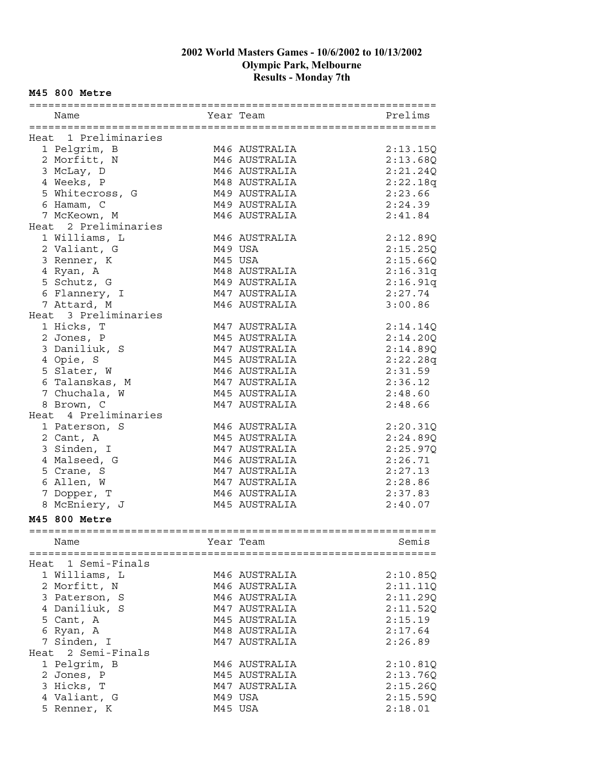#### **M45 800 Metre**

| Name                 |         | Year Team     | Prelims              |
|----------------------|---------|---------------|----------------------|
|                      |         |               |                      |
| Heat 1 Preliminaries |         |               |                      |
| 1 Pelgrim, B         |         | M46 AUSTRALIA | 2:13.15Q             |
| 2 Morfitt, N         |         | M46 AUSTRALIA | 2:13.68Q             |
| 3 McLay, D           |         | M46 AUSTRALIA | 2:21.24Q             |
| 4 Weeks, P           |         | M48 AUSTRALIA | 2:22.18q             |
| 5 Whitecross, G      |         | M49 AUSTRALIA | 2:23.66              |
| 6 Hamam, C           |         | M49 AUSTRALIA | 2:24.39              |
| 7 McKeown, M         |         | M46 AUSTRALIA | 2:41.84              |
| Heat 2 Preliminaries |         |               |                      |
| 1 Williams, L        |         | M46 AUSTRALIA | 2:12.89Q             |
| 2 Valiant, G         | M49 USA |               | 2:15.25Q             |
| 3 Renner, K          | M45 USA |               | 2:15.66Q             |
| 4 Ryan, A            |         | M48 AUSTRALIA | 2:16.31q             |
| 5 Schutz, G          |         | M49 AUSTRALIA | 2:16.91q             |
| 6 Flannery, I        |         | M47 AUSTRALIA | 2:27.74              |
| 7 Attard, M          |         | M46 AUSTRALIA | 3:00.86              |
| Heat 3 Preliminaries |         |               |                      |
| 1 Hicks, T           |         | M47 AUSTRALIA |                      |
| 2 Jones, P           |         | M45 AUSTRALIA | 2:14.14Q<br>2:14.20Q |
|                      |         | M47 AUSTRALIA |                      |
| 3 Daniliuk, S        |         | M45 AUSTRALIA | 2:14.89Q             |
| 4 Opie, S            |         |               | 2:22.28q             |
| 5 Slater, W          |         | M46 AUSTRALIA | 2:31.59              |
| 6 Talanskas, M       |         | M47 AUSTRALIA | 2:36.12              |
| 7 Chuchala, W        |         | M45 AUSTRALIA | 2:48.60              |
| 8 Brown, C           |         | M47 AUSTRALIA | 2:48.66              |
| Heat 4 Preliminaries |         |               |                      |
| 1 Paterson, S        |         | M46 AUSTRALIA | 2:20.31Q             |
| 2 Cant, A            |         | M45 AUSTRALIA | 2:24.89Q             |
| 3 Sinden, I          |         | M47 AUSTRALIA | 2:25.97Q             |
| 4 Malseed, G         |         | M46 AUSTRALIA | 2:26.71              |
| 5 Crane, S           |         | M47 AUSTRALIA | 2:27.13              |
| 6 Allen, W           |         | M47 AUSTRALIA | 2:28.86              |
| 7 Dopper, T          |         | M46 AUSTRALIA | 2:37.83              |
| 8 McEniery, J        |         | M45 AUSTRALIA | 2:40.07              |
| M45 800 Metre        |         |               |                      |
|                      |         |               |                      |
| Name                 |         | Year Team     | Semis                |
|                      |         |               |                      |
| Heat 1 Semi-Finals   |         |               |                      |
| 1 Williams, L        |         | M46 AUSTRALIA | 2:10.85Q             |
| 2 Morfitt, N         |         | M46 AUSTRALIA | 2:11.11Q             |
| 3 Paterson, S        |         | M46 AUSTRALIA | 2:11.29Q             |
| 4 Daniliuk, S        |         | M47 AUSTRALIA | 2:11.52Q             |
| 5 Cant, A            |         | M45 AUSTRALIA | 2:15.19              |
| 6 Ryan, A            |         | M48 AUSTRALIA | 2:17.64              |
| 7 Sinden, I          |         |               |                      |
|                      |         | M47 AUSTRALIA | 2:26.89              |
| Heat 2 Semi-Finals   |         |               |                      |
| 1 Pelgrim, B         |         | M46 AUSTRALIA | 2:10.81Q             |
| 2 Jones, P           |         | M45 AUSTRALIA | 2:13.76Q             |
| 3 Hicks, T           |         | M47 AUSTRALIA | 2:15.26Q             |
| 4 Valiant, G         |         | M49 USA       | 2:15.59Q             |
| 5 Renner, K          |         | M45 USA       | 2:18.01              |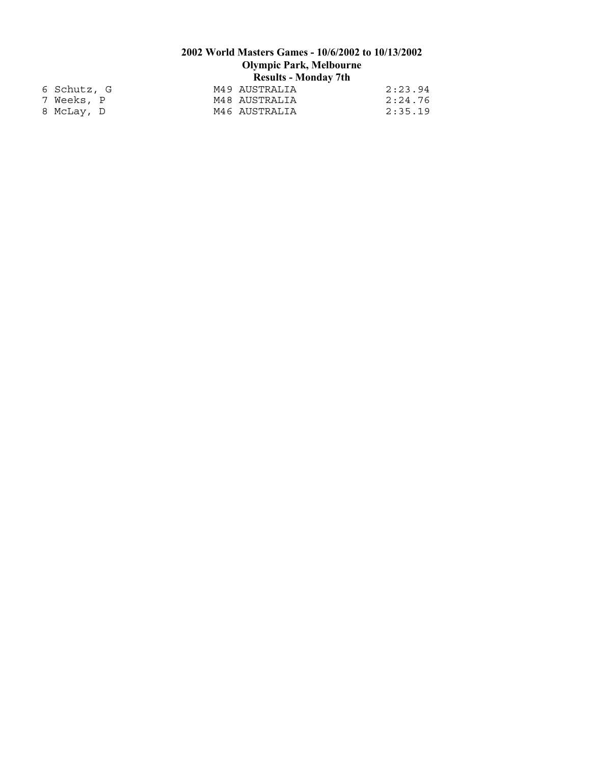| 6 Schutz, G |  | M49 AUSTRALIA | 2:23.94 |
|-------------|--|---------------|---------|
| 7 Weeks, P  |  | M48 AUSTRALIA | 2:24.76 |
| 8 McLay, D  |  | M46 AUSTRALIA | 2:35.19 |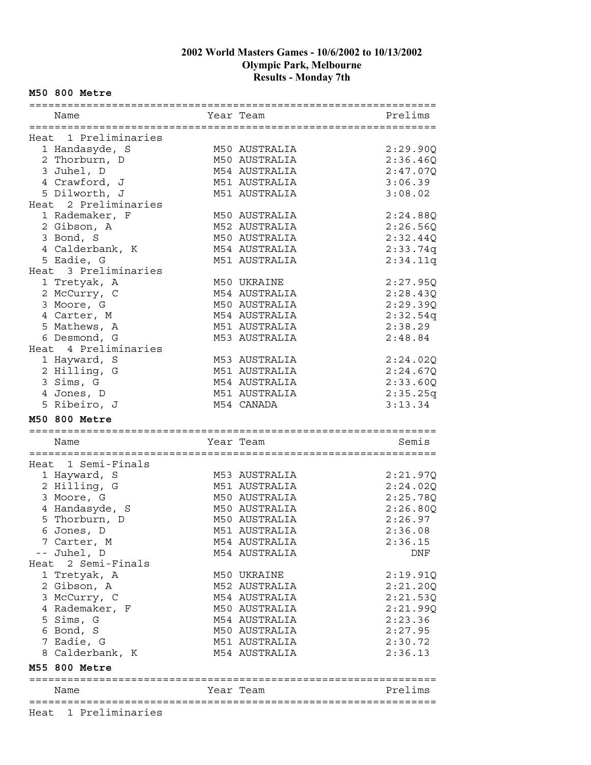#### **M50 800 Metre**

| Name                 | Year Team     | Prelims  |
|----------------------|---------------|----------|
|                      |               |          |
| Heat 1 Preliminaries |               |          |
| 1 Handasyde, S       | M50 AUSTRALIA | 2:29.90Q |
| 2 Thorburn, D        | M50 AUSTRALIA | 2:36.46Q |
| 3 Juhel, D           | M54 AUSTRALIA | 2:47.07Q |
| 4 Crawford, J        | M51 AUSTRALIA | 3:06.39  |
| 5 Dilworth, J        | M51 AUSTRALIA | 3:08.02  |
| Heat 2 Preliminaries |               |          |
| 1 Rademaker, F       | M50 AUSTRALIA | 2:24.88Q |
| 2 Gibson, A          | M52 AUSTRALIA | 2:26.56Q |
| 3 Bond, S            | M50 AUSTRALIA | 2:32.44Q |
| 4 Calderbank, K      | M54 AUSTRALIA | 2:33.74q |
| 5 Eadie, G           | M51 AUSTRALIA | 2:34.11q |
| Heat 3 Preliminaries |               |          |
| 1 Tretyak, A         | M50 UKRAINE   | 2:27.95Q |
| 2 McCurry, C         | M54 AUSTRALIA | 2:28.43Q |
| 3 Moore, G           | M50 AUSTRALIA | 2:29.39Q |
| 4 Carter, M          | M54 AUSTRALIA | 2:32.54q |
| 5 Mathews, A         | M51 AUSTRALIA | 2:38.29  |
| 6 Desmond, G         | M53 AUSTRALIA | 2:48.84  |
| Heat 4 Preliminaries |               |          |
| 1 Hayward, S         | M53 AUSTRALIA | 2:24.02Q |
| 2 Hilling, G         | M51 AUSTRALIA | 2:24.67Q |
| 3 Sims, G            | M54 AUSTRALIA | 2:33.60Q |
| 4 Jones, D           | M51 AUSTRALIA | 2:35.25q |
| 5 Ribeiro, J         | M54 CANADA    | 3:13.34  |
|                      |               |          |
|                      |               |          |
| <b>M50 800 Metre</b> |               |          |
|                      |               |          |
| Name                 | Year Team     | Semis    |
|                      |               |          |
| Heat 1 Semi-Finals   |               |          |
| 1 Hayward, S         | M53 AUSTRALIA | 2:21.97Q |
| 2 Hilling, G         | M51 AUSTRALIA | 2:24.02Q |
| 3 Moore, G           | M50 AUSTRALIA | 2:25.78Q |
| 4 Handasyde, S       | M50 AUSTRALIA | 2:26.80Q |
| 5 Thorburn, D        | M50 AUSTRALIA | 2:26.97  |
| 6 Jones, D           | M51 AUSTRALIA | 2:36.08  |
| 7 Carter, M          | M54 AUSTRALIA | 2:36.15  |
| -- Juhel, D          | M54 AUSTRALIA | DNF      |
| Heat 2 Semi-Finals   |               |          |
| 1 Tretyak, A         | M50 UKRAINE   | 2:19.91Q |
| 2 Gibson, A          | M52 AUSTRALIA | 2:21.20Q |
| 3 McCurry, C         | M54 AUSTRALIA | 2:21.530 |
| 4 Rademaker, F       | M50 AUSTRALIA | 2:21.99Q |
| 5 Sims, G            | M54 AUSTRALIA | 2:23.36  |
| 6 Bond, S            | M50 AUSTRALIA | 2:27.95  |
| 7 Eadie, G           | M51 AUSTRALIA | 2:30.72  |
| 8 Calderbank, K      | M54 AUSTRALIA | 2:36.13  |
| M55 800 Metre        |               |          |
|                      |               |          |
| Name                 | Year Team     | Prelims  |
| Heat 1 Preliminaries |               |          |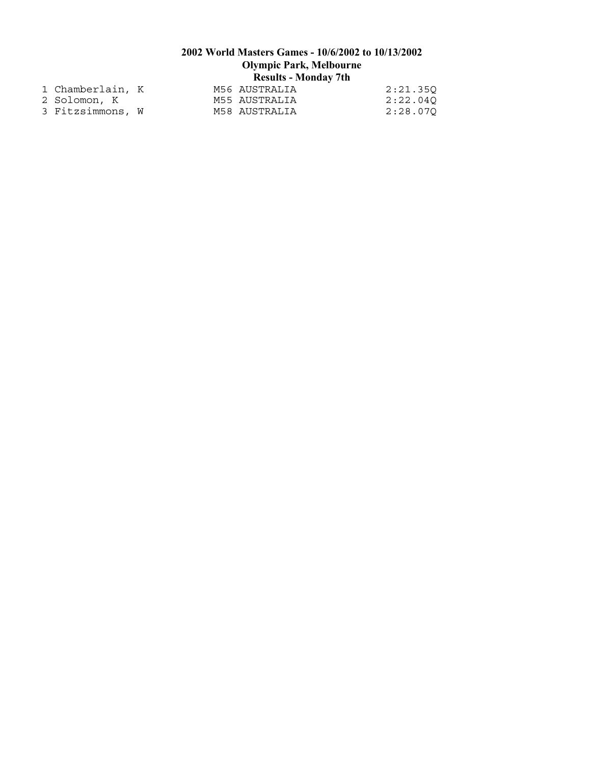| 1 Chamberlain, K |  | M56 AUSTRALIA | 2:21.350 |
|------------------|--|---------------|----------|
| 2 Solomon, K     |  | M55 AUSTRALIA | 2:22.040 |
| 3 Fitzsimmons, W |  | M58 AUSTRALIA | 2:28.070 |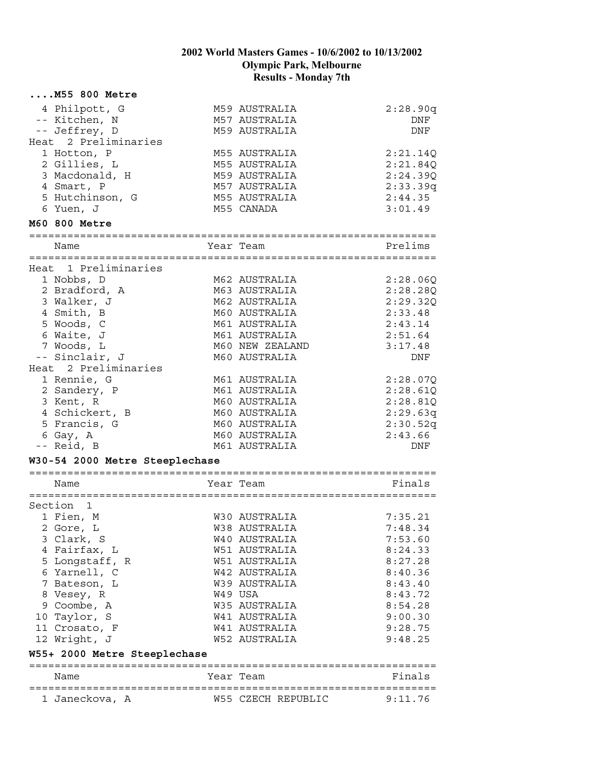|                      | $\ldots$ .M55 800 Metre        |                      |          |
|----------------------|--------------------------------|----------------------|----------|
|                      | 4 Philpott, G                  | M59 AUSTRALIA        | 2:28.90q |
|                      | -- Kitchen, N                  | M57 AUSTRALIA        | DNF      |
|                      | -- Jeffrey, D                  | M59 AUSTRALIA        | DNF      |
|                      | Heat 2 Preliminaries           |                      |          |
|                      | 1 Hotton, P                    | M55 AUSTRALIA        | 2:21.14Q |
|                      | 2 Gillies, L                   | M55 AUSTRALIA        | 2:21.84Q |
|                      | 3 Macdonald, H                 | M59 AUSTRALIA        | 2:24.39Q |
|                      | 4 Smart, P                     | M57 AUSTRALIA        | 2:33.39q |
|                      | 5 Hutchinson, G                | M55 AUSTRALIA        | 2:44.35  |
| 6 Yuen, J            |                                | M55 CANADA           | 3:01.49  |
| <b>M60 800 Metre</b> |                                |                      |          |
| Name                 |                                | Year Team            | Prelims  |
|                      |                                |                      |          |
|                      | Heat 1 Preliminaries           |                      |          |
|                      | 1 Nobbs, D                     | M62 AUSTRALIA        | 2:28.06Q |
|                      | 2 Bradford, A                  | M63 AUSTRALIA        | 2:28.28Q |
|                      | 3 Walker, J                    | M62 AUSTRALIA        | 2:29.320 |
|                      | 4 Smith, B                     | M60 AUSTRALIA        | 2:33.48  |
|                      | 5 Woods, C                     | M61 AUSTRALIA        | 2:43.14  |
|                      | 6 Waite, J                     | M61 AUSTRALIA        | 2:51.64  |
|                      | 7 Woods, L                     | M60 NEW ZEALAND      | 3:17.48  |
|                      | -- Sinclair, J                 | M60 AUSTRALIA        | DNF      |
|                      | Heat 2 Preliminaries           |                      |          |
|                      | 1 Rennie, G                    | M61 AUSTRALIA        | 2:28.07Q |
|                      | 2 Sandery, P                   | M61 AUSTRALIA        | 2:28.61Q |
| 3 Kent, R            |                                | M60 AUSTRALIA        | 2:28.81Q |
|                      | 4 Schickert, B                 | M60 AUSTRALIA        | 2:29.63q |
|                      | 5 Francis, G                   | M60 AUSTRALIA        | 2:30.52q |
| 6 Gay, A             |                                | M60 AUSTRALIA        | 2:43.66  |
| -- Reid, B           |                                | M61 AUSTRALIA        | DNF      |
|                      | W30-54 2000 Metre Steeplechase |                      |          |
| Name                 |                                | Year Team            | Finals   |
|                      |                                |                      |          |
| Section 1            |                                |                      |          |
| 1 Fien, M            |                                | W30 AUSTRALIA        | 7:35.21  |
| 2 Gore, L            |                                | W38 AUSTRALIA        | 7:48.34  |
|                      | 3 Clark, S                     | W40 AUSTRALIA        | 7:53.60  |
|                      | 4 Fairfax, L                   | <b>W51 AUSTRALIA</b> | 8:24.33  |
|                      | 5 Longstaff, R                 | W51 AUSTRALIA        | 8:27.28  |
|                      | 6 Yarnell, C                   | W42 AUSTRALIA        | 8:40.36  |
|                      | 7 Bateson, L                   | W39 AUSTRALIA        | 8:43.40  |
|                      | 8 Vesey, R                     | W49 USA              | 8:43.72  |
|                      | 9 Coombe, A                    | W35 AUSTRALIA        | 8:54.28  |
|                      | 10 Taylor, S                   | <b>W41 AUSTRALIA</b> | 9:00.30  |
|                      | 11 Crosato, F                  | W41 AUSTRALIA        | 9:28.75  |
|                      | 12 Wright, J                   | <b>W52 AUSTRALIA</b> | 9:48.25  |
|                      | W55+ 2000 Metre Steeplechase   |                      |          |
| Name                 |                                | Year Team            | Finals   |
|                      |                                |                      |          |
|                      | 1 Janeckova, A                 | W55 CZECH REPUBLIC   | 9:11.76  |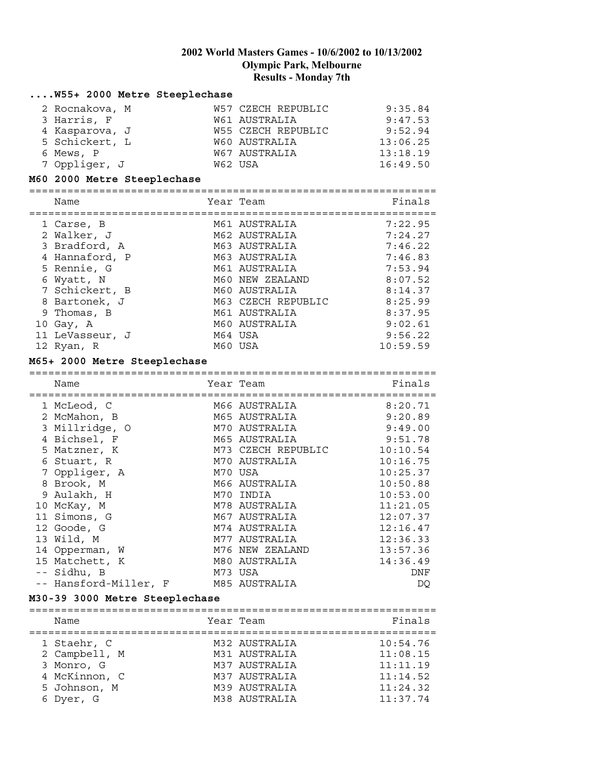#### **....W55+ 2000 Metre Steeplechase** 2 Rocnakova, M W57 CZECH REPUBLIC 9:35.84 3 Harris, F W61 AUSTRALIA 9:47.53 4 Kasparova, J W55 CZECH REPUBLIC 9:52.94 5 Schickert, L W60 AUSTRALIA 13:06.25 6 Mews, P 6 2008 7 2008 7 2014 13:18 19 7 Oppliger, J W62 USA 16:49.50 **M60 2000 Metre Steeplechase** ================================================================ Name **The South Sear Team** Team Team Pinals ================================================================ 1 Carse, B M61 AUSTRALIA 7:22.95 2 Walker, J M62 AUSTRALIA 7:24.27 3 Bradford, A M63 AUSTRALIA 7:46.22 4 Hannaford, P M63 AUSTRALIA 7:46.83 5 Rennie, G M61 AUSTRALIA 7:53.94 6 Wyatt, N  $\blacksquare$  M60 NEW ZEALAND 8:07.52 7 Schickert, B M60 AUSTRALIA 8:14.37 8 Bartonek, J M63 CZECH REPUBLIC 8:25.99 9 Thomas, B M61 AUSTRALIA 8:37.95 10 Gay, A M60 AUSTRALIA 9:02.61 11 LeVasseur, J 64 USA 9:56.22 12 Ryan, R M60 USA 10:59.59 **M65+ 2000 Metre Steeplechase** ================================================================ Name **The South Sear Team** Team Team Finals ================================================================ 1 McLeod, C M66 AUSTRALIA 8:20.71 2 McMahon, B M65 AUSTRALIA 9:20.89 3 Millridge, O M70 AUSTRALIA 9:49.00

| 4 Bichsel, F          | M65 AUSTRALIA      | 9:51.78  |
|-----------------------|--------------------|----------|
| 5 Matzner, K          | M73 CZECH REPUBLIC | 10:10.54 |
| 6 Stuart, R           | M70 AUSTRALIA      | 10:16.75 |
| 7 Oppliger, A         | M70 USA            | 10:25.37 |
| 8 Brook, M            | M66 AUSTRALIA      | 10:50.88 |
| 9 Aulakh, H           | M70 INDIA          | 10:53.00 |
| 10 McKay, M           | M78 AUSTRALIA      | 11:21.05 |
| 11 Simons, G          | M67 AUSTRALIA      | 12:07.37 |
| 12 Goode, G           | M74 AUSTRALIA      | 12:16.47 |
| 13 Wild, M            | M77 AUSTRALIA      | 12:36.33 |
| 14 Opperman, W        | M76 NEW ZEALAND    | 13:57.36 |
| 15 Matchett, K        | M80 AUSTRALIA      | 14:36.49 |
| -- Sidhu, B           | M73 USA            | DNF      |
| -- Hansford-Miller, F | M85 AUSTRALIA      | DO       |

#### **M30-39 3000 Metre Steeplechase**

| Name          | Year Team     | Finals   |
|---------------|---------------|----------|
|               |               |          |
| 1 Staehr, C   | M32 AUSTRALIA | 10:54.76 |
| 2 Campbell, M | M31 AUSTRALIA | 11:08.15 |
| 3 Monro, G    | M37 AUSTRALIA | 11:11.19 |
| 4 McKinnon, C | M37 AUSTRALIA | 11:14.52 |
| 5 Johnson, M  | M39 AUSTRALIA | 11:24.32 |
| 6 Dyer, G     | M38 AUSTRALIA | 11:37.74 |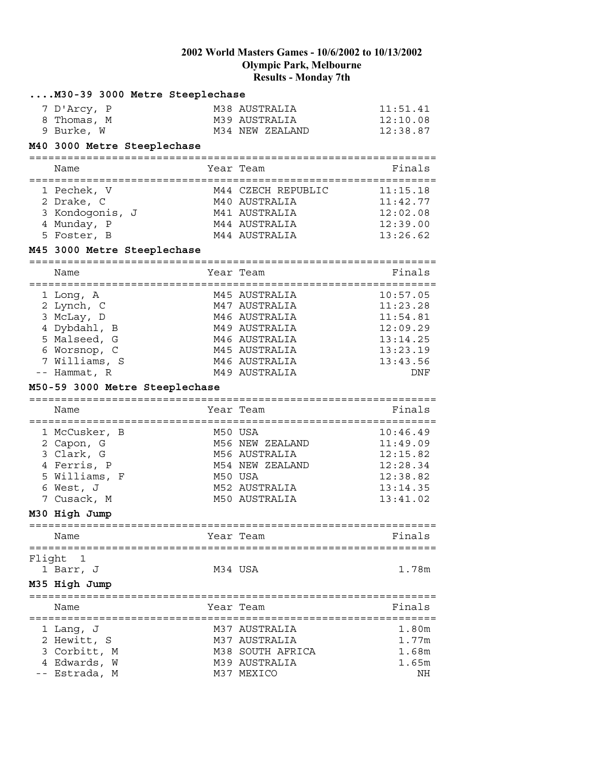|        | M30-39 3000 Metre Steeplechase                      |                             |             |
|--------|-----------------------------------------------------|-----------------------------|-------------|
|        | 7 D'Arcy, P                                         | M38 AUSTRALIA               | 11:51.41    |
|        | 8 Thomas, M                                         | M39 AUSTRALIA               | 12:10.08    |
|        | 9 Burke, W                                          | M34 NEW ZEALAND             | 12:38.87    |
|        | M40 3000 Metre Steeplechase                         |                             |             |
|        | =============================                       |                             |             |
|        | Name<br>:==========                                 | Year Team                   | Finals      |
|        | 1 Pechek, V                                         | M44 CZECH REPUBLIC          | 11:15.18    |
|        | 2 Drake, C                                          | M40 AUSTRALIA               | 11:42.77    |
|        | 3 Kondogonis, J                                     | M41 AUSTRALIA               | 12:02.08    |
|        | 4 Munday, P                                         | M44 AUSTRALIA               | 12:39.00    |
|        | 5 Foster, B                                         | M44 AUSTRALIA               | 13:26.62    |
|        | M45 3000 Metre Steeplechase<br>------------------   | ------------------          |             |
|        | Name                                                | Year Team                   | Finals      |
|        | :========                                           |                             |             |
|        | 1 Long, A                                           | M45 AUSTRALIA               | 10:57.05    |
|        | 2 Lynch, C                                          | M47 AUSTRALIA               | 11:23.28    |
|        | 3 McLay, D                                          | M46 AUSTRALIA               | 11:54.81    |
|        | 4 Dybdahl, B                                        | M49 AUSTRALIA               | 12:09.29    |
|        | 5 Malseed, G                                        | M46 AUSTRALIA               | 13:14.25    |
|        | 6 Worsnop, C                                        | M45 AUSTRALIA               | 13:23.19    |
|        | 7 Williams, S                                       | M46 AUSTRALIA               | 13:43.56    |
|        | -- Hammat, R                                        | M49 AUSTRALIA               | DNF         |
|        | M50-59 3000 Metre Steeplechase<br>----------------- |                             |             |
|        | Name                                                | Year Team<br>:============= | Finals      |
|        | 1 McCusker, B                                       | M50 USA                     | 10:46.49    |
|        | 2 Capon, G                                          | M56 NEW ZEALAND             | 11:49.09    |
|        | 3 Clark, G                                          | M56 AUSTRALIA               | 12:15.82    |
|        | 4 Ferris, P                                         | M54 NEW ZEALAND             | 12:28.34    |
|        | 5 Williams, F                                       | M50 USA                     | 12:38.82    |
|        | 6 West, J                                           | M52 AUSTRALIA               | 13:14.35    |
|        | 7 Cusack, M                                         | M50 AUSTRALIA               | 13:41.02    |
|        | M30 High Jump                                       |                             |             |
|        | Name                                                | Year Team                   | Finals      |
| Flight | 1                                                   |                             |             |
|        | 1 Barr, J                                           | M34 USA                     | 1.78m       |
|        | M35 High Jump                                       |                             |             |
|        |                                                     |                             |             |
|        | Name                                                | Year Team                   | Finals      |
|        | 1 Lang, J                                           | M37 AUSTRALIA               | 1.80m       |
|        |                                                     |                             |             |
|        |                                                     |                             |             |
|        | 2 Hewitt, S                                         | M37 AUSTRALIA               | 1.77m       |
|        | 3 Corbitt, M                                        | M38 SOUTH AFRICA            | 1.68m       |
|        | 4 Edwards, W<br>-- Estrada, M                       | M39 AUSTRALIA<br>M37 MEXICO | 1.65m<br>NH |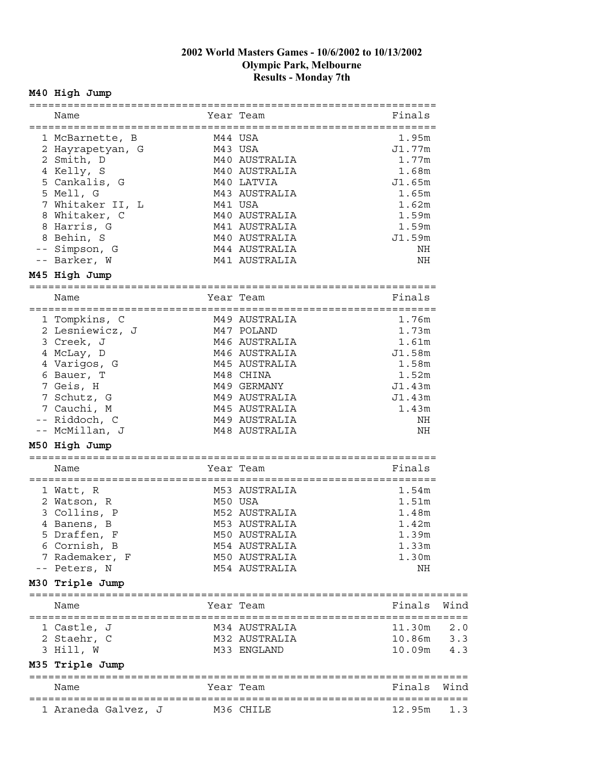# **M40 High Jump**

| Name                           |           | Year Team     | Finals |      |
|--------------------------------|-----------|---------------|--------|------|
|                                |           |               |        |      |
| 1 McBarnette, B                | M44 USA   |               | 1.95m  |      |
| 2 Hayrapetyan, G               | M43 USA   |               | J1.77m |      |
| 2 Smith, D                     |           | M40 AUSTRALIA | 1.77m  |      |
| 4 Kelly, S                     |           | M40 AUSTRALIA | 1.68m  |      |
| 5 Cankalis, G                  |           | M40 LATVIA    | J1.65m |      |
| 5 Mell, G                      |           | M43 AUSTRALIA | 1.65m  |      |
| 7 Whitaker II, L               | M41 USA   |               | 1.62m  |      |
| 8 Whitaker, C                  |           | M40 AUSTRALIA | 1.59m  |      |
| 8 Harris, G                    |           | M41 AUSTRALIA | 1.59m  |      |
| 8 Behin, S                     |           | M40 AUSTRALIA | J1.59m |      |
| -- Simpson, G                  |           | M44 AUSTRALIA | NH     |      |
| -- Barker, W                   |           | M41 AUSTRALIA | ΝH     |      |
| M45 High Jump                  |           |               |        |      |
|                                |           |               |        |      |
| Name                           |           | Year Team     | Finals |      |
| 1 Tompkins, C                  |           | M49 AUSTRALIA | 1.76m  |      |
| 2 Lesniewicz, J                |           | M47 POLAND    | 1.73m  |      |
| 3 Creek, J                     |           | M46 AUSTRALIA | 1.61m  |      |
| 4 McLay, D                     |           | M46 AUSTRALIA | J1.58m |      |
| 4 Varigos, G                   |           | M45 AUSTRALIA | 1.58m  |      |
| 6 Bauer, T                     |           | M48 CHINA     | 1.52m  |      |
| 7 Geis, H                      |           | M49 GERMANY   | J1.43m |      |
| 7 Schutz, G                    |           | M49 AUSTRALIA | J1.43m |      |
| 7 Cauchi, M                    |           | M45 AUSTRALIA | 1.43m  |      |
| -- Riddoch, C                  |           | M49 AUSTRALIA | NH     |      |
| -- McMillan, J                 |           | M48 AUSTRALIA | NH     |      |
| M50 High Jump                  |           |               |        |      |
| Name                           |           | Year Team     | Finals |      |
|                                |           |               |        |      |
| 1 Watt, R                      |           | M53 AUSTRALIA | 1.54m  |      |
| 2 Watson, R                    |           | M50 USA       | 1.51m  |      |
| 3 Collins, P                   |           | M52 AUSTRALIA | 1.48m  |      |
| 4 Banens, B                    |           | M53 AUSTRALIA | 1.42m  |      |
| 5 Draffen, F                   |           | M50 AUSTRALIA | 1.39m  |      |
| 6 Cornish, B                   |           | M54 AUSTRALIA | 1.33m  |      |
| 7 Rademaker, F                 |           | M50 AUSTRALIA | 1.30m  |      |
| -- Peters, N                   |           | M54 AUSTRALIA | ΝH     |      |
| M30 Triple Jump                |           |               |        |      |
|                                |           |               |        |      |
| Name                           |           | Year Team     | Finals | Wind |
| 1 Castle, J                    |           | M34 AUSTRALIA | 11.30m | 2.0  |
| 2 Staehr, C                    |           | M32 AUSTRALIA | 10.86m | 3.3  |
| 3 Hill, W                      |           | M33 ENGLAND   | 10.09m | 4.3  |
| M35 Triple Jump                |           |               |        |      |
| ============================== |           |               |        |      |
| Name                           |           | Year Team     | Finals | Wind |
|                                |           |               |        |      |
| 1 Araneda Galvez, J            | M36 CHILE |               | 12.95m | 1.3  |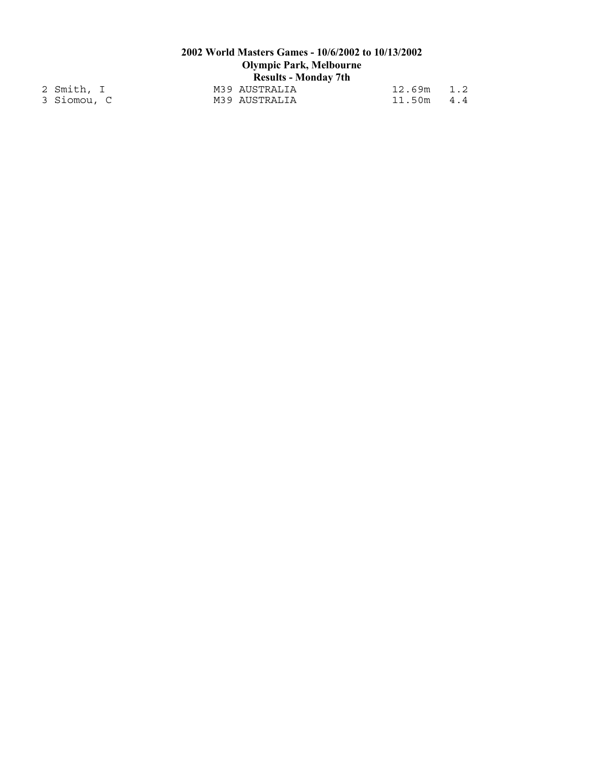|             | 2002 World Masters Games - 10/6/2002 to 10/13/2002 |                                |        |     |  |  |
|-------------|----------------------------------------------------|--------------------------------|--------|-----|--|--|
|             |                                                    | <b>Olympic Park, Melbourne</b> |        |     |  |  |
|             |                                                    | <b>Results - Monday 7th</b>    |        |     |  |  |
| 2 Smith, I  |                                                    | M39 AUSTRALIA                  | 12.69m | 1.2 |  |  |
| 3 Siomou, C |                                                    | M39 AUSTRALIA                  | 11.50m | 4.4 |  |  |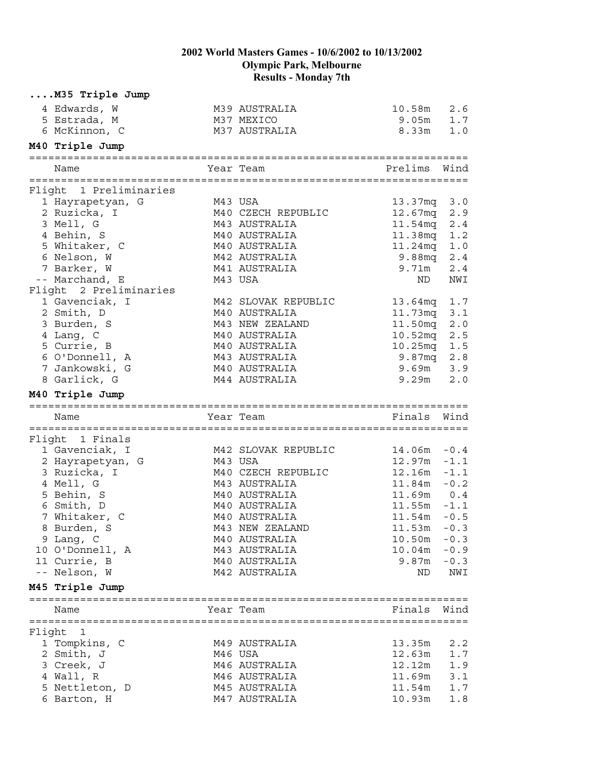|        | M35 Triple Jump              |         |                                |                  |            |
|--------|------------------------------|---------|--------------------------------|------------------|------------|
|        | 4 Edwards, W                 |         | M39 AUSTRALIA                  | 10.58m           | 2.6        |
|        | 5 Estrada, M                 |         | M37 MEXICO                     | 9.05m            | 1.7        |
|        | 6 McKinnon, C                |         | M37 AUSTRALIA                  | 8.33m            | 1.0        |
|        | M40 Triple Jump              |         |                                |                  |            |
|        | Name                         |         | Year Team                      | Prelims          | Wind       |
|        |                              |         |                                |                  |            |
|        | Flight 1 Preliminaries       |         |                                |                  |            |
|        | 1 Hayrapetyan, G             |         | M43 USA                        | 13.37mq 3.0      |            |
|        | 2 Ruzicka, I                 |         | M40 CZECH REPUBLIC             | 12.67mq          | 2.9        |
|        | 3 Mell, G                    |         | M43 AUSTRALIA                  | 11.54mq          | 2.4        |
|        | 4 Behin, S                   |         | M40 AUSTRALIA                  | 11.38mq          | 1.2        |
|        | 5 Whitaker, C<br>6 Nelson, W |         | M40 AUSTRALIA<br>M42 AUSTRALIA | 11.24mq          | 1.0        |
|        | 7 Barker, W                  |         | M41 AUSTRALIA                  | 9.88mq<br>9.71m  | 2.4        |
|        | -- Marchand, E               |         | M43 USA                        | ND               | 2.4<br>NWI |
|        | Flight 2 Preliminaries       |         |                                |                  |            |
|        | 1 Gavenciak, I               |         | M42 SLOVAK REPUBLIC            | 13.64mg          | 1.7        |
|        | 2 Smith, D                   |         | M40 AUSTRALIA                  | 11.73mq          | 3.1        |
|        | 3 Burden, S                  |         | M43 NEW ZEALAND                | 11.50mq          | 2.0        |
|        | 4 Lang, C                    |         | M40 AUSTRALIA                  | 10.52mq          | $2.5\,$    |
|        | 5 Currie, B                  |         | M40 AUSTRALIA                  | 10.25mq          | 1.5        |
|        | 6 O'Donnell, A               |         | M43 AUSTRALIA                  | 9.87mg           | 2.8        |
|        | 7 Jankowski, G               |         | M40 AUSTRALIA                  | 9.69m            | 3.9        |
|        | 8 Garlick, G                 |         | M44 AUSTRALIA                  | 9.29m            | 2.0        |
|        | M40 Triple Jump              |         |                                |                  |            |
|        | Name                         |         | Year Team                      | Finals           | Wind       |
|        |                              |         |                                |                  |            |
|        | Flight 1 Finals              |         |                                |                  |            |
|        | 1 Gavenciak, I               |         | M42 SLOVAK REPUBLIC            | $14.06m - 0.4$   |            |
|        | 2 Hayrapetyan, G             | M43 USA |                                | 12.97m           | $-1.1$     |
|        | 3 Ruzicka, I                 |         | M40 CZECH REPUBLIC             | 12.16m           | $-1.1$     |
|        | 4 Mell, G                    |         | M43 AUSTRALIA                  | 11.84m           | $-0.2$     |
|        | 5 Behin, S                   |         | M40 AUSTRALIA                  | 11.69m  0.4      |            |
|        | 6 Smith, D                   |         | M40 AUSTRALIA                  | $11.55m - 1.1$   |            |
|        | 7 Whitaker, C                |         | M40 AUSTRALIA                  | 11.54m           | $-0.5$     |
|        | 8 Burden, S                  |         | M43 NEW ZEALAND                | 11.53m           | $-0.3$     |
|        | 9 Lang, C                    |         | M40 AUSTRALIA                  | 10.50m           | $-0.3$     |
|        | 10 O'Donnell, A              |         | M43 AUSTRALIA                  | 10.04m           | $-0.9$     |
|        | 11 Currie, B                 |         | M40 AUSTRALIA                  | 9.87m            | $-0.3$     |
|        | -- Nelson, W                 |         | M42 AUSTRALIA                  | ND.              | NWI        |
|        | M45 Triple Jump              |         |                                |                  |            |
|        | Name                         |         | Year Team                      | Finals           | Wind       |
|        |                              |         |                                |                  |            |
| Flight | - 1                          |         |                                |                  |            |
|        | 1 Tompkins, C                |         | M49 AUSTRALIA                  | 13.35m           | 2.2        |
|        | 2 Smith, J                   |         | M46 USA                        | 12.63m           | 1.7        |
|        | 3 Creek, J                   |         | M46 AUSTRALIA                  | 12.12m           | 1.9        |
|        | 4 Wall, R<br>5 Nettleton, D  |         | M46 AUSTRALIA<br>M45 AUSTRALIA | 11.69m<br>11.54m | 3.1<br>1.7 |
|        |                              |         |                                |                  |            |
|        | 6 Barton, H                  |         | M47 AUSTRALIA                  | 10.93m           | 1.8        |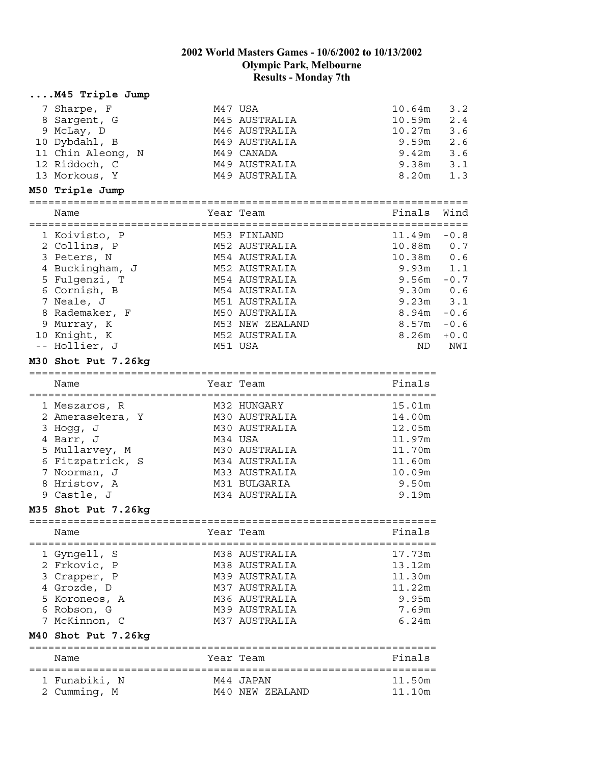| M45 Triple Jump     |                 |                |        |
|---------------------|-----------------|----------------|--------|
| 7 Sharpe, F         | M47 USA         | 10.64m         | 3.2    |
| 8 Sargent, G        | M45 AUSTRALIA   | 10.59m         | 2.4    |
| 9 McLay, D          | M46 AUSTRALIA   | 10.27m         | 3.6    |
| 10 Dybdahl, B       | M49 AUSTRALIA   | 9.59m          | 2.6    |
| 11 Chin Aleong, N   | M49 CANADA      | 9.42m          | 3.6    |
| 12 Riddoch, C       | M49 AUSTRALIA   | 9.38m          | 3.1    |
| 13 Morkous, Y       | M49 AUSTRALIA   | 8.20m          | 1.3    |
| M50 Triple Jump     |                 |                |        |
|                     |                 |                |        |
| Name                | Year Team       | Finals         | Wind   |
|                     |                 |                |        |
| 1 Koivisto, P       | M53 FINLAND     | $11.49m - 0.8$ |        |
| 2 Collins, P        | M52 AUSTRALIA   | 10.88m         | 0.7    |
| 3 Peters, N         | M54 AUSTRALIA   | 10.38m         | 0.6    |
| 4 Buckingham, J     | M52 AUSTRALIA   | 9.93m          | 1.1    |
| 5 Fulgenzi, T       | M54 AUSTRALIA   | 9.56m          | $-0.7$ |
| 6 Cornish, B        | M54 AUSTRALIA   | 9.30m          | 0.6    |
| 7 Neale, J          | M51 AUSTRALIA   | 9.23m          | 3.1    |
| 8 Rademaker, F      | M50 AUSTRALIA   | 8.94m          | $-0.6$ |
| 9 Murray, K         | M53 NEW ZEALAND | 8.57m          | $-0.6$ |
| 10 Knight, K        | M52 AUSTRALIA   | 8.26m          | $+0.0$ |
| -- Hollier, J       | M51 USA         | ND.            | NWI    |
| M30 Shot Put 7.26kg |                 |                |        |
|                     |                 |                |        |
| Name                | Year Team       | Finals         |        |
|                     |                 |                |        |
| 1 Meszaros, R       | M32 HUNGARY     | 15.01m         |        |
| 2 Amerasekera, Y    | M30 AUSTRALIA   | 14.00m         |        |
| 3 Hogg, J           | M30 AUSTRALIA   | 12.05m         |        |
| 4 Barr, J           | M34 USA         | 11.97m         |        |
| 5 Mullarvey, M      | M30 AUSTRALIA   | 11.70m         |        |
| 6 Fitzpatrick, S    | M34 AUSTRALIA   | 11.60m         |        |
| 7 Noorman, J        | M33 AUSTRALIA   | 10.09m         |        |
| 8 Hristov, A        | M31 BULGARIA    | 9.50m          |        |
| 9 Castle, J         | M34 AUSTRALIA   | 9.19m          |        |
| M35 Shot Put 7.26kg |                 |                |        |
|                     |                 |                |        |
| Name                | Year Team       | Finals         |        |
|                     |                 |                |        |
| 1 Gyngell, S        | M38 AUSTRALIA   | 17.73m         |        |
| 2 Frkovic, P        | M38 AUSTRALIA   | 13.12m         |        |
| 3 Crapper, P        | M39 AUSTRALIA   | 11.30m         |        |
| 4 Grozde, D         | M37 AUSTRALIA   | 11.22m         |        |
| 5 Koroneos, A       | M36 AUSTRALIA   | 9.95m          |        |
| 6 Robson, G         | M39 AUSTRALIA   | 7.69m          |        |
| 7 McKinnon, C       | M37 AUSTRALIA   | 6.24m          |        |
| M40 Shot Put 7.26kg |                 |                |        |
| Name                | Year Team       | Finals         |        |
|                     |                 |                |        |
| 1 Funabiki, N       | M44 JAPAN       | 11.50m         |        |
| 2 Cumming, M        | M40 NEW ZEALAND | 11.10m         |        |
|                     |                 |                |        |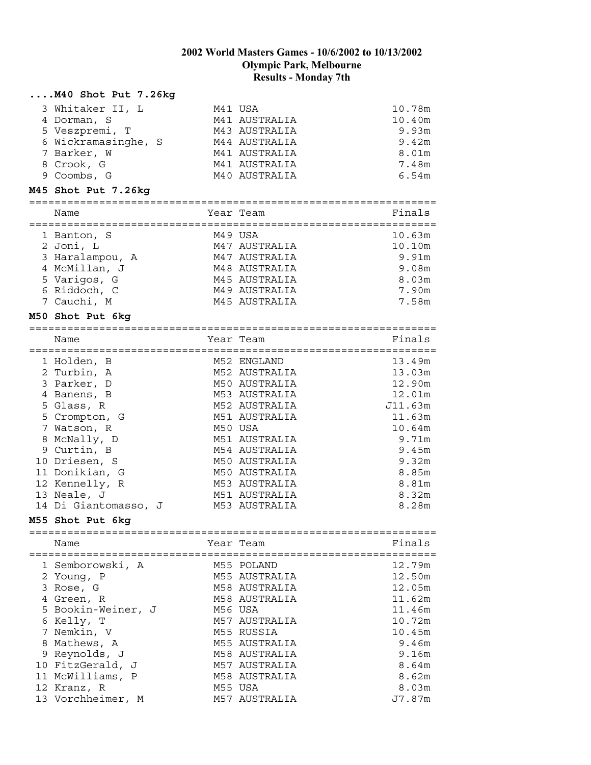#### **....M40 Shot Put 7.26kg**

| 3 Whitaker II, L    | M41 USA       | 10.78m |
|---------------------|---------------|--------|
| 4 Dorman, S         | M41 AUSTRALIA | 10.40m |
| 5 Veszpremi, T      | M43 AUSTRALIA | 9.93m  |
| 6 Wickramasinghe, S | M44 AUSTRALIA | 9.42m  |
| 7 Barker, W         | M41 AUSTRALIA | 8.01m  |
| 8 Crook, G          | M41 AUSTRALIA | 7.48m  |
| 9 Coombs, G         | M40 AUSTRALIA | 6.54m  |

#### **M45 Shot Put 7.26kg**

| Name            | Year Team     | Finals |
|-----------------|---------------|--------|
| 1 Banton, S     | M49 USA       | 10.63m |
| 2 Joni, L       | M47 AUSTRALIA | 10.10m |
| 3 Haralampou, A | M47 AUSTRALIA | 9.91m  |
| 4 McMillan, J   | M48 AUSTRALIA | 9.08m  |
| 5 Varigos, G    | M45 AUSTRALIA | 8.03m  |
| 6 Riddoch, C    | M49 AUSTRALIA | 7.90m  |
| 7 Cauchi, M     | M45 AUSTRALIA | 7.58m  |

#### **M50 Shot Put 6kg**

| Name                 | Year Team     | Finals  |
|----------------------|---------------|---------|
| 1 Holden, B          | M52 ENGLAND   | 13.49m  |
| 2 Turbin, A          | M52 AUSTRALIA | 13.03m  |
| 3 Parker, D          | M50 AUSTRALIA | 12.90m  |
| 4 Banens, B          | M53 AUSTRALIA | 12.01m  |
| 5 Glass, R           | M52 AUSTRALIA | J11.63m |
| 5 Crompton, G        | M51 AUSTRALIA | 11.63m  |
| 7 Watson, R          | M50 USA       | 10.64m  |
| 8 McNally, D         | M51 AUSTRALIA | 9.71m   |
| 9 Curtin, B          | M54 AUSTRALIA | 9.45m   |
| 10 Driesen, S        | M50 AUSTRALIA | 9.32m   |
| 11 Donikian, G       | M50 AUSTRALIA | 8.85m   |
| 12 Kennelly, R       | M53 AUSTRALIA | 8.81m   |
| 13 Neale, J          | M51 AUSTRALIA | 8.32m   |
| 14 Di Giantomasso, J | M53 AUSTRALIA | 8.28m   |

#### **M55 Shot Put 6kg**

================================================================

| Name               | Year Team     | Finals |
|--------------------|---------------|--------|
| 1 Semborowski, A   | M55 POLAND    | 12.79m |
| 2 Young, P         | M55 AUSTRALIA | 12.50m |
| 3 Rose, G          | M58 AUSTRALIA | 12.05m |
| 4 Green, R         | M58 AUSTRALIA | 11.62m |
| 5 Bookin-Weiner, J | M56 USA       | 11.46m |
| 6 Kelly, T         | M57 AUSTRALIA | 10.72m |
| 7 Nemkin, V        | M55 RUSSIA    | 10.45m |
| 8 Mathews, A       | M55 AUSTRALIA | 9.46m  |
| 9 Reynolds, J      | M58 AUSTRALIA | 9.16m  |
| 10 FitzGerald, J   | M57 AUSTRALIA | 8.64m  |
| 11 McWilliams, P   | M58 AUSTRALIA | 8.62m  |
| 12 Kranz, R        | M55 USA       | 8.03m  |
| 13 Vorchheimer, M  | M57 AUSTRALIA | J7.87m |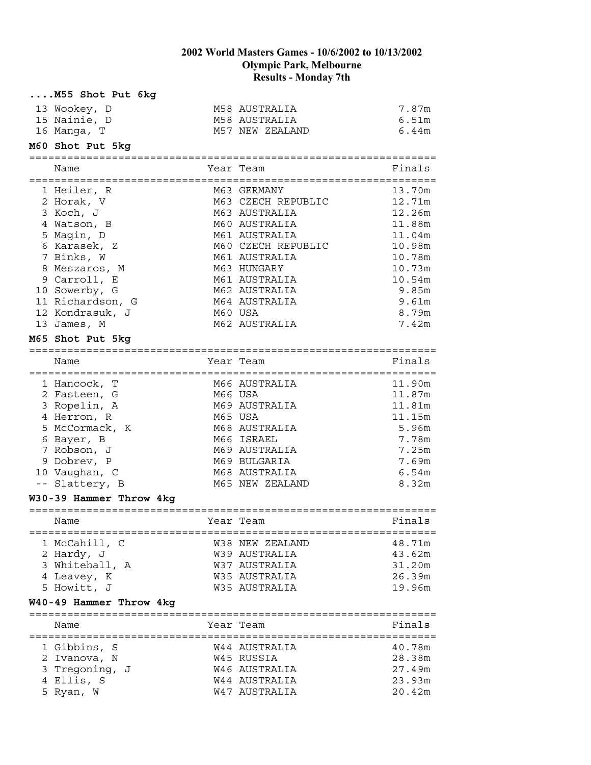| M55 Shot Put 6kg        |           |                    |        |
|-------------------------|-----------|--------------------|--------|
| 13 Wookey, D            |           | M58 AUSTRALIA      | 7.87m  |
| 15 Nainie, D            |           | M58 AUSTRALIA      | 6.51m  |
| 16 Manga, T             |           | M57 NEW ZEALAND    | 6.44m  |
| M60 Shot Put 5kg        |           |                    |        |
| Name                    |           | Year Team          | Finals |
| 1 Heiler, R             |           | M63 GERMANY        | 13.70m |
| 2 Horak, V              |           | M63 CZECH REPUBLIC | 12.71m |
| 3 Koch, J               |           | M63 AUSTRALIA      | 12.26m |
| 4 Watson, B             |           | M60 AUSTRALIA      | 11.88m |
| 5 Magin, D              |           | M61 AUSTRALIA      | 11.04m |
| 6 Karasek, Z            |           | M60 CZECH REPUBLIC | 10.98m |
| 7 Binks, W              |           | M61 AUSTRALIA      | 10.78m |
| 8 Meszaros, M           |           | M63 HUNGARY        | 10.73m |
| 9 Carroll, E            |           | M61 AUSTRALIA      | 10.54m |
| 10 Sowerby, G           |           | M62 AUSTRALIA      | 9.85m  |
| 11 Richardson, G        |           | M64 AUSTRALIA      | 9.61m  |
| 12 Kondrasuk, J         |           | M60 USA            | 8.79m  |
| 13 James, M             |           | M62 AUSTRALIA      | 7.42m  |
| M65 Shot Put 5kg        |           |                    |        |
|                         |           |                    |        |
| Name                    |           | Year Team          | Finals |
| 1 Hancock, T            |           | M66 AUSTRALIA      | 11.90m |
| 2 Fasteen, G            |           | M66 USA            | 11.87m |
| 3 Ropelin, A            |           | M69 AUSTRALIA      | 11.81m |
| 4 Herron, R             |           | M65 USA            | 11.15m |
| 5 McCormack, K          |           | M68 AUSTRALIA      | 5.96m  |
| 6 Bayer, B              |           | M66 ISRAEL         | 7.78m  |
| 7 Robson, J             |           | M69 AUSTRALIA      | 7.25m  |
| 9 Dobrev, P             |           | M69 BULGARIA       | 7.69m  |
| 10 Vaughan, C           |           | M68 AUSTRALIA      | 6.54m  |
| -- Slattery, B          |           | M65 NEW ZEALAND    | 8.32m  |
| W30-39 Hammer Throw 4kg |           |                    |        |
|                         |           |                    |        |
| Name                    | Year Team |                    | Finals |
| 1 McCahill, C           |           | W38 NEW ZEALAND    | 48.71m |
| 2 Hardy, J              |           | W39 AUSTRALIA      | 43.62m |
| 3 Whitehall, A          |           | W37 AUSTRALIA      | 31.20m |
| 4 Leavey, K             |           | W35 AUSTRALIA      | 26.39m |
| 5 Howitt, J             |           | W35 AUSTRALIA      | 19.96m |
| W40-49 Hammer Throw 4kg |           |                    |        |
|                         |           |                    |        |
| Name                    |           | Year Team          | Finals |
| 1 Gibbins, S            |           | W44 AUSTRALIA      | 40.78m |
| 2 Ivanova, N            |           | W45 RUSSIA         | 28.38m |
| 3 Tregoning, J          |           | W46 AUSTRALIA      | 27.49m |
| 4 Ellis, S              |           | W44 AUSTRALIA      | 23.93m |
| 5 Ryan, W               |           | W47 AUSTRALIA      | 20.42m |
|                         |           |                    |        |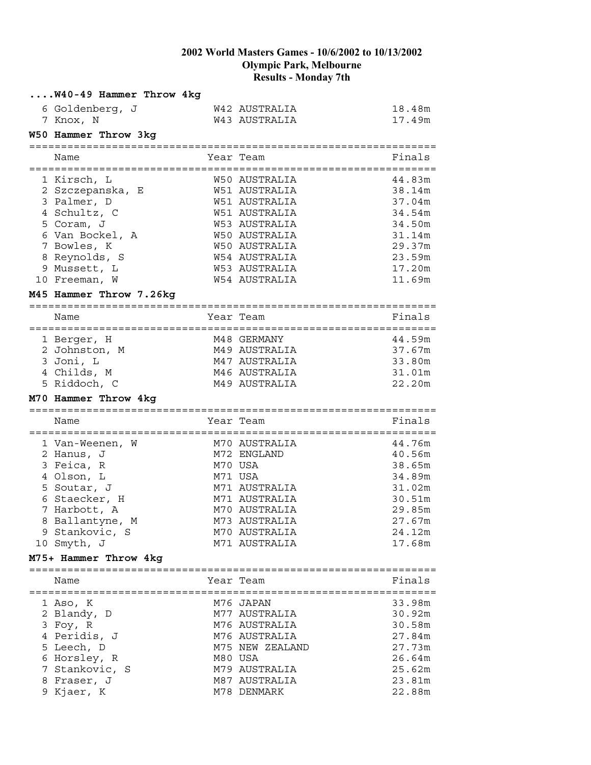| W40-49 Hammer Throw 4kg |                      |                  |
|-------------------------|----------------------|------------------|
| 6 Goldenberg, J         | W42 AUSTRALIA        | 18.48m           |
| 7 Knox, N               | W43 AUSTRALIA        | 17.49m           |
| W50 Hammer Throw 3kg    |                      |                  |
|                         |                      |                  |
| Name                    | Year Team            | Finals           |
|                         |                      |                  |
| 1 Kirsch, L             | W50 AUSTRALIA        | 44.83m           |
| 2 Szczepanska, E        | W51 AUSTRALIA        | 38.14m           |
| 3 Palmer, D             | W51 AUSTRALIA        | 37.04m           |
| 4 Schultz, C            | W51 AUSTRALIA        | 34.54m           |
| 5 Coram, J              | W53 AUSTRALIA        | 34.50m           |
| 6 Van Bockel, A         | W50 AUSTRALIA        | 31.14m           |
| 7 Bowles, K             | W50 AUSTRALIA        | 29.37m           |
| 8 Reynolds, S           | W54 AUSTRALIA        | 23.59m           |
| 9 Mussett, L            | W53 AUSTRALIA        | 17.20m           |
| 10 Freeman, W           | <b>W54 AUSTRALIA</b> | 11.69m           |
| M45 Hammer Throw 7.26kg |                      |                  |
|                         |                      |                  |
| Name                    | Year Team            | Finals           |
| 1 Berger, H             | M48 GERMANY          | 44.59m           |
| 2 Johnston, M           | M49 AUSTRALIA        |                  |
| 3 Joni, L               | M47 AUSTRALIA        | 37.67m<br>33.80m |
|                         |                      |                  |
| 4 Childs, M             | M46 AUSTRALIA        | 31.01m           |
| 5 Riddoch, C            | M49 AUSTRALIA        | 22.20m           |
| M70 Hammer Throw 4kg    |                      |                  |
| Name                    | Year Team            | Finals           |
|                         |                      |                  |
| 1 Van-Weenen, W         | M70 AUSTRALIA        | 44.76m           |
| 2 Hanus, J              | M72 ENGLAND          | 40.56m           |
| 3 Feica, R              | M70 USA              | 38.65m           |
| 4 Olson, L              | M71 USA              | 34.89m           |
| 5 Soutar, J             | M71 AUSTRALIA        | 31.02m           |
| 6 Staecker, H           | M71 AUSTRALIA        | 30.51m           |
| 7 Harbott, A            | M70 AUSTRALIA        | 29.85m           |
| 8 Ballantyne, M         | M73 AUSTRALIA        | 27.67m           |
| 9 Stankovic, S          | M70 AUSTRALIA        | 24.12m           |
| 10 Smyth, J             | M71 AUSTRALIA        | 17.68m           |
| M75+ Hammer Throw 4kg   |                      |                  |
|                         |                      |                  |
| Name                    | Year Team            | Finals           |
|                         |                      |                  |
| 1 Aso, K                | M76 JAPAN            | 33.98m           |
| 2 Blandy, D             | M77 AUSTRALIA        | 30.92m           |
| 3 Foy, R                | M76 AUSTRALIA        | 30.58m           |
| 4 Peridis, J            | M76 AUSTRALIA        | 27.84m           |
| 5 Leech, D              | M75 NEW ZEALAND      | 27.73m           |
| 6 Horsley, R            | M80 USA              | 26.64m           |
| 7 Stankovic, S          | M79 AUSTRALIA        | 25.62m           |
| 8 Fraser, J             | M87 AUSTRALIA        | 23.81m           |
| 9 Kjaer, K              | M78 DENMARK          | 22.88m           |
|                         |                      |                  |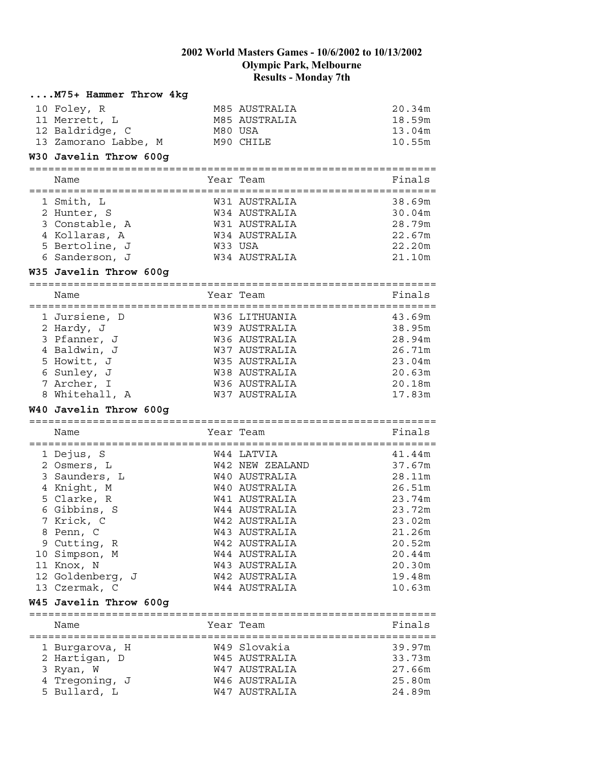| M75+ Hammer Throw 4kg  |                 |        |
|------------------------|-----------------|--------|
| 10 Foley, R            | M85 AUSTRALIA   | 20.34m |
| 11 Merrett, L          | M85 AUSTRALIA   | 18.59m |
| 12 Baldridge, C        | M80 USA         | 13.04m |
| 13 Zamorano Labbe, M   | M90 CHILE       | 10.55m |
| W30 Javelin Throw 600g |                 |        |
|                        |                 |        |
| Name                   | Year Team       | Finals |
| 1 Smith, L             | W31 AUSTRALIA   | 38.69m |
| 2 Hunter, S            | W34 AUSTRALIA   | 30.04m |
| 3 Constable, A         | W31 AUSTRALIA   | 28.79m |
| 4 Kollaras, A          | W34 AUSTRALIA   | 22.67m |
| 5 Bertoline, J         | W33 USA         | 22.20m |
| 6 Sanderson, J         | W34 AUSTRALIA   | 21.10m |
| W35 Javelin Throw 600g |                 |        |
|                        |                 |        |
| Name                   | Year Team       | Finals |
| 1 Jursiene, D          | W36 LITHUANIA   | 43.69m |
| 2 Hardy, J             | W39 AUSTRALIA   | 38.95m |
| 3 Pfanner, J           | W36 AUSTRALIA   | 28.94m |
| 4 Baldwin, J           | W37 AUSTRALIA   | 26.71m |
| 5 Howitt, J            | W35 AUSTRALIA   | 23.04m |
| 6 Sunley, J            | W38 AUSTRALIA   | 20.63m |
| 7 Archer, I            | W36 AUSTRALIA   | 20.18m |
| 8 Whitehall, A         | W37 AUSTRALIA   | 17.83m |
| W40 Javelin Throw 600g |                 |        |
|                        |                 |        |
| Name                   | Year Team       | Finals |
| 1 Dejus, S             | W44 LATVIA      | 41.44m |
| 2 Osmers, L            | W42 NEW ZEALAND | 37.67m |
| 3 Saunders, L          | W40 AUSTRALIA   | 28.11m |
| 4 Knight, M            | W40 AUSTRALIA   | 26.51m |
| 5 Clarke, R            | W41 AUSTRALIA   | 23.74m |
| 6 Gibbins, S           | W44 AUSTRALIA   | 23.72m |
| 7 Krick, C             | W42 AUSTRALIA   | 23.02m |
| 8 Penn, C              | W43 AUSTRALIA   | 21.26m |
| 9 Cutting, R           | W42 AUSTRALIA   | 20.52m |
| 10 Simpson, M          | W44 AUSTRALIA   | 20.44m |
| 11 Knox, N             | W43 AUSTRALIA   | 20.30m |
| 12 Goldenberg, J       | W42 AUSTRALIA   | 19.48m |
| 13 Czermak, C          | W44 AUSTRALIA   | 10.63m |
| W45 Javelin Throw 600g |                 |        |
|                        |                 |        |
| Name                   | Year Team       | Finals |
| 1 Burgarova, H         | W49 Slovakia    | 39.97m |
| 2 Hartigan, D          | W45 AUSTRALIA   | 33.73m |
| 3 Ryan, W              | W47 AUSTRALIA   | 27.66m |
| 4 Tregoning, J         | W46 AUSTRALIA   | 25.80m |
| 5 Bullard, L           | W47 AUSTRALIA   | 24.89m |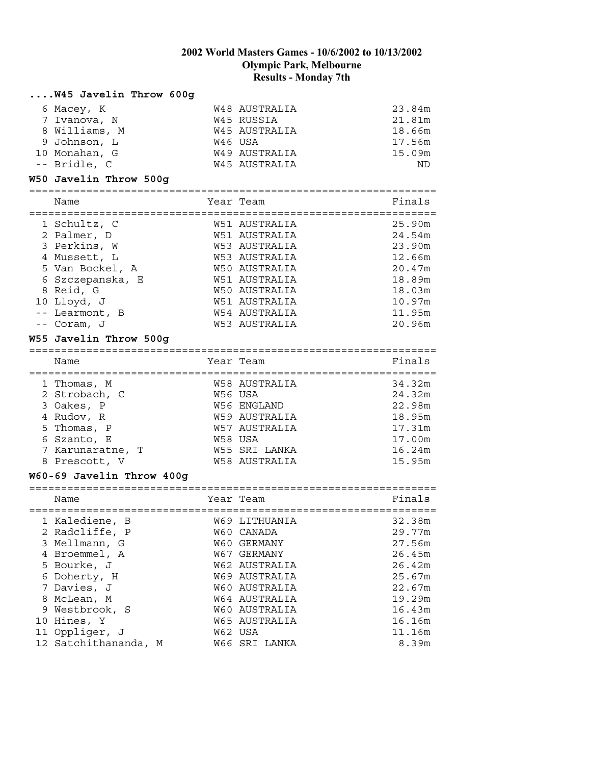#### **....W45 Javelin Throw 600g**

| 6 Macey, K    | W48 AUSTRALIA        | 23.84m |
|---------------|----------------------|--------|
| 7 Ivanova, N  | W45 RUSSIA           | 21.81m |
| 8 Williams, M | W45 AUSTRALIA        | 18.66m |
| 9 Johnson, L  | W46 USA              | 17.56m |
| 10 Monahan, G | W49 AUSTRALIA        | 15.09m |
| -- Bridle, C  | <b>W45 AUSTRALIA</b> | ND     |

#### **W50 Javelin Throw 500g**

| Name             | Year Team     | Finals |
|------------------|---------------|--------|
| 1 Schultz, C     | W51 AUSTRALIA | 25.90m |
| 2 Palmer, D      | W51 AUSTRALIA | 24.54m |
| 3 Perkins, W     | W53 AUSTRALIA | 23.90m |
| 4 Mussett, L     | W53 AUSTRALIA | 12.66m |
| 5 Van Bockel, A  | W50 AUSTRALIA | 20.47m |
| 6 Szczepanska, E | W51 AUSTRALIA | 18.89m |
| 8 Reid, G        | W50 AUSTRALIA | 18.03m |
| 10 Lloyd, J      | W51 AUSTRALIA | 10.97m |
| -- Learmont, B   | W54 AUSTRALIA | 11.95m |
| -- Coram, J      | W53 AUSTRALIA | 20.96m |

#### **W55 Javelin Throw 500g**

| Name             | Year Team     | Finals |
|------------------|---------------|--------|
| 1 Thomas, M      | W58 AUSTRALIA | 34.32m |
| 2 Strobach, C    | W56 USA       | 24.32m |
| 3 Oakes, P       | W56 ENGLAND   | 22.98m |
| 4 Rudov, R       | W59 AUSTRALIA | 18.95m |
| 5 Thomas, P      | W57 AUSTRALIA | 17.31m |
| 6 Szanto, E      | W58 USA       | 17.00m |
| 7 Karunaratne, T | W55 SRI LANKA | 16.24m |
| 8 Prescott, V    | W58 AUSTRALIA | 15.95m |

#### **W60-69 Javelin Throw 400g**

| ____ |  |
|------|--|
|      |  |

| wallle               |  | TCAT TCAM     | r Thrato |
|----------------------|--|---------------|----------|
| 1 Kalediene, B       |  | W69 LITHUANIA | 32.38m   |
| 2 Radcliffe, P       |  | W60 CANADA    | 29.77m   |
| 3 Mellmann, G        |  | W60 GERMANY   | 27.56m   |
| 4 Broemmel, A        |  | W67 GERMANY   | 26.45m   |
| 5 Bourke, J          |  | W62 AUSTRALIA | 26.42m   |
| 6 Doherty, H         |  | W69 AUSTRALIA | 25.67m   |
| 7 Davies, J          |  | W60 AUSTRALIA | 22.67m   |
| 8 McLean, M          |  | W64 AUSTRALIA | 19.29m   |
| 9 Westbrook, S       |  | W60 AUSTRALIA | 16.43m   |
| 10 Hines, Y          |  | W65 AUSTRALIA | 16.16m   |
| 11 Oppliger, J       |  | W62 USA       | 11.16m   |
| 12 Satchithananda, M |  | W66 SRI LANKA | 8.39m    |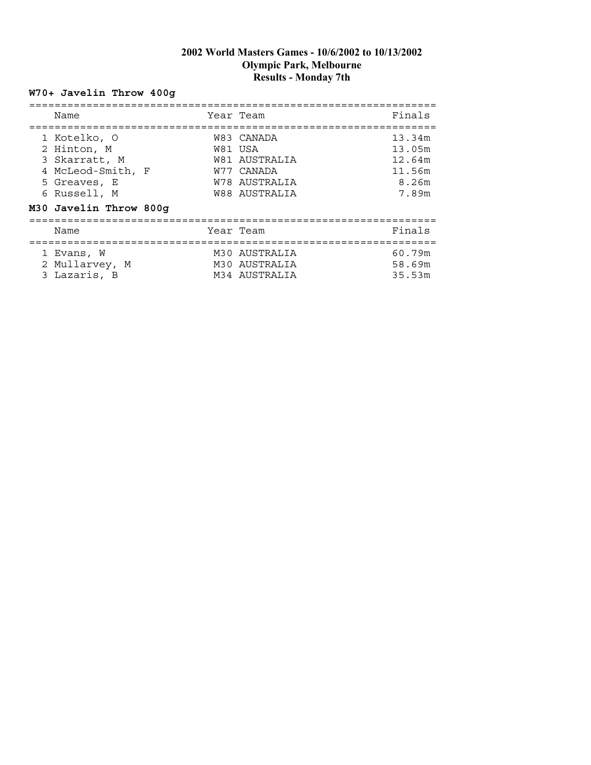# **W70+ Javelin Throw 400g**

| Name                                                                                                                        | Year Team                                                                              | Finals                                                 |
|-----------------------------------------------------------------------------------------------------------------------------|----------------------------------------------------------------------------------------|--------------------------------------------------------|
| 1 Kotelko, O<br>2 Hinton, M<br>3 Skarratt, M<br>4 McLeod-Smith, F<br>5 Greaves, E<br>6 Russell, M<br>M30 Javelin Throw 800g | W83 CANADA<br>W81 USA<br>W81 AUSTRALIA<br>W77 CANADA<br>W78 AUSTRALIA<br>W88 AUSTRALIA | 13.34m<br>13.05m<br>12.64m<br>11.56m<br>8.26m<br>7.89m |
| Name                                                                                                                        | Year Team                                                                              | Finals                                                 |
| 1 Evans, W<br>2 Mullarvey, M<br>3 Lazaris, B                                                                                | M30 AUSTRALIA<br>M30 AUSTRALIA<br>M34 AUSTRALIA                                        | 60.79m<br>58.69m<br>35.53m                             |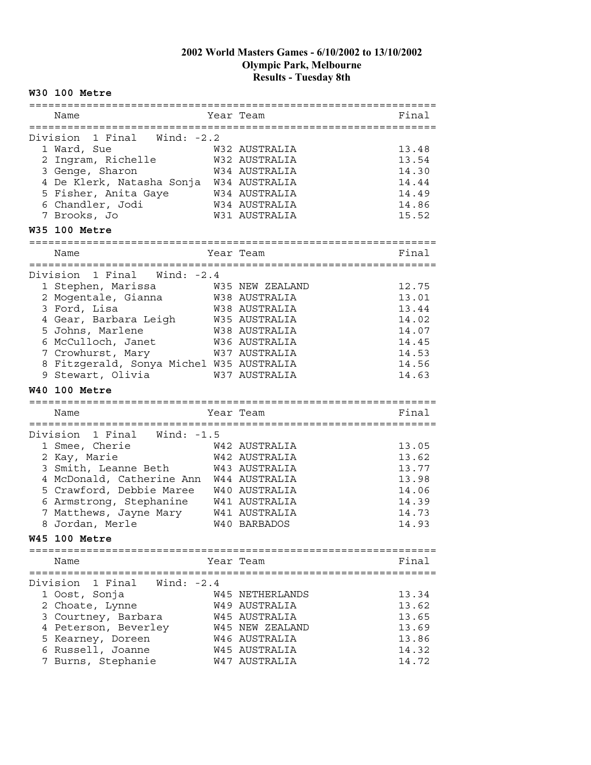### **W30 100 Metre**

| Name                                     | Year Team                      | Final          |
|------------------------------------------|--------------------------------|----------------|
|                                          |                                |                |
| 1 Final Wind: -2.2<br>Division           |                                |                |
| 1 Ward, Sue                              | W32 AUSTRALIA                  | 13.48          |
| 2 Ingram, Richelle                       | W32 AUSTRALIA                  | 13.54          |
| 3 Genge, Sharon                          | W34 AUSTRALIA                  | 14.30          |
| 4 De Klerk, Natasha Sonja                | W34 AUSTRALIA                  | 14.44          |
| 5 Fisher, Anita Gaye                     | W34 AUSTRALIA                  | 14.49          |
| 6 Chandler, Jodi                         | W34 AUSTRALIA                  | 14.86          |
| 7 Brooks, Jo                             | W31 AUSTRALIA                  | 15.52          |
| W35 100 Metre                            |                                |                |
| ========<br>Name                         | Year Team                      | Final          |
| :==========                              |                                |                |
| 1 Final<br>Division<br>Wind: -2.4        |                                |                |
| 1 Stephen, Marissa                       | W35 NEW ZEALAND                | 12.75          |
| 2 Mogentale, Gianna                      | W38 AUSTRALIA                  | 13.01          |
| 3 Ford, Lisa                             | W38 AUSTRALIA                  | 13.44          |
| 4 Gear, Barbara Leigh                    | W35 AUSTRALIA                  | 14.02          |
| 5 Johns, Marlene                         | W38 AUSTRALIA                  | 14.07          |
| 6 McCulloch, Janet                       | W36 AUSTRALIA                  | 14.45          |
| 7 Crowhurst, Mary                        | W37 AUSTRALIA                  | 14.53          |
| 8 Fitzgerald, Sonya Michel W35 AUSTRALIA |                                | 14.56          |
| 9 Stewart, Olivia                        | W37 AUSTRALIA                  | 14.63          |
|                                          |                                |                |
|                                          |                                |                |
| <b>W40 100 Metre</b>                     |                                |                |
| Name                                     | Year Team                      | Final          |
| :====================                    | ======================         |                |
| Division 1 Final<br>Wind: $-1.5$         |                                |                |
| 1 Smee, Cherie                           | W42 AUSTRALIA                  | 13.05          |
| 2 Kay, Marie                             | W42 AUSTRALIA                  | 13.62          |
| 3 Smith, Leanne Beth                     | W43 AUSTRALIA                  | 13.77          |
| 4 McDonald, Catherine Ann                | W44 AUSTRALIA                  | 13.98          |
| 5 Crawford, Debbie Maree                 | W40 AUSTRALIA                  | 14.06          |
| 6 Armstrong, Stephanine                  | W41 AUSTRALIA                  | 14.39          |
| 7 Matthews, Jayne Mary                   | W41 AUSTRALIA                  | 14.73          |
| 8 Jordan, Merle                          | W40 BARBADOS                   | 14.93          |
| <b>W45 100 Metre</b>                     |                                |                |
|                                          |                                |                |
| Name                                     | Year Team                      | Final          |
| 1 Final<br>Wind: $-2.4$<br>Division      |                                |                |
|                                          | W45 NETHERLANDS                |                |
| 1 Oost, Sonja                            |                                | 13.34          |
| 2 Choate, Lynne                          | <b>W49 AUSTRALIA</b>           | 13.62          |
| 3 Courtney, Barbara                      | W45 AUSTRALIA                  | 13.65          |
| 4 Peterson, Beverley                     | W45 NEW ZEALAND                | 13.69          |
| 5 Kearney, Doreen                        | W46 AUSTRALIA                  | 13.86          |
| 6 Russell, Joanne<br>7 Burns, Stephanie  | W45 AUSTRALIA<br>W47 AUSTRALIA | 14.32<br>14.72 |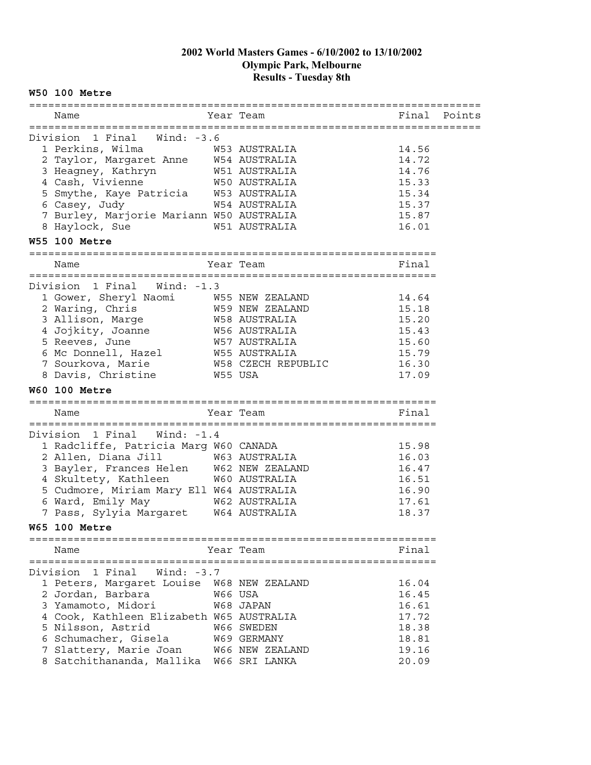#### **W50 100 Metre**

| Name                                          |         | Year Team                                 | Final | Points |
|-----------------------------------------------|---------|-------------------------------------------|-------|--------|
|                                               |         |                                           |       |        |
| 1 Final Wind: -3.6<br>Division                |         |                                           |       |        |
| 1 Perkins, Wilma                              |         | W53 AUSTRALIA                             | 14.56 |        |
| 2 Taylor, Margaret Anne W54 AUSTRALIA         |         |                                           | 14.72 |        |
| 3 Heagney, Kathryn                            |         | W51 AUSTRALIA                             | 14.76 |        |
| 4 Cash, Vivienne                              |         | W50 AUSTRALIA                             | 15.33 |        |
| 5 Smythe, Kaye Patricia W53 AUSTRALIA         |         |                                           | 15.34 |        |
| 6 Casey, Judy                                 |         | W54 AUSTRALIA                             | 15.37 |        |
| 7 Burley, Marjorie Mariann W50 AUSTRALIA      |         |                                           | 15.87 |        |
| 8 Haylock, Sue                                |         | W51 AUSTRALIA                             | 16.01 |        |
| <b>W55 100 Metre</b>                          |         |                                           |       |        |
| =====================================<br>Name |         | ============================<br>Year Team | Final |        |
|                                               |         |                                           |       |        |
| Division 1 Final Wind: -1.3                   |         |                                           |       |        |
| 1 Gower, Sheryl Naomi                         |         | W55 NEW ZEALAND                           | 14.64 |        |
| 2 Waring, Chris                               |         | W59 NEW ZEALAND                           | 15.18 |        |
| 3 Allison, Marge                              |         | W58 AUSTRALIA                             | 15.20 |        |
| 4 Jojkity, Joanne                             |         | W56 AUSTRALIA                             | 15.43 |        |
| 5 Reeves, June                                |         | W57 AUSTRALIA                             | 15.60 |        |
| 6 Mc Donnell, Hazel                           |         | <b>W55 AUSTRALIA</b>                      | 15.79 |        |
| 7 Sourkova, Marie                             |         | W58 CZECH REPUBLIC                        | 16.30 |        |
| 8 Davis, Christine                            | W55 USA |                                           | 17.09 |        |
|                                               |         |                                           |       |        |
|                                               |         |                                           |       |        |
| <b>W60 100 Metre</b>                          |         |                                           |       |        |
| Name                                          |         | Year Team                                 | Final |        |
|                                               |         |                                           |       |        |
| Division 1 Final<br>Wind: -1.4                |         |                                           |       |        |
| 1 Radcliffe, Patricia Marg W60 CANADA         |         |                                           | 15.98 |        |
| 2 Allen, Diana Jill                           |         | W63 AUSTRALIA                             | 16.03 |        |
| 3 Bayler, Frances Helen W62 NEW ZEALAND       |         |                                           | 16.47 |        |
| 4 Skultety, Kathleen                          |         | W60 AUSTRALIA                             | 16.51 |        |
| 5 Cudmore, Miriam Mary Ell W64 AUSTRALIA      |         |                                           | 16.90 |        |
| 6 Ward, Emily May                             |         |                                           | 17.61 |        |
| 7 Pass, Sylyia Margaret W64 AUSTRALIA         |         | W62 AUSTRALIA                             | 18.37 |        |
| <b>W65 100 Metre</b>                          |         |                                           |       |        |
|                                               |         |                                           |       |        |
| Name                                          |         | Year Team                                 | Final |        |
|                                               |         |                                           |       |        |
| 1 Final<br>Wind: $-3.7$<br>Division           |         |                                           |       |        |
| 1 Peters, Margaret Louise W68 NEW ZEALAND     |         |                                           | 16.04 |        |
| 2 Jordan, Barbara                             |         | W66 USA                                   | 16.45 |        |
| 3 Yamamoto, Midori                            |         | W68 JAPAN                                 | 16.61 |        |
| 4 Cook, Kathleen Elizabeth W65 AUSTRALIA      |         |                                           | 17.72 |        |
| 5 Nilsson, Astrid                             |         | W66 SWEDEN                                | 18.38 |        |
| 6 Schumacher, Gisela                          |         | W69 GERMANY                               | 18.81 |        |
| 7 Slattery, Marie Joan                        |         | W66 NEW ZEALAND                           | 19.16 |        |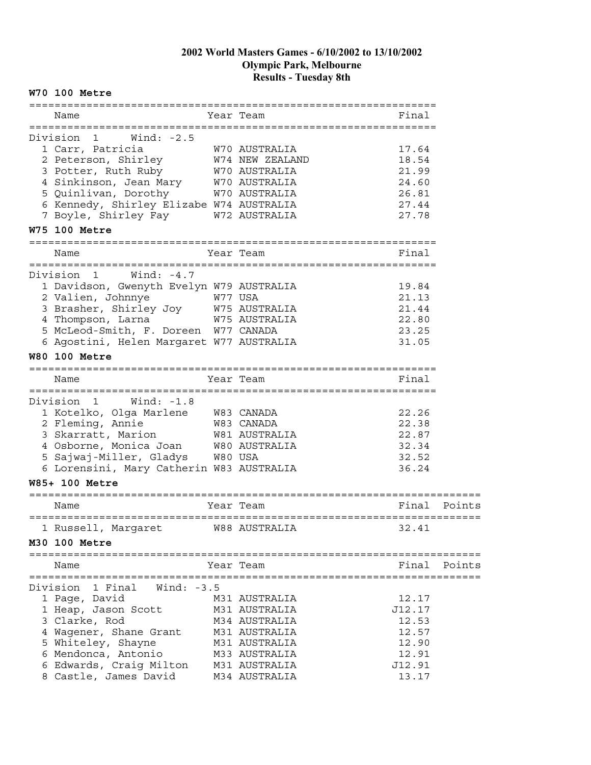#### **W70 100 Metre**

| Name                                                                         |           | Year Team                            | Final  |        |
|------------------------------------------------------------------------------|-----------|--------------------------------------|--------|--------|
| Wind: -2.5<br>Division<br>$\mathbf{1}$                                       |           |                                      |        |        |
| 1 Carr, Patricia                                                             |           | W70 AUSTRALIA                        | 17.64  |        |
| 2 Peterson, Shirley M74 NEW ZEALAND                                          |           |                                      | 18.54  |        |
|                                                                              |           |                                      | 21.99  |        |
| 3 Potter, Ruth Ruby                                                          |           | W70 AUSTRALIA                        |        |        |
| 4 Sinkinson, Jean Mary W70 AUSTRALIA                                         |           |                                      | 24.60  |        |
| 5 Quinlivan, Dorothy                                                         |           | W70 AUSTRALIA                        | 26.81  |        |
| 6 Kennedy, Shirley Elizabe W74 AUSTRALIA                                     |           |                                      | 27.44  |        |
| 7 Boyle, Shirley Fay W72 AUSTRALIA                                           |           |                                      | 27.78  |        |
| W75 100 Metre                                                                |           |                                      |        |        |
| :================<br>Name                                                    |           | Year Team                            | Final  |        |
| --------------------------------<br>Wind: $-4.7$<br>Division<br>$\mathbf{1}$ |           | ==============================       |        |        |
| 1 Davidson, Gwenyth Evelyn W79 AUSTRALIA                                     |           |                                      | 19.84  |        |
| 2 Valien, Johnnye<br>W77 USA                                                 |           |                                      | 21.13  |        |
| 3 Brasher, Shirley Joy W75 AUSTRALIA                                         |           |                                      | 21.44  |        |
| 4 Thompson, Larna                                                            |           | W75 AUSTRALIA                        | 22.80  |        |
| 5 McLeod-Smith, F. Doreen W77 CANADA                                         |           |                                      | 23.25  |        |
|                                                                              |           |                                      | 31.05  |        |
| 6 Agostini, Helen Margaret W77 AUSTRALIA<br><b>W80 100 Metre</b>             |           |                                      |        |        |
|                                                                              |           |                                      |        |        |
| Name<br>:=================================                                   |           | Year Team<br>======================= | Final  |        |
| Division<br>Wind: -1.8<br>$\mathbf{1}$                                       |           |                                      |        |        |
| 1 Kotelko, Olga Marlene W83 CANADA                                           |           |                                      | 22.26  |        |
| 2 Fleming, Annie                                                             |           | W83 CANADA                           | 22.38  |        |
| 3 Skarratt, Marion                                                           |           | W81 AUSTRALIA                        | 22.87  |        |
|                                                                              |           |                                      |        |        |
| 4 Osborne, Monica Joan W80 AUSTRALIA<br>5 Sajwaj-Miller, Gladys W80 USA      |           |                                      | 32.34  |        |
|                                                                              |           |                                      | 32.52  |        |
| 6 Lorensini, Mary Catherin W83 AUSTRALIA                                     |           |                                      | 36.24  |        |
| W85+ 100 Metre                                                               |           |                                      |        |        |
| Name                                                                         |           | Year Team                            | Final  | Points |
| 1 Russell, Margaret M88 AUSTRALIA                                            | :======== |                                      | 32.41  |        |
| M30 100 Metre                                                                |           |                                      |        |        |
| Name                                                                         |           | Year Team                            | Final  | Points |
|                                                                              |           |                                      |        |        |
| 1 Final<br>Wind: $-3.5$<br>Division                                          |           |                                      |        |        |
| 1 Page, David                                                                |           | M31 AUSTRALIA                        | 12.17  |        |
| 1 Heap, Jason Scott                                                          |           | M31 AUSTRALIA                        | J12.17 |        |
| 3 Clarke, Rod                                                                |           | M34 AUSTRALIA                        | 12.53  |        |
|                                                                              |           |                                      |        |        |
| 4 Wagener, Shane Grant                                                       |           | M31 AUSTRALIA                        | 12.57  |        |
| 5 Whiteley, Shayne                                                           |           | M31 AUSTRALIA                        | 12.90  |        |
| 6 Mendonca, Antonio                                                          |           | M33 AUSTRALIA                        | 12.91  |        |
| 6 Edwards, Craig Milton                                                      |           | M31 AUSTRALIA                        | J12.91 |        |
| 8 Castle, James David                                                        |           | M34 AUSTRALIA                        | 13.17  |        |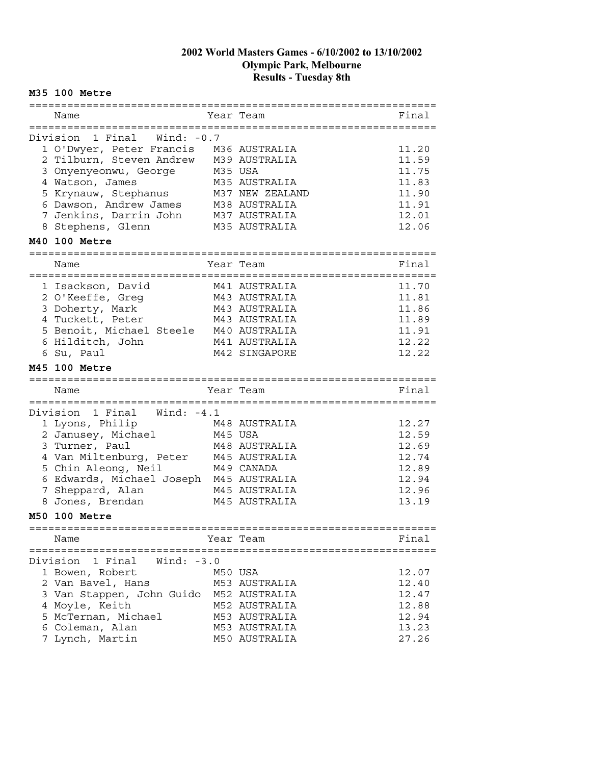#### **M35 100 Metre**

| ==========                         |           |                                |                |
|------------------------------------|-----------|--------------------------------|----------------|
| Name                               |           | Year Team                      | Final          |
| ================================   |           | ------------------------------ |                |
| Division 1 Final Wind: -0.7        |           |                                |                |
| 1 O'Dwyer, Peter Francis           |           | M36 AUSTRALIA                  | 11.20          |
| 2 Tilburn, Steven Andrew           |           | M39 AUSTRALIA                  | 11.59          |
| 3 Onyenyeonwu, George              | M35 USA   |                                | 11.75          |
| 4 Watson, James                    |           | M35 AUSTRALIA                  | 11.83          |
| 5 Krynauw, Stephanus               |           | M37 NEW ZEALAND                | 11.90          |
| 6 Dawson, Andrew James             |           | M38 AUSTRALIA                  | 11.91          |
| 7 Jenkins, Darrin John             |           | M37 AUSTRALIA                  | 12.01          |
| 8 Stephens, Glenn                  |           | M35 AUSTRALIA                  | 12.06          |
| M40 100 Metre                      |           |                                |                |
|                                    |           |                                |                |
| Name                               |           | Year Team                      | Final          |
|                                    |           |                                |                |
| 1 Isackson, David                  |           | M41 AUSTRALIA                  | 11.70          |
| 2 O'Keeffe, Greg                   |           | M43 AUSTRALIA                  | 11.81          |
| 3 Doherty, Mark                    |           | M43 AUSTRALIA                  | 11.86          |
| 4 Tuckett, Peter                   |           | M43 AUSTRALIA                  | 11.89          |
| 5 Benoit, Michael Steele           |           | M40 AUSTRALIA                  | 11.91          |
| 6 Hilditch, John                   |           | M41 AUSTRALIA                  | 12.22          |
| 6 Su, Paul                         |           | M42 SINGAPORE                  | 12.22          |
| M45 100 Metre                      |           |                                |                |
|                                    |           |                                |                |
|                                    |           |                                |                |
| :===============                   |           |                                |                |
| Name<br>:====================      | Year Team |                                | Final          |
|                                    |           |                                |                |
| Division<br>1 Final<br>Wind: -4.1  |           |                                |                |
| 1 Lyons, Philip                    |           | M48 AUSTRALIA                  | 12.27          |
| 2 Janusey, Michael                 | M45 USA   |                                | 12.59          |
| 3 Turner, Paul                     |           | M48 AUSTRALIA                  | 12.69          |
| 4 Van Miltenburg, Peter            |           | M45 AUSTRALIA                  | 12.74          |
| 5 Chin Aleong, Neil                |           | M49 CANADA                     | 12.89          |
| 6 Edwards, Michael Joseph          |           | M45 AUSTRALIA                  | 12.94          |
| 7 Sheppard, Alan                   |           | M45 AUSTRALIA                  | 12.96          |
| 8 Jones, Brendan                   |           | M45 AUSTRALIA                  | 13.19          |
| <b>M50 100 Metre</b>               |           |                                |                |
| ======================             |           |                                |                |
| Name                               |           | Year Team                      | Final          |
|                                    |           |                                |                |
| Division 1 Final Wind: -3.0        |           |                                |                |
| 1 Bowen, Robert                    | M50 USA   |                                | 12.07          |
| 2 Van Bavel, Hans                  |           | M53 AUSTRALIA                  | 12.40          |
| 3 Van Stappen, John Guido          |           | M52 AUSTRALIA                  | 12.47          |
| 4 Moyle, Keith                     |           | M52 AUSTRALIA                  | 12.88          |
| 5 McTernan, Michael                |           | M53 AUSTRALIA                  | 12.94          |
| 6 Coleman, Alan<br>7 Lynch, Martin |           | M53 AUSTRALIA<br>M50 AUSTRALIA | 13.23<br>27.26 |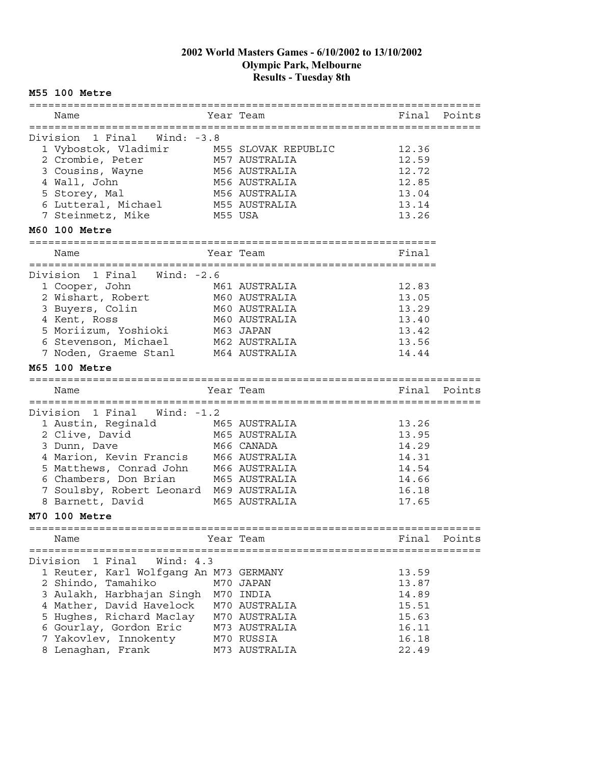#### **M55 100 Metre**

| Name                                         |         | Year Team                   | Final          | Points |
|----------------------------------------------|---------|-----------------------------|----------------|--------|
|                                              |         |                             |                |        |
| 1 Final Wind: -3.8<br>Division               |         |                             |                |        |
| 1 Vybostok, Vladimir                         |         | M55 SLOVAK REPUBLIC         | 12.36          |        |
| 2 Crombie, Peter                             |         | M57 AUSTRALIA               | 12.59          |        |
| 3 Cousins, Wayne                             |         | M56 AUSTRALIA               | 12.72          |        |
| 4 Wall, John                                 |         | M56 AUSTRALIA               | 12.85          |        |
| 5 Storey, Mal                                |         | M56 AUSTRALIA               | 13.04          |        |
| 6 Lutteral, Michael                          |         | M55 AUSTRALIA               | 13.14          |        |
| 7 Steinmetz, Mike                            | M55 USA |                             | 13.26          |        |
| M60 100 Metre                                |         |                             |                |        |
|                                              |         |                             |                |        |
| Name                                         |         | Year Team                   | Final          |        |
|                                              |         |                             |                |        |
| Division<br>1 Final<br>Wind: $-2.6$          |         |                             |                |        |
| 1 Cooper, John                               |         | M61 AUSTRALIA               | 12.83          |        |
| 2 Wishart, Robert                            |         | M60 AUSTRALIA               | 13.05          |        |
| 3 Buyers, Colin                              |         | M60 AUSTRALIA               | 13.29          |        |
| 4 Kent, Ross                                 |         | M60 AUSTRALIA               | 13.40          |        |
| r Rome, ROSS<br>5 Moriizum, Yoshioki<br>6 Ci |         | M63 JAPAN                   | 13.42          |        |
| 6 Stevenson, Michael                         |         | M62 AUSTRALIA               | 13.56          |        |
| 7 Noden, Graeme Stanl                        |         | M64 AUSTRALIA               | 14.44          |        |
| M65 100 Metre                                |         |                             |                |        |
|                                              |         |                             |                |        |
|                                              |         |                             |                |        |
|                                              |         |                             |                |        |
| Name<br>-==================================  |         | Year Team                   | Final          | Points |
|                                              |         |                             |                |        |
| Division 1 Final Wind: -1.2                  |         |                             |                |        |
| 1 Austin, Reginald M65 AUSTRALIA             |         |                             | 13.26          |        |
| 2 Clive, David                               |         | M65 AUSTRALIA               | 13.95          |        |
| 3 Dunn, Dave                                 |         | M66 CANADA                  | 14.29          |        |
| 4 Marion, Kevin Francis                      |         | M66 AUSTRALIA               | 14.31          |        |
| 5 Matthews, Conrad John                      |         | M66 AUSTRALIA               | 14.54          |        |
| 6 Chambers, Don Brian                        |         | M65 AUSTRALIA               | 14.66          |        |
| 7 Soulsby, Robert Leonard M69 AUSTRALIA      |         |                             | 16.18          |        |
| 8 Barnett, David                             |         | M65 AUSTRALIA               | 17.65          |        |
| M70 100 Metre                                |         |                             |                |        |
|                                              |         |                             |                |        |
| Name                                         |         | Year Team                   | Final          | Points |
|                                              |         |                             |                |        |
| Division<br>1 Final<br>Wind: 4.3             |         |                             |                |        |
| 1 Reuter, Karl Wolfgang An M73 GERMANY       |         |                             | 13.59          |        |
| 2 Shindo, Tamahiko                           |         | M70 JAPAN                   | 13.87          |        |
| 3 Aulakh, Harbhajan Singh                    |         | M70 INDIA                   | 14.89          |        |
| 4 Mather, David Havelock                     |         | M70 AUSTRALIA               | 15.51          |        |
| 5 Hughes, Richard Maclay                     |         | M70 AUSTRALIA               | 15.63          |        |
| 6 Gourlay, Gordon Eric                       |         | M73 AUSTRALIA               | 16.11          |        |
| 7 Yakovlev, Innokenty<br>8 Lenaghan, Frank   |         | M70 RUSSIA<br>M73 AUSTRALIA | 16.18<br>22.49 |        |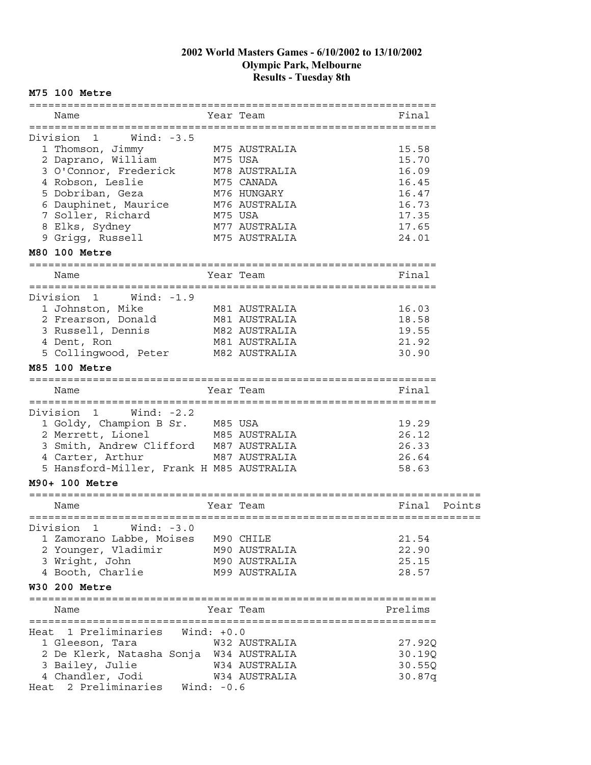#### **M75 100 Metre**

|      | Name                                                         |         | Year Team                     | Final          |        |
|------|--------------------------------------------------------------|---------|-------------------------------|----------------|--------|
|      |                                                              |         |                               |                |        |
|      | Wind: $-3.5$<br>Division<br>1                                |         |                               |                |        |
|      | 1 Thomson, Jimmy                                             |         | M75 AUSTRALIA                 | 15.58          |        |
|      | 2 Daprano, William                                           | M75 USA |                               | 15.70          |        |
|      | 3 O'Connor, Frederick                                        |         | M78 AUSTRALIA                 | 16.09          |        |
|      | 4 Robson, Leslie                                             |         | M75 CANADA                    | 16.45          |        |
|      | 5 Dobriban, Geza                                             |         | M76 HUNGARY                   | 16.47          |        |
|      | 6 Dauphinet, Maurice                                         |         | M76 AUSTRALIA                 | 16.73          |        |
|      | 7 Soller, Richard                                            | M75 USA |                               | 17.35          |        |
|      | 8 Elks, Sydney                                               |         | M77 AUSTRALIA                 | 17.65          |        |
|      | 9 Grigg, Russell                                             |         | M75 AUSTRALIA                 | 24.01          |        |
|      | M80 100 Metre                                                |         |                               |                |        |
|      | =============                                                |         |                               |                |        |
|      | Name                                                         |         | Year Team                     | Final          |        |
|      | Division<br>Wind: $-1.9$<br>$\mathbf{1}$                     |         |                               |                |        |
|      | 1 Johnston, Mike                                             |         | M81 AUSTRALIA                 | 16.03          |        |
|      |                                                              |         |                               | 18.58          |        |
|      | 2 Frearson, Donald                                           |         | M81 AUSTRALIA                 |                |        |
|      | 3 Russell, Dennis                                            |         | M82 AUSTRALIA                 | 19.55<br>21.92 |        |
|      | 4 Dent, Ron                                                  |         | M81 AUSTRALIA                 |                |        |
|      | 5 Collingwood, Peter                                         |         | M82 AUSTRALIA                 | 30.90          |        |
|      | M85 100 Metre                                                |         |                               |                |        |
|      |                                                              |         |                               |                |        |
|      | Name                                                         |         | Year Team                     | Final          |        |
|      | Wind: $-2.2$<br>Division<br>$\overline{1}$                   |         | ========================      |                |        |
|      | 1 Goldy, Champion B Sr. M85 USA                              |         |                               | 19.29          |        |
|      | 2 Merrett, Lionel                                            |         | M85 AUSTRALIA                 | 26.12          |        |
|      | 3 Smith, Andrew Clifford M87 AUSTRALIA                       |         |                               | 26.33          |        |
|      |                                                              |         |                               |                |        |
|      | 4 Carter, Arthur<br>5 Hansford-Miller, Frank H M85 AUSTRALIA |         | M87 AUSTRALIA                 | 26.64<br>58.63 |        |
|      |                                                              |         |                               |                |        |
|      | M90+ 100 Metre                                               |         |                               |                |        |
|      | Name                                                         |         | Year Team                     | Final          | Points |
|      | =============================                                |         | ============================= |                |        |
|      | Division<br>Wind: $-3.0$<br>1                                |         |                               |                |        |
|      | 1 Zamorano Labbe, Moises                                     |         | M90 CHILE                     | 21.54          |        |
|      | 2 Younger, Vladimir                                          |         | M90 AUSTRALIA                 | 22.90          |        |
|      | 3 Wright, John                                               |         | M90 AUSTRALIA                 | 25.15          |        |
|      | 4 Booth, Charlie                                             |         | M99 AUSTRALIA                 | 28.57          |        |
|      | W30 200 Metre                                                |         |                               |                |        |
|      |                                                              |         |                               |                |        |
|      | Name                                                         |         | Year Team                     | Prelims        |        |
|      |                                                              |         |                               |                |        |
|      | Heat 1 Preliminaries Wind: +0.0                              |         |                               |                |        |
|      | 1 Gleeson, Tara                                              |         | W32 AUSTRALIA                 | 27.92Q         |        |
|      | 2 De Klerk, Natasha Sonja W34 AUSTRALIA                      |         |                               | 30.19Q         |        |
|      | 3 Bailey, Julie                                              |         | W34 AUSTRALIA                 | 30.55Q         |        |
|      | 4 Chandler, Jodi                                             |         | W34 AUSTRALIA                 | 30.87q         |        |
| Heat | 2 Preliminaries Wind: -0.6                                   |         |                               |                |        |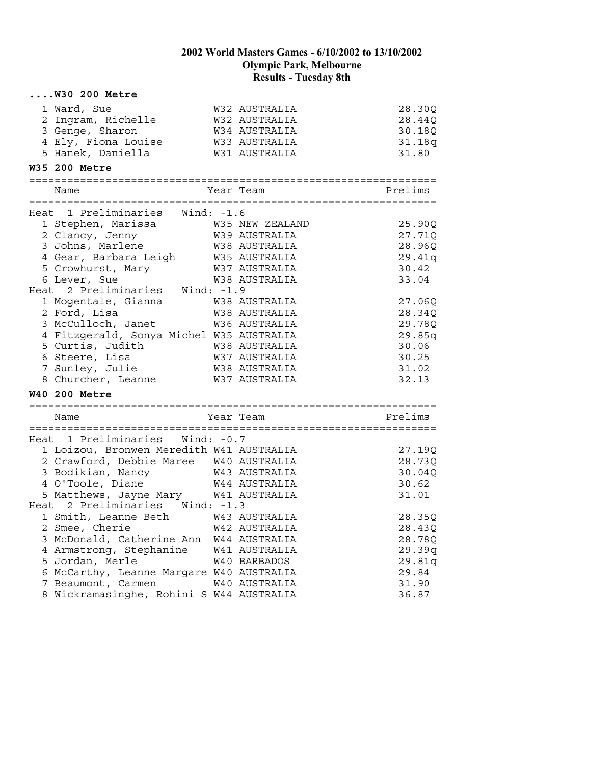| $\ldots$ . W30 200 Metre                                                                            |               |                  |
|-----------------------------------------------------------------------------------------------------|---------------|------------------|
| 1 Ward, Sue                                                                                         | W32 AUSTRALIA | 28.30Q           |
| 2 Ingram, Richelle                                                                                  | W32 AUSTRALIA | 28.44Q           |
| 3 Genge, Sharon                                                                                     | W34 AUSTRALIA | 30.18Q           |
| 4 Ely, Fiona Louise M33 AUSTRALIA                                                                   |               | 31.18q           |
| 5 Hanek, Daniella                                                                                   | W31 AUSTRALIA | 31.80            |
| <b>W35 200 Metre</b>                                                                                |               |                  |
| Name                                                                                                | Year Team     | Prelims          |
| Heat 1 Preliminaries Wind: -1.6                                                                     |               |                  |
|                                                                                                     |               | 25.90Q           |
| 2 Clancy, Jenny                                                                                     |               | 27.71Q           |
| 3 Johns, Marlene                                                                                    | W38 AUSTRALIA | 28.96Q           |
| 1 Gear, Barbara Leigh<br>5 Crowhurst, Mary 1997 AUSTRALIA<br>6 Lever, Sue 1998 1998 11978 AUSTRALIA |               | 29.41q           |
|                                                                                                     |               | 30.42            |
| 6 Lever, Sue                                                                                        | W38 AUSTRALIA | 33.04            |
| Heat 2 Preliminaries Wind: -1.9                                                                     |               |                  |
| 1 Mogentale, Gianna                                                                                 | W38 AUSTRALIA | 27.06Q           |
| 2 Ford, Lisa                                                                                        | W38 AUSTRALIA | 28.34Q           |
| 3 McCulloch, Janet                                                                                  | W36 AUSTRALIA | 29.78Q           |
| 4 Fitzgerald, Sonya Michel W35 AUSTRALIA                                                            |               | 29.85q           |
| 5 Curtis, Judith                                                                                    | W38 AUSTRALIA | 30.06            |
| 6 Steere, Lisa                                                                                      | W37 AUSTRALIA | 30.25            |
| 7 Sunley, Julie                                                                                     | W38 AUSTRALIA | 31.02            |
| 8 Churcher, Leanne                                                                                  | W37 AUSTRALIA | 32.13            |
| <b>W40 200 Metre</b>                                                                                |               |                  |
| Name                                                                                                | Year Team     | Prelims          |
|                                                                                                     |               |                  |
| Heat 1 Preliminaries Wind: -0.7                                                                     |               |                  |
| 1 Loizou, Bronwen Meredith W41 AUSTRALIA                                                            |               | 27.19Q           |
| 2 Crawford, Debbie Maree W40 AUSTRALIA                                                              |               | 28.73Q           |
| 3 Bodikian, Nancy 643 AUSTRALIA                                                                     |               | 30.04Q           |
| 4 O'Toole, Diane W44 AUSTRALIA                                                                      |               | 30.62            |
| 5 Matthews, Jayne Mary W41 AUSTRALIA                                                                |               | 31.01            |
| Heat 2 Preliminaries Wind: -1.3                                                                     |               |                  |
| 1 Smith, Leanne Beth W43 AUSTRALIA<br>2 Smee, Cherie                                                | W42 AUSTRALIA | 28.35Q           |
| 3 McDonald, Catherine Ann                                                                           | W44 AUSTRALIA | 28.43Q<br>28.78Q |
| 4 Armstrong, Stephanine                                                                             | W41 AUSTRALIA | 29.39q           |
| 5 Jordan, Merle                                                                                     | W40 BARBADOS  | 29.81q           |
| 6 McCarthy, Leanne Margare W40 AUSTRALIA                                                            |               | 29.84            |
| 7 Beaumont, Carmen                                                                                  | W40 AUSTRALIA | 31.90            |
| 8 Wickramasinghe, Rohini S W44 AUSTRALIA                                                            |               | 36.87            |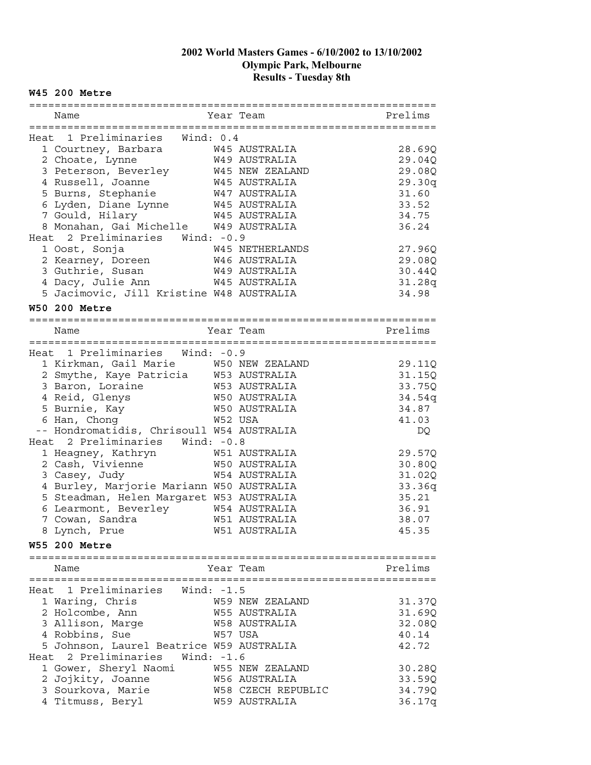#### **W45 200 Metre**

| Name                 |                                                                                                           |         | Year Team              | Prelims |
|----------------------|-----------------------------------------------------------------------------------------------------------|---------|------------------------|---------|
|                      |                                                                                                           |         |                        |         |
|                      | Heat 1 Preliminaries Wind: 0.4                                                                            |         |                        |         |
|                      | 1 Courtney, Barbara M45 AUSTRALIA                                                                         |         |                        | 28.69Q  |
| 2 Choate, Lynne      |                                                                                                           |         | W49 AUSTRALIA          | 29.04Q  |
|                      | 3 Peterson, Beverley M45 NEW ZEALAND                                                                      |         |                        | 29.08Q  |
| 4 Russell, Joanne    |                                                                                                           |         | W45 AUSTRALIA          | 29.30q  |
| 5 Burns, Stephanie   |                                                                                                           |         | W47 AUSTRALIA          | 31.60   |
|                      | 6 Lyden, Diane Lynne                                                                                      |         | W45 AUSTRALIA          | 33.52   |
|                      |                                                                                                           |         |                        | 34.75   |
|                      |                                                                                                           |         |                        | 36.24   |
|                      | Heat 2 Preliminaries Wind: -0.9                                                                           |         |                        |         |
| 1 Oost, Sonja        |                                                                                                           |         | W45 NETHERLANDS        | 27.96Q  |
|                      |                                                                                                           |         |                        | 29.08Q  |
|                      | 3 Guthrie, Susan                                                                                          |         | W49 AUSTRALIA          | 30.44Q  |
| 4 Dacy, Julie Ann    |                                                                                                           |         | W45 AUSTRALIA          | 31.28q  |
|                      | 5 Jacimovic, Jill Kristine W48 AUSTRALIA                                                                  |         |                        | 34.98   |
|                      |                                                                                                           |         |                        |         |
| <b>W50 200 Metre</b> |                                                                                                           |         |                        |         |
| Name                 |                                                                                                           |         | Year Team              | Prelims |
|                      |                                                                                                           |         |                        |         |
|                      | Heat 1 Preliminaries Wind: -0.9                                                                           |         |                        |         |
|                      | 1 Kirkman, Gail Marie M50 NEW ZEALAND                                                                     |         |                        | 29.11Q  |
|                      | 2 Smythe, Kaye Patricia W53 AUSTRALIA                                                                     |         |                        | 31.15Q  |
| 3 Baron, Loraine     |                                                                                                           |         | W53 AUSTRALIA          | 33.75Q  |
| 4 Reid, Glenys       | W50 AUSTRALIA                                                                                             |         |                        | 34.54q  |
| 5 Burnie, Kay        |                                                                                                           |         | W50 AUSTRALIA          |         |
|                      |                                                                                                           |         |                        | 34.87   |
| 6 Han, Chong         |                                                                                                           | W52 USA |                        | 41.03   |
|                      | -- Hondromatidis, Chrisoull W54 AUSTRALIA                                                                 |         |                        | DQ      |
|                      | Heat 2 Preliminaries Wind: -0.8                                                                           |         |                        |         |
|                      | 1 Heagney, Kathryn 1 W51 AUSTRALIA<br>2 Cash, Vivienne 1990 W50 AUSTRALIA<br>3 Casey. Judy 1994 AUSTRALIA |         |                        | 29.57Q  |
|                      |                                                                                                           |         |                        | 30.80Q  |
| 3 Casey, Judy        |                                                                                                           |         | W54 AUSTRALIA          | 31.02Q  |
|                      | 4 Burley, Marjorie Mariann W50 AUSTRALIA                                                                  |         |                        | 33.36q  |
|                      | 5 Steadman, Helen Margaret W53 AUSTRALIA                                                                  |         |                        | 35.21   |
|                      | 6 Learmont, Beverley                                                                                      |         | W54 AUSTRALIA          | 36.91   |
| 7 Cowan, Sandra      |                                                                                                           |         | W51 AUSTRALIA          | 38.07   |
| 8 Lynch, Prue        |                                                                                                           |         | W51 AUSTRALIA          | 45.35   |
| <b>W55 200 Metre</b> |                                                                                                           |         |                        |         |
|                      |                                                                                                           |         |                        |         |
| Name                 |                                                                                                           |         | Year Team              | Prelims |
|                      |                                                                                                           |         |                        |         |
|                      | Heat 1 Preliminaries Wind: -1.5                                                                           |         |                        |         |
| 1 Waring, Chris      |                                                                                                           |         | W59 NEW ZEALAND        | 31.37Q  |
| 2 Holcombe, Ann      |                                                                                                           |         | W55 AUSTRALIA          | 31.69Q  |
| 3 Allison, Marge     |                                                                                                           |         | W58 AUSTRALIA          | 32.08Q  |
| 4 Robbins, Sue       |                                                                                                           |         | W57 USA                | 40.14   |
|                      | 5 Johnson, Laurel Beatrice W59 AUSTRALIA                                                                  |         |                        | 42.72   |
| Heat 2 Preliminaries | Wind: -1.6                                                                                                |         |                        |         |
|                      | 1 Gower, Sheryl Naomi                                                                                     |         | <b>W55 NEW ZEALAND</b> | 30.28Q  |
| 2 Jojkity, Joanne    |                                                                                                           |         | W56 AUSTRALIA          | 33.59Q  |
| 3 Sourkova, Marie    |                                                                                                           |         | W58 CZECH REPUBLIC     | 34.79Q  |
| 4 Titmuss, Beryl     |                                                                                                           |         | W59 AUSTRALIA          | 36.17q  |
|                      |                                                                                                           |         |                        |         |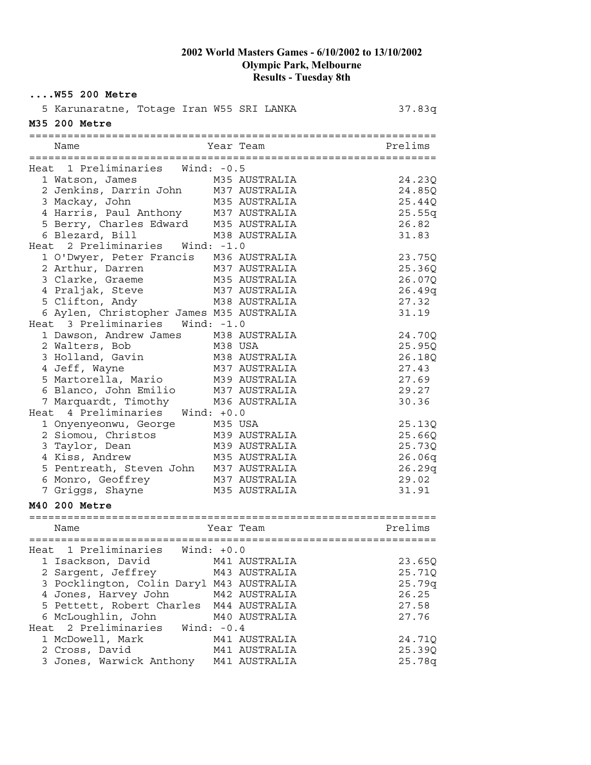|               | $\ldots$ .W55 200 Metre                  |              |               |         |
|---------------|------------------------------------------|--------------|---------------|---------|
|               | 5 Karunaratne, Totage Iran W55 SRI LANKA |              |               | 37.83q  |
| M35 200 Metre |                                          |              |               |         |
|               |                                          |              |               |         |
| Name          |                                          |              | Year Team     | Prelims |
|               |                                          |              |               |         |
|               | Heat 1 Preliminaries Wind: -0.5          |              |               |         |
|               | 1 Watson, James                          |              | M35 AUSTRALIA | 24.23Q  |
|               | 2 Jenkins, Darrin John M37 AUSTRALIA     |              |               | 24.85Q  |
|               | 3 Mackay, John                           |              | M35 AUSTRALIA | 25.44Q  |
|               | 4 Harris, Paul Anthony M37 AUSTRALIA     |              |               | 25.55q  |
|               | 5 Berry, Charles Edward M35 AUSTRALIA    |              |               | 26.82   |
|               | 6 Blezard, Bill                          |              | M38 AUSTRALIA | 31.83   |
|               | Heat 2 Preliminaries Wind: -1.0          |              |               |         |
|               | 1 O'Dwyer, Peter Francis M36 AUSTRALIA   |              |               | 23.75Q  |
|               | 2 Arthur, Darren                         |              | M37 AUSTRALIA | 25.36Q  |
|               | 3 Clarke, Graeme                         |              | M35 AUSTRALIA | 26.07Q  |
|               | 4 Praljak, Steve                         |              | M37 AUSTRALIA | 26.49q  |
|               | 5 Clifton, Andy                          |              | M38 AUSTRALIA | 27.32   |
|               | 6 Aylen, Christopher James M35 AUSTRALIA |              |               | 31.19   |
|               | Heat 3 Preliminaries Wind: -1.0          |              |               |         |
|               | 1 Dawson, Andrew James M38 AUSTRALIA     |              |               | 24.70Q  |
|               | 2 Walters, Bob<br>M38 USA                |              |               | 25.95Q  |
|               | 3 Holland, Gavin M38 AUSTRALIA           |              |               | 26.18Q  |
|               | 4 Jeff, Wayne                            |              | M37 AUSTRALIA | 27.43   |
|               | 5 Martorella, Mario                      |              | M39 AUSTRALIA | 27.69   |
|               | 6 Blanco, John Emilio                    |              | M37 AUSTRALIA | 29.27   |
|               | 7 Marquardt, Timothy                     |              | M36 AUSTRALIA | 30.36   |
|               | Heat 4 Preliminaries                     | Wind: $+0.0$ |               |         |
|               | 1 Onyenyeonwu, George                    | M35 USA      |               | 25.13Q  |
|               | 2 Siomou, Christos                       |              | M39 AUSTRALIA | 25.66Q  |
|               | 3 Taylor, Dean                           |              | M39 AUSTRALIA | 25.73Q  |
|               | 4 Kiss, Andrew                           |              | M35 AUSTRALIA | 26.06q  |
|               | 5 Pentreath, Steven John M37 AUSTRALIA   |              |               | 26.29q  |
|               | 6 Monro, Geoffrey                        |              | M37 AUSTRALIA | 29.02   |
|               | 7 Griggs, Shayne                         |              | M35 AUSTRALIA | 31.91   |
| M40 200 Metre |                                          |              |               |         |
|               |                                          |              |               |         |
| Name          | =======================                  |              | Year Team     | Prelims |
|               | Heat 1 Preliminaries                     | Wind: $+0.0$ |               |         |
|               | 1 Isackson, David                        |              | M41 AUSTRALIA | 23.65Q  |
|               | 2 Sargent, Jeffrey                       |              | M43 AUSTRALIA | 25.71Q  |
|               | 3 Pocklington, Colin Daryl M43 AUSTRALIA |              |               | 25.79q  |
|               | 4 Jones, Harvey John                     |              | M42 AUSTRALIA | 26.25   |
|               | 5 Pettett, Robert Charles M44 AUSTRALIA  |              |               | 27.58   |
|               | 6 McLoughlin, John                       |              | M40 AUSTRALIA | 27.76   |
|               | Heat 2 Preliminaries                     | Wind: $-0.4$ |               |         |
|               | 1 McDowell, Mark                         |              | M41 AUSTRALIA | 24.71Q  |
|               | 2 Cross, David                           |              | M41 AUSTRALIA | 25.39Q  |
|               | 3 Jones, Warwick Anthony                 |              | M41 AUSTRALIA | 25.78q  |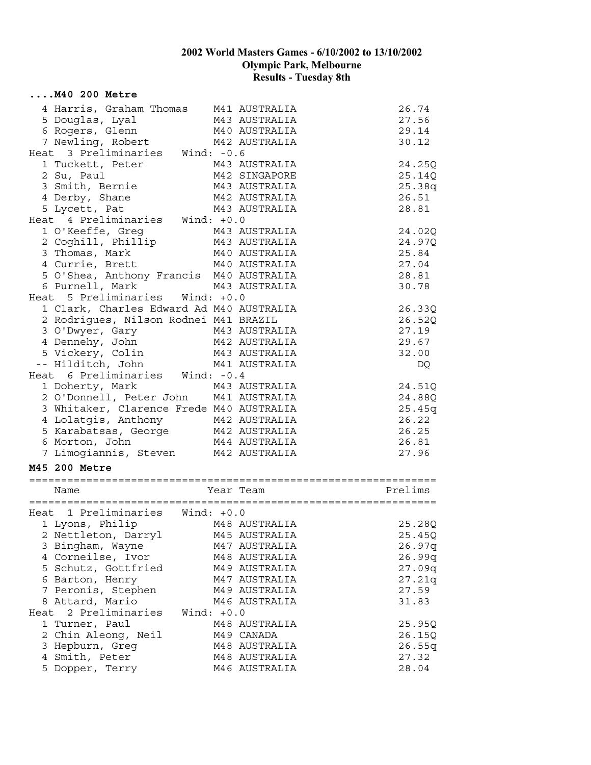| $\ldots$ . M40 200 Metre                                                                                |              |                                |                |
|---------------------------------------------------------------------------------------------------------|--------------|--------------------------------|----------------|
| 4 Harris, Graham Thomas M41 AUSTRALIA                                                                   |              |                                | 26.74          |
| 5 Douglas, Lyal                                                                                         |              |                                | 27.56          |
| 6 Rogers, Glenn                                                                                         |              | M43 AUSTRALIA<br>M40 AUSTRALIA | 29.14          |
| 7 Newling, Robert                                                                                       |              | M42 AUSTRALIA                  | 30.12          |
| Heat 3 Preliminaries Wind: -0.6                                                                         |              |                                |                |
| 1 Tuckett, Peter                                                                                        |              | M43 AUSTRALIA                  | 24.25Q         |
| 2 Su, Paul                                                                                              |              | M42 SINGAPORE                  | 25.14Q         |
| 3 Smith, Bernie                                                                                         |              | M43 AUSTRALIA                  | 25.38q         |
| 4 Derby, Shane                                                                                          |              | M42 AUSTRALIA                  | 26.51          |
| 5 Lycett, Pat                                                                                           |              | M43 AUSTRALIA                  | 28.81          |
| Heat 4 Preliminaries Wind: +0.0                                                                         |              |                                |                |
| 1 O'Keeffe, Greg                                                                                        |              | M43 AUSTRALIA                  | 24.02Q         |
| 2 Coghill, Phillip M43 AUSTRALIA                                                                        |              |                                | 24.97Q         |
| 3 Thomas, Mark                                                                                          |              | M40 AUSTRALIA                  | 25.84          |
| 4 Currie, Brett                                                                                         |              | M40 AUSTRALIA                  | 27.04          |
| 5 O'Shea, Anthony Francis M40 AUSTRALIA                                                                 |              |                                | 28.81          |
|                                                                                                         |              |                                | 30.78          |
| 6 Purnell, Mark M43 AUSTRALIA<br>Heat 5 Preliminaries Wind: +0.0                                        |              |                                |                |
| 1 Clark, Charles Edward Ad M40 AUSTRALIA                                                                |              |                                | 26.33Q         |
| 2 Rodrigues, Nilson Rodnei M41 BRAZIL                                                                   |              |                                | 26.52Q         |
| 3 O'Dwyer, Gary 143 AUSTRALIA<br>4 Dennehy, John 142 AUSTRALIA<br>5 Vickery, Colin 143 AUSTRALIA        |              |                                | 27.19          |
|                                                                                                         |              |                                | 29.67          |
|                                                                                                         |              |                                | 32.00          |
| -- Hilditch, John M41 AUSTRALIA                                                                         |              |                                | DQ             |
| Heat 6 Preliminaries Wind: -0.4                                                                         |              |                                |                |
| 1 Doherty, Mark                                                                                         |              | M43 AUSTRALIA                  | 24.51Q         |
| 2 O'Donnell, Peter John M41 AUSTRALIA                                                                   |              |                                | 24.88Q         |
| 3 Whitaker, Clarence Frede M40 AUSTRALIA                                                                |              |                                | 25.45q         |
|                                                                                                         |              |                                | 26.22          |
|                                                                                                         |              |                                | 26.25          |
| 4 Lolatgis, Anthony 142 AUSTRALIA<br>5 Karabatsas, George 142 AUSTRALIA<br>6 Morton, John 144 AUSTRALIA |              | M42 AUSTRALIA<br>M44 AUSTRALIA | 26.81          |
| 7 Limogiannis, Steven M42 AUSTRALIA                                                                     |              |                                | 27.96          |
| M45 200 Metre                                                                                           |              |                                |                |
|                                                                                                         |              |                                |                |
| Name                                                                                                    |              | Year Team                      | Prelims        |
|                                                                                                         |              |                                |                |
| Heat 1 Preliminaries Wind: +0.0                                                                         |              |                                |                |
| 1 Lyons, Philip             M48 AUSTRALIA                                     25.28Q                    |              |                                |                |
| 2 Nettleton, Darryl                                                                                     |              | M45 AUSTRALIA                  | 25.45Q         |
| 3 Bingham, Wayne                                                                                        |              | M47 AUSTRALIA                  | 26.97q         |
|                                                                                                         |              |                                |                |
| 4 Corneilse, Ivor                                                                                       |              | M48 AUSTRALIA                  | 26.99q         |
| 5 Schutz, Gottfried                                                                                     |              | M49 AUSTRALIA                  | 27.09q         |
| 6 Barton, Henry                                                                                         |              | M47 AUSTRALIA                  | 27.21q         |
| 7 Peronis, Stephen                                                                                      |              | M49 AUSTRALIA                  | 27.59          |
| 8 Attard, Mario                                                                                         |              | M46 AUSTRALIA                  | 31.83          |
| Heat 2 Preliminaries                                                                                    | Wind: $+0.0$ |                                |                |
| 1 Turner, Paul                                                                                          |              | M48 AUSTRALIA                  | 25.95Q         |
| 2 Chin Aleong, Neil                                                                                     |              | M49 CANADA                     | 26.15Q         |
| 3 Hepburn, Greg                                                                                         |              | M48 AUSTRALIA                  | 26.55q         |
| 4 Smith, Peter<br>5 Dopper, Terry                                                                       |              | M48 AUSTRALIA<br>M46 AUSTRALIA | 27.32<br>28.04 |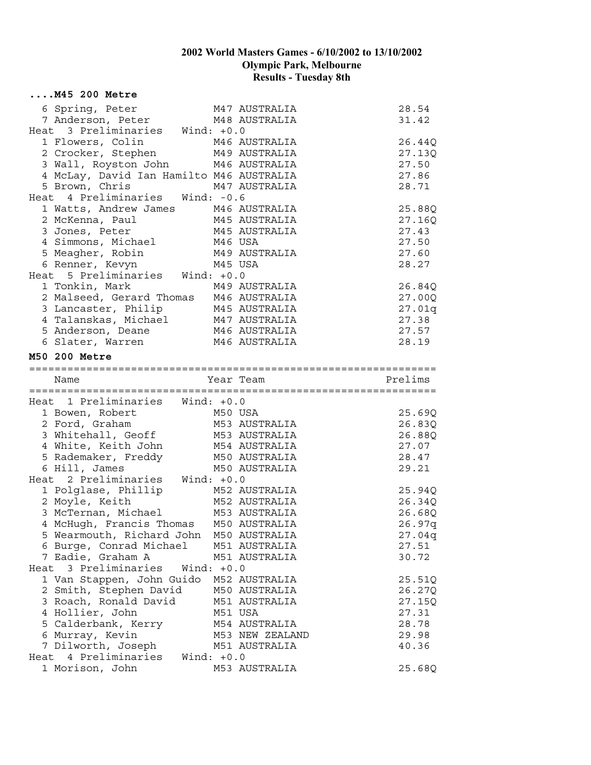| $\ldots$ . M45 200 Metre                                                                                                                                                             |              |                          |         |
|--------------------------------------------------------------------------------------------------------------------------------------------------------------------------------------|--------------|--------------------------|---------|
| 6 Spring, Peter                                                                                                                                                                      |              | M47 AUSTRALIA            | 28.54   |
| 7 Anderson, Peter M48 AUSTRALIA                                                                                                                                                      |              |                          | 31.42   |
| Heat 3 Preliminaries Wind: +0.0                                                                                                                                                      |              |                          |         |
| 1 Flowers, Colin 1946 AUSTRALIA<br>2 Crocker, Stephen 1949 AUSTRALIA<br>3 Wall, Royston John 1946 AUSTRALIA                                                                          |              |                          | 26.44Q  |
|                                                                                                                                                                                      |              |                          | 27.13Q  |
|                                                                                                                                                                                      |              |                          | 27.50   |
| 4 McLay, David Ian Hamilto M46 AUSTRALIA                                                                                                                                             |              |                          | 27.86   |
| M47 AUSTRALIA<br>5 Brown, Chris                                                                                                                                                      |              |                          | 28.71   |
| Heat 4 Preliminaries Wind: -0.6                                                                                                                                                      |              |                          |         |
| 1 Watts, Andrew James M46 AUSTRALIA                                                                                                                                                  |              |                          | 25.88Q  |
| 2 McKenna, Paul                                                                                                                                                                      |              | M45 AUSTRALIA            | 27.16Q  |
| 3 Jones, Peter 1997 M45 AUSTRALIA<br>4 Simmons, Michael 1994 M46 USA                                                                                                                 |              |                          | 27.43   |
|                                                                                                                                                                                      |              |                          | 27.50   |
| 5 Meagher, Robin                                                                                                                                                                     |              | M49 AUSTRALIA            | 27.60   |
| 6 Renner, Kevyn                                                                                                                                                                      | M45 USA      |                          | 28.27   |
| Heat 5 Preliminaries Wind: +0.0                                                                                                                                                      |              |                          |         |
| 1 Tonkin, Mark M49 AUSTRALIA<br>2 Malseed, Gerard Thomas M46 AUSTRALIA<br>3 Lancaster, Philip M45 AUSTRALIA<br>4 Talanskas, Michael M47 AUSTRALIA<br>5 Anderson, Deane M46 AUSTRALIA |              |                          | 26.84Q  |
|                                                                                                                                                                                      |              |                          | 27.00Q  |
|                                                                                                                                                                                      |              |                          | 27.01q  |
|                                                                                                                                                                                      |              |                          | 27.38   |
|                                                                                                                                                                                      |              |                          | 27.57   |
| 6 Slater, Warren                                                                                                                                                                     |              | M46 AUSTRALIA            | 28.19   |
| M50 200 Metre                                                                                                                                                                        |              |                          |         |
|                                                                                                                                                                                      |              |                          |         |
| Name                                                                                                                                                                                 |              | Year Team                | Prelims |
|                                                                                                                                                                                      |              |                          |         |
| Heat 1 Preliminaries Wind: +0.0                                                                                                                                                      |              |                          |         |
| 1 Bowen, Robert                                                                                                                                                                      |              | M50 USA<br>M53 AUSTRALIA | 25.69Q  |
| 2 Ford, Graham                                                                                                                                                                       |              |                          | 26.83Q  |
| 3 Whitehall, Geoff M53 AUSTRALIA                                                                                                                                                     |              |                          | 26.88Q  |
| 4 White, Keith John M54 AUSTRALIA                                                                                                                                                    |              |                          | 27.07   |
| 5 Rademaker, Freddy M50 AUSTRALIA                                                                                                                                                    |              |                          | 28.47   |
| 6 Hill, James                                                                                                                                                                        |              | M50 AUSTRALIA            | 29.21   |
| Heat 2 Preliminaries Wind: +0.0                                                                                                                                                      |              |                          |         |
|                                                                                                                                                                                      |              |                          | 25.94Q  |
|                                                                                                                                                                                      |              |                          | 26.34Q  |
|                                                                                                                                                                                      |              |                          | 26.68Q  |
| 4 McHugh, Francis Thomas M50 AUSTRALIA                                                                                                                                               |              |                          | 26.97q  |
| 5 Wearmouth, Richard John                                                                                                                                                            |              | M50 AUSTRALIA            | 27.04q  |
| 6 Burge, Conrad Michael                                                                                                                                                              |              | M51 AUSTRALIA            | 27.51   |
| 7 Eadie, Graham A                                                                                                                                                                    |              | M51 AUSTRALIA            | 30.72   |
| Heat 3 Preliminaries                                                                                                                                                                 | Wind: $+0.0$ |                          |         |
| 1 Van Stappen, John Guido                                                                                                                                                            |              | M52 AUSTRALIA            | 25.51Q  |
| 2 Smith, Stephen David                                                                                                                                                               |              | M50 AUSTRALIA            | 26.27Q  |
| 3 Roach, Ronald David                                                                                                                                                                |              | M51 AUSTRALIA            | 27.15Q  |
| 4 Hollier, John                                                                                                                                                                      |              | M51 USA                  | 27.31   |
| 5 Calderbank, Kerry                                                                                                                                                                  |              | M54 AUSTRALIA            | 28.78   |
| 6 Murray, Kevin                                                                                                                                                                      |              | M53 NEW ZEALAND          | 29.98   |
| 7 Dilworth, Joseph                                                                                                                                                                   |              | M51 AUSTRALIA            | 40.36   |
| Heat 4 Preliminaries<br>Wind: +0.0                                                                                                                                                   |              |                          |         |
| 1 Morison, John                                                                                                                                                                      |              | M53 AUSTRALIA            | 25.68Q  |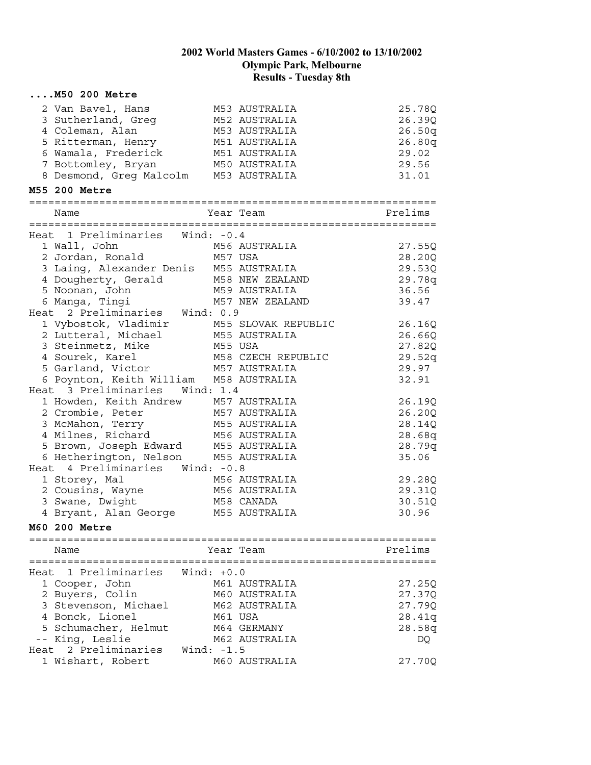|      | $\ldots$ . M50 200 Metre                                                                                                                    |              |                            |                 |
|------|---------------------------------------------------------------------------------------------------------------------------------------------|--------------|----------------------------|-----------------|
|      | 2 Van Bavel, Hans                                                                                                                           |              | M53 AUSTRALIA              | 25.78Q          |
|      | 3 Sutherland, Greg                                                                                                                          |              | M52 AUSTRALIA              | 26.39Q          |
|      | 4 Coleman, Alan                                                                                                                             |              | M53 AUSTRALIA              | 26.50q          |
|      | 5 Ritterman, Henry                                                                                                                          |              | M51 AUSTRALIA              | 26.80q          |
|      | 6 Wamala, Frederick                                                                                                                         |              | M51 AUSTRALIA              | 29.02           |
|      | 7 Bottomley, Bryan                                                                                                                          |              | M50 AUSTRALIA              | 29.56           |
|      | 8 Desmond, Greg Malcolm M53 AUSTRALIA                                                                                                       |              |                            | 31.01           |
|      | M55 200 Metre                                                                                                                               |              |                            |                 |
|      | Name                                                                                                                                        | Year Team    |                            | Prelims         |
|      |                                                                                                                                             |              |                            |                 |
|      | Heat 1 Preliminaries Wind: -0.4                                                                                                             |              |                            |                 |
|      |                                                                                                                                             |              |                            | 27.55Q          |
|      | M56 AUSTRALIA<br>2 Jordan, Ronald<br>3 Laing                                                                                                |              |                            | 28.20Q          |
|      |                                                                                                                                             |              |                            | 29.53Q          |
|      |                                                                                                                                             |              |                            | 29.78q          |
|      | According Management Conditions of M55 AUSTRALIA<br>1 Dougherty, Gerald<br>5 Noonan, John M58 NEW ZEALAND<br>6 Manga, Tingi M57 NEW ZEALAND |              |                            | 36.56           |
|      |                                                                                                                                             |              |                            | 39.47           |
|      | Heat 2 Preliminaries Wind: 0.9                                                                                                              |              |                            |                 |
|      | 1 Vybostok, Vladimir M55 SLOVAK REPUBLIC                                                                                                    |              |                            | 26.16Q          |
|      | 2 Lutteral, Michael M55 AUSTRALIA                                                                                                           |              |                            | 26.66Q          |
|      | 3 Steinmetz, Mike                                                                                                                           | M55 USA      |                            | 27.82Q          |
|      | 4 Sourek, Karel                                                                                                                             |              | M58 CZECH REPUBLIC         | 29.52q          |
|      | 5 Garland, Victor M57 AUSTRALIA                                                                                                             |              |                            | 29.97           |
|      | 6 Poynton, Keith William M58 AUSTRALIA                                                                                                      |              |                            | 32.91           |
|      | Heat 3 Preliminaries Wind: 1.4                                                                                                              |              |                            |                 |
|      | 1 Howden, Keith Andrew 1957 AUSTRALIA<br>2 Crombie, Peter 1957 AUSTRALIA<br>3 McMahon, Terry 1955 AUSTRALIA                                 |              |                            | 26.19Q          |
|      |                                                                                                                                             |              |                            | 26.20Q          |
|      |                                                                                                                                             |              |                            | 28.14Q          |
|      | 4 Milnes, Richard                                                                                                                           |              | M56 AUSTRALIA              | 28.68q          |
|      | 5 Brown, Joseph Edward M55 AUSTRALIA                                                                                                        |              |                            | 28.79q          |
|      | 6 Hetherington, Nelson M55 AUSTRALIA                                                                                                        |              |                            | 35.06           |
|      | Heat 4 Preliminaries Wind: -0.8                                                                                                             |              |                            |                 |
|      | 1 Storey, Mal                                                                                                                               |              | M56 AUSTRALIA              | 29.28Q          |
|      | 2 Cousins, Wayne                                                                                                                            |              | M56 AUSTRALIA              | 29.31Q          |
|      | 3 Swane, Dwight                                                                                                                             |              | M58 CANADA                 | 30.51Q<br>30.96 |
|      | 4 Bryant, Alan George M55 AUSTRALIA                                                                                                         |              |                            |                 |
|      | M60 200 Metre<br>============================                                                                                               |              | ========================== |                 |
|      | Name                                                                                                                                        |              | Year Team                  | Prelims         |
| Heat | 1 Preliminaries                                                                                                                             | Wind: $+0.0$ |                            |                 |
|      | 1 Cooper, John                                                                                                                              |              | M61 AUSTRALIA              | 27.25Q          |
|      | 2 Buyers, Colin                                                                                                                             |              | M60 AUSTRALIA              | 27.37Q          |
|      | 3 Stevenson, Michael                                                                                                                        |              | M62 AUSTRALIA              | 27.79Q          |
|      | 4 Bonck, Lionel                                                                                                                             |              | M61 USA                    | 28.41q          |
|      | 5 Schumacher, Helmut                                                                                                                        |              | M64 GERMANY                | 28.58q          |
|      | -- King, Leslie                                                                                                                             |              | M62 AUSTRALIA              | DQ              |
|      | Heat 2 Preliminaries                                                                                                                        | Wind: $-1.5$ |                            |                 |
|      | 1 Wishart, Robert                                                                                                                           |              | M60 AUSTRALIA              | 27.70Q          |
|      |                                                                                                                                             |              |                            |                 |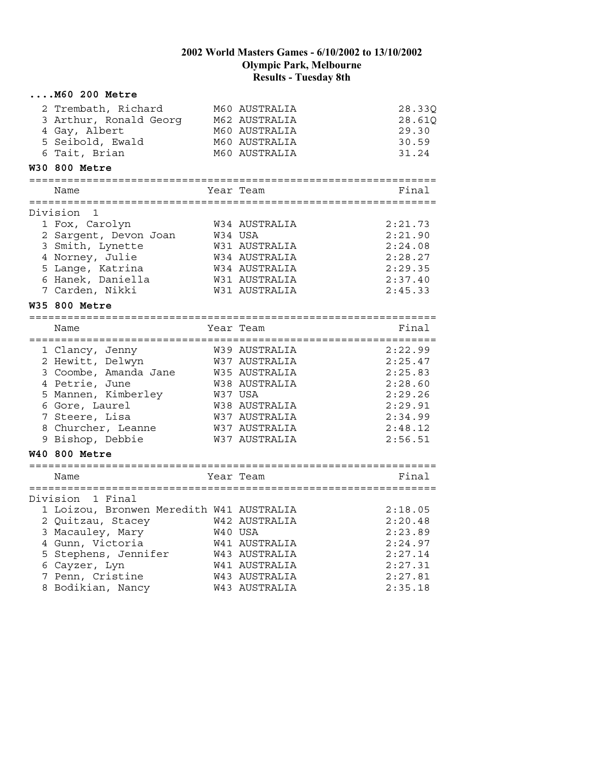| 2 Trembath, Richard<br>3 Arthur, Ronald Georg<br>4 Gay, Albert<br>5 Seibold, Ewald<br>6 Tait, Brian                                                                                 |                                                              | M60 AUSTRALIA<br>M62 AUSTRALIA<br>M60 AUSTRALIA | 28.33Q<br>28.61Q                                                                                                                                                                                                                                                                                                                                                                                                                                                                       |
|-------------------------------------------------------------------------------------------------------------------------------------------------------------------------------------|--------------------------------------------------------------|-------------------------------------------------|----------------------------------------------------------------------------------------------------------------------------------------------------------------------------------------------------------------------------------------------------------------------------------------------------------------------------------------------------------------------------------------------------------------------------------------------------------------------------------------|
|                                                                                                                                                                                     |                                                              |                                                 | 29.30                                                                                                                                                                                                                                                                                                                                                                                                                                                                                  |
|                                                                                                                                                                                     |                                                              | M60 AUSTRALIA<br>M60 AUSTRALIA                  | 30.59<br>31.24                                                                                                                                                                                                                                                                                                                                                                                                                                                                         |
| W30 800 Metre                                                                                                                                                                       |                                                              |                                                 |                                                                                                                                                                                                                                                                                                                                                                                                                                                                                        |
| Name                                                                                                                                                                                |                                                              |                                                 | Final                                                                                                                                                                                                                                                                                                                                                                                                                                                                                  |
| Division<br>1                                                                                                                                                                       |                                                              |                                                 |                                                                                                                                                                                                                                                                                                                                                                                                                                                                                        |
| 1 Fox, Carolyn<br>2 Sargent, Devon Joan<br>3 Smith, Lynette                                                                                                                         |                                                              |                                                 | 2:21.73<br>2:21.90<br>2:24.08<br>2:28.27                                                                                                                                                                                                                                                                                                                                                                                                                                               |
| 5 Lange, Katrina<br>6 Hanek, Daniella<br>7 Carden, Nikki                                                                                                                            |                                                              |                                                 | 2:29.35<br>2:37.40<br>2:45.33                                                                                                                                                                                                                                                                                                                                                                                                                                                          |
| W35 800 Metre                                                                                                                                                                       |                                                              |                                                 |                                                                                                                                                                                                                                                                                                                                                                                                                                                                                        |
| Name                                                                                                                                                                                |                                                              |                                                 | Final                                                                                                                                                                                                                                                                                                                                                                                                                                                                                  |
| 1 Clancy, Jenny<br>2 Hewitt, Delwyn<br>3 Coombe, Amanda Jane<br>4 Petrie, June<br>5 Mannen, Kimberley<br>6 Gore, Laurel<br>7 Steere, Lisa<br>8 Churcher, Leanne<br>9 Bishop, Debbie |                                                              |                                                 | 2:22.99<br>2:25.47<br>2:25.83<br>2:28.60<br>2:29.26<br>2:29.91<br>2:34.99<br>2:48.12<br>2:56.51                                                                                                                                                                                                                                                                                                                                                                                        |
|                                                                                                                                                                                     |                                                              |                                                 |                                                                                                                                                                                                                                                                                                                                                                                                                                                                                        |
| Name                                                                                                                                                                                |                                                              |                                                 | Final                                                                                                                                                                                                                                                                                                                                                                                                                                                                                  |
| Division 1 Final<br>3 Macauley, Mary<br>4 Gunn, Victoria<br>5 Stephens, Jennifer<br>6 Cayzer, Lyn<br>7 Penn, Cristine                                                               |                                                              |                                                 | 2:18.05<br>2:20.48<br>2:23.89<br>2:24.97<br>2:27.14<br>2:27.31<br>2:27.81<br>2:35.18                                                                                                                                                                                                                                                                                                                                                                                                   |
|                                                                                                                                                                                     | 4 Norney, Julie<br><b>W40 800 Metre</b><br>8 Bodikian, Nancy |                                                 | Year Team<br>W34 AUSTRALIA<br>W34 USA<br>W31 AUSTRALIA<br>W34 AUSTRALIA<br>W34 AUSTRALIA<br>W31 AUSTRALIA<br>W31 AUSTRALIA<br>Year Team<br>W39 AUSTRALIA<br>W37 AUSTRALIA<br>W35 AUSTRALIA<br>W38 AUSTRALIA<br>W37 USA<br>W38 AUSTRALIA<br>W37 AUSTRALIA<br>W37 AUSTRALIA<br>W37 AUSTRALIA<br>Year Team<br>1 Loizou, Bronwen Meredith W41 AUSTRALIA<br>2 Quitzau, Stacey 642 AUSTRALIA<br>W40 USA<br>W41 AUSTRALIA<br>W43 AUSTRALIA<br>W41 AUSTRALIA<br>W43 AUSTRALIA<br>W43 AUSTRALIA |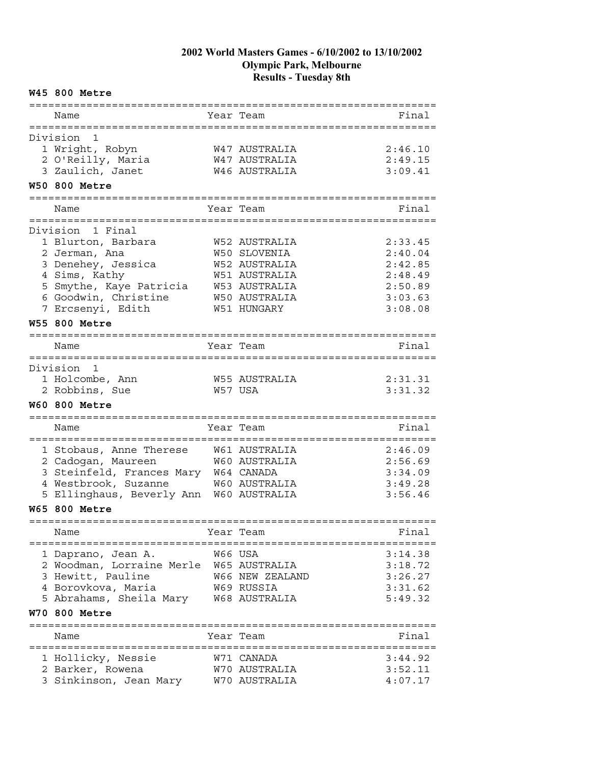#### **W45 800 Metre**

| :==========                                              |         | :================================ |         |
|----------------------------------------------------------|---------|-----------------------------------|---------|
| Name                                                     |         | Year Team                         | Final   |
| Division<br>1                                            |         |                                   |         |
|                                                          |         | W47 AUSTRALIA                     | 2:46.10 |
| 1 Wright, Robyn<br>2 O'Reilly, Maria                     |         |                                   |         |
| 3 Zaulich, Janet                                         |         | W47 AUSTRALIA<br>W46 AUSTRALIA    | 2:49.15 |
| <b>W50 800 Metre</b>                                     |         |                                   | 3:09.41 |
|                                                          |         |                                   |         |
| Name                                                     |         | Year Team                         | Final   |
| Division 1 Final                                         |         |                                   |         |
| 1 Blurton, Barbara                                       |         | W52 AUSTRALIA                     | 2:33.45 |
| 2 Jerman, Ana                                            |         | W50 SLOVENIA                      | 2:40.04 |
| 3 Denehey, Jessica                                       |         | W52 AUSTRALIA                     | 2:42.85 |
| 4 Sims, Kathy                                            |         | W51 AUSTRALIA                     | 2:48.49 |
| 5 Smythe, Kaye Patricia                                  |         | W53 AUSTRALIA                     | 2:50.89 |
| 6 Goodwin, Christine                                     |         | W50 AUSTRALIA                     | 3:03.63 |
| 7 Ercsenyi, Edith                                        |         | <b>W51 HUNGARY</b>                | 3:08.08 |
| <b>W55 800 Metre</b>                                     |         |                                   |         |
| ===========                                              |         |                                   |         |
| Name                                                     |         | Year Team                         | Final   |
| Division<br>1                                            |         |                                   |         |
| 1 Holcombe, Ann                                          |         | W55 AUSTRALIA                     | 2:31.31 |
| 2 Robbins, Sue                                           |         | W57 USA                           | 3:31.32 |
|                                                          |         |                                   |         |
| <b>W60 800 Metre</b>                                     |         |                                   |         |
|                                                          |         |                                   |         |
| Name                                                     |         | Year Team                         | Final   |
|                                                          |         |                                   |         |
| 1 Stobaus, Anne Therese                                  |         | W61 AUSTRALIA                     | 2:46.09 |
| 2 Cadogan, Maureen                                       |         | W60 AUSTRALIA                     | 2:56.69 |
| 3 Steinfeld, Frances Mary W64 CANADA                     |         |                                   | 3:34.09 |
| 4 Westbrook, Suzanne                                     |         | W60 AUSTRALIA                     | 3:49.28 |
| 5 Ellinghaus, Beverly Ann W60 AUSTRALIA                  |         |                                   | 3:56.46 |
| <b>W65 800 Metre</b>                                     |         |                                   |         |
| Name                                                     |         | Year Team                         | Final   |
|                                                          | W66 USA |                                   | 3:14.38 |
| 1 Daprano, Jean A.                                       |         |                                   |         |
| 2 Woodman, Lorraine Merle W65 AUSTRALIA                  |         |                                   | 3:18.72 |
| 3 Hewitt, Pauline                                        |         | W66 NEW ZEALAND                   | 3:26.27 |
| 4 Borovkova, Maria                                       |         | W69 RUSSIA                        | 3:31.62 |
| 5 Abrahams, Sheila Mary W68 AUSTRALIA                    |         |                                   | 5:49.32 |
| W70 800 Metre                                            |         |                                   |         |
| Name                                                     |         | Year Team                         | Final   |
|                                                          |         | W71 CANADA                        | 3:44.92 |
| 1 Hollicky, Nessie                                       |         | W70 AUSTRALIA                     | 3:52.11 |
| 2 Barker, Rowena<br>3 Sinkinson, Jean Mary W70 AUSTRALIA |         |                                   | 4:07.17 |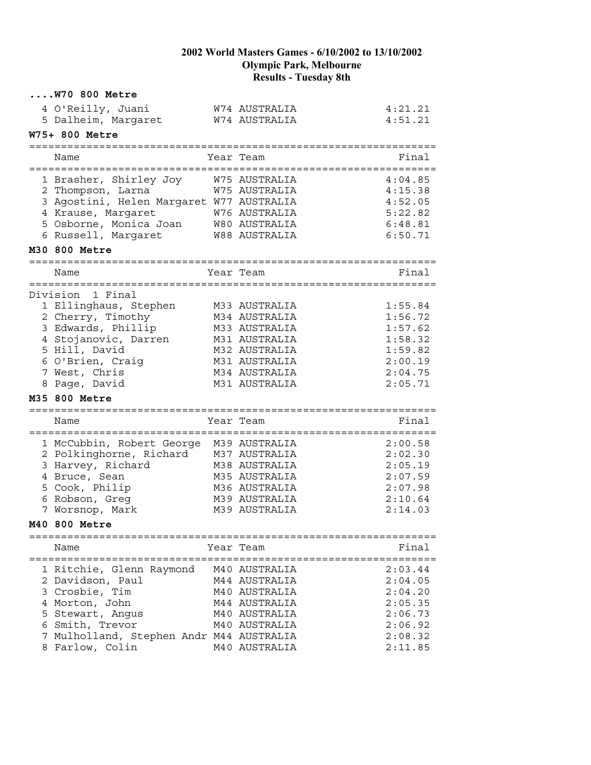| 4 O'Reilly, Juani                                           | W74 AUSTRALIA        | 4:21.21            |
|-------------------------------------------------------------|----------------------|--------------------|
| 5 Dalheim, Margaret                                         | W74 AUSTRALIA        | 4:51.21            |
| W75+ 800 Metre                                              |                      |                    |
| Name                                                        | Year Team            | Final              |
| 1 Brasher, Shirley Joy                                      | W75 AUSTRALIA        | 4:04.85            |
| 2 Thompson, Larna                                           | W75 AUSTRALIA        | 4:15.38            |
| 3 Agostini, Helen Margaret W77 AUSTRALIA                    |                      | 4:52.05            |
| 4 Krause, Margaret                                          | W76 AUSTRALIA        | 5:22.82            |
| 5 Osborne, Monica Joan                                      | W80 AUSTRALIA        | 6:48.81            |
| 6 Russell, Margaret                                         | <b>W88 AUSTRALIA</b> | 6:50.71            |
| M30 800 Metre                                               |                      |                    |
| Name                                                        | Year Team            | Final              |
|                                                             |                      |                    |
| Division 1 Final                                            |                      |                    |
| 1 Ellinghaus, Stephen                                       | M33 AUSTRALIA        | 1:55.84            |
| 2 Cherry, Timothy                                           | M34 AUSTRALIA        | 1:56.72            |
| 3 Edwards, Phillip                                          | M33 AUSTRALIA        | 1:57.62            |
| 4 Stojanovic, Darren                                        | M31 AUSTRALIA        | 1:58.32            |
| 5 Hill, David                                               | M32 AUSTRALIA        | 1:59.82            |
| 6 O'Brien, Craig                                            | M31 AUSTRALIA        | 2:00.19            |
| 7 West, Chris                                               | M34 AUSTRALIA        | 2:04.75            |
| 8 Page, David                                               | M31 AUSTRALIA        | 2:05.71            |
| M35 800 Metre                                               |                      |                    |
| Name                                                        | Year Team            | Final              |
|                                                             |                      |                    |
|                                                             |                      |                    |
| 1 McCubbin, Robert George                                   | M39 AUSTRALIA        | 2:00.58            |
| 2 Polkinghorne, Richard                                     | M37 AUSTRALIA        | 2:02.30            |
| 3 Harvey, Richard                                           | M38 AUSTRALIA        | 2:05.19            |
| 4 Bruce, Sean                                               | M35 AUSTRALIA        | 2:07.59            |
| 5 Cook, Philip                                              | M36 AUSTRALIA        | 2:07.98            |
| 6 Robson, Greq                                              | M39 AUSTRALIA        | 2:10.64            |
| 7 Worsnop, Mark                                             | M39 AUSTRALIA        | 2:14.03            |
| M40 800 Metre                                               |                      |                    |
| Name                                                        |                      | Final              |
|                                                             | Year Team            |                    |
| 1 Ritchie, Glenn Raymond                                    | M40 AUSTRALIA        | 2:03.44            |
| 2 Davidson, Paul                                            | M44 AUSTRALIA        | 2:04.05            |
| 3 Crosbie, Tim                                              | M40 AUSTRALIA        | 2:04.20            |
| 4 Morton, John                                              | M44 AUSTRALIA        | 2:05.35            |
| 5 Stewart, Angus                                            | M40 AUSTRALIA        | 2:06.73            |
| 6 Smith, Trevor                                             | M40 AUSTRALIA        | 2:06.92            |
| 7 Mulholland, Stephen Andr M44 AUSTRALIA<br>8 Farlow, Colin | M40 AUSTRALIA        | 2:08.32<br>2:11.85 |

**....W70 800 Metre**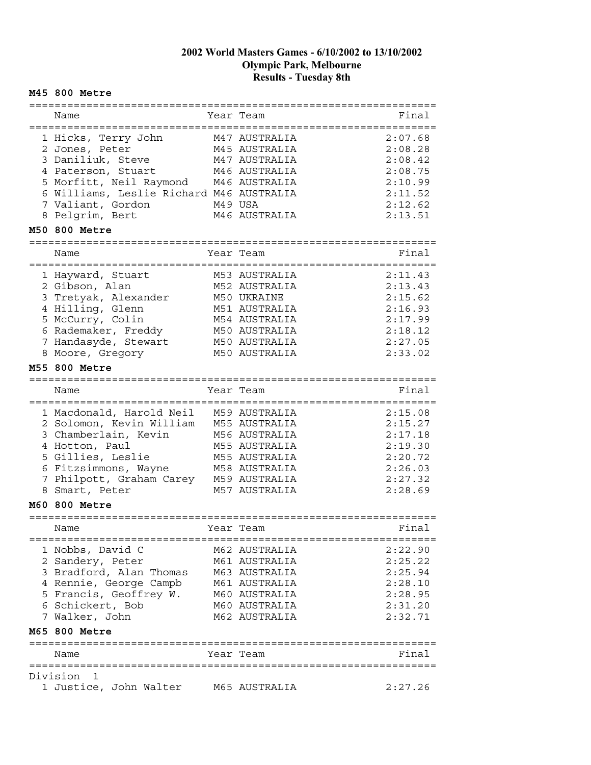#### **M45 800 Metre**

| Name                                     | Year Team                 | Final   |
|------------------------------------------|---------------------------|---------|
| =====================================    | -----------               |         |
| 1 Hicks, Terry John                      | M47 AUSTRALIA             | 2:07.68 |
| 2 Jones, Peter                           | M45 AUSTRALIA             | 2:08.28 |
| 3 Daniliuk, Steve                        | M47 AUSTRALIA             | 2:08.42 |
| 4 Paterson, Stuart                       | M46 AUSTRALIA             | 2:08.75 |
|                                          | M46 AUSTRALIA             | 2:10.99 |
| 5 Morfitt, Neil Raymond                  |                           |         |
| 6 Williams, Leslie Richard M46 AUSTRALIA |                           | 2:11.52 |
| 7 Valiant, Gordon                        | M49 USA                   | 2:12.62 |
| 8 Pelgrim, Bert                          | M46 AUSTRALIA             | 2:13.51 |
| M50 800 Metre                            |                           |         |
|                                          |                           |         |
| Name                                     | Year Team                 | Final   |
|                                          |                           |         |
| 1 Hayward, Stuart                        | M53 AUSTRALIA             | 2:11.43 |
| 2 Gibson, Alan                           | M52 AUSTRALIA             | 2:13.43 |
| 3 Tretyak, Alexander                     | M50 UKRAINE               | 2:15.62 |
| 4 Hilling, Glenn                         | M51 AUSTRALIA             | 2:16.93 |
| 5 McCurry, Colin                         | M54 AUSTRALIA             | 2:17.99 |
| 6 Rademaker, Freddy                      | M50 AUSTRALIA             | 2:18.12 |
| 7 Handasyde, Stewart                     | M50 AUSTRALIA             | 2:27.05 |
| 8 Moore, Gregory                         | M50 AUSTRALIA             | 2:33.02 |
|                                          |                           |         |
| M55 800 Metre                            |                           |         |
|                                          |                           |         |
| Name                                     | Year Team                 | Final   |
|                                          |                           |         |
| 1 Macdonald, Harold Neil                 | M59 AUSTRALIA             | 2:15.08 |
| 2 Solomon, Kevin William                 | M55 AUSTRALIA             | 2:15.27 |
| 3 Chamberlain, Kevin                     | M56 AUSTRALIA             | 2:17.18 |
| 4 Hotton, Paul                           | M55 AUSTRALIA             | 2:19.30 |
| 5 Gillies, Leslie                        | M55 AUSTRALIA             | 2:20.72 |
| 6 Fitzsimmons, Wayne                     | M58 AUSTRALIA             | 2:26.03 |
| 7 Philpott, Graham Carey                 | M59 AUSTRALIA             | 2:27.32 |
| 8 Smart, Peter                           | M57 AUSTRALIA             | 2:28.69 |
| <b>M60 800 Metre</b>                     |                           |         |
|                                          |                           |         |
| Name                                     | Year Team                 | Final   |
| =================================        |                           |         |
| 1 Nobbs, David C                         | M62 AUSTRALIA             | 2:22.90 |
| 2 Sandery, Peter                         | M61 AUSTRALIA             | 2:25.22 |
| 3 Bradford, Alan Thomas                  | M63 AUSTRALIA             | 2:25.94 |
| 4 Rennie, George Campb                   | M61 AUSTRALIA             | 2:28.10 |
| 5 Francis, Geoffrey W.                   | M60 AUSTRALIA             | 2:28.95 |
| 6 Schickert, Bob                         | M60 AUSTRALIA             | 2:31.20 |
| 7 Walker, John                           | M62 AUSTRALIA             | 2:32.71 |
| M65 800 Metre                            |                           |         |
| ==============================           | ------------------------- |         |
| Name                                     | Year Team                 | Final   |
|                                          |                           |         |
| Division<br>1                            |                           |         |
| 1 Justice, John Walter                   | M65 AUSTRALIA             | 2:27.26 |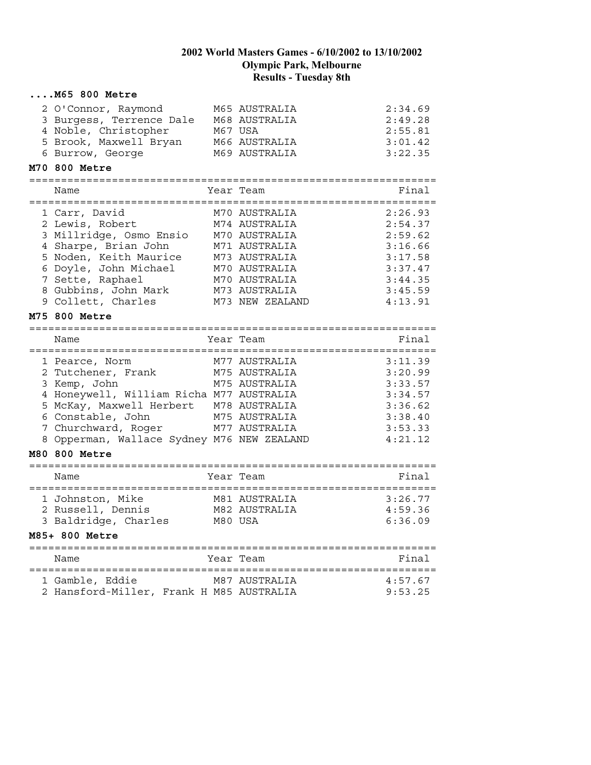| $\ldots$ . M65 800 Metre                                                                                              |                                                                             |                                                     |
|-----------------------------------------------------------------------------------------------------------------------|-----------------------------------------------------------------------------|-----------------------------------------------------|
| 2 O'Connor, Raymond<br>3 Burgess, Terrence Dale<br>4 Noble, Christopher<br>5 Brook, Maxwell Bryan<br>6 Burrow, George | M65 AUSTRALIA<br>M68 AUSTRALIA<br>M67 USA<br>M66 AUSTRALIA<br>M69 AUSTRALIA | 2:34.69<br>2:49.28<br>2:55.81<br>3:01.42<br>3:22.35 |
| M70 800 Metre                                                                                                         |                                                                             |                                                     |
|                                                                                                                       |                                                                             |                                                     |
| Name                                                                                                                  | Year Team                                                                   | Final                                               |
| 1 Carr, David                                                                                                         | M70 AUSTRALIA                                                               | 2:26.93                                             |
| 2 Lewis, Robert                                                                                                       | M74 AUSTRALIA                                                               | 2:54.37                                             |
| 3 Millridge, Osmo Ensio                                                                                               | M70 AUSTRALIA                                                               | 2:59.62                                             |
| 4 Sharpe, Brian John                                                                                                  | M71 AUSTRALIA                                                               | 3:16.66                                             |
| 5 Noden, Keith Maurice                                                                                                | M73 AUSTRALIA                                                               | 3:17.58                                             |
| 6 Doyle, John Michael                                                                                                 | M70 AUSTRALIA                                                               | 3:37.47                                             |
| 7 Sette, Raphael                                                                                                      | M70 AUSTRALIA                                                               | 3:44.35                                             |
| 8 Gubbins, John Mark                                                                                                  | M73 AUSTRALIA                                                               | 3:45.59                                             |
| 9 Collett, Charles                                                                                                    | M73 NEW ZEALAND                                                             | 4:13.91                                             |
| M75 800 Metre                                                                                                         |                                                                             |                                                     |
|                                                                                                                       |                                                                             |                                                     |
| Name                                                                                                                  | Year Team                                                                   | Final                                               |
|                                                                                                                       |                                                                             |                                                     |
| 1 Pearce, Norm                                                                                                        | M77 AUSTRALIA                                                               | 3:11.39                                             |
| 2 Tutchener, Frank                                                                                                    | M75 AUSTRALIA                                                               | 3:20.99                                             |
| 3 Kemp, John                                                                                                          | M75 AUSTRALIA                                                               | 3:33.57                                             |
| 4 Honeywell, William Richa M77 AUSTRALIA                                                                              |                                                                             | 3:34.57                                             |
| 5 McKay, Maxwell Herbert M78 AUSTRALIA                                                                                |                                                                             | 3:36.62                                             |
| 6 Constable, John                                                                                                     | M75 AUSTRALIA                                                               | 3:38.40                                             |
| 7 Churchward, Roger                                                                                                   | M77 AUSTRALIA                                                               | 3:53.33                                             |
| 8 Opperman, Wallace Sydney M76 NEW ZEALAND                                                                            |                                                                             | 4:21.12                                             |
| <b>M80 800 Metre</b>                                                                                                  |                                                                             |                                                     |
| Name                                                                                                                  | Year Team                                                                   | Final                                               |
|                                                                                                                       |                                                                             |                                                     |
| 1 Johnston, Mike                                                                                                      | M81 AUSTRALIA                                                               | 3:26.77                                             |
| 2 Russell, Dennis                                                                                                     | M82 AUSTRALIA                                                               | 4:59.36                                             |
| 3 Baldridge, Charles M80 USA                                                                                          |                                                                             | 6:36.09                                             |
| M85+ 800 Metre                                                                                                        |                                                                             |                                                     |
|                                                                                                                       |                                                                             |                                                     |
| Name                                                                                                                  | Year Team                                                                   | Final                                               |
|                                                                                                                       |                                                                             |                                                     |
| 1 Gamble, Eddie                                                                                                       | M87 AUSTRALIA                                                               | 4:57.67                                             |
| 2 Hansford-Miller, Frank H M85 AUSTRALIA                                                                              |                                                                             | 9:53.25                                             |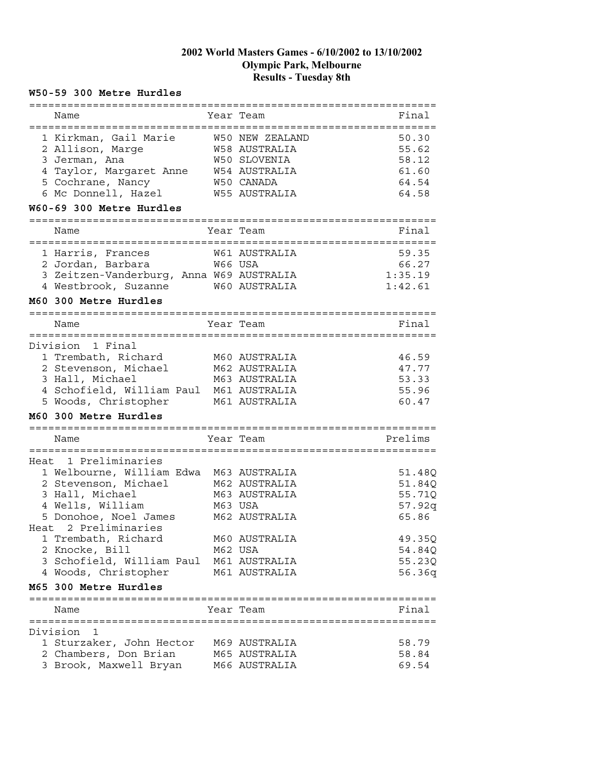#### **W50-59 300 Metre Hurdles**

| ==========                                                    |               |                      | ======================     |
|---------------------------------------------------------------|---------------|----------------------|----------------------------|
| Name                                                          |               | Year Team            | Final<br>============      |
| 1 Kirkman, Gail Marie                                         |               | W50 NEW ZEALAND      | 50.30                      |
| 2 Allison, Marge                                              |               | <b>W58 AUSTRALIA</b> | 55.62                      |
| 3 Jerman, Ana                                                 |               | W50 SLOVENIA         | 58.12                      |
| 4 Taylor, Margaret Anne                                       |               | W54 AUSTRALIA        | 61.60                      |
| 5 Cochrane, Nancy                                             |               | W50 CANADA           | 64.54                      |
| 6 Mc Donnell, Hazel                                           |               | W55 AUSTRALIA        | 64.58                      |
| W60-69 300 Metre Hurdles                                      |               |                      |                            |
| Name                                                          |               | Year Team            | Final                      |
| ---------------------                                         | :============ | W61 AUSTRALIA        | =================<br>59.35 |
| 1 Harris, Frances                                             |               | W66 USA              | 66.27                      |
| 2 Jordan, Barbara<br>3 Zeitzen-Vanderburg, Anna W69 AUSTRALIA |               |                      | 1:35.19                    |
| 4 Westbrook, Suzanne                                          |               | W60 AUSTRALIA        | 1:42.61                    |
| M60 300 Metre Hurdles                                         |               |                      |                            |
|                                                               |               |                      |                            |
| Name                                                          |               | Year Team            | Final                      |
| Division 1 Final                                              |               |                      |                            |
| 1 Trembath, Richard                                           |               | M60 AUSTRALIA        | 46.59                      |
| 2 Stevenson, Michael                                          |               | M62 AUSTRALIA        | 47.77                      |
| 3 Hall, Michael                                               |               | M63 AUSTRALIA        | 53.33                      |
| 4 Schofield, William Paul M61 AUSTRALIA                       |               |                      | 55.96                      |
| 5 Woods, Christopher                                          |               | M61 AUSTRALIA        | 60.47                      |
| M60 300 Metre Hurdles                                         |               |                      |                            |
| =====================================                         |               |                      |                            |
| Name                                                          |               | Year Team            | Prelims                    |
| Heat 1 Preliminaries                                          |               |                      |                            |
| 1 Welbourne, William Edwa                                     |               | M63 AUSTRALIA        | 51.48Q                     |
| 2 Stevenson, Michael                                          |               | M62 AUSTRALIA        | 51.84Q                     |
| 3 Hall, Michael                                               |               | M63 AUSTRALIA        | 55.71Q                     |
| 4 Wells, William                                              |               | M63 USA              | 57.92q                     |
| 5 Donohoe, Noel James                                         |               | M62 AUSTRALIA        | 65.86                      |
| Heat 2 Preliminaries                                          |               |                      |                            |
| 1 Trembath, Richard                                           |               | M60 AUSTRALIA        | 49.35Q                     |
| 2 Knocke, Bill                                                |               | M62 USA              | 54.84Q                     |
| 3 Schofield, William Paul                                     |               | M61 AUSTRALIA        | 55.23Q                     |
| 4 Woods, Christopher                                          |               | M61 AUSTRALIA        | 56.36q                     |
| M65 300 Metre Hurdles                                         |               |                      |                            |
| Name                                                          |               | Year Team            | Final                      |
| Division<br>1                                                 |               |                      |                            |
| 1 Sturzaker, John Hector                                      |               | M69 AUSTRALIA        | 58.79                      |
| 2 Chambers, Don Brian                                         |               | M65 AUSTRALIA        | 58.84                      |
| 3 Brook, Maxwell Bryan                                        |               | M66 AUSTRALIA        | 69.54                      |
|                                                               |               |                      |                            |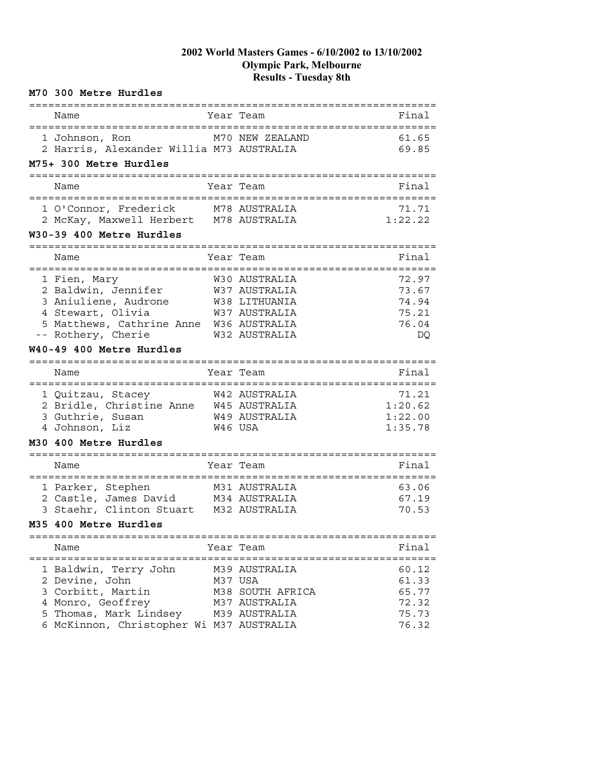| M70 300 Metre Hurdles                                                                                                                                   |                                                                                   |                                                    |
|---------------------------------------------------------------------------------------------------------------------------------------------------------|-----------------------------------------------------------------------------------|----------------------------------------------------|
| =================================<br>Name                                                                                                               | Year Team                                                                         | Final                                              |
| 1 Johnson, Ron<br>2 Harris, Alexander Willia M73 AUSTRALIA<br>M75+ 300 Metre Hurdles                                                                    | M70 NEW ZEALAND                                                                   | 61.65<br>69.85                                     |
|                                                                                                                                                         |                                                                                   |                                                    |
| Name                                                                                                                                                    | Year Team                                                                         | Final                                              |
| 1 O'Connor, Frederick<br>2 McKay, Maxwell Herbert M78 AUSTRALIA<br>W30-39 400 Metre Hurdles                                                             | M78 AUSTRALIA                                                                     | 71.71<br>1:22.22                                   |
| Name                                                                                                                                                    | Year Team                                                                         | Final                                              |
| 1 Fien, Mary<br>2 Baldwin, Jennifer<br>3 Aniuliene, Audrone<br>4 Stewart, Olivia<br>5 Matthews, Cathrine Anne W36 AUSTRALIA<br>-- Rothery, Cherie       | W30 AUSTRALIA<br>W37 AUSTRALIA<br>W38 LITHUANIA<br>W37 AUSTRALIA<br>W32 AUSTRALIA | 72.97<br>73.67<br>74.94<br>75.21<br>76.04<br>DQ    |
| W40-49 400 Metre Hurdles                                                                                                                                |                                                                                   |                                                    |
| Name                                                                                                                                                    | Year Team                                                                         | Final                                              |
| 1 Quitzau, Stacey<br>2 Bridle, Christine Anne W45 AUSTRALIA<br>3 Guthrie, Susan<br>4 Johnson, Liz<br>M30 400 Metre Hurdles                              | W42 AUSTRALIA<br>W49 AUSTRALIA<br>W46 USA                                         | 71.21<br>1:20.62<br>1:22.00<br>1:35.78             |
|                                                                                                                                                         |                                                                                   |                                                    |
| Name                                                                                                                                                    | Year Team                                                                         | Final                                              |
| 1 Parker, Stephen<br>2 Castle, James David M34 AUSTRALIA<br>3 Staehr, Clinton Stuart M32 AUSTRALIA<br>M35 400 Metre Hurdles                             | M31 AUSTRALIA                                                                     | 63.06<br>67.19<br>70.53                            |
| =========================                                                                                                                               |                                                                                   |                                                    |
| Name                                                                                                                                                    | Year Team                                                                         | Final                                              |
| 1 Baldwin, Terry John<br>2 Devine, John<br>3 Corbitt, Martin<br>4 Monro, Geoffrey<br>5 Thomas, Mark Lindsey<br>6 McKinnon, Christopher Wi M37 AUSTRALIA | M39 AUSTRALIA<br>M37 USA<br>M38 SOUTH AFRICA<br>M37 AUSTRALIA<br>M39 AUSTRALIA    | 60.12<br>61.33<br>65.77<br>72.32<br>75.73<br>76.32 |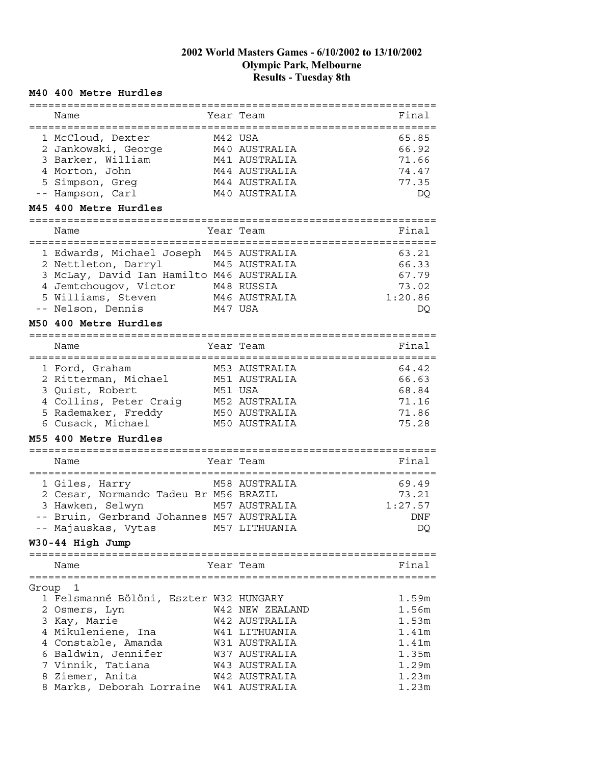## **M40 400 Metre Hurdles**

| Final<br>Name<br>Year Team<br>:============<br>65.85<br>1 McCloud, Dexter<br>M42 USA<br>2 Jankowski, George<br>66.92<br>M40 AUSTRALIA<br>3 Barker, William<br>71.66<br>M41 AUSTRALIA<br>4 Morton, John<br>M44 AUSTRALIA<br>74.47<br>5 Simpson, Greg<br>M44 AUSTRALIA<br>77.35<br>-- Hampson, Carl<br>M40 AUSTRALIA<br>DQ<br>M45 400 Metre Hurdles<br>=============================<br>Final<br>Name<br>Year Team<br>1 Edwards, Michael Joseph M45 AUSTRALIA<br>63.21<br>66.33<br>2 Nettleton, Darryl<br>M45 AUSTRALIA<br>3 McLay, David Ian Hamilto M46 AUSTRALIA<br>67.79<br>4 Jemtchougov, Victor<br>M48 RUSSIA<br>73.02<br>5 Williams, Steven<br>M46 AUSTRALIA<br>1:20.86<br>-- Nelson, Dennis<br>M47 USA<br>DQ<br>M50 400 Metre Hurdles<br>=================<br>Name<br>Year Team<br>Final<br>M53 AUSTRALIA<br>64.42<br>1 Ford, Graham<br>2 Ritterman, Michael<br>M51 AUSTRALIA<br>66.63<br>3 Quist, Robert<br>68.84<br>M51 USA<br>4 Collins, Peter Craig<br>M52 AUSTRALIA<br>71.16<br>5 Rademaker, Freddy<br>71.86<br>M50 AUSTRALIA<br>6 Cusack, Michael<br>75.28<br>M50 AUSTRALIA<br>M55 400 Metre Hurdles<br>==============<br>Final<br>Name<br>Year Team<br>===================<br>69.49<br>M58 AUSTRALIA<br>1 Giles, Harry<br>2 Cesar, Normando Tadeu Br M56 BRAZIL<br>73.21<br>3 Hawken, Selwyn<br>M57 AUSTRALIA<br>1:27.57<br>-- Bruin, Gerbrand Johannes M57 AUSTRALIA<br>DNF<br>-- Majauskas, Vytas<br>M57 LITHUANIA<br>DQ<br>W30-44 High Jump<br>Final<br>Year Team<br>Name<br>Group 1<br>1 Felsmanné Bölöni, Eszter W32 HUNGARY<br>1.59m<br>1.56m<br>W42 NEW ZEALAND<br>2 Osmers, Lyn<br>1.53m<br>3 Kay, Marie<br>W42 AUSTRALIA<br>4 Mikuleniene, Ina<br>1.41m<br>W41 LITHUANIA<br>4 Constable, Amanda<br>1.41m<br>W31 AUSTRALIA<br>6 Baldwin, Jennifer<br>W37 AUSTRALIA<br>1.35m<br>7 Vinnik, Tatiana<br>W43 AUSTRALIA<br>1.29m<br>8 Ziemer, Anita<br>1.23m<br>W42 AUSTRALIA<br>8 Marks, Deborah Lorraine W41 AUSTRALIA<br>1.23m |  |  |  |
|--------------------------------------------------------------------------------------------------------------------------------------------------------------------------------------------------------------------------------------------------------------------------------------------------------------------------------------------------------------------------------------------------------------------------------------------------------------------------------------------------------------------------------------------------------------------------------------------------------------------------------------------------------------------------------------------------------------------------------------------------------------------------------------------------------------------------------------------------------------------------------------------------------------------------------------------------------------------------------------------------------------------------------------------------------------------------------------------------------------------------------------------------------------------------------------------------------------------------------------------------------------------------------------------------------------------------------------------------------------------------------------------------------------------------------------------------------------------------------------------------------------------------------------------------------------------------------------------------------------------------------------------------------------------------------------------------------------------------------------------------------------------------------------------------------------------------------------------------------------------------------------------------------------------------------------------------|--|--|--|
|                                                                                                                                                                                                                                                                                                                                                                                                                                                                                                                                                                                                                                                                                                                                                                                                                                                                                                                                                                                                                                                                                                                                                                                                                                                                                                                                                                                                                                                                                                                                                                                                                                                                                                                                                                                                                                                                                                                                                  |  |  |  |
|                                                                                                                                                                                                                                                                                                                                                                                                                                                                                                                                                                                                                                                                                                                                                                                                                                                                                                                                                                                                                                                                                                                                                                                                                                                                                                                                                                                                                                                                                                                                                                                                                                                                                                                                                                                                                                                                                                                                                  |  |  |  |
|                                                                                                                                                                                                                                                                                                                                                                                                                                                                                                                                                                                                                                                                                                                                                                                                                                                                                                                                                                                                                                                                                                                                                                                                                                                                                                                                                                                                                                                                                                                                                                                                                                                                                                                                                                                                                                                                                                                                                  |  |  |  |
|                                                                                                                                                                                                                                                                                                                                                                                                                                                                                                                                                                                                                                                                                                                                                                                                                                                                                                                                                                                                                                                                                                                                                                                                                                                                                                                                                                                                                                                                                                                                                                                                                                                                                                                                                                                                                                                                                                                                                  |  |  |  |
|                                                                                                                                                                                                                                                                                                                                                                                                                                                                                                                                                                                                                                                                                                                                                                                                                                                                                                                                                                                                                                                                                                                                                                                                                                                                                                                                                                                                                                                                                                                                                                                                                                                                                                                                                                                                                                                                                                                                                  |  |  |  |
|                                                                                                                                                                                                                                                                                                                                                                                                                                                                                                                                                                                                                                                                                                                                                                                                                                                                                                                                                                                                                                                                                                                                                                                                                                                                                                                                                                                                                                                                                                                                                                                                                                                                                                                                                                                                                                                                                                                                                  |  |  |  |
|                                                                                                                                                                                                                                                                                                                                                                                                                                                                                                                                                                                                                                                                                                                                                                                                                                                                                                                                                                                                                                                                                                                                                                                                                                                                                                                                                                                                                                                                                                                                                                                                                                                                                                                                                                                                                                                                                                                                                  |  |  |  |
|                                                                                                                                                                                                                                                                                                                                                                                                                                                                                                                                                                                                                                                                                                                                                                                                                                                                                                                                                                                                                                                                                                                                                                                                                                                                                                                                                                                                                                                                                                                                                                                                                                                                                                                                                                                                                                                                                                                                                  |  |  |  |
|                                                                                                                                                                                                                                                                                                                                                                                                                                                                                                                                                                                                                                                                                                                                                                                                                                                                                                                                                                                                                                                                                                                                                                                                                                                                                                                                                                                                                                                                                                                                                                                                                                                                                                                                                                                                                                                                                                                                                  |  |  |  |
|                                                                                                                                                                                                                                                                                                                                                                                                                                                                                                                                                                                                                                                                                                                                                                                                                                                                                                                                                                                                                                                                                                                                                                                                                                                                                                                                                                                                                                                                                                                                                                                                                                                                                                                                                                                                                                                                                                                                                  |  |  |  |
|                                                                                                                                                                                                                                                                                                                                                                                                                                                                                                                                                                                                                                                                                                                                                                                                                                                                                                                                                                                                                                                                                                                                                                                                                                                                                                                                                                                                                                                                                                                                                                                                                                                                                                                                                                                                                                                                                                                                                  |  |  |  |
|                                                                                                                                                                                                                                                                                                                                                                                                                                                                                                                                                                                                                                                                                                                                                                                                                                                                                                                                                                                                                                                                                                                                                                                                                                                                                                                                                                                                                                                                                                                                                                                                                                                                                                                                                                                                                                                                                                                                                  |  |  |  |
|                                                                                                                                                                                                                                                                                                                                                                                                                                                                                                                                                                                                                                                                                                                                                                                                                                                                                                                                                                                                                                                                                                                                                                                                                                                                                                                                                                                                                                                                                                                                                                                                                                                                                                                                                                                                                                                                                                                                                  |  |  |  |
|                                                                                                                                                                                                                                                                                                                                                                                                                                                                                                                                                                                                                                                                                                                                                                                                                                                                                                                                                                                                                                                                                                                                                                                                                                                                                                                                                                                                                                                                                                                                                                                                                                                                                                                                                                                                                                                                                                                                                  |  |  |  |
|                                                                                                                                                                                                                                                                                                                                                                                                                                                                                                                                                                                                                                                                                                                                                                                                                                                                                                                                                                                                                                                                                                                                                                                                                                                                                                                                                                                                                                                                                                                                                                                                                                                                                                                                                                                                                                                                                                                                                  |  |  |  |
|                                                                                                                                                                                                                                                                                                                                                                                                                                                                                                                                                                                                                                                                                                                                                                                                                                                                                                                                                                                                                                                                                                                                                                                                                                                                                                                                                                                                                                                                                                                                                                                                                                                                                                                                                                                                                                                                                                                                                  |  |  |  |
|                                                                                                                                                                                                                                                                                                                                                                                                                                                                                                                                                                                                                                                                                                                                                                                                                                                                                                                                                                                                                                                                                                                                                                                                                                                                                                                                                                                                                                                                                                                                                                                                                                                                                                                                                                                                                                                                                                                                                  |  |  |  |
|                                                                                                                                                                                                                                                                                                                                                                                                                                                                                                                                                                                                                                                                                                                                                                                                                                                                                                                                                                                                                                                                                                                                                                                                                                                                                                                                                                                                                                                                                                                                                                                                                                                                                                                                                                                                                                                                                                                                                  |  |  |  |
|                                                                                                                                                                                                                                                                                                                                                                                                                                                                                                                                                                                                                                                                                                                                                                                                                                                                                                                                                                                                                                                                                                                                                                                                                                                                                                                                                                                                                                                                                                                                                                                                                                                                                                                                                                                                                                                                                                                                                  |  |  |  |
|                                                                                                                                                                                                                                                                                                                                                                                                                                                                                                                                                                                                                                                                                                                                                                                                                                                                                                                                                                                                                                                                                                                                                                                                                                                                                                                                                                                                                                                                                                                                                                                                                                                                                                                                                                                                                                                                                                                                                  |  |  |  |
|                                                                                                                                                                                                                                                                                                                                                                                                                                                                                                                                                                                                                                                                                                                                                                                                                                                                                                                                                                                                                                                                                                                                                                                                                                                                                                                                                                                                                                                                                                                                                                                                                                                                                                                                                                                                                                                                                                                                                  |  |  |  |
|                                                                                                                                                                                                                                                                                                                                                                                                                                                                                                                                                                                                                                                                                                                                                                                                                                                                                                                                                                                                                                                                                                                                                                                                                                                                                                                                                                                                                                                                                                                                                                                                                                                                                                                                                                                                                                                                                                                                                  |  |  |  |
|                                                                                                                                                                                                                                                                                                                                                                                                                                                                                                                                                                                                                                                                                                                                                                                                                                                                                                                                                                                                                                                                                                                                                                                                                                                                                                                                                                                                                                                                                                                                                                                                                                                                                                                                                                                                                                                                                                                                                  |  |  |  |
|                                                                                                                                                                                                                                                                                                                                                                                                                                                                                                                                                                                                                                                                                                                                                                                                                                                                                                                                                                                                                                                                                                                                                                                                                                                                                                                                                                                                                                                                                                                                                                                                                                                                                                                                                                                                                                                                                                                                                  |  |  |  |
|                                                                                                                                                                                                                                                                                                                                                                                                                                                                                                                                                                                                                                                                                                                                                                                                                                                                                                                                                                                                                                                                                                                                                                                                                                                                                                                                                                                                                                                                                                                                                                                                                                                                                                                                                                                                                                                                                                                                                  |  |  |  |
|                                                                                                                                                                                                                                                                                                                                                                                                                                                                                                                                                                                                                                                                                                                                                                                                                                                                                                                                                                                                                                                                                                                                                                                                                                                                                                                                                                                                                                                                                                                                                                                                                                                                                                                                                                                                                                                                                                                                                  |  |  |  |
|                                                                                                                                                                                                                                                                                                                                                                                                                                                                                                                                                                                                                                                                                                                                                                                                                                                                                                                                                                                                                                                                                                                                                                                                                                                                                                                                                                                                                                                                                                                                                                                                                                                                                                                                                                                                                                                                                                                                                  |  |  |  |
|                                                                                                                                                                                                                                                                                                                                                                                                                                                                                                                                                                                                                                                                                                                                                                                                                                                                                                                                                                                                                                                                                                                                                                                                                                                                                                                                                                                                                                                                                                                                                                                                                                                                                                                                                                                                                                                                                                                                                  |  |  |  |
|                                                                                                                                                                                                                                                                                                                                                                                                                                                                                                                                                                                                                                                                                                                                                                                                                                                                                                                                                                                                                                                                                                                                                                                                                                                                                                                                                                                                                                                                                                                                                                                                                                                                                                                                                                                                                                                                                                                                                  |  |  |  |
|                                                                                                                                                                                                                                                                                                                                                                                                                                                                                                                                                                                                                                                                                                                                                                                                                                                                                                                                                                                                                                                                                                                                                                                                                                                                                                                                                                                                                                                                                                                                                                                                                                                                                                                                                                                                                                                                                                                                                  |  |  |  |
|                                                                                                                                                                                                                                                                                                                                                                                                                                                                                                                                                                                                                                                                                                                                                                                                                                                                                                                                                                                                                                                                                                                                                                                                                                                                                                                                                                                                                                                                                                                                                                                                                                                                                                                                                                                                                                                                                                                                                  |  |  |  |
|                                                                                                                                                                                                                                                                                                                                                                                                                                                                                                                                                                                                                                                                                                                                                                                                                                                                                                                                                                                                                                                                                                                                                                                                                                                                                                                                                                                                                                                                                                                                                                                                                                                                                                                                                                                                                                                                                                                                                  |  |  |  |
|                                                                                                                                                                                                                                                                                                                                                                                                                                                                                                                                                                                                                                                                                                                                                                                                                                                                                                                                                                                                                                                                                                                                                                                                                                                                                                                                                                                                                                                                                                                                                                                                                                                                                                                                                                                                                                                                                                                                                  |  |  |  |
|                                                                                                                                                                                                                                                                                                                                                                                                                                                                                                                                                                                                                                                                                                                                                                                                                                                                                                                                                                                                                                                                                                                                                                                                                                                                                                                                                                                                                                                                                                                                                                                                                                                                                                                                                                                                                                                                                                                                                  |  |  |  |
|                                                                                                                                                                                                                                                                                                                                                                                                                                                                                                                                                                                                                                                                                                                                                                                                                                                                                                                                                                                                                                                                                                                                                                                                                                                                                                                                                                                                                                                                                                                                                                                                                                                                                                                                                                                                                                                                                                                                                  |  |  |  |
|                                                                                                                                                                                                                                                                                                                                                                                                                                                                                                                                                                                                                                                                                                                                                                                                                                                                                                                                                                                                                                                                                                                                                                                                                                                                                                                                                                                                                                                                                                                                                                                                                                                                                                                                                                                                                                                                                                                                                  |  |  |  |
|                                                                                                                                                                                                                                                                                                                                                                                                                                                                                                                                                                                                                                                                                                                                                                                                                                                                                                                                                                                                                                                                                                                                                                                                                                                                                                                                                                                                                                                                                                                                                                                                                                                                                                                                                                                                                                                                                                                                                  |  |  |  |
|                                                                                                                                                                                                                                                                                                                                                                                                                                                                                                                                                                                                                                                                                                                                                                                                                                                                                                                                                                                                                                                                                                                                                                                                                                                                                                                                                                                                                                                                                                                                                                                                                                                                                                                                                                                                                                                                                                                                                  |  |  |  |
|                                                                                                                                                                                                                                                                                                                                                                                                                                                                                                                                                                                                                                                                                                                                                                                                                                                                                                                                                                                                                                                                                                                                                                                                                                                                                                                                                                                                                                                                                                                                                                                                                                                                                                                                                                                                                                                                                                                                                  |  |  |  |
|                                                                                                                                                                                                                                                                                                                                                                                                                                                                                                                                                                                                                                                                                                                                                                                                                                                                                                                                                                                                                                                                                                                                                                                                                                                                                                                                                                                                                                                                                                                                                                                                                                                                                                                                                                                                                                                                                                                                                  |  |  |  |
|                                                                                                                                                                                                                                                                                                                                                                                                                                                                                                                                                                                                                                                                                                                                                                                                                                                                                                                                                                                                                                                                                                                                                                                                                                                                                                                                                                                                                                                                                                                                                                                                                                                                                                                                                                                                                                                                                                                                                  |  |  |  |
|                                                                                                                                                                                                                                                                                                                                                                                                                                                                                                                                                                                                                                                                                                                                                                                                                                                                                                                                                                                                                                                                                                                                                                                                                                                                                                                                                                                                                                                                                                                                                                                                                                                                                                                                                                                                                                                                                                                                                  |  |  |  |
|                                                                                                                                                                                                                                                                                                                                                                                                                                                                                                                                                                                                                                                                                                                                                                                                                                                                                                                                                                                                                                                                                                                                                                                                                                                                                                                                                                                                                                                                                                                                                                                                                                                                                                                                                                                                                                                                                                                                                  |  |  |  |
|                                                                                                                                                                                                                                                                                                                                                                                                                                                                                                                                                                                                                                                                                                                                                                                                                                                                                                                                                                                                                                                                                                                                                                                                                                                                                                                                                                                                                                                                                                                                                                                                                                                                                                                                                                                                                                                                                                                                                  |  |  |  |
|                                                                                                                                                                                                                                                                                                                                                                                                                                                                                                                                                                                                                                                                                                                                                                                                                                                                                                                                                                                                                                                                                                                                                                                                                                                                                                                                                                                                                                                                                                                                                                                                                                                                                                                                                                                                                                                                                                                                                  |  |  |  |
|                                                                                                                                                                                                                                                                                                                                                                                                                                                                                                                                                                                                                                                                                                                                                                                                                                                                                                                                                                                                                                                                                                                                                                                                                                                                                                                                                                                                                                                                                                                                                                                                                                                                                                                                                                                                                                                                                                                                                  |  |  |  |
|                                                                                                                                                                                                                                                                                                                                                                                                                                                                                                                                                                                                                                                                                                                                                                                                                                                                                                                                                                                                                                                                                                                                                                                                                                                                                                                                                                                                                                                                                                                                                                                                                                                                                                                                                                                                                                                                                                                                                  |  |  |  |
|                                                                                                                                                                                                                                                                                                                                                                                                                                                                                                                                                                                                                                                                                                                                                                                                                                                                                                                                                                                                                                                                                                                                                                                                                                                                                                                                                                                                                                                                                                                                                                                                                                                                                                                                                                                                                                                                                                                                                  |  |  |  |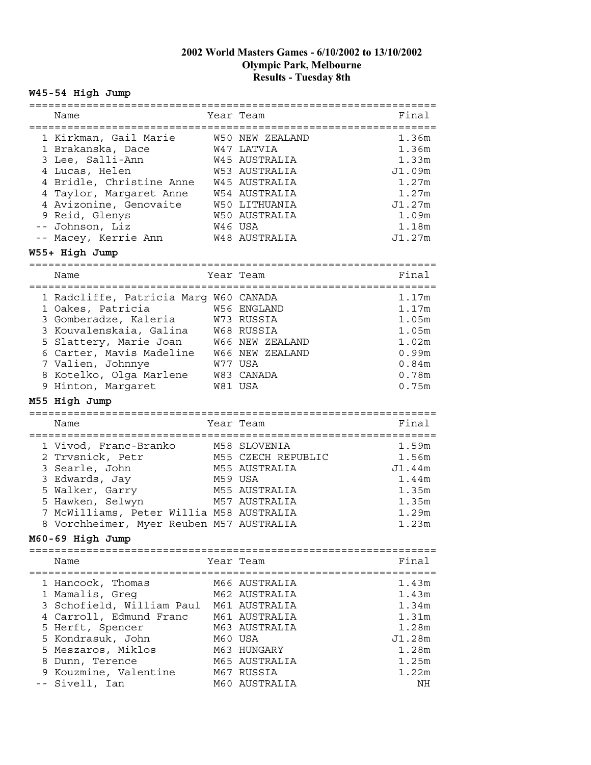# **W45-54 High Jump**

|   | Name                                     | Year Team                  | Final       |
|---|------------------------------------------|----------------------------|-------------|
|   |                                          | :========================= |             |
|   |                                          | W50 NEW ZEALAND            | 1.36m       |
|   | 1 Kirkman, Gail Marie                    |                            |             |
|   | 1 Brakanska, Dace                        | W47 LATVIA                 | 1.36m       |
|   | 3 Lee, Salli-Ann                         | W45 AUSTRALIA              | 1.33m       |
|   | 4 Lucas, Helen                           | W53 AUSTRALIA              | J1.09m      |
|   | 4 Bridle, Christine Anne                 | W45 AUSTRALIA              | 1.27m       |
|   | 4 Taylor, Margaret Anne                  | W54 AUSTRALIA              | 1.27m       |
|   | 4 Avizonine, Genovaite                   | W50 LITHUANIA              | J1.27m      |
|   |                                          |                            |             |
|   | 9 Reid, Glenys                           | W50 AUSTRALIA              | 1.09m       |
|   | -- Johnson, Liz                          | W46 USA                    | 1.18m       |
|   | -- Macey, Kerrie Ann                     | W48 AUSTRALIA              | J1.27m      |
|   | W55+ High Jump                           |                            |             |
|   |                                          |                            |             |
|   | ===============                          |                            |             |
|   | Name                                     | Year Team                  | Final       |
|   | ============================             |                            |             |
|   | 1 Radcliffe, Patricia Marg W60 CANADA    |                            | 1.17m       |
|   | 1 Oakes, Patricia                        | W56 ENGLAND                | 1.17m       |
|   | 3 Gomberadze, Kaleria                    | W73 RUSSIA                 | 1.05m       |
|   | 3 Kouvalenskaia, Galina                  | W68 RUSSIA                 | 1.05m       |
|   |                                          |                            |             |
|   | 5 Slattery, Marie Joan                   | <b>W66 NEW ZEALAND</b>     | 1.02m       |
|   | 6 Carter, Mavis Madeline                 | W66 NEW ZEALAND            | 0.99m       |
|   | 7 Valien, Johnnye                        | W77 USA                    | 0.84m       |
|   | 8 Kotelko, Olga Marlene                  | W83 CANADA                 | 0.78m       |
|   | 9 Hinton, Margaret                       | W81 USA                    | 0.75m       |
|   |                                          |                            |             |
|   |                                          |                            |             |
|   | M55 High Jump                            |                            |             |
|   | :=======================                 |                            |             |
|   | Name                                     | Year Team                  | Final       |
|   |                                          |                            | :========== |
|   |                                          | M58 SLOVENIA               | 1.59m       |
|   | 1 Vivod, Franc-Branko                    |                            |             |
|   | 2 Trvsnick, Petr                         | M55 CZECH REPUBLIC         | 1.56m       |
|   | 3 Searle, John                           | M55 AUSTRALIA              | J1.44m      |
|   | 3 Edwards, Jay                           | M59 USA                    | 1.44m       |
|   | 5 Walker, Garry                          | M55 AUSTRALIA              | 1.35m       |
|   | 5 Hawken, Selwyn                         | M57 AUSTRALIA              | 1.35m       |
| 7 | McWilliams, Peter Willia M58 AUSTRALIA   |                            | 1.29m       |
|   |                                          |                            | 1.23m       |
|   | 8 Vorchheimer, Myer Reuben M57 AUSTRALIA |                            |             |
|   | M60-69 High Jump                         |                            |             |
|   |                                          |                            |             |
|   | Name                                     | Year Team                  | Final       |
|   |                                          |                            |             |
|   | 1 Hancock, Thomas                        | M66 AUSTRALIA              | 1.43m       |
|   | 1 Mamalis, Greg                          | M62 AUSTRALIA              | 1.43m       |
|   |                                          |                            | 1.34m       |
|   | 3 Schofield, William Paul                | M61 AUSTRALIA              |             |
|   | 4 Carroll, Edmund Franc                  | M61 AUSTRALIA              | 1.31m       |
|   | 5 Herft, Spencer                         | M63 AUSTRALIA              | 1.28m       |
|   | 5 Kondrasuk, John                        | M60 USA                    | J1.28m      |
|   | 5 Meszaros, Miklos                       | M63 HUNGARY                | 1.28m       |
|   | 8 Dunn, Terence                          | M65 AUSTRALIA              | 1.25m       |
|   | 9 Kouzmine, Valentine                    | M67 RUSSIA                 | 1.22m       |
|   | -- Sivell, Ian                           | M60 AUSTRALIA              | NH.         |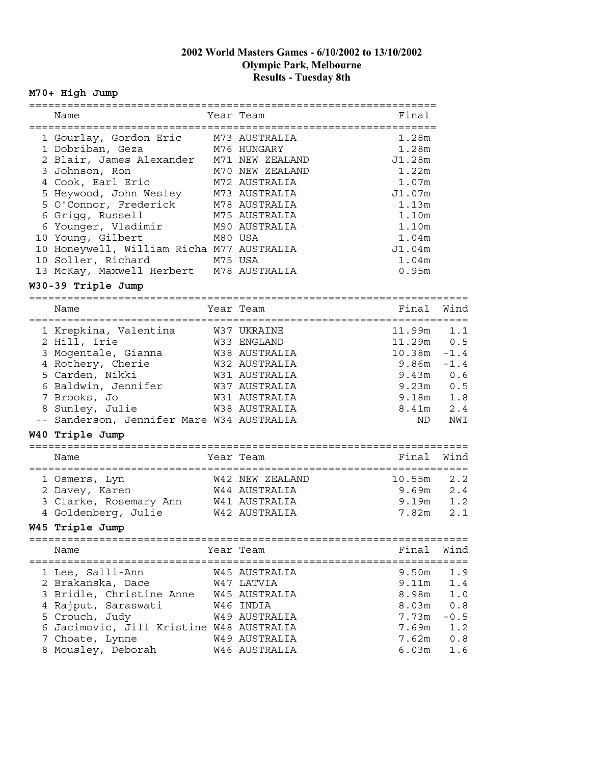# **M70+ High Jump**

| Name                                      | Year Team       | Final             |        |
|-------------------------------------------|-----------------|-------------------|--------|
|                                           |                 |                   |        |
| 1 Gourlay, Gordon Eric                    | M73 AUSTRALIA   | 1.28m             |        |
| 1 Dobriban, Geza                          | M76 HUNGARY     | 1.28m             |        |
| 2 Blair, James Alexander                  | M71 NEW ZEALAND | J1.28m            |        |
| 3 Johnson, Ron                            | M70 NEW ZEALAND | 1.22m             |        |
| 4 Cook, Earl Eric                         | M72 AUSTRALIA   | 1.07m             |        |
| 5 Heywood, John Wesley                    | M73 AUSTRALIA   | J1.07m            |        |
| 5 O'Connor, Frederick                     | M78 AUSTRALIA   | 1.13m             |        |
| 6 Grigg, Russell                          | M75 AUSTRALIA   | 1.10m             |        |
| 6 Younger, Vladimir                       | M90 AUSTRALIA   | 1.10m             |        |
| 10 Young, Gilbert                         | M80 USA         | 1.04m             |        |
| 10 Honeywell, William Richa M77 AUSTRALIA |                 | J1.04m            |        |
| 10 Soller, Richard                        | M75 USA         | 1.04m             |        |
| 13 McKay, Maxwell Herbert M78 AUSTRALIA   |                 | 0.95m             |        |
|                                           |                 |                   |        |
| W30-39 Triple Jump                        |                 |                   |        |
| Name                                      | Year Team       | Final             | Wind   |
|                                           |                 |                   |        |
| 1 Krepkina, Valentina                     | W37 UKRAINE     | 11.99m            | 1.1    |
| 2 Hill, Irie                              | W33 ENGLAND     | 11.29m            | 0.5    |
| 3 Mogentale, Gianna                       | W38 AUSTRALIA   | 10.38m            | $-1.4$ |
| 4 Rothery, Cherie                         | W32 AUSTRALIA   | 9.86m             | $-1.4$ |
| 5 Carden, Nikki                           | W31 AUSTRALIA   | 9.43m             | 0.6    |
| 6 Baldwin, Jennifer W37 AUSTRALIA         |                 | 9.23m             | 0.5    |
| 7 Brooks, Jo                              | W31 AUSTRALIA   | 9.18m             | 1.8    |
| 8 Sunley, Julie                           | W38 AUSTRALIA   | 8.41m             | 2.4    |
| -- Sanderson, Jennifer Mare W34 AUSTRALIA |                 | ND.               | NWI    |
|                                           |                 |                   |        |
| W40 Triple Jump                           |                 |                   |        |
| Name                                      | Year Team       | Final             | Wind   |
|                                           |                 |                   |        |
| 1 Osmers, Lyn                             | W42 NEW ZEALAND | 10.55m            | 2.2    |
| 2 Davey, Karen                            | W44 AUSTRALIA   | 9.69m             | 2.4    |
| 3 Clarke, Rosemary Ann W41 AUSTRALIA      |                 | 9.19m             | 1.2    |
| 4 Goldenberg, Julie                       | W42 AUSTRALIA   | 7.82m             | 2.1    |
| W45 Triple Jump                           |                 |                   |        |
|                                           |                 |                   |        |
| Name                                      | Year Team       | Final             | Wind   |
|                                           |                 |                   |        |
| 1 Lee, Salli-Ann                          | W45 AUSTRALIA   | 9.50 <sub>m</sub> | 1.9    |
| 2 Brakanska, Dace                         | W47 LATVIA      | 9.11m             | 1.4    |
| 3 Bridle, Christine Anne W45 AUSTRALIA    |                 | 8.98m             | 1.0    |
| 4 Rajput, Saraswati                       | W46 INDIA       | 8.03m             | 0.8    |
| 5 Crouch, Judy                            | W49 AUSTRALIA   | 7.73m             | $-0.5$ |
| 6 Jacimovic, Jill Kristine W48 AUSTRALIA  |                 | 7.69m             | 1.2    |
| 7 Choate, Lynne                           | W49 AUSTRALIA   | 7.62m             | 0.8    |
| 8 Mousley, Deborah                        | W46 AUSTRALIA   | 6.03m             | 1.6    |
|                                           |                 |                   |        |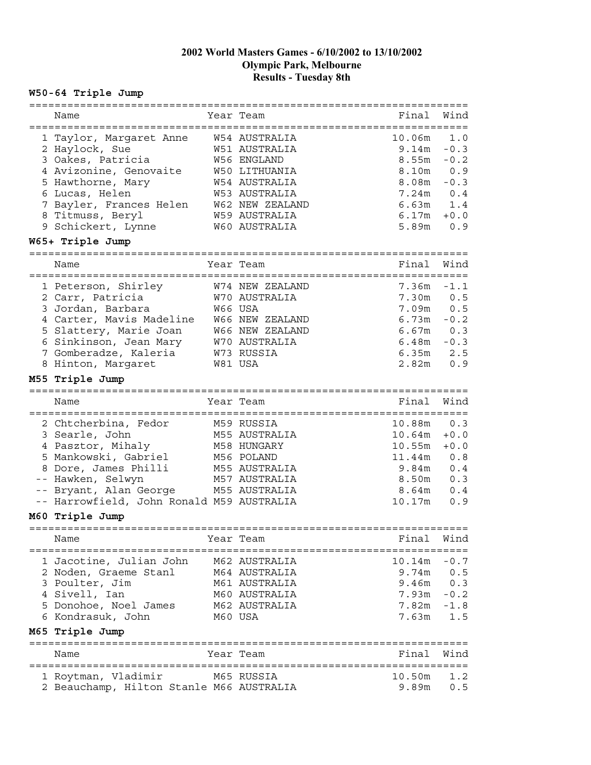# **W50-64 Triple Jump**

|                                                | ===================== |                |          |
|------------------------------------------------|-----------------------|----------------|----------|
| Name                                           | Year Team             | Final          | Wind     |
| ===================================            | ===============       |                | ======== |
| 1 Taylor, Margaret Anne                        | W54 AUSTRALIA         | 10.06m         | 1.0      |
| 2 Haylock, Sue                                 | W51 AUSTRALIA         | 9.14m          | $-0.3$   |
| 3 Oakes, Patricia                              | W56 ENGLAND           | 8.55m          | $-0.2$   |
| 4 Avizonine, Genovaite                         | W50 LITHUANIA         | 8.10m          | 0.9      |
| 5 Hawthorne, Mary                              | W54 AUSTRALIA         | 8.08m          | $-0.3$   |
| 6 Lucas, Helen                                 | W53 AUSTRALIA         | 7.24m          | 0.4      |
| 7 Bayler, Frances Helen                        | W62 NEW ZEALAND       | 6.63m          | 1.4      |
| 8 Titmuss, Beryl                               | W59 AUSTRALIA         | 6.17m          | $+0.0$   |
|                                                |                       |                | 0.9      |
| 9 Schickert, Lynne                             | W60 AUSTRALIA         | 5.89m          |          |
| W65+ Triple Jump                               |                       |                |          |
| Name                                           | Year Team             | Final          | Wind     |
|                                                |                       |                |          |
| 1 Peterson, Shirley                            | W74 NEW ZEALAND       | 7.36m          | $-1.1$   |
| 2 Carr, Patricia                               | W70 AUSTRALIA         | 7.30m          | 0.5      |
| 3 Jordan, Barbara                              | W66 USA               | 7.09m          | 0.5      |
| 4 Carter, Mavis Madeline                       | W66 NEW ZEALAND       | 6.73m          | $-0.2$   |
| 5 Slattery, Marie Joan                         | W66 NEW ZEALAND       | 6.67m          | 0.3      |
| 6 Sinkinson, Jean Mary                         | W70 AUSTRALIA         | 6.48m          | $-0.3$   |
| 7 Gomberadze, Kaleria                          | W73 RUSSIA            | 6.35m          | 2.5      |
| 8 Hinton, Margaret                             | W81 USA               | 2.82m          | 0.9      |
|                                                |                       |                |          |
| M55 Triple Jump                                | :===================  |                |          |
| Name                                           | Year Team             | Final          | Wind     |
|                                                |                       |                |          |
| 2 Chtcherbina, Fedor                           | M59 RUSSIA            | 10.88m         | 0.3      |
| 3 Searle, John                                 | M55 AUSTRALIA         | 10.64m         | $+0.0$   |
| 4 Pasztor, Mihaly                              | M58 HUNGARY           | 10.55m         | $+0.0$   |
| 5 Mankowski, Gabriel                           | M56 POLAND            | 11.44m         | 0.8      |
| 8 Dore, James Philli                           | M55 AUSTRALIA         | 9.84m          | 0.4      |
|                                                |                       |                |          |
| -- Hawken, Selwyn                              | M57 AUSTRALIA         | 8.50m          | 0.3      |
| -- Bryant, Alan George                         | M55 AUSTRALIA         | 8.64m          | 0.4      |
| -- Harrowfield, John Ronald M59 AUSTRALIA      |                       | 10.17m         | 0.9      |
| M60 Triple Jump<br>:========================== |                       |                |          |
| Name                                           | Year Team             | Final          | Wind     |
|                                                | ===================== |                |          |
| 1 Jacotine, Julian John                        | M62 AUSTRALIA         | $10.14m - 0.7$ |          |
| 2 Noden, Graeme Stanl                          | M64 AUSTRALIA         | 9.74m          | $0.5$    |
| 3 Poulter, Jim                                 | M61 AUSTRALIA         | 9.46m          | 0.3      |
| 4 Sivell, Ian                                  | M60 AUSTRALIA         | 7.93m          | $-0.2$   |
| 5 Donohoe, Noel James                          | M62 AUSTRALIA         | 7.82m          | $-1.8$   |
| 6 Kondrasuk, John                              | M60 USA               | 7.63m          | 1.5      |
| M65 Triple Jump                                |                       |                |          |
|                                                |                       |                |          |
| Name                                           | Year Team             | Final          | Wind     |
| 1 Roytman, Vladimir                            | M65 RUSSIA            | 10.50m         | 1.2      |
| 2 Beauchamp, Hilton Stanle M66 AUSTRALIA       |                       | 9.89m          | 0.5      |
|                                                |                       |                |          |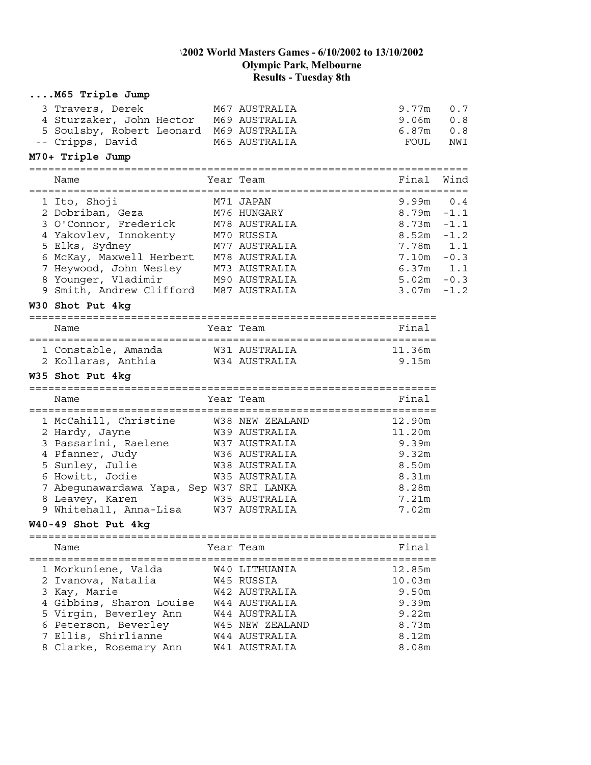| M65 Triple Jump                                                                                                                                                                                                                                                                                                                   |                                                                                                                                        |                                                                                 |                                                                               |
|-----------------------------------------------------------------------------------------------------------------------------------------------------------------------------------------------------------------------------------------------------------------------------------------------------------------------------------|----------------------------------------------------------------------------------------------------------------------------------------|---------------------------------------------------------------------------------|-------------------------------------------------------------------------------|
| 3 Travers, Derek<br>4 Sturzaker, John Hector M69 AUSTRALIA<br>5 Soulsby, Robert Leonard M69 AUSTRALIA<br>-- Cripps, David                                                                                                                                                                                                         | M67 AUSTRALIA<br>M65 AUSTRALIA                                                                                                         | 9.77m<br>9.06m<br>6.87m<br>FOUL                                                 | 0.7<br>0.8<br>0.8<br>NWI                                                      |
| M70+ Triple Jump                                                                                                                                                                                                                                                                                                                  |                                                                                                                                        |                                                                                 |                                                                               |
| Name                                                                                                                                                                                                                                                                                                                              | Year Team                                                                                                                              | Final                                                                           | Wind                                                                          |
| 1 Ito, Shoji<br>2 Dobriban, Geza<br>3 O'Connor, Frederick M78 AUSTRALIA<br>4 Yakovlev, Innokenty<br>5 Elks, Sydney<br>S EIKS, Syuney<br>6 McKay, Maxwell Herbert   M78 AUSTRALIA<br>7 Heywood, John Wesley   M73 AUSTRALIA<br>8 Younger, Vladimir     M90 AUSTRALIA<br>9 Smith, Andrew Clifford M87 AUSTRALIA<br>W30 Shot Put 4kg | M71 JAPAN<br>M76 HUNGARY<br>M70 RUSSIA<br>M77 AUSTRALIA                                                                                | 9.99m<br>8.79m<br>8.73m<br>8.52m<br>7.78m<br>7.10m<br>6.37m<br>5.02m<br>3.07m   | 0.4<br>$-1.1$<br>$-1.1$<br>$-1.2$<br>1.1<br>$-0.3$<br>1.1<br>$-0.3$<br>$-1.2$ |
|                                                                                                                                                                                                                                                                                                                                   |                                                                                                                                        |                                                                                 |                                                                               |
| Name                                                                                                                                                                                                                                                                                                                              | Year Team                                                                                                                              | Final                                                                           |                                                                               |
| 1 Constable, Amanda<br>2 Kollaras, Anthia<br>W35 Shot Put 4kg                                                                                                                                                                                                                                                                     | W31 AUSTRALIA<br>W34 AUSTRALIA                                                                                                         | 11.36m<br>9.15m                                                                 |                                                                               |
| Name                                                                                                                                                                                                                                                                                                                              | Year Team                                                                                                                              | Final                                                                           |                                                                               |
| 1 McCahill, Christine<br>2 Hardy, Jayne<br>3 Passarini, Raelene<br>4 Pfanner, Judy<br>5 Sunley, Julie<br>6 Howitt, Jodie<br>7 Abegunawardawa Yapa, Sep W37 SRI LANKA<br>8 Leavey, Karen<br>9 Whitehall, Anna-Lisa<br>W40-49 Shot Put 4kg                                                                                          | W38 NEW ZEALAND<br>W39 AUSTRALIA<br>W37 AUSTRALIA<br>W36 AUSTRALIA<br>W38 AUSTRALIA<br>W35 AUSTRALIA<br>W35 AUSTRALIA<br>W37 AUSTRALIA | 12.90m<br>11.20m<br>9.39m<br>9.32m<br>8.50m<br>8.31m<br>8.28m<br>7.21m<br>7.02m |                                                                               |
|                                                                                                                                                                                                                                                                                                                                   |                                                                                                                                        |                                                                                 |                                                                               |
| Name                                                                                                                                                                                                                                                                                                                              | Year Team                                                                                                                              | Final                                                                           |                                                                               |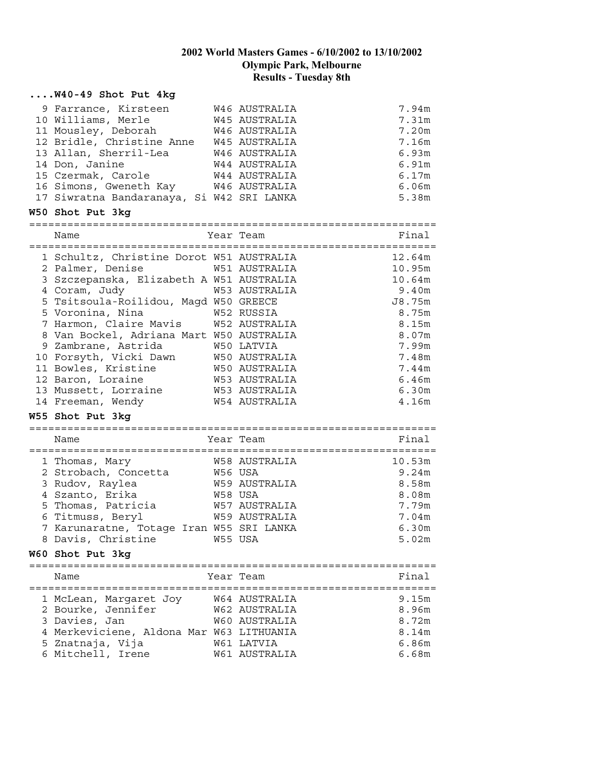## **....W40-49 Shot Put 4kg**

| 9 Farrance, Kirsteen                                                      | W46 AUSTRALIA                   | 7.94m   |
|---------------------------------------------------------------------------|---------------------------------|---------|
| 10 Williams, Merle                                                        | W45 AUSTRALIA                   | 7.31m   |
| 11 Mousley, Deborah                                                       | W46 AUSTRALIA                   | 7.20m   |
| 12 Bridle, Christine Anne W45 AUSTRALIA                                   |                                 | 7.16m   |
| 13 Allan, Sherril-Lea                                                     | W46 AUSTRALIA                   | 6.93m   |
| 14 Don, Janine                                                            | W44 AUSTRALIA                   | 6.91m   |
| 15 Czermak, Carole                                                        | W44 AUSTRALIA                   | 6.17m   |
| 16 Simons, Gweneth Kay M46 AUSTRALIA                                      |                                 | 6.06m   |
| 17 Siwratna Bandaranaya, Si W42 SRI LANKA                                 |                                 | 5.38m   |
|                                                                           |                                 |         |
| W50 Shot Put 3kg                                                          |                                 |         |
| Name                                                                      | Year Team                       | Final   |
|                                                                           |                                 |         |
| 1 Schultz, Christine Dorot W51 AUSTRALIA                                  |                                 | 12.64m  |
| 2 Palmer, Denise                                                          | W51 AUSTRALIA                   | 10.95m  |
| 3 Szczepanska, Elizabeth A W51 AUSTRALIA                                  |                                 | 10.64m  |
|                                                                           |                                 | 9.40m   |
| 4 Coram, Judy 1953 AUSTRALIA<br>5 Tsitsoula-Roilidou, Magd W50 GREECE     |                                 | J8.75m  |
| 5 Voronina, Nina<br>W52 RUSSIA                                            |                                 | 8.75m   |
| 7 Harmon, Claire Mavis W52 AUSTRALIA                                      |                                 | 8.15m   |
| 8 Van Bockel, Adriana Mart W50 AUSTRALIA                                  |                                 | $8.07m$ |
| 9 Zambrane, Astrida                                                       | W50 LATVIA                      | 7.99m   |
| 10 Forsyth, Vicki Dawn M50 AUSTRALIA<br>11 Bowles, Kristine M50 AUSTRALIA |                                 | 7.48m   |
|                                                                           |                                 | 7.44m   |
| 12 Baron, Loraine                                                         | W53 AUSTRALIA                   | 6.46m   |
| 13 Mussett, Lorraine                                                      | W53 AUSTRALIA                   | 6.30m   |
|                                                                           | <b>W54 AUSTRALIA</b>            |         |
| 14 Freeman, Wendy                                                         |                                 | 4.16m   |
| W55 Shot Put 3kg                                                          |                                 |         |
| Name                                                                      | Year Team                       | Final   |
|                                                                           |                                 |         |
| 1 Thomas, Mary                                                            | W58 AUSTRALIA                   | 10.53m  |
| 2 Strobach, Concetta                                                      | W56 USA                         | 9.24m   |
| 3 Rudov, Raylea                                                           | <b>W59 AUSTRALIA</b>            | 8.58m   |
| 4 Szanto, Erika                                                           | W58 USA                         | 8.08m   |
| 5 Thomas, Patricia                                                        | W57 AUSTRALIA                   | 7.79m   |
| 6 Titmuss, Beryl                                                          | <b>W59 AUSTRALIA</b>            | 7.04m   |
| 7 Karunaratne, Totage Iran W55 SRI LANKA                                  |                                 | 6.30m   |
| 8 Davis, Christine M55 USA                                                |                                 | 5.02m   |
| W60 Shot Put 3kg                                                          |                                 |         |
| =============================                                             | =============================== |         |
| Name                                                                      | Year Team                       | Final   |
| ======================================                                    | ========================        |         |
|                                                                           |                                 |         |
| 1 McLean, Margaret Joy                                                    | W64 AUSTRALIA                   | 9.15m   |
| 2 Bourke, Jennifer                                                        | W62 AUSTRALIA                   | 8.96m   |
| 3 Davies, Jan                                                             | W60 AUSTRALIA                   | 8.72m   |
| 4 Merkeviciene, Aldona Mar W63 LITHUANIA                                  |                                 | 8.14m   |
| 5 Znatnaja, Vija                                                          | W61 LATVIA                      | 6.86m   |
| 6 Mitchell, Irene                                                         | W61 AUSTRALIA                   | 6.68m   |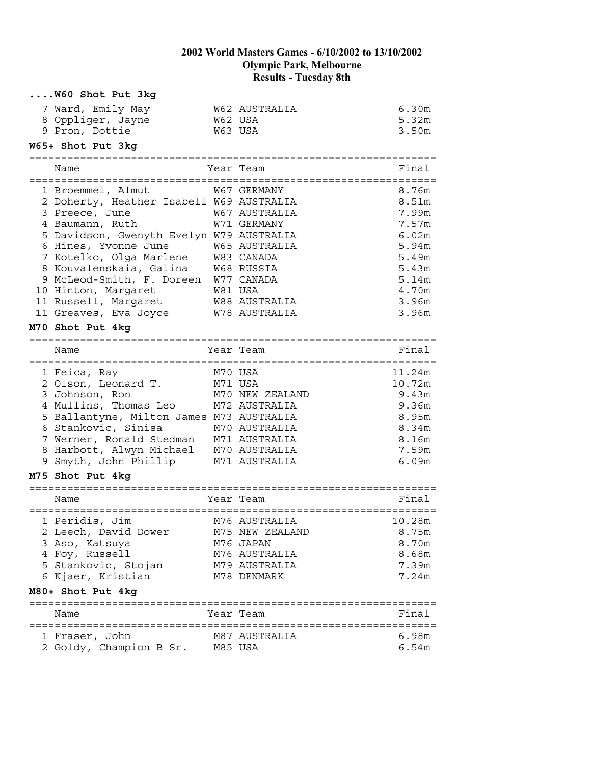| 7 Ward, Emily May<br>W62 AUSTRALIA<br>6.30m<br>8 Oppliger, Jayne<br>W62 USA<br>5.32m<br>9 Pron, Dottie<br>W63 USA<br>3.50m<br>W65+ Shot Put 3kg<br>Final<br>Year Team<br>Name<br>1 Broemmel, Almut<br>8.76m<br>W67 GERMANY<br>2 Doherty, Heather Isabell W69 AUSTRALIA<br>8.51 <sub>m</sub><br>3 Preece, June<br>W67 AUSTRALIA<br>7.99m<br>4 Baumann, Ruth<br>W71 GERMANY<br>7.57m<br>5 Davidson, Gwenyth Evelyn W79 AUSTRALIA<br>6.02m<br>6 Hines, Yvonne June<br>W65 AUSTRALIA<br>5.94m<br>7 Kotelko, Olga Marlene<br>W83 CANADA<br>5.49m<br>8 Kouvalenskaia, Galina<br>W68 RUSSIA<br>5.43m<br>9 McLeod-Smith, F. Doreen<br>W77 CANADA<br>5.14m<br>10 Hinton, Margaret<br>W81 USA<br>4.70m<br>3.96m<br>11 Russell, Margaret<br>W88 AUSTRALIA<br>11 Greaves, Eva Joyce<br>W78 AUSTRALIA<br>3.96m<br>M70 Shot Put 4kg<br>Final<br>Year Team<br>Name<br>M70 USA<br>11.24m<br>1 Feica, Ray<br>M71 USA<br>10.72m<br>2 Olson, Leonard T.<br>3 Johnson, Ron<br>M70 NEW ZEALAND<br>9.43m<br>4 Mullins, Thomas Leo<br>9.36m<br>M72 AUSTRALIA<br>5 Ballantyne, Milton James M73 AUSTRALIA<br>8.95m<br>6 Stankovic, Sinisa<br>8.34m<br>M70 AUSTRALIA<br>7 Werner, Ronald Stedman<br>M71 AUSTRALIA<br>8.16m<br>8 Harbott, Alwyn Michael<br>M70 AUSTRALIA<br>7.59m<br>9 Smyth, John Phillip<br>M71 AUSTRALIA<br>6.09m<br>M75 Shot Put 4kg<br>Year Team<br>Final<br>Name<br>M76 AUSTRALIA<br>1 Peridis, Jim<br>10.28m<br>2 Leech, David Dower<br>8.75m<br>M75 NEW ZEALAND<br>8.70m<br>3 Aso, Katsuya<br>M76 JAPAN<br>4 Foy, Russell<br>M76 AUSTRALIA<br>8.68m<br>5 Stankovic, Stojan<br>M79 AUSTRALIA<br>7.39m<br>6 Kjaer, Kristian<br>M78 DENMARK<br>7.24m<br>M80+ Shot Put 4kg<br>Year Team<br>Final<br>Name<br>1 Fraser, John<br>6.98m<br>M87 AUSTRALIA<br>2 Goldy, Champion B Sr.<br>M85 USA<br>6.54m | W60 Shot Put 3kg |  |  |
|-----------------------------------------------------------------------------------------------------------------------------------------------------------------------------------------------------------------------------------------------------------------------------------------------------------------------------------------------------------------------------------------------------------------------------------------------------------------------------------------------------------------------------------------------------------------------------------------------------------------------------------------------------------------------------------------------------------------------------------------------------------------------------------------------------------------------------------------------------------------------------------------------------------------------------------------------------------------------------------------------------------------------------------------------------------------------------------------------------------------------------------------------------------------------------------------------------------------------------------------------------------------------------------------------------------------------------------------------------------------------------------------------------------------------------------------------------------------------------------------------------------------------------------------------------------------------------------------------------------------------------------------------------------------------------------------------------------------------------------------------------------------------------------------------|------------------|--|--|
|                                                                                                                                                                                                                                                                                                                                                                                                                                                                                                                                                                                                                                                                                                                                                                                                                                                                                                                                                                                                                                                                                                                                                                                                                                                                                                                                                                                                                                                                                                                                                                                                                                                                                                                                                                                               |                  |  |  |
|                                                                                                                                                                                                                                                                                                                                                                                                                                                                                                                                                                                                                                                                                                                                                                                                                                                                                                                                                                                                                                                                                                                                                                                                                                                                                                                                                                                                                                                                                                                                                                                                                                                                                                                                                                                               |                  |  |  |
|                                                                                                                                                                                                                                                                                                                                                                                                                                                                                                                                                                                                                                                                                                                                                                                                                                                                                                                                                                                                                                                                                                                                                                                                                                                                                                                                                                                                                                                                                                                                                                                                                                                                                                                                                                                               |                  |  |  |
|                                                                                                                                                                                                                                                                                                                                                                                                                                                                                                                                                                                                                                                                                                                                                                                                                                                                                                                                                                                                                                                                                                                                                                                                                                                                                                                                                                                                                                                                                                                                                                                                                                                                                                                                                                                               |                  |  |  |
|                                                                                                                                                                                                                                                                                                                                                                                                                                                                                                                                                                                                                                                                                                                                                                                                                                                                                                                                                                                                                                                                                                                                                                                                                                                                                                                                                                                                                                                                                                                                                                                                                                                                                                                                                                                               |                  |  |  |
|                                                                                                                                                                                                                                                                                                                                                                                                                                                                                                                                                                                                                                                                                                                                                                                                                                                                                                                                                                                                                                                                                                                                                                                                                                                                                                                                                                                                                                                                                                                                                                                                                                                                                                                                                                                               |                  |  |  |
|                                                                                                                                                                                                                                                                                                                                                                                                                                                                                                                                                                                                                                                                                                                                                                                                                                                                                                                                                                                                                                                                                                                                                                                                                                                                                                                                                                                                                                                                                                                                                                                                                                                                                                                                                                                               |                  |  |  |
|                                                                                                                                                                                                                                                                                                                                                                                                                                                                                                                                                                                                                                                                                                                                                                                                                                                                                                                                                                                                                                                                                                                                                                                                                                                                                                                                                                                                                                                                                                                                                                                                                                                                                                                                                                                               |                  |  |  |
|                                                                                                                                                                                                                                                                                                                                                                                                                                                                                                                                                                                                                                                                                                                                                                                                                                                                                                                                                                                                                                                                                                                                                                                                                                                                                                                                                                                                                                                                                                                                                                                                                                                                                                                                                                                               |                  |  |  |
|                                                                                                                                                                                                                                                                                                                                                                                                                                                                                                                                                                                                                                                                                                                                                                                                                                                                                                                                                                                                                                                                                                                                                                                                                                                                                                                                                                                                                                                                                                                                                                                                                                                                                                                                                                                               |                  |  |  |
|                                                                                                                                                                                                                                                                                                                                                                                                                                                                                                                                                                                                                                                                                                                                                                                                                                                                                                                                                                                                                                                                                                                                                                                                                                                                                                                                                                                                                                                                                                                                                                                                                                                                                                                                                                                               |                  |  |  |
|                                                                                                                                                                                                                                                                                                                                                                                                                                                                                                                                                                                                                                                                                                                                                                                                                                                                                                                                                                                                                                                                                                                                                                                                                                                                                                                                                                                                                                                                                                                                                                                                                                                                                                                                                                                               |                  |  |  |
|                                                                                                                                                                                                                                                                                                                                                                                                                                                                                                                                                                                                                                                                                                                                                                                                                                                                                                                                                                                                                                                                                                                                                                                                                                                                                                                                                                                                                                                                                                                                                                                                                                                                                                                                                                                               |                  |  |  |
|                                                                                                                                                                                                                                                                                                                                                                                                                                                                                                                                                                                                                                                                                                                                                                                                                                                                                                                                                                                                                                                                                                                                                                                                                                                                                                                                                                                                                                                                                                                                                                                                                                                                                                                                                                                               |                  |  |  |
|                                                                                                                                                                                                                                                                                                                                                                                                                                                                                                                                                                                                                                                                                                                                                                                                                                                                                                                                                                                                                                                                                                                                                                                                                                                                                                                                                                                                                                                                                                                                                                                                                                                                                                                                                                                               |                  |  |  |
|                                                                                                                                                                                                                                                                                                                                                                                                                                                                                                                                                                                                                                                                                                                                                                                                                                                                                                                                                                                                                                                                                                                                                                                                                                                                                                                                                                                                                                                                                                                                                                                                                                                                                                                                                                                               |                  |  |  |
|                                                                                                                                                                                                                                                                                                                                                                                                                                                                                                                                                                                                                                                                                                                                                                                                                                                                                                                                                                                                                                                                                                                                                                                                                                                                                                                                                                                                                                                                                                                                                                                                                                                                                                                                                                                               |                  |  |  |
|                                                                                                                                                                                                                                                                                                                                                                                                                                                                                                                                                                                                                                                                                                                                                                                                                                                                                                                                                                                                                                                                                                                                                                                                                                                                                                                                                                                                                                                                                                                                                                                                                                                                                                                                                                                               |                  |  |  |
|                                                                                                                                                                                                                                                                                                                                                                                                                                                                                                                                                                                                                                                                                                                                                                                                                                                                                                                                                                                                                                                                                                                                                                                                                                                                                                                                                                                                                                                                                                                                                                                                                                                                                                                                                                                               |                  |  |  |
|                                                                                                                                                                                                                                                                                                                                                                                                                                                                                                                                                                                                                                                                                                                                                                                                                                                                                                                                                                                                                                                                                                                                                                                                                                                                                                                                                                                                                                                                                                                                                                                                                                                                                                                                                                                               |                  |  |  |
|                                                                                                                                                                                                                                                                                                                                                                                                                                                                                                                                                                                                                                                                                                                                                                                                                                                                                                                                                                                                                                                                                                                                                                                                                                                                                                                                                                                                                                                                                                                                                                                                                                                                                                                                                                                               |                  |  |  |
|                                                                                                                                                                                                                                                                                                                                                                                                                                                                                                                                                                                                                                                                                                                                                                                                                                                                                                                                                                                                                                                                                                                                                                                                                                                                                                                                                                                                                                                                                                                                                                                                                                                                                                                                                                                               |                  |  |  |
|                                                                                                                                                                                                                                                                                                                                                                                                                                                                                                                                                                                                                                                                                                                                                                                                                                                                                                                                                                                                                                                                                                                                                                                                                                                                                                                                                                                                                                                                                                                                                                                                                                                                                                                                                                                               |                  |  |  |
|                                                                                                                                                                                                                                                                                                                                                                                                                                                                                                                                                                                                                                                                                                                                                                                                                                                                                                                                                                                                                                                                                                                                                                                                                                                                                                                                                                                                                                                                                                                                                                                                                                                                                                                                                                                               |                  |  |  |
|                                                                                                                                                                                                                                                                                                                                                                                                                                                                                                                                                                                                                                                                                                                                                                                                                                                                                                                                                                                                                                                                                                                                                                                                                                                                                                                                                                                                                                                                                                                                                                                                                                                                                                                                                                                               |                  |  |  |
|                                                                                                                                                                                                                                                                                                                                                                                                                                                                                                                                                                                                                                                                                                                                                                                                                                                                                                                                                                                                                                                                                                                                                                                                                                                                                                                                                                                                                                                                                                                                                                                                                                                                                                                                                                                               |                  |  |  |
|                                                                                                                                                                                                                                                                                                                                                                                                                                                                                                                                                                                                                                                                                                                                                                                                                                                                                                                                                                                                                                                                                                                                                                                                                                                                                                                                                                                                                                                                                                                                                                                                                                                                                                                                                                                               |                  |  |  |
|                                                                                                                                                                                                                                                                                                                                                                                                                                                                                                                                                                                                                                                                                                                                                                                                                                                                                                                                                                                                                                                                                                                                                                                                                                                                                                                                                                                                                                                                                                                                                                                                                                                                                                                                                                                               |                  |  |  |
|                                                                                                                                                                                                                                                                                                                                                                                                                                                                                                                                                                                                                                                                                                                                                                                                                                                                                                                                                                                                                                                                                                                                                                                                                                                                                                                                                                                                                                                                                                                                                                                                                                                                                                                                                                                               |                  |  |  |
|                                                                                                                                                                                                                                                                                                                                                                                                                                                                                                                                                                                                                                                                                                                                                                                                                                                                                                                                                                                                                                                                                                                                                                                                                                                                                                                                                                                                                                                                                                                                                                                                                                                                                                                                                                                               |                  |  |  |
|                                                                                                                                                                                                                                                                                                                                                                                                                                                                                                                                                                                                                                                                                                                                                                                                                                                                                                                                                                                                                                                                                                                                                                                                                                                                                                                                                                                                                                                                                                                                                                                                                                                                                                                                                                                               |                  |  |  |
|                                                                                                                                                                                                                                                                                                                                                                                                                                                                                                                                                                                                                                                                                                                                                                                                                                                                                                                                                                                                                                                                                                                                                                                                                                                                                                                                                                                                                                                                                                                                                                                                                                                                                                                                                                                               |                  |  |  |
|                                                                                                                                                                                                                                                                                                                                                                                                                                                                                                                                                                                                                                                                                                                                                                                                                                                                                                                                                                                                                                                                                                                                                                                                                                                                                                                                                                                                                                                                                                                                                                                                                                                                                                                                                                                               |                  |  |  |
|                                                                                                                                                                                                                                                                                                                                                                                                                                                                                                                                                                                                                                                                                                                                                                                                                                                                                                                                                                                                                                                                                                                                                                                                                                                                                                                                                                                                                                                                                                                                                                                                                                                                                                                                                                                               |                  |  |  |
|                                                                                                                                                                                                                                                                                                                                                                                                                                                                                                                                                                                                                                                                                                                                                                                                                                                                                                                                                                                                                                                                                                                                                                                                                                                                                                                                                                                                                                                                                                                                                                                                                                                                                                                                                                                               |                  |  |  |
|                                                                                                                                                                                                                                                                                                                                                                                                                                                                                                                                                                                                                                                                                                                                                                                                                                                                                                                                                                                                                                                                                                                                                                                                                                                                                                                                                                                                                                                                                                                                                                                                                                                                                                                                                                                               |                  |  |  |
|                                                                                                                                                                                                                                                                                                                                                                                                                                                                                                                                                                                                                                                                                                                                                                                                                                                                                                                                                                                                                                                                                                                                                                                                                                                                                                                                                                                                                                                                                                                                                                                                                                                                                                                                                                                               |                  |  |  |
|                                                                                                                                                                                                                                                                                                                                                                                                                                                                                                                                                                                                                                                                                                                                                                                                                                                                                                                                                                                                                                                                                                                                                                                                                                                                                                                                                                                                                                                                                                                                                                                                                                                                                                                                                                                               |                  |  |  |
|                                                                                                                                                                                                                                                                                                                                                                                                                                                                                                                                                                                                                                                                                                                                                                                                                                                                                                                                                                                                                                                                                                                                                                                                                                                                                                                                                                                                                                                                                                                                                                                                                                                                                                                                                                                               |                  |  |  |
|                                                                                                                                                                                                                                                                                                                                                                                                                                                                                                                                                                                                                                                                                                                                                                                                                                                                                                                                                                                                                                                                                                                                                                                                                                                                                                                                                                                                                                                                                                                                                                                                                                                                                                                                                                                               |                  |  |  |
|                                                                                                                                                                                                                                                                                                                                                                                                                                                                                                                                                                                                                                                                                                                                                                                                                                                                                                                                                                                                                                                                                                                                                                                                                                                                                                                                                                                                                                                                                                                                                                                                                                                                                                                                                                                               |                  |  |  |
|                                                                                                                                                                                                                                                                                                                                                                                                                                                                                                                                                                                                                                                                                                                                                                                                                                                                                                                                                                                                                                                                                                                                                                                                                                                                                                                                                                                                                                                                                                                                                                                                                                                                                                                                                                                               |                  |  |  |
|                                                                                                                                                                                                                                                                                                                                                                                                                                                                                                                                                                                                                                                                                                                                                                                                                                                                                                                                                                                                                                                                                                                                                                                                                                                                                                                                                                                                                                                                                                                                                                                                                                                                                                                                                                                               |                  |  |  |
|                                                                                                                                                                                                                                                                                                                                                                                                                                                                                                                                                                                                                                                                                                                                                                                                                                                                                                                                                                                                                                                                                                                                                                                                                                                                                                                                                                                                                                                                                                                                                                                                                                                                                                                                                                                               |                  |  |  |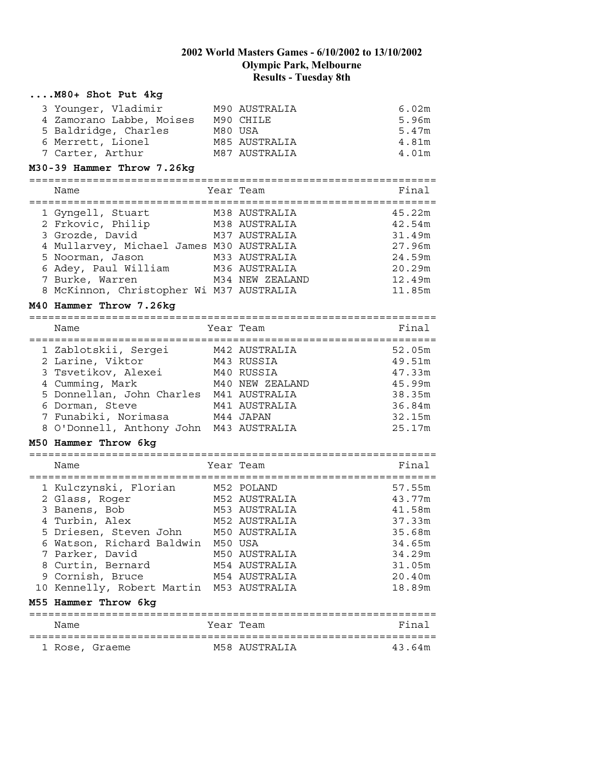| M80+ Shot Put 4kg                                                                                                                                                                                                                                                                         |         |                                                                                                                     |                                                                                                  |
|-------------------------------------------------------------------------------------------------------------------------------------------------------------------------------------------------------------------------------------------------------------------------------------------|---------|---------------------------------------------------------------------------------------------------------------------|--------------------------------------------------------------------------------------------------|
| 3 Younger, Vladimir<br>4 Zamorano Labbe, Moises M90 CHILE<br>5 Baldridge, Charles<br>6 Merrett, Lionel<br>7 Carter, Arthur<br>M30-39 Hammer Throw 7.26kg                                                                                                                                  | M80 USA | M90 AUSTRALIA<br>M85 AUSTRALIA<br>M87 AUSTRALIA                                                                     | 6.02m<br>5.96m<br>5.47m<br>4.81m<br>4.01m                                                        |
|                                                                                                                                                                                                                                                                                           |         |                                                                                                                     |                                                                                                  |
| Name                                                                                                                                                                                                                                                                                      |         | Year Team                                                                                                           | Final                                                                                            |
| 1 Gyngell, Stuart<br>2 Frkovic, Philip<br>3 Grozde, David<br>4 Mullarvey, Michael James M30 AUSTRALIA<br>5 Noorman, Jason<br>6 Adey, Paul William<br>7 Burke, Warren<br>8 McKinnon, Christopher Wi M37 AUSTRALIA<br>M40 Hammer Throw 7.26kg                                               |         | M38 AUSTRALIA<br>M38 AUSTRALIA<br>M37 AUSTRALIA<br>M33 AUSTRALIA<br>M36 AUSTRALIA<br>M34 NEW ZEALAND                | 45.22m<br>42.54m<br>31.49m<br>27.96m<br>24.59m<br>20.29m<br>12.49m<br>11.85m                     |
| Name                                                                                                                                                                                                                                                                                      |         | Year Team                                                                                                           | Final                                                                                            |
| 1 Zablotskii, Sergei       M42 AUSTRALIA<br>2 Larine, Viktor           M43 RUSSIA<br>3 Tsvetikov, Alexei<br>4 Cumming, Mark<br>4 Cumming, Mark<br>5 Donnellan, John Charles M41 AUSTRALIA<br>6 Dorman, Steve<br>7 Funabiki, Norimasa M44 JAPAN<br>8 O'Donnell, Anthony John M43 AUSTRALIA |         | M40 RUSSIA<br>M40 NEW ZEALAND<br>M41 AUSTRALIA                                                                      | 52.05m<br>49.51m<br>47.33m<br>45.99m<br>38.35m<br>36.84m<br>32.15m<br>25.17m                     |
| M50 Hammer Throw 6kg                                                                                                                                                                                                                                                                      |         |                                                                                                                     |                                                                                                  |
| Name                                                                                                                                                                                                                                                                                      |         | Year Team                                                                                                           | Final                                                                                            |
| 1 Kulczynski, Florian M52 POLAND<br>2 Glass, Roger<br>3 Banens, Bob<br>4 Turbin, Alex<br>5 Driesen, Steven John<br>6 Watson, Richard Baldwin M50 USA<br>7 Parker, David<br>8 Curtin, Bernard<br>9 Cornish, Bruce<br>10 Kennelly, Robert Martin M53 AUSTRALIA<br>M55 Hammer Throw 6kg      |         | M52 AUSTRALIA<br>M53 AUSTRALIA<br>M52 AUSTRALIA<br>M50 AUSTRALIA<br>M50 AUSTRALIA<br>M54 AUSTRALIA<br>M54 AUSTRALIA | 57.55m<br>43.77m<br>41.58m<br>37.33m<br>35.68m<br>34.65m<br>34.29m<br>31.05m<br>20.40m<br>18.89m |
| Name                                                                                                                                                                                                                                                                                      |         | Year Team                                                                                                           | Final                                                                                            |
| 1 Rose, Graeme                                                                                                                                                                                                                                                                            |         | M58 AUSTRALIA                                                                                                       | 43.64m                                                                                           |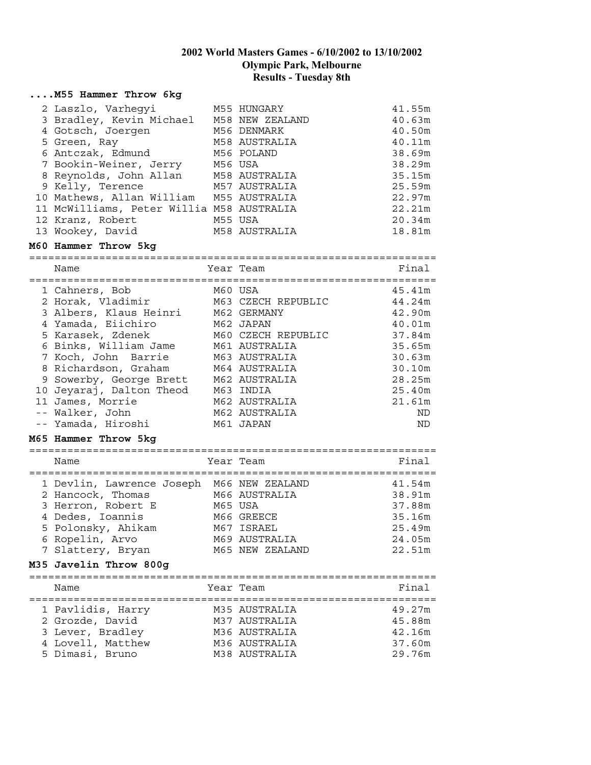#### **....M55 Hammer Throw 6kg** 2 Laszlo, Varhegyi M55 HUNGARY 41.55m 3 Bradley, Kevin Michael M58 NEW ZEALAND 40.63m 4 Gotsch, Joergen M56 DENMARK 40.50m 5 Green, Ray 61 M58 AUSTRALIA 10.11m 6 Antczak, Edmund M56 POLAND 38.69m 7 Bookin-Weiner, Jerry M56 USA 38.29m 8 Reynolds, John Allan M58 AUSTRALIA 35.15m 9 Kelly, Terence M57 AUSTRALIA 25.59m 10 Mathews, Allan William M55 AUSTRALIA 22.97m 11 McWilliams, Peter Willia M58 AUSTRALIA 22.21m 12 Kranz, Robert M55 USA 20.34m 13 Wookey, David M58 AUSTRALIA 18.81m **M60 Hammer Throw 5kg** ================================================================ Name **Team** Year Team **Final** ================================================================ 1 Cahners, Bob 160 USA 15.41m 2 Horak, Vladimir M63 CZECH REPUBLIC 44.24m 3 Albers, Klaus Heinri M62 GERMANY 42.90m 4 Yamada, Eiichiro M62 JAPAN 40.01m 5 Karasek, Zdenek M60 CZECH REPUBLIC 37.84m 6 Binks, William Jame M61 AUSTRALIA 35.65m 7 Koch, John Barrie M63 AUSTRALIA 30.63m 8 Richardson, Graham M64 AUSTRALIA 30.10m 9 Sowerby, George Brett M62 AUSTRALIA 28.25m 10 Jeyaraj, Dalton Theod M63 INDIA 25.40m 11 James, Morrie M62 AUSTRALIA 21.61m -- Walker, John M62 AUSTRALIA ND -- Yamada, Hiroshi M61 JAPAN ND **M65 Hammer Throw 5kg** ================================================================ Name **Name** Year Team **Final** ================================================================ 1 Devlin, Lawrence Joseph M66 NEW ZEALAND 41.54m 2 Hancock, Thomas M66 AUSTRALIA 38.91m 3 Herron, Robert E M65 USA 37.88m 4 Dedes, Ioannis M66 GREECE 35.16m 5 Polonsky, Ahikam M67 ISRAEL 25.49m 6 Ropelin, Arvo M69 AUSTRALIA 24.05m 7 Slattery, Bryan M65 NEW ZEALAND 22.51m **M35 Javelin Throw 800g** ================================================================ Name **South Strait Communist Sear Team Final** ================================================================ 1 Pavlidis, Harry M35 AUSTRALIA 49.27m 2 Grozde, David M37 AUSTRALIA 45.88m 3 Lever, Bradley M36 AUSTRALIA 42.16m 4 Lovell, Matthew M36 AUSTRALIA 37.60m 5 Dimasi, Bruno M38 AUSTRALIA 29.76m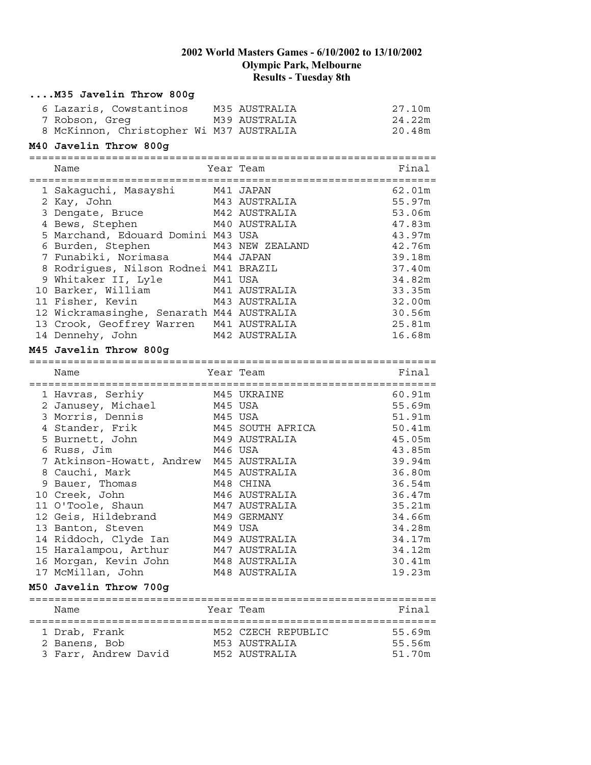| M35 Javelin Throw 800g                    |                    |        |
|-------------------------------------------|--------------------|--------|
| 6 Lazaris, Cowstantinos                   | M35 AUSTRALIA      | 27.10m |
| 7 Robson, Greg                            | M39 AUSTRALIA      | 24.22m |
| 8 McKinnon, Christopher Wi M37 AUSTRALIA  |                    | 20.48m |
| M40 Javelin Throw 800g                    |                    |        |
| Name                                      | Year Team          | Final  |
|                                           |                    |        |
| 1 Sakaguchi, Masayshi     M41 JAPAN       |                    | 62.01m |
| 2 Kay, John                               | M43 AUSTRALIA      | 55.97m |
| 3 Dengate, Bruce                          | M42 AUSTRALIA      | 53.06m |
| 4 Bews, Stephen                           | M40 AUSTRALIA      | 47.83m |
| 5 Marchand, Edouard Domini M43 USA        |                    | 43.97m |
| 6 Burden, Stephen                         | M43 NEW ZEALAND    | 42.76m |
| 7 Funabiki, Norimasa                      | M44 JAPAN          | 39.18m |
| 8 Rodrigues, Nilson Rodnei M41 BRAZIL     |                    | 37.40m |
| 9 Whitaker II, Lyle                       | M41 USA            | 34.82m |
| 10 Barker, William                        | M41 AUSTRALIA      | 33.35m |
| 11 Fisher, Kevin                          | M43 AUSTRALIA      | 32.00m |
| 12 Wickramasinghe, Senarath M44 AUSTRALIA |                    | 30.56m |
| 13 Crook, Geoffrey Warren                 | M41 AUSTRALIA      | 25.81m |
| 14 Dennehy, John                          | M42 AUSTRALIA      | 16.68m |
| M45 Javelin Throw 800g                    |                    |        |
| Name                                      | Year Team          | Final  |
|                                           |                    |        |
| 1 Havras, Serhiy                          | M45 UKRAINE        | 60.91m |
| 2 Janusey, Michael                        | M45 USA            | 55.69m |
| 3 Morris, Dennis                          | M45 USA            | 51.91m |
| 4 Stander, Frik                           | M45 SOUTH AFRICA   | 50.41m |
| 5 Burnett, John                           | M49 AUSTRALIA      | 45.05m |
| 6 Russ, Jim                               | M46 USA            | 43.85m |
| 7 Atkinson-Howatt, Andrew                 | M45 AUSTRALIA      | 39.94m |
| 8 Cauchi, Mark                            | M45 AUSTRALIA      | 36.80m |
| 9 Bauer, Thomas                           | M48 CHINA          | 36.54m |
| 10 Creek, John                            | M46 AUSTRALIA      | 36.47m |
| 11 O'Toole, Shaun                         | M47 AUSTRALIA      | 35.21m |
| 12 Geis, Hildebrand                       | M49 GERMANY        | 34.66m |
| 13 Banton, Steven                         | M49 USA            | 34.28m |
| 14 Riddoch, Clyde Ian                     | M49 AUSTRALIA      | 34.17m |
| 15 Haralampou, Arthur                     | M47 AUSTRALIA      | 34.12m |
| 16 Morgan, Kevin John                     | M48 AUSTRALIA      | 30.41m |
| 17 McMillan, John                         | M48 AUSTRALIA      | 19.23m |
| M50 Javelin Throw 700g                    |                    |        |
| Name                                      | Year Team          | Final  |
| 1 Drab, Frank                             | M52 CZECH REPUBLIC | 55.69m |
| 2 Banens, Bob                             | M53 AUSTRALIA      | 55.56m |
| 3 Farr, Andrew David                      | M52 AUSTRALIA      | 51.70m |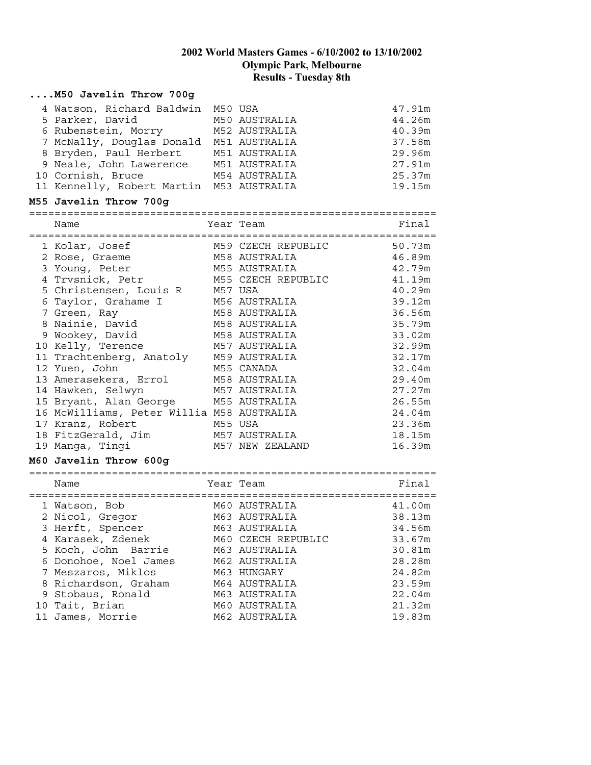#### **....M50 Javelin Throw 700g**

| 4 Watson, Richard Baldwin M50 USA        |               | 47.91m |
|------------------------------------------|---------------|--------|
| 5 Parker, David                          | M50 AUSTRALIA | 44.26m |
| 6 Rubenstein, Morry                      | M52 AUSTRALIA | 40.39m |
| 7 McNally, Douglas Donald M51 AUSTRALIA  |               | 37.58m |
| 8 Bryden, Paul Herbert                   | M51 AUSTRALIA | 29.96m |
| 9 Neale, John Lawerence M51 AUSTRALIA    |               | 27.91m |
| 10 Cornish, Bruce                        | M54 AUSTRALIA | 25.37m |
| 11 Kennelly, Robert Martin M53 AUSTRALIA |               | 19.15m |
| M55 Javelin Throw 700g                   |               |        |

# ================================================================

| Name                                      | Year Team          | Final  |
|-------------------------------------------|--------------------|--------|
| 1 Kolar, Josef                            | M59 CZECH REPUBLIC | 50.73m |
| 2 Rose, Graeme                            | M58 AUSTRALIA      | 46.89m |
| 3 Young, Peter                            | M55 AUSTRALIA      | 42.79m |
| 4 Trvsnick, Petr                          | M55 CZECH REPUBLIC | 41.19m |
| 5 Christensen, Louis R M57 USA            |                    | 40.29m |
| 6 Taylor, Grahame I                       | M56 AUSTRALIA      | 39.12m |
| 7 Green, Ray                              | M58 AUSTRALIA      | 36.56m |
| 8 Nainie, David                           | M58 AUSTRALIA      | 35.79m |
| 9 Wookey, David                           | M58 AUSTRALIA      | 33.02m |
| 10 Kelly, Terence                         | M57 AUSTRALIA      | 32.99m |
| 11 Trachtenberg, Anatoly M59 AUSTRALIA    |                    | 32.17m |
| 12 Yuen, John                             | M55 CANADA         | 32.04m |
| 13 Amerasekera, Errol                     | M58 AUSTRALIA      | 29.40m |
| 14 Hawken, Selwyn                         | M57 AUSTRALIA      | 27.27m |
| 15 Bryant, Alan George M55 AUSTRALIA      |                    | 26.55m |
| 16 McWilliams, Peter Willia M58 AUSTRALIA |                    | 24.04m |
| 17 Kranz, Robert                          | M55 USA            | 23.36m |
| 18 FitzGerald, Jim                        | M57 AUSTRALIA      | 18.15m |
| 19 Manga, Tingi                           | M57 NEW ZEALAND    | 16.39m |

#### **M60 Javelin Throw 600g**

================================================================

| Name                  | Year Team          | Final  |
|-----------------------|--------------------|--------|
| 1 Watson, Bob         | M60 AUSTRALIA      | 41.00m |
| 2 Nicol, Gregor       | M63 AUSTRALIA      | 38.13m |
| 3 Herft, Spencer      | M63 AUSTRALIA      | 34.56m |
| 4 Karasek, Zdenek     | M60 CZECH REPUBLIC | 33.67m |
| 5 Koch, John Barrie   | M63 AUSTRALIA      | 30.81m |
| 6 Donohoe, Noel James | M62 AUSTRALIA      | 28.28m |
| 7 Meszaros, Miklos    | M63 HUNGARY        | 24.82m |
| 8 Richardson, Graham  | M64 AUSTRALIA      | 23.59m |
| 9 Stobaus, Ronald     | M63 AUSTRALIA      | 22.04m |
| 10 Tait, Brian        | M60 AUSTRALIA      | 21.32m |
| 11 James, Morrie      | M62 AUSTRALIA      | 19.83m |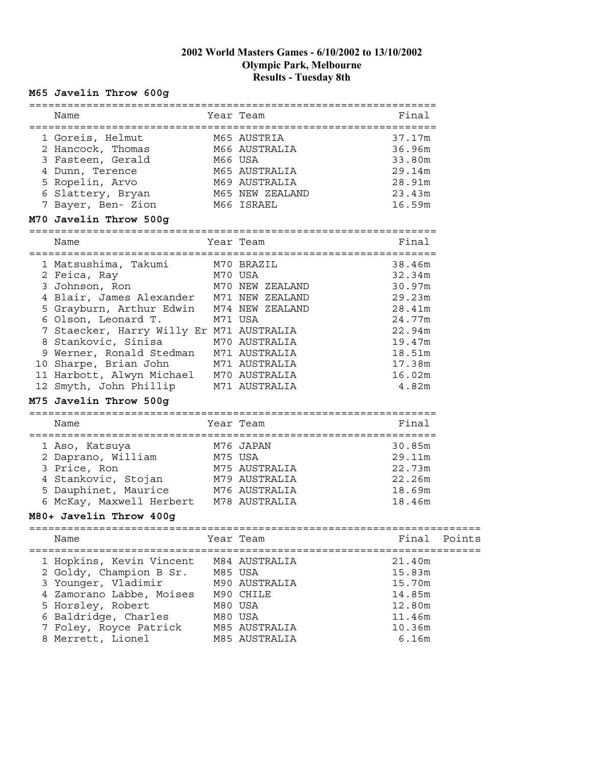## **M65 Javelin Throw 600g**

| ===========                                                                   |         |                                       |        |        |
|-------------------------------------------------------------------------------|---------|---------------------------------------|--------|--------|
| Name                                                                          |         | Year Team                             | Final  |        |
| 1 Goreis, Helmut                                                              |         | M65 AUSTRIA                           | 37.17m |        |
| 2 Hancock, Thomas                                                             |         | M66 AUSTRALIA                         | 36.96m |        |
| 3 Fasteen, Gerald                                                             | M66 USA |                                       | 33.80m |        |
| 4 Dunn, Terence                                                               |         | M65 AUSTRALIA                         | 29.14m |        |
| 5 Ropelin, Arvo                                                               |         | M69 AUSTRALIA                         | 28.91m |        |
| 6 Slattery, Bryan                                                             |         | M65 NEW ZEALAND                       | 23.43m |        |
| 7 Bayer, Ben- Zion                                                            |         | M66 ISRAEL                            | 16.59m |        |
| M70 Javelin Throw 500g                                                        |         |                                       |        |        |
| Name                                                                          |         | Year Team                             | Final  |        |
| =============================<br>1 Matsushima, Takumi                         |         | =======================<br>M70 BRAZIL | 38.46m |        |
| 2 Feica, Ray<br>M70 USA                                                       |         |                                       | 32.34m |        |
| 3 Johnson, Ron                                                                |         | M70 NEW ZEALAND                       | 30.97m |        |
| 4 Blair, James Alexander M71 NEW ZEALAND                                      |         |                                       | 29.23m |        |
| 5 Grayburn, Arthur Edwin M74 NEW ZEALAND                                      |         |                                       | 28.41m |        |
| 6 Olson, Leonard T.                                                           |         | M71 USA                               | 24.77m |        |
| 7 Staecker, Harry Willy Er M71 AUSTRALIA                                      |         |                                       | 22.94m |        |
| 8 Stankovic, Sinisa 1970 AUSTRALIA<br>9 Werner, Ronald Stedman 1971 AUSTRALIA |         |                                       | 19.47m |        |
|                                                                               |         |                                       | 18.51m |        |
| 10 Sharpe, Brian John                                                         |         | M71 AUSTRALIA                         | 17.38m |        |
| 11 Harbott, Alwyn Michael M70 AUSTRALIA                                       |         |                                       | 16.02m |        |
| 12 Smyth, John Phillip M71 AUSTRALIA                                          |         |                                       | 4.82m  |        |
| M75 Javelin Throw 500g                                                        |         |                                       |        |        |
| Name                                                                          |         | Year Team                             | Final  |        |
| 1 Aso, Katsuya                                                                |         | M76 JAPAN                             | 30.85m |        |
| 2 Daprano, William                                                            | M75 USA |                                       | 29.11m |        |
| 3 Price, Ron                                                                  |         | M75 AUSTRALIA                         | 22.73m |        |
| 4 Stankovic, Stojan M79 AUSTRALIA                                             |         |                                       | 22.26m |        |
| 5 Dauphinet, Maurice M76 AUSTRALIA                                            |         |                                       | 18.69m |        |
| 6 McKay, Maxwell Herbert M78 AUSTRALIA                                        |         |                                       | 18.46m |        |
| M80+ Javelin Throw 400g                                                       |         |                                       |        |        |
| Name                                                                          |         | Year Team                             | Final  | Points |
| 1 Hopkins, Kevin Vincent                                                      |         | M84 AUSTRALIA                         | 21.40m |        |
| 2 Goldy, Champion B Sr.                                                       |         | M85 USA                               | 15.83m |        |
| 3 Younger, Vladimir                                                           |         | M90 AUSTRALIA                         | 15.70m |        |
| 4 Zamorano Labbe, Moises                                                      |         | M90 CHILE                             | 14.85m |        |
| 5 Horsley, Robert                                                             |         | M80 USA                               | 12.80m |        |
| 6 Baldridge, Charles                                                          |         | M80 USA                               | 11.46m |        |
| 7 Foley, Royce Patrick                                                        |         | M85 AUSTRALIA                         | 10.36m |        |
| 8 Merrett, Lionel                                                             |         | M85 AUSTRALIA                         | 6.16m  |        |
|                                                                               |         |                                       |        |        |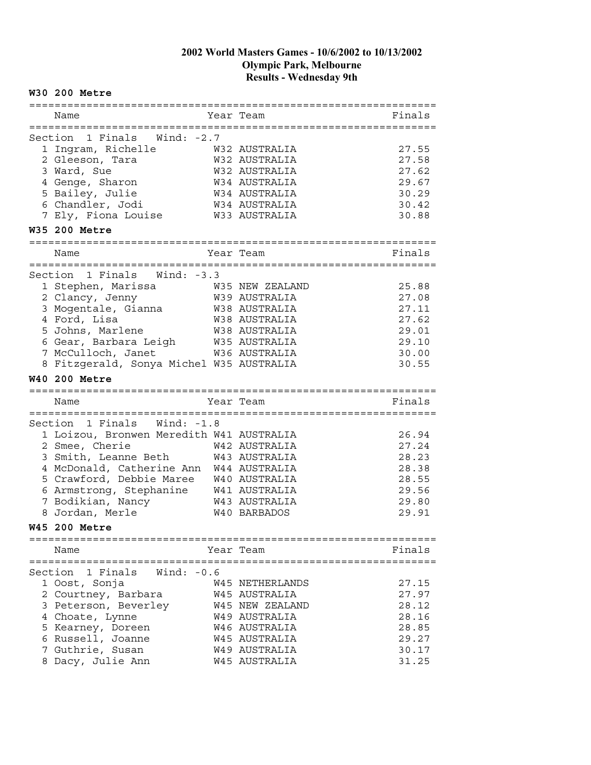## **W30 200 Metre**

| Name                                                 | Year Team                      | Finals         |
|------------------------------------------------------|--------------------------------|----------------|
|                                                      |                                |                |
| Section 1 Finals<br>Wind: -2.7                       |                                |                |
| 1 Ingram, Richelle                                   | W32 AUSTRALIA                  | 27.55          |
| 2 Gleeson, Tara                                      | W32 AUSTRALIA                  | 27.58          |
| 3 Ward, Sue                                          | W32 AUSTRALIA                  | 27.62          |
| 4 Genge, Sharon                                      | W34 AUSTRALIA                  | 29.67          |
| 5 Bailey, Julie                                      | W34 AUSTRALIA                  | 30.29          |
| 6 Chandler, Jodi                                     | W34 AUSTRALIA                  | 30.42          |
| 7 Ely, Fiona Louise                                  | W33 AUSTRALIA                  | 30.88          |
| W35 200 Metre                                        |                                |                |
| ---------                                            |                                |                |
| Name                                                 | Year Team                      | Finals         |
| :====================                                |                                |                |
| 1 Finals Wind: -3.3<br>Section                       |                                |                |
| 1 Stephen, Marissa                                   | W35 NEW ZEALAND                | 25.88          |
| 2 Clancy, Jenny                                      | W39 AUSTRALIA                  | 27.08          |
| 3 Mogentale, Gianna                                  | W38 AUSTRALIA                  | 27.11          |
| 4 Ford, Lisa                                         | W38 AUSTRALIA                  | 27.62          |
| 5 Johns, Marlene                                     | W38 AUSTRALIA                  | 29.01          |
| 6 Gear, Barbara Leigh                                | W35 AUSTRALIA                  | 29.10          |
| 7 McCulloch, Janet                                   | W36 AUSTRALIA                  | 30.00          |
| 8 Fitzgerald, Sonya Michel W35 AUSTRALIA             |                                | 30.55          |
| <b>W40 200 Metre</b>                                 |                                |                |
|                                                      |                                |                |
| ======================                               |                                |                |
| Name                                                 | Year Team                      | Finals         |
| --- <u>--------</u> -<br>$=$ $=$ $=$ $=$ $=$ $=$ $=$ |                                |                |
| Section 1 Finals<br>Wind: $-1.8$                     |                                |                |
| 1 Loizou, Bronwen Meredith W41 AUSTRALIA             |                                | 26.94          |
| 2 Smee, Cherie                                       | W42 AUSTRALIA                  | 27.24          |
| 3 Smith, Leanne Beth                                 | W43 AUSTRALIA                  | 28.23          |
| 4 McDonald, Catherine Ann                            | W44 AUSTRALIA                  | 28.38          |
| 5 Crawford, Debbie Maree                             | W40 AUSTRALIA                  | 28.55          |
| 6 Armstrong, Stephanine                              | W41 AUSTRALIA                  | 29.56          |
| 7 Bodikian, Nancy                                    | W43 AUSTRALIA                  | 29.80          |
| 8 Jordan, Merle                                      | W <sub>40</sub> BARBADOS       | 29.91          |
| <b>W45 200 Metre</b>                                 |                                |                |
|                                                      |                                |                |
| Name                                                 | Year Team                      | Finals         |
|                                                      |                                |                |
| 1 Finals<br>Wind: -0.6<br>Section                    |                                |                |
| 1 Oost, Sonja                                        | W45 NETHERLANDS                | 27.15          |
| 2 Courtney, Barbara                                  | W45 AUSTRALIA                  | 27.97          |
| 3 Peterson, Beverley                                 | W45 NEW ZEALAND                | 28.12          |
| 4 Choate, Lynne                                      | W49 AUSTRALIA                  | 28.16          |
| 5 Kearney, Doreen                                    | W46 AUSTRALIA                  | 28.85          |
| 6 Russell, Joanne                                    | W45 AUSTRALIA                  | 29.27          |
| 7 Guthrie, Susan<br>8 Dacy, Julie Ann                | W49 AUSTRALIA<br>W45 AUSTRALIA | 30.17<br>31.25 |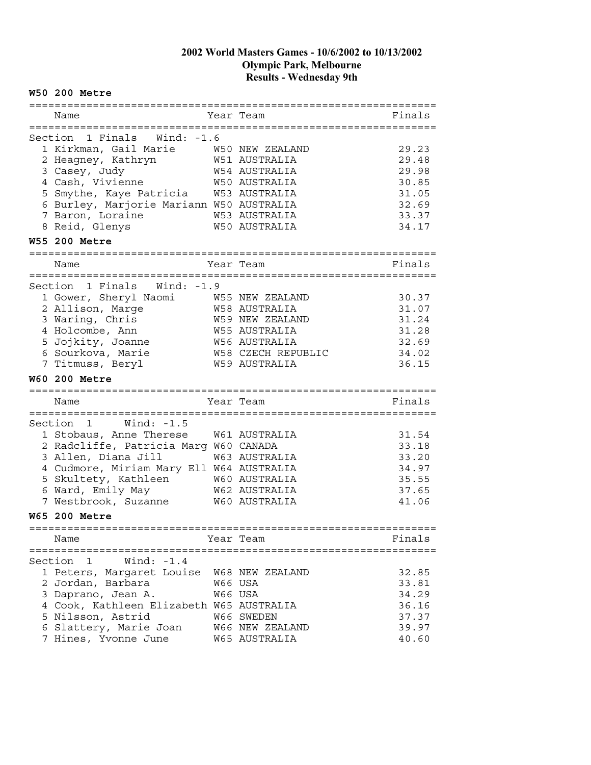## **W50 200 Metre**

| Name                                                         |         | Year Team              | Finals |
|--------------------------------------------------------------|---------|------------------------|--------|
| Wind: -1.6<br>Section 1 Finals                               |         |                        |        |
| 1 Kirkman, Gail Marie                                        |         | W50 NEW ZEALAND        | 29.23  |
| 2 Heagney, Kathryn                                           |         | W51 AUSTRALIA          | 29.48  |
| 3 Casey, Judy                                                |         | W54 AUSTRALIA          | 29.98  |
| 4 Cash, Vivienne                                             |         | <b>W50 AUSTRALIA</b>   | 30.85  |
| 5 Smythe, Kaye Patricia                                      |         | W53 AUSTRALIA          | 31.05  |
| 6 Burley, Marjorie Mariann W50 AUSTRALIA                     |         |                        | 32.69  |
| 7 Baron, Loraine                                             |         | W53 AUSTRALIA          | 33.37  |
| 8 Reid, Glenys                                               |         | <b>W50 AUSTRALIA</b>   | 34.17  |
| <b>W55 200 Metre</b>                                         |         |                        |        |
| Name                                                         |         | Year Team              | Finals |
| ==================                                           |         |                        |        |
| Section<br>1 Finals<br>Wind: -1.9                            |         |                        |        |
| 1 Gower, Sheryl Naomi                                        |         | W55 NEW ZEALAND        | 30.37  |
| 2 Allison, Marge                                             |         | W58 AUSTRALIA          | 31.07  |
| 3 Waring, Chris                                              |         | <b>W59 NEW ZEALAND</b> | 31.24  |
| 4 Holcombe, Ann                                              |         | W55 AUSTRALIA          | 31.28  |
| 5 Jojkity, Joanne                                            |         | <b>W56 AUSTRALIA</b>   | 32.69  |
| 6 Sourkova, Marie                                            |         | W58 CZECH REPUBLIC     | 34.02  |
| 7 Titmuss, Beryl                                             |         | W59 AUSTRALIA          | 36.15  |
|                                                              |         |                        |        |
| <b>W60 200 Metre</b>                                         |         |                        |        |
|                                                              |         | =================      |        |
| Name                                                         |         | Year Team              | Finals |
| Section<br>$\mathbf{1}$<br>Wind: -1.5                        |         |                        |        |
|                                                              |         | W61 AUSTRALIA          | 31.54  |
| 1 Stobaus, Anne Therese                                      |         |                        | 33.18  |
| 2 Radcliffe, Patricia Marg W60 CANADA<br>3 Allen, Diana Jill |         | W63 AUSTRALIA          | 33.20  |
| 4 Cudmore, Miriam Mary Ell W64 AUSTRALIA                     |         |                        | 34.97  |
|                                                              |         | W60 AUSTRALIA          | 35.55  |
| 5 Skultety, Kathleen<br>6 Ward, Emily May                    |         | W62 AUSTRALIA          | 37.65  |
| 7 Westbrook, Suzanne                                         |         | W60 AUSTRALIA          | 41.06  |
| <b>W65 200 Metre</b>                                         |         |                        |        |
| =================================                            |         |                        |        |
| Name                                                         |         | Year Team              | Finals |
| Section<br>Wind: $-1.4$<br>1                                 |         |                        |        |
| 1 Peters, Margaret Louise                                    |         | W68 NEW ZEALAND        | 32.85  |
| 2 Jordan, Barbara                                            | W66 USA |                        | 33.81  |
| 3 Daprano, Jean A.                                           |         | W66 USA                | 34.29  |
| 4 Cook, Kathleen Elizabeth W65 AUSTRALIA                     |         |                        | 36.16  |
| 5 Nilsson, Astrid                                            |         | W66 SWEDEN             | 37.37  |
| 6 Slattery, Marie Joan                                       |         | W66 NEW ZEALAND        | 39.97  |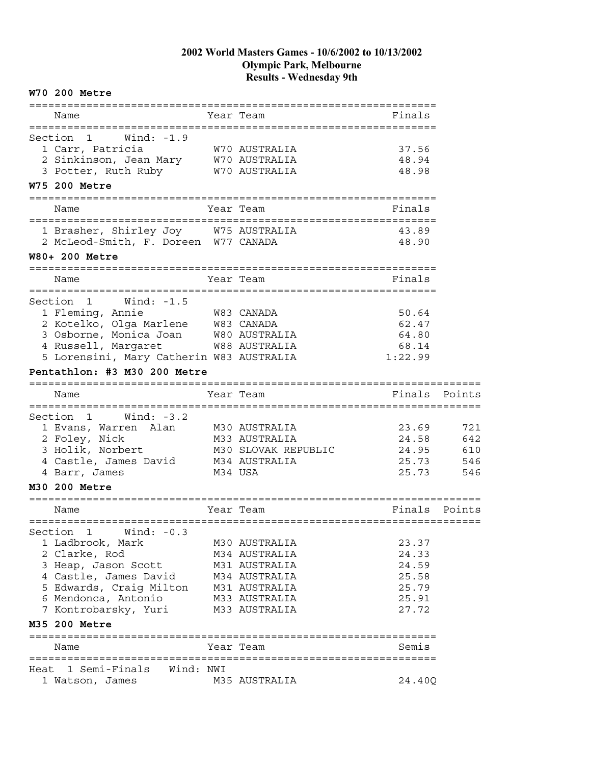#### **W70 200 Metre** ================================================================ Name Year Team Finals ================================================================ Section 1 Wind: -1.9 1 Carr, Patricia W70 AUSTRALIA 37.56 2 Sinkinson, Jean Mary W70 AUSTRALIA 48.94 3 Potter, Ruth Ruby M70 AUSTRALIA 48.98 **W75 200 Metre** ================================================================ Name **Name** Year Team **Finals** ================================================================ 1 Brasher, Shirley Joy W75 AUSTRALIA 43.89 2 McLeod-Smith, F. Doreen W77 CANADA 48.90 **W80+ 200 Metre** ================================================================ Name **The South State Team** Shane Team **Finals** ================================================================ Section 1 Wind: -1.5 1 Fleming, Annie 1996 – Was CANADA 1996 – So.64 2 Kotelko, Olga Marlene M83 CANADA 62.47 3 Osborne, Monica Joan W80 AUSTRALIA 64.80 4 Russell, Margaret W88 AUSTRALIA 68.14 5 Lorensini, Mary Catherin W83 AUSTRALIA 1:22.99 **Pentathlon: #3 M30 200 Metre** ======================================================================= Name **1986 Team 1996 No. 1997 Name** Points Points Points ======================================================================= Section 1 Wind: -3.2 1 Evans, Warren Alan M30 AUSTRALIA 23.69 721 2 Foley, Nick M33 AUSTRALIA 24.58 642 3 Holik, Norbert M30 SLOVAK REPUBLIC 24.95 610 4 Castle, James David M34 AUSTRALIA 25.73 546 4 Barr, James M34 USA 25.73 546 **M30 200 Metre** ======================================================================= Name **The State Team** Points Points Points Points Points Points Points Points Points Points Points Points Points Points Points Points Points Points Points Points Points Points Points Points Points Points Points Points Poin ======================================================================= Section 1 Wind: -0.3 1 Ladbrook, Mark M30 AUSTRALIA 23.37 2 Clarke, Rod M34 AUSTRALIA 24.33 3 Heap, Jason Scott M31 AUSTRALIA 24.59 4 Castle, James David M34 AUSTRALIA 25.58 5 Edwards, Craig Milton M31 AUSTRALIA 25.79 6 Mendonca, Antonio M33 AUSTRALIA 25.91 7 Kontrobarsky, Yuri M33 AUSTRALIA 27.72 **M35 200 Metre** ================================================================ Name Year Team ================================================================ Heat 1 Semi-Finals Wind: NWI 1 Watson, James M35 AUSTRALIA 24.40Q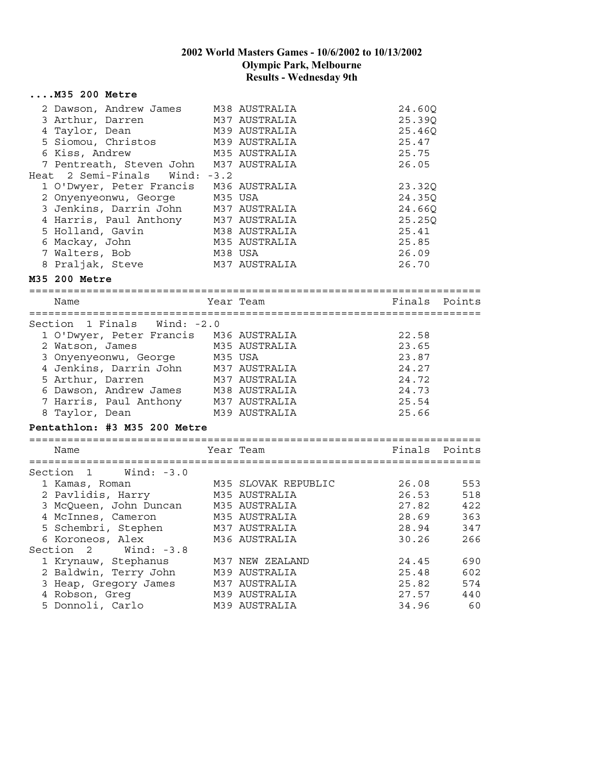| M35 200 Metre                          |              |                     |               |        |
|----------------------------------------|--------------|---------------------|---------------|--------|
| 2 Dawson, Andrew James M38 AUSTRALIA   |              |                     | 24.60Q        |        |
| 3 Arthur, Darren                       |              | M37 AUSTRALIA       | 25.39Q        |        |
| 4 Taylor, Dean                         |              | M39 AUSTRALIA       | 25.46Q        |        |
| 5 Siomou, Christos M39 AUSTRALIA       |              |                     | 25.47         |        |
| 6 Kiss, Andrew                         |              | M35 AUSTRALIA       | 25.75         |        |
| 7 Pentreath, Steven John M37 AUSTRALIA |              |                     | 26.05         |        |
| Heat 2 Semi-Finals                     | Wind: $-3.2$ |                     |               |        |
| 1 O'Dwyer, Peter Francis               |              | M36 AUSTRALIA       | 23.32Q        |        |
| 2 Onyenyeonwu, George                  | M35 USA      |                     | 24.35Q        |        |
| 3 Jenkins, Darrin John                 |              | M37 AUSTRALIA       | 24.66Q        |        |
| 4 Harris, Paul Anthony                 |              | M37 AUSTRALIA       | 25.25Q        |        |
| 5 Holland, Gavin                       |              | M38 AUSTRALIA       | 25.41         |        |
| 6 Mackay, John                         |              | M35 AUSTRALIA       | 25.85         |        |
| 7 Walters, Bob                         | M38 USA      |                     | 26.09         |        |
| 8 Praljak, Steve                       |              | M37 AUSTRALIA       | 26.70         |        |
| M35 200 Metre                          |              |                     |               |        |
| Name                                   |              | Year Team           | Finals        | Points |
|                                        |              |                     |               |        |
| Section 1 Finals Wind: -2.0            |              |                     |               |        |
| 1 O'Dwyer, Peter Francis M36 AUSTRALIA |              |                     | 22.58         |        |
| 2 Watson, James                        |              | M35 AUSTRALIA       | 23.65         |        |
| 3 Onyenyeonwu, George                  | M35 USA      |                     | 23.87         |        |
| 4 Jenkins, Darrin John M37 AUSTRALIA   |              |                     | 24.27         |        |
| 5 Arthur, Darren                       |              | M37 AUSTRALIA       | 24.72         |        |
| 6 Dawson, Andrew James M38 AUSTRALIA   |              |                     | 24.73         |        |
| 7 Harris, Paul Anthony M37 AUSTRALIA   |              |                     | 25.54         |        |
| 8 Taylor, Dean                         |              | M39 AUSTRALIA       | 25.66         |        |
| Pentathlon: #3 M35 200 Metre           |              |                     |               |        |
| Name                                   |              | Year Team           | Finals Points |        |
|                                        |              |                     |               |        |
| Section 1 Wind: -3.0                   |              |                     |               |        |
| 1 Kamas, Roman                         |              | M35 SLOVAK REPUBLIC | 26.08         | 553    |
| 2 Pavlidis, Harry M35 AUSTRALIA        |              |                     | 26.53         | 518    |
| 3 McQueen, John Duncan M35 AUSTRALIA   |              |                     | 27.82         | 422    |
| 4 McInnes, Cameron                     |              | M35 AUSTRALIA       | 28.69         | 363    |
| 5 Schembri, Stephen                    |              | M37 AUSTRALIA       | 28.94         | 347    |
| 6 Koroneos, Alex                       |              | M36 AUSTRALIA       | 30.26         | 266    |
| Wind: $-3.8$<br>Section 2              |              |                     |               |        |
| 1 Krynauw, Stephanus                   |              | M37 NEW ZEALAND     | 24.45         | 690    |
| 2 Baldwin, Terry John                  |              | M39 AUSTRALIA       | 25.48         | 602    |
| 3 Heap, Gregory James                  |              | M37 AUSTRALIA       | 25.82         | 574    |
| 4 Robson, Greq                         |              | M39 AUSTRALIA       | 27.57         | 440    |
| 5 Donnoli, Carlo                       |              | M39 AUSTRALIA       | 34.96         | 60     |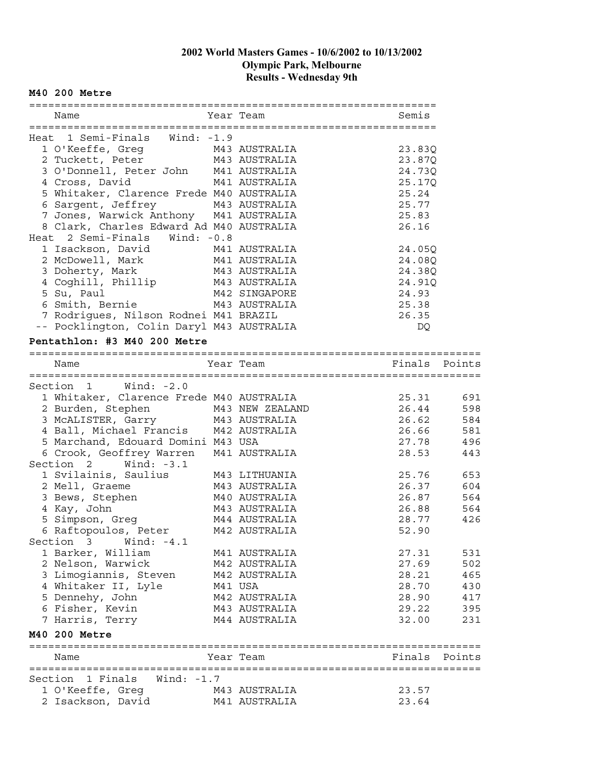#### **M40 200 Metre**

| Year Team<br>Semis<br>Name<br>Heat 1 Semi-Finals Wind: -1.9<br>1 O'Keeffe, Greg M43 AUSTRALIA<br>23.83Q<br>2 Tuckett, Peter M43 AUSTRALIA<br>23.87Q<br>3 O'Donnell, Peter John M41 AUSTRALIA<br>24.73Q<br>4 Cross, David<br>M41 AUSTRALIA<br>25.17Q<br>5 Whitaker, Clarence Frede M40 AUSTRALIA<br>25.24<br>6 Sargent, Jeffrey 143 AUSTRALIA<br>7 Jones, Warwick Anthony 141 AUSTRALIA<br>25.77<br>25.83<br>8 Clark, Charles Edward Ad M40 AUSTRALIA<br>26.16<br>Heat 2 Semi-Finals Wind: -0.8<br>1 Isackson, David<br>2 McDowell, Mark<br>3 Doherty, Mark<br>M41 AUSTRALIA<br>24.05Q<br>M41 AUSTRALIA<br>24.08Q<br>M43 AUSTRALIA<br>24.38Q<br>4 Coghili, Phillip M43 AUSTRALIA<br>24.91Q<br>5 Su, Paul<br>M42 SINGAPORE<br>24.93<br>6 Smith, Bernie M43 AUSTRALIA<br>25.38<br>7 Rodrigues, Nilson Rodnei M41 BRAZIL<br>26.35<br>-- Pocklington, Colin Daryl M43 AUSTRALIA<br>DQ<br>Pentathlon: #3 M40 200 Metre<br>Year Team<br>Name<br>Section 1 Wind: -2.0<br>1 Whitaker, Clarence Frede M40 AUSTRALIA<br>25.31<br>2 Burden, Stephen<br>26.44<br>M43 NEW ZEALAND<br>3 MCALISTER, Garry M43 AUSTRALIA<br>26.62<br>4 Ball, Michael Francis M42 AUSTRALIA<br>26.66<br>5 Marchand, Edouard Domini M43 USA<br>27.78<br>28.53<br>6 Crook, Georgian (1988)<br>Section 2 Wind: -3.1<br>1 Svilainis, Saulius M43 LITHUANIA<br>M43 AUSTRALIA<br>M43 AUSTRALIA<br>25.76<br>26.37<br>M40 AUSTRALIA<br>26.87<br>3 Bews, Stephen<br>4 Kay, John<br>M43 AUSTRALIA<br>26.88<br>5 Simpson, Greg M44 AUSTRALIA<br>28.77<br>6 Raftopoulos, Peter M42 AUSTRALIA<br>52.90<br>Section 3<br>Wind: -4.1<br>1 Barker, William<br>27.31<br>M41 AUSTRALIA<br>2 Nelson, Warwick<br>27.69<br>M42 AUSTRALIA<br>3 Limogiannis, Steven<br>28.21<br>M42 AUSTRALIA<br>4 Whitaker II, Lyle<br>M41 USA<br>28.70<br>5 Dennehy, John<br>28.90<br>M42 AUSTRALIA<br>6 Fisher, Kevin<br>29.22<br>M43 AUSTRALIA<br>7 Harris, Terry<br>M44 AUSTRALIA<br>32.00<br>M40 200 Metre<br>Year Team<br>Name<br>Section 1 Finals Wind: -1.7<br>1 O'Keeffe, Greg<br>23.57<br>M43 AUSTRALIA<br>2 Isackson, David<br>23.64<br>M41 AUSTRALIA |  |  |  |
|-----------------------------------------------------------------------------------------------------------------------------------------------------------------------------------------------------------------------------------------------------------------------------------------------------------------------------------------------------------------------------------------------------------------------------------------------------------------------------------------------------------------------------------------------------------------------------------------------------------------------------------------------------------------------------------------------------------------------------------------------------------------------------------------------------------------------------------------------------------------------------------------------------------------------------------------------------------------------------------------------------------------------------------------------------------------------------------------------------------------------------------------------------------------------------------------------------------------------------------------------------------------------------------------------------------------------------------------------------------------------------------------------------------------------------------------------------------------------------------------------------------------------------------------------------------------------------------------------------------------------------------------------------------------------------------------------------------------------------------------------------------------------------------------------------------------------------------------------------------------------------------------------------------------------------------------------------------------------------------------------------------------------------------------------------------------------------------------|--|--|--|
|                                                                                                                                                                                                                                                                                                                                                                                                                                                                                                                                                                                                                                                                                                                                                                                                                                                                                                                                                                                                                                                                                                                                                                                                                                                                                                                                                                                                                                                                                                                                                                                                                                                                                                                                                                                                                                                                                                                                                                                                                                                                                         |  |  |  |
|                                                                                                                                                                                                                                                                                                                                                                                                                                                                                                                                                                                                                                                                                                                                                                                                                                                                                                                                                                                                                                                                                                                                                                                                                                                                                                                                                                                                                                                                                                                                                                                                                                                                                                                                                                                                                                                                                                                                                                                                                                                                                         |  |  |  |
|                                                                                                                                                                                                                                                                                                                                                                                                                                                                                                                                                                                                                                                                                                                                                                                                                                                                                                                                                                                                                                                                                                                                                                                                                                                                                                                                                                                                                                                                                                                                                                                                                                                                                                                                                                                                                                                                                                                                                                                                                                                                                         |  |  |  |
| 691<br>598<br>584<br>581<br>496<br>443<br>653<br>604<br>564<br>564<br>426<br>531<br>502<br>465<br>430<br>417<br>395<br>231<br>Finals Points                                                                                                                                                                                                                                                                                                                                                                                                                                                                                                                                                                                                                                                                                                                                                                                                                                                                                                                                                                                                                                                                                                                                                                                                                                                                                                                                                                                                                                                                                                                                                                                                                                                                                                                                                                                                                                                                                                                                             |  |  |  |
|                                                                                                                                                                                                                                                                                                                                                                                                                                                                                                                                                                                                                                                                                                                                                                                                                                                                                                                                                                                                                                                                                                                                                                                                                                                                                                                                                                                                                                                                                                                                                                                                                                                                                                                                                                                                                                                                                                                                                                                                                                                                                         |  |  |  |
|                                                                                                                                                                                                                                                                                                                                                                                                                                                                                                                                                                                                                                                                                                                                                                                                                                                                                                                                                                                                                                                                                                                                                                                                                                                                                                                                                                                                                                                                                                                                                                                                                                                                                                                                                                                                                                                                                                                                                                                                                                                                                         |  |  |  |
|                                                                                                                                                                                                                                                                                                                                                                                                                                                                                                                                                                                                                                                                                                                                                                                                                                                                                                                                                                                                                                                                                                                                                                                                                                                                                                                                                                                                                                                                                                                                                                                                                                                                                                                                                                                                                                                                                                                                                                                                                                                                                         |  |  |  |
|                                                                                                                                                                                                                                                                                                                                                                                                                                                                                                                                                                                                                                                                                                                                                                                                                                                                                                                                                                                                                                                                                                                                                                                                                                                                                                                                                                                                                                                                                                                                                                                                                                                                                                                                                                                                                                                                                                                                                                                                                                                                                         |  |  |  |
|                                                                                                                                                                                                                                                                                                                                                                                                                                                                                                                                                                                                                                                                                                                                                                                                                                                                                                                                                                                                                                                                                                                                                                                                                                                                                                                                                                                                                                                                                                                                                                                                                                                                                                                                                                                                                                                                                                                                                                                                                                                                                         |  |  |  |
|                                                                                                                                                                                                                                                                                                                                                                                                                                                                                                                                                                                                                                                                                                                                                                                                                                                                                                                                                                                                                                                                                                                                                                                                                                                                                                                                                                                                                                                                                                                                                                                                                                                                                                                                                                                                                                                                                                                                                                                                                                                                                         |  |  |  |
|                                                                                                                                                                                                                                                                                                                                                                                                                                                                                                                                                                                                                                                                                                                                                                                                                                                                                                                                                                                                                                                                                                                                                                                                                                                                                                                                                                                                                                                                                                                                                                                                                                                                                                                                                                                                                                                                                                                                                                                                                                                                                         |  |  |  |
|                                                                                                                                                                                                                                                                                                                                                                                                                                                                                                                                                                                                                                                                                                                                                                                                                                                                                                                                                                                                                                                                                                                                                                                                                                                                                                                                                                                                                                                                                                                                                                                                                                                                                                                                                                                                                                                                                                                                                                                                                                                                                         |  |  |  |
|                                                                                                                                                                                                                                                                                                                                                                                                                                                                                                                                                                                                                                                                                                                                                                                                                                                                                                                                                                                                                                                                                                                                                                                                                                                                                                                                                                                                                                                                                                                                                                                                                                                                                                                                                                                                                                                                                                                                                                                                                                                                                         |  |  |  |
|                                                                                                                                                                                                                                                                                                                                                                                                                                                                                                                                                                                                                                                                                                                                                                                                                                                                                                                                                                                                                                                                                                                                                                                                                                                                                                                                                                                                                                                                                                                                                                                                                                                                                                                                                                                                                                                                                                                                                                                                                                                                                         |  |  |  |
|                                                                                                                                                                                                                                                                                                                                                                                                                                                                                                                                                                                                                                                                                                                                                                                                                                                                                                                                                                                                                                                                                                                                                                                                                                                                                                                                                                                                                                                                                                                                                                                                                                                                                                                                                                                                                                                                                                                                                                                                                                                                                         |  |  |  |
|                                                                                                                                                                                                                                                                                                                                                                                                                                                                                                                                                                                                                                                                                                                                                                                                                                                                                                                                                                                                                                                                                                                                                                                                                                                                                                                                                                                                                                                                                                                                                                                                                                                                                                                                                                                                                                                                                                                                                                                                                                                                                         |  |  |  |
|                                                                                                                                                                                                                                                                                                                                                                                                                                                                                                                                                                                                                                                                                                                                                                                                                                                                                                                                                                                                                                                                                                                                                                                                                                                                                                                                                                                                                                                                                                                                                                                                                                                                                                                                                                                                                                                                                                                                                                                                                                                                                         |  |  |  |
|                                                                                                                                                                                                                                                                                                                                                                                                                                                                                                                                                                                                                                                                                                                                                                                                                                                                                                                                                                                                                                                                                                                                                                                                                                                                                                                                                                                                                                                                                                                                                                                                                                                                                                                                                                                                                                                                                                                                                                                                                                                                                         |  |  |  |
|                                                                                                                                                                                                                                                                                                                                                                                                                                                                                                                                                                                                                                                                                                                                                                                                                                                                                                                                                                                                                                                                                                                                                                                                                                                                                                                                                                                                                                                                                                                                                                                                                                                                                                                                                                                                                                                                                                                                                                                                                                                                                         |  |  |  |
| Finals Points                                                                                                                                                                                                                                                                                                                                                                                                                                                                                                                                                                                                                                                                                                                                                                                                                                                                                                                                                                                                                                                                                                                                                                                                                                                                                                                                                                                                                                                                                                                                                                                                                                                                                                                                                                                                                                                                                                                                                                                                                                                                           |  |  |  |
|                                                                                                                                                                                                                                                                                                                                                                                                                                                                                                                                                                                                                                                                                                                                                                                                                                                                                                                                                                                                                                                                                                                                                                                                                                                                                                                                                                                                                                                                                                                                                                                                                                                                                                                                                                                                                                                                                                                                                                                                                                                                                         |  |  |  |
|                                                                                                                                                                                                                                                                                                                                                                                                                                                                                                                                                                                                                                                                                                                                                                                                                                                                                                                                                                                                                                                                                                                                                                                                                                                                                                                                                                                                                                                                                                                                                                                                                                                                                                                                                                                                                                                                                                                                                                                                                                                                                         |  |  |  |
|                                                                                                                                                                                                                                                                                                                                                                                                                                                                                                                                                                                                                                                                                                                                                                                                                                                                                                                                                                                                                                                                                                                                                                                                                                                                                                                                                                                                                                                                                                                                                                                                                                                                                                                                                                                                                                                                                                                                                                                                                                                                                         |  |  |  |
|                                                                                                                                                                                                                                                                                                                                                                                                                                                                                                                                                                                                                                                                                                                                                                                                                                                                                                                                                                                                                                                                                                                                                                                                                                                                                                                                                                                                                                                                                                                                                                                                                                                                                                                                                                                                                                                                                                                                                                                                                                                                                         |  |  |  |
|                                                                                                                                                                                                                                                                                                                                                                                                                                                                                                                                                                                                                                                                                                                                                                                                                                                                                                                                                                                                                                                                                                                                                                                                                                                                                                                                                                                                                                                                                                                                                                                                                                                                                                                                                                                                                                                                                                                                                                                                                                                                                         |  |  |  |
|                                                                                                                                                                                                                                                                                                                                                                                                                                                                                                                                                                                                                                                                                                                                                                                                                                                                                                                                                                                                                                                                                                                                                                                                                                                                                                                                                                                                                                                                                                                                                                                                                                                                                                                                                                                                                                                                                                                                                                                                                                                                                         |  |  |  |
|                                                                                                                                                                                                                                                                                                                                                                                                                                                                                                                                                                                                                                                                                                                                                                                                                                                                                                                                                                                                                                                                                                                                                                                                                                                                                                                                                                                                                                                                                                                                                                                                                                                                                                                                                                                                                                                                                                                                                                                                                                                                                         |  |  |  |
|                                                                                                                                                                                                                                                                                                                                                                                                                                                                                                                                                                                                                                                                                                                                                                                                                                                                                                                                                                                                                                                                                                                                                                                                                                                                                                                                                                                                                                                                                                                                                                                                                                                                                                                                                                                                                                                                                                                                                                                                                                                                                         |  |  |  |
|                                                                                                                                                                                                                                                                                                                                                                                                                                                                                                                                                                                                                                                                                                                                                                                                                                                                                                                                                                                                                                                                                                                                                                                                                                                                                                                                                                                                                                                                                                                                                                                                                                                                                                                                                                                                                                                                                                                                                                                                                                                                                         |  |  |  |
|                                                                                                                                                                                                                                                                                                                                                                                                                                                                                                                                                                                                                                                                                                                                                                                                                                                                                                                                                                                                                                                                                                                                                                                                                                                                                                                                                                                                                                                                                                                                                                                                                                                                                                                                                                                                                                                                                                                                                                                                                                                                                         |  |  |  |
|                                                                                                                                                                                                                                                                                                                                                                                                                                                                                                                                                                                                                                                                                                                                                                                                                                                                                                                                                                                                                                                                                                                                                                                                                                                                                                                                                                                                                                                                                                                                                                                                                                                                                                                                                                                                                                                                                                                                                                                                                                                                                         |  |  |  |
|                                                                                                                                                                                                                                                                                                                                                                                                                                                                                                                                                                                                                                                                                                                                                                                                                                                                                                                                                                                                                                                                                                                                                                                                                                                                                                                                                                                                                                                                                                                                                                                                                                                                                                                                                                                                                                                                                                                                                                                                                                                                                         |  |  |  |
|                                                                                                                                                                                                                                                                                                                                                                                                                                                                                                                                                                                                                                                                                                                                                                                                                                                                                                                                                                                                                                                                                                                                                                                                                                                                                                                                                                                                                                                                                                                                                                                                                                                                                                                                                                                                                                                                                                                                                                                                                                                                                         |  |  |  |
|                                                                                                                                                                                                                                                                                                                                                                                                                                                                                                                                                                                                                                                                                                                                                                                                                                                                                                                                                                                                                                                                                                                                                                                                                                                                                                                                                                                                                                                                                                                                                                                                                                                                                                                                                                                                                                                                                                                                                                                                                                                                                         |  |  |  |
|                                                                                                                                                                                                                                                                                                                                                                                                                                                                                                                                                                                                                                                                                                                                                                                                                                                                                                                                                                                                                                                                                                                                                                                                                                                                                                                                                                                                                                                                                                                                                                                                                                                                                                                                                                                                                                                                                                                                                                                                                                                                                         |  |  |  |
|                                                                                                                                                                                                                                                                                                                                                                                                                                                                                                                                                                                                                                                                                                                                                                                                                                                                                                                                                                                                                                                                                                                                                                                                                                                                                                                                                                                                                                                                                                                                                                                                                                                                                                                                                                                                                                                                                                                                                                                                                                                                                         |  |  |  |
|                                                                                                                                                                                                                                                                                                                                                                                                                                                                                                                                                                                                                                                                                                                                                                                                                                                                                                                                                                                                                                                                                                                                                                                                                                                                                                                                                                                                                                                                                                                                                                                                                                                                                                                                                                                                                                                                                                                                                                                                                                                                                         |  |  |  |
|                                                                                                                                                                                                                                                                                                                                                                                                                                                                                                                                                                                                                                                                                                                                                                                                                                                                                                                                                                                                                                                                                                                                                                                                                                                                                                                                                                                                                                                                                                                                                                                                                                                                                                                                                                                                                                                                                                                                                                                                                                                                                         |  |  |  |
|                                                                                                                                                                                                                                                                                                                                                                                                                                                                                                                                                                                                                                                                                                                                                                                                                                                                                                                                                                                                                                                                                                                                                                                                                                                                                                                                                                                                                                                                                                                                                                                                                                                                                                                                                                                                                                                                                                                                                                                                                                                                                         |  |  |  |
|                                                                                                                                                                                                                                                                                                                                                                                                                                                                                                                                                                                                                                                                                                                                                                                                                                                                                                                                                                                                                                                                                                                                                                                                                                                                                                                                                                                                                                                                                                                                                                                                                                                                                                                                                                                                                                                                                                                                                                                                                                                                                         |  |  |  |
|                                                                                                                                                                                                                                                                                                                                                                                                                                                                                                                                                                                                                                                                                                                                                                                                                                                                                                                                                                                                                                                                                                                                                                                                                                                                                                                                                                                                                                                                                                                                                                                                                                                                                                                                                                                                                                                                                                                                                                                                                                                                                         |  |  |  |
|                                                                                                                                                                                                                                                                                                                                                                                                                                                                                                                                                                                                                                                                                                                                                                                                                                                                                                                                                                                                                                                                                                                                                                                                                                                                                                                                                                                                                                                                                                                                                                                                                                                                                                                                                                                                                                                                                                                                                                                                                                                                                         |  |  |  |
|                                                                                                                                                                                                                                                                                                                                                                                                                                                                                                                                                                                                                                                                                                                                                                                                                                                                                                                                                                                                                                                                                                                                                                                                                                                                                                                                                                                                                                                                                                                                                                                                                                                                                                                                                                                                                                                                                                                                                                                                                                                                                         |  |  |  |
|                                                                                                                                                                                                                                                                                                                                                                                                                                                                                                                                                                                                                                                                                                                                                                                                                                                                                                                                                                                                                                                                                                                                                                                                                                                                                                                                                                                                                                                                                                                                                                                                                                                                                                                                                                                                                                                                                                                                                                                                                                                                                         |  |  |  |
|                                                                                                                                                                                                                                                                                                                                                                                                                                                                                                                                                                                                                                                                                                                                                                                                                                                                                                                                                                                                                                                                                                                                                                                                                                                                                                                                                                                                                                                                                                                                                                                                                                                                                                                                                                                                                                                                                                                                                                                                                                                                                         |  |  |  |
|                                                                                                                                                                                                                                                                                                                                                                                                                                                                                                                                                                                                                                                                                                                                                                                                                                                                                                                                                                                                                                                                                                                                                                                                                                                                                                                                                                                                                                                                                                                                                                                                                                                                                                                                                                                                                                                                                                                                                                                                                                                                                         |  |  |  |
|                                                                                                                                                                                                                                                                                                                                                                                                                                                                                                                                                                                                                                                                                                                                                                                                                                                                                                                                                                                                                                                                                                                                                                                                                                                                                                                                                                                                                                                                                                                                                                                                                                                                                                                                                                                                                                                                                                                                                                                                                                                                                         |  |  |  |
|                                                                                                                                                                                                                                                                                                                                                                                                                                                                                                                                                                                                                                                                                                                                                                                                                                                                                                                                                                                                                                                                                                                                                                                                                                                                                                                                                                                                                                                                                                                                                                                                                                                                                                                                                                                                                                                                                                                                                                                                                                                                                         |  |  |  |
|                                                                                                                                                                                                                                                                                                                                                                                                                                                                                                                                                                                                                                                                                                                                                                                                                                                                                                                                                                                                                                                                                                                                                                                                                                                                                                                                                                                                                                                                                                                                                                                                                                                                                                                                                                                                                                                                                                                                                                                                                                                                                         |  |  |  |
|                                                                                                                                                                                                                                                                                                                                                                                                                                                                                                                                                                                                                                                                                                                                                                                                                                                                                                                                                                                                                                                                                                                                                                                                                                                                                                                                                                                                                                                                                                                                                                                                                                                                                                                                                                                                                                                                                                                                                                                                                                                                                         |  |  |  |
|                                                                                                                                                                                                                                                                                                                                                                                                                                                                                                                                                                                                                                                                                                                                                                                                                                                                                                                                                                                                                                                                                                                                                                                                                                                                                                                                                                                                                                                                                                                                                                                                                                                                                                                                                                                                                                                                                                                                                                                                                                                                                         |  |  |  |
|                                                                                                                                                                                                                                                                                                                                                                                                                                                                                                                                                                                                                                                                                                                                                                                                                                                                                                                                                                                                                                                                                                                                                                                                                                                                                                                                                                                                                                                                                                                                                                                                                                                                                                                                                                                                                                                                                                                                                                                                                                                                                         |  |  |  |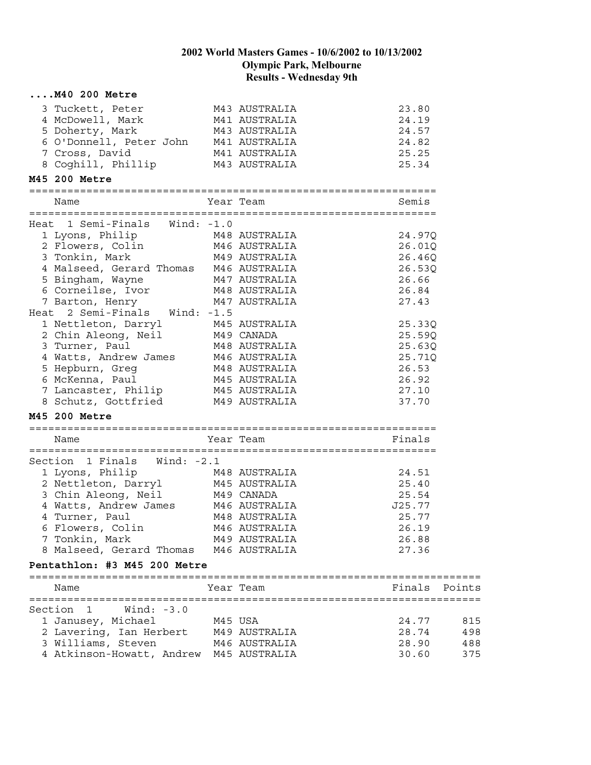| $\ldots$ . $M40$ 200 Metre                                                                                                                  |         |               |        |        |
|---------------------------------------------------------------------------------------------------------------------------------------------|---------|---------------|--------|--------|
| 3 Tuckett, Peter M43 AUSTRALIA                                                                                                              |         |               | 23.80  |        |
| 4 McDowell, Mark                                                                                                                            |         | M41 AUSTRALIA | 24.19  |        |
| 5 Doherty, Mark                                                                                                                             |         | M43 AUSTRALIA | 24.57  |        |
| 6 O'Donnell, Peter John M41 AUSTRALIA                                                                                                       |         |               | 24.82  |        |
| 7 Cross, David                                                                                                                              |         | M41 AUSTRALIA | 25.25  |        |
| 7 Cross, David                             M41 AUSTRALIA<br>8 Coghill, Phillip             M43 AUSTRALIA                                    |         |               | 25.34  |        |
| M45 200 Metre                                                                                                                               |         |               |        |        |
| Name                                                                                                                                        |         | Year Team     | Semis  |        |
|                                                                                                                                             |         |               |        |        |
| Heat 1 Semi-Finals Wind: -1.0                                                                                                               |         |               |        |        |
| 1 Lyons, Philip M48 AUSTRALIA<br>2 Flowers, Colin M46 AUSTRALIA                                                                             |         |               | 24.97Q |        |
|                                                                                                                                             |         |               | 26.01Q |        |
| 3 Tonkin, Mark                                                                                                                              |         | M49 AUSTRALIA | 26.46Q |        |
| 4 Malseed, Gerard Thomas M46 AUSTRALIA                                                                                                      |         |               | 26.53Q |        |
| 5 Bingham, Wayne                                                                                                                            |         | M47 AUSTRALIA | 26.66  |        |
| 6 Corneilse, Ivor M48 AUSTRALIA                                                                                                             |         |               | 26.84  |        |
| 7 Barton, Henry<br>Heat 2 Semi-Finals Wind: -1.5                                                                                            |         | M47 AUSTRALIA | 27.43  |        |
|                                                                                                                                             |         |               | 25.33Q |        |
| 1 Nettleton, Darryl M45 AUSTRALIA<br>2 Chin Aleong, Neil M49 CANADA<br>3 Turner, Paul M48 AUSTRALIA                                         |         |               | 25.59Q |        |
|                                                                                                                                             |         |               | 25.63Q |        |
|                                                                                                                                             |         |               | 25.71Q |        |
| 4 Watts, Andrew James<br>5 Hepburn, Greg<br>6 McKenna, Paul<br>7 Lancaster, Philip<br>M45 AUSTRALIA<br>7 Lancaster, Philip<br>M45 AUSTRALIA |         |               | 26.53  |        |
|                                                                                                                                             |         |               | 26.92  |        |
|                                                                                                                                             |         |               | 27.10  |        |
| 8 Schutz, Gottfried M49 AUSTRALIA                                                                                                           |         |               | 37.70  |        |
| M45 200 Metre                                                                                                                               |         |               |        |        |
|                                                                                                                                             |         |               |        |        |
| Name                                                                                                                                        |         | Year Team     | Finals |        |
| Section 1 Finals Wind: -2.1                                                                                                                 |         |               |        |        |
| 1 Lyons, Philip M48 AUSTRALIA                                                                                                               |         |               | 24.51  |        |
| 2 Nettleton, Darryl M45 AUSTRALIA                                                                                                           |         |               | 25.40  |        |
| 3 Chin Aleong, Neil M49 CANADA                                                                                                              |         |               | 25.54  |        |
| 4 Watts, Andrew James M46 AUSTRALIA                                                                                                         |         |               | J25.77 |        |
| 4 Turner, Paul                                                                                                                              |         | M48 AUSTRALIA | 25.77  |        |
| 6 Flowers, Colin                                                                                                                            |         | M46 AUSTRALIA | 26.19  |        |
| 7 Tonkin, Mark                                                                                                                              |         | M49 AUSTRALIA | 26.88  |        |
| 8 Malseed, Gerard Thomas M46 AUSTRALIA                                                                                                      |         |               | 27.36  |        |
| Pentathlon: #3 M45 200 Metre                                                                                                                |         |               |        |        |
| Name                                                                                                                                        |         | Year Team     | Finals | Points |
| Section 1<br>$Wind: -3.0$                                                                                                                   |         |               |        |        |
| 1 Janusey, Michael                                                                                                                          | M45 USA |               | 24.77  | 815    |
| 2 Lavering, Ian Herbert                                                                                                                     |         | M49 AUSTRALIA | 28.74  | 498    |
| 3 Williams, Steven                                                                                                                          |         | M46 AUSTRALIA | 28.90  | 488    |
| 4 Atkinson-Howatt, Andrew M45 AUSTRALIA                                                                                                     |         |               | 30.60  | 375    |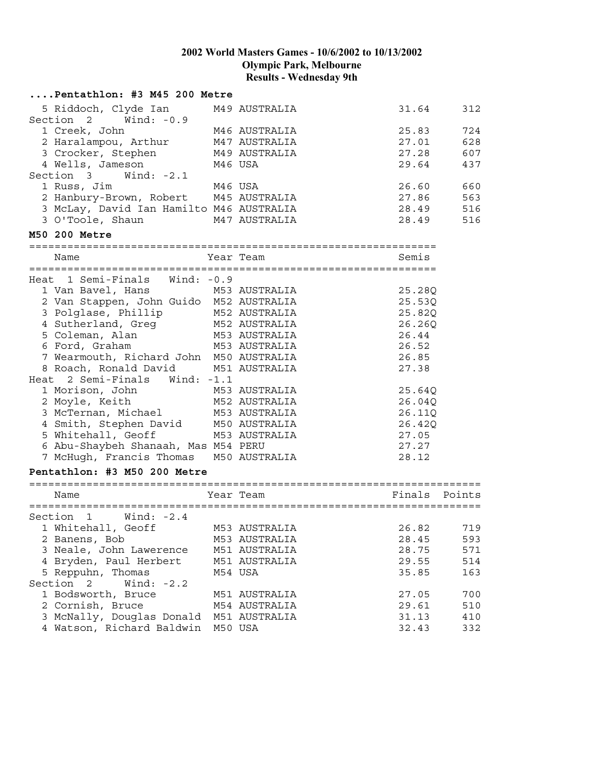| Pentathlon: #3 M45 200 Metre             |               |        |        |
|------------------------------------------|---------------|--------|--------|
| 5 Riddoch, Clyde Ian                     | M49 AUSTRALIA | 31.64  | 312    |
| Section 2 Wind: -0.9                     |               |        |        |
| 1 Creek, John                            | M46 AUSTRALIA | 25.83  | 724    |
| 2 Haralampou, Arthur                     | M47 AUSTRALIA | 27.01  | 628    |
| 3 Crocker, Stephen                       | M49 AUSTRALIA | 27.28  | 607    |
| 4 Wells, Jameson                         | M46 USA       | 29.64  | 437    |
| Section 3 Wind: -2.1                     |               |        |        |
| 1 Russ, Jim                              | M46 USA       | 26.60  | 660    |
| 2 Hanbury-Brown, Robert M45 AUSTRALIA    |               | 27.86  | 563    |
| 3 McLay, David Ian Hamilto M46 AUSTRALIA |               | 28.49  | 516    |
| 3 O'Toole, Shaun                         | M47 AUSTRALIA | 28.49  | 516    |
| M50 200 Metre                            |               |        |        |
| Name                                     | Year Team     | Semis  |        |
|                                          |               |        |        |
| Heat 1 Semi-Finals Wind: -0.9            |               |        |        |
| 1 Van Bavel, Hans                        | M53 AUSTRALIA | 25.28Q |        |
| 2 Van Stappen, John Guido M52 AUSTRALIA  |               | 25.53Q |        |
| 3 Polglase, Phillip                      | M52 AUSTRALIA | 25.82Q |        |
| 4 Sutherland, Greg M52 AUSTRALIA         |               | 26.26Q |        |
| 5 Coleman, Alan<br>M53 AUSTRALIA         |               | 26.44  |        |
| 6 Ford, Graham<br>M53 AUSTRALIA          |               | 26.52  |        |
| 7 Wearmouth, Richard John M50 AUSTRALIA  |               | 26.85  |        |
| 8 Roach, Ronald David                    | M51 AUSTRALIA | 27.38  |        |
| Heat 2 Semi-Finals<br>Wind: $-1.1$       |               |        |        |
| 1 Morison, John                          | M53 AUSTRALIA | 25.64Q |        |
| 2 Moyle, Keith                           | M52 AUSTRALIA | 26.04Q |        |
| 3 McTernan, Michael                      | M53 AUSTRALIA | 26.11Q |        |
| 4 Smith, Stephen David M50 AUSTRALIA     |               | 26.42Q |        |
| 5 Whitehall, Geoff                       | M53 AUSTRALIA | 27.05  |        |
| 6 Abu-Shaybeh Shanaah, Mas M54 PERU      |               | 27.27  |        |
| 7 McHugh, Francis Thomas M50 AUSTRALIA   |               | 28.12  |        |
|                                          |               |        |        |
| Pentathlon: #3 M50 200 Metre             |               |        |        |
| Name                                     | Year Team     | Finals | Points |
|                                          |               |        |        |
| Section 1<br>Wind: -2.4                  |               |        |        |
| 1 Whitehall, Geoff                       | M53 AUSTRALIA | 26.82  | 719    |
| 2 Banens, Bob                            | M53 AUSTRALIA | 28.45  | 593    |
| 3 Neale, John Lawerence                  | M51 AUSTRALIA | 28.75  | 571    |
| 4 Bryden, Paul Herbert                   | M51 AUSTRALIA | 29.55  | 514    |
| 5 Reppuhn, Thomas                        | M54 USA       | 35.85  | 163    |
| Section<br>Wind: $-2.2$<br>2             |               |        |        |
| 1 Bodsworth, Bruce                       | M51 AUSTRALIA | 27.05  | 700    |
| 2 Cornish, Bruce                         | M54 AUSTRALIA | 29.61  | 510    |
| 3 McNally, Douglas Donald                | M51 AUSTRALIA | 31.13  | 410    |
| 4 Watson, Richard Baldwin                | M50 USA       | 32.43  | 332    |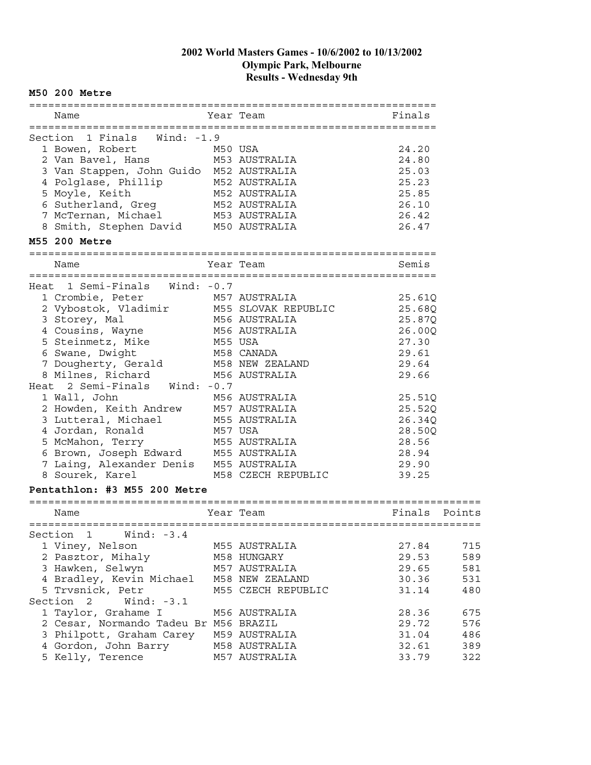#### **M50 200 Metre** ================================================================ Name Year Team Finals ================================================================ Section 1 Finals Wind: -1.9 1 Bowen, Robert M50 USA 24.20 2 Van Bavel, Hans M53 AUSTRALIA 24.80 3 Van Stappen, John Guido M52 AUSTRALIA 25.03 4 Polglase, Phillip M52 AUSTRALIA 25.23 5 Moyle, Keith M52 AUSTRALIA 25.85 6 Sutherland, Greg M52 AUSTRALIA 26.10 7 McTernan, Michael M53 AUSTRALIA 26.42 8 Smith, Stephen David M50 AUSTRALIA 26.47 **M55 200 Metre** ================================================================ Name Semis Sear Team Semis Semis ================================================================ Heat 1 Semi-Finals Wind: -0.7 1 Crombie, Peter M57 AUSTRALIA 25.61Q 2 Vybostok, Vladimir M55 SLOVAK REPUBLIC 25.68Q 3 Storey, Mal M56 AUSTRALIA 25.87Q 4 Cousins, Wayne M56 AUSTRALIA 26.00Q 5 Steinmetz, Mike M55 USA 27.30 6 Swane, Dwight M58 CANADA 29.61 7 Dougherty, Gerald M58 NEW ZEALAND 29.64 8 Milnes, Richard M56 AUSTRALIA 29.66 Heat 2 Semi-Finals Wind: -0.7 1 Wall, John M56 AUSTRALIA 25.51Q 2 Howden, Keith Andrew M57 AUSTRALIA 25.52Q 3 Lutteral, Michael M55 AUSTRALIA 26.34Q 4 Jordan, Ronald M57 USA 28.50Q 5 McMahon, Terry M55 AUSTRALIA 28.56 6 Brown, Joseph Edward M55 AUSTRALIA 28.94 7 Laing, Alexander Denis M55 AUSTRALIA 29.90 8 Sourek, Karel M58 CZECH REPUBLIC 39.25 **Pentathlon: #3 M55 200 Metre** ======================================================================= Name Year Team Finals Points ======================================================================= Section 1 Wind: -3.4 1 Viney, Nelson M55 AUSTRALIA 27.84 715 2 Pasztor, Mihaly M58 HUNGARY 29.53 589 3 Hawken, Selwyn M57 AUSTRALIA 29.65 581 4 Bradley, Kevin Michael M58 NEW ZEALAND 30.36 531 5 Trvsnick, Petr M55 CZECH REPUBLIC 31.14 480 Section 2 Wind: -3.1 1 Taylor, Grahame I M56 AUSTRALIA 28.36 675 2 Cesar, Normando Tadeu Br M56 BRAZIL 29.72 576 3 Philpott, Graham Carey M59 AUSTRALIA 31.04 486 4 Gordon, John Barry M58 AUSTRALIA 32.61 389

5 Kelly, Terence M57 AUSTRALIA 33.79 322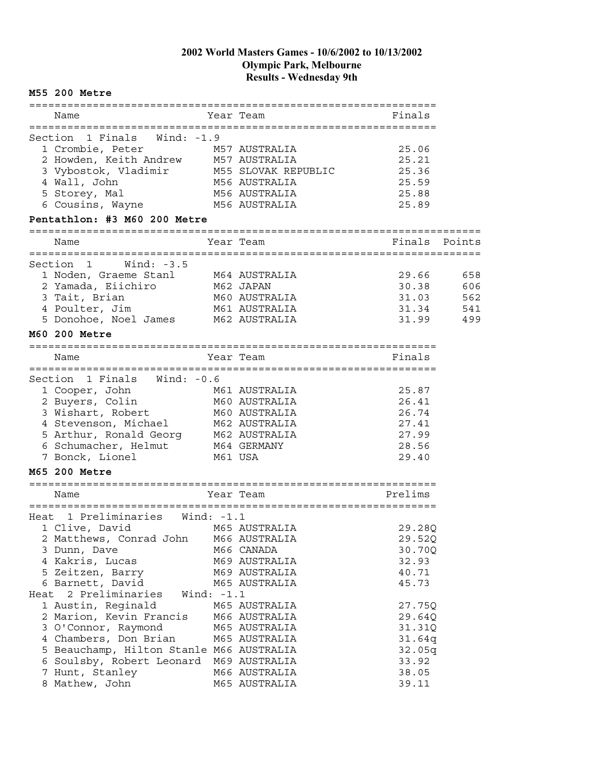#### **M55 200 Metre**

|      | Name                                                                                                                             |              | Year Team                      | Finals         |        |
|------|----------------------------------------------------------------------------------------------------------------------------------|--------------|--------------------------------|----------------|--------|
|      |                                                                                                                                  |              |                                |                |        |
|      | 1 Finals Wind: -1.9<br>Section<br>1 Crombie, Peter                                                                               |              | M57 AUSTRALIA                  | 25.06          |        |
|      | 2 Howden, Keith Andrew M57 AUSTRALIA                                                                                             |              |                                | 25.21          |        |
|      | 3 Vybostok, Vladimir M55 SLOVAK REPUBLIC                                                                                         |              |                                | 25.36          |        |
|      | 4 Wall, John                                                                                                                     |              | M56 AUSTRALIA                  | 25.59          |        |
|      | 5 Storey, Mal                                                                                                                    |              | M56 AUSTRALIA                  | 25.88          |        |
|      | 6 Cousins, Wayne                                                                                                                 |              | M56 AUSTRALIA                  | 25.89          |        |
|      | Pentathlon: #3 M60 200 Metre                                                                                                     |              |                                |                |        |
|      | Name                                                                                                                             |              | Year Team                      | Finals         | Points |
|      |                                                                                                                                  |              |                                |                |        |
|      | Section 1<br>Wind: $-3.5$                                                                                                        |              |                                |                |        |
|      | 1 Noden, Graeme Stanl                                                                                                            |              | M64 AUSTRALIA                  | 29.66          | 658    |
|      | 2 Yamada, Eiichiro<br>M62 JAPAN                                                                                                  |              |                                | 30.38          | 606    |
|      | 3 Tait, Brian                                                                                                                    |              | M60 AUSTRALIA                  | 31.03          | 562    |
|      | 4 Poulter, Jim                                                                                                                   |              | M61 AUSTRALIA                  | 31.34          | 541    |
|      | 5 Donohoe, Noel James M62 AUSTRALIA                                                                                              |              |                                | 31.99          | 499    |
|      | M60 200 Metre                                                                                                                    |              | -----------------------        |                |        |
|      | Name                                                                                                                             |              | Year Team                      | Finals         |        |
|      |                                                                                                                                  |              |                                |                |        |
|      | Section<br>1 Finals Wind: -0.6                                                                                                   |              |                                |                |        |
|      | 1 Cooper, John                                                                                                                   |              | M61 AUSTRALIA                  | 25.87          |        |
|      | 2 Buyers, Colin                                                                                                                  |              | M60 AUSTRALIA                  | 26.41          |        |
|      | 3 Wishart, Robert                                                                                                                |              | M60 AUSTRALIA                  | 26.74          |        |
|      | s wishall, Kobert<br>4 Stevenson, Michael<br>5 Michael                                                                           |              | M62 AUSTRALIA                  | 27.41          |        |
|      |                                                                                                                                  |              |                                | 27.99          |        |
|      | 4 Stevenson, Michael         M62 AUSTRALIA<br>5 Arthur, Ronald Georg     M62 AUSTRALIA<br>6 Schumacher, Helmut       M64 GERMANY |              |                                | 28.56          |        |
|      | 7 Bonck, Lionel                                                                                                                  | M61 USA      |                                | 29.40          |        |
|      | M65 200 Metre                                                                                                                    |              |                                |                |        |
|      |                                                                                                                                  |              |                                |                |        |
|      | Name                                                                                                                             |              | Year Team                      | Prelims        |        |
|      | Heat 1 Preliminaries                                                                                                             | Wind: $-1.1$ |                                |                |        |
|      | 1 Clive, David                                                                                                                   |              | M65 AUSTRALIA                  | 29.28Q         |        |
|      | 2 Matthews, Conrad John                                                                                                          |              | M66 AUSTRALIA                  | 29.52Q         |        |
|      | 3 Dunn, Dave                                                                                                                     |              | M66 CANADA                     | 30.70Q         |        |
|      | 4 Kakris, Lucas                                                                                                                  |              | M69 AUSTRALIA                  | 32.93          |        |
|      | 5 Zeitzen, Barry                                                                                                                 |              | M69 AUSTRALIA                  | 40.71          |        |
|      | 6 Barnett, David                                                                                                                 |              | M65 AUSTRALIA                  | 45.73          |        |
| Heat | 2 Preliminaries                                                                                                                  | Wind: $-1.1$ |                                |                |        |
|      | 1 Austin, Reginald                                                                                                               |              | M65 AUSTRALIA                  | 27.75Q         |        |
|      | 2 Marion, Kevin Francis                                                                                                          |              | M66 AUSTRALIA                  | 29.64Q         |        |
|      | 3 O'Connor, Raymond                                                                                                              |              | M65 AUSTRALIA                  | 31.31Q         |        |
|      | 4 Chambers, Don Brian                                                                                                            |              | M65 AUSTRALIA                  | 31.64q         |        |
|      | 5 Beauchamp, Hilton Stanle M66 AUSTRALIA                                                                                         |              |                                | 32.05q         |        |
|      | 6 Soulsby, Robert Leonard M69 AUSTRALIA                                                                                          |              |                                | 33.92          |        |
|      | 7 Hunt, Stanley<br>8 Mathew, John                                                                                                |              | M66 AUSTRALIA<br>M65 AUSTRALIA | 38.05<br>39.11 |        |
|      |                                                                                                                                  |              |                                |                |        |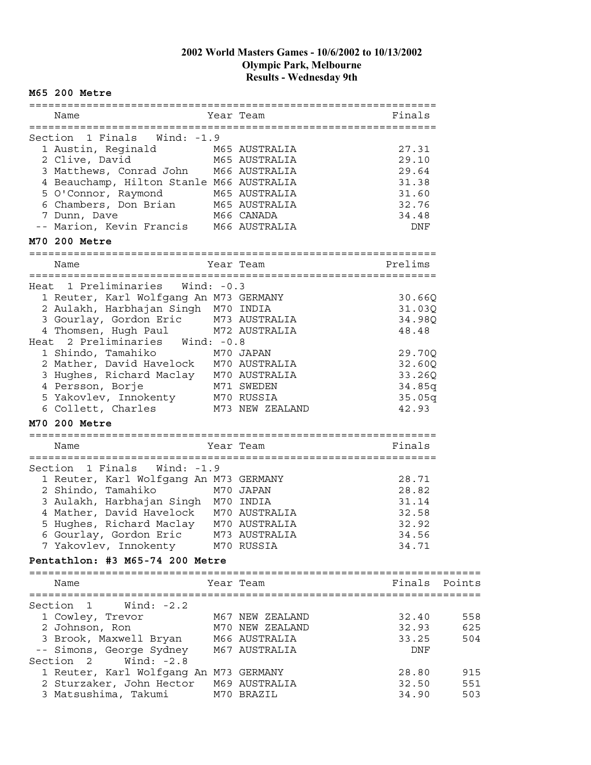#### ================================================================ Name Year Team Finals ================================================================ Section 1 Finals Wind: -1.9 1 Austin, Reginald M65 AUSTRALIA 27.31 2 Clive, David M65 AUSTRALIA 29.10 3 Matthews, Conrad John M66 AUSTRALIA 29.64 4 Beauchamp, Hilton Stanle M66 AUSTRALIA 31.38 5 O'Connor, Raymond M65 AUSTRALIA 31.60 6 Chambers, Don Brian M65 AUSTRALIA 32.76 7 Dunn, Dave M66 CANADA 34.48 -- Marion, Kevin Francis M66 AUSTRALIA 1988 DNF **M70 200 Metre** ================================================================ Name Year Team Prelims ================================================================ Heat 1 Preliminaries Wind: -0.3 1 Reuter, Karl Wolfgang An M73 GERMANY 1988 10.66Q 2 Aulakh, Harbhajan Singh M70 INDIA 31.03Q 3 Gourlay, Gordon Eric M73 AUSTRALIA 34.98Q 4 Thomsen, Hugh Paul M72 AUSTRALIA 18.48 Heat 2 Preliminaries Wind: -0.8 1 Shindo, Tamahiko M70 JAPAN 29.70Q 2 Mather, David Havelock M70 AUSTRALIA 32.60Q 3 Hughes, Richard Maclay M70 AUSTRALIA 33.26Q 4 Persson, Borje M71 SWEDEN 34.85q 5 Yakovlev, Innokenty M70 RUSSIA 35.05q 6 Collett, Charles M73 NEW ZEALAND 42.93 **M70 200 Metre** ================================================================ Name Year Team Finals ================================================================ Section 1 Finals Wind: -1.9 1 Reuter, Karl Wolfgang An M73 GERMANY 28.71 2 Shindo, Tamahiko M70 JAPAN 28.82 3 Aulakh, Harbhajan Singh M70 INDIA 31.14 4 Mather, David Havelock M70 AUSTRALIA 32.58 5 Hughes, Richard Maclay M70 AUSTRALIA 32.92 6 Gourlay, Gordon Eric M73 AUSTRALIA 34.56 7 Yakovlev, Innokenty M70 RUSSIA 34.71 **Pentathlon: #3 M65-74 200 Metre** ======================================================================= Name **The Seap Team Constructs** Points Points Points Points ======================================================================= Section 1 Wind: -2.2 1 Cowley, Trevor M67 NEW ZEALAND 32.40 558 2 Johnson, Ron M70 NEW ZEALAND 32.93 625 3 Brook, Maxwell Bryan M66 AUSTRALIA 33.25 504 -- Simons, George Sydney M67 AUSTRALIA CHANGER ONF Section 2 Wind: -2.8 1 Reuter, Karl Wolfgang An M73 GERMANY 1988 1800 1915

2 Sturzaker, John Hector M69 AUSTRALIA 32.50 551 3 Matsushima, Takumi M70 BRAZIL 34.90 503

**M65 200 Metre**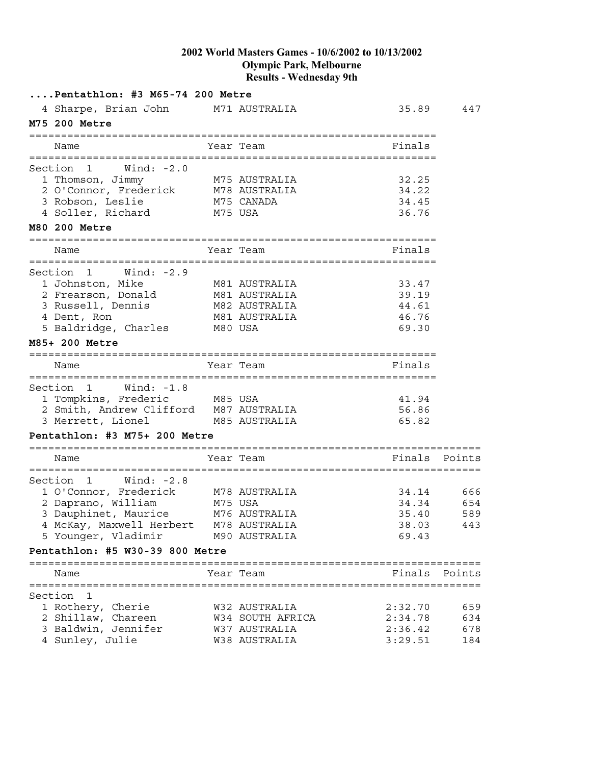| Pentathlon: #3 M65-74 200 Metre                                       |         |                                   |                           |            |
|-----------------------------------------------------------------------|---------|-----------------------------------|---------------------------|------------|
| 4 Sharpe, Brian John                                                  |         | M71 AUSTRALIA                     | 35.89                     | 447        |
| M75 200 Metre                                                         |         |                                   |                           |            |
| Name                                                                  |         | Year Team                         | Finals                    |            |
|                                                                       |         |                                   |                           |            |
| Section 1<br>Wind: $-2.0$<br>1 Thomson, Jimmy                         |         | M75 AUSTRALIA                     | 32.25                     |            |
| 1 Thomson, Jimmy M75 AUSTRALIA<br>2 O'Connor, Frederick M78 AUSTRALIA |         |                                   | 34.22                     |            |
| 3 Robson, Leslie                                                      |         | M75 CANADA                        | 34.45                     |            |
| M75 USA<br>4 Soller, Richard                                          |         |                                   | 36.76                     |            |
| M80 200 Metre                                                         |         |                                   |                           |            |
| Name                                                                  |         | Year Team                         | Finals                    |            |
| Section<br>$\overline{1}$<br>Wind: -2.9                               |         |                                   |                           |            |
| 1 Johnston, Mike                                                      |         | M81 AUSTRALIA                     | 33.47                     |            |
| 2 Frearson, Donald                                                    |         | M81 AUSTRALIA                     | 39.19                     |            |
| 3 Russell, Dennis                                                     |         | M82 AUSTRALIA                     | 44.61                     |            |
| 4 Dent, Ron                                                           |         | M81 AUSTRALIA                     | 46.76                     |            |
| 5 Baldridge, Charles                                                  | M80 USA |                                   | 69.30                     |            |
| M85+ 200 Metre                                                        |         |                                   |                           |            |
| Name                                                                  |         | Year Team                         | Finals                    |            |
| Section<br>Wind: -1.8<br>$\mathbf{1}$                                 |         |                                   |                           |            |
| 1 Tompkins, Frederic                                                  | M85 USA |                                   | 41.94                     |            |
| 2 Smith, Andrew Clifford M87 AUSTRALIA                                |         |                                   | 56.86                     |            |
| 3 Merrett, Lionel                                                     |         | M85 AUSTRALIA                     | 65.82                     |            |
| Pentathlon: #3 M75+ 200 Metre                                         |         |                                   |                           |            |
| Name                                                                  |         | Year Team                         | Finals Points             |            |
|                                                                       |         |                                   | :======================== |            |
| Wind: -2.8<br>Section<br>$\mathbf{1}$                                 |         |                                   |                           |            |
| 1 O'Connor, Frederick                                                 |         | M78 AUSTRALIA                     | 34.14                     | 666        |
| M75 USA<br>2 Daprano, William                                         |         |                                   | 34.34                     | 654        |
| 3 Dauphinet, Maurice M76 AUSTRALIA                                    |         |                                   | 35.40                     | 589        |
| 4 McKay, Maxwell Herbert M78 AUSTRALIA                                |         |                                   | 38.03                     | 443        |
| 5 Younger, Vladimir                                                   |         | M90 AUSTRALIA                     | 69.43                     |            |
| Pentathlon: #5 W30-39 800 Metre                                       |         |                                   |                           |            |
| Name                                                                  |         | Year Team                         | Finals Points             |            |
|                                                                       |         |                                   |                           |            |
| Section<br>1                                                          |         | W32 AUSTRALIA                     |                           |            |
| 1 Rothery, Cherie                                                     |         |                                   | 2:32.70<br>2:34.78        | 659<br>634 |
| 2 Shillaw, Chareen<br>3 Baldwin, Jennifer                             |         | W34 SOUTH AFRICA<br>W37 AUSTRALIA | 2:36.42                   | 678        |
| 4 Sunley, Julie                                                       |         | W38 AUSTRALIA                     | 3:29.51                   | 184        |
|                                                                       |         |                                   |                           |            |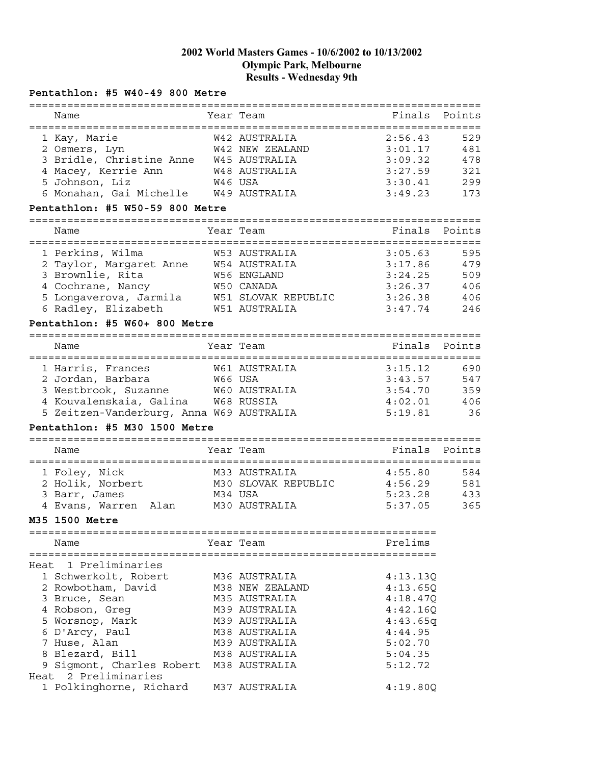### **Pentathlon: #5 W40-49 800 Metre**

|      | Name                                       |         | Year Team           | Finals   | Points |
|------|--------------------------------------------|---------|---------------------|----------|--------|
|      |                                            |         |                     |          |        |
|      | 1 Kay, Marie                               |         | W42 AUSTRALIA       | 2:56.43  | 529    |
|      | 2 Osmers, Lyn                              |         | W42 NEW ZEALAND     | 3:01.17  | 481    |
|      | 3 Bridle, Christine Anne W45 AUSTRALIA     |         |                     | 3:09.32  | 478    |
|      | 4 Macey, Kerrie Ann                        |         | W48 AUSTRALIA       | 3:27.59  | 321    |
|      | 5 Johnson, Liz                             | W46 USA |                     | 3:30.41  | 299    |
|      | 6 Monahan, Gai Michelle W49 AUSTRALIA      |         |                     | 3:49.23  | 173    |
|      | Pentathlon: #5 W50-59 800 Metre            |         |                     |          |        |
|      |                                            |         |                     |          |        |
|      | Name                                       |         | Year Team           | Finals   | Points |
|      | 1 Perkins, Wilma                           |         | W53 AUSTRALIA       | 3:05.63  | 595    |
|      | 2 Taylor, Margaret Anne W54 AUSTRALIA      |         |                     | 3:17.86  | 479    |
|      | 3 Brownlie, Rita                           |         | W56 ENGLAND         | 3:24.25  | 509    |
|      |                                            |         | W50 CANADA          | 3:26.37  | 406    |
|      | 4 Cochrane, Nancy                          |         |                     |          |        |
|      | 5 Longaverova, Jarmila W51 SLOVAK REPUBLIC |         |                     | 3:26.38  | 406    |
|      | 6 Radley, Elizabeth                        |         | W51 AUSTRALIA       | 3:47.74  | 246    |
|      | Pentathlon: #5 W60+ 800 Metre              |         |                     |          |        |
|      | Name                                       |         | Year Team           | Finals   | Points |
|      |                                            |         |                     |          |        |
|      | 1 Harris, Frances                          |         | W61 AUSTRALIA       | 3:15.12  | 690    |
|      | 2 Jordan, Barbara                          | W66 USA |                     | 3:43.57  | 547    |
|      | 3 Westbrook, Suzanne                       |         | W60 AUSTRALIA       | 3:54.70  | 359    |
|      | 4 Kouvalenskaia, Galina W68 RUSSIA         |         |                     | 4:02.01  | 406    |
|      | 5 Zeitzen-Vanderburg, Anna W69 AUSTRALIA   |         |                     | 5:19.81  | 36     |
|      |                                            |         |                     |          |        |
|      | Pentathlon: #5 M30 1500 Metre              |         |                     |          |        |
|      | Name                                       |         | Year Team           | Finals   | Points |
|      |                                            |         |                     |          |        |
|      | 1 Foley, Nick                              |         | M33 AUSTRALIA       | 4:55.80  | 584    |
|      | 2 Holik, Norbert                           |         | M30 SLOVAK REPUBLIC | 4:56.29  | 581    |
|      | 3 Barr, James                              | M34 USA |                     | 5:23.28  | 433    |
|      | 4 Evans, Warren Alan                       |         | M30 AUSTRALIA       | 5:37.05  | 365    |
|      | M35 1500 Metre                             |         |                     |          |        |
|      |                                            |         |                     |          |        |
|      | Name                                       |         | Year Team           | Prelims  |        |
|      | Heat 1 Preliminaries                       |         |                     |          |        |
|      | 1 Schwerkolt, Robert                       |         | M36 AUSTRALIA       |          |        |
|      |                                            |         |                     | 4:13.13Q |        |
|      | 2 Rowbotham, David                         |         | M38 NEW ZEALAND     | 4:13.65Q |        |
|      | 3 Bruce, Sean                              |         | M35 AUSTRALIA       | 4:18.47Q |        |
|      | 4 Robson, Greg                             |         | M39 AUSTRALIA       | 4:42.16Q |        |
|      | 5 Worsnop, Mark                            |         | M39 AUSTRALIA       | 4:43.65q |        |
|      | 6 D'Arcy, Paul                             |         | M38 AUSTRALIA       | 4:44.95  |        |
|      | 7 Huse, Alan                               |         | M39 AUSTRALIA       | 5:02.70  |        |
|      | 8 Blezard, Bill                            |         | M38 AUSTRALIA       | 5:04.35  |        |
|      | 9 Sigmont, Charles Robert                  |         | M38 AUSTRALIA       | 5:12.72  |        |
| Heat | 2 Preliminaries                            |         |                     |          |        |
|      | 1 Polkinghorne, Richard                    |         | M37 AUSTRALIA       | 4:19.80Q |        |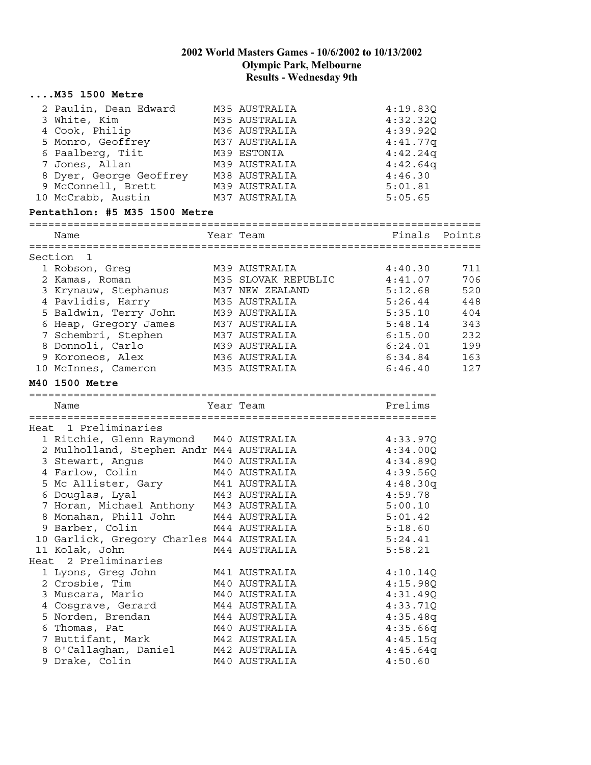|      | $\ldots$ $M35$ 1500 Metre                 |                     |                     |        |
|------|-------------------------------------------|---------------------|---------------------|--------|
|      | 2 Paulin, Dean Edward                     | M35 AUSTRALIA       | 4:19.83Q            |        |
|      | 3 White, Kim                              | M35 AUSTRALIA       | 4:32.32Q            |        |
|      | 4 Cook, Philip                            | M36 AUSTRALIA       | 4:39.92Q            |        |
|      | 5 Monro, Geoffrey                         | M37 AUSTRALIA       | 4:41.77q            |        |
|      | 6 Paalberg, Tiit                          | M39 ESTONIA         | 4:42.24q            |        |
|      | 7 Jones, Allan                            | M39 AUSTRALIA       | 4:42.64q            |        |
|      | 8 Dyer, George Geoffrey                   | M38 AUSTRALIA       | 4:46.30             |        |
|      | 9 McConnell, Brett                        | M39 AUSTRALIA       | 5:01.81             |        |
|      | 10 McCrabb, Austin                        | M37 AUSTRALIA       | 5:05.65             |        |
|      | Pentathlon: #5 M35 1500 Metre             |                     |                     |        |
|      |                                           |                     |                     |        |
|      | Name                                      | Year Team           | Finals              | Points |
|      | Section 1                                 |                     |                     |        |
|      | 1 Robson, Greg                            | M39 AUSTRALIA       | 4:40.30             | 711    |
|      | 2 Kamas, Roman                            | M35 SLOVAK REPUBLIC | 4:41.07             | 706    |
|      | 3 Krynauw, Stephanus                      | M37 NEW ZEALAND     | 5:12.68             | 520    |
|      | 4 Pavlidis, Harry                         | M35 AUSTRALIA       | 5:26.44             | 448    |
|      | 5 Baldwin, Terry John                     | M39 AUSTRALIA       | 5:35.10             | 404    |
|      | 6 Heap, Gregory James                     | M37 AUSTRALIA       | 5:48.14             | 343    |
|      | 7 Schembri, Stephen                       | M37 AUSTRALIA       | 6:15.00             | 232    |
|      | 8 Donnoli, Carlo                          | M39 AUSTRALIA       | 6:24.01             | 199    |
|      | 9 Koroneos, Alex                          | M36 AUSTRALIA       | 6:34.84             | 163    |
|      | 10 McInnes, Cameron                       | M35 AUSTRALIA       | 6:46.40             | 127    |
|      | M40 1500 Metre                            |                     |                     |        |
|      | Name                                      | Year Team           | Prelims             |        |
|      |                                           |                     |                     |        |
|      | Heat 1 Preliminaries                      |                     |                     |        |
|      | 1 Ritchie, Glenn Raymond M40 AUSTRALIA    |                     | 4:33.97Q            |        |
|      | 2 Mulholland, Stephen Andr M44 AUSTRALIA  |                     | 4:34.00Q            |        |
|      | 3 Stewart, Angus                          | M40 AUSTRALIA       | 4:34.89Q            |        |
|      | 4 Farlow, Colin                           | M40 AUSTRALIA       | 4:39.56Q            |        |
|      | 5 Mc Allister, Gary                       | M41 AUSTRALIA       | 4:48.30q            |        |
|      | 6 Douglas, Lyal                           | M43 AUSTRALIA       | 4:59.78             |        |
|      | 7 Horan, Michael Anthony M43 AUSTRALIA    |                     | 5:00.10             |        |
|      |                                           |                     |                     |        |
|      | 8 Monahan, Phill John                     | M44 AUSTRALIA       | 5:01.42             |        |
|      | 9 Barber, Colin                           | M44 AUSTRALIA       | 5:18.60             |        |
|      | 10 Garlick, Gregory Charles M44 AUSTRALIA |                     | 5:24.41             |        |
|      | 11 Kolak, John                            | M44 AUSTRALIA       | 5:58.21             |        |
| Heat | 2 Preliminaries                           |                     |                     |        |
|      | 1 Lyons, Greg John                        | M41 AUSTRALIA       | 4:10.14Q            |        |
|      | 2 Crosbie, Tim                            | M40 AUSTRALIA       | 4:15.98Q            |        |
|      | 3 Muscara, Mario                          | M40 AUSTRALIA       | 4:31.49Q            |        |
|      | 4 Cosgrave, Gerard                        | M44 AUSTRALIA       | 4:33.71Q            |        |
|      | 5 Norden, Brendan                         | M44 AUSTRALIA       | 4:35.48q            |        |
|      | 6 Thomas, Pat                             | M40 AUSTRALIA       | 4:35.66q            |        |
|      | 7 Buttifant, Mark                         | M42 AUSTRALIA       | 4:45.15q            |        |
|      | 8 O'Callaghan, Daniel<br>9 Drake, Colin   | M42 AUSTRALIA       | 4:45.64q<br>4:50.60 |        |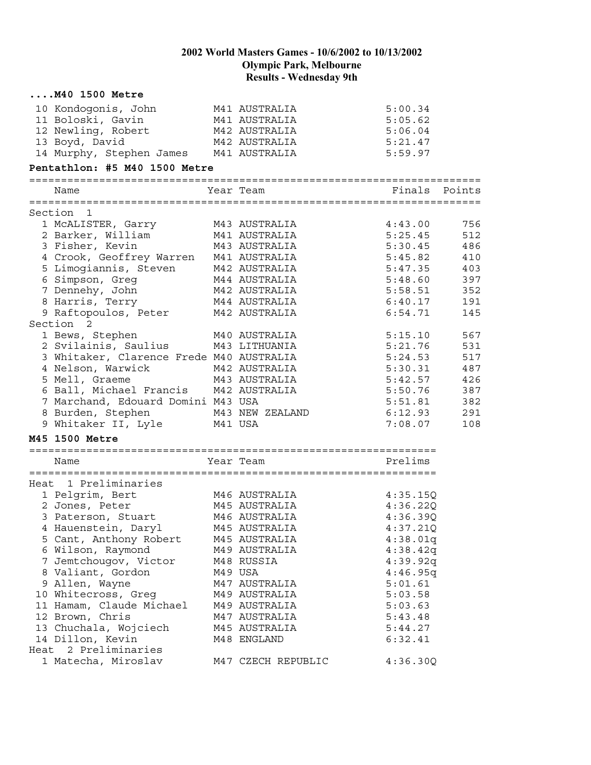| $\ldots$ $M40$ 1500 Metre                               |         |                    |          |        |
|---------------------------------------------------------|---------|--------------------|----------|--------|
| 10 Kondogonis, John                                     |         | M41 AUSTRALIA      | 5:00.34  |        |
| 11 Boloski, Gavin                                       |         | M41 AUSTRALIA      | 5:05.62  |        |
| 12 Newling, Robert                                      |         | M42 AUSTRALIA      | 5:06.04  |        |
| 13 Boyd, David                                          |         | M42 AUSTRALIA      | 5:21.47  |        |
| 14 Murphy, Stephen James M41 AUSTRALIA                  |         |                    | 5:59.97  |        |
| Pentathlon: #5 M40 1500 Metre                           |         |                    |          |        |
| Name                                                    |         | Year Team          | Finals   | Points |
| Section 1                                               |         |                    |          |        |
| 1 MCALISTER, Garry                                      |         | M43 AUSTRALIA      | 4:43.00  | 756    |
| 2 Barker, William                                       |         | M41 AUSTRALIA      | 5:25.45  | 512    |
| 3 Fisher, Kevin                                         |         | M43 AUSTRALIA      | 5:30.45  | 486    |
| 4 Crook, Geoffrey Warren                                |         | M41 AUSTRALIA      | 5:45.82  | 410    |
| 5 Limogiannis, Steven M42 AUSTRALIA                     |         |                    | 5:47.35  | 403    |
| 6 Simpson, Greg                                         |         | M44 AUSTRALIA      | 5:48.60  | 397    |
| 7 Dennehy, John                                         |         | M42 AUSTRALIA      | 5:58.51  | 352    |
| 8 Harris, Terry                                         |         | M44 AUSTRALIA      | 6:40.17  | 191    |
| 9 Raftopoulos, Peter                                    |         | M42 AUSTRALIA      | 6:54.71  | 145    |
| Section 2                                               |         |                    |          |        |
| 1 Bews, Stephen                                         |         | M40 AUSTRALIA      | 5:15.10  | 567    |
| 2 Svilainis, Saulius                                    |         | M43 LITHUANIA      | 5:21.76  | 531    |
| 3 Whitaker, Clarence Frede M40 AUSTRALIA                |         |                    | 5:24.53  | 517    |
| 4 Nelson, Warwick                                       |         | M42 AUSTRALIA      | 5:30.31  | 487    |
|                                                         |         |                    | 5:42.57  | 426    |
|                                                         |         |                    | 5:50.76  | 387    |
| 7 Marchand, Edouard Domini M43 USA                      |         |                    | 5:51.81  | 382    |
| 8 Burden, Stephen                                       |         | M43 NEW ZEALAND    | 6:12.93  | 291    |
| 9 Whitaker II, Lyle                                     | M41 USA |                    | 7:08.07  | 108    |
| M45 1500 Metre                                          |         |                    |          |        |
|                                                         |         |                    | Prelims  |        |
| Name                                                    |         | Year Team          |          |        |
| Heat 1 Preliminaries                                    |         |                    |          |        |
|                                                         |         | M46 AUSTRALIA      | 4:35.15Q |        |
| 1 Pelgrim, Bert<br>2 Jones, Peter<br>3 Paterson, Stuart |         | M45 AUSTRALIA      | 4:36.22Q |        |
|                                                         |         | M46 AUSTRALIA      | 4:36.39Q |        |
| 4 Hauenstein, Daryl                                     |         | M45 AUSTRALIA      | 4:37.21Q |        |
| 5 Cant, Anthony Robert                                  |         | M45 AUSTRALIA      | 4:38.01q |        |
| 6 Wilson, Raymond                                       |         | M49 AUSTRALIA      | 4:38.42q |        |
| 7 Jemtchougov, Victor                                   |         | M48 RUSSIA         | 4:39.92q |        |
| 8 Valiant, Gordon                                       |         | M49 USA            | 4:46.95q |        |
| 9 Allen, Wayne                                          |         | M47 AUSTRALIA      | 5:01.61  |        |
| 10 Whitecross, Greg                                     |         | M49 AUSTRALIA      | 5:03.58  |        |
| 11 Hamam, Claude Michael                                |         | M49 AUSTRALIA      | 5:03.63  |        |
| 12 Brown, Chris                                         |         | M47 AUSTRALIA      | 5:43.48  |        |
| 13 Chuchala, Wojciech                                   |         | M45 AUSTRALIA      | 5:44.27  |        |
| 14 Dillon, Kevin                                        |         | M48 ENGLAND        | 6:32.41  |        |
| Heat 2 Preliminaries                                    |         |                    |          |        |
| 1 Matecha, Miroslav                                     |         | M47 CZECH REPUBLIC | 4:36.30Q |        |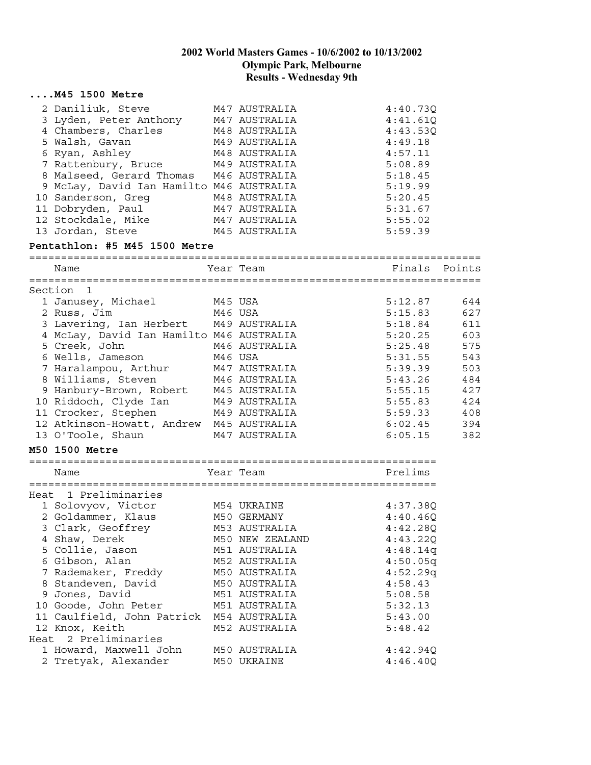|      | $\ldots$ . M45 1500 Metre                |         |                 |          |        |
|------|------------------------------------------|---------|-----------------|----------|--------|
|      | 2 Daniliuk, Steve                        |         | M47 AUSTRALIA   | 4:40.73Q |        |
|      | 3 Lyden, Peter Anthony M47 AUSTRALIA     |         |                 | 4:41.61Q |        |
|      | 4 Chambers, Charles                      |         | M48 AUSTRALIA   | 4:43.53Q |        |
|      | 5 Walsh, Gavan                           |         | M49 AUSTRALIA   | 4:49.18  |        |
|      | 6 Ryan, Ashley                           |         | M48 AUSTRALIA   | 4:57.11  |        |
|      | 7 Rattenbury, Bruce                      |         | M49 AUSTRALIA   | 5:08.89  |        |
|      | 8 Malseed, Gerard Thomas                 |         | M46 AUSTRALIA   | 5:18.45  |        |
|      | 9 McLay, David Ian Hamilto M46 AUSTRALIA |         |                 | 5:19.99  |        |
|      | 10 Sanderson, Greg                       |         | M48 AUSTRALIA   | 5:20.45  |        |
|      | 11 Dobryden, Paul                        |         | M47 AUSTRALIA   | 5:31.67  |        |
|      | 12 Stockdale, Mike                       |         | M47 AUSTRALIA   | 5:55.02  |        |
|      | 13 Jordan, Steve                         |         | M45 AUSTRALIA   | 5:59.39  |        |
|      | Pentathlon: #5 M45 1500 Metre            |         |                 |          |        |
|      | Name                                     |         | Year Team       | Finals   | Points |
|      |                                          |         |                 |          |        |
|      | Section<br>$\mathbf{1}$                  |         |                 |          |        |
|      | 1 Janusey, Michael                       |         | M45 USA         | 5:12.87  | 644    |
|      | 2 Russ, Jim                              | M46 USA |                 | 5:15.83  | 627    |
|      | 3 Lavering, Ian Herbert M49 AUSTRALIA    |         |                 | 5:18.84  | 611    |
|      | 4 McLay, David Ian Hamilto M46 AUSTRALIA |         |                 | 5:20.25  | 603    |
|      | 5 Creek, John                            |         | M46 AUSTRALIA   | 5:25.48  | 575    |
|      | 6 Wells, Jameson                         | M46 USA |                 | 5:31.55  | 543    |
|      | 7 Haralampou, Arthur                     |         | M47 AUSTRALIA   | 5:39.39  | 503    |
|      | 8 Williams, Steven                       |         | M46 AUSTRALIA   | 5:43.26  | 484    |
|      | 9 Hanbury-Brown, Robert M45 AUSTRALIA    |         |                 | 5:55.15  | 427    |
|      | 10 Riddoch, Clyde Ian                    |         | M49 AUSTRALIA   | 5:55.83  | 424    |
|      | 11 Crocker, Stephen                      |         | M49 AUSTRALIA   | 5:59.33  | 408    |
|      | 12 Atkinson-Howatt, Andrew M45 AUSTRALIA |         |                 | 6:02.45  | 394    |
|      | 13 O'Toole, Shaun                        |         | M47 AUSTRALIA   | 6:05.15  | 382    |
|      | M50 1500 Metre                           |         |                 |          |        |
|      |                                          |         |                 |          |        |
|      | Name                                     |         | Year Team       | Prelims  |        |
|      | Heat 1 Preliminaries                     |         |                 |          |        |
|      | 1 Solovyov, Victor                       |         | M54 UKRAINE     | 4:37.38Q |        |
|      | 2 Goldammer, Klaus                       |         | M50 GERMANY     | 4:40.460 |        |
|      | 3 Clark, Geoffrey                        |         | M53 AUSTRALIA   | 4:42.28Q |        |
|      | 4 Shaw, Derek                            |         | M50 NEW ZEALAND | 4:43.220 |        |
|      | 5 Collie, Jason                          |         | M51 AUSTRALIA   | 4:48.14q |        |
|      | 6 Gibson, Alan                           |         | M52 AUSTRALIA   | 4:50.05q |        |
|      | 7 Rademaker, Freddy                      |         | M50 AUSTRALIA   | 4:52.29q |        |
|      | 8 Standeven, David                       |         | M50 AUSTRALIA   | 4:58.43  |        |
|      | 9 Jones, David                           |         | M51 AUSTRALIA   | 5:08.58  |        |
|      | 10 Goode, John Peter                     |         | M51 AUSTRALIA   | 5:32.13  |        |
|      | 11 Caulfield, John Patrick               |         | M54 AUSTRALIA   | 5:43.00  |        |
|      | 12 Knox, Keith                           |         | M52 AUSTRALIA   | 5:48.42  |        |
| Heat | 2 Preliminaries                          |         |                 |          |        |
|      | 1 Howard, Maxwell John                   |         | M50 AUSTRALIA   | 4:42.94Q |        |
|      | 2 Tretyak, Alexander                     |         | M50 UKRAINE     | 4:46.40Q |        |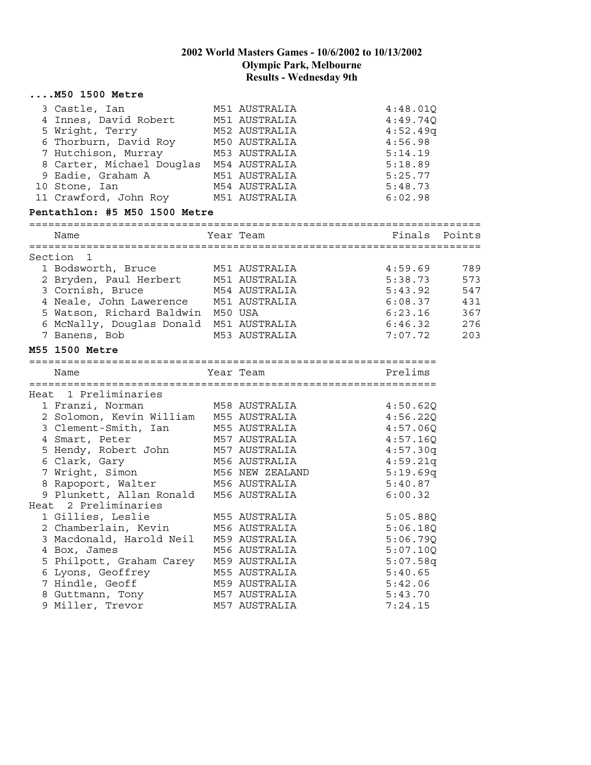|         | $\ldots$ . M50 1500 Metre                                                                                                                                                                                                                                                              |                                                                                                                     |                                                                                                    |                                               |
|---------|----------------------------------------------------------------------------------------------------------------------------------------------------------------------------------------------------------------------------------------------------------------------------------------|---------------------------------------------------------------------------------------------------------------------|----------------------------------------------------------------------------------------------------|-----------------------------------------------|
|         | 3 Castle, Ian<br>4 Innes, David Robert M51 AUSTRALIA<br>5 Wright, Terry<br>7 Hutchison, Murray 1983 AUSTRALIA<br>8 Carter, Michael Douglas 1984 AUSTRALIA<br>9 Eadie, Graham A 1951 AUSTRALIA<br>10 Stone, Ian<br>11 Crawford, John Roy M51 AUSTRALIA<br>Pentathlon: #5 M50 1500 Metre | M51 AUSTRALIA<br>M52 AUSTRALIA<br>M54 AUSTRALIA                                                                     | 4:48.01Q<br>4:49.740<br>4:52.49q<br>4:56.98<br>5:14.19<br>5:18.89<br>5:25.77<br>5:48.73<br>6:02.98 |                                               |
|         | Name                                                                                                                                                                                                                                                                                   | Year Team                                                                                                           | Finals Points                                                                                      |                                               |
|         |                                                                                                                                                                                                                                                                                        |                                                                                                                     |                                                                                                    |                                               |
| Section | $\overline{1}$<br>1 Bodsworth, Bruce<br>2 Bryden, Paul Herbert M51 AUSTRALIA<br>3 Cornish, Bruce<br>4 Neale, John Lawerence M51 AUSTRALIA<br>5 Watson, Richard Baldwin M50 USA<br>6 McNally, Douglas Donald M51 AUSTRALIA<br>7 Banens, Bob                                             | M51 AUSTRALIA<br>M54 AUSTRALIA<br>M53 AUSTRALIA                                                                     | 4:59.69<br>5:38.73<br>5:43.92<br>6:08.37<br>6:23.16<br>6:46.32<br>7:07.72                          | 789<br>573<br>547<br>431<br>367<br>276<br>203 |
|         | M55 1500 Metre                                                                                                                                                                                                                                                                         |                                                                                                                     |                                                                                                    |                                               |
|         | Name                                                                                                                                                                                                                                                                                   | Year Team                                                                                                           | Prelims                                                                                            |                                               |
|         | Heat 1 Preliminaries                                                                                                                                                                                                                                                                   |                                                                                                                     |                                                                                                    |                                               |
|         | 1 Franzi, Norman<br>2 Solomon, Kevin William M55 AUSTRALIA<br>3 Clement-Smith, Ian<br>4 Smart, Peter<br>5 Hendy, Robert John<br>6 Clark, Gary<br>7 Wright, Simon                                                                                                                       | M58 AUSTRALIA<br>M55 AUSTRALIA<br>M57 AUSTRALIA<br>M57 AUSTRALIA<br>M56 AUSTRALIA<br>M56 NEW ZEALAND                | 4:50.62Q<br>4:56.22Q<br>4:57.06Q<br>4:57.16Q<br>4:57.30q<br>4:59.21q<br>5:19.69q                   |                                               |
|         | 8 Rapoport, Walter<br>9 Plunkett, Allan Ronald M56 AUSTRALIA                                                                                                                                                                                                                           | M56 AUSTRALIA                                                                                                       | 5:40.87<br>6:00.32                                                                                 |                                               |
|         | Heat 2 Preliminaries<br>1 Gillies, Leslie<br>2 Chamberlain, Kevin<br>3 Macdonald, Harold Neil<br>4 Box, James<br>5 Philpott, Graham Carey<br>6 Lyons, Geoffrey<br>7 Hindle, Geoff                                                                                                      | M55 AUSTRALIA<br>M56 AUSTRALIA<br>M59 AUSTRALIA<br>M56 AUSTRALIA<br>M59 AUSTRALIA<br>M55 AUSTRALIA<br>M59 AUSTRALIA | 5:05.88Q<br>5:06.18Q<br>5:06.79Q<br>5:07.10Q<br>5:07.58q<br>5:40.65<br>5:42.06                     |                                               |
|         | 8 Guttmann, Tony<br>9 Miller, Trevor                                                                                                                                                                                                                                                   | M57 AUSTRALIA<br>M57 AUSTRALIA                                                                                      | 5:43.70<br>7:24.15                                                                                 |                                               |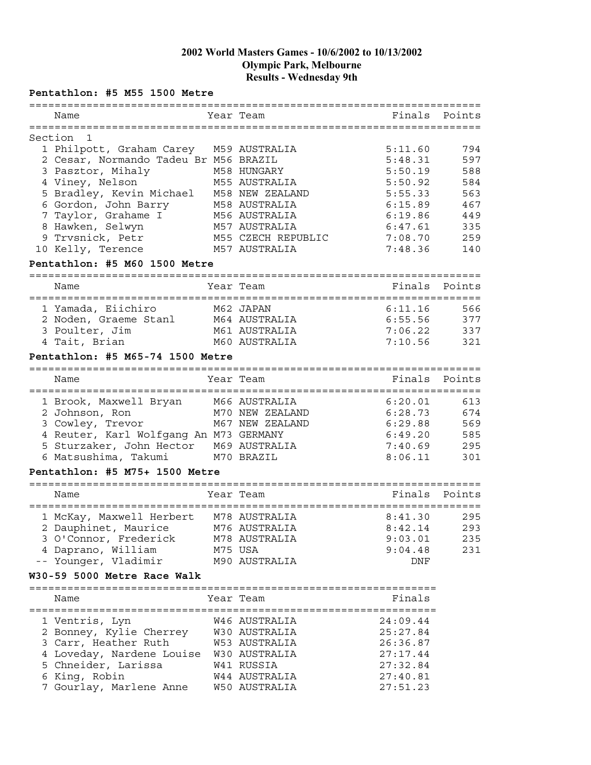#### **Pentathlon: #5 M55 1500 Metre**

| =========                                |         |                    | ============================= |        |
|------------------------------------------|---------|--------------------|-------------------------------|--------|
| Name                                     |         | Year Team          | Finals                        | Points |
|                                          |         |                    |                               |        |
| Section<br>1                             |         |                    |                               |        |
| 1 Philpott, Graham Carey                 |         | M59 AUSTRALIA      | 5:11.60                       | 794    |
| 2 Cesar, Normando Tadeu Br M56 BRAZIL    |         |                    | 5:48.31                       | 597    |
| 3 Pasztor, Mihaly                        |         | M58 HUNGARY        | 5:50.19                       | 588    |
| 4 Viney, Nelson                          |         | M55 AUSTRALIA      | 5:50.92                       | 584    |
| 5 Bradley, Kevin Michael M58 NEW ZEALAND |         |                    | 5:55.33                       | 563    |
| 6 Gordon, John Barry                     |         | M58 AUSTRALIA      | 6:15.89                       | 467    |
| 7 Taylor, Grahame I                      |         | M56 AUSTRALIA      | 6:19.86                       | 449    |
| 8 Hawken, Selwyn                         |         | M57 AUSTRALIA      | 6:47.61                       | 335    |
| 9 Trvsnick, Petr                         |         | M55 CZECH REPUBLIC | 7:08.70                       | 259    |
| 10 Kelly, Terence                        |         | M57 AUSTRALIA      | 7:48.36                       | 140    |
| Pentathlon: #5 M60 1500 Metre            |         |                    |                               |        |
| Name                                     | ======= | Year Team          | Finals                        | Points |
|                                          |         |                    |                               |        |
| 1 Yamada, Eiichiro                       |         | M62 JAPAN          | 6:11.16                       | 566    |
| 2 Noden, Graeme Stanl                    |         | M64 AUSTRALIA      | 6:55.56                       | 377    |
| 3 Poulter, Jim                           |         | M61 AUSTRALIA      | 7:06.22                       | 337    |
| 4 Tait, Brian                            |         | M60 AUSTRALIA      | 7:10.56                       | 321    |
|                                          |         |                    |                               |        |
| Pentathlon: #5 M65-74 1500 Metre         |         |                    |                               |        |
| Name                                     |         | Year Team          | Finals                        | Points |
|                                          |         |                    |                               |        |
| 1 Brook, Maxwell Bryan M66 AUSTRALIA     |         |                    | 6:20.01                       | 613    |
| 2 Johnson, Ron                           |         | M70 NEW ZEALAND    | 6:28.73                       | 674    |
| 3 Cowley, Trevor                         |         | M67 NEW ZEALAND    | 6:29.88                       | 569    |
| 4 Reuter, Karl Wolfgang An M73 GERMANY   |         |                    | 6:49.20                       | 585    |
| 5 Sturzaker, John Hector M69 AUSTRALIA   |         |                    | 7:40.69                       | 295    |
| 6 Matsushima, Takumi                     |         | M70 BRAZIL         | 8:06.11                       | 301    |
| Pentathlon: #5 M75+ 1500 Metre           |         |                    |                               |        |
|                                          |         |                    |                               |        |
| Name                                     |         | Year Team          | Finals                        | Points |
| 1 McKay, Maxwell Herbert                 |         | M78 AUSTRALIA      | 8:41.30                       | 295    |
| 2 Dauphinet, Maurice                     |         | M76 AUSTRALIA      | 8:42.14                       | 293    |
| 3 O'Connor, Frederick                    |         | M78 AUSTRALIA      | 9:03.01                       | 235    |
| 4 Daprano, William                       |         | M75 USA            | 9:04.48                       | 231    |
| -- Younger, Vladimir                     |         | M90 AUSTRALIA      | DNF                           |        |
| W30-59 5000 Metre Race Walk              |         |                    |                               |        |
|                                          |         |                    |                               |        |
| Name                                     |         | Year Team          | Finals                        |        |
| 1 Ventris, Lyn                           |         | W46 AUSTRALIA      | 24:09.44                      |        |
| 2 Bonney, Kylie Cherrey                  |         | W30 AUSTRALIA      | 25:27.84                      |        |
|                                          |         |                    |                               |        |
| 3 Carr, Heather Ruth                     |         | W53 AUSTRALIA      | 26:36.87                      |        |
| 4 Loveday, Nardene Louise W30 AUSTRALIA  |         |                    | 27:17.44                      |        |
| 5 Chneider, Larissa                      |         | W41 RUSSIA         | 27:32.84                      |        |
| 6 King, Robin                            |         | W44 AUSTRALIA      | 27:40.81                      |        |
| 7 Gourlay, Marlene Anne                  |         | W50 AUSTRALIA      | 27:51.23                      |        |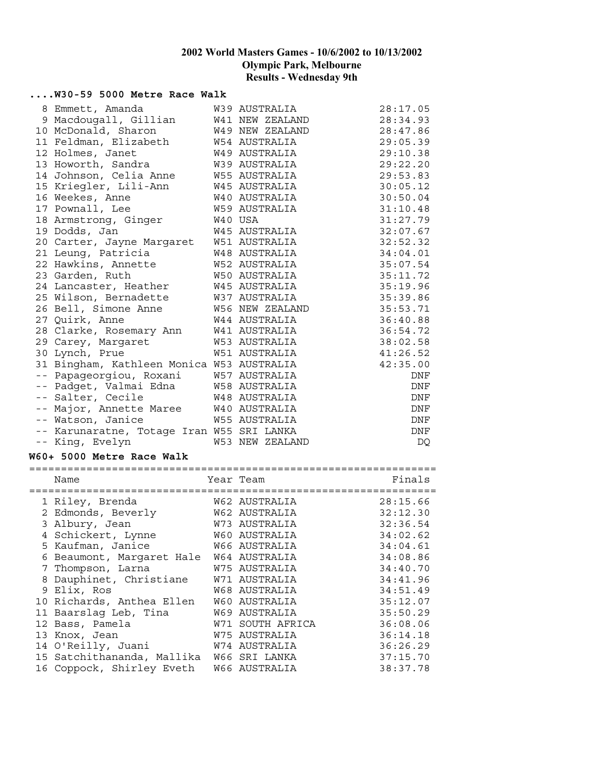#### **....W30-59 5000 Metre Race Walk**

| 8 Emmett, Amanda                          | W39 AUSTRALIA          | 28:17.05   |
|-------------------------------------------|------------------------|------------|
| 9 Macdougall, Gillian                     | W41 NEW ZEALAND        | 28:34.93   |
| 10 McDonald, Sharon                       | W49 NEW ZEALAND        | 28:47.86   |
| 11 Feldman, Elizabeth                     | W54 AUSTRALIA          | 29:05.39   |
| 12 Holmes, Janet                          | W49 AUSTRALIA          | 29:10.38   |
| 13 Howorth, Sandra                        | W39 AUSTRALIA          | 29:22.20   |
| 14 Johnson, Celia Anne                    | W55 AUSTRALIA          | 29:53.83   |
| 15 Kriegler, Lili-Ann                     | W45 AUSTRALIA          | 30:05.12   |
| 16 Weekes, Anne                           | W40 AUSTRALIA          | 30:50.04   |
| 17 Pownall, Lee                           | W59 AUSTRALIA          | 31:10.48   |
| 18 Armstrong, Ginger                      | W40 USA                | 31:27.79   |
| 19 Dodds, Jan                             | W45 AUSTRALIA          | 32:07.67   |
| 20 Carter, Jayne Margaret                 | W51 AUSTRALIA          | 32:52.32   |
| 21 Leung, Patricia                        | W48 AUSTRALIA          | 34:04.01   |
| 22 Hawkins, Annette                       | W52 AUSTRALIA          | 35:07.54   |
| 23 Garden, Ruth                           | W50 AUSTRALIA          | 35:11.72   |
| 24 Lancaster, Heather                     | W45 AUSTRALIA          | 35:19.96   |
| 25 Wilson, Bernadette                     | W37 AUSTRALIA          | 35:39.86   |
| 26 Bell, Simone Anne                      | W56 NEW ZEALAND        | 35:53.71   |
| 27 Quirk, Anne                            | W44 AUSTRALIA          | 36:40.88   |
| 28 Clarke, Rosemary Ann                   | W41 AUSTRALIA          | 36:54.72   |
| 29 Carey, Margaret                        | W53 AUSTRALIA          | 38:02.58   |
| 30 Lynch, Prue                            | <b>W51 AUSTRALIA</b>   | 41:26.52   |
| 31 Bingham, Kathleen Monica W53 AUSTRALIA |                        | 42:35.00   |
| -- Papageorgiou, Roxani                   | W57 AUSTRALIA          | DNF        |
| -- Padget, Valmai Edna                    | W58 AUSTRALIA          | DNF        |
| -- Salter, Cecile                         | W48 AUSTRALIA          | DNF        |
| -- Major, Annette Maree                   | W40 AUSTRALIA          | $\rm DNF$  |
| -- Watson, Janice                         | W55 AUSTRALIA          | DNF        |
| -- Karunaratne, Totage Iran W55 SRI LANKA |                        | $\rm{DNF}$ |
| -- King, Evelyn                           | <b>W53 NEW ZEALAND</b> | DQ         |
| W60+ 5000 Metre Race Walk                 |                        |            |
| Name                                      | Year Team              | Finals     |
|                                           |                        |            |
| 1 Riley, Brenda                           | W62 AUSTRALIA          | 28:15.66   |
| 2 Edmonds, Beverly                        | W62 AUSTRALIA          | 32:12.30   |
| 3 Albury, Jean                            | W73 AUSTRALIA          | 32:36.54   |
| 4 Schickert, Lynne                        | W60 AUSTRALIA          | 34:02.62   |
| 5 Kaufman, Janice                         | W66 AUSTRALIA          | 34:04.61   |
| 6 Beaumont, Margaret Hale                 | W64 AUSTRALIA          | 34:08.86   |
| 7 Thompson, Larna                         | W75 AUSTRALIA          | 34:40.70   |
| 8 Dauphinet, Christiane                   | W71 AUSTRALIA          | 34:41.96   |
| 9 Elix, Ros                               | W68 AUSTRALIA          | 34:51.49   |
| 10 Richards, Anthea Ellen                 | W60 AUSTRALIA          | 35:12.07   |
| 11 Baarslag Leb, Tina                     | W69 AUSTRALIA          | 35:50.29   |
| 12 Bass, Pamela                           | W71 SOUTH AFRICA       | 36:08.06   |

13 Knox, Jean W75 AUSTRALIA 36:14.18 14 O'Reilly, Juani W74 AUSTRALIA 36:26.29 15 Satchithananda, Mallika W66 SRI LANKA 37:15.70 16 Coppock, Shirley Eveth W66 AUSTRALIA 38:37.78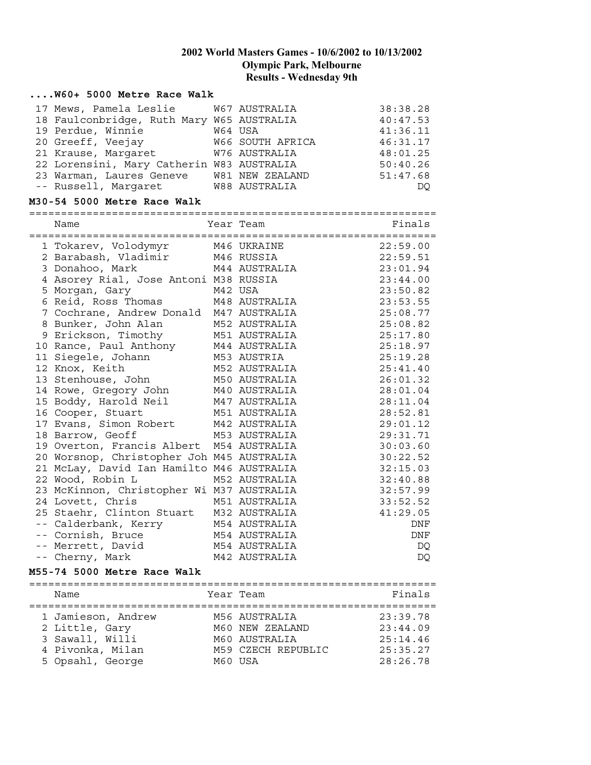# **....W60+ 5000 Metre Race Walk**

| 17 Mews, Pamela Leslie W67 AUSTRALIA      |                  | 38:38.28 |
|-------------------------------------------|------------------|----------|
| 18 Faulconbridge, Ruth Mary W65 AUSTRALIA |                  | 40:47.53 |
| 19 Perdue, Winnie                         | W64 USA          | 41:36.11 |
| 20 Greeff, Veejay                         | W66 SOUTH AFRICA | 46:31.17 |
| 21 Krause, Margaret W76 AUSTRALIA         |                  | 48:01.25 |
| 22 Lorensini, Mary Catherin W83 AUSTRALIA |                  | 50:40.26 |
| 23 Warman, Laures Geneve W81 NEW ZEALAND  |                  | 51:47.68 |
| -- Russell, Margaret M88 AUSTRALIA        |                  | DO       |

#### **M30-54 5000 Metre Race Walk**

================================================================

| Name                                                                                | Year Team     | Finals   |
|-------------------------------------------------------------------------------------|---------------|----------|
| 1 Tokarev, Volodymyr     M46 UKRAINE                                                |               | 22:59.00 |
| 2 Barabash, Vladimir M46 RUSSIA                                                     |               | 22:59.51 |
| 3 Donahoo, Mark                                                                     | M44 AUSTRALIA | 23:01.94 |
| 4 Asorey Rial, Jose Antoni M38 RUSSIA                                               |               | 23:44.00 |
|                                                                                     |               | 23:50.82 |
| 5 Morgan, Gary               M42 USA<br>6 Reid, Ross Thomas           M48 AUSTRALIA |               | 23:53.55 |
| 7 Cochrane, Andrew Donald M47 AUSTRALIA                                             |               | 25:08.77 |
| 8 Bunker, John Alan M52 AUSTRALIA                                                   |               | 25:08.82 |
| 9 Erickson, Timothy M51 AUSTRALIA                                                   |               | 25:17.80 |
| 10 Rance, Paul Anthony 144 AUSTRALIA<br>11 Siegele, Johann 153 AUSTRIA              |               | 25:18.97 |
|                                                                                     |               | 25:19.28 |
| 12 Knox, Keith                                                                      | M52 AUSTRALIA | 25:41.40 |
| 13 Stenhouse, John M50 AUSTRALIA                                                    |               | 26:01.32 |
| 14 Rowe, Gregory John M40 AUSTRALIA                                                 |               | 28:01.04 |
| 15 Boddy, Harold Neil M47 AUSTRALIA                                                 |               | 28:11.04 |
| 16 Cooper, Stuart                                                                   | M51 AUSTRALIA | 28:52.81 |
| 17 Evans, Simon Robert 1942 AUSTRALIA<br>18 Barrow, Geoff 1853 AUSTRALIA            |               | 29:01.12 |
|                                                                                     |               | 29:31.71 |
| 19 Overton, Francis Albert M54 AUSTRALIA                                            |               | 30:03.60 |
| 20 Worsnop, Christopher Joh M45 AUSTRALIA                                           |               | 30:22.52 |
| 21 McLay, David Ian Hamilto M46 AUSTRALIA                                           |               | 32:15.03 |
| 22 Wood, Robin L                                                                    | M52 AUSTRALIA | 32:40.88 |
| 23 McKinnon, Christopher Wi M37 AUSTRALIA                                           |               | 32:57.99 |
| 24 Lovett, Chris                                                                    | M51 AUSTRALIA | 33:52.52 |
| 25 Staehr, Clinton Stuart M32 AUSTRALIA                                             |               | 41:29.05 |
| -- Calderbank, Kerry M54 AUSTRALIA                                                  |               | DNF      |
| -- Cornish, Bruce M54 AUSTRALIA                                                     |               | DNF      |
| -- Merrett, David M54 AUSTRALIA                                                     |               | DQ       |
| -- Cherny, Mark                                                                     | M42 AUSTRALIA | DQ       |

#### **M55-74 5000 Metre Race Walk**

| Name                                 | Year Team                        | Finals               |
|--------------------------------------|----------------------------------|----------------------|
| 1 Jamieson, Andrew<br>2 Little, Gary | M56 AUSTRALIA<br>M60 NEW ZEALAND | 23:39.78<br>23:44.09 |
| 3 Sawall, Willi                      | M60 AUSTRALIA                    | 25:14.46             |
| 4 Pivonka, Milan                     | M59 CZECH REPUBLIC               | 25:35.27             |
| 5 Opsahl, George                     | M60 USA                          | 28:26.78             |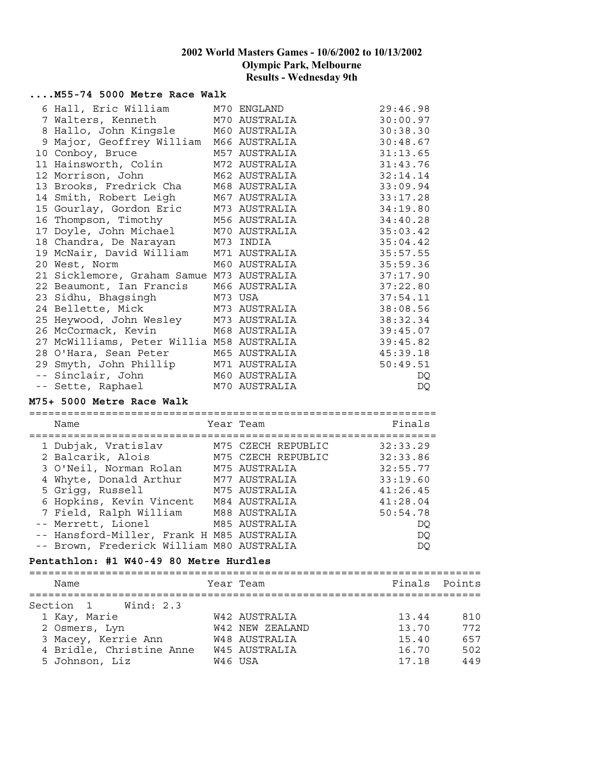#### **....M55-74 5000 Metre Race Walk**

|    | 6 Hall, Eric William M70 ENGLAND          |               | 29:46.98 |
|----|-------------------------------------------|---------------|----------|
|    | 7 Walters, Kenneth M70 AUSTRALIA          |               | 30:00.97 |
|    | 8 Hallo, John Kingsle M60 AUSTRALIA       |               | 30:38.30 |
| 9  | Major, Geoffrey William                   | M66 AUSTRALIA | 30:48.67 |
| 10 | Conboy, Bruce                             | M57 AUSTRALIA | 31:13.65 |
|    | 11 Hainsworth, Colin                      | M72 AUSTRALIA | 31:43.76 |
|    | 12 Morrison, John                         | M62 AUSTRALIA | 32:14.14 |
|    | 13 Brooks, Fredrick Cha                   | M68 AUSTRALIA | 33:09.94 |
|    | 14 Smith, Robert Leigh                    | M67 AUSTRALIA | 33:17.28 |
|    | 15 Gourlay, Gordon Eric M73 AUSTRALIA     |               | 34:19.80 |
|    | 16 Thompson, Timothy                      | M56 AUSTRALIA | 34:40.28 |
| 17 | Doyle, John Michael                       | M70 AUSTRALIA | 35:03.42 |
|    | 18 Chandra, De Narayan                    | M73 INDIA     | 35:04.42 |
|    | 19 McNair, David William                  | M71 AUSTRALIA | 35:57.55 |
|    | 20 West, Norm                             | M60 AUSTRALIA | 35:59.36 |
|    | 21 Sicklemore, Graham Samue M73 AUSTRALIA |               | 37:17.90 |
|    | 22 Beaumont, Ian Francis M66 AUSTRALIA    |               | 37:22.80 |
|    | 23 Sidhu, Bhagsingh                       | M73 USA       | 37:54.11 |
|    | 24 Bellette, Mick                         | M73 AUSTRALIA | 38:08.56 |
|    | 25 Heywood, John Wesley                   | M73 AUSTRALIA | 38:32.34 |
|    | 26 McCormack, Kevin                       | M68 AUSTRALIA | 39:45.07 |
|    | 27 McWilliams, Peter Willia M58 AUSTRALIA |               | 39:45.82 |
|    | 28 O'Hara, Sean Peter                     | M65 AUSTRALIA | 45:39.18 |
|    | 29 Smyth, John Phillip                    | M71 AUSTRALIA | 50:49.51 |
|    | -- Sinclair, John                         | M60 AUSTRALIA | DQ       |
|    | -- Sette, Raphael                         | M70 AUSTRALIA | DQ       |

#### **M75+ 5000 Metre Race Walk**

================================================================

| Name                                      | Year Team          | Finals   |
|-------------------------------------------|--------------------|----------|
| 1 Dubjak, Vratislav                       | M75 CZECH REPUBLIC | 32:33.29 |
| 2 Balcarik, Alois                         | M75 CZECH REPUBLIC | 32:33.86 |
| 3 O'Neil, Norman Rolan                    | M75 AUSTRALIA      | 32:55.77 |
| 4 Whyte, Donald Arthur                    | M77 AUSTRALIA      | 33:19.60 |
| 5 Grigg, Russell                          | M75 AUSTRALIA      | 41:26.45 |
| 6 Hopkins, Kevin Vincent                  | M84 AUSTRALIA      | 41:28.04 |
| 7 Field, Ralph William M88 AUSTRALIA      |                    | 50:54.78 |
| -- Merrett, Lionel                        | M85 AUSTRALIA      | DO       |
| -- Hansford-Miller, Frank H M85 AUSTRALIA |                    | DQ       |
| -- Brown, Frederick William M80 AUSTRALIA |                    | DO       |

#### **Pentathlon: #1 W40-49 80 Metre Hurdles**

| Year Team<br>Name                                         | Finals Points |
|-----------------------------------------------------------|---------------|
|                                                           |               |
| Section 1 Wind: 2.3                                       |               |
| 1 Kay, Marie<br>W42 AUSTRALIA<br>13.44                    | 810           |
| 2 Osmers, Lyn<br>13.70<br>W42 NEW ZEALAND                 | 772           |
| 3 Macey, Kerrie Ann<br>W48 AUSTRALIA<br>15.40             | 657           |
| 4 Bridle, Christine Anne<br><b>W45 AUSTRALIA</b><br>16.70 | 502           |
| 5 Johnson, Liz<br>17.18<br>W46 USA                        | 449           |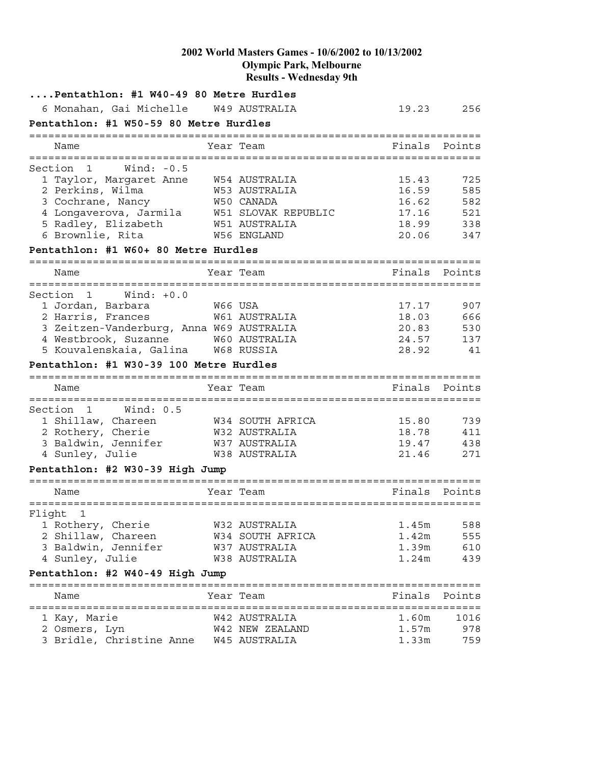|        | Pentathlon: #1 W40-49 80 Metre Hurdles        |              |  |                                                                                           |                                     |            |
|--------|-----------------------------------------------|--------------|--|-------------------------------------------------------------------------------------------|-------------------------------------|------------|
|        | 6 Monahan, Gai Michelle W49 AUSTRALIA         |              |  |                                                                                           | 19.23                               | 256        |
|        | Pentathlon: #1 W50-59 80 Metre Hurdles        |              |  |                                                                                           |                                     |            |
|        | -------------------------------------<br>Name |              |  | Year Team                                                                                 | Finals                              | Points     |
|        | ========================                      |              |  |                                                                                           |                                     |            |
|        | Section<br>1                                  | Wind: $-0.5$ |  |                                                                                           |                                     |            |
|        | 1 Taylor, Margaret Anne                       |              |  | <b>W54 AUSTRALIA</b>                                                                      | 15.43                               | 725        |
|        | 2 Perkins, Wilma                              |              |  | W53 AUSTRALIA                                                                             | 16.59                               | 585        |
|        | 3 Cochrane, Nancy                             |              |  | W50 CANADA                                                                                | 16.62                               | 582        |
|        |                                               |              |  | 4 Longaverova, Jarmila     W51 SLOVAK REPUBLIC<br>5 Radlev, Elizabeth       W51 AUSTRALIA | 17.16                               | 521        |
|        | 5 Radley, Elizabeth                           |              |  | W51 AUSTRALIA                                                                             | 18.99                               | 338        |
|        | 6 Brownlie, Rita                              |              |  | W56 ENGLAND                                                                               | 20.06                               | 347        |
|        | Pentathlon: #1 W60+ 80 Metre Hurdles          |              |  |                                                                                           |                                     |            |
|        | Name                                          |              |  | Year Team                                                                                 | Finals                              | Points     |
|        |                                               |              |  |                                                                                           |                                     |            |
|        | Section 1                                     | $Wind: +0.0$ |  |                                                                                           |                                     |            |
|        | 1 Jordan, Barbara                             |              |  |                                                                                           | 17.17                               | 907        |
|        | 2 Harris, Frances                             |              |  | W66 USA<br>W61 AUSTRALIA                                                                  | 18.03                               | 666        |
|        | 3 Zeitzen-Vanderburg, Anna W69 AUSTRALIA      |              |  |                                                                                           | 20.83                               | 530        |
|        | 4 Westbrook, Suzanne W60 AUSTRALIA            |              |  |                                                                                           | 24.57                               | 137        |
|        | 5 Kouvalenskaia, Galina                       |              |  | W68 RUSSIA                                                                                | 28.92                               | 41         |
|        | Pentathlon: #1 W30-39 100 Metre Hurdles       |              |  |                                                                                           |                                     |            |
|        |                                               |              |  |                                                                                           |                                     |            |
|        | Name                                          |              |  | Year Team                                                                                 | Finals                              | Points     |
|        |                                               |              |  |                                                                                           |                                     |            |
|        | Section<br>$\mathbf{1}$<br>1 Shillaw, Chareen | Wind: $0.5$  |  |                                                                                           | 15.80                               |            |
|        |                                               |              |  | W34 SOUTH AFRICA<br>W32 AUSTRALIA                                                         | 18.78                               | 739        |
|        | 2 Rothery, Cherie<br>3 Baldwin, Jennifer      |              |  | W37 AUSTRALIA                                                                             | 19.47                               | 411<br>438 |
|        |                                               |              |  | W38 AUSTRALIA                                                                             |                                     |            |
|        | 4 Sunley, Julie                               |              |  |                                                                                           | 21.46                               | 271        |
|        | Pentathlon: #2 W30-39 High Jump               |              |  |                                                                                           |                                     |            |
|        | Name                                          |              |  | Year Team                                                                                 | Finals                              | Points     |
|        |                                               |              |  |                                                                                           |                                     |            |
| Flight | 1                                             |              |  |                                                                                           |                                     |            |
|        | 1 Rothery, Cherie                             |              |  | W32 AUSTRALIA                                                                             | 1.45m                               | 588        |
|        | 2 Shillaw, Chareen                            |              |  | W34 SOUTH AFRICA                                                                          | 1.42m                               | 555        |
|        | 3 Baldwin, Jennifer                           |              |  | W37 AUSTRALIA                                                                             | 1.39m                               | 610        |
|        | 4 Sunley, Julie                               |              |  | W38 AUSTRALIA                                                                             | 1.24m                               | 439        |
|        | Pentathlon: #2 W40-49 High Jump               |              |  |                                                                                           | =================================== |            |
|        | Name                                          |              |  | Year Team                                                                                 | Finals                              | Points     |
|        |                                               |              |  |                                                                                           |                                     |            |
|        | 1 Kay, Marie                                  |              |  | W42 AUSTRALIA                                                                             | 1.60m                               | 1016       |
|        | 2 Osmers, Lyn                                 |              |  | W42 NEW ZEALAND                                                                           | 1.57m                               | 978        |
|        | 3 Bridle, Christine Anne W45 AUSTRALIA        |              |  |                                                                                           | 1.33m                               | 759        |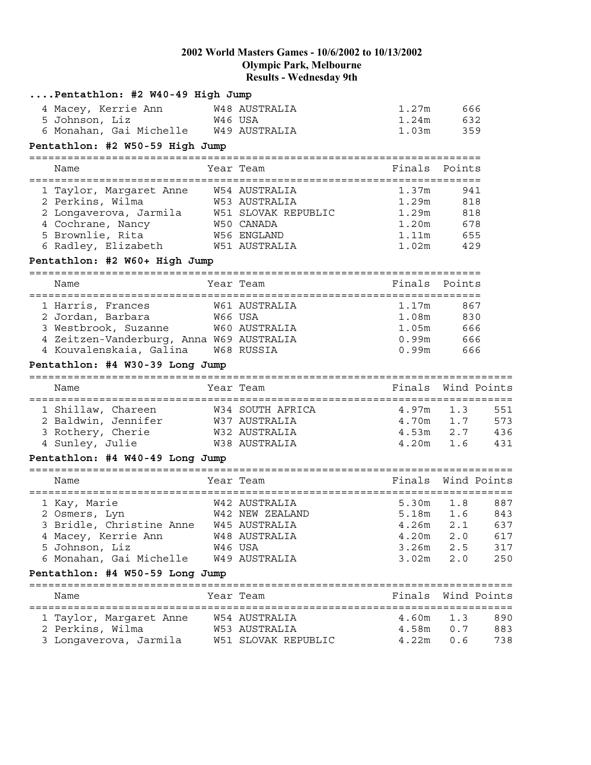| Pentathlon: #2 W40-49 High Jump            |         |                     |                   |                    |     |
|--------------------------------------------|---------|---------------------|-------------------|--------------------|-----|
| 4 Macey, Kerrie Ann                        |         | W48 AUSTRALIA       | 1.27m             | 666                |     |
| 5 Johnson, Liz                             | W46 USA |                     | 1.24m             | 632                |     |
| 6 Monahan, Gai Michelle W49 AUSTRALIA      |         |                     | 1.03m             | 359                |     |
| Pentathlon: #2 W50-59 High Jump            |         |                     |                   |                    |     |
| Name                                       |         | Year Team           | Finals            | Points             |     |
|                                            |         |                     |                   |                    |     |
| 1 Taylor, Margaret Anne W54 AUSTRALIA      |         |                     | 1.37m             | 941                |     |
| 2 Perkins, Wilma                           |         | W53 AUSTRALIA       | 1.29m             | 818                |     |
| 2 Longaverova, Jarmila W51 SLOVAK REPUBLIC |         |                     |                   | 1.29m 818          |     |
| 4 Cochrane, Nancy<br>W50 CANADA            |         |                     |                   | 1.20m 678          |     |
| 5 Brownlie, Rita                           |         | W56 ENGLAND         |                   | 1.11m 655          |     |
| 6 Radley, Elizabeth 6 W51 AUSTRALIA        |         |                     |                   | 1.02m 429          |     |
| Pentathlon: #2 W60+ High Jump              |         |                     |                   |                    |     |
| Name                                       |         | Year Team           | Finals            | Points             |     |
|                                            |         |                     |                   |                    |     |
| 1 Harris, Frances                          |         | W61 AUSTRALIA       | 1.17 <sub>m</sub> | 867                |     |
| W66 USA<br>2 Jordan, Barbara               |         |                     |                   | 1.08m 830          |     |
| 3 Westbrook, Suzanne W60 AUSTRALIA         |         |                     |                   | 1.05m 666          |     |
| 4 Zeitzen-Vanderburg, Anna W69 AUSTRALIA   |         |                     |                   | 0.99m 666          |     |
| 4 Kouvalenskaia, Galina W68 RUSSIA         |         |                     |                   | 0.99m 666          |     |
| Pentathlon: #4 W30-39 Long Jump            |         |                     |                   |                    |     |
| Name                                       |         | Year Team           | Finals            | Wind Points        |     |
|                                            |         |                     |                   |                    |     |
| 1 Shillaw, Chareen                         |         | W34 SOUTH AFRICA    | 4.97m             | 1.3                | 551 |
| 2 Baldwin, Jennifer W37 AUSTRALIA          |         |                     |                   | $4.70m$ $1.7$      | 573 |
| 3 Rothery, Cherie                          |         | W32 AUSTRALIA       |                   | $4.53m$ $2.7$      | 436 |
| 4 Sunley, Julie                            |         | W38 AUSTRALIA       | 4.20m             | 1.6                | 431 |
| Pentathlon: #4 W40-49 Long Jump            |         |                     |                   |                    |     |
| Name                                       |         | Year Team           |                   | Finals Wind Points |     |
|                                            |         |                     |                   |                    |     |
| 1 Kay, Marie                               |         | W42 AUSTRALIA       | 5.30m             | 1.8                | 887 |
| 2 Osmers, Lyn                              |         | W42 NEW ZEALAND     | 5.18m             | 1.6                | 843 |
| 3 Bridle, Christine Anne                   |         | W45 AUSTRALIA       | 4.26m             | 2.1                | 637 |
| 4 Macey, Kerrie Ann                        |         | W48 AUSTRALIA       | 4.20m             | 2.0                | 617 |
| 5 Johnson, Liz                             |         | W46 USA             | 3.26m             | 2.5                | 317 |
| 6 Monahan, Gai Michelle                    |         | W49 AUSTRALIA       | 3.02m             | 2.0                | 250 |
| Pentathlon: #4 W50-59 Long Jump            |         |                     |                   |                    |     |
|                                            |         |                     |                   |                    |     |
| Name                                       |         | Year Team           | Finals            | Wind Points        |     |
| 1 Taylor, Margaret Anne                    |         | W54 AUSTRALIA       | 4.60m             | 1.3                | 890 |
| 2 Perkins, Wilma                           |         | W53 AUSTRALIA       | 4.58m             | 0.7                | 883 |
| 3 Longaverova, Jarmila                     |         | W51 SLOVAK REPUBLIC | 4.22m             | 0.6                | 738 |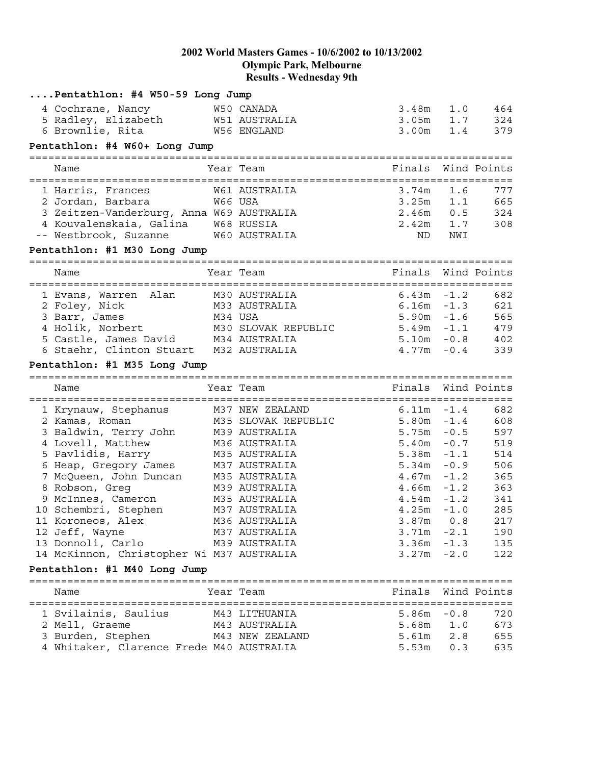| Pentathlon: #4 W50-59 Long Jump           |         |                                |                                |                  |             |
|-------------------------------------------|---------|--------------------------------|--------------------------------|------------------|-------------|
| 4 Cochrane, Nancy                         |         | W50 CANADA                     | 3.48m                          | 1.0              | 464         |
| 5 Radley, Elizabeth                       |         | W51 AUSTRALIA                  | 3.05m                          | 1.7              | 324         |
| 6 Brownlie, Rita                          |         | W56 ENGLAND                    | 3.00m                          | 1.4              | 379         |
| Pentathlon: #4 W60+ Long Jump             |         |                                |                                |                  |             |
|                                           |         |                                |                                |                  |             |
| Name                                      |         | Year Team                      | Finals                         |                  | Wind Points |
| 1 Harris, Frances                         |         | W61 AUSTRALIA                  | 3.74m                          | 1.6              | 777         |
| 2 Jordan, Barbara 66 W66 USA              |         |                                | 3.25m                          | 1.1              | 665         |
| 3 Zeitzen-Vanderburg, Anna W69 AUSTRALIA  |         |                                | 2.46m                          | 0.5              | 324         |
| 4 Kouvalenskaia, Galina W68 RUSSIA        |         |                                | 2.42m                          | 1.7              | 308         |
| -- Westbrook, Suzanne                     |         | W60 AUSTRALIA                  | ND                             | NWI              |             |
| Pentathlon: #1 M30 Long Jump              |         |                                |                                |                  |             |
|                                           |         |                                |                                |                  |             |
| Name                                      |         | Year Team                      | Finals                         |                  | Wind Points |
| 1 Evans, Warren Alan M30 AUSTRALIA        |         |                                | 6.43m                          | $-1.2$           | 682         |
| 2 Foley, Nick<br>M33 AUSTRALIA            |         |                                | $6.16m - 1.3$                  |                  | 621         |
| 3 Barr, James                             | M34 USA |                                | $5.90m - 1.6$                  |                  | 565         |
| 4 Holik, Norbert                          |         | M30 SLOVAK REPUBLIC            | $5.49m - 1.1$                  |                  | 479         |
| 5 Castle, James David M34 AUSTRALIA       |         |                                | $5.10m - 0.8$                  |                  | 402         |
| 6 Staehr, Clinton Stuart M32 AUSTRALIA    |         |                                | $4.77m - 0.4$                  |                  | 339         |
| Pentathlon: #1 M35 Long Jump              |         |                                |                                |                  |             |
| Name                                      |         | Year Team                      | Finals                         |                  | Wind Points |
|                                           |         |                                |                                |                  |             |
| 1 Krynauw, Stephanus M37 NEW ZEALAND      |         |                                | 6.11m                          | $-1.4$           | 682         |
| 2 Kamas, Roman                            |         | M35 SLOVAK REPUBLIC            | 5.80m                          | $-1.4$           | 608         |
| 3 Baldwin, Terry John                     |         | M39 AUSTRALIA                  | 5.75m                          | $-0.5$           | 597         |
| 4 Lovell, Matthew                         |         | M36 AUSTRALIA                  | 5.40m                          | $-0.7$           | 519         |
| 5 Pavlidis, Harry                         |         | M35 AUSTRALIA                  | 5.38m                          | $-1.1$           | 514         |
| 6 Heap, Gregory James                     |         | M37 AUSTRALIA                  | 5.34m                          | $-0.9$           | 506         |
| 7 McQueen, John Duncan                    |         | M35 AUSTRALIA                  | $4.67m - 1.2$                  |                  | 365         |
| 8 Robson, Greg                            |         | M39 AUSTRALIA                  | $4.66m - 1.2$<br>4.54m         |                  | 363         |
| 9 McInnes, Cameron                        |         | M35 AUSTRALIA                  |                                | $-1.2$<br>$-1.0$ | 341         |
| 10 Schembri, Stephen                      |         | M37 AUSTRALIA<br>M36 AUSTRALIA | 4.25m                          |                  | 285         |
| 11 Koroneos, Alex                         |         |                                | $3.87m$ 0.8                    |                  | 217         |
| 12 Jeff, Wayne<br>13 Donnoli, Carlo       |         | M37 AUSTRALIA                  | $3.71m - 2.1$<br>$3.36m - 1.3$ |                  | 190<br>135  |
| 14 McKinnon, Christopher Wi M37 AUSTRALIA |         | M39 AUSTRALIA                  | $3.27m - 2.0$                  |                  | 122         |
| Pentathlon: #1 M40 Long Jump              |         |                                |                                |                  |             |
|                                           |         |                                |                                |                  |             |
| Name                                      |         | Year Team                      | Finals                         |                  | Wind Points |
| 1 Svilainis, Saulius M43 LITHUANIA        |         |                                | $5.86m - 0.8$                  |                  | 720         |
| 2 Mell, Graeme                            |         | M43 AUSTRALIA                  | 5.68m 1.0                      |                  | 673         |
| 3 Burden, Stephen                         |         | M43 NEW ZEALAND                | 5.61m                          | 2.8              | 655         |
| 4 Whitaker, Clarence Frede M40 AUSTRALIA  |         |                                | 5.53m                          | 0.3              | 635         |
|                                           |         |                                |                                |                  |             |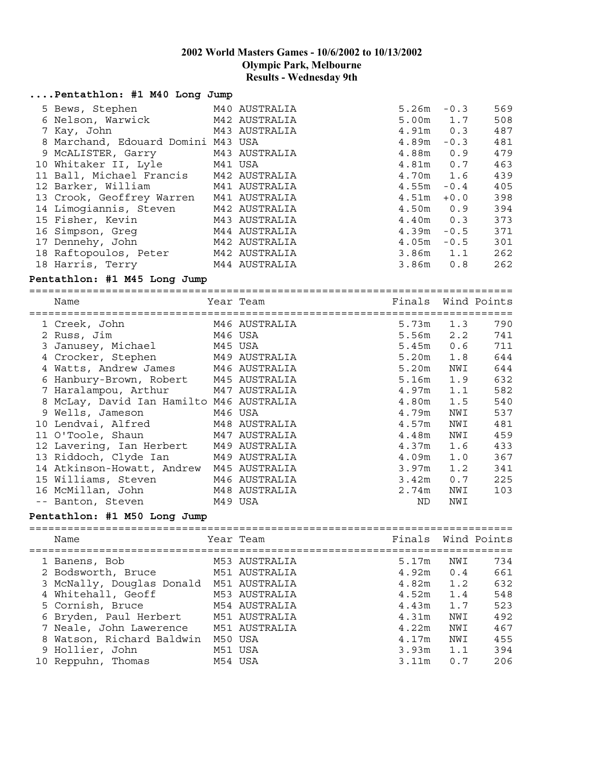| Pentathlon: #1 M40 Long Jump             |         |               |               |        |             |
|------------------------------------------|---------|---------------|---------------|--------|-------------|
|                                          |         |               |               |        |             |
| 5 Bews, Stephen                          |         | M40 AUSTRALIA | $5.26m - 0.3$ |        | 569         |
| 6 Nelson, Warwick                        |         | M42 AUSTRALIA | 5.00m 1.7     |        | 508         |
| 7 Kay, John                              |         | M43 AUSTRALIA | $4.91m$ 0.3   |        | 487         |
| 8 Marchand, Edouard Domini M43 USA       |         |               | 4.89m         | $-0.3$ | 481         |
| 9 MCALISTER, Garry                       |         | M43 AUSTRALIA | 4.88m 0.9     |        | 479         |
| 10 Whitaker II, Lyle                     |         | M41 USA       | 4.81m         | 0.7    | 463         |
| 11 Ball, Michael Francis                 |         | M42 AUSTRALIA | 4.70m 1.6     |        | 439         |
| 12 Barker, William                       |         | M41 AUSTRALIA | 4.55m         | $-0.4$ | 405         |
| 13 Crook, Geoffrey Warren                |         | M41 AUSTRALIA | 4.51m         | $+0.0$ | 398         |
| 14 Limogiannis, Steven                   |         | M42 AUSTRALIA | 4.50m 0.9     |        | 394         |
| 15 Fisher, Kevin                         |         | M43 AUSTRALIA | $4.40m$ 0.3   |        | 373         |
| 16 Simpson, Greg                         |         | M44 AUSTRALIA | 4.39m         | $-0.5$ | 371         |
| 17 Dennehy, John                         |         | M42 AUSTRALIA | $4.05m - 0.5$ |        | 301         |
| 18 Raftopoulos, Peter                    |         | M42 AUSTRALIA | $3.86m$ 1.1   |        | 262         |
| 18 Harris, Terry                         |         | M44 AUSTRALIA | 3.86m         | 0.8    | 262         |
| Pentathlon: #1 M45 Long Jump             |         |               |               |        |             |
|                                          |         |               |               |        |             |
| Name                                     |         | Year Team     | Finals        |        | Wind Points |
|                                          |         |               |               |        |             |
| 1 Creek, John                            |         | M46 AUSTRALIA | 5.73m         | 1.3    | 790         |
| 2 Russ, Jim                              | M46 USA |               | 5.56m         | 2.2    | 741         |
| 3 Janusey, Michael                       | M45 USA |               | 5.45m         | 0.6    | 711         |
| 4 Crocker, Stephen                       |         | M49 AUSTRALIA | 5.20m         | 1.8    | 644         |
| 4 Watts, Andrew James                    |         | M46 AUSTRALIA | 5.20m         | NWI    | 644         |
| 6 Hanbury-Brown, Robert M45 AUSTRALIA    |         |               | 5.16m         | 1.9    | 632         |
| 7 Haralampou, Arthur                     |         | M47 AUSTRALIA | 4.97m         | 1.1    | 582         |
| 8 McLay, David Ian Hamilto M46 AUSTRALIA |         |               | 4.80m         | 1.5    | 540         |
| 9 Wells, Jameson                         | M46 USA |               | 4.79m         | NWI    | 537         |
| 10 Lendvai, Alfred                       |         | M48 AUSTRALIA | 4.57m         | NWI    | 481         |
| 11 O'Toole, Shaun                        |         | M47 AUSTRALIA | 4.48m         | NWI    | 459         |
| 12 Lavering, Ian Herbert                 |         | M49 AUSTRALIA | 4.37m         | 1.6    | 433         |
| 13 Riddoch, Clyde Ian                    |         | M49 AUSTRALIA | 4.09m         | 1.0    | 367         |
| 14 Atkinson-Howatt, Andrew M45 AUSTRALIA |         |               | 3.97m         | 1.2    | 341         |
| 15 Williams, Steven                      |         | M46 AUSTRALIA | 3.42m         | 0.7    | 225         |
| 16 McMillan, John                        |         | M48 AUSTRALIA | 2.74m         | NWI    | 103         |
| -- Banton, Steven                        | M49 USA |               | ND            | NWI    |             |
|                                          |         |               |               |        |             |
| Pentathlon: #1 M50 Long Jump             |         |               |               |        |             |
|                                          |         |               |               |        |             |
| Name                                     |         | Year Team     | Finals        |        | Wind Points |
|                                          |         |               |               |        |             |
| 1 Banens, Bob                            |         | M53 AUSTRALIA | 5.17m         | NWI    | 734         |
| 2 Bodsworth, Bruce                       |         | M51 AUSTRALIA | 4.92m         | 0.4    | 661         |
| 3 McNally, Douglas Donald                |         | M51 AUSTRALIA | 4.82m         | 1.2    | 632         |
| 4 Whitehall, Geoff                       |         | M53 AUSTRALIA | 4.52m         | 1.4    | 548         |
| 5 Cornish, Bruce                         |         | M54 AUSTRALIA | 4.43m         | 1.7    | 523         |
| 6 Bryden, Paul Herbert                   |         | M51 AUSTRALIA | 4.31m         | NWI    | 492         |
| 7 Neale, John Lawerence                  |         | M51 AUSTRALIA | 4.22m         | NWI    | 467         |
| 8 Watson, Richard Baldwin                |         | M50 USA       | 4.17m         | NWI    | 455         |
| 9 Hollier, John                          |         | M51 USA       | 3.93m         | 1.1    | 394         |

10 Reppuhn, Thomas M54 USA 3.11m 0.7 206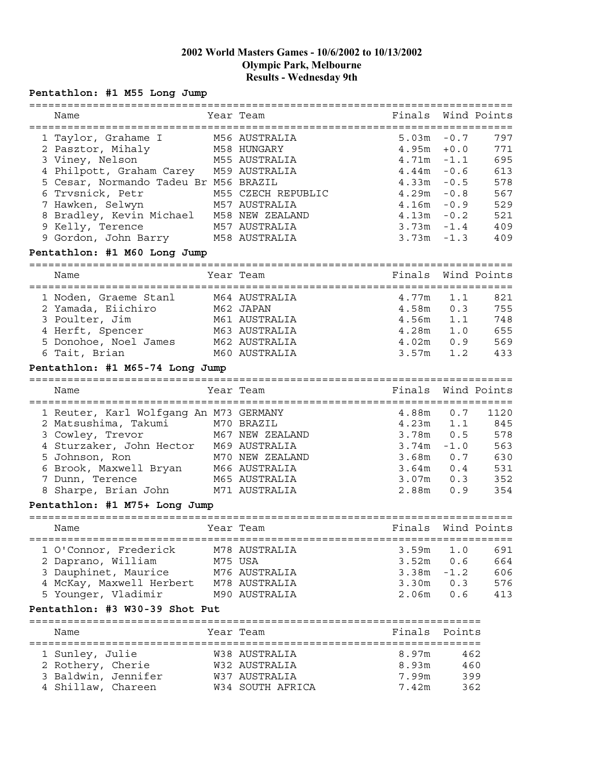# **Pentathlon: #1 M55 Long Jump**

|                                           |         | :=============================    |                |            |             |
|-------------------------------------------|---------|-----------------------------------|----------------|------------|-------------|
| Name                                      |         | Year Team                         | Finals         |            | Wind Points |
| =====================================     |         | ================================= |                |            |             |
| 1 Taylor, Grahame I                       |         | M56 AUSTRALIA                     | 5.03m          | $-0.7$     | 797         |
|                                           |         |                                   |                |            | 771         |
| 2 Pasztor, Mihaly                         |         | M58 HUNGARY                       | 4.95m          | $+0.0$     |             |
| 3 Viney, Nelson                           |         | M55 AUSTRALIA                     | 4.71m          | $-1.1$     | 695         |
| 4 Philpott, Graham Carey M59 AUSTRALIA    |         |                                   | $4.44$ m       | $-0.6$     | 613         |
| 5 Cesar, Normando Tadeu Br M56 BRAZIL     |         |                                   | 4.33m          | $-0.5$     | 578         |
| 6 Trvsnick, Petr                          |         | M55 CZECH REPUBLIC                | 4.29m          | $-0.8$     | 567         |
| 7 Hawken, Selwyn                          |         | M57 AUSTRALIA                     | 4.16m          | $-0.9$     | 529         |
| 8 Bradley, Kevin Michael M58 NEW ZEALAND  |         |                                   | 4.13m          | $-0.2$     | 521         |
| 9 Kelly, Terence                          |         | M57 AUSTRALIA                     | $3.73m - 1.4$  |            | 409         |
| 9 Gordon, John Barry M58 AUSTRALIA        |         |                                   | 3.73m          | $-1.3$     | 409         |
|                                           |         |                                   |                |            |             |
| Pentathlon: #1 M60 Long Jump              |         |                                   |                |            |             |
|                                           |         |                                   |                |            |             |
| Name                                      |         | Year Team                         | Finals         |            | Wind Points |
|                                           |         |                                   |                |            |             |
| 1 Noden, Graeme Stanl                     |         | M64 AUSTRALIA                     | 4.77m          | 1.1        | 821         |
| 2 Yamada, Eiichiro                        |         | M62 JAPAN                         | 4.58m          | 0.3        | 755         |
| 3 Poulter, Jim                            |         | M61 AUSTRALIA                     | 4.56m          | 1.1        | 748         |
| 4 Herft, Spencer                          |         | M63 AUSTRALIA                     | $4.28m$ $1.0$  |            | 655         |
| 5 Donohoe, Noel James M62 AUSTRALIA       |         |                                   | $4.02m$ 0.9    |            | 569         |
| 6 Tait, Brian                             |         | M60 AUSTRALIA                     | 3.57m          | 1.2        | 433         |
|                                           |         |                                   |                |            |             |
| Pentathlon: #1 M65-74 Long Jump           |         |                                   |                |            |             |
|                                           |         |                                   |                |            |             |
| Name                                      |         | Year Team                         | Finals         |            | Wind Points |
|                                           |         |                                   |                |            |             |
| 1 Reuter, Karl Wolfgang An M73 GERMANY    |         |                                   | 4.88m          | 0.7        | 1120        |
|                                           |         |                                   |                |            |             |
| 2 Matsushima, Takumi M70 BRAZIL           |         |                                   | 4.23m          | 1.1        | 845         |
|                                           |         | M67 NEW ZEALAND                   | $3.78m$ 0.5    |            | 578         |
| 3 Cowley, Trevor                          |         |                                   |                |            |             |
| 4 Sturzaker, John Hector M69 AUSTRALIA    |         |                                   | $3.74m - 1.0$  |            | 563         |
| 5 Johnson, Ron                            |         | M70 NEW ZEALAND                   | $3.68m$ 0.7    |            | 630         |
| 6 Brook, Maxwell Bryan M66 AUSTRALIA      |         |                                   | $3.64m$ 0.4    |            | 531         |
| 7 Dunn, Terence                           |         | M65 AUSTRALIA                     | $3.07m$ 0.3    |            | 352         |
| Sharpe, Brian John M71 AUSTRALIA          |         |                                   | 2.88m          | 0.9        | 354         |
| Pentathlon: #1 M75+ Long Jump             |         |                                   |                |            |             |
|                                           |         |                                   |                |            |             |
| Name                                      |         | Year Team                         | Finals         |            | Wind Points |
|                                           |         |                                   |                |            |             |
|                                           |         | M78 AUSTRALIA                     | 3.59m          | 1.0        | 691         |
| 1 O'Connor, Frederick                     |         |                                   |                |            |             |
| 2 Daprano, William                        | M75 USA |                                   | $3.52m$ 0.6    |            | 664         |
| 3 Dauphinet, Maurice                      |         | M76 AUSTRALIA                     | $3.38m - 1.2$  |            | 606         |
| 4 McKay, Maxwell Herbert M78 AUSTRALIA    |         |                                   | $3.30m$ 0.3    |            | 576         |
| 5 Younger, Vladimir                       |         | M90 AUSTRALIA                     | $2.06m$ 0.6    |            | 413         |
| Pentathlon: #3 W30-39 Shot Put            |         |                                   |                |            |             |
|                                           |         |                                   |                |            |             |
| Name                                      |         | Year Team                         | Finals         | Points     |             |
|                                           |         |                                   |                |            |             |
| 1 Sunley, Julie                           |         | W38 AUSTRALIA                     | 8.97m          | 462        |             |
| 2 Rothery, Cherie                         |         | W32 AUSTRALIA                     | 8.93m          | 460        |             |
| 3 Baldwin, Jennifer<br>4 Shillaw, Chareen |         | W37 AUSTRALIA<br>W34 SOUTH AFRICA | 7.99m<br>7.42m | 399<br>362 |             |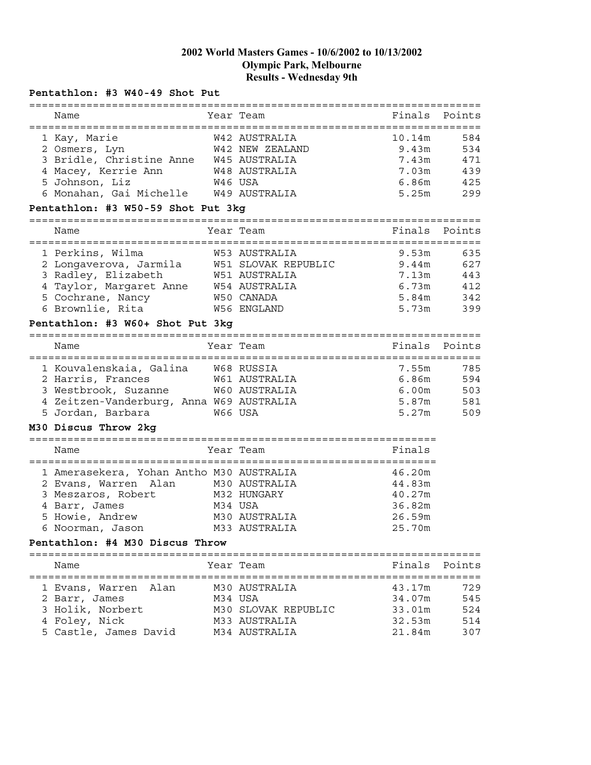## **Pentathlon: #3 W40-49 Shot Put**

| Name<br>Year Team<br>Finals<br>Points<br>584<br>1 Kay, Marie<br>W42 AUSTRALIA<br>10.14m<br>534<br>W42 NEW ZEALAND<br>9.43m<br>2 Osmers, Lyn<br>3 Bridle, Christine Anne W45 AUSTRALIA<br>7.43m<br>471<br>439<br>4 Macey, Kerrie Ann<br>W48 AUSTRALIA<br>7.03m<br>5 Johnson, Liz<br>6.86m<br>425<br>W46 USA<br>6 Monahan, Gai Michelle W49 AUSTRALIA<br>299<br>5.25m<br>Pentathlon: #3 W50-59 Shot Put 3kg<br>Year Team<br>Finals<br>Points<br>Name<br>.====================================<br>=======<br>:===========<br>9.53m<br>635<br>1 Perkins, Wilma<br>W53 AUSTRALIA<br>2 Longaverova, Jarmila M51 SLOVAK REPUBLIC<br>9.44m<br>627<br>3 Radley, Elizabeth<br>W51 AUSTRALIA<br>7.13m<br>443<br>4 Taylor, Margaret Anne W54 AUSTRALIA<br>6.73m<br>412<br>5 Cochrane, Nancy<br>5.84m<br>W50 CANADA<br>342<br>6 Brownlie, Rita<br>W56 ENGLAND<br>5.73m<br>399<br>Pentathlon: #3 W60+ Shot Put 3kg<br>Year Team<br>Finals<br>Points<br>Name<br>785<br>1 Kouvalenskaia, Galina W68 RUSSIA<br>7.55m<br>6.86m<br>594<br>2 Harris, Frances<br>W61 AUSTRALIA<br>3 Westbrook, Suzanne<br>503<br>W60 AUSTRALIA<br>6.00m<br>4 Zeitzen-Vanderburg, Anna W69 AUSTRALIA<br>5.87m<br>581<br>5 Jordan, Barbara<br>W66 USA<br>5.27m<br>509<br>M30 Discus Throw 2kg<br>======================================<br>========================<br>Finals<br>Name<br>Year Team<br>46.20m<br>1 Amerasekera, Yohan Antho M30 AUSTRALIA<br>2 Evans, Warren Alan<br>M30 AUSTRALIA<br>44.83m<br>3 Meszaros, Robert<br>M32 HUNGARY<br>40.27m<br>36.82m<br>4 Barr, James<br>M34 USA<br>5 Howie, Andrew<br>M30 AUSTRALIA<br>26.59m<br>6 Noorman, Jason<br>25.70m<br>M33 AUSTRALIA<br>Pentathlon: #4 M30 Discus Throw<br>Finals<br>Year Team<br>Points<br>Name<br>729<br>Alan<br>M30 AUSTRALIA<br>43.17m<br>1 Evans, Warren<br>34.07m<br>2 Barr, James<br>M34 USA<br>545<br>3 Holik, Norbert<br>524<br>M30 SLOVAK REPUBLIC<br>33.01m<br>4 Foley, Nick<br>M33 AUSTRALIA<br>32.53m<br>514<br>5 Castle, James David<br>M34 AUSTRALIA | =========== |  |        |     |
|-------------------------------------------------------------------------------------------------------------------------------------------------------------------------------------------------------------------------------------------------------------------------------------------------------------------------------------------------------------------------------------------------------------------------------------------------------------------------------------------------------------------------------------------------------------------------------------------------------------------------------------------------------------------------------------------------------------------------------------------------------------------------------------------------------------------------------------------------------------------------------------------------------------------------------------------------------------------------------------------------------------------------------------------------------------------------------------------------------------------------------------------------------------------------------------------------------------------------------------------------------------------------------------------------------------------------------------------------------------------------------------------------------------------------------------------------------------------------------------------------------------------------------------------------------------------------------------------------------------------------------------------------------------------------------------------------------------------------------------------------------------------------------------------------------------------------------------------------------------------------------------------------------------------------------------------------------------------------------------------------------|-------------|--|--------|-----|
|                                                                                                                                                                                                                                                                                                                                                                                                                                                                                                                                                                                                                                                                                                                                                                                                                                                                                                                                                                                                                                                                                                                                                                                                                                                                                                                                                                                                                                                                                                                                                                                                                                                                                                                                                                                                                                                                                                                                                                                                       |             |  |        |     |
|                                                                                                                                                                                                                                                                                                                                                                                                                                                                                                                                                                                                                                                                                                                                                                                                                                                                                                                                                                                                                                                                                                                                                                                                                                                                                                                                                                                                                                                                                                                                                                                                                                                                                                                                                                                                                                                                                                                                                                                                       |             |  |        |     |
|                                                                                                                                                                                                                                                                                                                                                                                                                                                                                                                                                                                                                                                                                                                                                                                                                                                                                                                                                                                                                                                                                                                                                                                                                                                                                                                                                                                                                                                                                                                                                                                                                                                                                                                                                                                                                                                                                                                                                                                                       |             |  |        |     |
|                                                                                                                                                                                                                                                                                                                                                                                                                                                                                                                                                                                                                                                                                                                                                                                                                                                                                                                                                                                                                                                                                                                                                                                                                                                                                                                                                                                                                                                                                                                                                                                                                                                                                                                                                                                                                                                                                                                                                                                                       |             |  |        |     |
|                                                                                                                                                                                                                                                                                                                                                                                                                                                                                                                                                                                                                                                                                                                                                                                                                                                                                                                                                                                                                                                                                                                                                                                                                                                                                                                                                                                                                                                                                                                                                                                                                                                                                                                                                                                                                                                                                                                                                                                                       |             |  |        |     |
|                                                                                                                                                                                                                                                                                                                                                                                                                                                                                                                                                                                                                                                                                                                                                                                                                                                                                                                                                                                                                                                                                                                                                                                                                                                                                                                                                                                                                                                                                                                                                                                                                                                                                                                                                                                                                                                                                                                                                                                                       |             |  |        |     |
|                                                                                                                                                                                                                                                                                                                                                                                                                                                                                                                                                                                                                                                                                                                                                                                                                                                                                                                                                                                                                                                                                                                                                                                                                                                                                                                                                                                                                                                                                                                                                                                                                                                                                                                                                                                                                                                                                                                                                                                                       |             |  |        |     |
|                                                                                                                                                                                                                                                                                                                                                                                                                                                                                                                                                                                                                                                                                                                                                                                                                                                                                                                                                                                                                                                                                                                                                                                                                                                                                                                                                                                                                                                                                                                                                                                                                                                                                                                                                                                                                                                                                                                                                                                                       |             |  |        |     |
|                                                                                                                                                                                                                                                                                                                                                                                                                                                                                                                                                                                                                                                                                                                                                                                                                                                                                                                                                                                                                                                                                                                                                                                                                                                                                                                                                                                                                                                                                                                                                                                                                                                                                                                                                                                                                                                                                                                                                                                                       |             |  |        |     |
|                                                                                                                                                                                                                                                                                                                                                                                                                                                                                                                                                                                                                                                                                                                                                                                                                                                                                                                                                                                                                                                                                                                                                                                                                                                                                                                                                                                                                                                                                                                                                                                                                                                                                                                                                                                                                                                                                                                                                                                                       |             |  |        |     |
|                                                                                                                                                                                                                                                                                                                                                                                                                                                                                                                                                                                                                                                                                                                                                                                                                                                                                                                                                                                                                                                                                                                                                                                                                                                                                                                                                                                                                                                                                                                                                                                                                                                                                                                                                                                                                                                                                                                                                                                                       |             |  |        |     |
|                                                                                                                                                                                                                                                                                                                                                                                                                                                                                                                                                                                                                                                                                                                                                                                                                                                                                                                                                                                                                                                                                                                                                                                                                                                                                                                                                                                                                                                                                                                                                                                                                                                                                                                                                                                                                                                                                                                                                                                                       |             |  |        |     |
|                                                                                                                                                                                                                                                                                                                                                                                                                                                                                                                                                                                                                                                                                                                                                                                                                                                                                                                                                                                                                                                                                                                                                                                                                                                                                                                                                                                                                                                                                                                                                                                                                                                                                                                                                                                                                                                                                                                                                                                                       |             |  |        |     |
|                                                                                                                                                                                                                                                                                                                                                                                                                                                                                                                                                                                                                                                                                                                                                                                                                                                                                                                                                                                                                                                                                                                                                                                                                                                                                                                                                                                                                                                                                                                                                                                                                                                                                                                                                                                                                                                                                                                                                                                                       |             |  |        |     |
|                                                                                                                                                                                                                                                                                                                                                                                                                                                                                                                                                                                                                                                                                                                                                                                                                                                                                                                                                                                                                                                                                                                                                                                                                                                                                                                                                                                                                                                                                                                                                                                                                                                                                                                                                                                                                                                                                                                                                                                                       |             |  |        |     |
|                                                                                                                                                                                                                                                                                                                                                                                                                                                                                                                                                                                                                                                                                                                                                                                                                                                                                                                                                                                                                                                                                                                                                                                                                                                                                                                                                                                                                                                                                                                                                                                                                                                                                                                                                                                                                                                                                                                                                                                                       |             |  |        |     |
|                                                                                                                                                                                                                                                                                                                                                                                                                                                                                                                                                                                                                                                                                                                                                                                                                                                                                                                                                                                                                                                                                                                                                                                                                                                                                                                                                                                                                                                                                                                                                                                                                                                                                                                                                                                                                                                                                                                                                                                                       |             |  |        |     |
|                                                                                                                                                                                                                                                                                                                                                                                                                                                                                                                                                                                                                                                                                                                                                                                                                                                                                                                                                                                                                                                                                                                                                                                                                                                                                                                                                                                                                                                                                                                                                                                                                                                                                                                                                                                                                                                                                                                                                                                                       |             |  |        |     |
|                                                                                                                                                                                                                                                                                                                                                                                                                                                                                                                                                                                                                                                                                                                                                                                                                                                                                                                                                                                                                                                                                                                                                                                                                                                                                                                                                                                                                                                                                                                                                                                                                                                                                                                                                                                                                                                                                                                                                                                                       |             |  |        |     |
|                                                                                                                                                                                                                                                                                                                                                                                                                                                                                                                                                                                                                                                                                                                                                                                                                                                                                                                                                                                                                                                                                                                                                                                                                                                                                                                                                                                                                                                                                                                                                                                                                                                                                                                                                                                                                                                                                                                                                                                                       |             |  |        |     |
|                                                                                                                                                                                                                                                                                                                                                                                                                                                                                                                                                                                                                                                                                                                                                                                                                                                                                                                                                                                                                                                                                                                                                                                                                                                                                                                                                                                                                                                                                                                                                                                                                                                                                                                                                                                                                                                                                                                                                                                                       |             |  |        |     |
|                                                                                                                                                                                                                                                                                                                                                                                                                                                                                                                                                                                                                                                                                                                                                                                                                                                                                                                                                                                                                                                                                                                                                                                                                                                                                                                                                                                                                                                                                                                                                                                                                                                                                                                                                                                                                                                                                                                                                                                                       |             |  |        |     |
|                                                                                                                                                                                                                                                                                                                                                                                                                                                                                                                                                                                                                                                                                                                                                                                                                                                                                                                                                                                                                                                                                                                                                                                                                                                                                                                                                                                                                                                                                                                                                                                                                                                                                                                                                                                                                                                                                                                                                                                                       |             |  |        |     |
|                                                                                                                                                                                                                                                                                                                                                                                                                                                                                                                                                                                                                                                                                                                                                                                                                                                                                                                                                                                                                                                                                                                                                                                                                                                                                                                                                                                                                                                                                                                                                                                                                                                                                                                                                                                                                                                                                                                                                                                                       |             |  |        |     |
|                                                                                                                                                                                                                                                                                                                                                                                                                                                                                                                                                                                                                                                                                                                                                                                                                                                                                                                                                                                                                                                                                                                                                                                                                                                                                                                                                                                                                                                                                                                                                                                                                                                                                                                                                                                                                                                                                                                                                                                                       |             |  |        |     |
|                                                                                                                                                                                                                                                                                                                                                                                                                                                                                                                                                                                                                                                                                                                                                                                                                                                                                                                                                                                                                                                                                                                                                                                                                                                                                                                                                                                                                                                                                                                                                                                                                                                                                                                                                                                                                                                                                                                                                                                                       |             |  |        |     |
|                                                                                                                                                                                                                                                                                                                                                                                                                                                                                                                                                                                                                                                                                                                                                                                                                                                                                                                                                                                                                                                                                                                                                                                                                                                                                                                                                                                                                                                                                                                                                                                                                                                                                                                                                                                                                                                                                                                                                                                                       |             |  |        |     |
|                                                                                                                                                                                                                                                                                                                                                                                                                                                                                                                                                                                                                                                                                                                                                                                                                                                                                                                                                                                                                                                                                                                                                                                                                                                                                                                                                                                                                                                                                                                                                                                                                                                                                                                                                                                                                                                                                                                                                                                                       |             |  |        |     |
|                                                                                                                                                                                                                                                                                                                                                                                                                                                                                                                                                                                                                                                                                                                                                                                                                                                                                                                                                                                                                                                                                                                                                                                                                                                                                                                                                                                                                                                                                                                                                                                                                                                                                                                                                                                                                                                                                                                                                                                                       |             |  |        |     |
|                                                                                                                                                                                                                                                                                                                                                                                                                                                                                                                                                                                                                                                                                                                                                                                                                                                                                                                                                                                                                                                                                                                                                                                                                                                                                                                                                                                                                                                                                                                                                                                                                                                                                                                                                                                                                                                                                                                                                                                                       |             |  |        |     |
|                                                                                                                                                                                                                                                                                                                                                                                                                                                                                                                                                                                                                                                                                                                                                                                                                                                                                                                                                                                                                                                                                                                                                                                                                                                                                                                                                                                                                                                                                                                                                                                                                                                                                                                                                                                                                                                                                                                                                                                                       |             |  |        |     |
|                                                                                                                                                                                                                                                                                                                                                                                                                                                                                                                                                                                                                                                                                                                                                                                                                                                                                                                                                                                                                                                                                                                                                                                                                                                                                                                                                                                                                                                                                                                                                                                                                                                                                                                                                                                                                                                                                                                                                                                                       |             |  |        |     |
|                                                                                                                                                                                                                                                                                                                                                                                                                                                                                                                                                                                                                                                                                                                                                                                                                                                                                                                                                                                                                                                                                                                                                                                                                                                                                                                                                                                                                                                                                                                                                                                                                                                                                                                                                                                                                                                                                                                                                                                                       |             |  |        |     |
|                                                                                                                                                                                                                                                                                                                                                                                                                                                                                                                                                                                                                                                                                                                                                                                                                                                                                                                                                                                                                                                                                                                                                                                                                                                                                                                                                                                                                                                                                                                                                                                                                                                                                                                                                                                                                                                                                                                                                                                                       |             |  |        |     |
|                                                                                                                                                                                                                                                                                                                                                                                                                                                                                                                                                                                                                                                                                                                                                                                                                                                                                                                                                                                                                                                                                                                                                                                                                                                                                                                                                                                                                                                                                                                                                                                                                                                                                                                                                                                                                                                                                                                                                                                                       |             |  |        |     |
|                                                                                                                                                                                                                                                                                                                                                                                                                                                                                                                                                                                                                                                                                                                                                                                                                                                                                                                                                                                                                                                                                                                                                                                                                                                                                                                                                                                                                                                                                                                                                                                                                                                                                                                                                                                                                                                                                                                                                                                                       |             |  |        |     |
|                                                                                                                                                                                                                                                                                                                                                                                                                                                                                                                                                                                                                                                                                                                                                                                                                                                                                                                                                                                                                                                                                                                                                                                                                                                                                                                                                                                                                                                                                                                                                                                                                                                                                                                                                                                                                                                                                                                                                                                                       |             |  |        |     |
|                                                                                                                                                                                                                                                                                                                                                                                                                                                                                                                                                                                                                                                                                                                                                                                                                                                                                                                                                                                                                                                                                                                                                                                                                                                                                                                                                                                                                                                                                                                                                                                                                                                                                                                                                                                                                                                                                                                                                                                                       |             |  |        |     |
|                                                                                                                                                                                                                                                                                                                                                                                                                                                                                                                                                                                                                                                                                                                                                                                                                                                                                                                                                                                                                                                                                                                                                                                                                                                                                                                                                                                                                                                                                                                                                                                                                                                                                                                                                                                                                                                                                                                                                                                                       |             |  | 21.84m | 307 |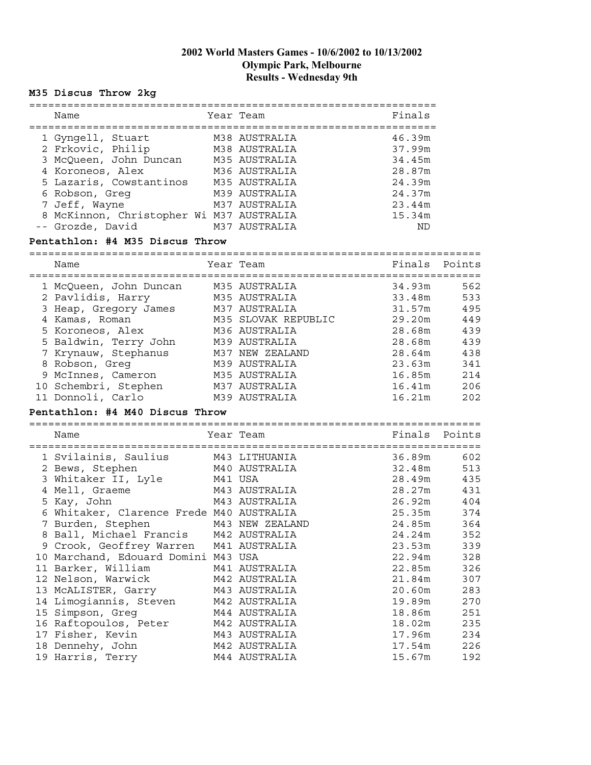# **M35 Discus Throw 2kg**

| Name                                     | Year Team                            | Finals           |            |
|------------------------------------------|--------------------------------------|------------------|------------|
| 1 Gyngell, Stuart M38 AUSTRALIA          |                                      | 46.39m           |            |
| 2 Frkovic, Philip                        | M38 AUSTRALIA                        | 37.99m           |            |
| 3 McQueen, John Duncan M35 AUSTRALIA     |                                      | 34.45m           |            |
| 4 Koroneos, Alex                         | M36 AUSTRALIA                        | 28.87m           |            |
| 5 Lazaris, Cowstantinos M35 AUSTRALIA    |                                      | 24.39m           |            |
| 6 Robson, Greg                           | M39 AUSTRALIA                        | 24.37m           |            |
| 7 Jeff, Wayne                            | M37 AUSTRALIA                        | 23.44m           |            |
| 8 McKinnon, Christopher Wi M37 AUSTRALIA |                                      | 15.34m           |            |
| -- Grozde, David                         | M37 AUSTRALIA                        | ND               |            |
| Pentathlon: #4 M35 Discus Throw          |                                      |                  |            |
|                                          |                                      |                  |            |
| Name                                     | Year Team                            | Finals           | Points     |
| 1 McQueen, John Duncan M35 AUSTRALIA     |                                      | 34.93m           | 562        |
| 2 Pavlidis, Harry                        | M35 AUSTRALIA                        | 33.48m           | 533        |
| 3 Heap, Gregory James M37 AUSTRALIA      |                                      | 31.57m           | 495        |
| 4 Kamas, Roman                           |                                      | 29.20m           | 449        |
| 5 Koroneos, Alex                         | M35 SLOVAK REPUBLIC<br>M36 AUSTRALIA | 28.68m           | 439        |
| 5 Baldwin, Terry John                    | M39 AUSTRALIA                        | 28.68m           | 439        |
| 7 Krynauw, Stephanus                     | M37 NEW ZEALAND                      | 28.64m           | 438        |
| 8 Robson, Greg                           | M39 AUSTRALIA                        | 23.63m           | 341        |
| 9 McInnes, Cameron                       | M35 AUSTRALIA                        | 16.85m           | 214        |
| 10 Schembri, Stephen                     | M37 AUSTRALIA                        | 16.41m           | 206        |
| 11 Donnoli, Carlo                        | M39 AUSTRALIA                        | 16.21m           | 202        |
| Pentathlon: #4 M40 Discus Throw          |                                      |                  |            |
|                                          |                                      |                  |            |
| Name                                     | Year Team                            | Finals Points    |            |
| 1 Svilainis, Saulius M43 LITHUANIA       |                                      | 36.89m           | 602        |
| 2 Bews, Stephen                          | M40 AUSTRALIA                        | 32.48m           | 513        |
| 3 Whitaker II, Lyle                      | M41 USA                              | 28.49m           | 435        |
| 4 Mell, Graeme                           | M43 AUSTRALIA                        | 28.27m           | 431        |
| 5 Kay, John                              | M43 AUSTRALIA                        | 26.92m           | 404        |
| 6 Whitaker, Clarence Frede M40 AUSTRALIA |                                      | 25.35m           | 374        |
|                                          |                                      | 24.85m           | 364        |
|                                          |                                      | 24.24m           | 352        |
| 9 Crook, Geoffrey Warren                 | M41 AUSTRALIA                        | 23.53m           | 339        |
| 10 Marchand, Edouard Domini M43 USA      |                                      | 22.94m           | 328        |
| 11 Barker, William                       | M41 AUSTRALIA                        | 22.85m           | 326        |
| 12 Nelson, Warwick                       | M42 AUSTRALIA                        | 21.84m           | 307        |
| 13 MCALISTER, Garry                      | M43 AUSTRALIA                        | 20.60m           | 283        |
| 14 Limogiannis, Steven                   |                                      |                  |            |
|                                          | M42 AUSTRALIA<br>M44 AUSTRALIA       | 19.89m           | 270        |
| 15 Simpson, Greg                         | M42 AUSTRALIA                        | 18.86m           | 251        |
| 16 Raftopoulos, Peter                    |                                      | 18.02m           | 235<br>234 |
| 17 Fisher, Kevin                         | M43 AUSTRALIA                        | 17.96m<br>17.54m |            |
| 18 Dennehy, John<br>19 Harris, Terry     | M42 AUSTRALIA                        |                  | 226        |
|                                          | M44 AUSTRALIA                        | 15.67m           | 192        |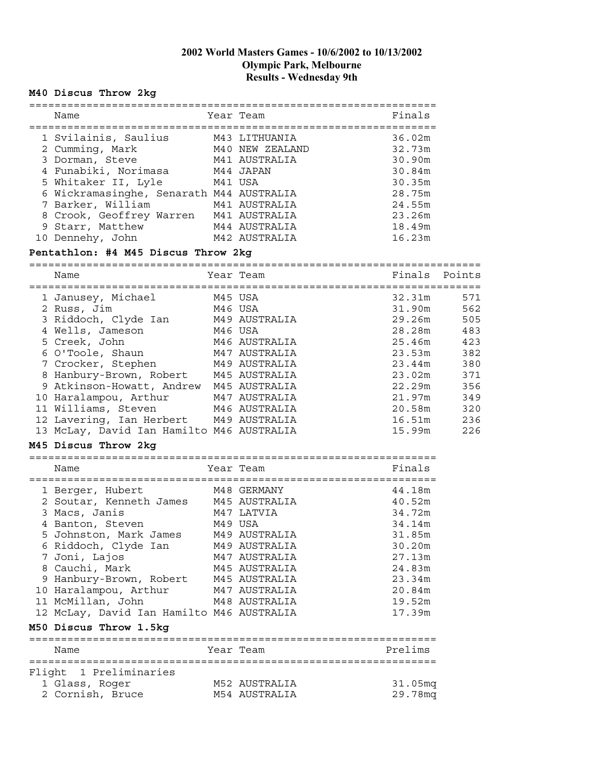#### **M40 Discus Throw 2kg**

| Name                                     |         | Year Team                        | Finals           |
|------------------------------------------|---------|----------------------------------|------------------|
| 1 Svilainis, Saulius<br>2 Cumming, Mark  |         | M43 LITHUANIA<br>M40 NEW ZEALAND | 36.02m<br>32.73m |
| 3 Dorman, Steve<br>4 Funabiki, Norimasa  |         | M41 AUSTRALIA<br>M44 JAPAN       | 30.90m<br>30.84m |
| 5 Whitaker II, Lyle                      | M41 USA |                                  | 30.35m           |
| 6 Wickramasinghe, Senarath M44 AUSTRALIA |         |                                  | 28.75m           |
| 7 Barker, William                        |         | M41 AUSTRALIA                    | 24.55m           |
| 8 Crook, Geoffrey Warren                 |         | M41 AUSTRALIA                    | 23.26m           |
| 9 Starr, Matthew                         |         | M44 AUSTRALIA                    | 18.49m           |
| 10 Dennehy, John                         |         | M42 AUSTRALIA                    | 16.23m           |

#### **Pentathlon: #4 M45 Discus Throw 2kg**

======================================================================= Name Tear Team Team Finals Points ======================================================================= 1 Janusey, Michael M45 USA 32.31m 571 2 Russ, Jim M46 USA 31.90m 562 3 Riddoch, Clyde Ian M49 AUSTRALIA 29.26m 505 4 Wells, Jameson M46 USA 28.28m 483 5 Creek, John M46 AUSTRALIA 25.46m 423 6 O'Toole, Shaun M47 AUSTRALIA 23.53m 382 7 Crocker, Stephen M49 AUSTRALIA 123.44m 380 8 Hanbury-Brown, Robert M45 AUSTRALIA 1988 13.02m 371 9 Atkinson-Howatt, Andrew M45 AUSTRALIA 1988 122.29m 356 10 Haralampou, Arthur M47 AUSTRALIA 21.97m 349 11 Williams, Steven M46 AUSTRALIA 20.58m 320 12 Lavering, Ian Herbert M49 AUSTRALIA 16.51m 236 13 McLay, David Ian Hamilto M46 AUSTRALIA 15.99m 226

#### **M45 Discus Throw 2kg**

================================================================ Name **The South Sear Team** Primals and Primals and Primals and Primals and Primals

| 1 Berger, Hubert                          |         | M48 GERMANY   | 44.18m  |
|-------------------------------------------|---------|---------------|---------|
| 2 Soutar, Kenneth James M45 AUSTRALIA     |         |               | 40.52m  |
| 3 Macs, Janis                             |         | M47 LATVIA    | 34.72m  |
| 4 Banton, Steven                          | M49 USA |               | 34.14m  |
| 5 Johnston, Mark James                    |         | M49 AUSTRALIA | 31.85m  |
| 6 Riddoch, Clyde Ian                      |         | M49 AUSTRALIA | 30.20m  |
| 7 Joni, Lajos                             |         | M47 AUSTRALIA | 27.13m  |
| 8 Cauchi, Mark                            |         | M45 AUSTRALIA | 24.83m  |
| 9 Hanbury-Brown, Robert                   |         | M45 AUSTRALIA | 23.34m  |
| 10 Haralampou, Arthur                     |         | M47 AUSTRALIA | 20.84m  |
| 11 McMillan, John                         |         | M48 AUSTRALIA | 19.52m  |
| 12 McLay, David Ian Hamilto M46 AUSTRALIA |         |               | 17.39m  |
| M50 Discus Throw 1.5kg                    |         |               |         |
| Name                                      |         | Year Team     | Prelims |
| Flight 1 Preliminaries                    |         |               |         |
| 1 Glass, Roger                            |         | M52 AUSTRALIA | 31.05mq |
| 2 Cornish, Bruce                          |         | M54 AUSTRALIA | 29.78mg |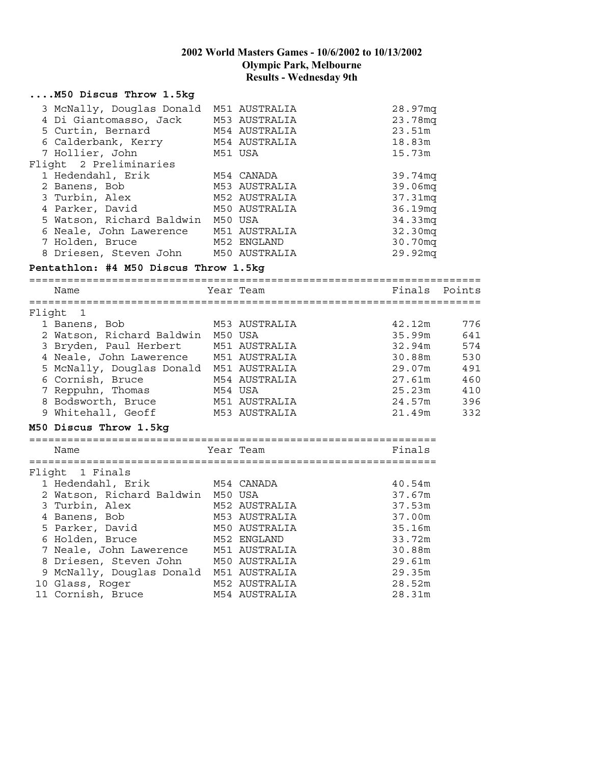|        | M50 Discus Throw 1.5kg                                                                                                                                                                                                                                                                                                                             |         |                                                                                                                                                                              |                                                                                                                                          |                                                             |
|--------|----------------------------------------------------------------------------------------------------------------------------------------------------------------------------------------------------------------------------------------------------------------------------------------------------------------------------------------------------|---------|------------------------------------------------------------------------------------------------------------------------------------------------------------------------------|------------------------------------------------------------------------------------------------------------------------------------------|-------------------------------------------------------------|
|        | 3 McNally, Douglas Donald<br>4 Di Giantomasso, Jack<br>5 Curtin, Bernard<br>6 Calderbank, Kerry<br>7 Hollier, John<br>Flight 2 Preliminaries<br>1 Hedendahl, Erik<br>2 Banens, Bob<br>3 Turbin, Alex<br>4 Parker, David<br>5 Watson, Richard Baldwin M50 USA<br>6 Neale, John Lawerence<br>7 Holden, Bruce<br>8 Driesen, Steven John M50 AUSTRALIA |         | M51 AUSTRALIA<br>M53 AUSTRALIA<br>M54 AUSTRALIA<br>M54 AUSTRALIA<br>M51 USA<br>M54 CANADA<br>M53 AUSTRALIA<br>M52 AUSTRALIA<br>M50 AUSTRALIA<br>M51 AUSTRALIA<br>M52 ENGLAND | 28.97mq<br>23.78mq<br>23.51m<br>18.83m<br>15.73m<br>39.74mq<br>39.06mq<br>37.31mq<br>36.19mq<br>34.33mq<br>32.30mq<br>30.70mq<br>29.92mq |                                                             |
|        | Pentathlon: #4 M50 Discus Throw 1.5kg                                                                                                                                                                                                                                                                                                              |         |                                                                                                                                                                              |                                                                                                                                          |                                                             |
|        | Name                                                                                                                                                                                                                                                                                                                                               |         | Year Team                                                                                                                                                                    | Finals                                                                                                                                   | Points                                                      |
| Flight | 1<br>1 Banens, Bob<br>2 Watson, Richard Baldwin M50 USA<br>3 Bryden, Paul Herbert<br>4 Neale, John Lawerence M51 AUSTRALIA<br>5 McNally, Douglas Donald M51 AUSTRALIA<br>6 Cornish, Bruce<br>7 Reppuhn, Thomas<br>8 Bodsworth, Bruce<br>9 Whitehall, Geoff<br>M50 Discus Throw 1.5kg                                                               | M54 USA | M53 AUSTRALIA<br>M51 AUSTRALIA<br>M54 AUSTRALIA<br>M51 AUSTRALIA<br>M53 AUSTRALIA                                                                                            | 42.12m<br>35.99m<br>32.94m<br>30.88m<br>29.07m<br>27.61m<br>25.23m<br>24.57m<br>21.49m                                                   | 776<br>641<br>574<br>530<br>491<br>460<br>410<br>396<br>332 |
|        | Name                                                                                                                                                                                                                                                                                                                                               |         | Year Team                                                                                                                                                                    | Finals                                                                                                                                   |                                                             |
|        | Flight 1 Finals<br>1 Hedendahl, Erik<br>2 Watson, Richard Baldwin M50 USA<br>3 Turbin, Alex<br>4 Banens, Bob<br>5 Parker, David<br>6 Holden, Bruce<br>7 Neale, John Lawerence<br>8 Driesen, Steven John<br>9 McNally, Douglas Donald<br>10 Glass, Roger                                                                                            |         | M54 CANADA<br>M52 AUSTRALIA<br>M53 AUSTRALIA<br>M50 AUSTRALIA<br>M52 ENGLAND<br>M51 AUSTRALIA<br>M50 AUSTRALIA<br>M51 AUSTRALIA<br>M52 AUSTRALIA                             | 40.54m<br>37.67m<br>37.53m<br>37.00m<br>35.16m<br>33.72m<br>30.88m<br>29.61m<br>29.35m<br>28.52m                                         |                                                             |
|        | 11 Cornish, Bruce                                                                                                                                                                                                                                                                                                                                  |         | M54 AUSTRALIA                                                                                                                                                                | 28.31m                                                                                                                                   |                                                             |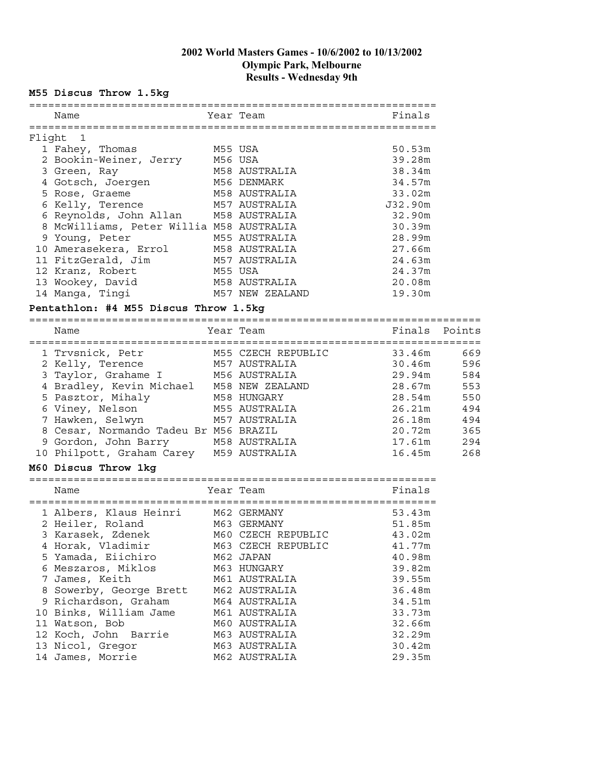#### **M55 Discus Throw 1.5kg**

|        | Name                                     |         | Year Team                           | Finals  |        |
|--------|------------------------------------------|---------|-------------------------------------|---------|--------|
| Flight | $\blacksquare$                           |         |                                     |         |        |
|        | 1 Fahey, Thomas                          | M55 USA |                                     | 50.53m  |        |
|        | 2 Bookin-Weiner, Jerry M56 USA           |         |                                     | 39.28m  |        |
|        | 3 Green, Ray                             |         | M58 AUSTRALIA                       | 38.34m  |        |
|        | 4 Gotsch, Joergen M56 DENMARK            |         |                                     | 34.57m  |        |
|        | 5 Rose, Graeme<br>M58 AUSTRALIA          |         |                                     | 33.02m  |        |
|        | 6 Kelly, Terence                         |         | M57 AUSTRALIA                       | J32.90m |        |
|        | 6 Reynolds, John Allan M58 AUSTRALIA     |         |                                     | 32.90m  |        |
|        | 8 McWilliams, Peter Willia M58 AUSTRALIA |         |                                     | 30.39m  |        |
|        | 9 Young, Peter                           |         | M55 AUSTRALIA                       | 28.99m  |        |
|        | 10 Amerasekera, Errol                    |         | M58 AUSTRALIA                       | 27.66m  |        |
|        | 11 FitzGerald, Jim                       |         | M57 AUSTRALIA                       | 24.63m  |        |
|        | 12 Kranz, Robert                         | M55 USA |                                     | 24.37m  |        |
|        | 13 Wookey, David                         |         | M58 AUSTRALIA                       | 20.08m  |        |
|        | 14 Manga, Tingi                          |         | M57 NEW ZEALAND                     | 19.30m  |        |
|        | Pentathlon: #4 M55 Discus Throw 1.5kg    |         |                                     |         |        |
|        | Name                                     |         | Year Team                           | Finals  | Points |
|        |                                          |         |                                     |         |        |
|        | 1 Trvsnick, Petr                         |         | M55 CZECH REPUBLIC<br>M57 AUSTRALIA | 33.46m  | 669    |
|        | 2 Kelly, Terence                         |         |                                     | 30.46m  | 596    |
|        | 3 Taylor, Grahame I                      |         | M56 AUSTRALIA                       | 29.94m  | 584    |
|        | 4 Bradley, Kevin Michael M58 NEW ZEALAND |         |                                     | 28.67m  | 553    |
|        | 5 Pasztor, Mihaly                        |         | M58 HUNGARY                         | 28.54m  | 550    |
|        | 6 Viney, Nelson                          |         | M55 AUSTRALIA                       | 26.21m  | 494    |
|        | 7 Hawken, Selwyn                         |         | M57 AUSTRALIA                       | 26.18m  | 494    |
|        | 8 Cesar, Normando Tadeu Br M56 BRAZIL    |         |                                     | 20.72m  | 365    |
|        | 9 Gordon, John Barry M58 AUSTRALIA       |         |                                     | 17.61m  | 294    |
|        | 10 Philpott, Graham Carey M59 AUSTRALIA  |         |                                     | 16.45m  | 268    |
|        | M60 Discus Throw 1kg                     |         |                                     |         |        |
|        | Name                                     |         | Year Team                           | Finals  |        |
|        | 1 Albers, Klaus Heinri M62 GERMANY       |         |                                     | 53.43m  |        |
|        | 2 Heiler, Roland<br>M63 GERMANY          |         |                                     | 51.85m  |        |
|        | 3 Karasek, Zdenek                        |         | M60 CZECH REPUBLIC                  | 43.02m  |        |
|        | 4 Horak, Vladimir                        |         | M63 CZECH REPUBLIC                  | 41.77m  |        |
|        | 5 Yamada, Eiichiro                       |         | M62 JAPAN                           | 40.98m  |        |
|        | 6 Meszaros, Miklos                       |         | M63 HUNGARY                         | 39.82m  |        |
|        | 7 James, Keith                           |         | M61 AUSTRALIA                       | 39.55m  |        |
|        | 8 Sowerby, George Brett                  |         | M62 AUSTRALIA                       | 36.48m  |        |
|        | 9 Richardson, Graham                     |         | M64 AUSTRALIA                       | 34.51m  |        |
|        | 10 Binks, William Jame                   |         | M61 AUSTRALIA                       | 33.73m  |        |
|        | 11 Watson, Bob                           |         | M60 AUSTRALIA                       | 32.66m  |        |

12 Koch, John Barrie M63 AUSTRALIA 32.29m 13 Nicol, Gregor 61 M63 AUSTRALIA 61 M63 30.42m 14 James, Morrie M62 AUSTRALIA 29.35m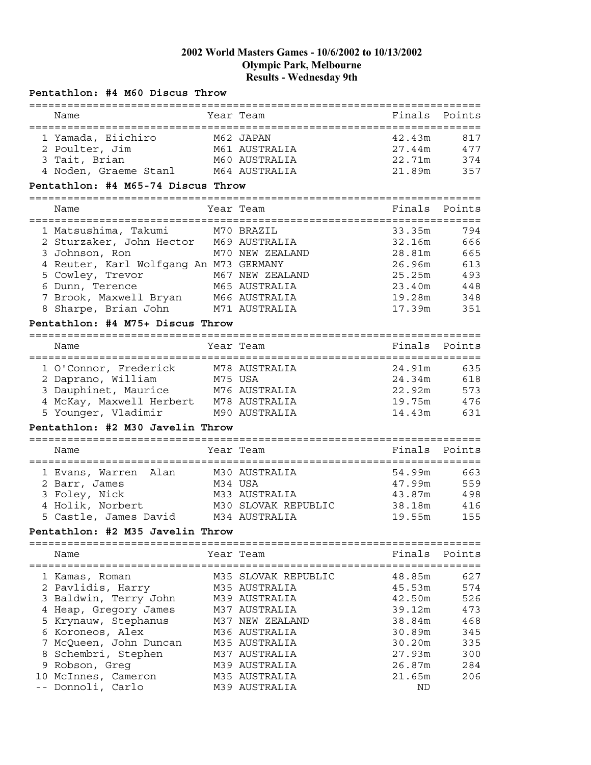| Pentathlon: #4 M60 Discus Throw          |         |                                               |        |        |
|------------------------------------------|---------|-----------------------------------------------|--------|--------|
| ================================<br>Name |         | --------------------------------<br>Year Team | Finals | Points |
| 1 Yamada, Eiichiro                       |         | M62 JAPAN                                     | 42.43m | 817    |
| 2 Poulter, Jim                           |         | M61 AUSTRALIA                                 | 27.44m | 477    |
| 3 Tait, Brian                            |         | M60 AUSTRALIA                                 | 22.71m | 374    |
| 4 Noden, Graeme Stanl M64 AUSTRALIA      |         |                                               | 21.89m | 357    |
| Pentathlon: #4 M65-74 Discus Throw       |         |                                               |        |        |
| Name                                     |         | Year Team                                     | Finals | Points |
|                                          |         |                                               |        |        |
| 1 Matsushima, Takumi                     |         | M70 BRAZIL                                    | 33.35m | 794    |
| 2 Sturzaker, John Hector M69 AUSTRALIA   |         |                                               | 32.16m | 666    |
| 3 Johnson, Ron                           |         | M70 NEW ZEALAND                               | 28.81m | 665    |
| 4 Reuter, Karl Wolfgang An M73 GERMANY   |         |                                               | 26.96m | 613    |
| 5 Cowley, Trevor                         |         | M67 NEW ZEALAND                               | 25.25m | 493    |
| 6 Dunn, Terence                          |         | M65 AUSTRALIA                                 | 23.40m | 448    |
| 7 Brook, Maxwell Bryan M66 AUSTRALIA     |         |                                               | 19.28m | 348    |
| 8 Sharpe, Brian John M71 AUSTRALIA       |         |                                               | 17.39m | 351    |
| Pentathlon: #4 M75+ Discus Throw         |         |                                               |        |        |
|                                          |         |                                               |        |        |
| Name                                     |         | Year Team                                     | Finals | Points |
| 1 O'Connor, Frederick                    |         | M78 AUSTRALIA                                 | 24.91m | 635    |
| 2 Daprano, William                       | M75 USA |                                               | 24.34m | 618    |
| 3 Dauphinet, Maurice M76 AUSTRALIA       |         |                                               | 22.92m | 573    |
| 4 McKay, Maxwell Herbert M78 AUSTRALIA   |         |                                               | 19.75m | 476    |
| 5 Younger, Vladimir                      |         | M90 AUSTRALIA                                 | 14.43m | 631    |
| Pentathlon: #2 M30 Javelin Throw         |         |                                               |        |        |
| Name                                     |         | Year Team                                     | Finals | Points |
|                                          |         |                                               |        |        |
| 1 Evans, Warren Alan                     |         | M30 AUSTRALIA                                 | 54.99m | 663    |
| 2 Barr, James                            | M34 USA |                                               | 47.99m | 559    |
| 3 Foley, Nick                            |         | M33 AUSTRALIA                                 | 43.87m | 498    |
| 4 Holik, Norbert                         |         | M30 SLOVAK REPUBLIC                           | 38.18m | 416    |
| 5 Castle, James David                    |         | M34 AUSTRALIA                                 | 19.55m | 155    |
| Pentathlon: #2 M35 Javelin Throw         |         |                                               |        |        |
|                                          |         |                                               |        |        |
| Name                                     |         | Year Team                                     | Finals | Points |
| 1 Kamas, Roman                           |         | M35 SLOVAK REPUBLIC                           | 48.85m | 627    |
| 2 Pavlidis, Harry                        |         | M35 AUSTRALIA                                 | 45.53m | 574    |
| 3 Baldwin, Terry John                    |         | M39 AUSTRALIA                                 | 42.50m | 526    |
| 4 Heap, Gregory James                    |         | M37 AUSTRALIA                                 | 39.12m | 473    |
| 5 Krynauw, Stephanus                     |         | M37 NEW ZEALAND                               | 38.84m | 468    |
| 6 Koroneos, Alex                         |         | M36 AUSTRALIA                                 | 30.89m | 345    |
| 7 McQueen, John Duncan                   |         | M35 AUSTRALIA                                 | 30.20m | 335    |
| 8 Schembri, Stephen                      |         | M37 AUSTRALIA                                 | 27.93m | 300    |
| 9 Robson, Greg                           |         | M39 AUSTRALIA                                 | 26.87m | 284    |
| 10 McInnes, Cameron                      |         | M35 AUSTRALIA                                 | 21.65m | 206    |
| -- Donnoli, Carlo                        |         | M39 AUSTRALIA                                 | ND     |        |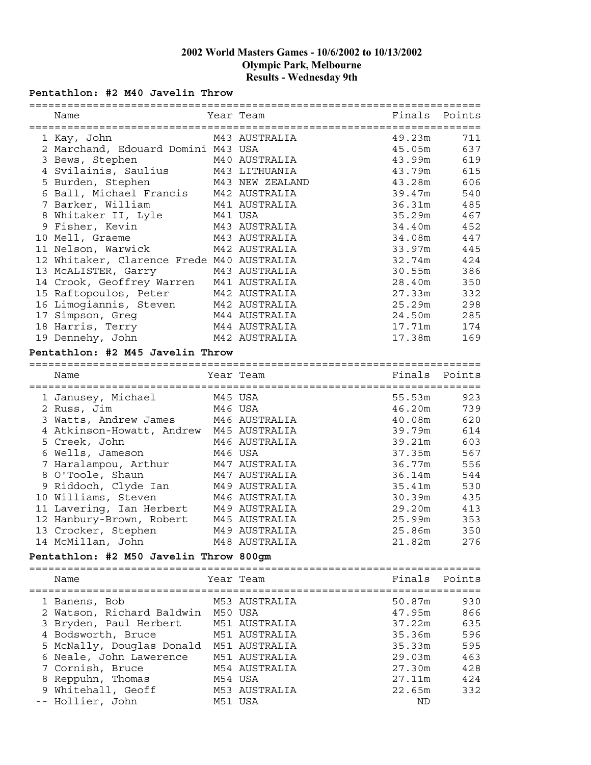#### **Pentathlon: #2 M40 Javelin Throw**

| Name                                      |         | Year Team       | Finals | Points |
|-------------------------------------------|---------|-----------------|--------|--------|
|                                           |         |                 |        |        |
| 1 Kay, John                               |         | M43 AUSTRALIA   | 49.23m | 711    |
| 2 Marchand, Edouard Domini M43 USA        |         |                 | 45.05m | 637    |
| 3 Bews, Stephen                           |         | M40 AUSTRALIA   | 43.99m | 619    |
| 4 Svilainis, Saulius                      |         | M43 LITHUANIA   | 43.79m | 615    |
| 5 Burden, Stephen                         |         | M43 NEW ZEALAND | 43.28m | 606    |
| 6 Ball, Michael Francis                   |         | M42 AUSTRALIA   | 39.47m | 540    |
| 7 Barker, William                         |         | M41 AUSTRALIA   | 36.31m | 485    |
| 8 Whitaker II, Lyle                       | M41 USA |                 | 35.29m | 467    |
| 9 Fisher, Kevin                           |         | M43 AUSTRALIA   | 34.40m | 452    |
| 10 Mell, Graeme                           |         | M43 AUSTRALIA   | 34.08m | 447    |
| 11 Nelson, Warwick                        |         | M42 AUSTRALIA   | 33.97m | 445    |
| 12 Whitaker, Clarence Frede M40 AUSTRALIA |         |                 | 32.74m | 424    |
|                                           |         |                 | 30.55m |        |
| 13 MCALISTER, Garry                       |         | M43 AUSTRALIA   |        | 386    |
| 14 Crook, Geoffrey Warren M41 AUSTRALIA   |         |                 | 28.40m | 350    |
| 15 Raftopoulos, Peter                     |         | M42 AUSTRALIA   | 27.33m | 332    |
| 16 Limogiannis, Steven                    |         | M42 AUSTRALIA   | 25.29m | 298    |
| 17 Simpson, Greg                          |         | M44 AUSTRALIA   | 24.50m | 285    |
| 18 Harris, Terry                          |         | M44 AUSTRALIA   | 17.71m | 174    |
| 19 Dennehy, John                          |         | M42 AUSTRALIA   | 17.38m | 169    |
| Pentathlon: #2 M45 Javelin Throw          |         |                 |        |        |
|                                           |         |                 |        |        |
|                                           |         |                 |        |        |
| Name                                      |         | Year Team       | Finals | Points |
|                                           |         |                 |        |        |
| 1 Janusey, Michael                        | M45 USA |                 | 55.53m | 923    |
| 2 Russ, Jim                               |         | M46 USA         | 46.20m | 739    |
| 3 Watts, Andrew James                     |         | M46 AUSTRALIA   | 40.08m | 620    |
| 4 Atkinson-Howatt, Andrew M45 AUSTRALIA   |         |                 | 39.79m | 614    |
| 5 Creek, John                             |         | M46 AUSTRALIA   | 39.21m | 603    |
| 6 Wells, Jameson                          |         | M46 USA         | 37.35m | 567    |
| 7 Haralampou, Arthur                      |         | M47 AUSTRALIA   | 36.77m | 556    |
| 8 O'Toole, Shaun                          |         | M47 AUSTRALIA   | 36.14m | 544    |
| 9 Riddoch, Clyde Ian M49 AUSTRALIA        |         |                 |        |        |
|                                           |         |                 | 35.41m | 530    |
| 10 Williams, Steven                       |         | M46 AUSTRALIA   | 30.39m | 435    |
| 11 Lavering, Ian Herbert                  |         | M49 AUSTRALIA   | 29.20m | 413    |
| 12 Hanbury-Brown, Robert                  |         | M45 AUSTRALIA   | 25.99m | 353    |
| 13 Crocker, Stephen                       |         | M49 AUSTRALIA   | 25.86m | 350    |
| 14 McMillan, John                         |         | M48 AUSTRALIA   | 21.82m | 276    |
| Pentathlon: #2 M50 Javelin Throw 800gm    |         |                 |        |        |
|                                           |         |                 |        |        |
| Name                                      |         | Year Team       | Finals | Points |
|                                           |         |                 |        |        |
| 1 Banens, Bob                             |         | M53 AUSTRALIA   | 50.87m | 930    |
| 2 Watson, Richard Baldwin                 | M50 USA |                 |        | 866    |
|                                           |         |                 | 47.95m |        |
| 3 Bryden, Paul Herbert                    |         | M51 AUSTRALIA   | 37.22m | 635    |
| 4 Bodsworth, Bruce                        |         | M51 AUSTRALIA   | 35.36m | 596    |
| 5 McNally, Douglas Donald                 |         | M51 AUSTRALIA   | 35.33m | 595    |
| 6 Neale, John Lawerence                   |         | M51 AUSTRALIA   | 29.03m | 463    |
| 7 Cornish, Bruce                          |         | M54 AUSTRALIA   | 27.30m | 428    |
| 8 Reppuhn, Thomas                         |         | M54 USA         | 27.11m | 424    |
| 9 Whitehall, Geoff                        |         | M53 AUSTRALIA   | 22.65m | 332    |
| -- Hollier, John                          |         | M51 USA         | ND     |        |
|                                           |         |                 |        |        |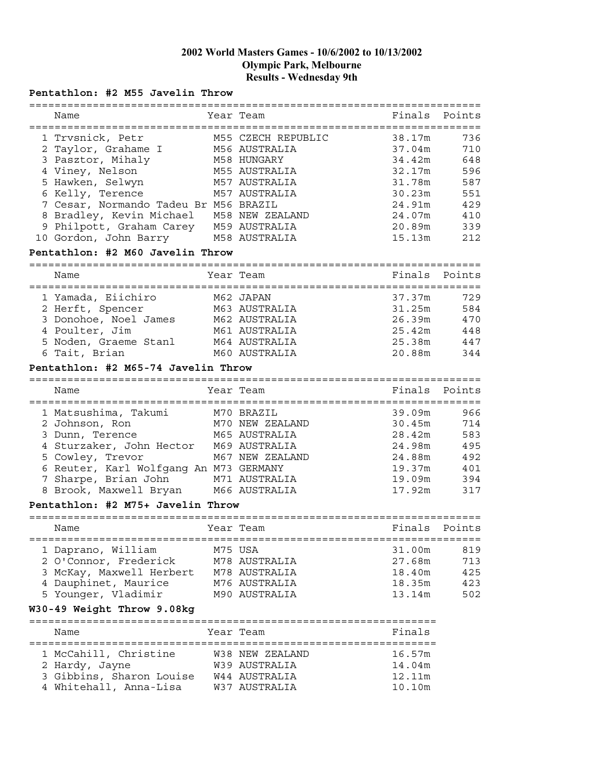### **Pentathlon: #2 M55 Javelin Throw**

|                                        |                                   | ======================== |        |
|----------------------------------------|-----------------------------------|--------------------------|--------|
| Name                                   | Year Team                         | Finals                   | Points |
| ====================================== | ================================= |                          |        |
| 1 Trvsnick, Petr                       | M55 CZECH REPUBLIC                | 38.17m                   | 736    |
| 2 Taylor, Grahame I                    | M56 AUSTRALIA                     | 37.04m                   | 710    |
| 3 Pasztor, Mihaly                      | M58 HUNGARY                       | 34.42m                   | 648    |
| 4 Viney, Nelson                        | M55 AUSTRALIA                     | 32.17m                   | 596    |
|                                        |                                   |                          |        |
| 5 Hawken, Selwyn                       | M57 AUSTRALIA                     | 31.78m                   | 587    |
| 6 Kelly, Terence                       | M57 AUSTRALIA                     | 30.23m                   | 551    |
| 7 Cesar, Normando Tadeu Br M56 BRAZIL  |                                   | 24.91m                   | 429    |
| 8 Bradley, Kevin Michael               | M58 NEW ZEALAND                   | 24.07m                   | 410    |
| 9 Philpott, Graham Carey M59 AUSTRALIA |                                   | 20.89m                   | 339    |
| 10 Gordon, John Barry                  | M58 AUSTRALIA                     | 15.13m                   | 212    |
| Pentathlon: #2 M60 Javelin Throw       |                                   |                          |        |
|                                        |                                   |                          |        |
| Name                                   | Year Team                         | Finals                   | Points |
| .========================              |                                   |                          |        |
| 1 Yamada, Eiichiro                     | M62 JAPAN                         | 37.37m                   | 729    |
| 2 Herft, Spencer                       | M63 AUSTRALIA                     | 31.25m                   | 584    |
| 3 Donohoe, Noel James                  | M62 AUSTRALIA                     | 26.39m                   | 470    |
| 4 Poulter, Jim                         | M61 AUSTRALIA                     | 25.42m                   | 448    |
| 5 Noden, Graeme Stanl M64 AUSTRALIA    |                                   | 25.38m                   | 447    |
| 6 Tait, Brian                          | M60 AUSTRALIA                     | 20.88m                   | 344    |
|                                        |                                   |                          |        |
| Pentathlon: #2 M65-74 Javelin Throw    |                                   |                          |        |
|                                        |                                   |                          |        |
| Name                                   | Year Team                         | Finals                   | Points |
| 1 Matsushima, Takumi                   | M70 BRAZIL                        | 39.09m                   | 966    |
|                                        | M70 NEW ZEALAND                   | 30.45m                   | 714    |
| 2 Johnson, Ron                         |                                   |                          |        |
| 3 Dunn, Terence                        | M65 AUSTRALIA                     | 28.42m                   | 583    |
| 4 Sturzaker, John Hector M69 AUSTRALIA |                                   | 24.98m                   | 495    |
| 5 Cowley, Trevor                       | M67 NEW ZEALAND                   | 24.88m                   | 492    |
| 6 Reuter, Karl Wolfgang An M73 GERMANY |                                   | 19.37m                   | 401    |
| Sharpe, Brian John                     | M71 AUSTRALIA                     | 19.09m                   | 394    |
| 8 Brook, Maxwell Bryan M66 AUSTRALIA   |                                   | 17.92m                   | 317    |
| Pentathlon: #2 M75+ Javelin Throw      |                                   |                          |        |
|                                        |                                   |                          |        |
| Name                                   | Year Team                         | Finals                   | Points |
|                                        |                                   |                          |        |
| 1 Daprano, William                     | M75 USA                           | 31.00m                   | 819    |
| 2 O'Connor, Frederick                  | M78 AUSTRALIA                     | 27.68m                   | 713    |
| 3 McKay, Maxwell Herbert M78 AUSTRALIA |                                   | 18.40m                   | 425    |
| 4 Dauphinet, Maurice                   | M76 AUSTRALIA                     | 18.35m                   | 423    |
| 5 Younger, Vladimir                    | M90 AUSTRALIA                     | 13.14m                   | 502    |
| W30-49 Weight Throw 9.08kg             |                                   |                          |        |
|                                        |                                   |                          |        |
| Name                                   | Year Team                         | Finals                   |        |
|                                        |                                   |                          |        |
| 1 McCahill, Christine                  | W38 NEW ZEALAND                   | 16.57m                   |        |
| 2 Hardy, Jayne                         | W39 AUSTRALIA                     | 14.04m                   |        |
| 3 Gibbins, Sharon Louise W44 AUSTRALIA |                                   | 12.11m                   |        |
| 4 Whitehall, Anna-Lisa                 | W37 AUSTRALIA                     | 10.10m                   |        |
|                                        |                                   |                          |        |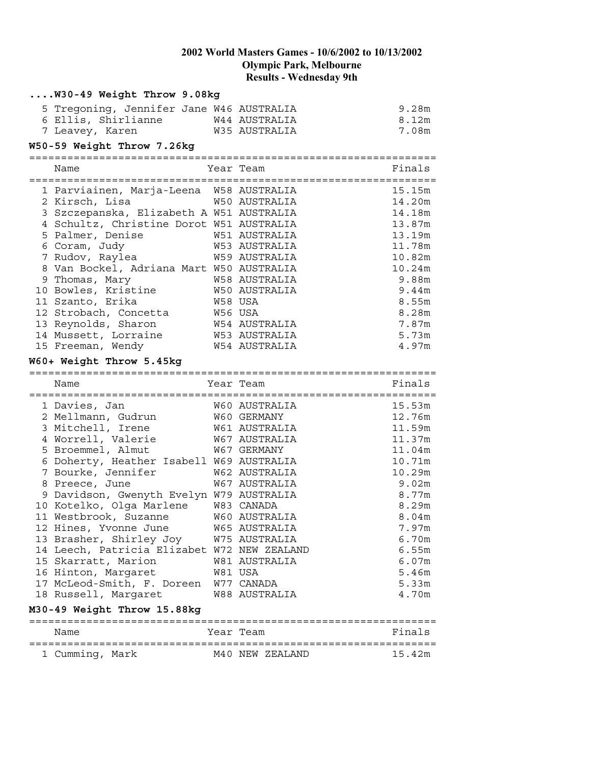| W30-49 Weight Throw 9.08kg                                                                    |         |                                |                  |
|-----------------------------------------------------------------------------------------------|---------|--------------------------------|------------------|
| 5 Tregoning, Jennifer Jane W46 AUSTRALIA                                                      |         |                                | 9.28m            |
| 6 Ellis, Shirlianne                                                                           |         | W44 AUSTRALIA                  | 8.12m            |
| 7 Leavey, Karen                                                                               |         | W35 AUSTRALIA                  | 7.08m            |
| W50-59 Weight Throw 7.26kg                                                                    |         |                                |                  |
|                                                                                               |         |                                |                  |
| Name                                                                                          |         | Year Team                      | Finals           |
|                                                                                               |         |                                |                  |
| 1 Parviainen, Marja-Leena W58 AUSTRALIA                                                       |         |                                | 15.15m           |
| 2 Kirsch, Lisa                                                                                |         | W50 AUSTRALIA                  | 14.20m           |
| 3 Szczepanska, Elizabeth A W51 AUSTRALIA                                                      |         |                                | 14.18m           |
| 4 Schultz, Christine Dorot W51 AUSTRALIA                                                      |         |                                | 13.87m           |
| 5 Palmer, Denise                                                                              |         | W51 AUSTRALIA<br>W53 AUSTRALIA | 13.19m           |
| 6 Coram, Judy                                                                                 |         | W59 AUSTRALIA                  | 11.78m           |
| 7 Rudov, Raylea                                                                               |         |                                | 10.82m<br>10.24m |
| 8 Van Bockel, Adriana Mart W50 AUSTRALIA<br>9 Thomas, Mary                                    |         | W58 AUSTRALIA                  | 9.88m            |
| 10 Bowles, Kristine                                                                           |         | W50 AUSTRALIA                  | 9.44m            |
| 11 Szanto, Erika                                                                              | W58 USA |                                | 8.55m            |
| 11 Szanco, Internet<br>12 Strobach, Concetta – M56 USA<br>13 Revnolds. Sharon – M54 AUSTRALIA |         |                                | 8.28m            |
|                                                                                               |         |                                | 7.87m            |
| 14 Mussett, Lorraine                                                                          |         | W53 AUSTRALIA                  | 5.73m            |
| 15 Freeman, Wendy                                                                             |         | W54 AUSTRALIA                  | 4.97m            |
|                                                                                               |         |                                |                  |
| W60+ Weight Throw 5.45kg                                                                      |         |                                |                  |
|                                                                                               |         |                                |                  |
| Name                                                                                          |         | Year Team                      | Finals           |
|                                                                                               |         |                                |                  |
| 1 Davies, Jan                                                                                 |         | W60 AUSTRALIA                  | 15.53m           |
| 2 Mellmann, Gudrun                                                                            |         | W60 GERMANY                    | 12.76m           |
| 3 Mitchell, Irene                                                                             |         | W61 AUSTRALIA                  | 11.59m           |
| 4 Worrell, Valerie                                                                            |         | W67 AUSTRALIA                  | 11.37m           |
| 5 Broemmel, Almut                                                                             |         | W67 GERMANY                    | 11.04m           |
| 6 Doherty, Heather Isabell W69 AUSTRALIA                                                      |         |                                | 10.71m           |
| 7 Bourke, Jennifer                                                                            |         | W62 AUSTRALIA                  | 10.29m           |
| 8 Preece, June                                                                                |         | W67 AUSTRALIA                  | 9.02m            |
| 9 Davidson, Gwenyth Evelyn W79 AUSTRALIA                                                      |         |                                | 8.77m            |
| 10 Kotelko, Olga Marlene W83 CANADA                                                           |         |                                | 8.29m            |
| 11 Westbrook, Suzanne                                                                         |         | W60 AUSTRALIA                  | 8.04m            |
| 12 Hines, Yvonne June                                                                         |         | W65 AUSTRALIA                  | 7.97m            |
| 13 Brasher, Shirley Joy                                                                       |         | W75 AUSTRALIA                  | 6.70m            |
| 14 Leech, Patricia Elizabet W72 NEW ZEALAND                                                   |         |                                | 6.55m            |
| 15 Skarratt, Marion                                                                           |         | W81 AUSTRALIA                  | 6.07m            |
| 16 Hinton, Margaret                                                                           |         | W81 USA                        | 5.46m            |
| 17 McLeod-Smith, F. Doreen                                                                    |         | W77 CANADA                     | 5.33m            |
| 18 Russell, Margaret                                                                          |         | W88 AUSTRALIA                  | 4.70m            |
| M30-49 Weight Throw 15.88kg                                                                   |         |                                |                  |
| Name                                                                                          |         | Year Team                      | Finals           |
| 1 Cumming, Mark                                                                               |         | M40 NEW ZEALAND                | 15.42m           |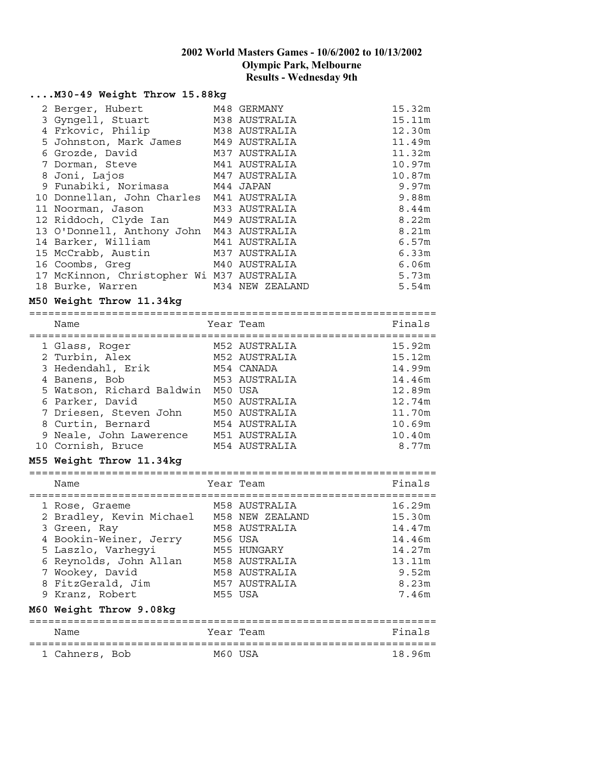#### **....M30-49 Weight Throw 15.88kg**

| 2 Berger, Hubert                          | M48 GERMANY     | 15.32m |
|-------------------------------------------|-----------------|--------|
| 3 Gyngell, Stuart                         | M38 AUSTRALIA   | 15.11m |
| 4 Frkovic, Philip                         | M38 AUSTRALIA   | 12.30m |
| 5 Johnston, Mark James M49 AUSTRALIA      |                 | 11.49m |
| 6 Grozde, David                           | M37 AUSTRALIA   | 11.32m |
| 7 Dorman, Steve                           | M41 AUSTRALIA   | 10.97m |
| 8 Joni, Lajos                             | M47 AUSTRALIA   | 10.87m |
| 9 Funabiki, Norimasa M44 JAPAN            |                 | 9.97m  |
| 10 Donnellan, John Charles M41 AUSTRALIA  |                 | 9.88m  |
| 11 Noorman, Jason                         | M33 AUSTRALIA   | 8.44m  |
| 12 Riddoch, Clyde Ian M49 AUSTRALIA       |                 | 8.22m  |
| 13 O'Donnell, Anthony John M43 AUSTRALIA  |                 | 8.21m  |
| 14 Barker, William                        | M41 AUSTRALIA   | 6.57m  |
| 15 McCrabb, Austin M37 AUSTRALIA          |                 | 6.33m  |
| 16 Coombs, Greq<br>M40 AUSTRALIA          |                 | 6.06m  |
| 17 McKinnon, Christopher Wi M37 AUSTRALIA |                 | 5.73m  |
| 18 Burke, Warren                          | M34 NEW ZEALAND | 5.54m  |

#### **M50 Weight Throw 11.34kg**

| Name                      |         | Year Team     | Finals |
|---------------------------|---------|---------------|--------|
| 1 Glass, Roger            |         | M52 AUSTRALIA | 15.92m |
| 2 Turbin, Alex            |         | M52 AUSTRALIA | 15.12m |
| 3 Hedendahl, Erik         |         | M54 CANADA    | 14.99m |
| 4 Banens, Bob             |         | M53 AUSTRALIA | 14.46m |
| 5 Watson, Richard Baldwin | M50 USA |               | 12.89m |
| 6 Parker, David           |         | M50 AUSTRALIA | 12.74m |
| 7 Driesen, Steven John    |         | M50 AUSTRALIA | 11.70m |
| 8 Curtin, Bernard         |         | M54 AUSTRALIA | 10.69m |
| 9 Neale, John Lawerence   |         | M51 AUSTRALIA | 10.40m |
| 10 Cornish, Bruce         |         | M54 AUSTRALIA | 8.77m  |

#### **M55 Weight Throw 11.34kg**

================================================================ Name Year Team

| 1 Rose, Graeme           | M58 AUSTRALIA   | 16.29m |
|--------------------------|-----------------|--------|
| 2 Bradley, Kevin Michael | M58 NEW ZEALAND | 15.30m |
| 3 Green, Ray             | M58 AUSTRALIA   | 14.47m |
| 4 Bookin-Weiner, Jerry   | M56 USA         | 14.46m |
| 5 Laszlo, Varheqyi       | M55 HUNGARY     | 14.27m |
| 6 Reynolds, John Allan   | M58 AUSTRALIA   | 13.11m |
| 7 Wookey, David          | M58 AUSTRALIA   | 9.52m  |
| 8 FitzGerald, Jim        | M57 AUSTRALIA   | 8.23m  |
| 9 Kranz, Robert          | M55 USA         | 7.46m  |
| M60 Weight Throw 9.08kg  |                 |        |

| Name           |  | Year Team | Finals |
|----------------|--|-----------|--------|
| 1 Cahners, Bob |  | M60 USA   | 18.96m |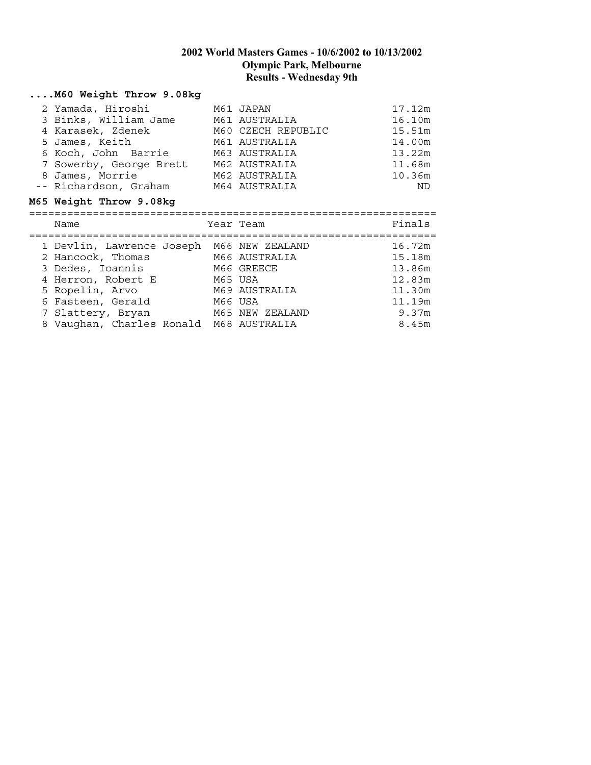# **....M60 Weight Throw 9.08kg**

| 2 Yamada, Hiroshi                              | M61 JAPAN          | 17.12m |
|------------------------------------------------|--------------------|--------|
| 3 Binks, William Jame                          | M61 AUSTRALIA      | 16.10m |
| 4 Karasek, Zdenek                              | M60 CZECH REPUBLIC | 15.51m |
| 5 James, Keith                                 | M61 AUSTRALIA      | 14.00m |
| 6 Koch, John Barrie                            | M63 AUSTRALIA      | 13.22m |
| 7 Sowerby, George Brett                        | M62 AUSTRALIA      | 11.68m |
| 8 James, Morrie                                | M62 AUSTRALIA      | 10.36m |
| -- Richardson, Graham                          | M64 AUSTRALIA      | ND.    |
| M65 Weight Throw 9.08kg                        |                    |        |
|                                                |                    |        |
|                                                |                    |        |
| Name                                           | Year Team          | Finals |
|                                                | M66 NEW ZEALAND    | 16.72m |
| 1 Devlin, Lawrence Joseph<br>2 Hancock, Thomas | M66 AUSTRALIA      | 15.18m |
| 3 Dedes, Ioannis                               | M66 GREECE         | 13.86m |
| 4 Herron, Robert E                             | M65 USA            | 12.83m |
| 5 Ropelin, Arvo                                | M69 AUSTRALIA      | 11.30m |
| 6 Fasteen, Gerald                              | M66 USA            | 11.19m |
| 7 Slattery, Bryan                              | M65 NEW ZEALAND    | 9.37m  |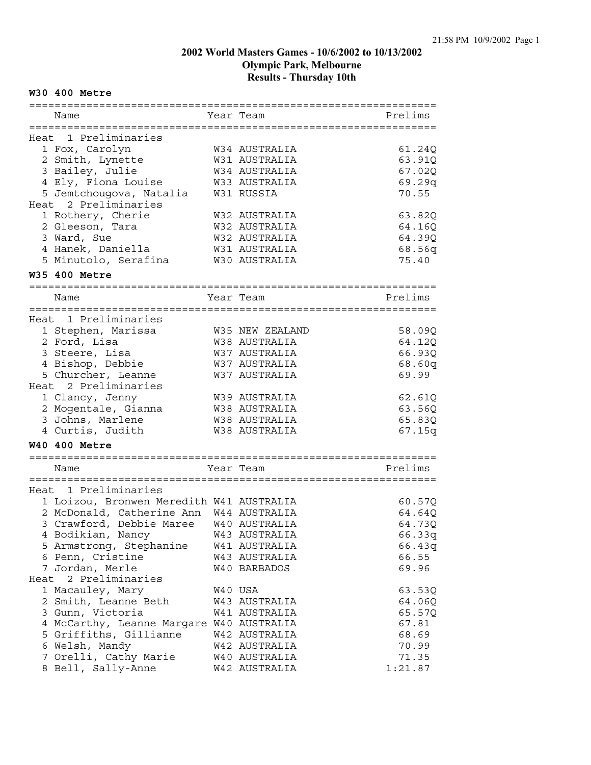#### **W30 400 Metre**

| Name                                     | Year Team                     | Prelims |
|------------------------------------------|-------------------------------|---------|
|                                          |                               |         |
| Heat 1 Preliminaries                     |                               |         |
| 1 Fox, Carolyn                           | W34 AUSTRALIA                 | 61.24Q  |
| 2 Smith, Lynette                         | W31 AUSTRALIA                 | 63.91Q  |
| 3 Bailey, Julie                          | W34 AUSTRALIA                 | 67.02Q  |
| 4 Ely, Fiona Louise                      | W33 AUSTRALIA                 | 69.29q  |
| 5 Jemtchougova, Natalia                  | W31 RUSSIA                    | 70.55   |
| Heat 2 Preliminaries                     |                               |         |
| 1 Rothery, Cherie                        | W32 AUSTRALIA                 | 63.82Q  |
| 2 Gleeson, Tara                          | W32 AUSTRALIA                 | 64.16Q  |
| 3 Ward, Sue                              | W32 AUSTRALIA                 | 64.39Q  |
| 4 Hanek, Daniella                        | W31 AUSTRALIA                 | 68.56q  |
| 5 Minutolo, Serafina                     | W30 AUSTRALIA                 | 75.40   |
| <b>W35 400 Metre</b>                     |                               |         |
| :=========================               | ============================= |         |
| Name                                     | Year Team                     | Prelims |
| Heat 1 Preliminaries                     |                               |         |
| 1 Stephen, Marissa                       | W35 NEW ZEALAND               | 58.09Q  |
| 2 Ford, Lisa                             | W38 AUSTRALIA                 | 64.12Q  |
| 3 Steere, Lisa                           | W37 AUSTRALIA                 | 66.93Q  |
| 4 Bishop, Debbie                         | W37 AUSTRALIA                 | 68.60q  |
| 5 Churcher, Leanne                       | W37 AUSTRALIA                 | 69.99   |
| Heat 2 Preliminaries                     |                               |         |
| 1 Clancy, Jenny                          | W39 AUSTRALIA                 | 62.61Q  |
| 2 Mogentale, Gianna                      | W38 AUSTRALIA                 | 63.56Q  |
| 3 Johns, Marlene                         | W38 AUSTRALIA                 | 65.83Q  |
| 4 Curtis, Judith                         | W38 AUSTRALIA                 | 67.15q  |
| <b>W40 400 Metre</b>                     |                               |         |
|                                          |                               |         |
| Name                                     | Year Team                     | Prelims |
|                                          |                               |         |
| Heat 1 Preliminaries                     |                               |         |
| 1 Loizou, Bronwen Meredith W41 AUSTRALIA |                               | 60.57Q  |
| 2 McDonald, Catherine Ann W44 AUSTRALIA  |                               | 64.64Q  |
| 3 Crawford, Debbie Maree W40 AUSTRALIA   |                               | 64.73Q  |
| 4 Bodikian, Nancy                        | W43 AUSTRALIA                 | 66.33q  |
| 5 Armstrong, Stephanine                  | W41 AUSTRALIA                 | 66.43q  |
| 6 Penn, Cristine                         | W43 AUSTRALIA                 | 66.55   |
| 7 Jordan, Merle                          | W40 BARBADOS                  | 69.96   |
| Heat 2 Preliminaries                     |                               |         |
| 1 Macauley, Mary                         | W40 USA                       | 63.53Q  |
| 2 Smith, Leanne Beth                     | W43 AUSTRALIA                 | 64.06Q  |
| 3 Gunn, Victoria                         | W41 AUSTRALIA                 | 65.57Q  |
| 4 McCarthy, Leanne Margare W40 AUSTRALIA |                               | 67.81   |
| 5 Griffiths, Gillianne                   | W42 AUSTRALIA                 | 68.69   |
| 6 Welsh, Mandy                           | W42 AUSTRALIA                 | 70.99   |
| 7 Orelli, Cathy Marie                    | <b>W40 AUSTRALIA</b>          | 71.35   |
| 8 Bell, Sally-Anne                       | W42 AUSTRALIA                 | 1:21.87 |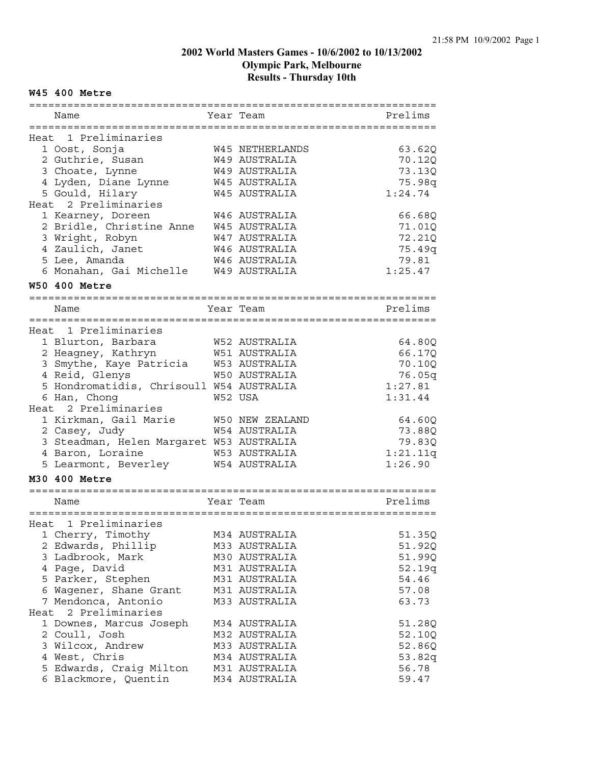#### **W45 400 Metre**

| :===========================             |  |                        |          |  |  |
|------------------------------------------|--|------------------------|----------|--|--|
| Name                                     |  | Year Team              | Prelims  |  |  |
| Heat 1 Preliminaries                     |  |                        |          |  |  |
| 1 Oost, Sonja                            |  | <b>W45 NETHERLANDS</b> | 63.62Q   |  |  |
| 2 Guthrie, Susan                         |  | W49 AUSTRALIA          | 70.12Q   |  |  |
| 3 Choate, Lynne                          |  | W49 AUSTRALIA          | 73.13Q   |  |  |
| 4 Lyden, Diane Lynne                     |  | W45 AUSTRALIA          | 75.98q   |  |  |
|                                          |  | W45 AUSTRALIA          | 1:24.74  |  |  |
| 5 Gould, Hilary<br>Heat 2 Preliminaries  |  |                        |          |  |  |
|                                          |  | W46 AUSTRALIA          |          |  |  |
| 1 Kearney, Doreen                        |  |                        | 66.68Q   |  |  |
| 2 Bridle, Christine Anne                 |  | W45 AUSTRALIA          | 71.01Q   |  |  |
| 3 Wright, Robyn                          |  | W47 AUSTRALIA          | 72.21Q   |  |  |
| 4 Zaulich, Janet                         |  | W46 AUSTRALIA          | 75.49q   |  |  |
| 5 Lee, Amanda                            |  | W46 AUSTRALIA          | 79.81    |  |  |
| 6 Monahan, Gai Michelle                  |  | W49 AUSTRALIA          | 1:25.47  |  |  |
| <b>W50 400 Metre</b>                     |  |                        |          |  |  |
| Name                                     |  | Year Team              | Prelims  |  |  |
|                                          |  |                        |          |  |  |
| Heat 1 Preliminaries                     |  |                        |          |  |  |
| 1 Blurton, Barbara                       |  | W52 AUSTRALIA          | 64.80Q   |  |  |
| 2 Heagney, Kathryn                       |  | W51 AUSTRALIA          | 66.17Q   |  |  |
| 3 Smythe, Kaye Patricia                  |  | W53 AUSTRALIA          | 70.10Q   |  |  |
| 4 Reid, Glenys                           |  | <b>W50 AUSTRALIA</b>   | 76.05q   |  |  |
| 5 Hondromatidis, Chrisoull W54 AUSTRALIA |  |                        | 1:27.81  |  |  |
|                                          |  | W52 USA                |          |  |  |
| 6 Han, Chong<br>Heat 2 Preliminaries     |  |                        | 1:31.44  |  |  |
| 1 Kirkman, Gail Marie                    |  |                        |          |  |  |
|                                          |  | W50 NEW ZEALAND        | 64.60Q   |  |  |
| 2 Casey, Judy                            |  | W54 AUSTRALIA          | 73.88Q   |  |  |
| 3 Steadman, Helen Margaret W53 AUSTRALIA |  |                        | 79.83Q   |  |  |
| 4 Baron, Loraine                         |  | W53 AUSTRALIA          | 1:21.11q |  |  |
| 5 Learmont, Beverley                     |  | W54 AUSTRALIA          | 1:26.90  |  |  |
| M30 400 Metre                            |  |                        |          |  |  |
| Name                                     |  | Year Team              | Prelims  |  |  |
|                                          |  |                        |          |  |  |
| Heat 1 Preliminaries                     |  |                        |          |  |  |
| 1 Cherry, Timothy                        |  | M34 AUSTRALIA          | 51.35Q   |  |  |
| 2 Edwards, Phillip                       |  | M33 AUSTRALIA          | 51.92Q   |  |  |
| 3 Ladbrook, Mark                         |  | M30 AUSTRALIA          | 51.99Q   |  |  |
| 4 Page, David                            |  | M31 AUSTRALIA          | 52.19q   |  |  |
| 5 Parker, Stephen                        |  | M31 AUSTRALIA          | 54.46    |  |  |
| 6 Wagener, Shane Grant                   |  | M31 AUSTRALIA          | 57.08    |  |  |
| 7 Mendonca, Antonio                      |  | M33 AUSTRALIA          | 63.73    |  |  |
| 2 Preliminaries<br>Heat                  |  |                        |          |  |  |
| 1 Downes, Marcus Joseph                  |  | M34 AUSTRALIA          | 51.28Q   |  |  |
| 2 Coull, Josh                            |  | M32 AUSTRALIA          | 52.10Q   |  |  |
| 3 Wilcox, Andrew                         |  | M33 AUSTRALIA          | 52.86Q   |  |  |
| 4 West, Chris                            |  | M34 AUSTRALIA          | 53.82q   |  |  |
| 5 Edwards, Craig Milton                  |  | M31 AUSTRALIA          | 56.78    |  |  |
|                                          |  | M34 AUSTRALIA          |          |  |  |
| 6 Blackmore, Quentin                     |  |                        | 59.47    |  |  |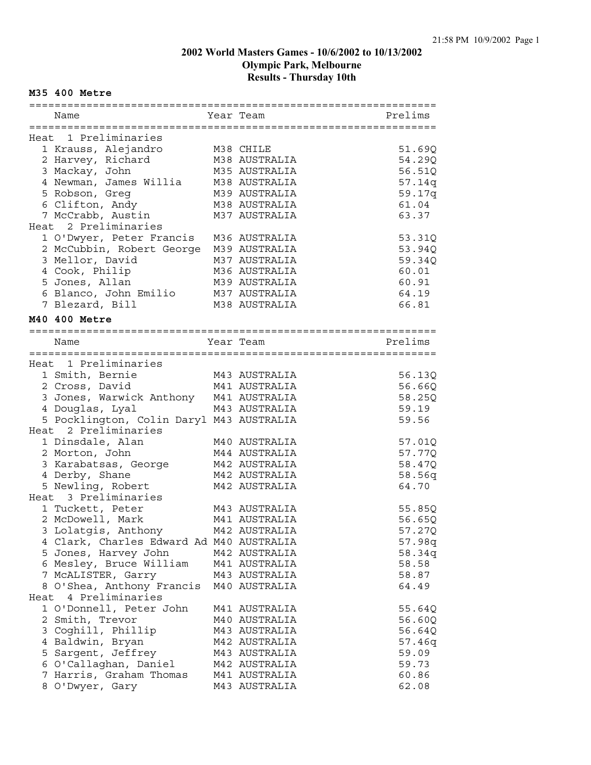#### **M35 400 Metre**

| Name                                                            | Year Team                      | Prelims          |
|-----------------------------------------------------------------|--------------------------------|------------------|
| Heat 1 Preliminaries                                            |                                |                  |
| 1 Krauss, Alejandro                                             | M38 CHILE                      | 51.69Q           |
| 2 Harvey, Richard                                               | M38 AUSTRALIA                  | 54.29Q           |
| 3 Mackay, John                                                  | M35 AUSTRALIA                  | 56.51Q           |
| 4 Newman, James Willia                                          | M38 AUSTRALIA                  | 57.14q           |
| 5 Robson, Greg                                                  | M39 AUSTRALIA                  | 59.17q           |
| 6 Clifton, Andy                                                 | M38 AUSTRALIA                  | 61.04            |
| 7 McCrabb, Austin                                               | M37 AUSTRALIA                  | 63.37            |
| Heat 2 Preliminaries                                            |                                |                  |
| 1 O'Dwyer, Peter Francis                                        | M36 AUSTRALIA                  | 53.31Q           |
| 2 McCubbin, Robert George                                       | M39 AUSTRALIA                  | 53.94Q           |
| 3 Mellor, David                                                 | M37 AUSTRALIA                  | 59.34Q           |
| 4 Cook, Philip                                                  | M36 AUSTRALIA                  | 60.01            |
| 5 Jones, Allan                                                  | M39 AUSTRALIA                  | 60.91            |
| 6 Blanco, John Emilio                                           | M37 AUSTRALIA                  | 64.19            |
| 7 Blezard, Bill                                                 | M38 AUSTRALIA                  | 66.81            |
|                                                                 |                                |                  |
| M40 400 Metre                                                   |                                |                  |
|                                                                 |                                |                  |
| Name                                                            | Year Team                      | Prelims          |
|                                                                 |                                |                  |
| Heat 1 Preliminaries                                            |                                |                  |
| 1 Smith, Bernie                                                 | M43 AUSTRALIA                  | 56.13Q           |
| M41 AUSTRALIA<br>2 Cross, David                                 |                                | 56.66Q           |
| 3 Jones, Warwick Anthony M41 AUSTRALIA                          |                                | 58.25Q           |
| 4 Douglas, Lyal                                                 | M43 AUSTRALIA                  | 59.19            |
| 5 Pocklington, Colin Daryl M43 AUSTRALIA                        |                                | 59.56            |
| Heat 2 Preliminaries                                            |                                |                  |
| 1 Dinsdale, Alan                                                | M40 AUSTRALIA                  | 57.01Q           |
| 2 Morton, John                                                  | M44 AUSTRALIA                  | 57.77Q           |
| 3 Karabatsas, George                                            | M42 AUSTRALIA                  | 58.47Q           |
| 4 Derby, Shane                                                  | M42 AUSTRALIA<br>M42 AUSTRALIA | 58.56q<br>64.70  |
| 5 Newling, Robert<br>Heat 3 Preliminaries                       |                                |                  |
| 1 Tuckett, Peter                                                | M43 AUSTRALIA                  | 55.85Q           |
| 2 McDowell, Mark                                                | M41 AUSTRALIA                  | 56.65Q           |
|                                                                 | M42 AUSTRALIA                  | 57.27Q           |
| 3 Lolatgis, Anthony<br>4 Clark, Charles Edward Ad M40 AUSTRALIA |                                |                  |
| 5 Jones, Harvey John                                            | M42 AUSTRALIA                  | 57.98q<br>58.34q |
| 6 Mesley, Bruce William                                         | M41 AUSTRALIA                  | 58.58            |
| 7 MCALISTER, Garry                                              | M43 AUSTRALIA                  | 58.87            |
| 8 O'Shea, Anthony Francis                                       | M40 AUSTRALIA                  | 64.49            |
| Heat 4 Preliminaries                                            |                                |                  |
| 1 O'Donnell, Peter John                                         | M41 AUSTRALIA                  |                  |
| 2 Smith, Trevor                                                 | M40 AUSTRALIA                  | 55.64Q<br>56.60Q |
| 3 Coghill, Phillip                                              | M43 AUSTRALIA                  | 56.64Q           |
| 4 Baldwin, Bryan                                                | M42 AUSTRALIA                  | 57.46q           |
| 5 Sargent, Jeffrey                                              | M43 AUSTRALIA                  | 59.09            |
| 6 O'Callaghan, Daniel                                           | M42 AUSTRALIA                  | 59.73            |
| 7 Harris, Graham Thomas                                         | M41 AUSTRALIA                  | 60.86            |
| 8 O'Dwyer, Gary                                                 | M43 AUSTRALIA                  | 62.08            |
|                                                                 |                                |                  |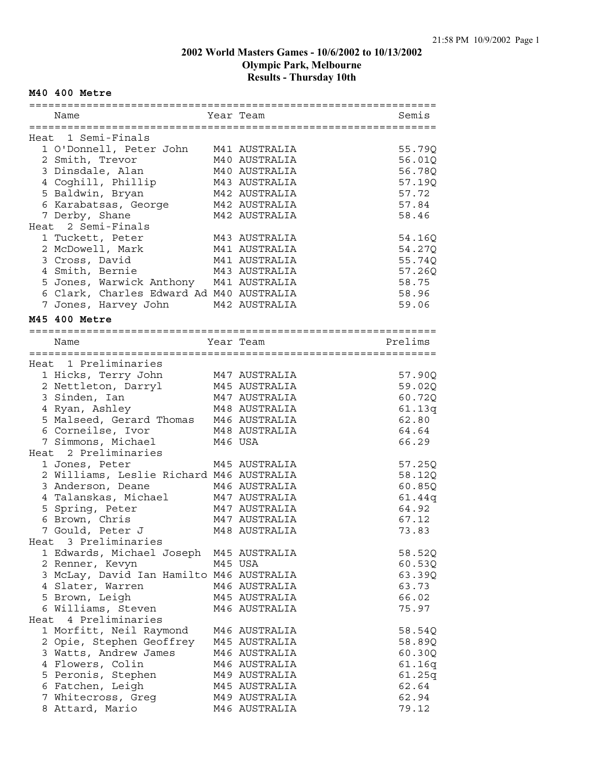#### **M40 400 Metre**

| Name          |                                          |         | Year Team     | Semis   |
|---------------|------------------------------------------|---------|---------------|---------|
|               |                                          |         |               |         |
|               | Heat 1 Semi-Finals                       |         |               |         |
|               | 1 O'Donnell, Peter John                  |         | M41 AUSTRALIA | 55.79Q  |
|               | 2 Smith, Trevor                          |         | M40 AUSTRALIA | 56.01Q  |
|               | 3 Dinsdale, Alan                         |         | M40 AUSTRALIA | 56.78Q  |
|               | 4 Coghill, Phillip                       |         | M43 AUSTRALIA | 57.19Q  |
|               | 5 Baldwin, Bryan                         |         | M42 AUSTRALIA | 57.72   |
|               | 6 Karabatsas, George                     |         | M42 AUSTRALIA | 57.84   |
|               | 7 Derby, Shane                           |         | M42 AUSTRALIA | 58.46   |
|               | Heat 2 Semi-Finals                       |         |               |         |
|               | 1 Tuckett, Peter                         |         | M43 AUSTRALIA | 54.16Q  |
|               | 2 McDowell, Mark                         |         | M41 AUSTRALIA | 54.27Q  |
|               | 3 Cross, David                           |         | M41 AUSTRALIA | 55.74Q  |
|               | 4 Smith, Bernie                          |         | M43 AUSTRALIA | 57.26Q  |
|               | 5 Jones, Warwick Anthony M41 AUSTRALIA   |         |               | 58.75   |
|               | 6 Clark, Charles Edward Ad M40 AUSTRALIA |         |               | 58.96   |
|               | 7 Jones, Harvey John M42 AUSTRALIA       |         |               | 59.06   |
|               |                                          |         |               |         |
| M45 400 Metre |                                          |         |               |         |
|               |                                          |         |               |         |
| Name          |                                          |         | Year Team     | Prelims |
|               |                                          |         |               |         |
|               | Heat 1 Preliminaries                     |         |               |         |
|               | 1 Hicks, Terry John                      |         | M47 AUSTRALIA | 57.90Q  |
|               | 2 Nettleton, Darryl                      |         | M45 AUSTRALIA | 59.02Q  |
|               | 3 Sinden, Ian                            |         | M47 AUSTRALIA | 60.72Q  |
|               | 4 Ryan, Ashley                           |         | M48 AUSTRALIA | 61.13q  |
|               | 5 Malseed, Gerard Thomas M46 AUSTRALIA   |         |               | 62.80   |
|               | 6 Corneilse, Ivor                        |         | M48 AUSTRALIA | 64.64   |
|               | 7 Simmons, Michael                       | M46 USA |               | 66.29   |
|               | Heat 2 Preliminaries                     |         |               |         |
|               | 1 Jones, Peter                           |         | M45 AUSTRALIA | 57.25Q  |
|               | 2 Williams, Leslie Richard M46 AUSTRALIA |         |               | 58.12Q  |
|               | 3 Anderson, Deane                        |         | M46 AUSTRALIA | 60.85Q  |
|               | 4 Talanskas, Michael                     |         | M47 AUSTRALIA | 61.44q  |
|               | 5 Spring, Peter                          |         | M47 AUSTRALIA | 64.92   |
|               | 6 Brown, Chris                           |         | M47 AUSTRALIA | 67.12   |
|               | 7 Gould, Peter J                         |         | M48 AUSTRALIA | 73.83   |
|               | Heat 3 Preliminaries                     |         |               |         |
|               | 1 Edwards, Michael Joseph M45 AUSTRALIA  |         |               | 58.52Q  |
|               | 2 Renner, Kevyn                          |         | M45 USA       | 60.53Q  |
|               | 3 McLay, David Ian Hamilto M46 AUSTRALIA |         |               | 63.39Q  |
|               | 4 Slater, Warren                         |         | M46 AUSTRALIA | 63.73   |
|               | 5 Brown, Leigh                           |         | M45 AUSTRALIA | 66.02   |
|               | 6 Williams, Steven                       |         | M46 AUSTRALIA | 75.97   |
|               | Heat 4 Preliminaries                     |         |               |         |
|               | 1 Morfitt, Neil Raymond                  |         | M46 AUSTRALIA | 58.54Q  |
|               | 2 Opie, Stephen Geoffrey                 |         | M45 AUSTRALIA | 58.89Q  |
|               | 3 Watts, Andrew James                    |         | M46 AUSTRALIA | 60.30Q  |
|               | 4 Flowers, Colin                         |         | M46 AUSTRALIA | 61.16q  |
|               | 5 Peronis, Stephen                       |         | M49 AUSTRALIA | 61.25q  |
|               | 6 Fatchen, Leigh                         |         | M45 AUSTRALIA | 62.64   |
|               | 7 Whitecross, Greg                       |         | M49 AUSTRALIA | 62.94   |
|               | 8 Attard, Mario                          |         | M46 AUSTRALIA | 79.12   |
|               |                                          |         |               |         |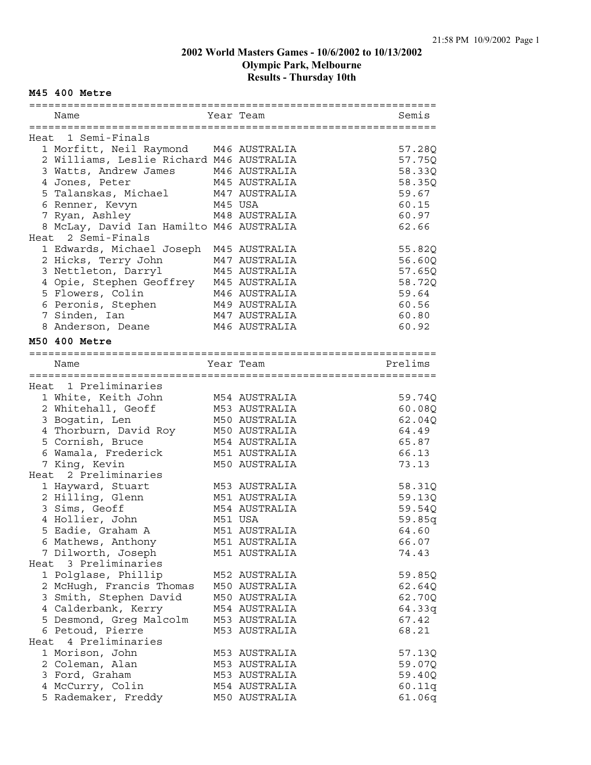#### **M45 400 Metre**

| Name                                     |         | Year Team     | Semis   |
|------------------------------------------|---------|---------------|---------|
|                                          |         |               |         |
| Heat 1 Semi-Finals                       |         |               |         |
| 1 Morfitt, Neil Raymond M46 AUSTRALIA    |         |               | 57.28Q  |
| 2 Williams, Leslie Richard M46 AUSTRALIA |         |               | 57.750  |
| 3 Watts, Andrew James                    |         | M46 AUSTRALIA | 58.33Q  |
| 4 Jones, Peter                           |         | M45 AUSTRALIA | 58.35Q  |
| 5 Talanskas, Michael                     |         | M47 AUSTRALIA | 59.67   |
| 6 Renner, Kevyn                          | M45 USA |               | 60.15   |
| 7 Ryan, Ashley                           |         | M48 AUSTRALIA | 60.97   |
| 8 McLay, David Ian Hamilto M46 AUSTRALIA |         |               | 62.66   |
| Heat 2 Semi-Finals                       |         |               |         |
| 1 Edwards, Michael Joseph                |         | M45 AUSTRALIA | 55.82Q  |
| 2 Hicks, Terry John                      |         | M47 AUSTRALIA | 56.60Q  |
| 3 Nettleton, Darryl                      |         | M45 AUSTRALIA | 57.65Q  |
| 4 Opie, Stephen Geoffrey                 |         | M45 AUSTRALIA | 58.72Q  |
| 5 Flowers, Colin                         |         | M46 AUSTRALIA | 59.64   |
| 6 Peronis, Stephen                       |         | M49 AUSTRALIA | 60.56   |
| 7 Sinden, Ian                            |         | M47 AUSTRALIA | 60.80   |
| 8 Anderson, Deane                        |         | M46 AUSTRALIA | 60.92   |
| M50 400 Metre                            |         |               |         |
|                                          |         |               |         |
| Name                                     |         | Year Team     | Prelims |
|                                          |         |               |         |
| Heat 1 Preliminaries                     |         |               |         |
| 1 White, Keith John                      |         | M54 AUSTRALIA | 59.74Q  |
| 2 Whitehall, Geoff                       |         | M53 AUSTRALIA | 60.08Q  |
| 3 Bogatin, Len                           |         | M50 AUSTRALIA | 62.04Q  |
| 4 Thorburn, David Roy                    |         | M50 AUSTRALIA | 64.49   |
| 5 Cornish, Bruce                         |         | M54 AUSTRALIA | 65.87   |
| 6 Wamala, Frederick                      |         | M51 AUSTRALIA | 66.13   |
| 7 King, Kevin                            |         | M50 AUSTRALIA | 73.13   |
| Heat 2 Preliminaries                     |         |               |         |
| 1 Hayward, Stuart                        |         | M53 AUSTRALIA | 58.31Q  |
| 2 Hilling, Glenn                         |         | M51 AUSTRALIA | 59.13Q  |
| 3 Sims, Geoff                            |         | M54 AUSTRALIA | 59.54Q  |
| 4 Hollier, John                          |         | M51 USA       | 59.85q  |
| 5 Eadie, Graham A                        |         | M51 AUSTRALIA | 64.60   |
| 6 Mathews, Anthony                       |         | M51 AUSTRALIA | 66.07   |
| 7 Dilworth, Joseph                       |         | M51 AUSTRALIA | 74.43   |
| Heat 3 Preliminaries                     |         |               |         |
| 1 Polglase, Phillip                      |         | M52 AUSTRALIA | 59.85Q  |
| 2 McHugh, Francis Thomas                 |         | M50 AUSTRALIA | 62.64Q  |
| 3 Smith, Stephen David                   |         | M50 AUSTRALIA | 62.70Q  |
| 4 Calderbank, Kerry                      |         | M54 AUSTRALIA | 64.33q  |
| 5 Desmond, Greg Malcolm                  |         | M53 AUSTRALIA | 67.42   |
| 6 Petoud, Pierre                         |         | M53 AUSTRALIA | 68.21   |
| Heat 4 Preliminaries                     |         |               |         |
| 1 Morison, John                          |         | M53 AUSTRALIA | 57.13Q  |
| 2 Coleman, Alan                          |         | M53 AUSTRALIA | 59.07Q  |
| 3 Ford, Graham                           |         | M53 AUSTRALIA | 59.40Q  |
| 4 McCurry, Colin                         |         | M54 AUSTRALIA | 60.11q  |
| 5 Rademaker, Freddy                      |         | M50 AUSTRALIA | 61.06q  |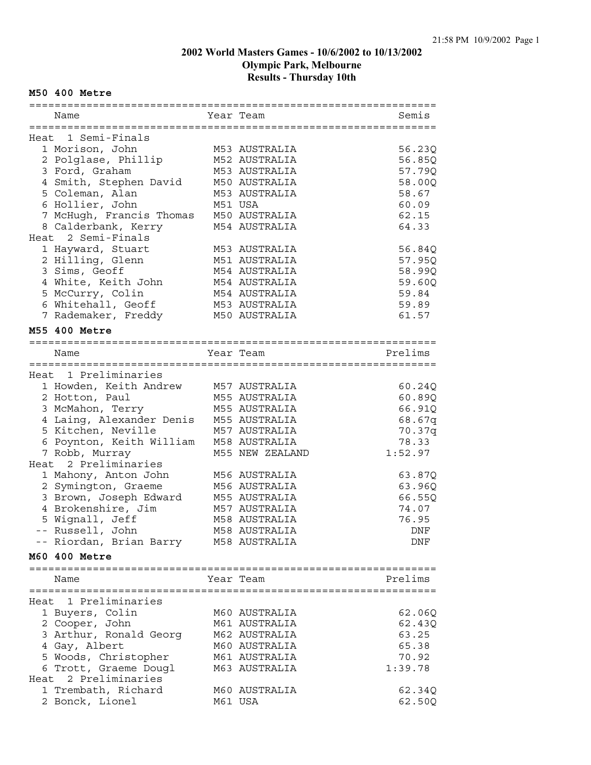#### **M50 400 Metre**

| Name                                          | Year Team       | Semis   |
|-----------------------------------------------|-----------------|---------|
|                                               |                 |         |
| Heat 1 Semi-Finals                            |                 |         |
| 1 Morison, John                               | M53 AUSTRALIA   | 56.23Q  |
| 2 Polglase, Phillip                           | M52 AUSTRALIA   | 56.85Q  |
| 3 Ford, Graham                                | M53 AUSTRALIA   | 57.79Q  |
| 4 Smith, Stephen David                        | M50 AUSTRALIA   | 58.00Q  |
| 5 Coleman, Alan                               | M53 AUSTRALIA   | 58.67   |
| 6 Hollier, John                               | M51 USA         | 60.09   |
| 7 McHugh, Francis Thomas                      | M50 AUSTRALIA   | 62.15   |
| 8 Calderbank, Kerry                           | M54 AUSTRALIA   | 64.33   |
| Heat 2 Semi-Finals                            |                 |         |
| 1 Hayward, Stuart                             | M53 AUSTRALIA   | 56.84Q  |
| 2 Hilling, Glenn                              | M51 AUSTRALIA   | 57.95Q  |
| 3 Sims, Geoff                                 | M54 AUSTRALIA   | 58.99Q  |
| 4 White, Keith John                           | M54 AUSTRALIA   | 59.60Q  |
| 5 McCurry, Colin                              | M54 AUSTRALIA   | 59.84   |
| 6 Whitehall, Geoff                            | M53 AUSTRALIA   | 59.89   |
| 7 Rademaker, Freddy                           | M50 AUSTRALIA   | 61.57   |
|                                               |                 |         |
| M55 400 Metre                                 |                 |         |
|                                               |                 |         |
| Name                                          | Year Team       | Prelims |
|                                               |                 |         |
| Heat 1 Preliminaries                          |                 |         |
| 1 Howden, Keith Andrew                        | M57 AUSTRALIA   | 60.24Q  |
| 2 Hotton, Paul                                | M55 AUSTRALIA   | 60.89Q  |
| 3 McMahon, Terry                              | M55 AUSTRALIA   | 66.91Q  |
| 4 Laing, Alexander Denis                      | M55 AUSTRALIA   | 68.67q  |
| 5 Kitchen, Neville                            | M57 AUSTRALIA   | 70.37q  |
| 6 Poynton, Keith William                      | M58 AUSTRALIA   | 78.33   |
| 7 Robb, Murray                                | M55 NEW ZEALAND | 1:52.97 |
| Heat 2 Preliminaries                          |                 |         |
| 1 Mahony, Anton John                          | M56 AUSTRALIA   | 63.87Q  |
| 2 Symington, Graeme                           | M56 AUSTRALIA   | 63.96Q  |
| 3 Brown, Joseph Edward                        | M55 AUSTRALIA   | 66.55Q  |
| 4 Brokenshire, Jim                            | M57 AUSTRALIA   | 74.07   |
| 5 Wignall, Jeff                               | M58 AUSTRALIA   | 76.95   |
| -- Russell, John                              | M58 AUSTRALIA   | DNF     |
| -- Riordan, Brian Barry M58 AUSTRALIA         |                 | DNF     |
| M60 400 Metre                                 |                 |         |
|                                               |                 |         |
| Name                                          | Year Team       | Prelims |
|                                               |                 |         |
| Heat 1 Preliminaries                          |                 |         |
| 1 Buyers, Colin                               | M60 AUSTRALIA   | 62.06Q  |
| 2 Cooper, John                                | M61 AUSTRALIA   | 62.43Q  |
| 3 Arthur, Ronald Georg                        | M62 AUSTRALIA   | 63.25   |
| 4 Gay, Albert                                 | M60 AUSTRALIA   | 65.38   |
|                                               | M61 AUSTRALIA   | 70.92   |
| 5 Woods, Christopher                          |                 |         |
| 6 Trott, Graeme Dougl<br>Heat 2 Preliminaries | M63 AUSTRALIA   | 1:39.78 |
|                                               |                 |         |
| 1 Trembath, Richard                           | M60 AUSTRALIA   | 62.34Q  |
| 2 Bonck, Lionel                               | M61 USA         | 62.50Q  |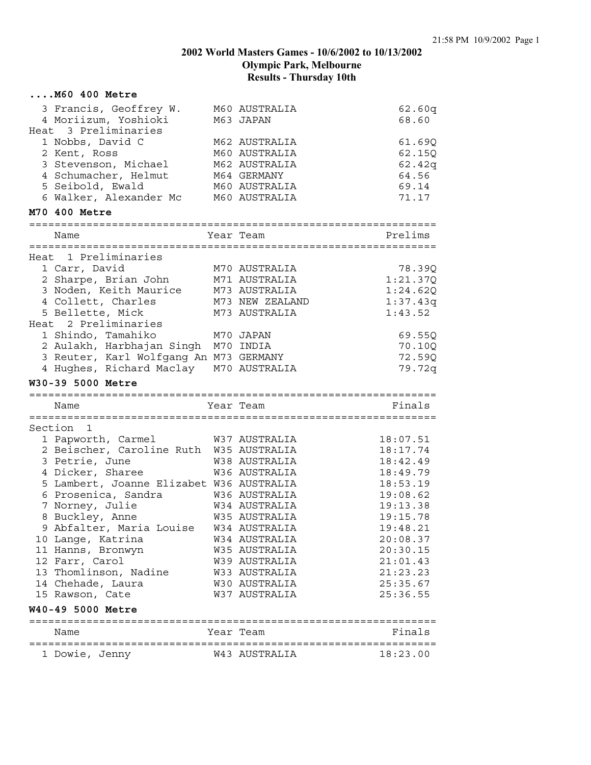| M60 400 Metre                            |                 |          |
|------------------------------------------|-----------------|----------|
| 3 Francis, Geoffrey W.                   | M60 AUSTRALIA   | 62.60q   |
| 4 Moriizum, Yoshioki                     | M63 JAPAN       | 68.60    |
| Heat 3 Preliminaries                     |                 |          |
| 1 Nobbs, David C                         | M62 AUSTRALIA   | 61.69Q   |
| 2 Kent, Ross                             | M60 AUSTRALIA   | 62.150   |
| 3 Stevenson, Michael                     | M62 AUSTRALIA   | 62.42q   |
| 4 Schumacher, Helmut                     | M64 GERMANY     | 64.56    |
| 5 Seibold, Ewald                         | M60 AUSTRALIA   | 69.14    |
| 6 Walker, Alexander Mc                   | M60 AUSTRALIA   | 71.17    |
| M70 400 Metre                            |                 |          |
|                                          | Year Team       | Prelims  |
| Name                                     |                 |          |
| Heat 1 Preliminaries                     |                 |          |
| 1 Carr, David                            | M70 AUSTRALIA   | 78.39Q   |
| 2 Sharpe, Brian John                     | M71 AUSTRALIA   | 1:21.37Q |
| 3 Noden, Keith Maurice                   | M73 AUSTRALIA   | 1:24.62Q |
| 4 Collett, Charles                       | M73 NEW ZEALAND | 1:37.43q |
| 5 Bellette, Mick                         | M73 AUSTRALIA   | 1:43.52  |
| Heat 2 Preliminaries                     |                 |          |
| 1 Shindo, Tamahiko                       | M70 JAPAN       | 69.55Q   |
| 2 Aulakh, Harbhajan Singh M70 INDIA      |                 | 70.10Q   |
| 3 Reuter, Karl Wolfgang An M73 GERMANY   |                 | 72.59Q   |
| 4 Hughes, Richard Maclay M70 AUSTRALIA   |                 | 79.72q   |
| W30-39 5000 Metre                        |                 |          |
| Name                                     | Year Team       | Finals   |
| Section<br>1                             |                 |          |
| 1 Papworth, Carmel                       | W37 AUSTRALIA   | 18:07.51 |
| 2 Beischer, Caroline Ruth W35 AUSTRALIA  |                 | 18:17.74 |
| 3 Petrie, June                           | W38 AUSTRALIA   | 18:42.49 |
| 4 Dicker, Sharee                         | W36 AUSTRALIA   | 18:49.79 |
| 5 Lambert, Joanne Elizabet W36 AUSTRALIA |                 | 18:53.19 |
| 6 Prosenica, Sandra                      | W36 AUSTRALIA   | 19:08.62 |
| 7 Norney, Julie                          | W34 AUSTRALIA   | 19:13.38 |
| 8 Buckley, Anne                          | W35 AUSTRALIA   | 19:15.78 |
| 9 Abfalter, Maria Louise                 | W34 AUSTRALIA   | 19:48.21 |
| 10 Lange, Katrina                        | W34 AUSTRALIA   | 20:08.37 |
| 11 Hanns, Bronwyn                        | W35 AUSTRALIA   | 20:30.15 |
| 12 Farr, Carol                           | W39 AUSTRALIA   | 21:01.43 |
| 13 Thomlinson, Nadine                    | W33 AUSTRALIA   | 21:23.23 |
| 14 Chehade, Laura                        | W30 AUSTRALIA   | 25:35.67 |
| 15 Rawson, Cate                          | W37 AUSTRALIA   | 25:36.55 |
| W40-49 5000 Metre                        |                 |          |
| Name                                     | Year Team       | Finals   |
|                                          |                 |          |
| 1 Dowie, Jenny                           | W43 AUSTRALIA   | 18:23.00 |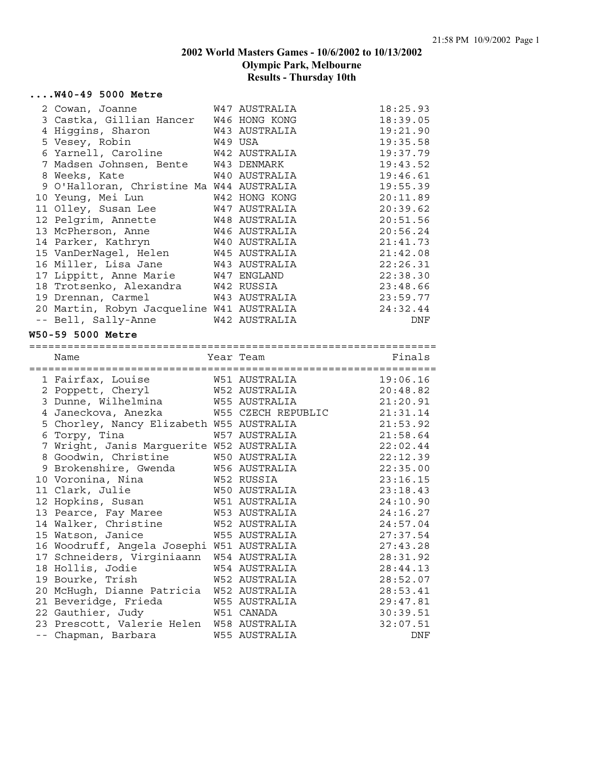#### **....W40-49 5000 Metre**

| 2 Cowan, Joanne                           | W47 AUSTRALIA | 18:25.93 |
|-------------------------------------------|---------------|----------|
| 3 Castka, Gillian Hancer W46 HONG KONG    |               | 18:39.05 |
| 4 Higgins, Sharon                         | W43 AUSTRALIA | 19:21.90 |
| W49 USA<br>5 Vesey, Robin                 |               | 19:35.58 |
| 6 Yarnell, Caroline W42 AUSTRALIA         |               | 19:37.79 |
| 7 Madsen Johnsen, Bente W43 DENMARK       |               | 19:43.52 |
| 8 Weeks, Kate                             | W40 AUSTRALIA | 19:46.61 |
| 9 O'Halloran, Christine Ma W44 AUSTRALIA  |               | 19:55.39 |
| 10 Yeung, Mei Lun                         | W42 HONG KONG | 20:11.89 |
| 11 Olley, Susan Lee                       | W47 AUSTRALIA | 20:39.62 |
| 12 Pelgrim, Annette                       | W48 AUSTRALIA | 20:51.56 |
| 13 McPherson, Anne 646 AUSTRALIA          |               | 20:56.24 |
| 14 Parker, Kathryn W40 AUSTRALIA          |               | 21:41.73 |
| 15 VanDerNagel, Helen W45 AUSTRALIA       |               | 21:42.08 |
| 16 Miller, Lisa Jane                      | W43 AUSTRALIA | 22:26.31 |
| 17 Lippitt, Anne Marie W47 ENGLAND        |               | 22:38.30 |
| 18 Trotsenko, Alexandra W42 RUSSIA        |               | 23:48.66 |
| 19 Drennan, Carmel                        | W43 AUSTRALIA | 23:59.77 |
| 20 Martin, Robyn Jacqueline W41 AUSTRALIA |               | 24:32.44 |
| -- Bell, Sally-Anne W42 AUSTRALIA         |               | DNF      |

#### **W50-59 5000 Metre**

================================================================

| Name |                                                                                                                                                                                                                                                            |                       | Finals                                                                                                                                                                                                                                                                                                                                                                                                                                                                                                                                                                                                                                                                                                              |
|------|------------------------------------------------------------------------------------------------------------------------------------------------------------------------------------------------------------------------------------------------------------|-----------------------|---------------------------------------------------------------------------------------------------------------------------------------------------------------------------------------------------------------------------------------------------------------------------------------------------------------------------------------------------------------------------------------------------------------------------------------------------------------------------------------------------------------------------------------------------------------------------------------------------------------------------------------------------------------------------------------------------------------------|
|      |                                                                                                                                                                                                                                                            |                       |                                                                                                                                                                                                                                                                                                                                                                                                                                                                                                                                                                                                                                                                                                                     |
|      |                                                                                                                                                                                                                                                            |                       | 19:06.16                                                                                                                                                                                                                                                                                                                                                                                                                                                                                                                                                                                                                                                                                                            |
|      |                                                                                                                                                                                                                                                            |                       | 20:48.82                                                                                                                                                                                                                                                                                                                                                                                                                                                                                                                                                                                                                                                                                                            |
|      |                                                                                                                                                                                                                                                            |                       | 21:20.91                                                                                                                                                                                                                                                                                                                                                                                                                                                                                                                                                                                                                                                                                                            |
|      |                                                                                                                                                                                                                                                            |                       | 21:31.14                                                                                                                                                                                                                                                                                                                                                                                                                                                                                                                                                                                                                                                                                                            |
|      |                                                                                                                                                                                                                                                            |                       | 21:53.92                                                                                                                                                                                                                                                                                                                                                                                                                                                                                                                                                                                                                                                                                                            |
|      |                                                                                                                                                                                                                                                            |                       | 21:58.64                                                                                                                                                                                                                                                                                                                                                                                                                                                                                                                                                                                                                                                                                                            |
|      |                                                                                                                                                                                                                                                            |                       | 22:02.44                                                                                                                                                                                                                                                                                                                                                                                                                                                                                                                                                                                                                                                                                                            |
|      |                                                                                                                                                                                                                                                            |                       | 22:12.39                                                                                                                                                                                                                                                                                                                                                                                                                                                                                                                                                                                                                                                                                                            |
|      |                                                                                                                                                                                                                                                            |                       | 22:35.00                                                                                                                                                                                                                                                                                                                                                                                                                                                                                                                                                                                                                                                                                                            |
|      |                                                                                                                                                                                                                                                            |                       | 23:16.15                                                                                                                                                                                                                                                                                                                                                                                                                                                                                                                                                                                                                                                                                                            |
|      |                                                                                                                                                                                                                                                            |                       | 23:18.43                                                                                                                                                                                                                                                                                                                                                                                                                                                                                                                                                                                                                                                                                                            |
|      |                                                                                                                                                                                                                                                            |                       | 24:10.90                                                                                                                                                                                                                                                                                                                                                                                                                                                                                                                                                                                                                                                                                                            |
|      |                                                                                                                                                                                                                                                            |                       | 24:16.27                                                                                                                                                                                                                                                                                                                                                                                                                                                                                                                                                                                                                                                                                                            |
|      |                                                                                                                                                                                                                                                            |                       | 24:57.04                                                                                                                                                                                                                                                                                                                                                                                                                                                                                                                                                                                                                                                                                                            |
|      |                                                                                                                                                                                                                                                            |                       | 27:37.54                                                                                                                                                                                                                                                                                                                                                                                                                                                                                                                                                                                                                                                                                                            |
|      |                                                                                                                                                                                                                                                            |                       | 27:43.28                                                                                                                                                                                                                                                                                                                                                                                                                                                                                                                                                                                                                                                                                                            |
|      |                                                                                                                                                                                                                                                            |                       | 28:31.92                                                                                                                                                                                                                                                                                                                                                                                                                                                                                                                                                                                                                                                                                                            |
|      |                                                                                                                                                                                                                                                            |                       | 28:44.13                                                                                                                                                                                                                                                                                                                                                                                                                                                                                                                                                                                                                                                                                                            |
|      |                                                                                                                                                                                                                                                            |                       | 28:52.07                                                                                                                                                                                                                                                                                                                                                                                                                                                                                                                                                                                                                                                                                                            |
|      |                                                                                                                                                                                                                                                            |                       | 28:53.41                                                                                                                                                                                                                                                                                                                                                                                                                                                                                                                                                                                                                                                                                                            |
|      |                                                                                                                                                                                                                                                            |                       | 29:47.81                                                                                                                                                                                                                                                                                                                                                                                                                                                                                                                                                                                                                                                                                                            |
|      |                                                                                                                                                                                                                                                            |                       | 30:39.51                                                                                                                                                                                                                                                                                                                                                                                                                                                                                                                                                                                                                                                                                                            |
|      |                                                                                                                                                                                                                                                            |                       | 32:07.51                                                                                                                                                                                                                                                                                                                                                                                                                                                                                                                                                                                                                                                                                                            |
|      |                                                                                                                                                                                                                                                            |                       | DNF                                                                                                                                                                                                                                                                                                                                                                                                                                                                                                                                                                                                                                                                                                                 |
|      | 2 Poppett, Cheryl<br>4 Janeckova, Anezka<br>6 Torpy, Tina<br>10 Voronina, Nina<br>11 Clark, Julie<br>12 Hopkins, Susan<br>13 Pearce, Fay Maree<br>15 Watson, Janice<br>18 Hollis, Jodie<br>19 Bourke, Trish<br>21 Beveridge, Frieda<br>-- Chapman, Barbara | 9 Brokenshire, Gwenda | Year Team<br>1 Fairfax, Louise               W51 AUSTRALIA<br>W52 AUSTRALIA<br>3 Dunne, Wilhelmina M55 AUSTRALIA<br>W55 CZECH REPUBLIC<br>5 Chorley, Nancy Elizabeth W55 AUSTRALIA<br>W57 AUSTRALIA<br>7 Wright, Janis Marguerite W52 AUSTRALIA<br>8 Goodwin, Christine W50 AUSTRALIA<br>W56 AUSTRALIA<br>W52 RUSSIA<br>W50 AUSTRALIA<br>W51 AUSTRALIA<br>W53 AUSTRALIA<br>14 Walker, Christine M52 AUSTRALIA<br>W55 AUSTRALIA<br>16 Woodruff, Angela Josephi W51 AUSTRALIA<br>17 Schneiders, Virginiaann W54 AUSTRALIA<br>W54 AUSTRALIA<br>W52 AUSTRALIA<br>20 McHugh, Dianne Patricia W52 AUSTRALIA<br>W55 AUSTRALIA<br>22 Gauthier, Judy 651 CANADA<br>23 Prescott, Valerie Helen W58 AUSTRALIA<br>W55 AUSTRALIA |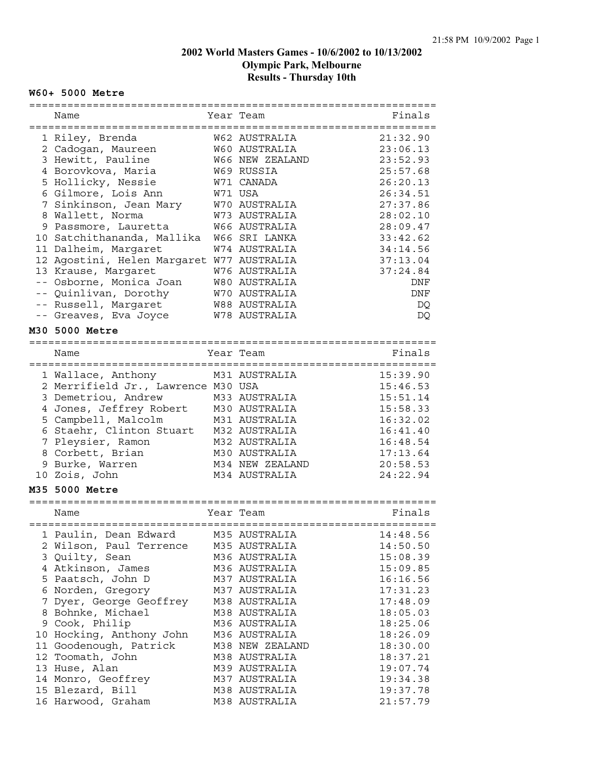#### **W60+ 5000 Metre**

| Name                                      | Year Team            | Finals   |
|-------------------------------------------|----------------------|----------|
|                                           | W62 AUSTRALIA        | 21:32.90 |
| 1 Riley, Brenda                           | W60 AUSTRALIA        |          |
| 2 Cadogan, Maureen                        |                      | 23:06.13 |
| 3 Hewitt, Pauline                         | W66 NEW ZEALAND      | 23:52.93 |
| 4 Borovkova, Maria                        | W69 RUSSIA           | 25:57.68 |
| 5 Hollicky, Nessie                        | W71 CANADA           | 26:20.13 |
| 6 Gilmore, Lois Ann                       | W71 USA              | 26:34.51 |
| 7 Sinkinson, Jean Mary                    | W70 AUSTRALIA        | 27:37.86 |
| 8 Wallett, Norma                          | W73 AUSTRALIA        | 28:02.10 |
| 9 Passmore, Lauretta                      | <b>W66 AUSTRALIA</b> | 28:09.47 |
| 10 Satchithananda, Mallika                | W66 SRI LANKA        | 33:42.62 |
| 11 Dalheim, Margaret                      | W74 AUSTRALIA        | 34:14.56 |
| 12 Agostini, Helen Margaret W77 AUSTRALIA |                      | 37:13.04 |
| 13 Krause, Margaret                       | W76 AUSTRALIA        | 37:24.84 |
| -- Osborne, Monica Joan                   | W80 AUSTRALIA        | DNF      |
| -- Quinlivan, Dorothy                     | W70 AUSTRALIA        | DNF      |
| -- Russell, Margaret                      | <b>W88 AUSTRALIA</b> | DQ       |
| -- Greaves, Eva Joyce                     | W78 AUSTRALIA        | DQ       |
| M30 5000 Metre                            |                      |          |
|                                           |                      |          |
| Name                                      | Year Team            | Finals   |
| 1 Wallace, Anthony                        | M31 AUSTRALIA        | 15:39.90 |
| 2 Merrifield Jr., Lawrence M30 USA        |                      | 15:46.53 |
| 3 Demetriou, Andrew                       | M33 AUSTRALIA        | 15:51.14 |
| 4 Jones, Jeffrey Robert                   | M30 AUSTRALIA        | 15:58.33 |
| 5 Campbell, Malcolm                       | M31 AUSTRALIA        | 16:32.02 |
| 6 Staehr, Clinton Stuart                  | M32 AUSTRALIA        | 16:41.40 |
| 7 Pleysier, Ramon                         | M32 AUSTRALIA        | 16:48.54 |
| 8 Corbett, Brian                          | M30 AUSTRALIA        | 17:13.64 |
| 9 Burke, Warren                           | M34 NEW ZEALAND      | 20:58.53 |
| 10 Zois, John                             | M34 AUSTRALIA        | 24:22.94 |
| M35 5000 Metre                            |                      |          |
|                                           |                      |          |
| Name                                      | Year Team            | Finals   |
| 1 Paulin, Dean Edward                     | M35 AUSTRALIA        | 14:48.56 |
| 2 Wilson, Paul Terrence                   | M35 AUSTRALIA        | 14:50.50 |
| 3 Quilty, Sean                            | M36 AUSTRALIA        | 15:08.39 |
| 4 Atkinson, James                         | M36 AUSTRALIA        | 15:09.85 |
| 5 Paatsch, John D                         | M37 AUSTRALIA        | 16:16.56 |
| 6 Norden, Gregory                         | M37 AUSTRALIA        | 17:31.23 |
| 7 Dyer, George Geoffrey                   | M38 AUSTRALIA        | 17:48.09 |
| 8 Bohnke, Michael                         | M38 AUSTRALIA        | 18:05.03 |
| 9 Cook, Philip                            | M36 AUSTRALIA        | 18:25.06 |
| 10 Hocking, Anthony John                  | M36 AUSTRALIA        | 18:26.09 |
| 11 Goodenough, Patrick                    | M38 NEW ZEALAND      | 18:30.00 |
| 12 Toomath, John                          | M38 AUSTRALIA        | 18:37.21 |
| 13 Huse, Alan                             | M39 AUSTRALIA        | 19:07.74 |
| 14 Monro, Geoffrey                        | M37 AUSTRALIA        | 19:34.38 |
| 15 Blezard, Bill                          | M38 AUSTRALIA        | 19:37.78 |
| 16 Harwood, Graham                        | M38 AUSTRALIA        | 21:57.79 |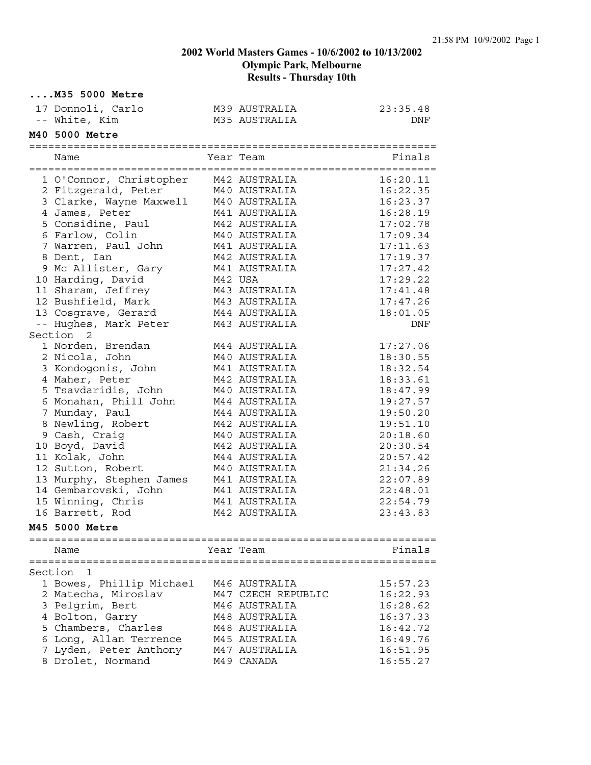| $\ldots$ . M35 5000 Metre    |         |                                    |          |
|------------------------------|---------|------------------------------------|----------|
| 17 Donnoli, Carlo            |         | M39 AUSTRALIA                      | 23:35.48 |
| -- White, Kim                |         | M35 AUSTRALIA                      | DNF      |
| M40 5000 Metre               |         |                                    |          |
|                              |         |                                    |          |
| Name                         |         | Year Team                          | Finals   |
| 1 O'Connor, Christopher      |         | M42 AUSTRALIA                      | 16:20.11 |
| 2 Fitzgerald, Peter          |         | M40 AUSTRALIA                      | 16:22.35 |
| 3 Clarke, Wayne Maxwell      |         | M40 AUSTRALIA                      | 16:23.37 |
| 4 James, Peter               |         | M41 AUSTRALIA                      | 16:28.19 |
| 5 Considine, Paul            |         | M42 AUSTRALIA                      | 17:02.78 |
| 6 Farlow, Colin              |         | M40 AUSTRALIA                      | 17:09.34 |
| 7 Warren, Paul John          |         | M41 AUSTRALIA                      | 17:11.63 |
| 8 Dent, Ian                  |         | M42 AUSTRALIA                      | 17:19.37 |
| 9 Mc Allister, Gary          |         | M41 AUSTRALIA                      | 17:27.42 |
| 10 Harding, David            | M42 USA |                                    | 17:29.22 |
| 11 Sharam, Jeffrey           |         | M43 AUSTRALIA                      | 17:41.48 |
| 12 Bushfield, Mark           |         | M43 AUSTRALIA                      | 17:47.26 |
| 13 Cosgrave, Gerard          |         | M44 AUSTRALIA                      | 18:01.05 |
| -- Hughes, Mark Peter        |         | M43 AUSTRALIA                      | DNF      |
| Section 2                    |         |                                    |          |
| 1 Norden, Brendan            |         | M44 AUSTRALIA                      | 17:27.06 |
| 2 Nicola, John               |         | M40 AUSTRALIA                      | 18:30.55 |
| 3 Kondogonis, John           |         | M41 AUSTRALIA                      | 18:32.54 |
| 4 Maher, Peter               |         | M42 AUSTRALIA                      | 18:33.61 |
| 5 Tsavdaridis, John          |         | M40 AUSTRALIA                      | 18:47.99 |
| 6 Monahan, Phill John        |         | M44 AUSTRALIA                      | 19:27.57 |
| 7 Munday, Paul               |         | M44 AUSTRALIA                      | 19:50.20 |
| 8 Newling, Robert            |         | M42 AUSTRALIA                      | 19:51.10 |
| 9 Cash, Craig                |         | M40 AUSTRALIA                      | 20:18.60 |
| 10 Boyd, David               |         | M42 AUSTRALIA                      | 20:30.54 |
| 11 Kolak, John               |         | M44 AUSTRALIA                      | 20:57.42 |
| 12 Sutton, Robert            |         | M40 AUSTRALIA                      | 21:34.26 |
| 13 Murphy, Stephen James     |         | M41 AUSTRALIA                      | 22:07.89 |
| 14 Gembarovski, John         |         | M41 AUSTRALIA                      | 22:48.01 |
| 15 Winning, Chris            |         | M41 AUSTRALIA                      | 22:54.79 |
| 16 Barrett, Rod              |         | M42 AUSTRALIA                      | 23:43.83 |
| M45 5000 Metre               |         |                                    |          |
| :=========================== |         | ================================== |          |
| Name                         |         | Year Team                          | Finals   |
| Section<br>1                 |         |                                    |          |
| 1 Bowes, Phillip Michael     |         | M46 AUSTRALIA                      | 15:57.23 |
| 2 Matecha, Miroslav          |         | M47 CZECH REPUBLIC                 | 16:22.93 |
| 3 Pelgrim, Bert              |         | M46 AUSTRALIA                      | 16:28.62 |
| 4 Bolton, Garry              |         | M48 AUSTRALIA                      | 16:37.33 |
| 5 Chambers, Charles          |         | M48 AUSTRALIA                      | 16:42.72 |
| 6 Long, Allan Terrence       |         | M45 AUSTRALIA                      | 16:49.76 |
| 7 Lyden, Peter Anthony       |         | M47 AUSTRALIA                      | 16:51.95 |
| 8 Drolet, Normand            |         | M49 CANADA                         | 16:55.27 |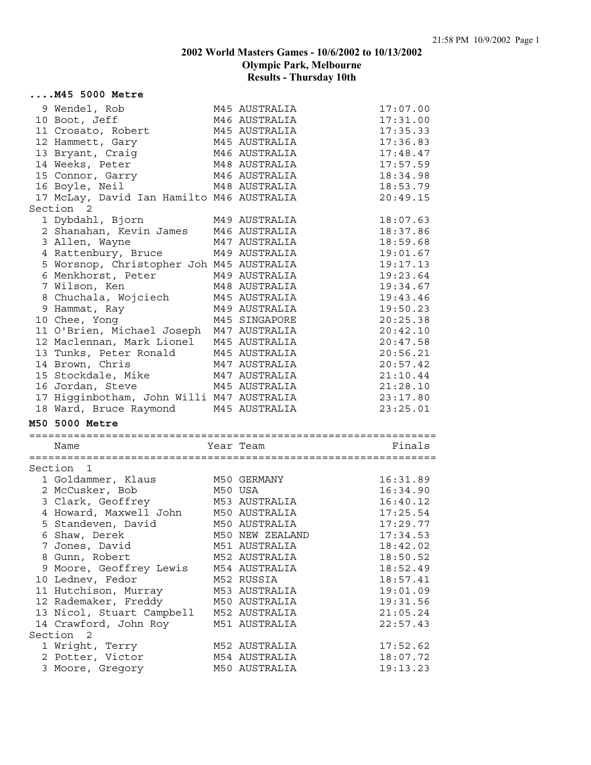#### **....M45 5000 Metre**

| 9 Wendel, Rob                             | M45 AUSTRALIA                  | 17:07.00             |
|-------------------------------------------|--------------------------------|----------------------|
| 10 Boot, Jeff                             | M46 AUSTRALIA                  | 17:31.00             |
| 11 Crosato, Robert                        | M45 AUSTRALIA                  | 17:35.33             |
| 12 Hammett, Gary                          | M45 AUSTRALIA                  | 17:36.83             |
| 13 Bryant, Craig                          | M46 AUSTRALIA                  | 17:48.47             |
| 14 Weeks, Peter                           | M48 AUSTRALIA                  | 17:57.59             |
| 15 Connor, Garry                          | M46 AUSTRALIA                  | 18:34.98             |
| 16 Boyle, Neil                            | M48 AUSTRALIA                  | 18:53.79             |
| 17 McLay, David Ian Hamilto M46 AUSTRALIA |                                | 20:49.15             |
| Section 2                                 |                                |                      |
| 1 Dybdahl, Bjorn                          | M49 AUSTRALIA                  | 18:07.63             |
| 2 Shanahan, Kevin James                   | M46 AUSTRALIA                  | 18:37.86             |
| 3 Allen, Wayne                            | M47 AUSTRALIA                  | 18:59.68             |
| 4 Rattenbury, Bruce                       | M49 AUSTRALIA                  | 19:01.67             |
| 5 Worsnop, Christopher Joh M45 AUSTRALIA  |                                | 19:17.13             |
| 6 Menkhorst, Peter                        | M49 AUSTRALIA                  | 19:23.64             |
| 7 Wilson, Ken                             | M48 AUSTRALIA                  | 19:34.67             |
| 8 Chuchala, Wojciech                      | M45 AUSTRALIA                  | 19:43.46             |
| 9 Hammat, Ray                             | M49 AUSTRALIA                  | 19:50.23             |
| 10 Chee, Yong                             | M45 SINGAPORE                  | 20:25.38             |
| 11 O'Brien, Michael Joseph                | M47 AUSTRALIA                  | 20:42.10             |
| 12 Maclennan, Mark Lionel                 | M45 AUSTRALIA                  | 20:47.58             |
| 13 Tunks, Peter Ronald                    | M45 AUSTRALIA                  | 20:56.21             |
| 14 Brown, Chris                           | M47 AUSTRALIA                  | 20:57.42             |
| 15 Stockdale, Mike                        | M47 AUSTRALIA                  | 21:10.44             |
|                                           |                                |                      |
|                                           |                                |                      |
| 16 Jordan, Steve                          | M45 AUSTRALIA                  | 21:28.10             |
| 17 Higginbotham, John Willi M47 AUSTRALIA |                                | 23:17.80             |
| 18 Ward, Bruce Raymond                    | M45 AUSTRALIA                  | 23:25.01             |
| M50 5000 Metre                            |                                |                      |
| Name                                      | Year Team                      | Finals               |
|                                           |                                |                      |
| Section 1                                 |                                |                      |
| 1 Goldammer, Klaus                        | M50 GERMANY                    | 16:31.89             |
| 2 McCusker, Bob                           | M50 USA                        | 16:34.90             |
| 3 Clark, Geoffrey                         | M53 AUSTRALIA                  | 16:40.12             |
| 4 Howard, Maxwell John                    | M50 AUSTRALIA                  | 17:25.54             |
| 5 Standeven, David                        | M50 AUSTRALIA                  | 17:29.77             |
| 6 Shaw, Derek                             | M50 NEW ZEALAND                | 17:34.53             |
| 7 Jones, David                            | M51 AUSTRALIA                  | 18:42.02             |
| 8 Gunn, Robert                            | M52 AUSTRALIA                  | 18:50.52             |
|                                           | M54 AUSTRALIA                  | 18:52.49             |
| 9 Moore, Geoffrey Lewis                   | M52 RUSSIA                     | 18:57.41             |
| 10 Lednev, Fedor                          | M53 AUSTRALIA                  | 19:01.09             |
| 11 Hutchison, Murray                      |                                |                      |
| 12 Rademaker, Freddy                      | M50 AUSTRALIA<br>M52 AUSTRALIA | 19:31.56<br>21:05.24 |
| 13 Nicol, Stuart Campbell                 |                                |                      |
| 14 Crawford, John Roy<br>Section 2        | M51 AUSTRALIA                  | 22:57.43             |
|                                           | M52 AUSTRALIA                  | 17:52.62             |
| 1 Wright, Terry<br>2 Potter, Victor       | M54 AUSTRALIA                  | 18:07.72             |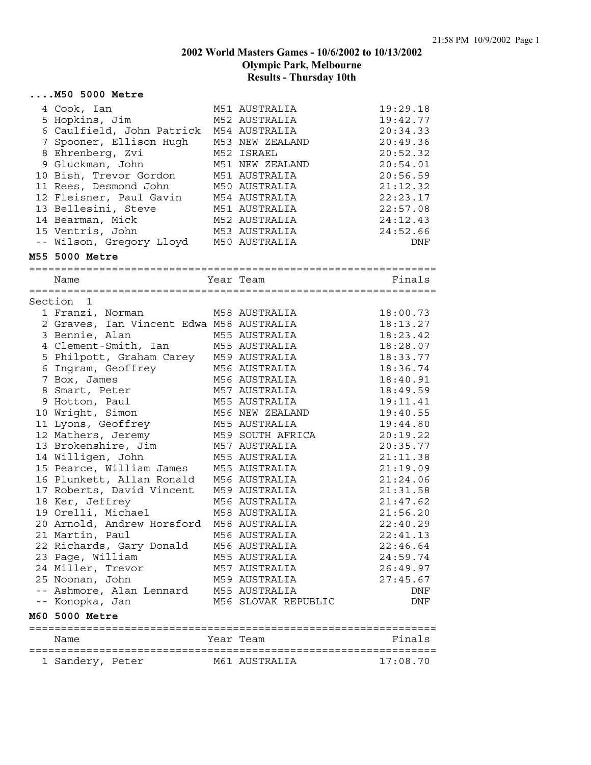#### **....M50 5000 Metre**

| 4 Cook, Ian<br>5 Hopkins, Jim<br>6 Caulfield, John Patrick<br>7 Spooner, Ellison Hugh<br>8 Ehrenberg, Zvi<br>9 Gluckman, John<br>10 Bish, Trevor Gordon<br>11 Rees, Desmond John<br>12 Fleisner, Paul Gavin | M51 AUSTRALIA<br>M52 AUSTRALIA<br>M54 AUSTRALIA<br>M53 NEW ZEALAND<br>M52 ISRAEL<br>M51 NEW ZEALAND<br>M51 AUSTRALIA<br>M50 AUSTRALIA<br>M54 AUSTRALIA | 19:29.18<br>19:42.77<br>20:34.33<br>20:49.36<br>20:52.32<br>20:54.01<br>20:56.59<br>21:12.32<br>22:23.17 |
|-------------------------------------------------------------------------------------------------------------------------------------------------------------------------------------------------------------|--------------------------------------------------------------------------------------------------------------------------------------------------------|----------------------------------------------------------------------------------------------------------|
| 13 Bellesini, Steve                                                                                                                                                                                         | M51 AUSTRALIA                                                                                                                                          | 22:57.08                                                                                                 |
| 14 Bearman, Mick<br>15 Ventris, John<br>-- Wilson, Gregory Lloyd                                                                                                                                            | M52 AUSTRALIA<br>M53 AUSTRALIA<br>M50 AUSTRALIA                                                                                                        | 24:12.43<br>24:52.66<br>DNF                                                                              |
| M55 5000 Metre                                                                                                                                                                                              |                                                                                                                                                        |                                                                                                          |
| Name                                                                                                                                                                                                        | Year Team                                                                                                                                              | Finals                                                                                                   |
| Section 1                                                                                                                                                                                                   |                                                                                                                                                        |                                                                                                          |
| 1 Franzi, Norman<br>2 Graves, Ian Vincent Edwa M58 AUSTRALIA                                                                                                                                                | M58 AUSTRALIA                                                                                                                                          | 18:00.73<br>18:13.27                                                                                     |
| 3 Bennie, Alan                                                                                                                                                                                              | M55 AUSTRALIA                                                                                                                                          | 18:23.42                                                                                                 |
| 4 Clement-Smith, Ian                                                                                                                                                                                        | M55 AUSTRALIA                                                                                                                                          | 18:28.07                                                                                                 |
| 5 Philpott, Graham Carey                                                                                                                                                                                    | M59 AUSTRALIA                                                                                                                                          | 18:33.77                                                                                                 |
| 6 Ingram, Geoffrey                                                                                                                                                                                          | M56 AUSTRALIA                                                                                                                                          | 18:36.74                                                                                                 |
| 7 Box, James                                                                                                                                                                                                | M56 AUSTRALIA                                                                                                                                          | 18:40.91                                                                                                 |
| 8 Smart, Peter                                                                                                                                                                                              | M57 AUSTRALIA                                                                                                                                          | 18:49.59                                                                                                 |
| 9 Hotton, Paul                                                                                                                                                                                              | M55 AUSTRALIA                                                                                                                                          | 19:11.41                                                                                                 |
| 10 Wright, Simon                                                                                                                                                                                            | M56 NEW ZEALAND                                                                                                                                        | 19:40.55                                                                                                 |
| 11 Lyons, Geoffrey                                                                                                                                                                                          | M55 AUSTRALIA                                                                                                                                          | 19:44.80                                                                                                 |
| 12 Mathers, Jeremy                                                                                                                                                                                          | M59 SOUTH AFRICA                                                                                                                                       | 20:19.22                                                                                                 |
| 13 Brokenshire, Jim                                                                                                                                                                                         | M57 AUSTRALIA                                                                                                                                          | 20:35.77                                                                                                 |
| 14 Willigen, John                                                                                                                                                                                           | M55 AUSTRALIA                                                                                                                                          | 21:11.38                                                                                                 |
| 15 Pearce, William James                                                                                                                                                                                    | M55 AUSTRALIA                                                                                                                                          | 21:19.09                                                                                                 |
| 16 Plunkett, Allan Ronald                                                                                                                                                                                   | M56 AUSTRALIA                                                                                                                                          | 21:24.06                                                                                                 |
| 17 Roberts, David Vincent                                                                                                                                                                                   | M59 AUSTRALIA                                                                                                                                          | 21:31.58                                                                                                 |
| 18 Ker, Jeffrey                                                                                                                                                                                             | M56 AUSTRALIA                                                                                                                                          | 21:47.62                                                                                                 |
| 19 Orelli, Michael                                                                                                                                                                                          | M58 AUSTRALIA                                                                                                                                          | 21:56.20                                                                                                 |
| 20 Arnold, Andrew Horsford                                                                                                                                                                                  | M58 AUSTRALIA                                                                                                                                          | 22:40.29                                                                                                 |
| 21 Martin, Paul                                                                                                                                                                                             | M56 AUSTRALIA                                                                                                                                          | 22:41.13                                                                                                 |
| 22 Richards, Gary Donald                                                                                                                                                                                    | M56 AUSTRALIA                                                                                                                                          | 22:46.64                                                                                                 |
| 23 Page, William<br>24 Miller, Trevor                                                                                                                                                                       | M55 AUSTRALIA                                                                                                                                          | 24:59.74                                                                                                 |
|                                                                                                                                                                                                             | M57 AUSTRALIA                                                                                                                                          | 26:49.97                                                                                                 |
| 25 Noonan, John<br>-- Ashmore, Alan Lennard                                                                                                                                                                 | M59 AUSTRALIA<br>M55 AUSTRALIA                                                                                                                         | 27:45.67                                                                                                 |
| -- Konopka, Jan                                                                                                                                                                                             | M56 SLOVAK REPUBLIC                                                                                                                                    | DNF<br>DNF                                                                                               |
|                                                                                                                                                                                                             |                                                                                                                                                        |                                                                                                          |
| M60 5000 Metre                                                                                                                                                                                              |                                                                                                                                                        |                                                                                                          |
| Name                                                                                                                                                                                                        | Year Team                                                                                                                                              | Finals                                                                                                   |
| 1 Sandery, Peter                                                                                                                                                                                            | M61 AUSTRALIA                                                                                                                                          | 17:08.70                                                                                                 |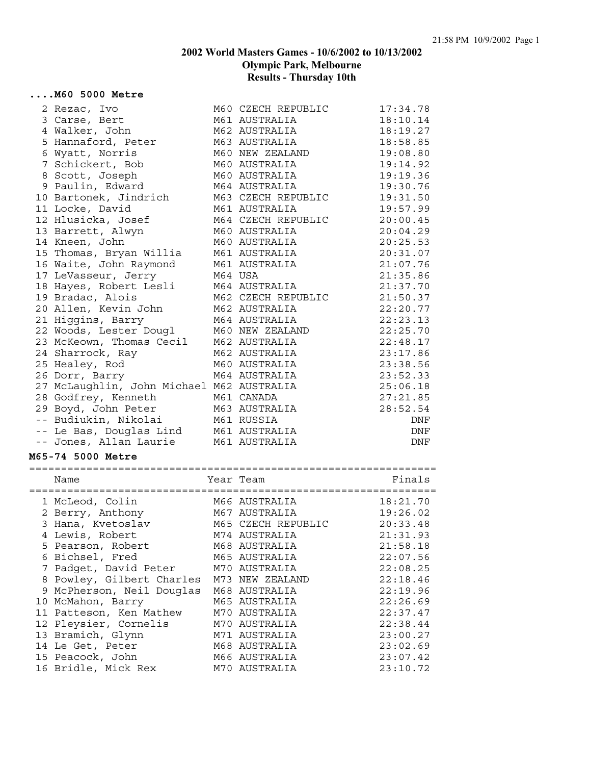#### **....M60 5000 Metre**

| 2 Rezac, Ivo                                                | M60 CZECH REPUBLIC          | 17:34.78   |
|-------------------------------------------------------------|-----------------------------|------------|
| 3 Carse, Bert                                               | M61 AUSTRALIA               | 18:10.14   |
| 4 Walker, John                                              | M62 AUSTRALIA               | 18:19.27   |
| 5 Hannaford, Peter                                          | M63 AUSTRALIA               | 18:58.85   |
| 6 Wyatt, Norris                                             | M60 NEW ZEALAND             | 19:08.80   |
| 7 Schickert, Bob                                            | M60 AUSTRALIA               | 19:14.92   |
| 8 Scott, Joseph                                             | M60 AUSTRALIA               | 19:19.36   |
| 9 Paulin, Edward                                            | M64 AUSTRALIA               | 19:30.76   |
| 10 Bartonek, Jindrich                                       | M63 CZECH REPUBLIC          | 19:31.50   |
| 11 Locke, David                                             | M61 AUSTRALIA               | 19:57.99   |
| 12 Hlusicka, Josef                                          | M64 CZECH REPUBLIC          | 20:00.45   |
| 13 Barrett, Alwyn                                           | M60 AUSTRALIA               | 20:04.29   |
| 14 Kneen, John                                              | M60 AUSTRALIA               | 20:25.53   |
| 15 Thomas, Bryan Willia                                     | M61 AUSTRALIA               | 20:31.07   |
| 16 Waite, John Raymond                                      | M61 AUSTRALIA               | 21:07.76   |
| 17 LeVasseur, Jerry                                         | M64 USA                     | 21:35.86   |
| 18 Hayes, Robert Lesli                                      | M64 AUSTRALIA               | 21:37.70   |
| 19 Bradac, Alois                                            | M62 CZECH REPUBLIC          | 21:50.37   |
| 20 Allen, Kevin John                                        | M62 AUSTRALIA               | 22:20.77   |
| 21 Higgins, Barry                                           | M64 AUSTRALIA               | 22:23.13   |
| 22 Woods, Lester Dougl                                      | M60 NEW ZEALAND             | 22:25.70   |
| 23 McKeown, Thomas Cecil                                    | M62 AUSTRALIA               | 22:48.17   |
| 24 Sharrock, Ray                                            | M62 AUSTRALIA               | 23:17.86   |
| 25 Healey, Rod                                              | M60 AUSTRALIA               | 23:38.56   |
|                                                             | M64 AUSTRALIA               | 23:52.33   |
| 26 Dorr, Barry<br>27 McLaughlin, John Michael M62 AUSTRALIA |                             | 25:06.18   |
|                                                             | M61 CANADA                  | 27:21.85   |
| 28 Godfrey, Kenneth                                         | M63 AUSTRALIA               | 28:52.54   |
| 29 Boyd, John Peter                                         |                             |            |
| -- Budiukin, Nikolai                                        | M61 RUSSIA<br>M61 AUSTRALIA | DNF<br>DNF |
| -- Le Bas, Douglas Lind<br>-- Jones, Allan Laurie           | M61 AUSTRALIA               | DNF        |
|                                                             |                             |            |
| <b>M65-74 5000 Metre</b>                                    |                             |            |
| Name                                                        | Year Team                   | Finals     |
|                                                             |                             |            |
| 1 McLeod, Colin                                             | M66 AUSTRALIA               | 18:21.70   |
| 2 Berry, Anthony                                            | M67 AUSTRALIA               | 19:26.02   |
| 3 Hana, Kvetoslav                                           | M65 CZECH REPUBLIC          | 20:33.48   |
| 4 Lewis, Robert                                             | M74 AUSTRALIA               | 21:31.93   |
| 5 Pearson, Robert                                           | M68 AUSTRALIA               | 21:58.18   |
| 6 Bichsel, Fred                                             | M65 AUSTRALIA               | 22:07.56   |
| 7 Padget, David Peter                                       | M70 AUSTRALIA               | 22:08.25   |
| 8 Powley, Gilbert Charles                                   | M73 NEW ZEALAND             | 22:18.46   |
| 9 McPherson, Neil Douglas                                   | M68 AUSTRALIA               | 22:19.96   |
| 10 McMahon, Barry                                           | M65 AUSTRALIA               | 22:26.69   |
| 11 Patteson, Ken Mathew                                     | M70 AUSTRALIA               | 22:37.47   |
| 12 Pleysier, Cornelis                                       | M70 AUSTRALIA               | 22:38.44   |
| 13 Bramich, Glynn                                           | M71 AUSTRALIA               | 23:00.27   |
| 14 Le Get, Peter                                            | M68 AUSTRALIA               | 23:02.69   |
| 15 Peacock, John                                            | M66 AUSTRALIA               | 23:07.42   |
| 16 Bridle, Mick Rex                                         | M70 AUSTRALIA               | 23:10.72   |
|                                                             |                             |            |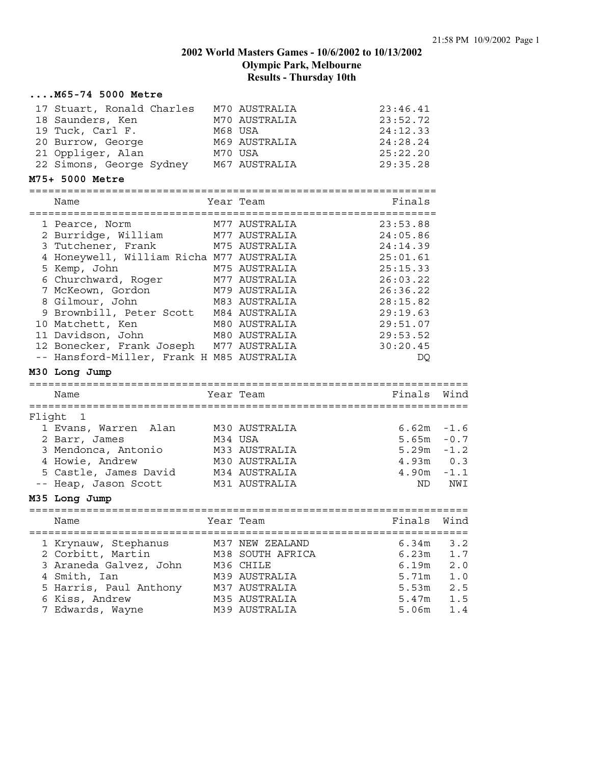|        | M65-74 5000 Metre                                                                                                                                  |                                                  |                                  |                   |
|--------|----------------------------------------------------------------------------------------------------------------------------------------------------|--------------------------------------------------|----------------------------------|-------------------|
|        | 17 Stuart, Ronald Charles M70 AUSTRALIA<br>18 Saunders, Ken<br>M68 USA<br>19 Tuck, Carl F.                                                         | M70 AUSTRALIA                                    | 23:46.41<br>23:52.72<br>24:12.33 |                   |
|        | 20 Burrow, George M69 AUSTRALIA<br>21 Oppliger, Alan M70 USA<br>22 Simons, George Sydney M67 AUSTRALIA                                             |                                                  | 24:28.24<br>25:22.20<br>29:35.28 |                   |
|        | M75+ 5000 Metre                                                                                                                                    |                                                  |                                  |                   |
|        | Name                                                                                                                                               | Year Team                                        | Finals                           |                   |
|        | 1 Pearce, Norm<br>2 Burridge, William M77 AUSTRALIA                                                                                                | M77 AUSTRALIA                                    | 23:53.88<br>24:05.86             |                   |
|        | 3 Tutchener, Frank<br>4 Honeywell, William Richa M77 AUSTRALIA                                                                                     | M75 AUSTRALIA                                    | 24:14.39<br>25:01.61             |                   |
|        | 5 Kemp, John<br>6 Churchward, Roger M77 AUSTRALIA                                                                                                  | M75 AUSTRALIA                                    | 25:15.33<br>26:03.22             |                   |
|        | 7 McKeown, Gordon<br>8 Gilmour, John                                                                                                               | M79 AUSTRALIA<br>M83 AUSTRALIA                   | 26:36.22<br>28:15.82             |                   |
|        | 9 Brownbill, Peter Scott M84 AUSTRALIA<br>0 Matchett, Ken M80 AUSTRALIA<br>1 Davidson, John M80 AUSTRALIA<br>10 Matchett, Ken<br>11 Davidson, John | M80 AUSTRALIA                                    | 29:19.63<br>29:51.07<br>29:53.52 |                   |
|        | 12 Bonecker, Frank Joseph M77 AUSTRALIA<br>-- Hansford-Miller, Frank H M85 AUSTRALIA                                                               |                                                  | 30:20.45<br>DQ                   |                   |
|        | M30 Long Jump                                                                                                                                      |                                                  |                                  |                   |
|        | Name                                                                                                                                               | Year Team                                        | Finals                           | Wind              |
| Flight | $\mathbf{1}$                                                                                                                                       |                                                  |                                  |                   |
|        | 1 Evans, Warren Alan<br>2 Barr, James<br>3 Mendonca, Antonio                                                                                       | M30 AUSTRALIA<br>M34 USA<br>M33 AUSTRALIA        | $6.62m - 1.6$<br>5.65m<br>5.29m  | $-0.7$<br>$-1.2$  |
|        | 4 Howie, Andrew<br>5 Castle, James David M34 AUSTRALIA                                                                                             | M30 AUSTRALIA                                    | 4.93m<br>$4.90m - 1.1$           | 0.3               |
|        | -- Heap, Jason Scott M31 AUSTRALIA<br>M35 Long Jump                                                                                                |                                                  | ND                               | NWI               |
|        |                                                                                                                                                    |                                                  |                                  |                   |
|        | Name                                                                                                                                               | Year Team                                        | Finals Wind                      |                   |
|        | 1 Krynauw, Stephanus<br>2 Corbitt, Martin<br>3 Araneda Galvez, John                                                                                | M37 NEW ZEALAND<br>M38 SOUTH AFRICA<br>M36 CHILE | 6.34m<br>6.23m<br>6.19m          | 3.2<br>1.7<br>2.0 |
|        | 4 Smith, Ian<br>5 Harris, Paul Anthony                                                                                                             | M39 AUSTRALIA<br>M37 AUSTRALIA                   | 5.71m<br>5.53m                   | 1.0<br>2.5        |
|        | 6 Kiss, Andrew<br>7 Edwards, Wayne                                                                                                                 | M35 AUSTRALIA<br>M39 AUSTRALIA                   | 5.47m<br>5.06m                   | 1.5<br>1.4        |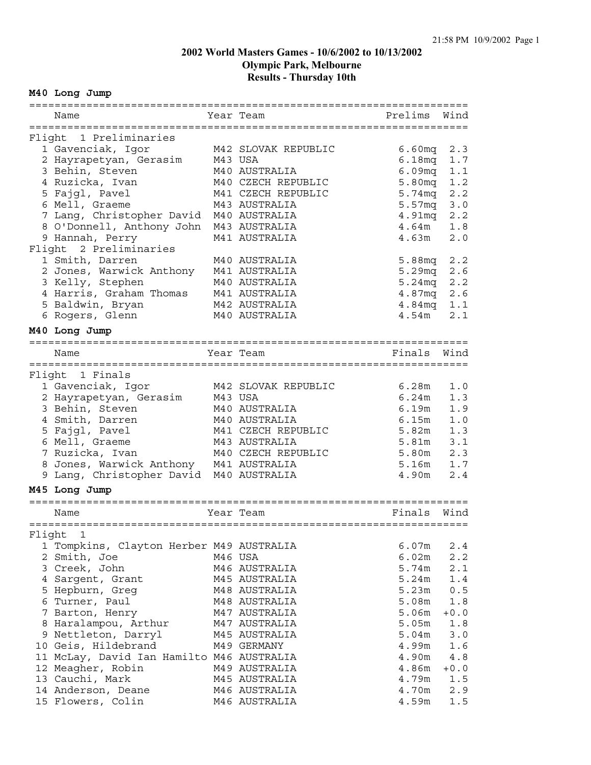# **M40 Long Jump**

| Name                                      | Year Team           | Prelims            | Wind          |
|-------------------------------------------|---------------------|--------------------|---------------|
|                                           |                     |                    |               |
| Flight 1 Preliminaries                    |                     |                    |               |
| 1 Gavenciak, Igor                         | M42 SLOVAK REPUBLIC | 6.60 <sub>mq</sub> | 2.3           |
| 2 Hayrapetyan, Gerasim                    | M43 USA             | 6.18 <sub>mq</sub> | 1.7           |
| 3 Behin, Steven                           | M40 AUSTRALIA       | 6.09 <sub>mq</sub> | 1.1           |
| 4 Ruzicka, Ivan                           | M40 CZECH REPUBLIC  | 5.80mg             | 1.2           |
| 5 Fajgl, Pavel                            | M41 CZECH REPUBLIC  | 5.74mg             | 2.2           |
| 6 Mell, Graeme                            | M43 AUSTRALIA       | 5.57 <sub>mq</sub> | 3.0           |
| 7 Lang, Christopher David                 | M40 AUSTRALIA       | 4.91mq             | 2.2           |
| 8 O'Donnell, Anthony John                 | M43 AUSTRALIA       | 4.64m              | 1.8           |
| 9 Hannah, Perry                           | M41 AUSTRALIA       | 4.63m              | 2.0           |
| Flight 2 Preliminaries                    |                     |                    |               |
| 1 Smith, Darren                           | M40 AUSTRALIA       | 5.88mq             | 2.2           |
| 2 Jones, Warwick Anthony                  | M41 AUSTRALIA       | 5.29mg             | $2.6$         |
| 3 Kelly, Stephen                          | M40 AUSTRALIA       | 5.24mg             | 2.2           |
| 4 Harris, Graham Thomas                   | M41 AUSTRALIA       | 4.87mq             | 2.6           |
| 5 Baldwin, Bryan                          | M42 AUSTRALIA       | 4.84 <sub>mq</sub> | 1.1           |
| 6 Rogers, Glenn                           | M40 AUSTRALIA       | 4.54m              | 2.1           |
|                                           |                     |                    |               |
| M40 Long Jump                             |                     |                    |               |
|                                           |                     |                    |               |
| Name                                      | Year Team           | Finals             | Wind          |
|                                           |                     |                    |               |
| Flight 1 Finals                           |                     |                    |               |
| 1 Gavenciak, Igor                         | M42 SLOVAK REPUBLIC | 6.28m              | 1.0           |
| 2 Hayrapetyan, Gerasim                    | M43 USA             | 6.24m              | 1.3           |
| 3 Behin, Steven                           | M40 AUSTRALIA       | 6.19m              | 1.9           |
| 4 Smith, Darren                           | M40 AUSTRALIA       | 6.15m              | 1.0           |
| 5 Fajgl, Pavel                            | M41 CZECH REPUBLIC  | 5.82m              | 1.3           |
| 6 Mell, Graeme                            | M43 AUSTRALIA       | 5.81m              | 3.1           |
| 7 Ruzicka, Ivan                           | M40 CZECH REPUBLIC  | 5.80m              | 2.3           |
| 8 Jones, Warwick Anthony M41 AUSTRALIA    |                     | 5.16m              | 1.7           |
| 9 Lang, Christopher David                 | M40 AUSTRALIA       | 4.90m              | 2.4           |
| M45 Long Jump                             |                     |                    |               |
|                                           |                     |                    |               |
|                                           |                     |                    |               |
| Name                                      | Year Team           | Finals             | Wind          |
|                                           |                     |                    |               |
| Flight 1                                  |                     |                    |               |
| 1 Tompkins, Clayton Herber M49 AUSTRALIA  |                     | 6.07m              | 2.4           |
| 2 Smith, Joe                              | M46 USA             | 6.02m              | 2.2           |
| 3 Creek, John                             | M46 AUSTRALIA       | 5.74m              | 2.1           |
| 4 Sargent, Grant                          | M45 AUSTRALIA       | 5.24m              | 1.4           |
| 5 Hepburn, Greg                           | M48 AUSTRALIA       | 5.23m              | $0.5$         |
| 6 Turner, Paul                            | M48 AUSTRALIA       | 5.08m              | 1.8           |
| 7 Barton, Henry                           | M47 AUSTRALIA       | 5.06m              | $+0.0$        |
| 8 Haralampou, Arthur                      | M47 AUSTRALIA       | 5.05m              | 1.8           |
| 9 Nettleton, Darryl                       | M45 AUSTRALIA       | 5.04m              | 3.0           |
| 10 Geis, Hildebrand                       | M49 GERMANY         | 4.99m              | 1.6           |
| 11 McLay, David Ian Hamilto M46 AUSTRALIA |                     | 4.90m              | $4\,\ldotp 8$ |
| 12 Meagher, Robin                         | M49 AUSTRALIA       | 4.86m              | $+0.0$        |
| 13 Cauchi, Mark                           | M45 AUSTRALIA       | 4.79m              | 1.5           |
| 14 Anderson, Deane                        | M46 AUSTRALIA       | 4.70m              | 2.9           |
| 15 Flowers, Colin                         | M46 AUSTRALIA       | 4.59m              | $1.5$         |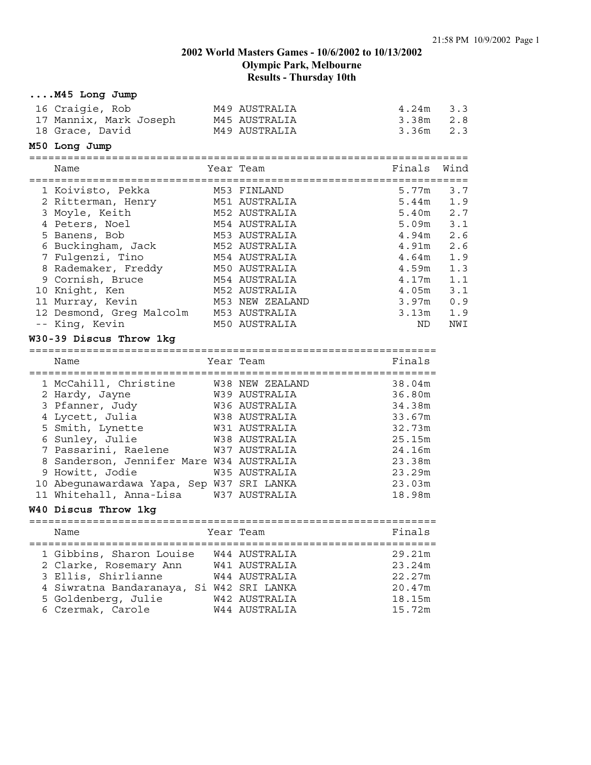| M45 Long Jump                                                   |                                          |                   |      |
|-----------------------------------------------------------------|------------------------------------------|-------------------|------|
| 16 Craigie, Rob                                                 | M49 AUSTRALIA                            | 4.24m             | 3.3  |
| 17 Mannix, Mark Joseph                                          | M45 AUSTRALIA                            | 3.38m             | 2.8  |
| 18 Grace, David                                                 | M49 AUSTRALIA                            | 3.36m             | 2.3  |
| M50 Long Jump                                                   |                                          |                   |      |
| Name                                                            | Year Team                                | Finals            | Wind |
| 1 Koivisto, Pekka                                               | M53 FINLAND                              | 5.77m             | 3.7  |
| 2 Ritterman, Henry                                              | M51 AUSTRALIA                            | 5.44m             | 1.9  |
| 3 Moyle, Keith                                                  | M52 AUSTRALIA                            | 5.40m             | 2.7  |
| 4 Peters, Noel                                                  | M54 AUSTRALIA                            | 5.09m             | 3.1  |
| 5 Banens, Bob                                                   | M53 AUSTRALIA                            | 4.94m             | 2.6  |
| 6 Buckingham, Jack                                              | M52 AUSTRALIA                            | 4.91m             | 2.6  |
| 7 Fulgenzi, Tino                                                | M54 AUSTRALIA                            | 4.64m             | 1.9  |
| 8 Rademaker, Freddy                                             | M50 AUSTRALIA                            | 4.59m             | 1.3  |
| 9 Cornish, Bruce                                                | M54 AUSTRALIA                            | 4.17m             | 1.1  |
| 10 Knight, Ken                                                  | M52 AUSTRALIA                            | 4.05m             | 3.1  |
| 11 Murray, Kevin                                                | M53 NEW ZEALAND                          | 3.97 <sub>m</sub> | 0.9  |
| 12 Desmond, Greg Malcolm                                        | M53 AUSTRALIA                            | 3.13m             | 1.9  |
| -- King, Kevin                                                  | M50 AUSTRALIA                            | ND                | NWI  |
| W30-39 Discus Throw 1kg                                         |                                          |                   |      |
|                                                                 |                                          |                   |      |
|                                                                 |                                          |                   |      |
| Name                                                            | Year Team                                | Finals            |      |
|                                                                 |                                          |                   |      |
| 1 McCahill, Christine                                           | W38 NEW ZEALAND                          | 38.04m            |      |
| 2 Hardy, Jayne                                                  | W39 AUSTRALIA                            | 36.80m            |      |
| 3 Pfanner, Judy                                                 | W36 AUSTRALIA                            | 34.38m            |      |
| 4 Lycett, Julia                                                 | W38 AUSTRALIA                            | 33.67m            |      |
| 5 Smith, Lynette                                                | W31 AUSTRALIA                            | 32.73m            |      |
| 6 Sunley, Julie                                                 | W38 AUSTRALIA                            | 25.15m            |      |
| 7 Passarini, Raelene                                            | W37 AUSTRALIA                            | 24.16m            |      |
| 8 Sanderson, Jennifer Mare W34 AUSTRALIA                        |                                          | 23.38m            |      |
| 9 Howitt, Jodie                                                 | W35 AUSTRALIA                            | 23.29m            |      |
| 10 Abegunawardawa Yapa, Sep W37 SRI LANKA                       |                                          | 23.03m            |      |
| 11 Whitehall, Anna-Lisa                                         | W37 AUSTRALIA                            | 18.98m            |      |
| W40 Discus Throw 1kg                                            |                                          |                   |      |
|                                                                 |                                          |                   |      |
| Name<br>-----------------------------                           | Year Team<br>=========================== | Finals            |      |
|                                                                 |                                          |                   |      |
| 1 Gibbins, Sharon Louise                                        | W44 AUSTRALIA                            | 29.21m            |      |
| 2 Clarke, Rosemary Ann                                          | W41 AUSTRALIA                            | 23.24m            |      |
| 3 Ellis, Shirlianne                                             | W44 AUSTRALIA                            | 22.27m            |      |
| 4 Siwratna Bandaranaya, Si W42 SRI LANKA<br>5 Goldenberg, Julie | W42 AUSTRALIA                            | 20.47m<br>18.15m  |      |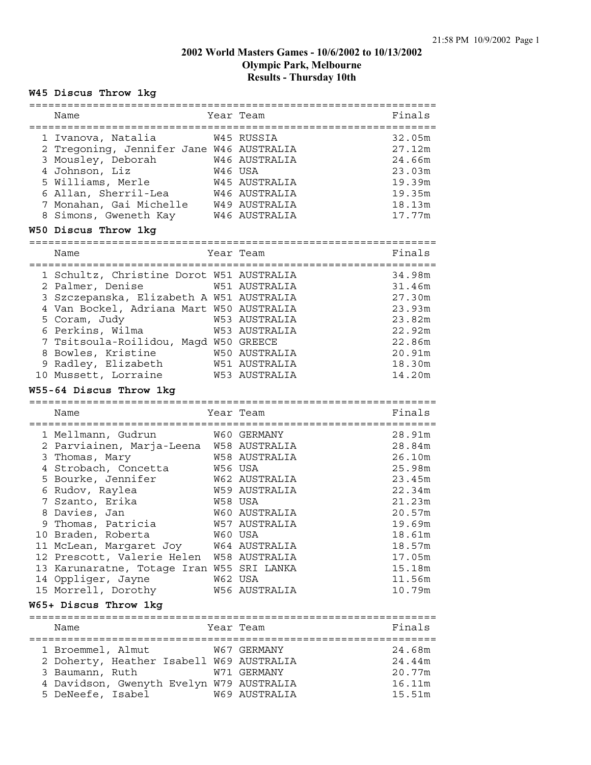#### **W45 Discus Throw 1kg**

| Name                                                        |         | Year Team                              | Finals |
|-------------------------------------------------------------|---------|----------------------------------------|--------|
| 1 Ivanova, Natalia                                          |         | W45 RUSSIA                             | 32.05m |
|                                                             |         |                                        | 27.12m |
| 2 Tregoning, Jennifer Jane W46 AUSTRALIA                    |         | W46 AUSTRALIA                          |        |
| 3 Mousley, Deborah                                          |         |                                        | 24.66m |
| 4 Johnson, Liz                                              | W46 USA |                                        | 23.03m |
| 5 Williams, Merle                                           |         | W45 AUSTRALIA                          | 19.39m |
| 6 Allan, Sherril-Lea                                        |         | W46 AUSTRALIA                          | 19.35m |
| 7 Monahan, Gai Michelle                                     |         | W49 AUSTRALIA                          | 18.13m |
| 8 Simons, Gweneth Kay                                       |         | W46 AUSTRALIA                          | 17.77m |
| W50 Discus Throw 1kg<br>==================================  |         | -------------                          |        |
| Name                                                        |         | Year Team<br>========================= | Finals |
| 1 Schultz, Christine Dorot W51 AUSTRALIA                    |         |                                        | 34.98m |
| 2 Palmer, Denise                                            |         | W51 AUSTRALIA                          | 31.46m |
| 3 Szczepanska, Elizabeth A W51 AUSTRALIA                    |         |                                        | 27.30m |
| 4 Van Bockel, Adriana Mart W50 AUSTRALIA                    |         |                                        | 23.93m |
| 5 Coram, Judy                                               |         | W53 AUSTRALIA                          | 23.82m |
| 6 Perkins, Wilma                                            |         | <b>W53 AUSTRALIA</b>                   | 22.92m |
| 7 Tsitsoula-Roilidou, Magd W50 GREECE                       |         |                                        | 22.86m |
| 8 Bowles, Kristine                                          |         | W50 AUSTRALIA                          | 20.91m |
| 9 Radley, Elizabeth                                         |         | W51 AUSTRALIA                          | 18.30m |
| 10 Mussett, Lorraine                                        |         | W53 AUSTRALIA                          | 14.20m |
| W55-64 Discus Throw 1kg<br>-------------------------------- |         | :====================                  |        |
| Name                                                        |         | Year Team                              | Finals |
| 1 Mellmann, Gudrun                                          |         | W60 GERMANY                            | 28.91m |
| 2 Parviainen, Marja-Leena W58 AUSTRALIA                     |         |                                        | 28.84m |
| 3 Thomas, Mary                                              |         | W58 AUSTRALIA                          | 26.10m |
| 4 Strobach, Concetta                                        | W56 USA |                                        | 25.98m |
| 5 Bourke, Jennifer                                          |         | W62 AUSTRALIA                          | 23.45m |
| 6 Rudov, Raylea                                             |         | W59 AUSTRALIA                          | 22.34m |
| 7 Szanto, Erika                                             | W58 USA |                                        | 21.23m |
| 8 Davies, Jan                                               |         | W60 AUSTRALIA                          | 20.57m |
| 9 Thomas, Patricia                                          |         | <b>W57 AUSTRALIA</b>                   | 19.69m |
| 10 Braden, Roberta                                          | W60 USA |                                        | 18.61m |
| 11 McLean, Margaret Joy                                     |         | W64 AUSTRALIA                          | 18.57m |
| 12 Prescott, Valerie Helen                                  |         | W58 AUSTRALIA                          | 17.05m |
| 13 Karunaratne, Totage Iran W55 SRI LANKA                   |         |                                        | 15.18m |
| 14 Oppliger, Jayne                                          | W62 USA |                                        | 11.56m |
|                                                             |         |                                        | 10.79m |
| 15 Morrell, Dorothy<br>W65+ Discus Throw 1kg                |         | W56 AUSTRALIA                          |        |
|                                                             |         |                                        |        |
| Name                                                        |         | Year Team                              | Finals |

1 Broemmel, Almut W67 GERMANY 24.68m 2 Doherty, Heather Isabell W69 AUSTRALIA 24.44m 3 Baumann, Ruth W71 GERMANY 20.77m 4 Davidson, Gwenyth Evelyn W79 AUSTRALIA 16.11m 5 DeNeefe, Isabel W69 AUSTRALIA 15.51m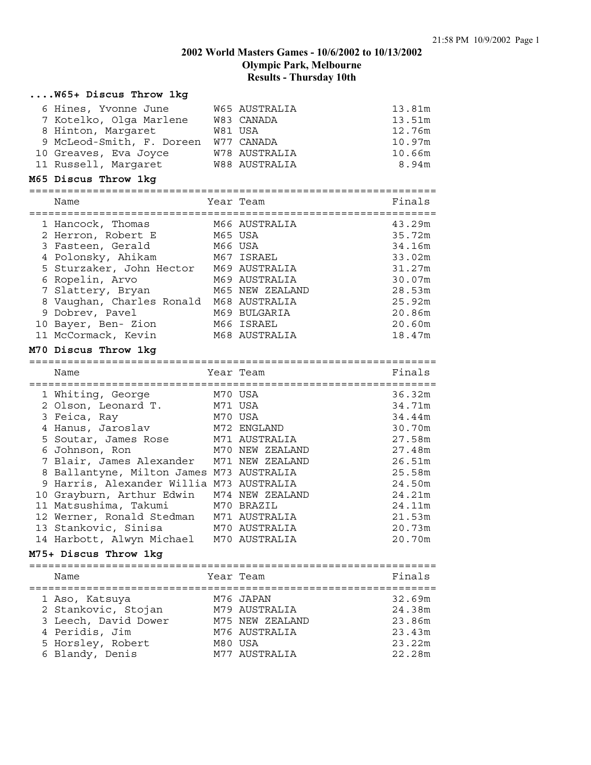#### **....W65+ Discus Throw 1kg**

| 6 Hines, Yvonne June      | W65 AUSTRALIA        | 13.81m |
|---------------------------|----------------------|--------|
| 7 Kotelko, Olga Marlene   | W83 CANADA           | 13.51m |
| 8 Hinton, Margaret        | W81 USA              | 12.76m |
| 9 McLeod-Smith, F. Doreen | W77 CANADA           | 10.97m |
| 10 Greaves, Eva Joyce     | W78 AUSTRALIA        | 10.66m |
| 11 Russell, Margaret      | <b>W88 AUSTRALIA</b> | 8.94m  |

#### **M65 Discus Throw 1kg**

| Name                      | Year Team |                 | Finals |
|---------------------------|-----------|-----------------|--------|
| 1 Hancock, Thomas         |           | M66 AUSTRALIA   | 43.29m |
| 2 Herron, Robert E        | M65 USA   |                 | 35.72m |
| 3 Fasteen, Gerald         | M66 USA   |                 | 34.16m |
| 4 Polonsky, Ahikam        |           | M67 ISRAEL      | 33.02m |
| 5 Sturzaker, John Hector  |           | M69 AUSTRALIA   | 31.27m |
| 6 Ropelin, Arvo           |           | M69 AUSTRALIA   | 30.07m |
| 7 Slattery, Bryan         |           | M65 NEW ZEALAND | 28.53m |
| 8 Vaughan, Charles Ronald |           | M68 AUSTRALIA   | 25.92m |
| 9 Dobrev, Pavel           |           | M69 BULGARIA    | 20.86m |
| 10 Bayer, Ben- Zion       |           | M66 ISRAEL      | 20.60m |
| 11 McCormack, Kevin       |           | M68 AUSTRALIA   | 18.47m |

#### **M70 Discus Throw 1kg**

================================================================

| Name                                       |         | Year Team       | Finals |
|--------------------------------------------|---------|-----------------|--------|
| 1 Whiting, George                          |         | M70 USA         | 36.32m |
| 2 Olson, Leonard T.                        | M71 USA |                 | 34.71m |
| 3 Feica, Ray                               | M70 USA |                 | 34.44m |
| 4 Hanus, Jaroslav                          |         | M72 ENGLAND     | 30.70m |
| 5 Soutar, James Rose M71 AUSTRALIA         |         |                 | 27.58m |
| 6 Johnson, Ron                             |         | M70 NEW ZEALAND | 27.48m |
| 7 Blair, James Alexander - M71 NEW ZEALAND |         |                 | 26.51m |
| 8 Ballantyne, Milton James M73 AUSTRALIA   |         |                 | 25.58m |
| 9 Harris, Alexander Willia M73 AUSTRALIA   |         |                 | 24.50m |
| 10 Grayburn, Arthur Edwin M74 NEW ZEALAND  |         |                 | 24.21m |
| 11 Matsushima, Takumi M70 BRAZIL           |         |                 | 24.11m |
| 12 Werner, Ronald Stedman M71 AUSTRALIA    |         |                 | 21.53m |
| 13 Stankovic, Sinisa M70 AUSTRALIA         |         |                 | 20.73m |
| 14 Harbott, Alwyn Michael                  |         | M70 AUSTRALIA   | 20.70m |

#### **M75+ Discus Throw 1kg**

================================================================ Name **Name** Year Team **Finals** ================================================================ 1 Aso, Katsuya M76 JAPAN 32.69m 2 Stankovic, Stojan M79 AUSTRALIA 24.38m 3 Leech, David Dower M75 NEW ZEALAND 23.86m 4 Peridis, Jim M76 AUSTRALIA 23.43m 5 Horsley, Robert M80 USA 23.22m 6 Blandy, Denis M77 AUSTRALIA 22.28m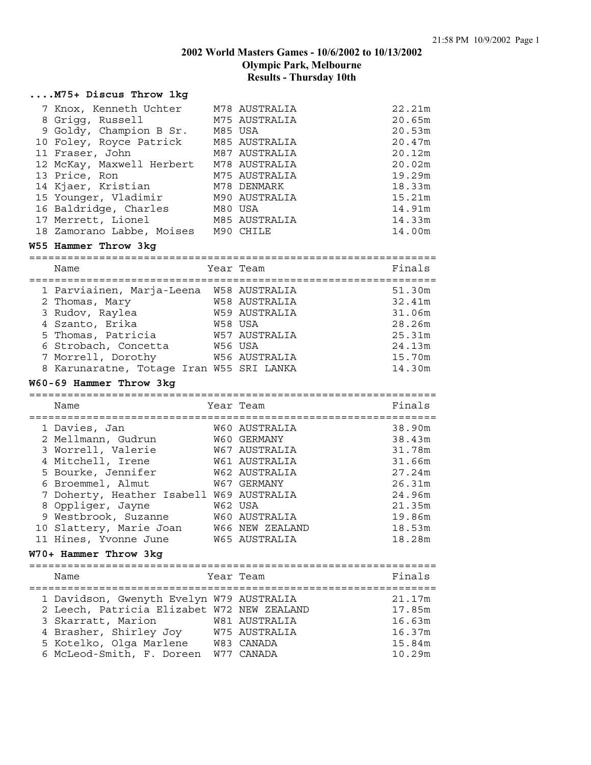# **....M75+ Discus Throw 1kg**

| 7 Knox, Kenneth Uchter M78 AUSTRALIA |               | 22.21m |
|--------------------------------------|---------------|--------|
| 8 Grigg, Russell                     | M75 AUSTRALIA | 20.65m |
| 9 Goldy, Champion B Sr.              | M85 USA       | 20.53m |
| 10 Foley, Royce Patrick              | M85 AUSTRALIA | 20.47m |
| 11 Fraser, John                      | M87 AUSTRALIA | 20.12m |
| 12 McKay, Maxwell Herbert            | M78 AUSTRALIA | 20.02m |
| 13 Price, Ron                        | M75 AUSTRALIA | 19.29m |
| 14 Kjaer, Kristian                   | M78 DENMARK   | 18.33m |
| 15 Younger, Vladimir                 | M90 AUSTRALIA | 15.21m |
| 16 Baldridge, Charles                | M80 USA       | 14.91m |
| 17 Merrett, Lionel                   | M85 AUSTRALIA | 14.33m |
| 18 Zamorano Labbe, Moises            | M90 CHILE     | 14.00m |

#### **W55 Hammer Throw 3kg**

================================================================ Name **South States** Year Team **Finals** Finals

| - 1 a bh                                 |                      |        |
|------------------------------------------|----------------------|--------|
| 1 Parviainen, Marja-Leena                | <b>W58 AUSTRALIA</b> | 51.30m |
| 2 Thomas, Mary                           | <b>W58 AUSTRALIA</b> | 32.41m |
| 3 Rudov, Raylea                          | <b>W59 AUSTRALIA</b> | 31.06m |
| 4 Szanto, Erika                          | W58 USA              | 28.26m |
| 5 Thomas, Patricia                       | W57 AUSTRALIA        | 25.31m |
| 6 Strobach, Concetta                     | W56 USA              | 24.13m |
| 7 Morrell, Dorothy                       | <b>W56 AUSTRALIA</b> | 15.70m |
| 8 Karunaratne, Totage Iran W55 SRI LANKA |                      | 14.30m |
|                                          |                      |        |

#### **W60-69 Hammer Throw 3kg**

================================================================ Name **South Strain Team** Team Team Finals

| 1 Davies, Jan                            | W60 AUSTRALIA        | 38.90m |
|------------------------------------------|----------------------|--------|
| 2 Mellmann, Gudrun                       | W60 GERMANY          | 38.43m |
| 3 Worrell, Valerie                       | W67 AUSTRALIA        | 31.78m |
| 4 Mitchell, Irene                        | W61 AUSTRALIA        | 31.66m |
| 5 Bourke, Jennifer                       | <b>W62 AUSTRALIA</b> | 27.24m |
| 6 Broemmel, Almut                        | W67 GERMANY          | 26.31m |
| 7 Doherty, Heather Isabell W69 AUSTRALIA |                      | 24.96m |
| 8 Oppliger, Jayne                        | W62 USA              | 21.35m |
| 9 Westbrook, Suzanne                     | W60 AUSTRALIA        | 19.86m |
| 10 Slattery, Marie Joan W66 NEW ZEALAND  |                      | 18.53m |
| 11 Hines, Yvonne June                    | <b>W65 AUSTRALIA</b> | 18.28m |

#### **W70+ Hammer Throw 3kg**

================================================================ Name **The Year Team** Primals Primals ================================================================ 1 Davidson, Gwenyth Evelyn W79 AUSTRALIA 21.17m 2 Leech, Patricia Elizabet W72 NEW ZEALAND 17.85m 3 Skarratt, Marion W81 AUSTRALIA 16.63m 4 Brasher, Shirley Joy W75 AUSTRALIA 16.37m 5 Kotelko, Olga Marlene W83 CANADA 15.84m 6 McLeod-Smith, F. Doreen W77 CANADA 10.29m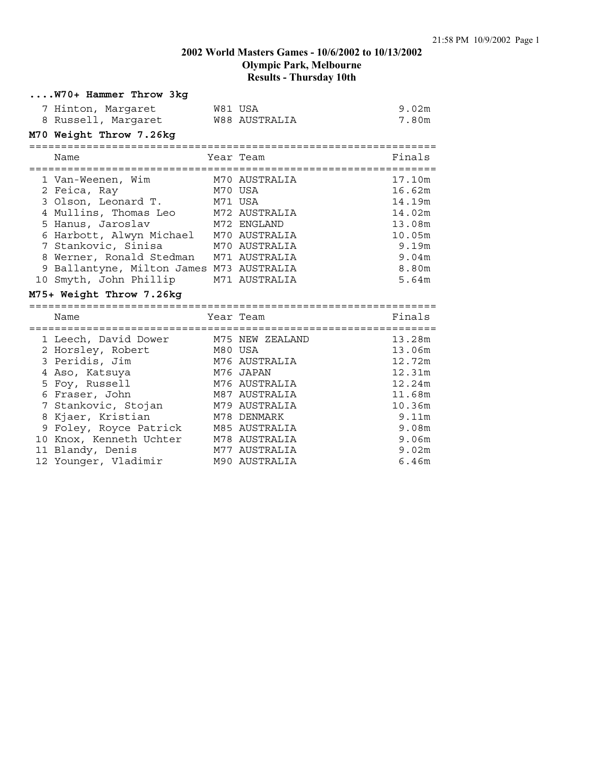| W70+ Hammer Throw 3kg      |               |        |
|----------------------------|---------------|--------|
| 7 Hinton, Margaret         | W81 USA       | 9.02m  |
| 8 Russell, Margaret        | W88 AUSTRALIA | 7.80m  |
| M70 Weight Throw 7.26kg    |               |        |
| Name                       | Year Team     | Finals |
|                            |               |        |
| 1 Van-Weenen, Wim          | M70 AUSTRALIA | 17.10m |
| 2 Feica, Ray               | M70 USA       | 16.62m |
| 3 Olson, Leonard T.        | M71 USA       | 14.19m |
| 4 Mullins, Thomas Leo      | M72 AUSTRALIA | 14.02m |
| 5 Hanus, Jaroslav          | M72 ENGLAND   | 13.08m |
| 6 Harbott, Alwyn Michael   | M70 AUSTRALIA | 10.05m |
| 7 Stankovic, Sinisa        | M70 AUSTRALIA | 9.19m  |
| 8 Werner, Ronald Stedman   | M71 AUSTRALIA | 9.04m  |
| 9 Ballantyne, Milton James | M73 AUSTRALIA | 8.80m  |
| 10 Smyth, John Phillip     | M71 AUSTRALIA | 5.64m  |

#### **M75+ Weight Throw 7.26kg**

|                                                                                                                                                                                                                                                                | Finals                                                                                                                                                                                                      |
|----------------------------------------------------------------------------------------------------------------------------------------------------------------------------------------------------------------------------------------------------------------|-------------------------------------------------------------------------------------------------------------------------------------------------------------------------------------------------------------|
|                                                                                                                                                                                                                                                                | 13.28m                                                                                                                                                                                                      |
|                                                                                                                                                                                                                                                                | 13.06m                                                                                                                                                                                                      |
|                                                                                                                                                                                                                                                                | 12.72m                                                                                                                                                                                                      |
|                                                                                                                                                                                                                                                                | 12.31m                                                                                                                                                                                                      |
|                                                                                                                                                                                                                                                                | 12.24m                                                                                                                                                                                                      |
|                                                                                                                                                                                                                                                                | 11.68m                                                                                                                                                                                                      |
|                                                                                                                                                                                                                                                                | 10.36m                                                                                                                                                                                                      |
|                                                                                                                                                                                                                                                                | 9.11m                                                                                                                                                                                                       |
|                                                                                                                                                                                                                                                                | 9.08m                                                                                                                                                                                                       |
|                                                                                                                                                                                                                                                                | 9.06m                                                                                                                                                                                                       |
|                                                                                                                                                                                                                                                                | 9.02m                                                                                                                                                                                                       |
|                                                                                                                                                                                                                                                                | 6.46m                                                                                                                                                                                                       |
| 1 Leech, David Dower<br>2 Horsley, Robert<br>3 Peridis, Jim<br>4 Aso, Katsuya<br>5 Foy, Russell<br>6 Fraser, John<br>7 Stankovic, Stojan<br>8 Kjaer, Kristian<br>9 Foley, Royce Patrick<br>10 Knox, Kenneth Uchter<br>11 Blandy, Denis<br>12 Younger, Vladimir | Year Team<br>M75 NEW ZEALAND<br>M80 USA<br>M76 AUSTRALIA<br>M76 JAPAN<br>M76 AUSTRALIA<br>M87 AUSTRALIA<br>M79 AUSTRALIA<br>M78 DENMARK<br>M85 AUSTRALIA<br>M78 AUSTRALIA<br>M77 AUSTRALIA<br>M90 AUSTRALIA |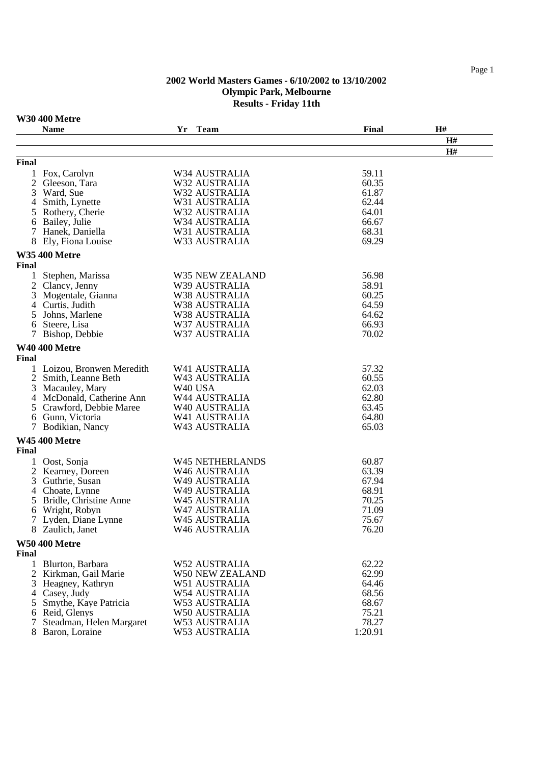# **W30 400 Metre**

|       | <b>Name</b>                | Yr | <b>Team</b>            | Final   | H# |
|-------|----------------------------|----|------------------------|---------|----|
|       |                            |    |                        |         | H# |
|       |                            |    |                        |         | H# |
| Final |                            |    |                        |         |    |
|       | 1 Fox, Carolyn             |    | W34 AUSTRALIA          | 59.11   |    |
| 2     | Gleeson, Tara              |    | W32 AUSTRALIA          | 60.35   |    |
|       | 3 Ward, Sue                |    | W32 AUSTRALIA          | 61.87   |    |
| 4     | Smith, Lynette             |    | W31 AUSTRALIA          | 62.44   |    |
|       | 5 Rothery, Cherie          |    | W32 AUSTRALIA          | 64.01   |    |
|       | 6 Bailey, Julie            |    | W34 AUSTRALIA          | 66.67   |    |
|       | 7 Hanek, Daniella          |    | W31 AUSTRALIA          | 68.31   |    |
|       | 8 Ely, Fiona Louise        |    | W33 AUSTRALIA          | 69.29   |    |
|       | <b>W35 400 Metre</b>       |    |                        |         |    |
| Final |                            |    |                        |         |    |
|       | Stephen, Marissa           |    | W35 NEW ZEALAND        | 56.98   |    |
|       | 2 Clancy, Jenny            |    | W39 AUSTRALIA          | 58.91   |    |
|       | 3 Mogentale, Gianna        |    | W38 AUSTRALIA          | 60.25   |    |
|       | 4 Curtis, Judith           |    | W38 AUSTRALIA          | 64.59   |    |
| 5     | Johns, Marlene             |    | W38 AUSTRALIA          | 64.62   |    |
| 6     | Steere, Lisa               |    | W37 AUSTRALIA          | 66.93   |    |
|       | 7 Bishop, Debbie           |    | W37 AUSTRALIA          | 70.02   |    |
|       | <b>W40 400 Metre</b>       |    |                        |         |    |
| Final |                            |    |                        |         |    |
|       | 1 Loizou, Bronwen Meredith |    | W41 AUSTRALIA          | 57.32   |    |
|       | 2 Smith, Leanne Beth       |    | W43 AUSTRALIA          | 60.55   |    |
|       | 3 Macauley, Mary           |    | W40 USA                | 62.03   |    |
|       | 4 McDonald, Catherine Ann  |    | W44 AUSTRALIA          | 62.80   |    |
|       | 5 Crawford, Debbie Maree   |    | W40 AUSTRALIA          | 63.45   |    |
|       | 6 Gunn, Victoria           |    | W41 AUSTRALIA          | 64.80   |    |
|       | Bodikian, Nancy            |    | W43 AUSTRALIA          | 65.03   |    |
|       | <b>W45 400 Metre</b>       |    |                        |         |    |
| Final |                            |    |                        |         |    |
|       | Oost, Sonja                |    | <b>W45 NETHERLANDS</b> | 60.87   |    |
|       | 2 Kearney, Doreen          |    | W46 AUSTRALIA          | 63.39   |    |
|       | 3 Guthrie, Susan           |    | W49 AUSTRALIA          | 67.94   |    |
|       | 4 Choate, Lynne            |    | W49 AUSTRALIA          | 68.91   |    |
|       | 5 Bridle, Christine Anne   |    | W45 AUSTRALIA          | 70.25   |    |
|       | 6 Wright, Robyn            |    | W47 AUSTRALIA          | 71.09   |    |
|       | 7 Lyden, Diane Lynne       |    | <b>W45 AUSTRALIA</b>   | 75.67   |    |
|       | 8 Zaulich, Janet           |    | W46 AUSTRALIA          | 76.20   |    |
|       | <b>W50 400 Metre</b>       |    |                        |         |    |
| Final |                            |    |                        |         |    |
|       | 1 Blurton, Barbara         |    | W52 AUSTRALIA          | 62.22   |    |
|       | 2 Kirkman, Gail Marie      |    | <b>W50 NEW ZEALAND</b> | 62.99   |    |
|       | 3 Heagney, Kathryn         |    | W51 AUSTRALIA          | 64.46   |    |
|       | 4 Casey, Judy              |    | W54 AUSTRALIA          | 68.56   |    |
|       | 5 Smythe, Kaye Patricia    |    | W53 AUSTRALIA          | 68.67   |    |
|       | 6 Reid, Glenys             |    | W50 AUSTRALIA          | 75.21   |    |
|       | Steadman, Helen Margaret   |    | W53 AUSTRALIA          | 78.27   |    |
|       | 8 Baron, Loraine           |    | W53 AUSTRALIA          | 1:20.91 |    |

Page 1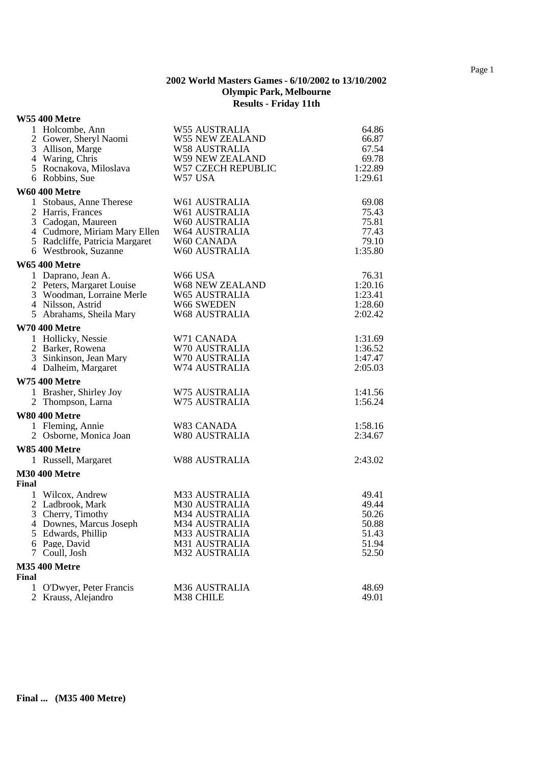#### **W55 400 Metre**

|       | 1 Holcombe, Ann                                 | <b>W55 AUSTRALIA</b>                  | 64.86            |
|-------|-------------------------------------------------|---------------------------------------|------------------|
|       | 2 Gower, Sheryl Naomi                           | <b>W55 NEW ZEALAND</b>                | 66.87            |
|       | 3 Allison, Marge                                | <b>W58 AUSTRALIA</b>                  | 67.54            |
|       | 4 Waring, Chris<br>5 Rocnakova, Miloslava       | W59 NEW ZEALAND<br>W57 CZECH REPUBLIC | 69.78<br>1:22.89 |
|       | 6 Robbins, Sue                                  | W57 USA                               | 1:29.61          |
|       |                                                 |                                       |                  |
|       | <b>W60 400 Metre</b><br>1 Stobaus, Anne Therese | W61 AUSTRALIA                         | 69.08            |
|       | 2 Harris, Frances                               | W61 AUSTRALIA                         | 75.43            |
|       | 3 Cadogan, Maureen                              | W60 AUSTRALIA                         | 75.81            |
|       | 4 Cudmore, Miriam Mary Ellen                    | <b>W64 AUSTRALIA</b>                  | 77.43            |
|       | 5 Radcliffe, Patricia Margaret                  | W60 CANADA                            | 79.10            |
|       | 6 Westbrook, Suzanne                            | W60 AUSTRALIA                         | 1:35.80          |
|       | <b>W65 400 Metre</b>                            |                                       |                  |
|       | 1 Daprano, Jean A.                              | W66 USA                               | 76.31            |
|       | 2 Peters, Margaret Louise                       | <b>W68 NEW ZEALAND</b>                | 1:20.16          |
|       | 3 Woodman, Lorraine Merle                       | <b>W65 AUSTRALIA</b>                  | 1:23.41          |
|       | 4 Nilsson, Astrid                               | W66 SWEDEN                            | 1:28.60          |
|       | 5 Abrahams, Sheila Mary                         | <b>W68 AUSTRALIA</b>                  | 2:02.42          |
|       | <b>W70 400 Metre</b>                            |                                       |                  |
|       | 1 Hollicky, Nessie                              | W71 CANADA                            | 1:31.69          |
|       | 2 Barker, Rowena                                | W70 AUSTRALIA                         | 1:36.52          |
|       | 3 Sinkinson, Jean Mary                          | W70 AUSTRALIA                         | 1:47.47          |
|       | 4 Dalheim, Margaret                             | W74 AUSTRALIA                         | 2:05.03          |
|       | <b>W75 400 Metre</b>                            |                                       |                  |
|       | 1 Brasher, Shirley Joy                          | W75 AUSTRALIA                         | 1:41.56          |
|       | 2 Thompson, Larna                               | W75 AUSTRALIA                         | 1:56.24          |
|       | <b>W80 400 Metre</b>                            |                                       |                  |
|       | 1 Fleming, Annie                                | W83 CANADA                            | 1:58.16          |
|       | 2 Osborne, Monica Joan                          | W80 AUSTRALIA                         | 2:34.67          |
|       | <b>W85 400 Metre</b>                            |                                       |                  |
|       | 1 Russell, Margaret                             | <b>W88 AUSTRALIA</b>                  | 2:43.02          |
|       | <b>M30 400 Metre</b>                            |                                       |                  |
| Final |                                                 |                                       |                  |
|       | 1 Wilcox, Andrew                                | M33 AUSTRALIA                         | 49.41            |
|       | 2 Ladbrook, Mark                                | <b>M30 AUSTRALIA</b>                  | 49.44            |
|       | 3 Cherry, Timothy                               | <b>M34 AUSTRALIA</b>                  | 50.26            |
|       | 4 Downes, Marcus Joseph                         | M34 AUSTRALIA                         | 50.88            |
|       | 5 Edwards, Phillip<br>6 Page, David             | M33 AUSTRALIA<br>M31 AUSTRALIA        | 51.43            |
| 7     | Coull, Josh                                     | <b>M32 AUSTRALIA</b>                  | 51.94<br>52.50   |
|       |                                                 |                                       |                  |
| Final | <b>M35 400 Metre</b>                            |                                       |                  |
| 1     | O'Dwyer, Peter Francis                          | <b>M36 AUSTRALIA</b>                  | 48.69            |
| 2     | Krauss, Alejandro                               | M38 CHILE                             | 49.01            |
|       |                                                 |                                       |                  |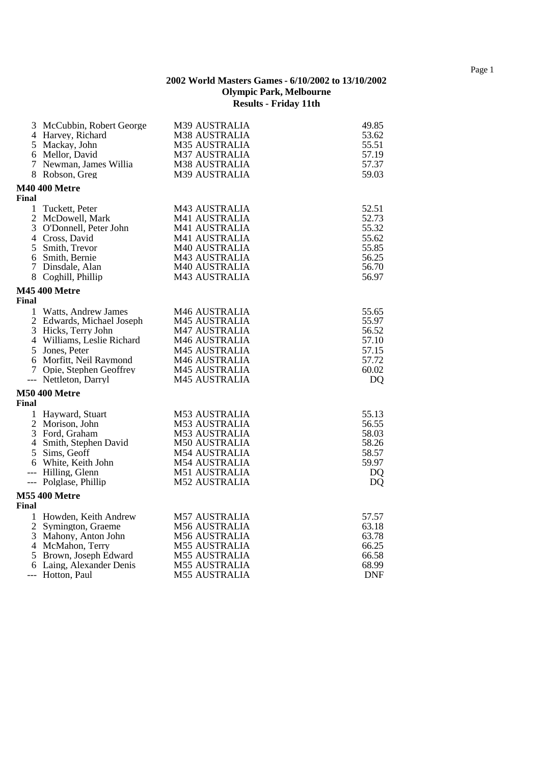|              | 3 McCubbin, Robert George<br>4 Harvey, Richard | M39 AUSTRALIA<br><b>M38 AUSTRALIA</b> | 49.85<br>53.62 |
|--------------|------------------------------------------------|---------------------------------------|----------------|
|              | 5 Mackay, John                                 | <b>M35 AUSTRALIA</b>                  | 55.51          |
|              | 6 Mellor, David                                | <b>M37 AUSTRALIA</b>                  | 57.19          |
|              | 7 Newman, James Willia                         | M38 AUSTRALIA                         | 57.37          |
|              | 8 Robson, Greg                                 | M39 AUSTRALIA                         | 59.03          |
| Final        | <b>M40 400 Metre</b>                           |                                       |                |
| $\mathbf{1}$ | Tuckett, Peter                                 | M43 AUSTRALIA                         | 52.51          |
|              | 2 McDowell, Mark                               | M41 AUSTRALIA                         | 52.73          |
|              | 3 O'Donnell, Peter John                        | M41 AUSTRALIA                         | 55.32          |
|              | 4 Cross, David                                 | M41 AUSTRALIA                         | 55.62          |
|              | 5 Smith, Trevor                                | M40 AUSTRALIA                         | 55.85          |
|              | 6 Smith, Bernie                                | M43 AUSTRALIA                         | 56.25          |
|              | 7 Dinsdale, Alan                               | M40 AUSTRALIA                         | 56.70          |
|              | 8 Coghill, Phillip                             | M43 AUSTRALIA                         | 56.97          |
| Final        | <b>M45 400 Metre</b>                           |                                       |                |
| $\mathbf{1}$ | Watts, Andrew James                            | M <sub>46</sub> AUSTRALIA             | 55.65          |
|              | 2 Edwards, Michael Joseph                      | <b>M45 AUSTRALIA</b>                  | 55.97          |
|              | 3 Hicks, Terry John                            | <b>M47 AUSTRALIA</b>                  | 56.52          |
|              | 4 Williams, Leslie Richard                     | M46 AUSTRALIA                         | 57.10          |
|              | 5 Jones, Peter                                 | <b>M45 AUSTRALIA</b>                  | 57.15          |
|              | 6 Morfitt, Neil Raymond                        | M46 AUSTRALIA                         | 57.72          |
|              | 7 Opie, Stephen Geoffrey                       | <b>M45 AUSTRALIA</b>                  | 60.02          |
|              | --- Nettleton, Darryl                          | <b>M45 AUSTRALIA</b>                  | <b>DQ</b>      |
| Final        | <b>M50 400 Metre</b>                           |                                       |                |
|              | 1 Hayward, Stuart                              | <b>M53 AUSTRALIA</b>                  | 55.13          |
|              | 2 Morison, John                                | <b>M53 AUSTRALIA</b>                  | 56.55          |
|              | 3 Ford, Graham                                 | <b>M53 AUSTRALIA</b>                  | 58.03          |
|              | 4 Smith, Stephen David                         | <b>M50 AUSTRALIA</b>                  | 58.26          |
|              | 5 Sims, Geoff                                  | M54 AUSTRALIA                         | 58.57          |
|              | 6 White, Keith John                            | <b>M54 AUSTRALIA</b>                  | 59.97          |
|              | --- Hilling, Glenn                             | <b>M51 AUSTRALIA</b>                  | D <sub>O</sub> |
|              | --- Polglase, Phillip                          | <b>M52 AUSTRALIA</b>                  | <b>DQ</b>      |
| Final        | <b>M55 400 Metre</b>                           |                                       |                |
|              |                                                | <b>M57 AUSTRALIA</b>                  |                |
|              | 1 Howden, Keith Andrew<br>2 Symington, Graeme  | <b>M56 AUSTRALIA</b>                  | 57.57<br>63.18 |
|              | 3 Mahony, Anton John                           | <b>M56 AUSTRALIA</b>                  | 63.78          |
|              | 4 McMahon, Terry                               | M55 AUSTRALIA                         | 66.25          |
|              | 5 Brown, Joseph Edward                         | <b>M55 AUSTRALIA</b>                  | 66.58          |
|              | 6 Laing, Alexander Denis                       | <b>M55 AUSTRALIA</b>                  | 68.99          |
|              | --- Hotton, Paul                               | <b>M55 AUSTRALIA</b>                  | <b>DNF</b>     |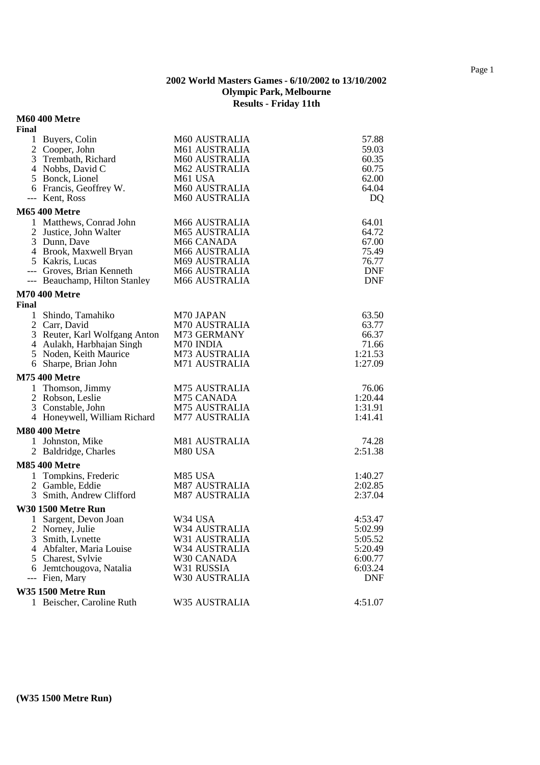#### **M60 400 Metre**

| Final                                         |                             |                    |
|-----------------------------------------------|-----------------------------|--------------------|
| 1 Buyers, Colin                               | M60 AUSTRALIA               | 57.88              |
| 2 Cooper, John                                | M61 AUSTRALIA               | 59.03              |
| 3 Trembath, Richard                           | M60 AUSTRALIA               | 60.35              |
| 4 Nobbs, David C                              | <b>M62 AUSTRALIA</b>        | 60.75              |
| 5 Bonck, Lionel                               | M61 USA                     | 62.00              |
| 6 Francis, Geoffrey W.                        | <b>M60 AUSTRALIA</b>        | 64.04              |
| --- Kent, Ross                                | M60 AUSTRALIA               | D <sub>Q</sub>     |
| <b>M65 400 Metre</b>                          |                             |                    |
| 1 Matthews, Conrad John                       | M66 AUSTRALIA               | 64.01              |
| 2 Justice, John Walter                        | <b>M65 AUSTRALIA</b>        | 64.72              |
| 3 Dunn, Dave                                  | M66 CANADA                  | 67.00              |
| 4 Brook, Maxwell Bryan                        | M66 AUSTRALIA               | 75.49              |
| 5 Kakris, Lucas                               | M69 AUSTRALIA               | 76.77              |
| --- Groves, Brian Kenneth                     | M66 AUSTRALIA               | <b>DNF</b>         |
| --- Beauchamp, Hilton Stanley                 | M66 AUSTRALIA               | <b>DNF</b>         |
| <b>M70 400 Metre</b>                          |                             |                    |
| Final                                         |                             |                    |
| 1 Shindo, Tamahiko                            | M70 JAPAN                   | 63.50              |
| 2 Carr, David                                 | <b>M70 AUSTRALIA</b>        | 63.77              |
| 3 Reuter, Karl Wolfgang Anton                 | M73 GERMANY                 | 66.37              |
| 4 Aulakh, Harbhajan Singh                     | M70 INDIA                   | 71.66              |
| 5 Noden, Keith Maurice                        | M73 AUSTRALIA               | 1:21.53            |
| 6 Sharpe, Brian John                          | M71 AUSTRALIA               | 1:27.09            |
| <b>M75 400 Metre</b>                          |                             |                    |
| 1 Thomson, Jimmy                              | <b>M75 AUSTRALIA</b>        | 76.06              |
| 2 Robson, Leslie                              | M75 CANADA                  | 1:20.44            |
| 3 Constable, John                             | <b>M75 AUSTRALIA</b>        | 1:31.91            |
| 4 Honeywell, William Richard                  | <b>M77 AUSTRALIA</b>        | 1:41.41            |
| <b>M80 400 Metre</b>                          |                             |                    |
| 1 Johnston, Mike                              | M81 AUSTRALIA               | 74.28              |
| 2 Baldridge, Charles                          | M80 USA                     | 2:51.38            |
| <b>M85 400 Metre</b>                          |                             |                    |
| 1 Tompkins, Frederic                          | M85 USA                     | 1:40.27            |
| 2 Gamble, Eddie                               | <b>M87 AUSTRALIA</b>        | 2:02.85            |
| 3 Smith, Andrew Clifford                      | <b>M87 AUSTRALIA</b>        | 2:37.04            |
|                                               |                             |                    |
| <b>W30 1500 Metre Run</b>                     |                             |                    |
| 1 Sargent, Devon Joan                         | W34 USA                     | 4:53.47            |
| 2 Norney, Julie                               | W34 AUSTRALIA               | 5:02.99            |
| 3 Smith, Lynette                              | W31 AUSTRALIA               | 5:05.52            |
| 4 Abfalter, Maria Louise<br>5 Charest, Sylvie | W34 AUSTRALIA<br>W30 CANADA | 5:20.49            |
| Jemtchougova, Natalia<br>6                    | W31 RUSSIA                  | 6:00.77<br>6:03.24 |
| Fien, Mary<br>---                             | W30 AUSTRALIA               | <b>DNF</b>         |
|                                               |                             |                    |
| W35 1500 Metre Run                            |                             |                    |
| 1 Beischer, Caroline Ruth                     | W35 AUSTRALIA               | 4:51.07            |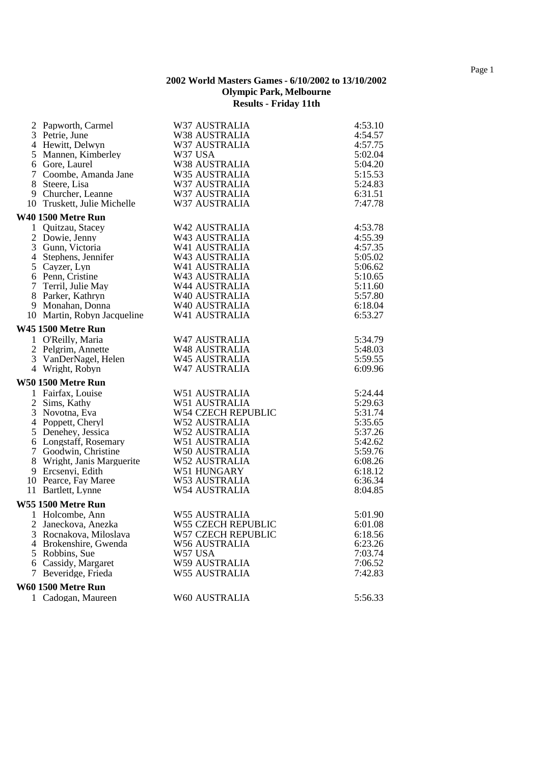| 3 Petrie, June              |                      |         |
|-----------------------------|----------------------|---------|
|                             | W38 AUSTRALIA        | 4:54.57 |
| 4 Hewitt, Delwyn            | W37 AUSTRALIA        | 4:57.75 |
| 5 Mannen, Kimberley         | W37 USA              | 5:02.04 |
| 6 Gore, Laurel              | W38 AUSTRALIA        | 5:04.20 |
| 7 Coombe, Amanda Jane       | W35 AUSTRALIA        | 5:15.53 |
| 8 Steere, Lisa              | W37 AUSTRALIA        | 5:24.83 |
| 9 Churcher, Leanne          | W37 AUSTRALIA        | 6:31.51 |
| 10 Truskett, Julie Michelle | W37 AUSTRALIA        | 7:47.78 |
| <b>W40 1500 Metre Run</b>   |                      |         |
| 1 Quitzau, Stacey           | W42 AUSTRALIA        | 4:53.78 |
| 2 Dowie, Jenny              | W43 AUSTRALIA        | 4:55.39 |
| 3 Gunn, Victoria            | W41 AUSTRALIA        | 4:57.35 |
| 4 Stephens, Jennifer        | W43 AUSTRALIA        | 5:05.02 |
| 5 Cayzer, Lyn               | W41 AUSTRALIA        | 5:06.62 |
| 6 Penn, Cristine            | W43 AUSTRALIA        | 5:10.65 |
| 7 Terril, Julie May         | W44 AUSTRALIA        | 5:11.60 |
| 8 Parker, Kathryn           | W40 AUSTRALIA        | 5:57.80 |
| 9 Monahan, Donna            | W40 AUSTRALIA        | 6:18.04 |
| 10 Martin, Robyn Jacqueline | W41 AUSTRALIA        | 6:53.27 |
| <b>W45 1500 Metre Run</b>   |                      |         |
| 1 O'Reilly, Maria           | W47 AUSTRALIA        | 5:34.79 |
| 2 Pelgrim, Annette          | W48 AUSTRALIA        | 5:48.03 |
| 3 VanDerNagel, Helen        | W45 AUSTRALIA        | 5:59.55 |
| 4 Wright, Robyn             | W47 AUSTRALIA        | 6:09.96 |
| <b>W50 1500 Metre Run</b>   |                      |         |
| 1 Fairfax, Louise           | W51 AUSTRALIA        | 5:24.44 |
| 2 Sims, Kathy               | W51 AUSTRALIA        | 5:29.63 |
| 3 Novotna, Eva              | W54 CZECH REPUBLIC   | 5:31.74 |
| 4 Poppett, Cheryl           | <b>W52 AUSTRALIA</b> | 5:35.65 |
| 5 Denehey, Jessica          | W52 AUSTRALIA        | 5:37.26 |
| 6 Longstaff, Rosemary       | W51 AUSTRALIA        | 5:42.62 |
| 7 Goodwin, Christine        | W50 AUSTRALIA        | 5:59.76 |
| 8 Wright, Janis Marguerite  | <b>W52 AUSTRALIA</b> | 6:08.26 |
| 9 Ercsenyi, Edith           | W51 HUNGARY          | 6:18.12 |
| 10 Pearce, Fay Maree        | W53 AUSTRALIA        | 6:36.34 |
| 11 Bartlett, Lynne          | W54 AUSTRALIA        | 8:04.85 |
| <b>W55 1500 Metre Run</b>   |                      |         |
| 1 Holcombe, Ann             | <b>W55 AUSTRALIA</b> | 5:01.90 |
| 2 Janeckova, Anezka         | W55 CZECH REPUBLIC   | 6:01.08 |
| 3 Rocnakova, Miloslava      | W57 CZECH REPUBLIC   | 6:18.56 |
| 4 Brokenshire, Gwenda       | <b>W56 AUSTRALIA</b> | 6:23.26 |
| 5 Robbins, Sue              | W57 USA              | 7:03.74 |
| 6 Cassidy, Margaret         | W59 AUSTRALIA        | 7:06.52 |
| 7 Beveridge, Frieda         | <b>W55 AUSTRALIA</b> | 7:42.83 |
| W60 1500 Metre Run          |                      |         |
| 1 Cadogan, Maureen          | W60 AUSTRALIA        | 5:56.33 |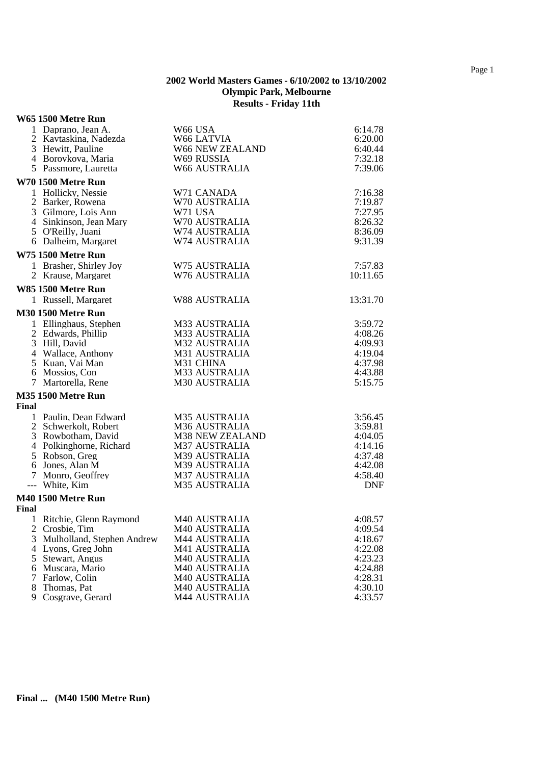#### **W65 1500 Metre Run**

| 1 Daprano, Jean A.<br>2 Kavtaskina, Nadezda   | W66 USA<br>W66 LATVIA          | 6:14.78<br>6:20.00 |
|-----------------------------------------------|--------------------------------|--------------------|
| 3 Hewitt, Pauline                             | W66 NEW ZEALAND                | 6:40.44            |
| 4 Borovkova, Maria                            | W69 RUSSIA                     | 7:32.18            |
| 5 Passmore, Lauretta                          | W66 AUSTRALIA                  | 7:39.06            |
|                                               |                                |                    |
| <b>W70 1500 Metre Run</b>                     |                                |                    |
| 1 Hollicky, Nessie                            | W71 CANADA                     | 7:16.38            |
| 2 Barker, Rowena                              | W70 AUSTRALIA                  | 7:19.87            |
| 3 Gilmore, Lois Ann<br>4 Sinkinson, Jean Mary | W71 USA                        | 7:27.95            |
|                                               | W70 AUSTRALIA<br>W74 AUSTRALIA | 8:26.32            |
| 5 O'Reilly, Juani<br>6 Dalheim, Margaret      | W74 AUSTRALIA                  | 8:36.09<br>9:31.39 |
|                                               |                                |                    |
| W75 1500 Metre Run                            |                                |                    |
| 1 Brasher, Shirley Joy                        | W75 AUSTRALIA                  | 7:57.83            |
| 2 Krause, Margaret                            | W76 AUSTRALIA                  | 10:11.65           |
| W85 1500 Metre Run                            |                                |                    |
| 1 Russell, Margaret                           | <b>W88 AUSTRALIA</b>           | 13:31.70           |
| <b>M30 1500 Metre Run</b>                     |                                |                    |
| 1 Ellinghaus, Stephen                         | M33 AUSTRALIA                  | 3:59.72            |
| 2 Edwards, Phillip                            | M33 AUSTRALIA                  | 4:08.26            |
| 3 Hill, David                                 | <b>M32 AUSTRALIA</b>           | 4:09.93            |
| 4 Wallace, Anthony                            | M31 AUSTRALIA                  | 4:19.04            |
| 5 Kuan, Vai Man                               | M31 CHINA                      | 4:37.98            |
| 6 Mossios, Con                                | M33 AUSTRALIA                  | 4:43.88            |
| 7 Martorella, Rene                            | M30 AUSTRALIA                  | 5:15.75            |
| <b>M35 1500 Metre Run</b>                     |                                |                    |
| Final                                         |                                |                    |
| 1 Paulin, Dean Edward                         | <b>M35 AUSTRALIA</b>           | 3:56.45            |
| 2 Schwerkolt, Robert                          | M36 AUSTRALIA                  | 3:59.81            |
| 3 Rowbotham, David                            | <b>M38 NEW ZEALAND</b>         | 4:04.05            |
| 4 Polkinghorne, Richard                       | <b>M37 AUSTRALIA</b>           | 4:14.16            |
| 5 Robson, Greg                                | M39 AUSTRALIA                  | 4:37.48            |
| 6 Jones, Alan M                               | M39 AUSTRALIA                  | 4:42.08            |
| 7 Monro, Geoffrey                             | <b>M37 AUSTRALIA</b>           | 4:58.40            |
| --- White, Kim                                | <b>M35 AUSTRALIA</b>           | <b>DNF</b>         |
| <b>M40 1500 Metre Run</b>                     |                                |                    |
| Final                                         |                                |                    |
| 1 Ritchie, Glenn Raymond                      | M40 AUSTRALIA                  | 4:08.57            |
| 2 Crosbie, Tim                                | M40 AUSTRALIA                  | 4:09.54            |
| 3 Mulholland, Stephen Andrew                  | <b>M44 AUSTRALIA</b>           | 4:18.67            |
| 4 Lyons, Greg John                            | M41 AUSTRALIA                  | 4:22.08            |
| 5 Stewart, Angus                              | M40 AUSTRALIA                  | 4:23.23            |
| 6 Muscara, Mario                              | M40 AUSTRALIA                  | 4:24.88            |
| Farlow, Colin<br>7                            | M40 AUSTRALIA                  | 4:28.31            |
| 8<br>Thomas, Pat                              | M40 AUSTRALIA                  | 4:30.10            |
| Cosgrave, Gerard<br>9                         | M44 AUSTRALIA                  | 4:33.57            |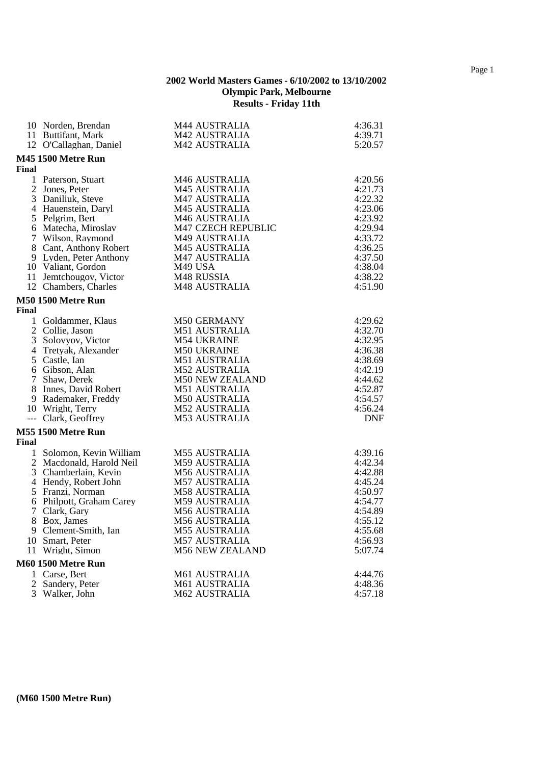|                | 10 Norden, Brendan        | <b>M44 AUSTRALIA</b>   | 4:36.31    |
|----------------|---------------------------|------------------------|------------|
|                | 11 Buttifant, Mark        | M42 AUSTRALIA          | 4:39.71    |
|                | 12 O'Callaghan, Daniel    | M42 AUSTRALIA          | 5:20.57    |
|                | <b>M45 1500 Metre Run</b> |                        |            |
| Final          |                           |                        |            |
|                | 1 Paterson, Stuart        | M46 AUSTRALIA          | 4:20.56    |
|                | 2 Jones, Peter            | <b>M45 AUSTRALIA</b>   | 4:21.73    |
|                | 3 Daniliuk, Steve         | M47 AUSTRALIA          | 4:22.32    |
|                | 4 Hauenstein, Daryl       | <b>M45 AUSTRALIA</b>   | 4:23.06    |
|                | 5 Pelgrim, Bert           | M46 AUSTRALIA          | 4:23.92    |
|                | 6 Matecha, Miroslav       | M47 CZECH REPUBLIC     | 4:29.94    |
|                | 7 Wilson, Raymond         | M49 AUSTRALIA          | 4:33.72    |
|                | 8 Cant, Anthony Robert    | <b>M45 AUSTRALIA</b>   | 4:36.25    |
|                | 9 Lyden, Peter Anthony    | <b>M47 AUSTRALIA</b>   | 4:37.50    |
|                | 10 Valiant, Gordon        | M49 USA                | 4:38.04    |
|                | 11 Jemtchougov, Victor    | M48 RUSSIA             | 4:38.22    |
|                | 12 Chambers, Charles      | <b>M48 AUSTRALIA</b>   | 4:51.90    |
|                | <b>M50 1500 Metre Run</b> |                        |            |
| Final          |                           |                        |            |
| $\mathbf{1}$   | Goldammer, Klaus          | M50 GERMANY            | 4:29.62    |
|                | 2 Collie, Jason           | M51 AUSTRALIA          | 4:32.70    |
|                | 3 Solovyov, Victor        | <b>M54 UKRAINE</b>     | 4:32.95    |
|                | 4 Tretyak, Alexander      | <b>M50 UKRAINE</b>     | 4:36.38    |
|                | 5 Castle, Ian             | <b>M51 AUSTRALIA</b>   | 4:38.69    |
|                | 6 Gibson, Alan            | <b>M52 AUSTRALIA</b>   | 4:42.19    |
| 7 <sup>1</sup> | Shaw, Derek               | <b>M50 NEW ZEALAND</b> | 4:44.62    |
|                | 8 Innes, David Robert     | <b>M51 AUSTRALIA</b>   | 4:52.87    |
|                | 9 Rademaker, Freddy       | <b>M50 AUSTRALIA</b>   | 4:54.57    |
|                | 10 Wright, Terry          | <b>M52 AUSTRALIA</b>   | 4:56.24    |
|                | --- Clark, Geoffrey       | <b>M53 AUSTRALIA</b>   | <b>DNF</b> |
|                | <b>M55 1500 Metre Run</b> |                        |            |
| Final          |                           |                        |            |
| $\mathbf{1}$   | Solomon, Kevin William    | <b>M55 AUSTRALIA</b>   | 4:39.16    |
|                | 2 Macdonald, Harold Neil  | <b>M59 AUSTRALIA</b>   | 4:42.34    |
|                | 3 Chamberlain, Kevin      | <b>M56 AUSTRALIA</b>   | 4:42.88    |
|                | 4 Hendy, Robert John      | <b>M57 AUSTRALIA</b>   | 4:45.24    |
|                | 5 Franzi, Norman          | M58 AUSTRALIA          | 4:50.97    |
|                | 6 Philpott, Graham Carey  | <b>M59 AUSTRALIA</b>   | 4:54.77    |
|                | 7 Clark, Gary             | <b>M56 AUSTRALIA</b>   | 4:54.89    |
|                | 8 Box, James              | <b>M56 AUSTRALIA</b>   | 4:55.12    |
|                | 9 Clement-Smith, Ian      | <b>M55 AUSTRALIA</b>   | 4:55.68    |
|                | 10 Smart, Peter           | <b>M57 AUSTRALIA</b>   | 4:56.93    |
|                | 11 Wright, Simon          | <b>M56 NEW ZEALAND</b> | 5:07.74    |
|                | <b>M60 1500 Metre Run</b> |                        |            |
|                | 1 Carse, Bert             | M61 AUSTRALIA          | 4:44.76    |
|                | 2 Sandery, Peter          | M61 AUSTRALIA          | 4:48.36    |
|                | 3 Walker, John            | <b>M62 AUSTRALIA</b>   | 4:57.18    |
|                |                           |                        |            |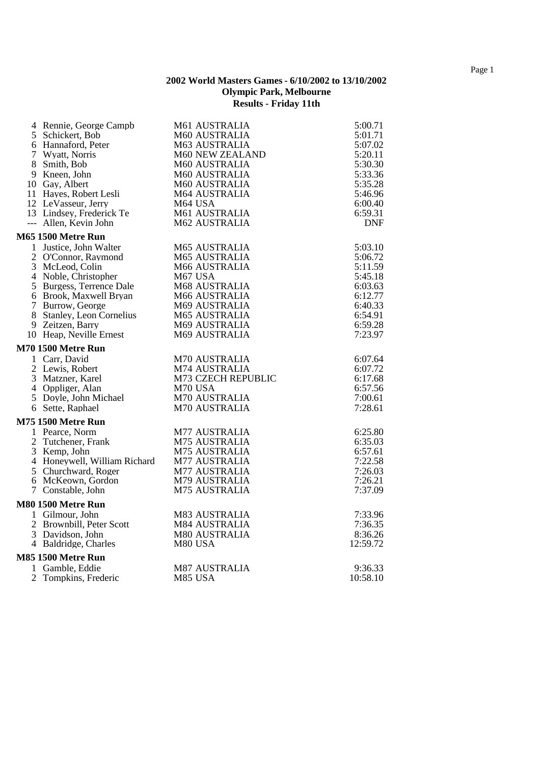| 4 Rennie, George Campb       | M61 AUSTRALIA        | 5:00.71    |
|------------------------------|----------------------|------------|
| 5 Schickert, Bob             | M60 AUSTRALIA        | 5:01.71    |
| 6 Hannaford, Peter           | M63 AUSTRALIA        | 5:07.02    |
| 7 Wyatt, Norris              | M60 NEW ZEALAND      | 5:20.11    |
| 8 Smith, Bob                 | M60 AUSTRALIA        | 5:30.30    |
| 9 Kneen, John                | M60 AUSTRALIA        | 5:33.36    |
| 10 Gay, Albert               | M60 AUSTRALIA        | 5:35.28    |
| 11 Hayes, Robert Lesli       | M64 AUSTRALIA        | 5:46.96    |
| 12 LeVasseur, Jerry          | M64 USA              | 6:00.40    |
| 13 Lindsey, Frederick Te     | M61 AUSTRALIA        | 6:59.31    |
| --- Allen, Kevin John        | M62 AUSTRALIA        | <b>DNF</b> |
| <b>M65 1500 Metre Run</b>    |                      |            |
| 1 Justice, John Walter       | M65 AUSTRALIA        | 5:03.10    |
| 2 O'Connor, Raymond          | M65 AUSTRALIA        | 5:06.72    |
| 3 McLeod, Colin              | M66 AUSTRALIA        | 5:11.59    |
| 4 Noble, Christopher         | M67 USA              | 5:45.18    |
| 5 Burgess, Terrence Dale     | M68 AUSTRALIA        | 6:03.63    |
| 6 Brook, Maxwell Bryan       | M66 AUSTRALIA        | 6:12.77    |
| 7 Burrow, George             | M69 AUSTRALIA        | 6:40.33    |
| 8 Stanley, Leon Cornelius    | M65 AUSTRALIA        | 6:54.91    |
| 9 Zeitzen, Barry             | M69 AUSTRALIA        | 6:59.28    |
| 10 Heap, Neville Ernest      | M69 AUSTRALIA        | 7:23.97    |
| <b>M70 1500 Metre Run</b>    |                      |            |
| 1 Carr, David                | M70 AUSTRALIA        | 6:07.64    |
| 2 Lewis, Robert              | M74 AUSTRALIA        | 6:07.72    |
| 3 Matzner, Karel             | M73 CZECH REPUBLIC   | 6:17.68    |
| 4 Oppliger, Alan             | M70 USA              | 6:57.56    |
| 5 Doyle, John Michael        | M70 AUSTRALIA        | 7:00.61    |
| 6 Sette, Raphael             | M70 AUSTRALIA        | 7:28.61    |
| <b>M75 1500 Metre Run</b>    |                      |            |
| 1 Pearce, Norm               | M77 AUSTRALIA        | 6:25.80    |
| 2 Tutchener, Frank           | M75 AUSTRALIA        | 6:35.03    |
| 3 Kemp, John                 | M75 AUSTRALIA        | 6:57.61    |
| 4 Honeywell, William Richard | <b>M77 AUSTRALIA</b> | 7:22.58    |
| 5 Churchward, Roger          | M77 AUSTRALIA        | 7:26.03    |
| 6 McKeown, Gordon            | M79 AUSTRALIA        | 7:26.21    |
| 7 Constable, John            | M75 AUSTRALIA        | 7:37.09    |
|                              |                      |            |
| <b>M80 1500 Metre Run</b>    |                      |            |
| 1 Gilmour, John              | M83 AUSTRALIA        | 7:33.96    |
| 2 Brownbill, Peter Scott     | <b>M84 AUSTRALIA</b> | 7:36.35    |
| 3 Davidson, John             | <b>M80 AUSTRALIA</b> | 8:36.26    |
| 4 Baldridge, Charles         | M80 USA              | 12:59.72   |
| <b>M85 1500 Metre Run</b>    |                      |            |
| 1 Gamble, Eddie              | <b>M87 AUSTRALIA</b> | 9:36.33    |
| 2 Tompkins, Frederic         | M85 USA              | 10:58.10   |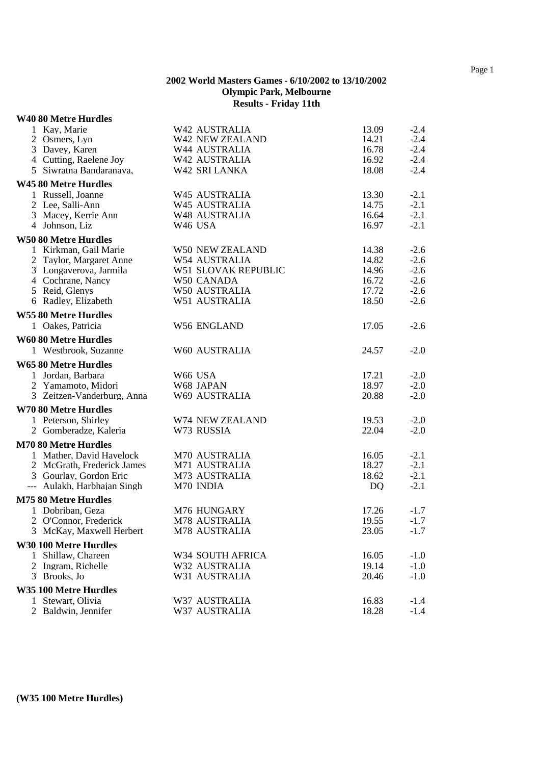#### **W40 80 Metre Hurdles**

|    | 1 Kay, Marie                 | W42 AUSTRALIA              | 13.09 | $-2.4$ |
|----|------------------------------|----------------------------|-------|--------|
|    | 2 Osmers, Lyn                | W42 NEW ZEALAND            | 14.21 | $-2.4$ |
|    | 3 Davey, Karen               | W44 AUSTRALIA              | 16.78 | $-2.4$ |
|    | 4 Cutting, Raelene Joy       | W42 AUSTRALIA              | 16.92 | $-2.4$ |
|    | 5 Siwratna Bandaranaya,      | W42 SRI LANKA              | 18.08 | $-2.4$ |
|    | W45 80 Metre Hurdles         |                            |       |        |
|    | 1 Russell, Joanne            | W45 AUSTRALIA              | 13.30 | $-2.1$ |
|    | 2 Lee, Salli-Ann             | W45 AUSTRALIA              | 14.75 | $-2.1$ |
|    | 3 Macey, Kerrie Ann          | W48 AUSTRALIA              | 16.64 | $-2.1$ |
|    | 4 Johnson, Liz               | W46 USA                    | 16.97 | $-2.1$ |
|    | <b>W50 80 Metre Hurdles</b>  |                            |       |        |
|    | 1 Kirkman, Gail Marie        | W50 NEW ZEALAND            | 14.38 | $-2.6$ |
|    | 2 Taylor, Margaret Anne      | W54 AUSTRALIA              | 14.82 | $-2.6$ |
|    | 3 Longaverova, Jarmila       | <b>W51 SLOVAK REPUBLIC</b> | 14.96 | $-2.6$ |
|    | 4 Cochrane, Nancy            | W50 CANADA                 | 16.72 | $-2.6$ |
|    | 5 Reid, Glenys               | W50 AUSTRALIA              | 17.72 | $-2.6$ |
|    | 6 Radley, Elizabeth          | W51 AUSTRALIA              | 18.50 | $-2.6$ |
|    | <b>W55 80 Metre Hurdles</b>  |                            |       |        |
|    | 1 Oakes, Patricia            | W56 ENGLAND                | 17.05 | $-2.6$ |
|    | <b>W60 80 Metre Hurdles</b>  |                            |       |        |
|    | 1 Westbrook, Suzanne         | W60 AUSTRALIA              | 24.57 | $-2.0$ |
|    | <b>W65 80 Metre Hurdles</b>  |                            |       |        |
|    | 1 Jordan, Barbara            | W66 USA                    | 17.21 | $-2.0$ |
|    | 2 Yamamoto, Midori           | W68 JAPAN                  | 18.97 | $-2.0$ |
|    | 3 Zeitzen-Vanderburg, Anna   | W69 AUSTRALIA              | 20.88 | $-2.0$ |
|    | <b>W70 80 Metre Hurdles</b>  |                            |       |        |
|    | 1 Peterson, Shirley          | W74 NEW ZEALAND            | 19.53 | $-2.0$ |
|    | 2 Gomberadze, Kaleria        | W73 RUSSIA                 | 22.04 | $-2.0$ |
|    | <b>M70 80 Metre Hurdles</b>  |                            |       |        |
|    | 1 Mather, David Havelock     | M70 AUSTRALIA              | 16.05 | $-2.1$ |
|    | 2 McGrath, Frederick James   | M71 AUSTRALIA              | 18.27 | $-2.1$ |
|    | 3 Gourlay, Gordon Eric       | M73 AUSTRALIA              | 18.62 | $-2.1$ |
|    | --- Aulakh, Harbhajan Singh  | M70 INDIA                  | DQ    | $-2.1$ |
|    | <b>M75 80 Metre Hurdles</b>  |                            |       |        |
|    | 1 Dobriban, Geza             | M76 HUNGARY                | 17.26 | $-1.7$ |
|    | 2 O'Connor, Frederick        | M78 AUSTRALIA              | 19.55 | $-1.7$ |
|    | 3 McKay, Maxwell Herbert     | M78 AUSTRALIA              | 23.05 | $-1.7$ |
|    | <b>W30 100 Metre Hurdles</b> |                            |       |        |
| 1. | Shillaw, Chareen             | W34 SOUTH AFRICA           | 16.05 | $-1.0$ |
|    | 2 Ingram, Richelle           | W32 AUSTRALIA              | 19.14 | $-1.0$ |
|    | 3 Brooks, Jo                 | W31 AUSTRALIA              | 20.46 | $-1.0$ |
|    | W35 100 Metre Hurdles        |                            |       |        |
|    | 1 Stewart, Olivia            | W37 AUSTRALIA              | 16.83 | $-1.4$ |
|    | 2 Baldwin, Jennifer          | W37 AUSTRALIA              | 18.28 | $-1.4$ |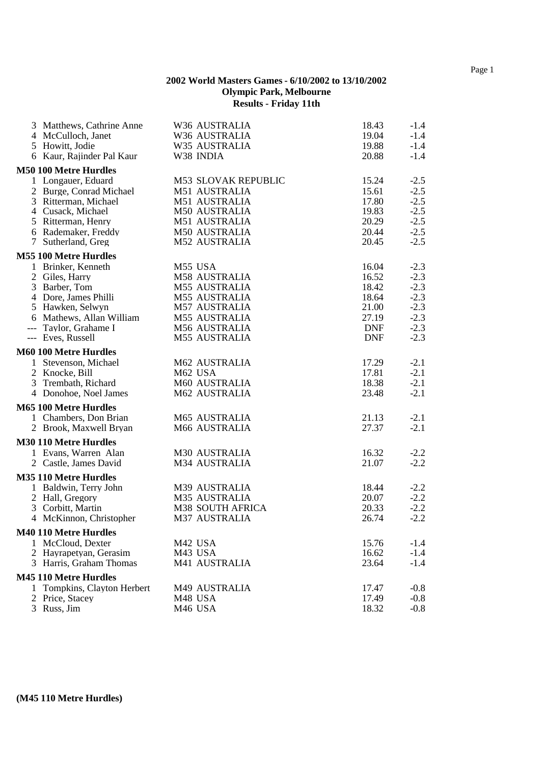| 3 Matthews, Cathrine Anne    | W36 AUSTRALIA              | 18.43      | $-1.4$ |
|------------------------------|----------------------------|------------|--------|
| 4 McCulloch, Janet           | W36 AUSTRALIA              | 19.04      | $-1.4$ |
| 5 Howitt, Jodie              | W35 AUSTRALIA              | 19.88      | $-1.4$ |
| 6 Kaur, Rajinder Pal Kaur    | W38 INDIA                  | 20.88      | $-1.4$ |
| <b>M50 100 Metre Hurdles</b> |                            |            |        |
| 1 Longauer, Eduard           | <b>M53 SLOVAK REPUBLIC</b> | 15.24      | $-2.5$ |
| 2 Burge, Conrad Michael      | M51 AUSTRALIA              | 15.61      | $-2.5$ |
| 3 Ritterman, Michael         | M51 AUSTRALIA              | 17.80      | $-2.5$ |
| 4 Cusack, Michael            | M50 AUSTRALIA              | 19.83      | $-2.5$ |
| 5 Ritterman, Henry           | M51 AUSTRALIA              | 20.29      | $-2.5$ |
| 6 Rademaker, Freddy          | M50 AUSTRALIA              | 20.44      | $-2.5$ |
| 7 Sutherland, Greg           | M52 AUSTRALIA              | 20.45      | $-2.5$ |
| <b>M55 100 Metre Hurdles</b> |                            |            |        |
| 1 Brinker, Kenneth           | M55 USA                    | 16.04      | $-2.3$ |
| 2 Giles, Harry               | M58 AUSTRALIA              | 16.52      | $-2.3$ |
| 3 Barber, Tom                | M55 AUSTRALIA              | 18.42      | $-2.3$ |
| 4 Dore, James Philli         | <b>M55 AUSTRALIA</b>       | 18.64      | $-2.3$ |
| 5 Hawken, Selwyn             | M57 AUSTRALIA              | 21.00      | $-2.3$ |
| 6 Mathews, Allan William     | M55 AUSTRALIA              | 27.19      | $-2.3$ |
| --- Taylor, Grahame I        | M56 AUSTRALIA              | <b>DNF</b> | $-2.3$ |
| --- Eves, Russell            | M55 AUSTRALIA              | <b>DNF</b> | $-2.3$ |
| <b>M60 100 Metre Hurdles</b> |                            |            |        |
| 1 Stevenson, Michael         | M62 AUSTRALIA              | 17.29      | $-2.1$ |
| 2 Knocke, Bill               | M62 USA                    | 17.81      | $-2.1$ |
| 3 Trembath, Richard          | M60 AUSTRALIA              | 18.38      | $-2.1$ |
| 4 Donohoe, Noel James        | M62 AUSTRALIA              | 23.48      | $-2.1$ |
| <b>M65 100 Metre Hurdles</b> |                            |            |        |
| 1 Chambers, Don Brian        | M65 AUSTRALIA              | 21.13      | $-2.1$ |
| 2 Brook, Maxwell Bryan       | M66 AUSTRALIA              | 27.37      | $-2.1$ |
| <b>M30 110 Metre Hurdles</b> |                            |            |        |
| 1 Evans, Warren Alan         | M30 AUSTRALIA              | 16.32      | $-2.2$ |
| 2 Castle, James David        | M34 AUSTRALIA              | 21.07      | $-2.2$ |
| <b>M35 110 Metre Hurdles</b> |                            |            |        |
| 1 Baldwin, Terry John        | M39 AUSTRALIA              | 18.44      | $-2.2$ |
| 2 Hall, Gregory              | M35 AUSTRALIA              | 20.07      | $-2.2$ |
| 3 Corbitt, Martin            | M38 SOUTH AFRICA           | 20.33      | $-2.2$ |
| 4 McKinnon, Christopher      | M37 AUSTRALIA              | 26.74      | $-2.2$ |
| <b>M40 110 Metre Hurdles</b> |                            |            |        |
| 1 McCloud, Dexter            | M42 USA                    | 15.76      | $-1.4$ |
| 2 Hayrapetyan, Gerasim       | M43 USA                    | 16.62      | $-1.4$ |
| 3 Harris, Graham Thomas      | M41 AUSTRALIA              | 23.64      | $-1.4$ |
| <b>M45 110 Metre Hurdles</b> |                            |            |        |
| 1 Tompkins, Clayton Herbert  | M49 AUSTRALIA              | 17.47      | $-0.8$ |
| 2 Price, Stacey              | M48 USA                    | 17.49      | $-0.8$ |
| 3 Russ, Jim                  | M46 USA                    | 18.32      | $-0.8$ |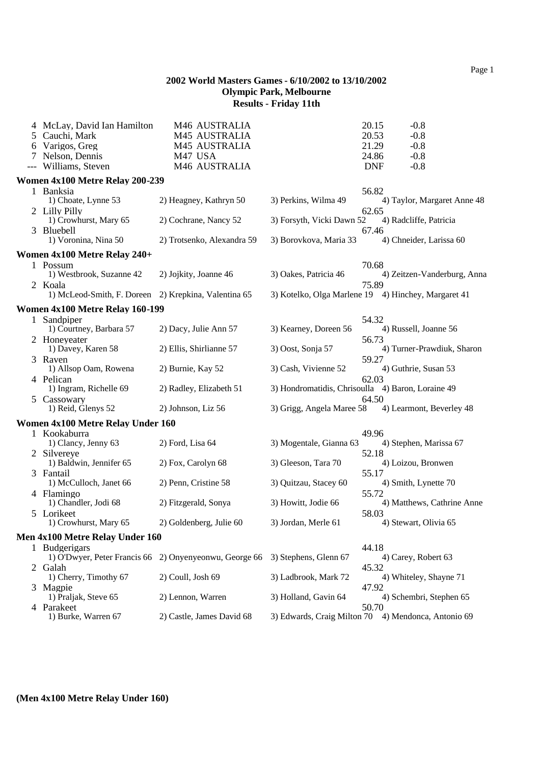| 4 McLay, David Ian Hamilton                                     | M46 AUSTRALIA                                          |                           | 20.15<br>$-0.8$                                              |
|-----------------------------------------------------------------|--------------------------------------------------------|---------------------------|--------------------------------------------------------------|
| 5 Cauchi, Mark                                                  | M45 AUSTRALIA                                          |                           | 20.53<br>$-0.8$                                              |
| 6 Varigos, Greg                                                 | M45 AUSTRALIA                                          |                           | 21.29<br>$-0.8$                                              |
| 7 Nelson, Dennis<br>--- Williams, Steven                        | M47 USA<br>M46 AUSTRALIA                               |                           | 24.86<br>$-0.8$<br><b>DNF</b><br>$-0.8$                      |
|                                                                 |                                                        |                           |                                                              |
| Women 4x100 Metre Relay 200-239                                 |                                                        |                           |                                                              |
| 1 Banksia<br>1) Choate, Lynne 53                                | 2) Heagney, Kathryn 50                                 | 3) Perkins, Wilma 49      | 56.82<br>4) Taylor, Margaret Anne 48                         |
| 2 Lilly Pilly<br>1) Crowhurst, Mary 65                          | 2) Cochrane, Nancy 52                                  | 3) Forsyth, Vicki Dawn 52 | 62.65<br>4) Radcliffe, Patricia                              |
| 3 Bluebell<br>1) Voronina, Nina 50                              | 2) Trotsenko, Alexandra 59                             | 3) Borovkova, Maria 33    | 67.46<br>4) Chneider, Larissa 60                             |
| Women 4x100 Metre Relay 240+                                    |                                                        |                           |                                                              |
| 1 Possum<br>1) Westbrook, Suzanne 42                            | 2) Jojkity, Joanne 46                                  | 3) Oakes, Patricia 46     | 70.68<br>4) Zeitzen-Vanderburg, Anna                         |
| 2 Koala<br>1) McLeod-Smith, F. Doreen 2) Krepkina, Valentina 65 |                                                        |                           | 75.89<br>3) Kotelko, Olga Marlene 19 4) Hinchey, Margaret 41 |
| <b>Women 4x100 Metre Relay 160-199</b>                          |                                                        |                           |                                                              |
| 1 Sandpiper<br>1) Courtney, Barbara 57                          | 2) Dacy, Julie Ann 57                                  | 3) Kearney, Doreen 56     | 54.32<br>4) Russell, Joanne 56                               |
| 2 Honeyeater<br>1) Davey, Karen 58                              | 2) Ellis, Shirlianne 57                                | 3) Oost, Sonja 57         | 56.73<br>4) Turner-Prawdiuk, Sharon                          |
| 3 Raven                                                         |                                                        | 3) Cash, Vivienne 52      | 59.27                                                        |
| 1) Allsop Oam, Rowena<br>4 Pelican                              | 2) Burnie, Kay 52                                      |                           | 4) Guthrie, Susan 53<br>62.03                                |
| 1) Ingram, Richelle 69<br>5 Cassowary                           | 2) Radley, Elizabeth 51                                |                           | 3) Hondromatidis, Chrisoulla 4) Baron, Loraine 49<br>64.50   |
| 1) Reid, Glenys 52                                              | 2) Johnson, Liz 56                                     | 3) Grigg, Angela Maree 58 | 4) Learmont, Beverley 48                                     |
| Women 4x100 Metre Relay Under 160                               |                                                        |                           |                                                              |
| 1 Kookaburra<br>1) Clancy, Jenny 63                             | 2) Ford, Lisa 64                                       | 3) Mogentale, Gianna 63   | 49.96<br>4) Stephen, Marissa 67                              |
| 2 Silvereye<br>1) Baldwin, Jennifer 65                          | 2) Fox, Carolyn 68                                     | 3) Gleeson, Tara 70       | 52.18<br>4) Loizou, Bronwen                                  |
| 3 Fantail<br>1) McCulloch, Janet 66                             | 2) Penn, Cristine 58                                   | 3) Quitzau, Stacey 60     | 55.17<br>4) Smith, Lynette 70                                |
| 4 Flamingo                                                      |                                                        |                           | 55.72                                                        |
| 1) Chandler, Jodi 68<br>5 Lorikeet                              | 2) Fitzgerald, Sonya                                   | 3) Howitt, Jodie 66       | 4) Matthews, Cathrine Anne<br>58.03                          |
| 1) Crowhurst, Mary 65                                           | 2) Goldenberg, Julie 60                                | 3) Jordan, Merle 61       | 4) Stewart, Olivia 65                                        |
| Men 4x100 Metre Relay Under 160                                 |                                                        |                           |                                                              |
| 1 Budgerigars                                                   | 1) O'Dwyer, Peter Francis 66 2) Onyenyeonwu, George 66 | 3) Stephens, Glenn 67     | 44.18<br>4) Carey, Robert 63                                 |
| 2 Galah<br>1) Cherry, Timothy 67                                | 2) Coull, Josh 69                                      | 3) Ladbrook, Mark 72      | 45.32<br>4) Whiteley, Shayne 71                              |
| 3 Magpie<br>1) Praljak, Steve 65                                | 2) Lennon, Warren                                      | 3) Holland, Gavin 64      | 47.92<br>4) Schembri, Stephen 65                             |
| 4 Parakeet                                                      |                                                        |                           | 50.70                                                        |
| 1) Burke, Warren 67                                             | 2) Castle, James David 68                              |                           | 3) Edwards, Craig Milton 70 4) Mendonca, Antonio 69          |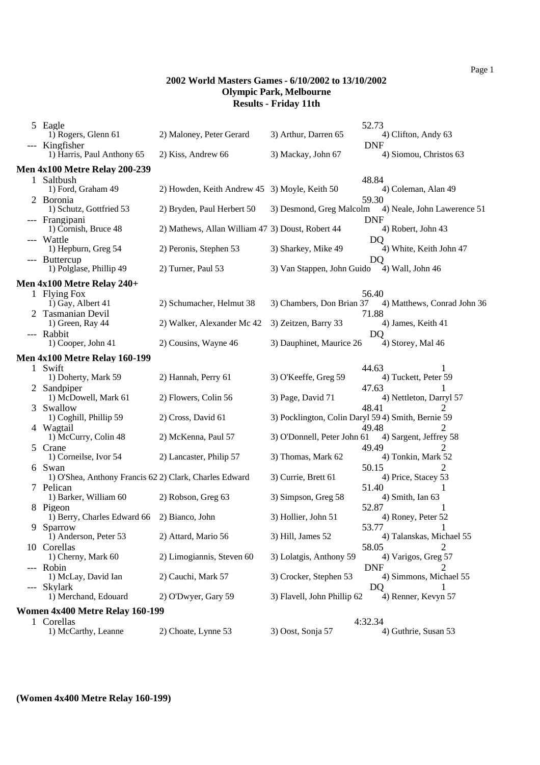| 5 Eagle                                                |                                                  |                             | 52.73                                              |
|--------------------------------------------------------|--------------------------------------------------|-----------------------------|----------------------------------------------------|
| 1) Rogers, Glenn 61<br>--- Kingfisher                  | 2) Maloney, Peter Gerard                         | 3) Arthur, Darren 65        | 4) Clifton, Andy 63<br><b>DNF</b>                  |
| 1) Harris, Paul Anthony 65                             | 2) Kiss, Andrew 66                               | 3) Mackay, John 67          | 4) Siomou, Christos 63                             |
| <b>Men 4x100 Metre Relay 200-239</b>                   |                                                  |                             |                                                    |
| 1 Saltbush                                             |                                                  |                             | 48.84                                              |
| 1) Ford, Graham 49                                     | 2) Howden, Keith Andrew 45 3) Moyle, Keith 50    |                             | 4) Coleman, Alan 49                                |
| 2 Boronia                                              |                                                  |                             | 59.30                                              |
| 1) Schutz, Gottfried 53                                | 2) Bryden, Paul Herbert 50                       | 3) Desmond, Greg Malcolm    | 4) Neale, John Lawerence 51                        |
| --- Frangipani                                         |                                                  |                             | <b>DNF</b>                                         |
| 1) Cornish, Bruce 48                                   | 2) Mathews, Allan William 47 3) Doust, Robert 44 |                             | 4) Robert, John 43                                 |
| --- Wattle                                             |                                                  |                             | DQ                                                 |
| 1) Hepburn, Greg 54                                    | 2) Peronis, Stephen 53                           | 3) Sharkey, Mike 49         | 4) White, Keith John 47                            |
| --- Buttercup                                          |                                                  |                             | DO                                                 |
| 1) Polglase, Phillip 49                                | 2) Turner, Paul 53                               | 3) Van Stappen, John Guido  | 4) Wall, John 46                                   |
| <b>Men 4x100 Metre Relay 240+</b>                      |                                                  |                             |                                                    |
| 1 Flying Fox                                           |                                                  |                             | 56.40                                              |
| 1) Gay, Albert 41                                      | 2) Schumacher, Helmut 38                         | 3) Chambers, Don Brian 37   | 4) Matthews, Conrad John 36                        |
| 2 Tasmanian Devil                                      |                                                  |                             | 71.88                                              |
| 1) Green, Ray 44                                       | 2) Walker, Alexander Mc 42                       | 3) Zeitzen, Barry 33        | 4) James, Keith 41                                 |
| --- Rabbit                                             |                                                  |                             | DO                                                 |
| 1) Cooper, John 41                                     | 2) Cousins, Wayne 46                             | 3) Dauphinet, Maurice 26    | 4) Storey, Mal 46                                  |
| <b>Men 4x100 Metre Relay 160-199</b>                   |                                                  |                             |                                                    |
| 1 Swift                                                |                                                  |                             | 44.63                                              |
| 1) Doherty, Mark 59                                    | 2) Hannah, Perry 61                              | 3) O'Keeffe, Greg 59        | 4) Tuckett, Peter 59                               |
| 2 Sandpiper                                            |                                                  |                             | 47.63                                              |
| 1) McDowell, Mark 61                                   | 2) Flowers, Colin 56                             | 3) Page, David 71           | 4) Nettleton, Darryl 57                            |
| 3 Swallow                                              |                                                  |                             | 48.41                                              |
| 1) Coghill, Phillip 59                                 | 2) Cross, David 61                               |                             | 3) Pocklington, Colin Daryl 59 4) Smith, Bernie 59 |
| 4 Wagtail                                              |                                                  |                             | 49.48<br>2                                         |
| 1) McCurry, Colin 48                                   | 2) McKenna, Paul 57                              | 3) O'Donnell, Peter John 61 | 4) Sargent, Jeffrey 58                             |
| 5 Crane                                                |                                                  |                             | 49.49<br>2                                         |
| 1) Corneilse, Ivor 54                                  | 2) Lancaster, Philip 57                          | 3) Thomas, Mark 62          | 4) Tonkin, Mark 52                                 |
| 6 Swan                                                 |                                                  |                             | 50.15<br>2                                         |
| 1) O'Shea, Anthony Francis 62 2) Clark, Charles Edward |                                                  | 3) Currie, Brett 61         | 4) Price, Stacey 53                                |
| 7 Pelican                                              |                                                  |                             | 51.40                                              |
| 1) Barker, William 60                                  | 2) Robson, Greg 63                               | 3) Simpson, Greg 58         | 4) Smith, Ian 63                                   |
| 8 Pigeon                                               |                                                  |                             | 52.87                                              |
| 1) Berry, Charles Edward 66                            | 2) Bianco, John                                  | 3) Hollier, John 51         | 4) Roney, Peter 52                                 |
| 9 Sparrow                                              |                                                  |                             | 53.77                                              |
| 1) Anderson, Peter 53                                  | 2) Attard, Mario 56                              | 3) Hill, James 52           | 4) Talanskas, Michael 55                           |
| 10 Corellas                                            |                                                  |                             | 58.05                                              |
| 1) Cherny, Mark 60                                     | 2) Limogiannis, Steven 60                        | 3) Lolatgis, Anthony 59     | 4) Varigos, Greg 57                                |
| --- Robin                                              |                                                  |                             | <b>DNF</b><br>2                                    |
| 1) McLay, David Ian                                    | 2) Cauchi, Mark 57                               | 3) Crocker, Stephen 53      | 4) Simmons, Michael 55                             |
| --- Skylark                                            |                                                  |                             | DQ<br>$\mathbf{I}$                                 |
| 1) Merchand, Edouard                                   | 2) O'Dwyer, Gary 59                              | 3) Flavell, John Phillip 62 | 4) Renner, Kevyn 57                                |
| <b>Women 4x400 Metre Relay 160-199</b>                 |                                                  |                             |                                                    |
| 1 Corellas                                             |                                                  |                             | 4:32.34                                            |
| 1) McCarthy, Leanne                                    | 2) Choate, Lynne 53                              | 3) Oost, Sonja 57           | 4) Guthrie, Susan 53                               |

# **(Women 4x400 Metre Relay 160-199)**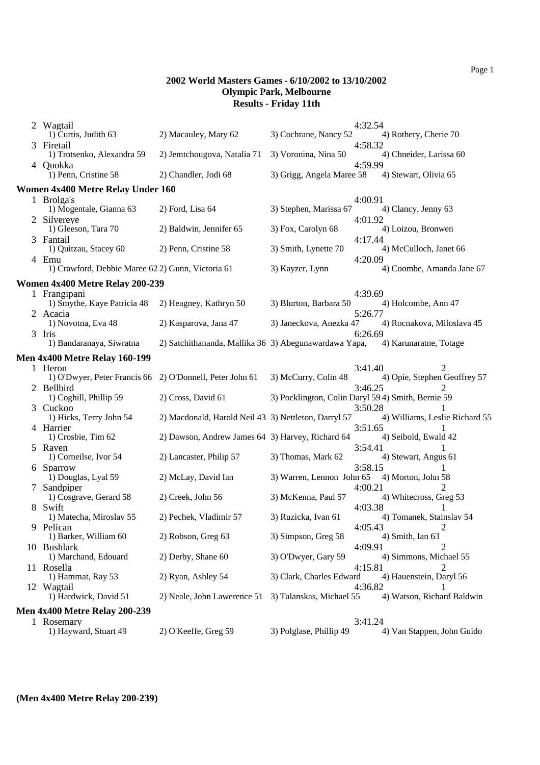| 2 Wagtail                                                           |                                                       |                           | 4:32.54                                                       |  |  |  |
|---------------------------------------------------------------------|-------------------------------------------------------|---------------------------|---------------------------------------------------------------|--|--|--|
| 1) Curtis, Judith 63                                                | 2) Macauley, Mary 62                                  | 3) Cochrane, Nancy 52     | 4) Rothery, Cherie 70                                         |  |  |  |
| 3 Firetail<br>1) Trotsenko, Alexandra 59                            | 2) Jemtchougova, Natalia 71                           | 3) Voronina, Nina 50      | 4:58.32<br>4) Chneider, Larissa 60                            |  |  |  |
| 4 Quokka<br>1) Penn, Cristine 58                                    | 2) Chandler, Jodi 68                                  | 3) Grigg, Angela Maree 58 | 4:59.99<br>4) Stewart, Olivia 65                              |  |  |  |
| Women 4x400 Metre Relay Under 160                                   |                                                       |                           |                                                               |  |  |  |
| 1 Brolga's                                                          |                                                       |                           | 4:00.91                                                       |  |  |  |
| 1) Mogentale, Gianna 63<br>2 Silvereye                              | $2)$ Ford, Lisa 64                                    | 3) Stephen, Marissa 67    | 4) Clancy, Jenny 63<br>4:01.92                                |  |  |  |
| 1) Gleeson, Tara 70                                                 | 2) Baldwin, Jennifer 65                               | 3) Fox, Carolyn 68        | 4) Loizou, Bronwen                                            |  |  |  |
| 3 Fantail<br>1) Quitzau, Stacey 60                                  | 2) Penn, Cristine 58                                  | 3) Smith, Lynette 70      | 4:17.44<br>4) McCulloch, Janet 66                             |  |  |  |
| 4 Emu<br>1) Crawford, Debbie Maree 62 2) Gunn, Victoria 61          |                                                       | 3) Kayzer, Lynn           | 4:20.09<br>4) Coombe, Amanda Jane 67                          |  |  |  |
| <b>Women 4x400 Metre Relay 200-239</b>                              |                                                       |                           |                                                               |  |  |  |
| 1 Frangipani<br>1) Smythe, Kaye Patricia 48                         | 2) Heagney, Kathryn 50                                | 3) Blurton, Barbara 50    | 4:39.69<br>4) Holcombe, Ann 47                                |  |  |  |
| 2 Acacia<br>1) Novotna, Eva 48                                      | 2) Kasparova, Jana 47                                 | 3) Janeckova, Anezka 47   | 5:26.77<br>4) Rocnakova, Miloslava 45                         |  |  |  |
| 3 Iris                                                              |                                                       |                           | 6:26.69                                                       |  |  |  |
| 1) Bandaranaya, Siwratna                                            | 2) Satchithananda, Mallika 36 3) Abegunawardawa Yapa, |                           | 4) Karunaratne, Totage                                        |  |  |  |
| <b>Men 4x400 Metre Relay 160-199</b>                                |                                                       |                           |                                                               |  |  |  |
| 1 Heron<br>1) O'Dwyer, Peter Francis 66 2) O'Donnell, Peter John 61 |                                                       | 3) McCurry, Colin 48      | 3:41.40<br>2<br>4) Opie, Stephen Geoffrey 57                  |  |  |  |
| 2 Bellbird<br>1) Coghill, Phillip 59                                | 2) Cross, David 61                                    |                           | 3:46.25<br>3) Pocklington, Colin Daryl 59 4) Smith, Bernie 59 |  |  |  |
| 3 Cuckoo<br>1) Hicks, Terry John 54                                 | 2) Macdonald, Harold Neil 43 3) Nettleton, Darryl 57  |                           | 3:50.28<br>4) Williams, Leslie Richard 55                     |  |  |  |
| 4 Harrier                                                           |                                                       |                           | 3:51.65                                                       |  |  |  |
| 1) Crosbie, Tim 62                                                  | 2) Dawson, Andrew James 64 3) Harvey, Richard 64      |                           | 4) Seibold, Ewald 42                                          |  |  |  |
| 5 Raven<br>1) Corneilse, Ivor 54                                    | 2) Lancaster, Philip 57                               | 3) Thomas, Mark 62        | 3:54.41<br>4) Stewart, Angus 61                               |  |  |  |
| 6 Sparrow<br>1) Douglas, Lyal 59                                    | 2) McLay, David Ian                                   | 3) Warren, Lennon John 65 | 3:58.15<br>1<br>4) Morton, John 58                            |  |  |  |
| 7 Sandpiper<br>1) Cosgrave, Gerard 58                               | 2) Creek, John 56                                     | 3) McKenna, Paul 57       | 2<br>4:00.21<br>4) Whitecross, Greg 53                        |  |  |  |
| 8 Swift<br>1) Matecha, Miroslav 55                                  | 2) Pechek, Vladimir 57                                | 3) Ruzicka, Ivan 61       | 4:03.38<br>4) Tomanek, Stainslav 54                           |  |  |  |
| 9 Pelican<br>1) Barker, William 60                                  | 2) Robson, Greg 63                                    | 3) Simpson, Greg 58       | 4:05.43<br>4) Smith, Ian 63                                   |  |  |  |
| 10 Bushlark                                                         |                                                       |                           | 4:09.91                                                       |  |  |  |
| 1) Marchand, Edouard<br>11 Rosella                                  | 2) Derby, Shane 60                                    | 3) O'Dwyer, Gary 59       | 4) Simmons, Michael 55<br>4:15.81<br>2                        |  |  |  |
| 1) Hammat, Ray 53                                                   | 2) Ryan, Ashley 54                                    | 3) Clark, Charles Edward  | 4) Hauenstein, Daryl 56<br>4:36.82<br>1                       |  |  |  |
| 12 Wagtail<br>1) Hardwick, David 51                                 | 2) Neale, John Lawerence 51                           | 3) Talanskas, Michael 55  | 4) Watson, Richard Baldwin                                    |  |  |  |
| <b>Men 4x400 Metre Relay 200-239</b>                                |                                                       |                           |                                                               |  |  |  |
| 1 Rosemary<br>1) Hayward, Stuart 49                                 | 2) O'Keeffe, Greg 59                                  | 3) Polglase, Phillip 49   | 3:41.24<br>4) Van Stappen, John Guido                         |  |  |  |
|                                                                     |                                                       |                           |                                                               |  |  |  |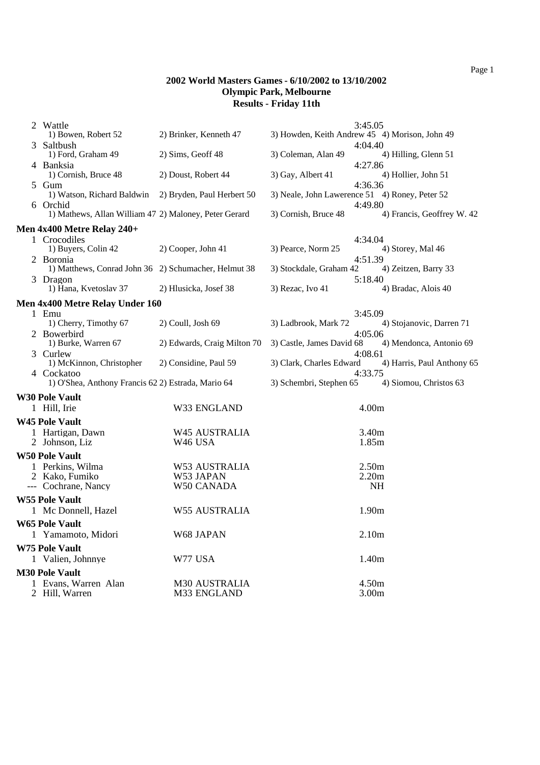|   | 2 Wattle<br>1) Bowen, Robert 52                                  | 2) Brinker, Kenneth 47      | 3) Howden, Keith Andrew 45 4) Morison, John 49 | 3:45.05           |                            |  |  |
|---|------------------------------------------------------------------|-----------------------------|------------------------------------------------|-------------------|----------------------------|--|--|
| 3 | Saltbush                                                         |                             |                                                | 4:04.40           |                            |  |  |
|   | 1) Ford, Graham 49                                               | 2) Sims, Geoff 48           | 3) Coleman, Alan 49                            |                   | 4) Hilling, Glenn 51       |  |  |
|   | 4 Banksia<br>1) Cornish, Bruce 48                                | 2) Doust, Robert 44         | 3) Gay, Albert 41                              | 4:27.86           | 4) Hollier, John 51        |  |  |
|   | 5 Gum<br>1) Watson, Richard Baldwin                              | 2) Bryden, Paul Herbert 50  | 3) Neale, John Lawerence 51 4) Roney, Peter 52 | 4:36.36           |                            |  |  |
|   | 6 Orchid                                                         |                             |                                                | 4:49.80           |                            |  |  |
|   | 1) Mathews, Allan William 47 2) Maloney, Peter Gerard            |                             | 3) Cornish, Bruce 48                           |                   | 4) Francis, Geoffrey W. 42 |  |  |
|   | Men 4x400 Metre Relay 240+                                       |                             |                                                |                   |                            |  |  |
|   | 1 Crocodiles<br>1) Buyers, Colin 42                              | 2) Cooper, John 41          | 3) Pearce, Norm 25                             | 4:34.04           | 4) Storey, Mal 46          |  |  |
|   | 2 Boronia                                                        |                             |                                                | 4:51.39           |                            |  |  |
|   | 1) Matthews, Conrad John 36 2) Schumacher, Helmut 38             |                             | 3) Stockdale, Graham 42                        |                   | 4) Zeitzen, Barry 33       |  |  |
|   | 3 Dragon<br>1) Hana, Kvetoslav 37                                | 2) Hlusicka, Josef 38       | 3) Rezac, Ivo 41                               | 5:18.40           | 4) Bradac, Alois 40        |  |  |
|   | Men 4x400 Metre Relay Under 160                                  |                             |                                                |                   |                            |  |  |
|   | 1 Emu                                                            |                             |                                                | 3:45.09           |                            |  |  |
|   | 1) Cherry, Timothy 67                                            | 2) Coull, Josh 69           | 3) Ladbrook, Mark 72                           |                   | 4) Stojanovic, Darren 71   |  |  |
|   | 2 Bowerbird<br>1) Burke, Warren 67                               | 2) Edwards, Craig Milton 70 | 3) Castle, James David 68                      | 4:05.06           | 4) Mendonca, Antonio 69    |  |  |
|   | 3 Curlew                                                         |                             |                                                | 4:08.61           |                            |  |  |
|   | 1) McKinnon, Christopher                                         | 2) Considine, Paul 59       | 3) Clark, Charles Edward                       | 4:33.75           | 4) Harris, Paul Anthony 65 |  |  |
|   | 4 Cockatoo<br>1) O'Shea, Anthony Francis 62 2) Estrada, Mario 64 |                             | 3) Schembri, Stephen 65                        |                   | 4) Siomou, Christos 63     |  |  |
|   | <b>W30 Pole Vault</b>                                            |                             |                                                |                   |                            |  |  |
|   | 1 Hill, Irie                                                     | W33 ENGLAND                 |                                                | 4.00m             |                            |  |  |
|   | <b>W45 Pole Vault</b>                                            |                             |                                                |                   |                            |  |  |
|   | 1 Hartigan, Dawn                                                 | W45 AUSTRALIA               |                                                | 3.40m             |                            |  |  |
|   | 2 Johnson, Liz                                                   | W <sub>46</sub> USA         |                                                | 1.85m             |                            |  |  |
|   | <b>W50 Pole Vault</b>                                            |                             |                                                |                   |                            |  |  |
|   | 1 Perkins, Wilma                                                 | W53 AUSTRALIA               |                                                | 2.50m             |                            |  |  |
|   | 2 Kako, Fumiko<br>--- Cochrane, Nancy                            | W53 JAPAN                   |                                                | 2.20m             |                            |  |  |
|   |                                                                  | W50 CANADA                  |                                                | <b>NH</b>         |                            |  |  |
|   | <b>W55 Pole Vault</b>                                            |                             |                                                |                   |                            |  |  |
|   | 1 Mc Donnell, Hazel                                              | <b>W55 AUSTRALIA</b>        |                                                | 1.90m             |                            |  |  |
|   | <b>W65 Pole Vault</b>                                            |                             |                                                |                   |                            |  |  |
|   | 1 Yamamoto, Midori                                               | W68 JAPAN                   |                                                | 2.10 <sub>m</sub> |                            |  |  |
|   | <b>W75 Pole Vault</b>                                            |                             |                                                |                   |                            |  |  |
|   | 1 Valien, Johnnye                                                | W77 USA                     |                                                | 1.40m             |                            |  |  |
|   | <b>M30 Pole Vault</b>                                            |                             |                                                |                   |                            |  |  |
|   | 1 Evans, Warren Alan                                             | <b>M30 AUSTRALIA</b>        |                                                | 4.50m             |                            |  |  |
|   | 2 Hill, Warren                                                   | M33 ENGLAND                 |                                                | 3.00m             |                            |  |  |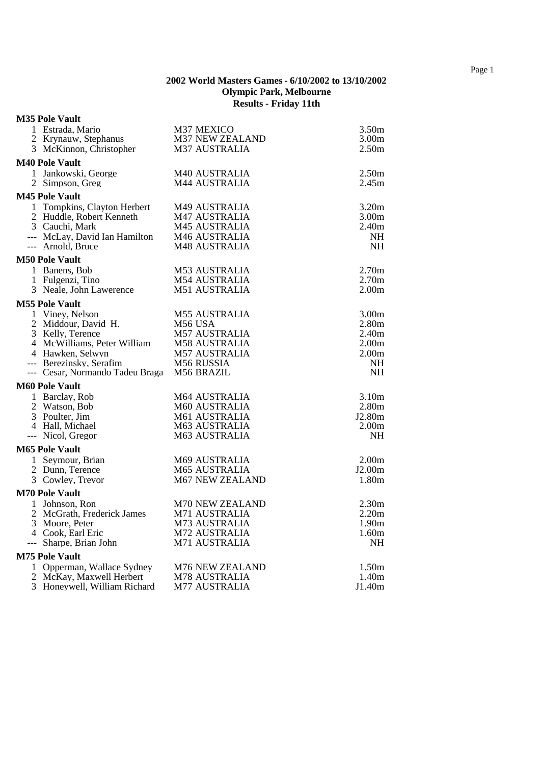# **M35 Pole Vault**

| 1 Estrada, Mario<br>2 Krynauw, Stephanus               | M37 MEXICO<br><b>M37 NEW ZEALAND</b> | 3.50 <sub>m</sub><br>3.00 <sub>m</sub> |
|--------------------------------------------------------|--------------------------------------|----------------------------------------|
| 3 McKinnon, Christopher                                | <b>M37 AUSTRALIA</b>                 | 2.50 <sub>m</sub>                      |
| <b>M40 Pole Vault</b>                                  |                                      |                                        |
| 1 Jankowski, George                                    | M40 AUSTRALIA                        | 2.50 <sub>m</sub>                      |
| 2 Simpson, Greg                                        | <b>M44 AUSTRALIA</b>                 | 2.45m                                  |
| <b>M45 Pole Vault</b>                                  |                                      |                                        |
| 1 Tompkins, Clayton Herbert                            | M49 AUSTRALIA                        | 3.20 <sub>m</sub>                      |
| 2 Huddle, Robert Kenneth                               | <b>M47 AUSTRALIA</b>                 | 3.00 <sub>m</sub>                      |
| 3 Cauchi, Mark                                         | <b>M45 AUSTRALIA</b>                 | 2.40 <sub>m</sub>                      |
| --- McLay, David Ian Hamilton<br>--- Arnold, Bruce     | M46 AUSTRALIA<br>M48 AUSTRALIA       | NH<br><b>NH</b>                        |
| <b>M50 Pole Vault</b>                                  |                                      |                                        |
| 1 Banens, Bob                                          | M53 AUSTRALIA                        | 2.70 <sub>m</sub>                      |
| 1 Fulgenzi, Tino                                       | M54 AUSTRALIA                        | 2.70 <sub>m</sub>                      |
| 3 Neale, John Lawerence                                | M51 AUSTRALIA                        | 2.00 <sub>m</sub>                      |
| <b>M55 Pole Vault</b>                                  |                                      |                                        |
| 1 Viney, Nelson                                        | <b>M55 AUSTRALIA</b>                 | 3.00 <sub>m</sub>                      |
| 2 Middour, David H.                                    | M56 USA                              | 2.80m                                  |
| 3 Kelly, Terence                                       | <b>M57 AUSTRALIA</b>                 | 2.40 <sub>m</sub>                      |
| 4 McWilliams, Peter William                            | M58 AUSTRALIA                        | 2.00 <sub>m</sub>                      |
| 4 Hawken, Selwyn                                       | <b>M57 AUSTRALIA</b>                 | 2.00 <sub>m</sub>                      |
| --- Berezinsky, Serafim                                | M56 RUSSIA                           | NH<br><b>NH</b>                        |
| --- Cesar, Normando Tadeu Braga M56 BRAZIL             |                                      |                                        |
| <b>M60 Pole Vault</b>                                  |                                      |                                        |
| 1 Barclay, Rob                                         | <b>M64 AUSTRALIA</b>                 | 3.10 <sub>m</sub>                      |
| 2 Watson, Bob<br>3 Poulter, Jim                        | M60 AUSTRALIA<br>M61 AUSTRALIA       | 2.80 <sub>m</sub><br>J2.80m            |
| 4 Hall, Michael                                        | M63 AUSTRALIA                        | 2.00 <sub>m</sub>                      |
| --- Nicol, Gregor                                      | M63 AUSTRALIA                        | <b>NH</b>                              |
| <b>M65 Pole Vault</b>                                  |                                      |                                        |
| 1 Seymour, Brian                                       | M69 AUSTRALIA                        | 2.00 <sub>m</sub>                      |
| 2 Dunn. Terence                                        | <b>M65 AUSTRALIA</b>                 | J2.00 <sub>m</sub>                     |
| 3 Cowley, Trevor                                       | M67 NEW ZEALAND                      | 1.80m                                  |
| <b>M70 Pole Vault</b>                                  |                                      |                                        |
| 1 Johnson, Ron                                         | M70 NEW ZEALAND                      | 2.30 <sub>m</sub>                      |
| 2 McGrath, Frederick James                             | M71 AUSTRALIA                        | 2.20m                                  |
| 3 Moore, Peter                                         | M73 AUSTRALIA                        | 1.90 <sub>m</sub>                      |
| 4 Cook, Earl Eric                                      | <b>M72 AUSTRALIA</b>                 | 1.60m                                  |
| --- Sharpe, Brian John                                 | M71 AUSTRALIA                        | NH                                     |
| <b>M75 Pole Vault</b>                                  |                                      |                                        |
| 1 Opperman, Wallace Sydney<br>2 McKay, Maxwell Herbert | M76 NEW ZEALAND<br>M78 AUSTRALIA     | 1.50m<br>1.40m                         |
| 3 Honeywell, William Richard                           | <b>M77 AUSTRALIA</b>                 | J1.40m                                 |
|                                                        |                                      |                                        |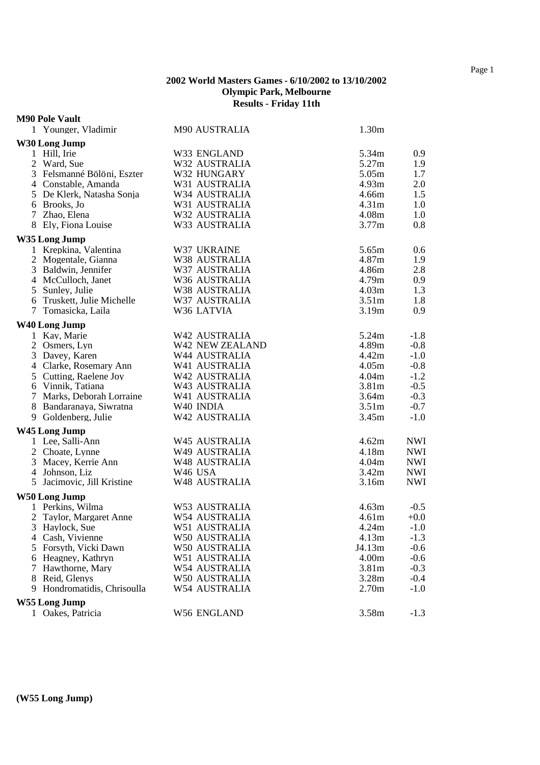#### **M90 Pole Vault**

| 1 Younger, Vladimir         | M90 AUSTRALIA       | 1.30m             |            |
|-----------------------------|---------------------|-------------------|------------|
| W30 Long Jump               |                     |                   |            |
| 1 Hill, Irie                | W33 ENGLAND         | 5.34m             | 0.9        |
| 2 Ward, Sue                 | W32 AUSTRALIA       | 5.27m             | 1.9        |
| 3 Felsmanné Bölöni, Eszter  | W32 HUNGARY         | 5.05m             | 1.7        |
| 4 Constable, Amanda         | W31 AUSTRALIA       | 4.93m             | 2.0        |
| 5 De Klerk, Natasha Sonja   | W34 AUSTRALIA       | 4.66m             | 1.5        |
| 6 Brooks, Jo                | W31 AUSTRALIA       | 4.31 <sub>m</sub> | 1.0        |
| 7 Zhao, Elena               | W32 AUSTRALIA       | 4.08m             | 1.0        |
| 8 Ely, Fiona Louise         | W33 AUSTRALIA       | 3.77m             | 0.8        |
| W35 Long Jump               |                     |                   |            |
| 1 Krepkina, Valentina       | W37 UKRAINE         | 5.65m             | 0.6        |
| 2 Mogentale, Gianna         | W38 AUSTRALIA       | 4.87m             | 1.9        |
| 3 Baldwin, Jennifer         | W37 AUSTRALIA       | 4.86m             | 2.8        |
| 4 McCulloch, Janet          | W36 AUSTRALIA       | 4.79m             | 0.9        |
| 5 Sunley, Julie             | W38 AUSTRALIA       | 4.03m             | 1.3        |
| 6 Truskett, Julie Michelle  | W37 AUSTRALIA       | 3.51 <sub>m</sub> | 1.8        |
| 7 Tomasicka, Laila          | W36 LATVIA          | 3.19m             | 0.9        |
| W40 Long Jump               |                     |                   |            |
| 1 Kay, Marie                | W42 AUSTRALIA       | 5.24m             | $-1.8$     |
| 2 Osmers, Lyn               | W42 NEW ZEALAND     | 4.89m             | $-0.8$     |
| 3 Davey, Karen              | W44 AUSTRALIA       | 4.42m             | $-1.0$     |
| 4 Clarke, Rosemary Ann      | W41 AUSTRALIA       | 4.05m             | $-0.8$     |
| 5 Cutting, Raelene Joy      | W42 AUSTRALIA       | 4.04m             | $-1.2$     |
| 6 Vinnik, Tatiana           | W43 AUSTRALIA       | 3.81m             | $-0.5$     |
| 7 Marks, Deborah Lorraine   | W41 AUSTRALIA       | 3.64m             | $-0.3$     |
| 8 Bandaranaya, Siwratna     | W40 INDIA           | 3.51 <sub>m</sub> | $-0.7$     |
| 9 Goldenberg, Julie         | W42 AUSTRALIA       | 3.45m             | $-1.0$     |
| W45 Long Jump               |                     |                   |            |
| 1 Lee, Salli-Ann            | W45 AUSTRALIA       | 4.62m             | <b>NWI</b> |
| 2 Choate, Lynne             | W49 AUSTRALIA       | 4.18m             | <b>NWI</b> |
| 3 Macey, Kerrie Ann         | W48 AUSTRALIA       | 4.04m             | <b>NWI</b> |
| 4 Johnson, Liz              | W <sub>46</sub> USA | 3.42m             | <b>NWI</b> |
| 5 Jacimovic, Jill Kristine  | W48 AUSTRALIA       | 3.16m             | <b>NWI</b> |
| W50 Long Jump               |                     |                   |            |
| 1 Perkins, Wilma            | W53 AUSTRALIA       | 4.63m             | $-0.5$     |
| 2 Taylor, Margaret Anne     | W54 AUSTRALIA       | 4.61 <sub>m</sub> | $+0.0$     |
| 3 Haylock, Sue              | W51 AUSTRALIA       | 4.24m             | $-1.0$     |
| 4 Cash, Vivienne            | W50 AUSTRALIA       | 4.13m             | $-1.3$     |
| 5 Forsyth, Vicki Dawn       | W50 AUSTRALIA       | J4.13m            | $-0.6$     |
| 6 Heagney, Kathryn          | W51 AUSTRALIA       | 4.00m             | $-0.6$     |
| 7 Hawthorne, Mary           | W54 AUSTRALIA       | 3.81m             | $-0.3$     |
| 8 Reid, Glenys              | W50 AUSTRALIA       | 3.28m             | $-0.4$     |
| 9 Hondromatidis, Chrisoulla | W54 AUSTRALIA       | 2.70m             | $-1.0$     |
| W55 Long Jump               |                     |                   |            |
| 1 Oakes, Patricia           | W56 ENGLAND         | 3.58m             | $-1.3$     |
|                             |                     |                   |            |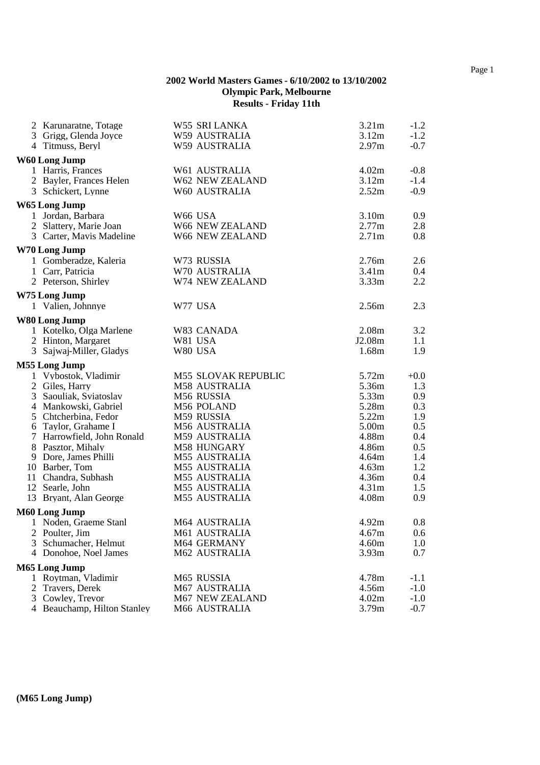|   | 2 Karunaratne, Totage                   | W55 SRI LANKA              | 3.21m             | $-1.2$     |
|---|-----------------------------------------|----------------------------|-------------------|------------|
|   | 3 Grigg, Glenda Joyce                   | W59 AUSTRALIA              | 3.12m             | $-1.2$     |
|   | 4 Titmuss, Beryl                        | W59 AUSTRALIA              | 2.97m             | $-0.7$     |
|   | W60 Long Jump                           |                            |                   |            |
|   | 1 Harris, Frances                       | W61 AUSTRALIA              | 4.02m             | $-0.8$     |
|   | 2 Bayler, Frances Helen                 | W62 NEW ZEALAND            | 3.12m             | $-1.4$     |
|   | 3 Schickert, Lynne                      | W60 AUSTRALIA              | 2.52m             | $-0.9$     |
|   | W65 Long Jump                           |                            |                   |            |
|   | 1 Jordan, Barbara                       | W66 USA                    | 3.10m             | 0.9        |
|   | 2 Slattery, Marie Joan                  | W66 NEW ZEALAND            | 2.77m             | 2.8        |
|   | 3 Carter, Mavis Madeline                | W66 NEW ZEALAND            | 2.71 <sub>m</sub> | 0.8        |
|   |                                         |                            |                   |            |
|   | W70 Long Jump<br>1 Gomberadze, Kaleria  | W73 RUSSIA                 | 2.76m             | 2.6        |
|   |                                         | W70 AUSTRALIA              | 3.41 <sub>m</sub> |            |
|   | 1 Carr, Patricia<br>2 Peterson, Shirley | W74 NEW ZEALAND            | 3.33m             | 0.4<br>2.2 |
|   |                                         |                            |                   |            |
|   | W75 Long Jump                           |                            |                   |            |
|   | 1 Valien, Johnnye                       | W77 USA                    | 2.56m             | 2.3        |
|   | <b>W80 Long Jump</b>                    |                            |                   |            |
|   | 1 Kotelko, Olga Marlene                 | W83 CANADA                 | 2.08m             | 3.2        |
|   | 2 Hinton, Margaret                      | W81 USA                    | J2.08m            | 1.1        |
|   | 3 Sajwaj-Miller, Gladys                 | W80 USA                    | 1.68m             | 1.9        |
|   | M55 Long Jump                           |                            |                   |            |
|   | 1 Vybostok, Vladimir                    | <b>M55 SLOVAK REPUBLIC</b> | 5.72m             | $+0.0$     |
|   | 2 Giles, Harry                          | M58 AUSTRALIA              | 5.36m             | 1.3        |
|   | 3 Saouliak, Sviatoslav                  | M56 RUSSIA                 | 5.33m             | 0.9        |
|   | 4 Mankowski, Gabriel                    | M56 POLAND                 | 5.28m             | 0.3        |
|   | 5 Chtcherbina, Fedor                    | M59 RUSSIA                 | 5.22m             | 1.9        |
|   | 6 Taylor, Grahame I                     | M56 AUSTRALIA              | 5.00m             | 0.5        |
|   | 7 Harrowfield, John Ronald              | M59 AUSTRALIA              | 4.88m             | 0.4        |
|   | 8 Pasztor, Mihaly                       | M58 HUNGARY                | 4.86m             | 0.5        |
|   | 9 Dore, James Philli                    | M55 AUSTRALIA              | 4.64m             | 1.4        |
|   | 10 Barber, Tom                          | M55 AUSTRALIA              | 4.63m             | 1.2        |
|   | 11 Chandra, Subhash                     | M55 AUSTRALIA              | 4.36m             | 0.4        |
|   | 12 Searle, John                         | M55 AUSTRALIA              | 4.31 <sub>m</sub> | 1.5        |
|   | 13 Bryant, Alan George                  | M55 AUSTRALIA              | 4.08m             | 0.9        |
|   | M60 Long Jump                           |                            |                   |            |
|   | 1 Noden, Graeme Stanl                   | M64 AUSTRALIA              | 4.92m             | 0.8        |
|   | 2 Poulter, Jim                          | M61 AUSTRALIA              | 4.67m             | 0.6        |
| 3 | Schumacher, Helmut                      | M64 GERMANY                | 4.60m             | 1.0        |
|   | 4 Donohoe, Noel James                   | M62 AUSTRALIA              | 3.93m             | 0.7        |
|   | M65 Long Jump                           |                            |                   |            |
|   | 1 Roytman, Vladimir                     | M65 RUSSIA                 | 4.78m             | $-1.1$     |
| 2 | Travers, Derek                          | M67 AUSTRALIA              | 4.56m             | $-1.0$     |
|   | 3 Cowley, Trevor                        | M67 NEW ZEALAND            | 4.02m             | $-1.0$     |
|   | 4 Beauchamp, Hilton Stanley             | M66 AUSTRALIA              | 3.79m             | $-0.7$     |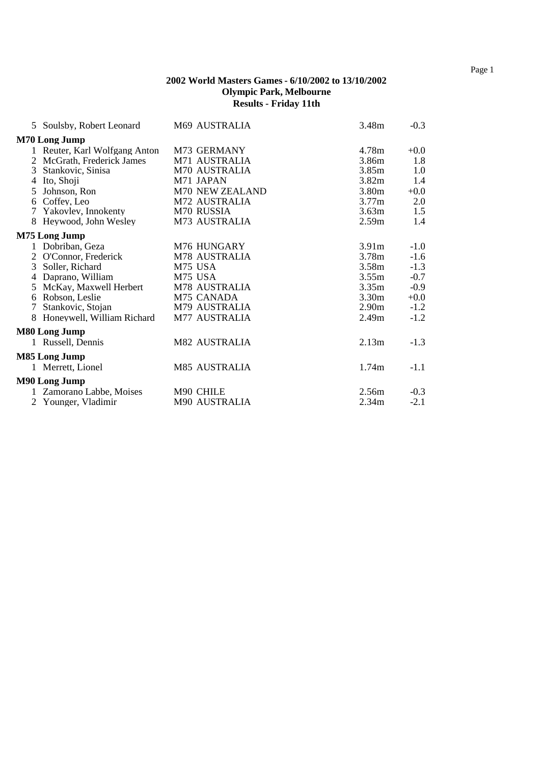|   | 5 Soulsby, Robert Leonard     | M69 AUSTRALIA   | 3.48m             | $-0.3$ |
|---|-------------------------------|-----------------|-------------------|--------|
|   | <b>M70 Long Jump</b>          |                 |                   |        |
|   | 1 Reuter, Karl Wolfgang Anton | M73 GERMANY     | 4.78m             | $+0.0$ |
|   | 2 McGrath, Frederick James    | M71 AUSTRALIA   | 3.86m             | 1.8    |
|   | 3 Stankovic, Sinisa           | M70 AUSTRALIA   | 3.85m             | 1.0    |
|   | 4 Ito, Shoji                  | M71 JAPAN       | 3.82 <sub>m</sub> | 1.4    |
|   | 5 Johnson, Ron                | M70 NEW ZEALAND | 3.80m             | $+0.0$ |
|   | 6 Coffey, Leo                 | M72 AUSTRALIA   | 3.77m             | 2.0    |
|   | 7 Yakovlev, Innokenty         | M70 RUSSIA      | 3.63m             | 1.5    |
|   | 8 Heywood, John Wesley        | M73 AUSTRALIA   | 2.59 <sub>m</sub> | 1.4    |
|   | M75 Long Jump                 |                 |                   |        |
|   | 1 Dobriban, Geza              | M76 HUNGARY     | 3.91 <sub>m</sub> | $-1.0$ |
|   | 2 O'Connor, Frederick         | M78 AUSTRALIA   | 3.78m             | $-1.6$ |
|   | 3 Soller, Richard             | M75 USA         | 3.58m             | $-1.3$ |
|   | 4 Daprano, William            | M75 USA         | 3.55m             | $-0.7$ |
|   | 5 McKay, Maxwell Herbert      | M78 AUSTRALIA   | 3.35m             | $-0.9$ |
|   | 6 Robson, Leslie              | M75 CANADA      | 3.30 <sub>m</sub> | $+0.0$ |
| 7 | Stankovic, Stojan             | M79 AUSTRALIA   | 2.90 <sub>m</sub> | $-1.2$ |
|   | 8 Honeywell, William Richard  | M77 AUSTRALIA   | 2.49 <sub>m</sub> | $-1.2$ |
|   | <b>M80 Long Jump</b>          |                 |                   |        |
|   | 1 Russell, Dennis             | M82 AUSTRALIA   | 2.13m             | $-1.3$ |
|   | M85 Long Jump                 |                 |                   |        |
|   | 1 Merrett, Lionel             | M85 AUSTRALIA   | 1.74m             | $-1.1$ |
|   | M90 Long Jump                 |                 |                   |        |
|   | 1 Zamorano Labbe, Moises      | M90 CHILE       | 2.56m             | $-0.3$ |
|   | 2 Younger, Vladimir           | M90 AUSTRALIA   | 2.34m             | $-2.1$ |
|   |                               |                 |                   |        |

Page 1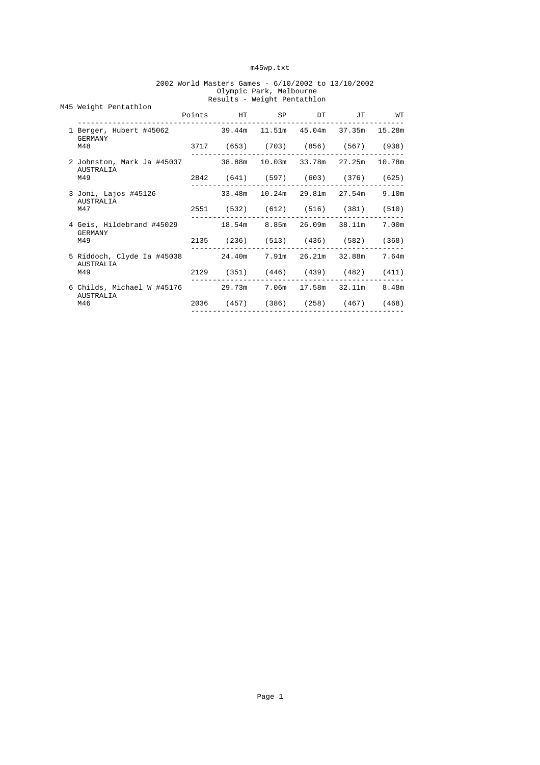#### m45wp.txt

|  | M45 Weight Pentathlon                                                               |  | Points HT SP DT JT WT              |  |  |
|--|-------------------------------------------------------------------------------------|--|------------------------------------|--|--|
|  | 1 Berger, Hubert #45062 39.44m 11.51m 45.04m 37.35m 15.28m<br>GERMANY               |  |                                    |  |  |
|  | M48                                                                                 |  | 3717 (653) (703) (856) (567) (938) |  |  |
|  | 2 Johnston, Mark Ja #45037 38.88m 10.03m 33.78m 27.25m 10.78m<br>AUSTRALIA          |  |                                    |  |  |
|  | M49                                                                                 |  | 2842 (641) (597) (603) (376) (625) |  |  |
|  | 3 Joni, Lajos #45126<br>AUSTRALIA                                                   |  | 33.48m 10.24m 29.81m 27.54m 9.10m  |  |  |
|  | M47                                                                                 |  | 2551 (532) (612) (516) (381) (510) |  |  |
|  | 4 Geis, Hildebrand #45029 18.54m 8.85m 26.09m 38.11m 7.00m<br><b>GERMANY</b><br>M49 |  |                                    |  |  |
|  |                                                                                     |  | 2135 (236) (513) (436) (582) (368) |  |  |
|  | 5 Riddoch, Clyde Ia #45038 24.40m 7.91m 26.21m 32.88m 7.64m<br>AUSTRALIA<br>M49     |  |                                    |  |  |
|  |                                                                                     |  | 2129 (351) (446) (439) (482) (411) |  |  |
|  | 6 Childs, Michael W #45176 29.73m 7.06m 17.58m 32.11m 8.48m<br>AUSTRALIA            |  |                                    |  |  |
|  | M46                                                                                 |  | 2036 (457) (386) (258) (467) (468) |  |  |
|  |                                                                                     |  |                                    |  |  |

#### 2002 World Masters Games - 6/10/2002 to 13/10/2002 Olympic Park, Melbourne Results - Weight Pentathlon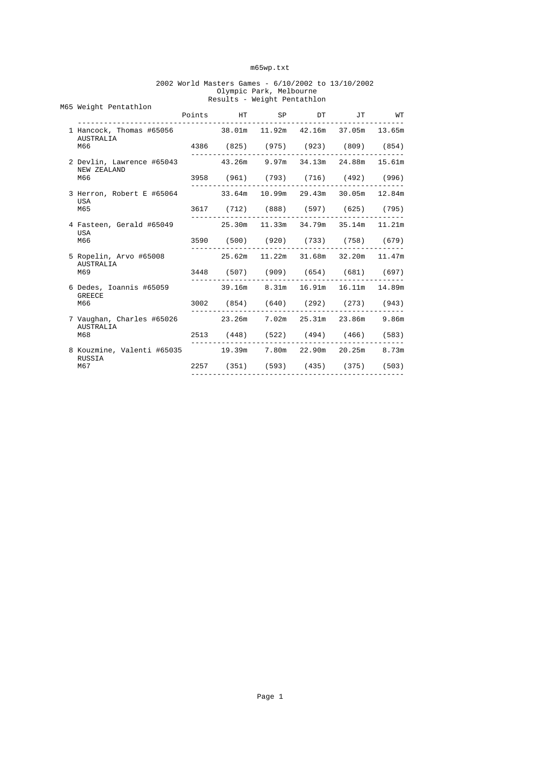#### m65wp.txt

#### 2002 World Masters Games - 6/10/2002 to 13/10/2002 Olympic Park, Melbourne Results - Weight Pentathlon

|  | M65 Weight Pentathlon                                                             | RESULLS - WEIGHL PENLALIIION |  |  |  |                                    |  |
|--|-----------------------------------------------------------------------------------|------------------------------|--|--|--|------------------------------------|--|
|  |                                                                                   |                              |  |  |  | Points HT SP DT JT WT              |  |
|  | 1 Hancock, Thomas #65056 38.01m 11.92m 42.16m 37.05m 13.65m<br>AUSTRALIA<br>M66   |                              |  |  |  |                                    |  |
|  |                                                                                   |                              |  |  |  | 4386 (825) (975) (923) (809) (854) |  |
|  | 2 Devlin, Lawrence #65043 43.26m 9.97m 34.13m 24.88m 15.61m<br>NEW ZEALAND<br>M66 |                              |  |  |  |                                    |  |
|  |                                                                                   |                              |  |  |  | 3958 (961) (793) (716) (492) (996) |  |
|  | 3 Herron, Robert E #65064<br>USA<br>M65                                           |                              |  |  |  | 33.64m 10.99m 29.43m 30.05m 12.84m |  |
|  |                                                                                   |                              |  |  |  | 3617 (712) (888) (597) (625) (795) |  |
|  | 4 Fasteen, Gerald #65049<br>USA<br>M66                                            |                              |  |  |  | 25.30m 11.33m 34.79m 35.14m 11.21m |  |
|  |                                                                                   |                              |  |  |  | 3590 (500) (920) (733) (758) (679) |  |
|  | 5 Ropelin, Arvo #65008<br>AUSTRALIA<br>M69                                        |                              |  |  |  | 25.62m 11.22m 31.68m 32.20m 11.47m |  |
|  |                                                                                   |                              |  |  |  | 3448 (507) (909) (654) (681) (697) |  |
|  | 6 Dedes, Ioannis #65059<br><b>GREECE</b><br>M66                                   |                              |  |  |  | 39.16m 8.31m 16.91m 16.11m 14.89m  |  |
|  |                                                                                   |                              |  |  |  | 3002 (854) (640) (292) (273) (943) |  |
|  | 7 Vaughan, Charles #65026<br>AUSTRALIA<br>M68                                     |                              |  |  |  | 23.26m 7.02m 25.31m 23.86m 9.86m   |  |
|  |                                                                                   |                              |  |  |  | 2513 (448) (522) (494) (466) (583) |  |
|  | 8 Kouzmine, Valenti #65035 19.39m 7.80m 22.90m 20.25m 8.73m<br>RUSSIA<br>M67      |                              |  |  |  |                                    |  |
|  |                                                                                   |                              |  |  |  | 2257 (351) (593) (435) (375) (503) |  |
|  |                                                                                   |                              |  |  |  |                                    |  |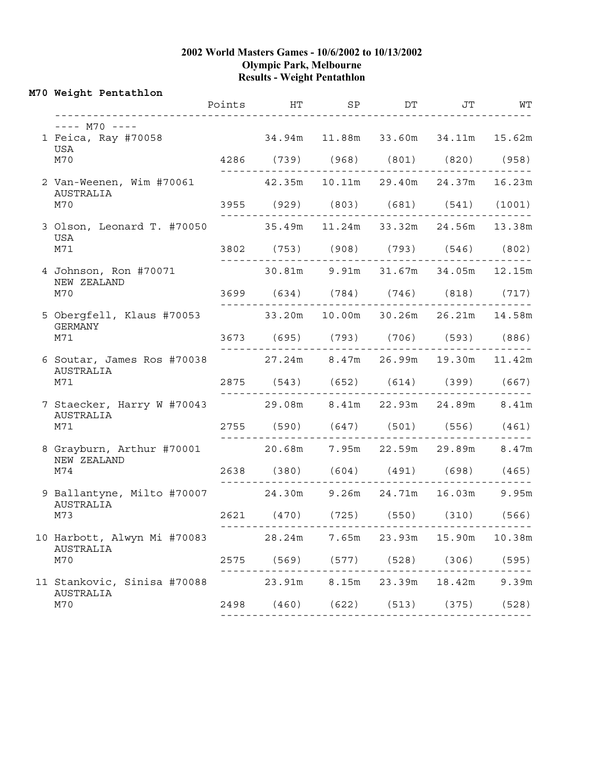#### **2002 World Masters Games - 10/6/2002 to 10/13/2002 Olympic Park, Melbourne Results - Weight Pentathlon**

|  | M70 Weight Pentathlon                                                            | Points HT SP DT JT WT              |                                        |  |       |
|--|----------------------------------------------------------------------------------|------------------------------------|----------------------------------------|--|-------|
|  | $--- M70 ---$                                                                    |                                    |                                        |  |       |
|  | 1 Feica, Ray #70058<br>USA<br>M70                                                | 34.94m 11.88m 33.60m 34.11m 15.62m |                                        |  |       |
|  |                                                                                  |                                    | 4286 (739) (968) (801) (820) (958)     |  |       |
|  | 2 Van-Weenen, Wim #70061 42.35m 10.11m 29.40m 24.37m 16.23m<br>AUSTRALIA<br>M70  |                                    |                                        |  |       |
|  |                                                                                  |                                    | 3955 (929) (803) (681) (541) (1001)    |  |       |
|  | 3 Olson, Leonard T. #70050<br>USA<br>M71                                         |                                    | 35.49m  11.24m  33.32m  24.56m  13.38m |  |       |
|  |                                                                                  |                                    | 3802 (753) (908) (793) (546) (802)     |  |       |
|  | 4 Johnson, Ron #70071<br>NEW ZEALAND<br>M70                                      |                                    | 30.81m 9.91m 31.67m 34.05m 12.15m      |  |       |
|  |                                                                                  |                                    | 3699 (634) (784) (746) (818) (717)     |  |       |
|  | 5 Obergfell, Klaus #70053 33.20m 10.00m 30.26m 26.21m 14.58m<br>GERMANY<br>M71   |                                    |                                        |  |       |
|  |                                                                                  |                                    | 3673 (695) (793) (706) (593) (886)     |  |       |
|  | 6 Soutar, James Ros #70038 27.24m 8.47m 26.99m 19.30m 11.42m<br>AUSTRALIA<br>M71 |                                    |                                        |  |       |
|  |                                                                                  |                                    | 2875 (543) (652) (614) (399) (667)     |  |       |
|  | 7 Staecker, Harry W #70043<br>AUSTRALIA<br>M71                                   |                                    | 29.08m 8.41m 22.93m 24.89m 8.41m       |  |       |
|  |                                                                                  |                                    | 2755 (590) (647) (501) (556) (461)     |  |       |
|  | 8 Grayburn, Arthur #70001 20.68m 7.95m 22.59m 29.89m 8.47m<br>NEW ZEALAND<br>M74 |                                    |                                        |  |       |
|  |                                                                                  |                                    | 2638 (380) (604) (491) (698) (465)     |  |       |
|  | 9 Ballantyne, Milto #70007 24.30m 9.26m 24.71m 16.03m 9.95m<br>AUSTRALIA<br>M73  |                                    |                                        |  |       |
|  |                                                                                  |                                    | 2621 (470) (725) (550) (310) (566)     |  |       |
|  | 10 Harbott, Alwyn Mi #70083<br><b>AUSTRALIA</b><br>M70                           |                                    | 28.24m 7.65m 23.93m 15.90m 10.38m      |  |       |
|  |                                                                                  |                                    | 2575 (569) (577) (528) (306) (595)     |  |       |
|  | 11 Stankovic, Sinisa #70088<br>AUSTRALIA<br>M70                                  |                                    | 23.91m  8.15m  23.39m  18.42m          |  | 9.39m |
|  |                                                                                  |                                    | 2498 (460) (622) (513) (375) (528)     |  |       |
|  |                                                                                  |                                    |                                        |  |       |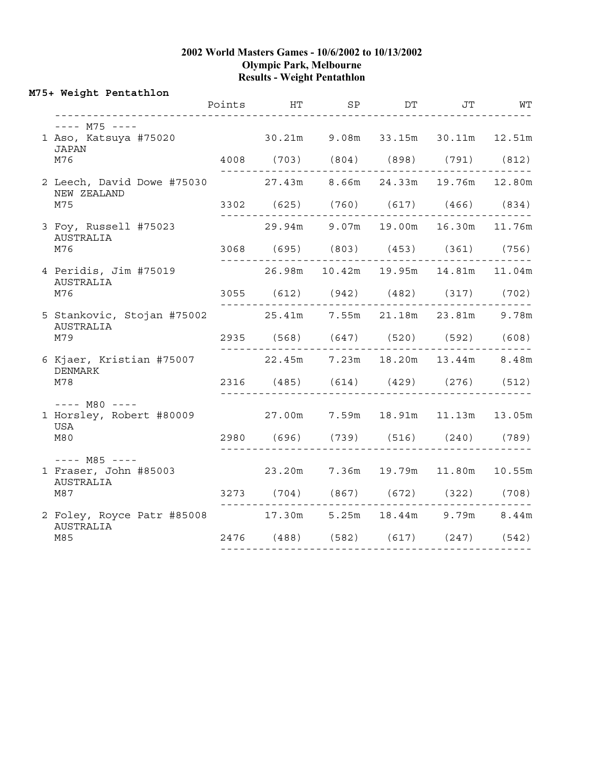#### **2002 World Masters Games - 10/6/2002 to 10/13/2002 Olympic Park, Melbourne Results - Weight Pentathlon**

#### **M75+ Weight Pentathlon** Points HT SP DT JT WT ---------------------------------------------------------------------------  $--- M75 ---$ 1 Aso, Katsuya #75020 30.21m 9.08m 33.15m 30.11m 12.51m JAPAN M76 4008 (703) (804) (898) (791) (812) ------------------------------------------------- 2 Leech, David Dowe #75030 27.43m 8.66m 24.33m 19.76m 12.80m NEW ZEALAND M75 3302 (625) (760) (617) (466) (834) ------------------------------------------------- 3 Foy, Russell #75023 29.94m 9.07m 19.00m 16.30m 11.76m AUSTRALIA M76 3068 (695) (803) (453) (361) (756) ------------------------------------------------- 4 Peridis, Jim #75019 26.98m 10.42m 19.95m 14.81m 11.04m AUSTRALIA M76 3055 (612) (942) (482) (317) (702) ------------------------------------------------- 5 Stankovic, Stojan #75002 25.41m 7.55m 21.18m 23.81m 9.78m AUSTRALIA M79 2935 (568) (647) (520) (592) (608) ------------------------------------------------- 6 Kjaer, Kristian #75007 22.45m 7.23m 18.20m 13.44m 8.48m DENMARK M78 2316 (485) (614) (429) (276) (512) ------------------------------------------------- ---- M80 ---- 1 Horsley, Robert #80009 27.00m 7.59m 18.91m 11.13m 13.05m USA M80 2980 (696) (739) (516) (240) (789) -------------------------------------------------  $---$  M85  $---$ 1 Fraser, John #85003 23.20m 7.36m 19.79m 11.80m 10.55m AUSTRALIA M87 3273 (704) (867) (672) (322) (708) ------------------------------------------------- 2 Foley, Royce Patr #85008 17.30m 5.25m 18.44m 9.79m 8.44m AUSTRALIA<br>M85 M85 2476 (488) (582) (617) (247) (542) -------------------------------------------------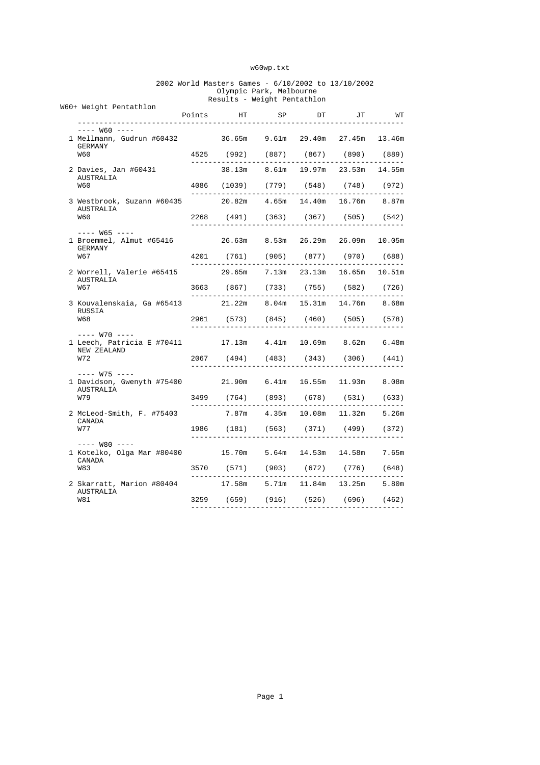#### w60wp.txt

#### 2002 World Masters Games - 6/10/2002 to 13/10/2002 Olympic Park, Melbourne Results - Weight Pentathlon

|            |                                                                                                     |        |        | Results - Weight Pentathion          |    |                           |        |
|------------|-----------------------------------------------------------------------------------------------------|--------|--------|--------------------------------------|----|---------------------------|--------|
|            | W60+ Weight Pentathlon                                                                              | Points |        | HT SP                                | DT | JT                        | WT     |
|            | $--- W60 ---$                                                                                       |        |        |                                      |    |                           |        |
|            | 1 Mellmann, Gudrun #60432<br>GERMANY<br><b>W60</b>                                                  |        |        | 36.65m 9.61m 29.40m 27.45m 13.46m    |    |                           |        |
|            |                                                                                                     |        |        | 4525 (992) (887) (867) (890) (889)   |    |                           |        |
|            | 2 Davies, Jan #60431<br>AUSTRALIA<br><b>W60</b>                                                     |        |        | 38.13m 8.61m 19.97m 23.53m 14.55m    |    |                           |        |
|            |                                                                                                     |        |        | 4086 (1039) (779) (548) (748) (972)  |    |                           |        |
|            | 3 Westbrook, Suzann #60435<br>AUSTRALIA<br><b>W60</b>                                               |        |        | 20.82m  4.65m  14.40m  16.76m  8.87m |    |                           |        |
|            |                                                                                                     |        |        | 2268 (491) (363) (367) (505) (542)   |    |                           |        |
| W67        | $--- W65 ---$<br>1 Broemmel, Almut #65416                                                           |        |        | 26.63m 8.53m 26.29m 26.09m           |    |                           | 10.05m |
|            | GERMANY                                                                                             |        |        | 4201 (761) (905) (877) (970) (688)   |    |                           |        |
|            | 2 Worrell, Valerie #65415<br>AUSTRALIA<br>W67                                                       |        | 29.65m |                                      |    | $7.13m$ $23.13m$ $16.65m$ | 10.51m |
|            |                                                                                                     |        |        | 3663 (867) (733) (755) (582) (726)   |    |                           |        |
|            | 3 Kouvalenskaia, Ga #65413<br>RUSSIA<br><b>W68</b>                                                  |        |        | $21.22m$ 8.04m                       |    | 15.31m 14.76m             | 8.68m  |
|            |                                                                                                     |        |        | 2961 (573) (845) (460) (505) (578)   |    |                           |        |
|            | $---$ W70 $---$<br>1 Leech, Patricia E #70411 17.13m 4.41m 10.69m 8.62m                             |        |        |                                      |    |                           | 6.48m  |
|            | NEW ZEALAND<br>W72                                                                                  |        |        | 2067 (494) (483) (343) (306) (441)   |    |                           |        |
|            | $--- W75 ---$                                                                                       |        |        |                                      |    |                           |        |
|            | 1 Davidson, Gwenyth #75400<br>AUSTRALIA<br>W79                                                      |        |        | 21.90m 6.41m 16.55m 11.93m           |    |                           | 8.08m  |
|            |                                                                                                     |        |        | 3499 (764) (893) (678) (531) (633)   |    |                           |        |
|            | 2 McLeod-Smith, F. #75403<br>CANADA<br>W77                                                          |        |        | 7.87m  4.35m  10.08m  11.32m         |    |                           | 5.26m  |
|            |                                                                                                     |        |        | 1986 (181) (563) (371) (499) (372)   |    |                           |        |
| <b>W83</b> | $-- W80$ $---$<br>1 Kotelko, Olga Mar #80400               15.70m       5.64m     14.53m     14.58m |        |        |                                      |    |                           | 7.65m  |
|            | CANADA                                                                                              |        |        | 3570 (571) (903) (672) (776) (648)   |    |                           |        |
|            | 2 Skarratt, Marion #80404<br>AUSTRALIA<br><b>W81</b>                                                |        |        | 17.58m 5.71m 11.84m 13.25m           |    |                           | 5.80m  |
|            |                                                                                                     | 3259   |        | (659) (916) (526) (696) (462)        |    |                           |        |
|            |                                                                                                     |        |        |                                      |    |                           |        |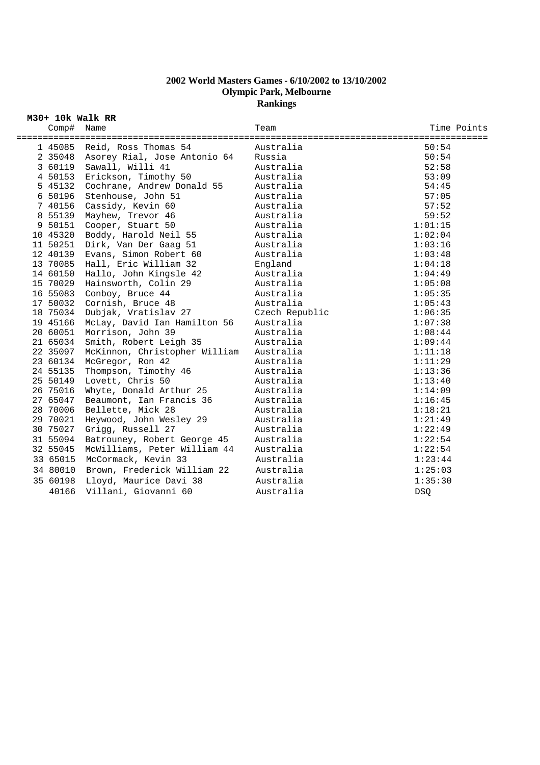# **2002 World Masters Games - 6/10/2002 to 13/10/2002 Olympic Park, Melbourne Rankings**

**M30+ 10k Walk RR**

| Comp#<br>. = = = = = = = = = = = = = | Name<br>========================     | Team           | Time Points |
|--------------------------------------|--------------------------------------|----------------|-------------|
|                                      | 1 45085 Reid, Ross Thomas 54         | Australia      | 50:54       |
|                                      | 2 35048 Asorey Rial, Jose Antonio 64 | Russia         | 50:54       |
|                                      | 3 60119 Sawall, Willi 41             | Australia      | 52:58       |
|                                      | 4 50153 Erickson, Timothy 50         | Australia      | 53:09       |
|                                      | 5 45132 Cochrane, Andrew Donald 55   | Australia      | 54:45       |
|                                      | 6 50196 Stenhouse, John 51           | Australia      | 57:05       |
| 7 40156                              | Cassidy, Kevin 60                    | Australia      | 57:52       |
| 8 55139                              | Mayhew, Trevor 46                    | Australia      | 59:52       |
| 9 50151                              | Cooper, Stuart 50                    | Australia      | 1:01:15     |
| 10 45320                             | Boddy, Harold Neil 55                | Australia      | 1:02:04     |
| 11 50251                             | Dirk, Van Der Gaag 51                | Australia      | 1:03:16     |
| 12 40139                             | Evans, Simon Robert 60               | Australia      | 1:03:48     |
| 13 70085                             | Hall, Eric William 32                | England        | 1:04:18     |
| 14 60150                             | Hallo, John Kingsle 42               | Australia      | 1:04:49     |
| 15 70029                             | Hainsworth, Colin 29                 | Australia      | 1:05:08     |
| 16 55083                             | Conboy, Bruce 44                     | Australia      | 1:05:35     |
| 17 50032                             | Cornish, Bruce 48                    | Australia      | 1:05:43     |
| 18 75034                             | Dubjak, Vratislav 27                 | Czech Republic | 1:06:35     |
| 19 45166                             | McLay, David Ian Hamilton 56         | Australia      | 1:07:38     |
| 20 60051                             | Morrison, John 39                    | Australia      | 1:08:44     |
| 21 65034                             | Smith, Robert Leigh 35               | Australia      | 1:09:44     |
| 22 35097                             | McKinnon, Christopher William        | Australia      | 1:11:18     |
| 23 60134                             | McGregor, Ron 42                     | Australia      | 1:11:29     |
| 24 55135                             | Thompson, Timothy 46                 | Australia      | 1:13:36     |
| 25 50149                             | Lovett, Chris 50                     | Australia      | 1:13:40     |
| 26 75016                             | Whyte, Donald Arthur 25              | Australia      | 1:14:09     |
| 27 65047                             | Beaumont, Ian Francis 36             | Australia      | 1:16:45     |
| 28 70006                             | Bellette, Mick 28                    | Australia      | 1:18:21     |
| 29 70021                             | Heywood, John Wesley 29              | Australia      | 1:21:49     |
| 30 75027                             | Grigg, Russell 27                    | Australia      | 1:22:49     |
| 31 55094                             | Batrouney, Robert George 45          | Australia      | 1:22:54     |
| 32 55045                             | McWilliams, Peter William 44         | Australia      | 1:22:54     |
| 33 65015                             | McCormack, Kevin 33                  | Australia      | 1:23:44     |
| 34 80010                             | Brown, Frederick William 22          | Australia      | 1:25:03     |
|                                      | 35 60198 Lloyd, Maurice Davi 38      | Australia      | 1:35:30     |
| 40166                                | Villani, Giovanni 60                 | Australia      | <b>DSO</b>  |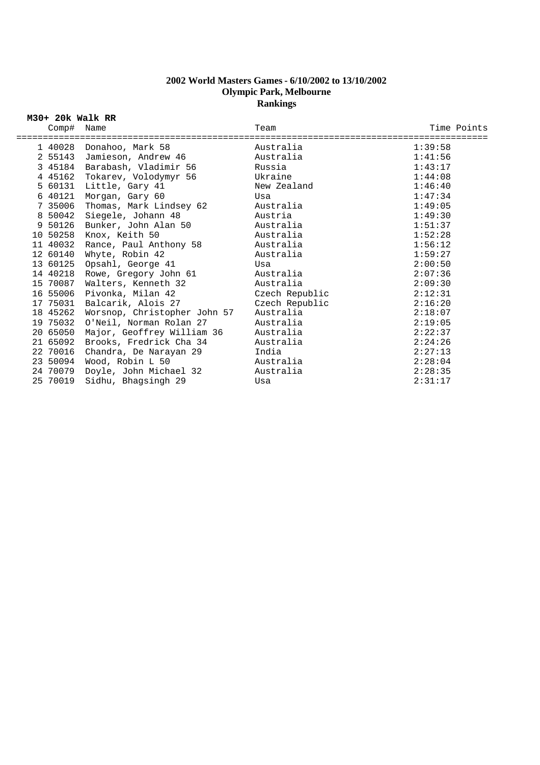## **2002 World Masters Games - 6/10/2002 to 13/10/2002 Olympic Park, Melbourne Rankings**

## **M30+ 20k Walk RR**

| Comp#    | Name                                              | Team           | Time Points |
|----------|---------------------------------------------------|----------------|-------------|
|          | =====================<br>1 40028 Donahoo, Mark 58 | Australia      | 1:39:58     |
|          | 2 55143 Jamieson, Andrew 46                       | Australia      | 1:41:56     |
|          | 3 45184 Barabash, Vladimir 56                     | Russia         | 1:43:17     |
|          | 4 45162 Tokarev, Volodymyr 56                     | Ukraine        | 1:44:08     |
| 5 60131  | Little, Gary 41                                   | New Zealand    | 1:46:40     |
| 6 40121  | Morgan, Gary 60                                   | Usa            | 1:47:34     |
| 7 35006  | Thomas, Mark Lindsey 62                           | Australia      | 1:49:05     |
| 8 50042  | Siegele, Johann 48                                | Austria        | 1:49:30     |
| 9 50126  | Bunker, John Alan 50                              | Australia      | 1:51:37     |
|          | 10 50258 Knox, Keith 50                           | Australia      | 1:52:28     |
| 11 40032 | Rance, Paul Anthony 58                            | Australia      | 1:56:12     |
| 12 60140 | Whyte, Robin 42                                   | Australia      | 1:59:27     |
| 13 60125 | Opsahl, George 41                                 | Usa            | 2:00:50     |
|          | 14 40218 Rowe, Gregory John 61                    | Australia      | 2:07:36     |
| 15 70087 | Walters, Kenneth 32                               | Australia      | 2:09:30     |
| 16 55006 | Pivonka, Milan 42                                 | Czech Republic | 2:12:31     |
| 17 75031 | Balcarik, Alois 27                                | Czech Republic | 2:16:20     |
| 18 45262 | Worsnop, Christopher John 57                      | Australia      | 2:18:07     |
| 19 75032 | O'Neil, Norman Rolan 27                           | Australia      | 2:19:05     |
| 20 65050 | Major, Geoffrey William 36                        | Australia      | 2:22:37     |
| 21 65092 | Brooks, Fredrick Cha 34                           | Australia      | 2:24:26     |
| 22 70016 | Chandra, De Narayan 29                            | India          | 2:27:13     |
|          | 23 50094 Wood, Robin L 50                         | Australia      | 2:28:04     |
| 24 70079 | Doyle, John Michael 32                            | Australia      | 2:28:35     |
| 25 70019 | Sidhu, Bhagsingh 29                               | Usa            | 2:31:17     |
|          |                                                   |                |             |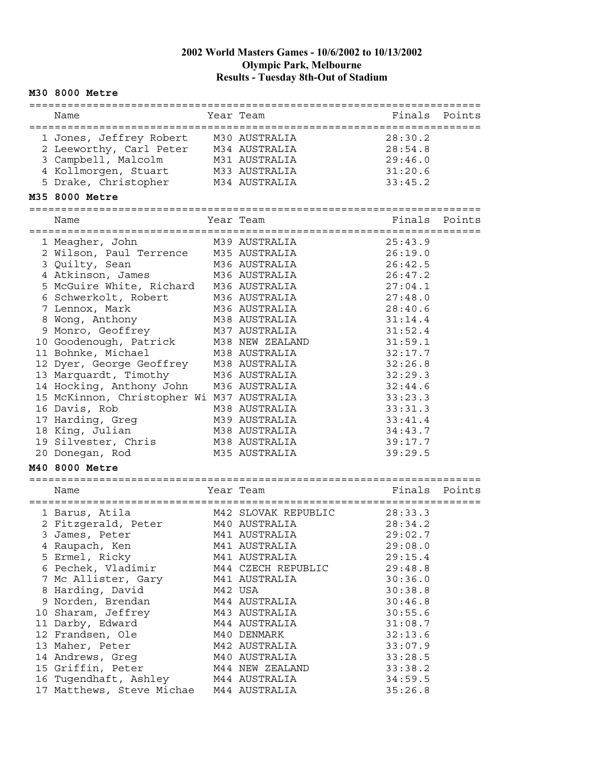#### **M30 8000 Metre**

| Name                                      | Year Team           | Finals  | Points |
|-------------------------------------------|---------------------|---------|--------|
| 1 Jones, Jeffrey Robert M30 AUSTRALIA     |                     | 28:30.2 |        |
| 2 Leeworthy, Carl Peter                   | M34 AUSTRALIA       | 28:54.8 |        |
| 3 Campbell, Malcolm                       | M31 AUSTRALIA       | 29:46.0 |        |
| 4 Kollmorgen, Stuart                      | M33 AUSTRALIA       | 31:20.6 |        |
| 5 Drake, Christopher                      | M34 AUSTRALIA       | 33:45.2 |        |
| M35 8000 Metre                            |                     |         |        |
|                                           |                     |         |        |
| Name                                      | Year Team           | Finals  | Points |
| 1 Meagher, John                           | M39 AUSTRALIA       | 25:43.9 |        |
| 2 Wilson, Paul Terrence                   | M35 AUSTRALIA       | 26:19.0 |        |
| 3 Quilty, Sean                            | M36 AUSTRALIA       | 26:42.5 |        |
| 4 Atkinson, James                         | M36 AUSTRALIA       | 26:47.2 |        |
| 5 McGuire White, Richard                  | M36 AUSTRALIA       | 27:04.1 |        |
| 6 Schwerkolt, Robert                      | M36 AUSTRALIA       | 27:48.0 |        |
| 7 Lennox, Mark                            | M36 AUSTRALIA       | 28:40.6 |        |
| 8 Wong, Anthony                           | M38 AUSTRALIA       | 31:14.4 |        |
| 9 Monro, Geoffrey                         | M37 AUSTRALIA       | 31:52.4 |        |
| 10 Goodenough, Patrick                    | M38 NEW ZEALAND     | 31:59.1 |        |
| 11 Bohnke, Michael                        | M38 AUSTRALIA       | 32:17.7 |        |
| 12 Dyer, George Geoffrey                  | M38 AUSTRALIA       | 32:26.8 |        |
| 13 Marquardt, Timothy                     | M36 AUSTRALIA       | 32:29.3 |        |
| 14 Hocking, Anthony John                  | M36 AUSTRALIA       | 32:44.6 |        |
| 15 McKinnon, Christopher Wi M37 AUSTRALIA |                     | 33:23.3 |        |
| 16 Davis, Rob                             | M38 AUSTRALIA       | 33:31.3 |        |
| 17 Harding, Greg                          | M39 AUSTRALIA       | 33:41.4 |        |
| 18 King, Julian                           | M38 AUSTRALIA       | 34:43.7 |        |
| 19 Silvester, Chris                       | M38 AUSTRALIA       | 39:17.7 |        |
| 20 Donegan, Rod                           | M35 AUSTRALIA       | 39:29.5 |        |
| M40 8000 Metre                            |                     |         |        |
| Name                                      | Year Team           | Finals  | Points |
|                                           |                     |         |        |
| 1 Barus, Atila                            | M42 SLOVAK REPUBLIC | 28:33.3 |        |
| 2 Fitzgerald, Peter                       | M40 AUSTRALIA       | 28:34.2 |        |
| 3 James, Peter                            | M41 AUSTRALIA       | 29:02.7 |        |
| 4 Raupach, Ken                            | M41 AUSTRALIA       | 29:08.0 |        |
| 5 Ermel, Ricky                            | M41 AUSTRALIA       | 29:15.4 |        |
| 6 Pechek, Vladimir                        | M44 CZECH REPUBLIC  | 29:48.8 |        |
| 7 Mc Allister, Gary                       | M41 AUSTRALIA       | 30:36.0 |        |
| 8 Harding, David                          | M42 USA             | 30:38.8 |        |
| 9 Norden, Brendan                         | M44 AUSTRALIA       | 30:46.8 |        |
| 10 Sharam, Jeffrey                        | M43 AUSTRALIA       | 30:55.6 |        |
| 11 Darby, Edward                          | M44 AUSTRALIA       | 31:08.7 |        |
| 12 Frandsen, Ole                          | M40 DENMARK         | 32:13.6 |        |
| 13 Maher, Peter                           | M42 AUSTRALIA       | 33:07.9 |        |
| 14 Andrews, Greg                          | M40 AUSTRALIA       | 33:28.5 |        |
| 15 Griffin, Peter                         | M44 NEW ZEALAND     | 33:38.2 |        |
| 16 Tugendhaft, Ashley                     | M44 AUSTRALIA       | 34:59.5 |        |
| 17 Matthews, Steve Michae                 | M44 AUSTRALIA       | 35:26.8 |        |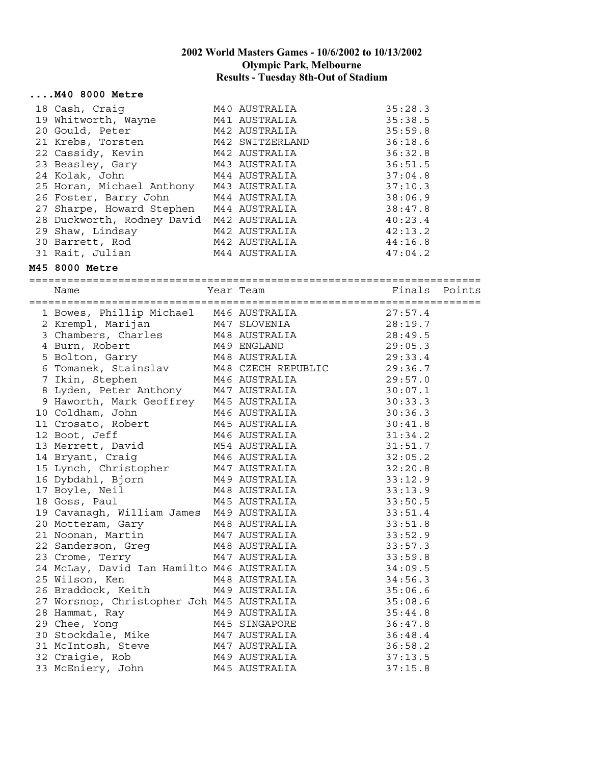#### **....M40 8000 Metre**

| 18 Cash, Craiq                          | M40 AUSTRALIA   | 35:28.3 |
|-----------------------------------------|-----------------|---------|
| 19 Whitworth, Wayne                     | M41 AUSTRALIA   | 35:38.5 |
| 20 Gould, Peter                         | M42 AUSTRALIA   | 35:59.8 |
| 21 Krebs, Torsten                       | M42 SWITZERLAND | 36:18.6 |
| 22 Cassidy, Kevin                       | M42 AUSTRALIA   | 36:32.8 |
| 23 Beasley, Gary                        | M43 AUSTRALIA   | 36:51.5 |
| 24 Kolak, John                          | M44 AUSTRALIA   | 37:04.8 |
| 25 Horan, Michael Anthony M43 AUSTRALIA |                 | 37:10.3 |
| 26 Foster, Barry John                   | M44 AUSTRALIA   | 38:06.9 |
| 27 Sharpe, Howard Stephen               | M44 AUSTRALIA   | 38:47.8 |
| 28 Duckworth, Rodney David              | M42 AUSTRALIA   | 40:23.4 |
| 29 Shaw, Lindsay                        | M42 AUSTRALIA   | 42:13.2 |
| 30 Barrett, Rod                         | M42 AUSTRALIA   | 44:16.8 |
| 31 Rait, Julian                         | M44 AUSTRALIA   | 47:04.2 |

#### **M45 8000 Metre**

=======================================================================

| Name                                                                                                                                                                                                                                         | Year Team | Finals Points |  |
|----------------------------------------------------------------------------------------------------------------------------------------------------------------------------------------------------------------------------------------------|-----------|---------------|--|
| 1 Bowes, Phillip Michael M46 AUSTRALIA 27:57.4<br>2 Krempl, Marijan M47 SLOVENIA 28:19.7<br>3 Chambers, Charles M48 AUSTRALIA 28:49.5<br>4 Burn, Robert M49 ENGLAND 29:05.3<br>5 Bolton, Garry M48 AUSTRALIA 29:33.4<br>6 Tomanek, Stain     |           |               |  |
|                                                                                                                                                                                                                                              |           |               |  |
|                                                                                                                                                                                                                                              |           |               |  |
|                                                                                                                                                                                                                                              |           |               |  |
|                                                                                                                                                                                                                                              |           |               |  |
|                                                                                                                                                                                                                                              |           |               |  |
|                                                                                                                                                                                                                                              |           |               |  |
|                                                                                                                                                                                                                                              |           |               |  |
|                                                                                                                                                                                                                                              |           |               |  |
| 7 Ikin, Stephen M46 AUSTRALIA 29:58.7<br>8 Lyden, Peter Anthony M47 AUSTRALIA 30:07.1<br>9 Haworth, Mark Geoffrey M45 AUSTRALIA 30:33.3<br>10 Coldham, John M46 AUSTRALIA 30:33.3<br>11 Crosato, Robert M45 AUSTRALIA 30:36.3<br>12 Boot     |           |               |  |
|                                                                                                                                                                                                                                              |           |               |  |
|                                                                                                                                                                                                                                              |           |               |  |
|                                                                                                                                                                                                                                              |           |               |  |
|                                                                                                                                                                                                                                              |           |               |  |
|                                                                                                                                                                                                                                              |           |               |  |
| 15 Lynch, Christopher M47 AUSTRALIA 32:03.2<br>16 Dybdahl, Bjorn M49 AUSTRALIA 33:12.9<br>17 Boyle, Neil M48 AUSTRALIA 33:12.9<br>18 Goss, Paul M45 AUSTRALIA 33:50.5<br>19 Cavanagh, William James M49 AUSTRALIA 33:51.4<br>20 Motteram     |           |               |  |
|                                                                                                                                                                                                                                              |           |               |  |
|                                                                                                                                                                                                                                              |           |               |  |
|                                                                                                                                                                                                                                              |           |               |  |
|                                                                                                                                                                                                                                              |           |               |  |
| 21 Noonan, Martin M47 AUSTRALIA 33:52.9                                                                                                                                                                                                      |           |               |  |
|                                                                                                                                                                                                                                              |           |               |  |
|                                                                                                                                                                                                                                              |           |               |  |
| 24 McLay, David Ian Hamilto M46 AUSTRALIA 34:09.5                                                                                                                                                                                            |           |               |  |
|                                                                                                                                                                                                                                              |           |               |  |
|                                                                                                                                                                                                                                              |           |               |  |
|                                                                                                                                                                                                                                              |           |               |  |
|                                                                                                                                                                                                                                              |           |               |  |
|                                                                                                                                                                                                                                              |           |               |  |
|                                                                                                                                                                                                                                              |           |               |  |
|                                                                                                                                                                                                                                              |           |               |  |
|                                                                                                                                                                                                                                              |           |               |  |
| 24 McLay, David Ian Hamilto M46 AUSTRALIA<br>25 Wilson, Ken M48 AUSTRALIA<br>26 Braddock, Keith M49 AUSTRALIA<br>27 Worsnop, Christopher Joh M45 AUSTRALIA<br>28 Hammat, Ray M49 AUSTRALIA<br>29 Chee, Yong M45 SINGAPORE<br>36:47.8<br>30 S |           |               |  |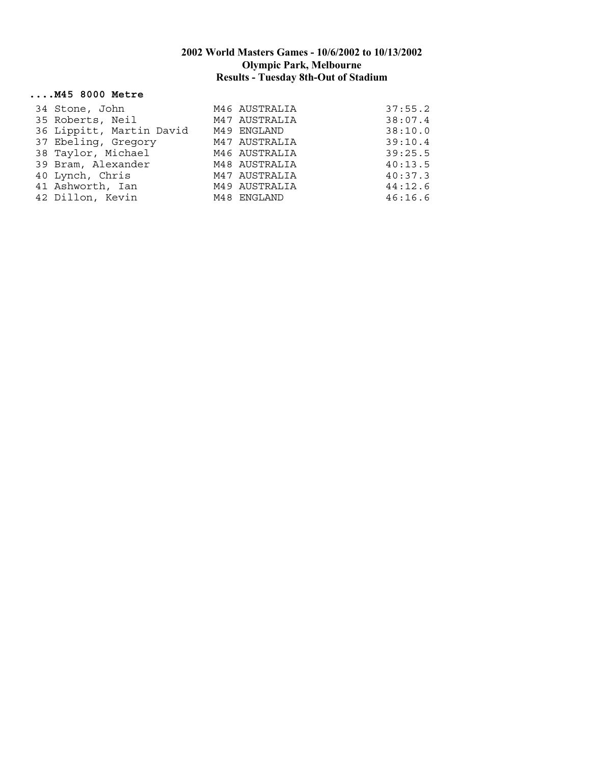#### **....M45 8000 Metre**

| 34 Stone, John           | M46 AUSTRALIA | 37:55.2 |
|--------------------------|---------------|---------|
| 35 Roberts, Neil         | M47 AUSTRALIA | 38:07.4 |
| 36 Lippitt, Martin David | M49 ENGLAND   | 38:10.0 |
| 37 Ebeling, Gregory      | M47 AUSTRALIA | 39:10.4 |
| 38 Taylor, Michael       | M46 AUSTRALIA | 39:25.5 |
| 39 Bram, Alexander       | M48 AUSTRALIA | 40:13.5 |
| 40 Lynch, Chris          | M47 AUSTRALIA | 40:37.3 |
| 41 Ashworth, Ian         | M49 AUSTRALIA | 44:12.6 |
| 42 Dillon, Kevin         | M48 ENGLAND   | 46:16.6 |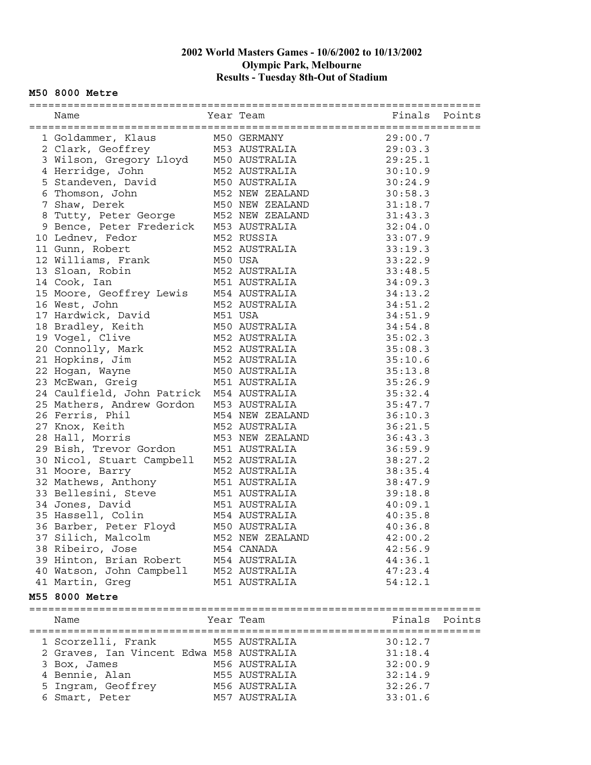#### **M50 8000 Metre**

| 1 Goldammer, Klaus M50 GERMANY 29:00.7<br>2 Clark, Geoffrey M53 AUSTRALIA 29:03.3<br>3 Wilson, Gregory Lloyd M50 AUSTRALIA 29:25.1<br>4 Herridge, John M52 AUSTRALIA 30:10.9<br>5 Standeven, David M50 AUSTRALIA 30:24.9<br>7 M50 AUSTRA     |                 |               |  |
|----------------------------------------------------------------------------------------------------------------------------------------------------------------------------------------------------------------------------------------------|-----------------|---------------|--|
|                                                                                                                                                                                                                                              |                 |               |  |
|                                                                                                                                                                                                                                              |                 |               |  |
|                                                                                                                                                                                                                                              |                 |               |  |
|                                                                                                                                                                                                                                              |                 |               |  |
|                                                                                                                                                                                                                                              |                 |               |  |
|                                                                                                                                                                                                                                              |                 |               |  |
| 5 Standeven, David<br>6 Thomson, John M50 AUSTRALIA<br>7 Shaw, Derek M50 NEW ZEALAND 30:58.3<br>7 Shaw, Derek M50 NEW ZEALAND 31:18.7<br>8 Tutty, Peter George M52 NEW ZEALAND 31:18.7<br>9 Bence, Peter Frederick M53 AUSTRALIA 32:04.0     |                 |               |  |
|                                                                                                                                                                                                                                              |                 |               |  |
|                                                                                                                                                                                                                                              |                 |               |  |
|                                                                                                                                                                                                                                              |                 |               |  |
|                                                                                                                                                                                                                                              |                 |               |  |
|                                                                                                                                                                                                                                              |                 |               |  |
|                                                                                                                                                                                                                                              |                 |               |  |
|                                                                                                                                                                                                                                              |                 |               |  |
|                                                                                                                                                                                                                                              |                 |               |  |
| 17 Hardwick, David M51 USA                                                                                                                                                                                                                   |                 | 34:51.9       |  |
| 17 Hardwick, David<br>18 Bradley, Keith<br>19 Vogel, Clive M50 AUSTRALIA 34:54.8<br>20 Connolly, Mark M52 AUSTRALIA 35:02.3<br>21 Hopkins, Jim M52 AUSTRALIA 35:08.3<br>22 Hogan, Wayne M50 AUSTRALIA 35:10.6<br>23 McEwan, Greig M51 AUST   |                 |               |  |
|                                                                                                                                                                                                                                              |                 |               |  |
|                                                                                                                                                                                                                                              |                 |               |  |
|                                                                                                                                                                                                                                              |                 |               |  |
|                                                                                                                                                                                                                                              |                 |               |  |
|                                                                                                                                                                                                                                              |                 |               |  |
|                                                                                                                                                                                                                                              |                 | 35:26.9       |  |
| 24 Caulfield, John Patrick M54 AUSTRALIA                                                                                                                                                                                                     |                 | 35:32.4       |  |
| 25 Mathers, Andrew Gordon M53 AUSTRALIA 35:47.7<br>26 Ferris, Phil M54 NEW ZEALAND 36:10.3<br>27 Knox, Keith M52 AUSTRALIA 36:21.5<br>28 Hall, Morris M53 NEW ZEALAND 36:43.3                                                                |                 |               |  |
|                                                                                                                                                                                                                                              |                 |               |  |
|                                                                                                                                                                                                                                              |                 |               |  |
|                                                                                                                                                                                                                                              |                 |               |  |
| 29 Bish, Trevor Gordon M51 AUSTRALIA 36:59.9                                                                                                                                                                                                 |                 |               |  |
| 30 Nicol, Stuart Campbell M52 AUSTRALIA 38:27.2<br>31 Moore, Barry M52 AUSTRALIA 38:27.2<br>32 Mathews, Anthony M51 AUSTRALIA 38:35.4<br>32 Mathews, Anthony M51 AUSTRALIA 38:47.9<br>33 Bellesini, Steve M51 AUSTRALIA 39:18.8<br>34 Jones, |                 |               |  |
|                                                                                                                                                                                                                                              |                 |               |  |
|                                                                                                                                                                                                                                              |                 |               |  |
|                                                                                                                                                                                                                                              |                 |               |  |
|                                                                                                                                                                                                                                              |                 |               |  |
|                                                                                                                                                                                                                                              |                 |               |  |
|                                                                                                                                                                                                                                              |                 |               |  |
| 37 Silich, Malcolm                                                                                                                                                                                                                           | M52 NEW ZEALAND | 42:00.2       |  |
| 38 Ribeiro, Jose                                                                                                                                                                                                                             | M54 CANADA      | 42:56.9       |  |
| 39 Hinton, Brian Robert                                                                                                                                                                                                                      | M54 AUSTRALIA   | 44:36.1       |  |
|                                                                                                                                                                                                                                              |                 |               |  |
| 40 Watson, John Campbell                                                                                                                                                                                                                     | M52 AUSTRALIA   | 47:23.4       |  |
| 41 Martin, Greg                                                                                                                                                                                                                              | M51 AUSTRALIA   | 54:12.1       |  |
| M55 8000 Metre                                                                                                                                                                                                                               |                 |               |  |
| Name                                                                                                                                                                                                                                         | Year Team       | Finals Points |  |
| 1 Scorzelli, Frank                                                                                                                                                                                                                           | M55 AUSTRALIA   | 30:12.7       |  |
| 2 Graves, Ian Vincent Edwa M58 AUSTRALIA                                                                                                                                                                                                     |                 | 31:18.4       |  |
| 3 Box, James                                                                                                                                                                                                                                 | M56 AUSTRALIA   | 32:00.9       |  |
| 4 Bennie, Alan                                                                                                                                                                                                                               | M55 AUSTRALIA   | 32:14.9       |  |
| 5 Ingram, Geoffrey                                                                                                                                                                                                                           | M56 AUSTRALIA   | 32:26.7       |  |
| 6 Smart, Peter                                                                                                                                                                                                                               | M57 AUSTRALIA   | 33:01.6       |  |
|                                                                                                                                                                                                                                              |                 |               |  |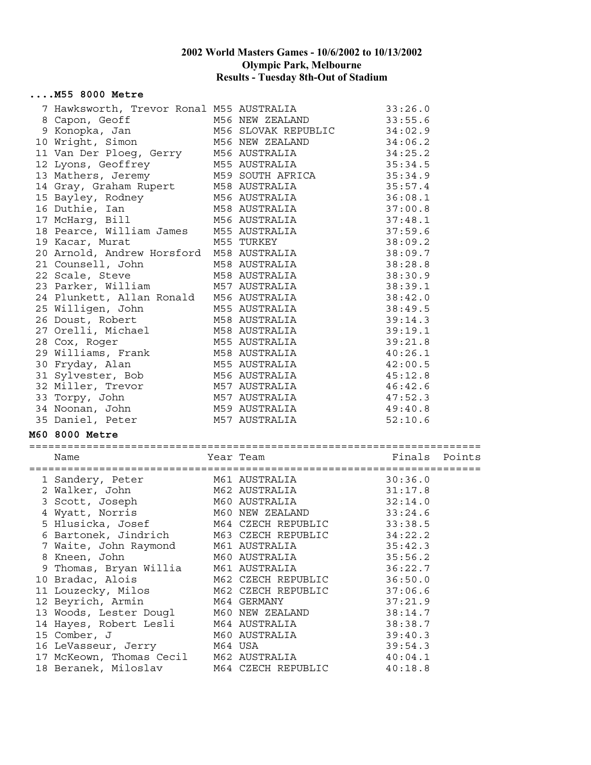#### **....M55 8000 Metre**

| 7 Hawksworth, Trevor Ronal M55 AUSTRALIA 33:26.0                                                                                                                                                                                         |                                     |                    |
|------------------------------------------------------------------------------------------------------------------------------------------------------------------------------------------------------------------------------------------|-------------------------------------|--------------------|
| 33:26.0<br>8 Capon, Geoff M56 NEW ZEALAND 33:55.6<br>9 Konopka, Jan M56 SLOVAK REPUBLIC 34:02.9<br>10 Wright, Simon M56 NEW ZEALAND 34:06.2<br>11 Van Der Ploeg, Gerry M56 AUSTRALIA 34:25.2<br>12 Lyons, Geoffrey M55 AUSTRALIA 35:34.5 |                                     |                    |
|                                                                                                                                                                                                                                          |                                     |                    |
|                                                                                                                                                                                                                                          |                                     |                    |
|                                                                                                                                                                                                                                          |                                     |                    |
|                                                                                                                                                                                                                                          |                                     |                    |
|                                                                                                                                                                                                                                          |                                     |                    |
| 14 Gray, Graham Rupert M58 AUSTRALIA 35:57.4                                                                                                                                                                                             |                                     |                    |
|                                                                                                                                                                                                                                          |                                     |                    |
| 15 Bayley, Rodney<br>16 Duthie, Ian M58 AUSTRALIA 37:00.8<br>17 McHarg, Bill M56 AUSTRALIA 37:00.8<br>18 Pearce, William James M55 AUSTRALIA 37:59.6<br>19 Kacar, Murat M55 TURKEY 38:09.2                                               |                                     |                    |
|                                                                                                                                                                                                                                          |                                     |                    |
|                                                                                                                                                                                                                                          |                                     |                    |
|                                                                                                                                                                                                                                          |                                     | 38:09.2            |
|                                                                                                                                                                                                                                          |                                     |                    |
|                                                                                                                                                                                                                                          | M58 AUSTRALIA                       | 38:28.8            |
| 21 Counsell, John<br>22 Scale, Steve                                                                                                                                                                                                     | M58 AUSTRALIA 38:30.9               |                    |
| 23 Parker, William                                                                                                                                                                                                                       | M57 AUSTRALIA 38:39.1               |                    |
| 24 Plunkett, Allan Ronald M56 AUSTRALIA 38:42.0                                                                                                                                                                                          |                                     |                    |
|                                                                                                                                                                                                                                          |                                     |                    |
| 25 Willigen, John                                                                                                                                                                                                                        | M55 AUSTRALIA 38:49.5               |                    |
| 26 Doust, Robert                                                                                                                                                                                                                         | M58 AUSTRALIA 39:14.3               |                    |
|                                                                                                                                                                                                                                          |                                     |                    |
|                                                                                                                                                                                                                                          |                                     |                    |
|                                                                                                                                                                                                                                          |                                     |                    |
|                                                                                                                                                                                                                                          |                                     |                    |
|                                                                                                                                                                                                                                          |                                     |                    |
|                                                                                                                                                                                                                                          |                                     |                    |
|                                                                                                                                                                                                                                          |                                     |                    |
| 27 Orelli, Michael M58 AUSTRALIA 39:19.1<br>28 Cox, Roger M55 AUSTRALIA 39:19.1<br>29 Williams, Frank M58 AUSTRALIA 40:26.1<br>30 Fryday, Alan M55 AUSTRALIA 40:26.1<br>31 Sylvester, Bob M56 AUSTRALIA 42:00.5<br>32 Miller, Trevor M57 |                                     |                    |
| 35 Daniel, Peter                                                                                                                                                                                                                         | M57 AUSTRALIA                       | 52:10.6            |
| M60 8000 Metre                                                                                                                                                                                                                           |                                     |                    |
| Name                                                                                                                                                                                                                                     | Year Team                           | Finals<br>Points   |
|                                                                                                                                                                                                                                          |                                     |                    |
| 1 Sandery, Peter M61 AUSTRALIA 30:36.0<br>2 Walker, John M62 AUSTRALIA 31:17.8<br>3 Scott, Joseph M60 AUSTRALIA 32:14.0<br>4 Wyatt, Norris M60 NEW ZEALAND 33:24.6                                                                       |                                     |                    |
|                                                                                                                                                                                                                                          |                                     |                    |
|                                                                                                                                                                                                                                          |                                     |                    |
|                                                                                                                                                                                                                                          |                                     |                    |
| 5 Hlusicka, Josef M64 CZECH REPUBLIC 33:38.5                                                                                                                                                                                             |                                     |                    |
| 6 Bartonek, Jindrich M63 CZECH REPUBLIC 34:22.2                                                                                                                                                                                          |                                     |                    |
| 7 Waite, John Raymond                                                                                                                                                                                                                    | M61 AUSTRALIA                       | 35:42.3            |
| 8 Kneen, John                                                                                                                                                                                                                            | M60 AUSTRALIA                       | 35:56.2            |
| 9 Thomas, Bryan Willia                                                                                                                                                                                                                   | M61 AUSTRALIA                       | 36:22.7            |
| 10 Bradac, Alois                                                                                                                                                                                                                         | M62 CZECH REPUBLIC                  | 36:50.0            |
| 11 Louzecky, Milos                                                                                                                                                                                                                       | M62 CZECH REPUBLIC                  | 37:06.6            |
| 12 Beyrich, Armin                                                                                                                                                                                                                        | M64 GERMANY                         | 37:21.9            |
|                                                                                                                                                                                                                                          |                                     |                    |
|                                                                                                                                                                                                                                          |                                     |                    |
| 13 Woods, Lester Dougl                                                                                                                                                                                                                   | M60 NEW ZEALAND                     | 38:14.7            |
| 14 Hayes, Robert Lesli                                                                                                                                                                                                                   | M64 AUSTRALIA                       | 38:38.7            |
| 15 Comber, J                                                                                                                                                                                                                             | M60 AUSTRALIA                       | 39:40.3            |
| 16 LeVasseur, Jerry                                                                                                                                                                                                                      | M64 USA                             | 39:54.3            |
| 17 McKeown, Thomas Cecil<br>18 Beranek, Miloslav                                                                                                                                                                                         | M62 AUSTRALIA<br>M64 CZECH REPUBLIC | 40:04.1<br>40:18.8 |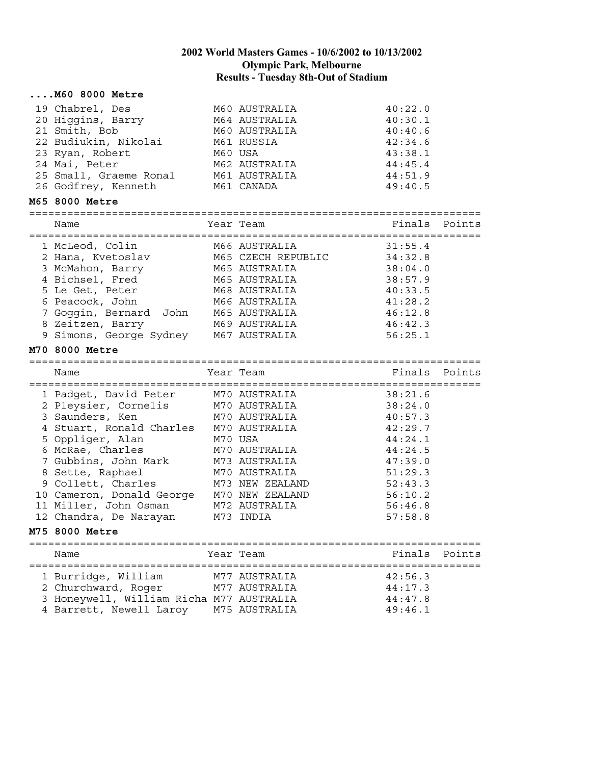| M60 8000 Metre                                                                                                                                                                               |         |                    |                    |        |
|----------------------------------------------------------------------------------------------------------------------------------------------------------------------------------------------|---------|--------------------|--------------------|--------|
| 19 Chabrel, Des                                                                                                                                                                              |         | M60 AUSTRALIA      | 40:22.0            |        |
| 20 Higgins, Barry                                                                                                                                                                            |         | M64 AUSTRALIA      | 40:30.1            |        |
| 21 Smith, Bob                                                                                                                                                                                |         | M60 AUSTRALIA      | 40:40.6            |        |
| 22 Budiukin, Nikolai                                                                                                                                                                         |         | M61 RUSSIA         | 42:34.6            |        |
| 23 Ryan, Robert                                                                                                                                                                              | M60 USA |                    | 43:38.1            |        |
| 24 Mai, Peter                                                                                                                                                                                |         | M62 AUSTRALIA      | 44:45.4            |        |
| 25 Small, Graeme Ronal                                                                                                                                                                       |         | M61 AUSTRALIA      | 44:51.9            |        |
| 26 Godfrey, Kenneth                                                                                                                                                                          |         | M61 CANADA         | 49:40.5            |        |
| M65 8000 Metre                                                                                                                                                                               |         |                    |                    |        |
|                                                                                                                                                                                              |         |                    |                    |        |
| Name                                                                                                                                                                                         |         | Year Team          | Finals             | Points |
| 1 McLeod, Colin                                                                                                                                                                              |         | M66 AUSTRALIA      | 31:55.4            |        |
| 2 Hana, Kvetoslav                                                                                                                                                                            |         | M65 CZECH REPUBLIC | 34:32.8            |        |
| 3 McMahon, Barry                                                                                                                                                                             |         | M65 AUSTRALIA      | 38:04.0            |        |
|                                                                                                                                                                                              |         | M65 AUSTRALIA      | 38:57.9            |        |
| 4 Bichsel, Fred<br>5 Le Get, Peter                                                                                                                                                           |         | M68 AUSTRALIA      | 40:33.5            |        |
| 6 Peacock, John                                                                                                                                                                              |         | M66 AUSTRALIA      | 41:28.2            |        |
| 7 Goggin, Bernard John M65 AUSTRALIA                                                                                                                                                         |         |                    | 46:12.8            |        |
| 8 Zeitzen, Barry M69 AUSTRALIA                                                                                                                                                               |         |                    | 46:42.3            |        |
| 9 Simons, George Sydney M67 AUSTRALIA                                                                                                                                                        |         |                    | 56:25.1            |        |
| M70 8000 Metre                                                                                                                                                                               |         |                    |                    |        |
|                                                                                                                                                                                              |         |                    |                    |        |
|                                                                                                                                                                                              |         |                    |                    |        |
| Name                                                                                                                                                                                         |         | Year Team          | Finals             | Points |
|                                                                                                                                                                                              |         |                    |                    |        |
| 1 Padget, David Peter M70 AUSTRALIA                                                                                                                                                          |         |                    | 38:21.6            |        |
| 2 Pleysier, Cornelis M70 AUSTRALIA                                                                                                                                                           |         |                    | 38:24.0            |        |
| 3 Saunders, Ken                                                                                                                                                                              |         | M70 AUSTRALIA      | 40:57.3            |        |
| 4 Stuart, Ronald Charles M70 AUSTRALIA                                                                                                                                                       |         |                    | 42:29.7            |        |
| 5 Oppliger, Alan<br>M70 USA                                                                                                                                                                  |         |                    | 44:24.1            |        |
| 6 McRae, Charles                                                                                                                                                                             |         | M70 AUSTRALIA      | 44:24.5            |        |
| 7 Gubbins, John Mark M73 AUSTRALIA                                                                                                                                                           |         |                    | 47:39.0            |        |
|                                                                                                                                                                                              |         |                    | 51:29.3            |        |
|                                                                                                                                                                                              |         | M73 NEW ZEALAND    | 52:43.3            |        |
|                                                                                                                                                                                              |         |                    | 56:10.2            |        |
|                                                                                                                                                                                              |         |                    | 56:46.8<br>57:58.8 |        |
| 9 Sette, Rapnaeı<br>9 Collett, Charles<br>10 Cameron, Donald George M70 NEW ZEALAND<br>11 Miller, John Osman M72 AUSTRALIA<br>11 Miller, John Osman M73 INDIA<br>173 INDIA<br>M75 8000 Metre |         |                    |                    |        |
|                                                                                                                                                                                              |         |                    |                    |        |
| Name                                                                                                                                                                                         |         | Year Team          | Finals             | Points |
| 1 Burridge, William                                                                                                                                                                          |         | M77 AUSTRALIA      | 42:56.3            |        |
| 2 Churchward, Roger                                                                                                                                                                          |         | M77 AUSTRALIA      | 44:17.3            |        |
| 3 Honeywell, William Richa M77 AUSTRALIA<br>4 Barrett, Newell Laroy                                                                                                                          |         |                    | 44:47.8            |        |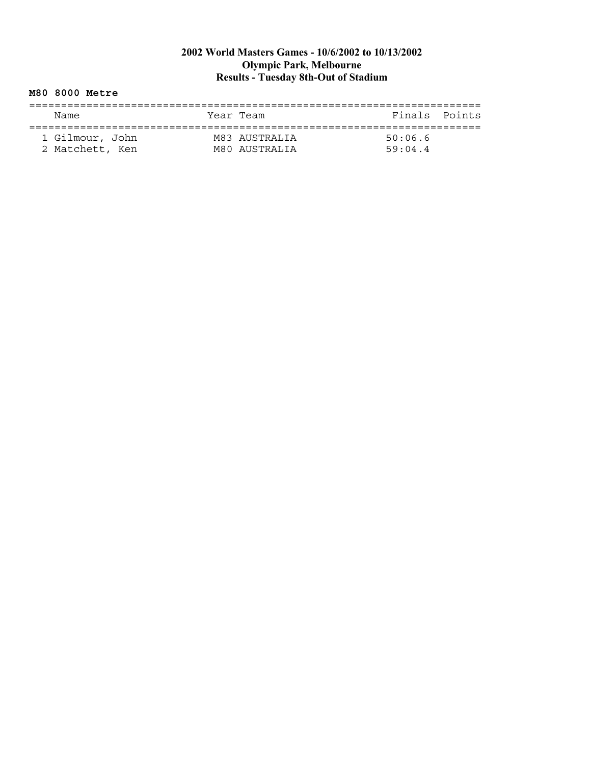#### **M80 8000 Metre**

| Name            | Year Team |                                | Finals Points      |  |
|-----------------|-----------|--------------------------------|--------------------|--|
| 1 Gilmour, John |           | M83 AUSTRALIA<br>M80 AUSTRALIA | 50:06.6<br>59.04.4 |  |
| 2 Matchett, Ken |           |                                |                    |  |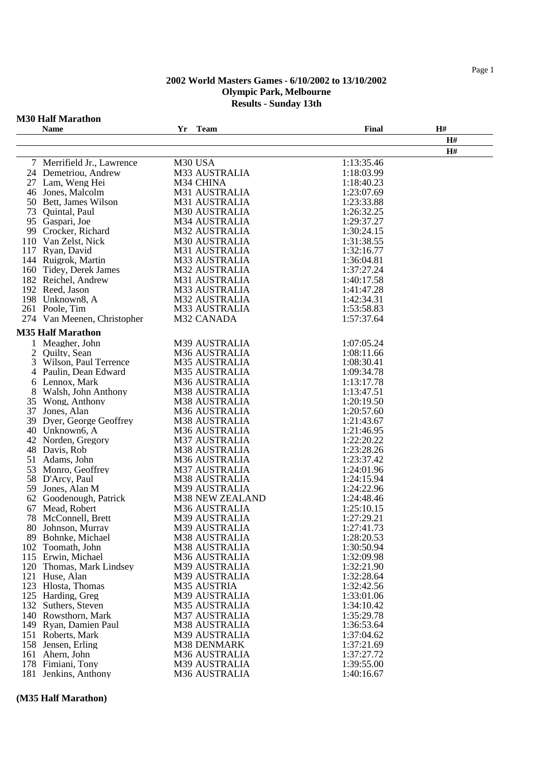## **M30 Half Marathon**

|     | <b>Name</b>                             | Yr | <b>Team</b>                    | Final                    | H# |
|-----|-----------------------------------------|----|--------------------------------|--------------------------|----|
|     |                                         |    |                                |                          | H# |
|     |                                         |    |                                |                          | H# |
|     | 7 Merrifield Jr., Lawrence              |    | M30 USA                        | 1:13:35.46               |    |
|     | 24 Demetriou, Andrew                    |    | M33 AUSTRALIA                  | 1:18:03.99               |    |
|     | 27 Lam, Weng Hei                        |    | M34 CHINA                      | 1:18:40.23               |    |
|     | 46 Jones, Malcolm                       |    | M31 AUSTRALIA                  | 1:23:07.69               |    |
|     | 50 Bett, James Wilson                   |    | M31 AUSTRALIA                  | 1:23:33.88               |    |
| 73  | Quintal, Paul                           |    | M30 AUSTRALIA                  | 1:26:32.25               |    |
|     | 95 Gaspari, Joe                         |    | M34 AUSTRALIA                  | 1:29:37.27               |    |
|     | 99 Crocker, Richard                     |    | M32 AUSTRALIA                  | 1:30:24.15               |    |
|     | 110 Van Zelst, Nick                     |    | M30 AUSTRALIA                  | 1:31:38.55               |    |
|     | 117 Ryan, David                         |    | M31 AUSTRALIA                  | 1:32:16.77               |    |
|     | 144 Ruigrok, Martin                     |    | M33 AUSTRALIA                  | 1:36:04.81               |    |
|     | 160 Tidey, Derek James                  |    | <b>M32 AUSTRALIA</b>           | 1:37:27.24               |    |
|     | 182 Reichel, Andrew                     |    | M31 AUSTRALIA                  | 1:40:17.58               |    |
|     | 192 Reed, Jason                         |    | M33 AUSTRALIA                  | 1:41:47.28               |    |
|     | 198 Unknown8, A                         |    | <b>M32 AUSTRALIA</b>           | 1:42:34.31               |    |
|     | 261 Poole, Tim                          |    | M33 AUSTRALIA                  | 1:53:58.83               |    |
|     | 274 Van Meenen, Christopher             |    | M32 CANADA                     | 1:57:37.64               |    |
|     |                                         |    |                                |                          |    |
|     | <b>M35 Half Marathon</b>                |    |                                |                          |    |
|     | 1 Meagher, John                         |    | M39 AUSTRALIA                  | 1:07:05.24               |    |
| 2   | Ouilty, Sean                            |    | M36 AUSTRALIA                  | 1:08:11.66               |    |
| 3   | Wilson, Paul Terrence                   |    | <b>M35 AUSTRALIA</b>           | 1:08:30.41<br>1:09:34.78 |    |
| 4   | Paulin, Dean Edward                     |    | <b>M35 AUSTRALIA</b>           |                          |    |
| 6   | Lennox, Mark                            |    | M36 AUSTRALIA                  | 1:13:17.78               |    |
| 8   | Walsh, John Anthony                     |    | M38 AUSTRALIA                  | 1:13:47.51               |    |
|     | 35 Wong, Anthony                        |    | M38 AUSTRALIA                  | 1:20:19.50               |    |
| 39  | 37 Jones, Alan<br>Dyer, George Geoffrey |    | M36 AUSTRALIA<br>M38 AUSTRALIA | 1:20:57.60<br>1:21:43.67 |    |
|     | 40 Unknown6, A                          |    | M36 AUSTRALIA                  | 1:21:46.95               |    |
| 42  | Norden, Gregory                         |    | <b>M37 AUSTRALIA</b>           | 1:22:20.22               |    |
| 48  | Davis, Rob                              |    | M38 AUSTRALIA                  | 1:23:28.26               |    |
| 51  | Adams, John                             |    | M36 AUSTRALIA                  | 1:23:37.42               |    |
| 53  | Monro, Geoffrey                         |    | <b>M37 AUSTRALIA</b>           | 1:24:01.96               |    |
|     | 58 D'Arcy, Paul                         |    | M38 AUSTRALIA                  | 1:24:15.94               |    |
|     | 59 Jones, Alan M                        |    | M39 AUSTRALIA                  | 1:24:22.96               |    |
|     | 62 Goodenough, Patrick                  |    | M38 NEW ZEALAND                | 1:24:48.46               |    |
| 67  | Mead, Robert                            |    | M36 AUSTRALIA                  | 1:25:10.15               |    |
| 78  | McConnell, Brett                        |    | M39 AUSTRALIA                  | 1:27:29.21               |    |
|     | 80 Johnson, Murray                      |    | M39 AUSTRALIA                  | 1:27:41.73               |    |
|     | 89 Bohnke, Michael                      |    | M38 AUSTRALIA                  | 1:28:20.53               |    |
|     | 102 Toomath, John                       |    | M38 AUSTRALIA                  | 1:30:50.94               |    |
|     | 115 Erwin, Michael                      |    | M36 AUSTRALIA                  | 1:32:09.98               |    |
|     | 120 Thomas, Mark Lindsey                |    | M39 AUSTRALIA                  | 1:32:21.90               |    |
|     | 121 Huse, Alan                          |    | M39 AUSTRALIA                  | 1:32:28.64               |    |
|     | 123 Hlosta, Thomas                      |    | M35 AUSTRIA                    | 1:32:42.56               |    |
|     | 125 Harding, Greg                       |    | M39 AUSTRALIA                  | 1:33:01.06               |    |
|     | 132 Suthers, Steven                     |    | M35 AUSTRALIA                  | 1:34:10.42               |    |
|     | 140 Rowsthorn, Mark                     |    | M37 AUSTRALIA                  | 1:35:29.78               |    |
| 149 | Ryan, Damien Paul                       |    | M38 AUSTRALIA                  | 1:36:53.64               |    |
| 151 | Roberts, Mark                           |    | M39 AUSTRALIA                  | 1:37:04.62               |    |
|     | 158 Jensen, Erling                      |    | M38 DENMARK                    | 1:37:21.69               |    |
| 161 | Ahern, John                             |    | M36 AUSTRALIA                  | 1:37:27.72               |    |
|     | 178 Fimiani, Tony                       |    | M39 AUSTRALIA                  | 1:39:55.00               |    |
| 181 | Jenkins, Anthony                        |    | M36 AUSTRALIA                  | 1:40:16.67               |    |

#### **(M35 Half Marathon)**

Page 1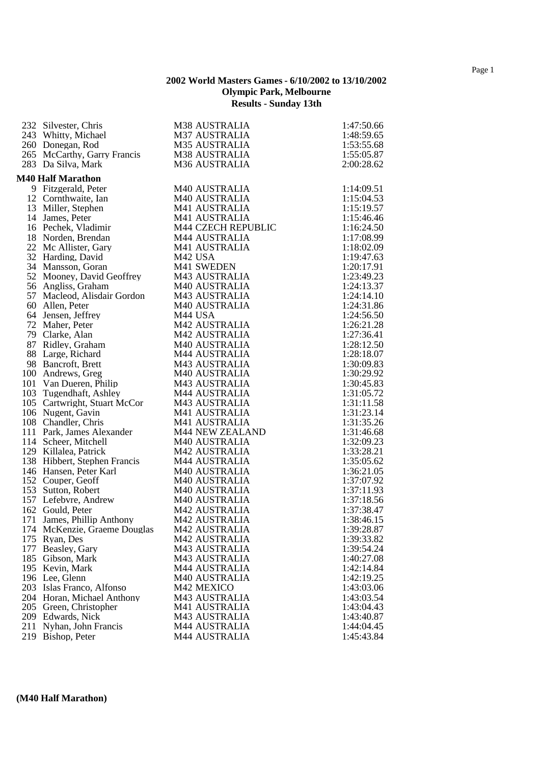|     | 232 Silvester, Chris         | M38 AUSTRALIA          | 1:47:50.66 |
|-----|------------------------------|------------------------|------------|
|     |                              |                        |            |
|     | 243 Whitty, Michael          | <b>M37 AUSTRALIA</b>   | 1:48:59.65 |
|     | 260 Donegan, Rod             | <b>M35 AUSTRALIA</b>   | 1:53:55.68 |
|     | 265 McCarthy, Garry Francis  | M38 AUSTRALIA          | 1:55:05.87 |
|     | 283 Da Silva, Mark           | <b>M36 AUSTRALIA</b>   | 2:00:28.62 |
|     | <b>M40 Half Marathon</b>     |                        |            |
|     | 9 Fitzgerald, Peter          | M40 AUSTRALIA          | 1:14:09.51 |
|     | 12 Cornthwaite, Ian          | M40 AUSTRALIA          | 1:15:04.53 |
|     | 13 Miller, Stephen           | M41 AUSTRALIA          | 1:15:19.57 |
|     | 14 James, Peter              | M41 AUSTRALIA          | 1:15:46.46 |
|     | 16 Pechek, Vladimir          | M44 CZECH REPUBLIC     | 1:16:24.50 |
|     | 18 Norden, Brendan           | M44 AUSTRALIA          | 1:17:08.99 |
|     | 22 Mc Allister, Gary         | M41 AUSTRALIA          | 1:18:02.09 |
|     | 32 Harding, David            | M <sub>42</sub> USA    | 1:19:47.63 |
|     | 34 Mansson, Goran            | M41 SWEDEN             | 1:20:17.91 |
|     | 52 Mooney, David Geoffrey    | M43 AUSTRALIA          | 1:23:49.23 |
|     | 56 Angliss, Graham           | M40 AUSTRALIA          | 1:24:13.37 |
|     | 57 Macleod, Alisdair Gordon  | M43 AUSTRALIA          | 1:24:14.10 |
|     | 60 Allen, Peter              | <b>M40 AUSTRALIA</b>   | 1:24:31.86 |
|     | 64 Jensen, Jeffrey           | M44 USA                | 1:24:56.50 |
|     | 72 Maher, Peter              | <b>M42 AUSTRALIA</b>   | 1:26:21.28 |
|     | 79 Clarke, Alan              | M42 AUSTRALIA          | 1:27:36.41 |
|     | 87 Ridley, Graham            | M40 AUSTRALIA          | 1:28:12.50 |
|     | 88 Large, Richard            | M44 AUSTRALIA          | 1:28:18.07 |
|     | 98 Bancroft, Brett           | <b>M43 AUSTRALIA</b>   | 1:30:09.83 |
|     | 100 Andrews, Greg            | <b>M40 AUSTRALIA</b>   | 1:30:29.92 |
|     | 101 Van Dueren, Philip       | M43 AUSTRALIA          | 1:30:45.83 |
|     | 103 Tugendhaft, Ashley       | M44 AUSTRALIA          | 1:31:05.72 |
|     | 105 Cartwright, Stuart McCor | M43 AUSTRALIA          | 1:31:11.58 |
|     | 106 Nugent, Gavin            | M41 AUSTRALIA          | 1:31:23.14 |
|     | 108 Chandler, Chris          | M41 AUSTRALIA          | 1:31:35.26 |
|     | 111 Park, James Alexander    | <b>M44 NEW ZEALAND</b> | 1:31:46.68 |
|     | 114 Scheer, Mitchell         | M40 AUSTRALIA          | 1:32:09.23 |
|     | 129 Killalea, Patrick        | <b>M42 AUSTRALIA</b>   | 1:33:28.21 |
|     | 138 Hibbert, Stephen Francis | M44 AUSTRALIA          | 1:35:05.62 |
|     | 146 Hansen, Peter Karl       | M40 AUSTRALIA          | 1:36:21.05 |
|     | 152 Couper, Geoff            | M40 AUSTRALIA          | 1:37:07.92 |
|     | 153 Sutton, Robert           | M40 AUSTRALIA          | 1:37:11.93 |
|     | 157 Lefebvre, Andrew         | M40 AUSTRALIA          | 1:37:18.56 |
|     | 162 Gould, Peter             | M42 AUSTRALIA          | 1:37:38.47 |
|     | 171 James, Phillip Anthony   | <b>M42 AUSTRALIA</b>   | 1:38:46.15 |
|     | 174 McKenzie, Graeme Douglas | M42 AUSTRALIA          | 1:39:28.87 |
|     | 175 Ryan, Des                | <b>M42 AUSTRALIA</b>   | 1:39:33.82 |
|     | 177 Beasley, Gary            | M43 AUSTRALIA          | 1:39:54.24 |
|     | 185 Gibson, Mark             | M43 AUSTRALIA          | 1:40:27.08 |
|     | 195 Kevin, Mark              | <b>M44 AUSTRALIA</b>   | 1:42:14.84 |
|     | 196 Lee, Glenn               | <b>M40 AUSTRALIA</b>   | 1:42:19.25 |
|     | 203 Islas Franco, Alfonso    | M42 MEXICO             | 1:43:03.06 |
|     | 204 Horan, Michael Anthony   | M43 AUSTRALIA          | 1:43:03.54 |
|     | 205 Green, Christopher       | M41 AUSTRALIA          | 1:43:04.43 |
|     | 209 Edwards, Nick            | M43 AUSTRALIA          | 1:43:40.87 |
| 211 | Nyhan, John Francis          | <b>M44 AUSTRALIA</b>   | 1:44:04.45 |
|     | 219 Bishop, Peter            | <b>M44 AUSTRALIA</b>   | 1:45:43.84 |

#### **(M40 Half Marathon)**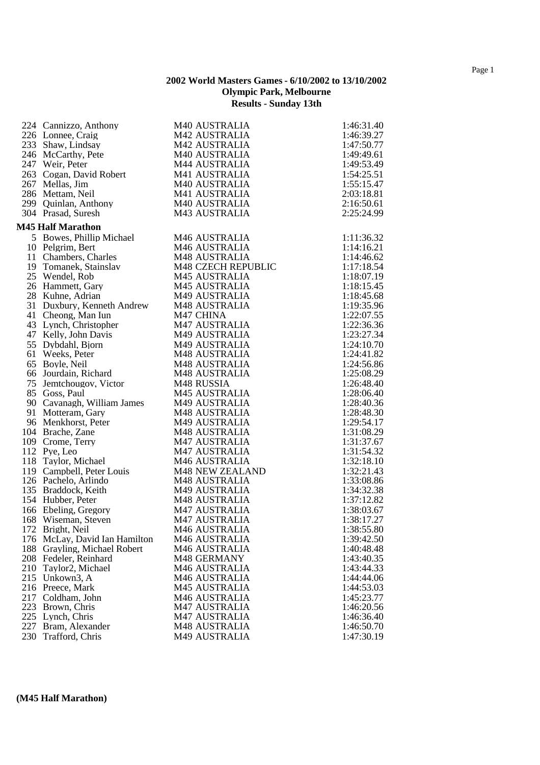| 224 Cannizzo, Anthony         | M40 AUSTRALIA          | 1:46:31.40 |
|-------------------------------|------------------------|------------|
| 226 Lonnee, Craig             | M42 AUSTRALIA          | 1:46:39.27 |
| 233 Shaw, Lindsay             | <b>M42 AUSTRALIA</b>   | 1:47:50.77 |
| 246 McCarthy, Pete            | <b>M40 AUSTRALIA</b>   | 1:49:49.61 |
| 247 Weir, Peter               | M44 AUSTRALIA          | 1:49:53.49 |
| 263 Cogan, David Robert       | M41 AUSTRALIA          | 1:54:25.51 |
| 267 Mellas, Jim               | <b>M40 AUSTRALIA</b>   | 1:55:15.47 |
| 286 Mettam, Neil              | M41 AUSTRALIA          | 2:03:18.81 |
| 299 Quinlan, Anthony          | M40 AUSTRALIA          | 2:16:50.61 |
| 304 Prasad, Suresh            | M43 AUSTRALIA          | 2:25:24.99 |
| <b>M45 Half Marathon</b>      |                        |            |
| 5 Bowes, Phillip Michael      | M46 AUSTRALIA          | 1:11:36.32 |
| 10 Pelgrim, Bert              | M46 AUSTRALIA          | 1:14:16.21 |
| 11 Chambers, Charles          | <b>M48 AUSTRALIA</b>   | 1:14:46.62 |
| 19 Tomanek, Stainslav         | M48 CZECH REPUBLIC     | 1:17:18.54 |
| 25 Wendel, Rob                | M45 AUSTRALIA          | 1:18:07.19 |
| 26 Hammett, Gary              | <b>M45 AUSTRALIA</b>   | 1:18:15.45 |
| 28 Kuhne, Adrian              | M49 AUSTRALIA          | 1:18:45.68 |
| 31 Duxbury, Kenneth Andrew    | <b>M48 AUSTRALIA</b>   | 1:19:35.96 |
| 41 Cheong, Man Iun            | M47 CHINA              | 1:22:07.55 |
| 43 Lynch, Christopher         | <b>M47 AUSTRALIA</b>   | 1:22:36.36 |
| 47 Kelly, John Davis          | M49 AUSTRALIA          | 1:23:27.34 |
| 55 Dybdahl, Bjorn             | M49 AUSTRALIA          | 1:24:10.70 |
| 61 Weeks, Peter               | M48 AUSTRALIA          | 1:24:41.82 |
| 65 Boyle, Neil                | M48 AUSTRALIA          | 1:24:56.86 |
| 66 Jourdain, Richard          | <b>M48 AUSTRALIA</b>   | 1:25:08.29 |
| 75 Jemtchougov, Victor        | M48 RUSSIA             | 1:26:48.40 |
| 85 Goss, Paul                 | M45 AUSTRALIA          | 1:28:06.40 |
| 90 Cavanagh, William James    | M49 AUSTRALIA          | 1:28:40.36 |
| 91 Motteram, Gary             | M48 AUSTRALIA          | 1:28:48.30 |
| 96 Menkhorst, Peter           | M49 AUSTRALIA          | 1:29:54.17 |
| 104 Brache, Zane              | M48 AUSTRALIA          | 1:31:08.29 |
| 109 Crome, Terry              | <b>M47 AUSTRALIA</b>   | 1:31:37.67 |
| 112 Pye, Leo                  | <b>M47 AUSTRALIA</b>   | 1:31:54.32 |
| 118 Taylor, Michael           | M46 AUSTRALIA          | 1:32:18.10 |
| 119 Campbell, Peter Louis     | <b>M48 NEW ZEALAND</b> | 1:32:21.43 |
| 126 Pachelo, Arlindo          | M48 AUSTRALIA          | 1:33:08.86 |
| 135 Braddock, Keith           | M49 AUSTRALIA          | 1:34:32.38 |
| 154 Hubber, Peter             | M48 AUSTRALIA          | 1:37:12.82 |
| 166 Ebeling, Gregory          | <b>M47 AUSTRALIA</b>   | 1:38:03.67 |
| 168 Wiseman, Steven           | <b>M47 AUSTRALIA</b>   | 1:38:17.27 |
| 172 Bright, Neil              | M46 AUSTRALIA          | 1:38:55.80 |
| 176 McLay, David Ian Hamilton | M46 AUSTRALIA          | 1:39:42.50 |
| 188 Grayling, Michael Robert  | M46 AUSTRALIA          | 1:40:48.48 |
| 208 Fedeler, Reinhard         | M48 GERMANY            | 1:43:40.35 |
| 210 Taylor2, Michael          | <b>M46 AUSTRALIA</b>   | 1:43:44.33 |
| 215 Unkown3, A                | <b>M46 AUSTRALIA</b>   | 1:44:44.06 |
| 216 Preece, Mark              | <b>M45 AUSTRALIA</b>   | 1:44:53.03 |
| 217 Coldham, John             | M46 AUSTRALIA          | 1:45:23.77 |
| 223 Brown, Chris              | <b>M47 AUSTRALIA</b>   | 1:46:20.56 |
| 225 Lynch, Chris              | <b>M47 AUSTRALIA</b>   | 1:46:36.40 |
| 227 Bram, Alexander           | M48 AUSTRALIA          | 1:46:50.70 |
| 230 Trafford, Chris           | M49 AUSTRALIA          | 1:47:30.19 |
|                               |                        |            |

# **(M45 Half Marathon)**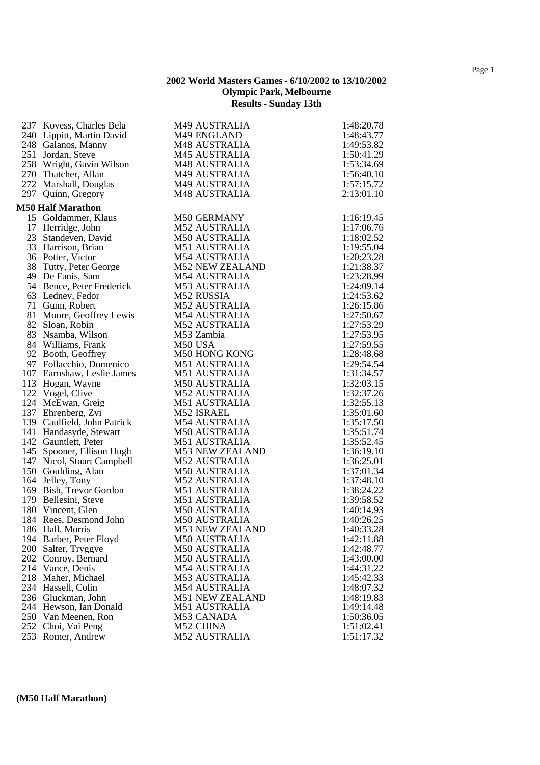| 240 Lippitt, Martin David<br>M49 ENGLAND<br>1:48:43.77<br>M48 AUSTRALIA<br>248 Galanos, Manny<br>1:49:53.82<br>251 Jordan, Steve<br><b>M45 AUSTRALIA</b><br>1:50:41.29<br>258 Wright, Gavin Wilson<br><b>M48 AUSTRALIA</b><br>1:53:34.69<br>270 Thatcher, Allan<br>M49 AUSTRALIA<br>1:56:40.10<br>272 Marshall, Douglas<br>M49 AUSTRALIA<br>1:57:15.72<br>297 Quinn, Gregory<br>M48 AUSTRALIA<br>2:13:01.10<br><b>M50 Half Marathon</b><br><b>M50 GERMANY</b><br>15 Goldammer, Klaus<br>1:16:19.45<br><b>M52 AUSTRALIA</b><br>17 Herridge, John<br>1:17:06.76<br>23 Standeven, David<br><b>M50 AUSTRALIA</b><br>1:18:02.52<br>33 Harrison, Brian<br><b>M51 AUSTRALIA</b><br>1:19:55.04<br>36 Potter, Victor<br><b>M54 AUSTRALIA</b><br>1:20:23.28<br>38 Tutty, Peter George<br><b>M52 NEW ZEALAND</b><br>1:21:38.37<br><b>M54 AUSTRALIA</b><br>1:23:28.99<br>49 De Fanis, Sam<br><b>M53 AUSTRALIA</b><br>54 Bence, Peter Frederick<br>1:24:09.14<br>63 Lednev, Fedor<br>M52 RUSSIA<br>1:24:53.62<br>71 Gunn, Robert<br>M52 AUSTRALIA<br>1:26:15.86<br>81 Moore, Geoffrey Lewis<br><b>M54 AUSTRALIA</b><br>1:27:50.67<br>82 Sloan, Robin<br><b>M52 AUSTRALIA</b><br>1:27:53.29<br>83 Nsamba, Wilson<br>M53 Zambia<br>1:27:53.95<br>84 Williams, Frank<br>1:27:59.55<br>M50 USA<br>M50 HONG KONG<br>92 Booth, Geoffrey<br>1:28:48.68<br>M51 AUSTRALIA<br>97 Follacchio, Domenico<br>1:29:54.54<br>M51 AUSTRALIA<br>107 Earnshaw, Leslie James<br>1:31:34.57<br>113 Hogan, Wayne<br><b>M50 AUSTRALIA</b><br>1:32:03.15<br>122 Vogel, Clive<br>M52 AUSTRALIA<br>1:32:37.26<br>124 McEwan, Greig<br><b>M51 AUSTRALIA</b><br>1:32:55.13<br>137 Ehrenberg, Zvi<br>M52 ISRAEL<br>1:35:01.60<br>139 Caulfield, John Patrick<br><b>M54 AUSTRALIA</b><br>1:35:17.50<br>141 Handasyde, Stewart<br>1:35:51.74<br><b>M50 AUSTRALIA</b><br>142 Gauntlett, Peter<br><b>M51 AUSTRALIA</b><br>1:35:52.45<br>145 Spooner, Ellison Hugh<br><b>M53 NEW ZEALAND</b><br>1:36:19.10<br>147 Nicol, Stuart Campbell<br><b>M52 AUSTRALIA</b><br>1:36:25.01<br>M50 AUSTRALIA<br>150 Goulding, Alan<br>1:37:01.34<br>164 Jelley, Tony<br>1:37:48.10<br>M52 AUSTRALIA<br>169 Bish, Trevor Gordon<br>M51 AUSTRALIA<br>1:38:24.22<br>179 Bellesini, Steve<br>M51 AUSTRALIA<br>1:39:58.52<br>180 Vincent, Glen<br><b>M50 AUSTRALIA</b><br>1:40:14.93<br>184 Rees, Desmond John<br><b>M50 AUSTRALIA</b><br>1:40:26.25<br>186 Hall, Morris<br>1:40:33.28<br>M53 NEW ZEALAND<br><b>M50 AUSTRALIA</b><br>1:42:11.88<br>194 Barber, Peter Floyd<br>1:42:48.77<br>200 Salter, Tryggve<br><b>M50 AUSTRALIA</b><br>202 Conroy, Bernard<br><b>M50 AUSTRALIA</b><br>1:43:00.00<br>214 Vance, Denis<br>1:44:31.22<br><b>M54 AUSTRALIA</b><br>218 Maher, Michael<br><b>M53 AUSTRALIA</b><br>1:45:42.33<br>234 Hassell, Colin<br><b>M54 AUSTRALIA</b><br>1:48:07.32<br>236 Gluckman, John<br><b>M51 NEW ZEALAND</b><br>1:48:19.83<br><b>M51 AUSTRALIA</b><br>1:49:14.48<br>244 Hewson, Ian Donald<br>250 Van Meenen, Ron<br>M53 CANADA<br>1:50:36.05<br>252 Choi, Vai Peng<br>M52 CHINA<br>1:51:02.41<br><b>M52 AUSTRALIA</b><br>253 Romer, Andrew<br>1:51:17.32 | 237 Kovess, Charles Bela | M49 AUSTRALIA | 1:48:20.78 |
|--------------------------------------------------------------------------------------------------------------------------------------------------------------------------------------------------------------------------------------------------------------------------------------------------------------------------------------------------------------------------------------------------------------------------------------------------------------------------------------------------------------------------------------------------------------------------------------------------------------------------------------------------------------------------------------------------------------------------------------------------------------------------------------------------------------------------------------------------------------------------------------------------------------------------------------------------------------------------------------------------------------------------------------------------------------------------------------------------------------------------------------------------------------------------------------------------------------------------------------------------------------------------------------------------------------------------------------------------------------------------------------------------------------------------------------------------------------------------------------------------------------------------------------------------------------------------------------------------------------------------------------------------------------------------------------------------------------------------------------------------------------------------------------------------------------------------------------------------------------------------------------------------------------------------------------------------------------------------------------------------------------------------------------------------------------------------------------------------------------------------------------------------------------------------------------------------------------------------------------------------------------------------------------------------------------------------------------------------------------------------------------------------------------------------------------------------------------------------------------------------------------------------------------------------------------------------------------------------------------------------------------------------------------------------------------------------------------------------------------------------------------------------------------------------------------------------------------------------------------------------------------------------------------------------------------------------------------------------------------------------------------------------------------------------------------------------------------------------------------------|--------------------------|---------------|------------|
|                                                                                                                                                                                                                                                                                                                                                                                                                                                                                                                                                                                                                                                                                                                                                                                                                                                                                                                                                                                                                                                                                                                                                                                                                                                                                                                                                                                                                                                                                                                                                                                                                                                                                                                                                                                                                                                                                                                                                                                                                                                                                                                                                                                                                                                                                                                                                                                                                                                                                                                                                                                                                                                                                                                                                                                                                                                                                                                                                                                                                                                                                                                    |                          |               |            |
|                                                                                                                                                                                                                                                                                                                                                                                                                                                                                                                                                                                                                                                                                                                                                                                                                                                                                                                                                                                                                                                                                                                                                                                                                                                                                                                                                                                                                                                                                                                                                                                                                                                                                                                                                                                                                                                                                                                                                                                                                                                                                                                                                                                                                                                                                                                                                                                                                                                                                                                                                                                                                                                                                                                                                                                                                                                                                                                                                                                                                                                                                                                    |                          |               |            |
|                                                                                                                                                                                                                                                                                                                                                                                                                                                                                                                                                                                                                                                                                                                                                                                                                                                                                                                                                                                                                                                                                                                                                                                                                                                                                                                                                                                                                                                                                                                                                                                                                                                                                                                                                                                                                                                                                                                                                                                                                                                                                                                                                                                                                                                                                                                                                                                                                                                                                                                                                                                                                                                                                                                                                                                                                                                                                                                                                                                                                                                                                                                    |                          |               |            |
|                                                                                                                                                                                                                                                                                                                                                                                                                                                                                                                                                                                                                                                                                                                                                                                                                                                                                                                                                                                                                                                                                                                                                                                                                                                                                                                                                                                                                                                                                                                                                                                                                                                                                                                                                                                                                                                                                                                                                                                                                                                                                                                                                                                                                                                                                                                                                                                                                                                                                                                                                                                                                                                                                                                                                                                                                                                                                                                                                                                                                                                                                                                    |                          |               |            |
|                                                                                                                                                                                                                                                                                                                                                                                                                                                                                                                                                                                                                                                                                                                                                                                                                                                                                                                                                                                                                                                                                                                                                                                                                                                                                                                                                                                                                                                                                                                                                                                                                                                                                                                                                                                                                                                                                                                                                                                                                                                                                                                                                                                                                                                                                                                                                                                                                                                                                                                                                                                                                                                                                                                                                                                                                                                                                                                                                                                                                                                                                                                    |                          |               |            |
|                                                                                                                                                                                                                                                                                                                                                                                                                                                                                                                                                                                                                                                                                                                                                                                                                                                                                                                                                                                                                                                                                                                                                                                                                                                                                                                                                                                                                                                                                                                                                                                                                                                                                                                                                                                                                                                                                                                                                                                                                                                                                                                                                                                                                                                                                                                                                                                                                                                                                                                                                                                                                                                                                                                                                                                                                                                                                                                                                                                                                                                                                                                    |                          |               |            |
|                                                                                                                                                                                                                                                                                                                                                                                                                                                                                                                                                                                                                                                                                                                                                                                                                                                                                                                                                                                                                                                                                                                                                                                                                                                                                                                                                                                                                                                                                                                                                                                                                                                                                                                                                                                                                                                                                                                                                                                                                                                                                                                                                                                                                                                                                                                                                                                                                                                                                                                                                                                                                                                                                                                                                                                                                                                                                                                                                                                                                                                                                                                    |                          |               |            |
|                                                                                                                                                                                                                                                                                                                                                                                                                                                                                                                                                                                                                                                                                                                                                                                                                                                                                                                                                                                                                                                                                                                                                                                                                                                                                                                                                                                                                                                                                                                                                                                                                                                                                                                                                                                                                                                                                                                                                                                                                                                                                                                                                                                                                                                                                                                                                                                                                                                                                                                                                                                                                                                                                                                                                                                                                                                                                                                                                                                                                                                                                                                    |                          |               |            |
|                                                                                                                                                                                                                                                                                                                                                                                                                                                                                                                                                                                                                                                                                                                                                                                                                                                                                                                                                                                                                                                                                                                                                                                                                                                                                                                                                                                                                                                                                                                                                                                                                                                                                                                                                                                                                                                                                                                                                                                                                                                                                                                                                                                                                                                                                                                                                                                                                                                                                                                                                                                                                                                                                                                                                                                                                                                                                                                                                                                                                                                                                                                    |                          |               |            |
|                                                                                                                                                                                                                                                                                                                                                                                                                                                                                                                                                                                                                                                                                                                                                                                                                                                                                                                                                                                                                                                                                                                                                                                                                                                                                                                                                                                                                                                                                                                                                                                                                                                                                                                                                                                                                                                                                                                                                                                                                                                                                                                                                                                                                                                                                                                                                                                                                                                                                                                                                                                                                                                                                                                                                                                                                                                                                                                                                                                                                                                                                                                    |                          |               |            |
|                                                                                                                                                                                                                                                                                                                                                                                                                                                                                                                                                                                                                                                                                                                                                                                                                                                                                                                                                                                                                                                                                                                                                                                                                                                                                                                                                                                                                                                                                                                                                                                                                                                                                                                                                                                                                                                                                                                                                                                                                                                                                                                                                                                                                                                                                                                                                                                                                                                                                                                                                                                                                                                                                                                                                                                                                                                                                                                                                                                                                                                                                                                    |                          |               |            |
|                                                                                                                                                                                                                                                                                                                                                                                                                                                                                                                                                                                                                                                                                                                                                                                                                                                                                                                                                                                                                                                                                                                                                                                                                                                                                                                                                                                                                                                                                                                                                                                                                                                                                                                                                                                                                                                                                                                                                                                                                                                                                                                                                                                                                                                                                                                                                                                                                                                                                                                                                                                                                                                                                                                                                                                                                                                                                                                                                                                                                                                                                                                    |                          |               |            |
|                                                                                                                                                                                                                                                                                                                                                                                                                                                                                                                                                                                                                                                                                                                                                                                                                                                                                                                                                                                                                                                                                                                                                                                                                                                                                                                                                                                                                                                                                                                                                                                                                                                                                                                                                                                                                                                                                                                                                                                                                                                                                                                                                                                                                                                                                                                                                                                                                                                                                                                                                                                                                                                                                                                                                                                                                                                                                                                                                                                                                                                                                                                    |                          |               |            |
|                                                                                                                                                                                                                                                                                                                                                                                                                                                                                                                                                                                                                                                                                                                                                                                                                                                                                                                                                                                                                                                                                                                                                                                                                                                                                                                                                                                                                                                                                                                                                                                                                                                                                                                                                                                                                                                                                                                                                                                                                                                                                                                                                                                                                                                                                                                                                                                                                                                                                                                                                                                                                                                                                                                                                                                                                                                                                                                                                                                                                                                                                                                    |                          |               |            |
|                                                                                                                                                                                                                                                                                                                                                                                                                                                                                                                                                                                                                                                                                                                                                                                                                                                                                                                                                                                                                                                                                                                                                                                                                                                                                                                                                                                                                                                                                                                                                                                                                                                                                                                                                                                                                                                                                                                                                                                                                                                                                                                                                                                                                                                                                                                                                                                                                                                                                                                                                                                                                                                                                                                                                                                                                                                                                                                                                                                                                                                                                                                    |                          |               |            |
|                                                                                                                                                                                                                                                                                                                                                                                                                                                                                                                                                                                                                                                                                                                                                                                                                                                                                                                                                                                                                                                                                                                                                                                                                                                                                                                                                                                                                                                                                                                                                                                                                                                                                                                                                                                                                                                                                                                                                                                                                                                                                                                                                                                                                                                                                                                                                                                                                                                                                                                                                                                                                                                                                                                                                                                                                                                                                                                                                                                                                                                                                                                    |                          |               |            |
|                                                                                                                                                                                                                                                                                                                                                                                                                                                                                                                                                                                                                                                                                                                                                                                                                                                                                                                                                                                                                                                                                                                                                                                                                                                                                                                                                                                                                                                                                                                                                                                                                                                                                                                                                                                                                                                                                                                                                                                                                                                                                                                                                                                                                                                                                                                                                                                                                                                                                                                                                                                                                                                                                                                                                                                                                                                                                                                                                                                                                                                                                                                    |                          |               |            |
|                                                                                                                                                                                                                                                                                                                                                                                                                                                                                                                                                                                                                                                                                                                                                                                                                                                                                                                                                                                                                                                                                                                                                                                                                                                                                                                                                                                                                                                                                                                                                                                                                                                                                                                                                                                                                                                                                                                                                                                                                                                                                                                                                                                                                                                                                                                                                                                                                                                                                                                                                                                                                                                                                                                                                                                                                                                                                                                                                                                                                                                                                                                    |                          |               |            |
|                                                                                                                                                                                                                                                                                                                                                                                                                                                                                                                                                                                                                                                                                                                                                                                                                                                                                                                                                                                                                                                                                                                                                                                                                                                                                                                                                                                                                                                                                                                                                                                                                                                                                                                                                                                                                                                                                                                                                                                                                                                                                                                                                                                                                                                                                                                                                                                                                                                                                                                                                                                                                                                                                                                                                                                                                                                                                                                                                                                                                                                                                                                    |                          |               |            |
|                                                                                                                                                                                                                                                                                                                                                                                                                                                                                                                                                                                                                                                                                                                                                                                                                                                                                                                                                                                                                                                                                                                                                                                                                                                                                                                                                                                                                                                                                                                                                                                                                                                                                                                                                                                                                                                                                                                                                                                                                                                                                                                                                                                                                                                                                                                                                                                                                                                                                                                                                                                                                                                                                                                                                                                                                                                                                                                                                                                                                                                                                                                    |                          |               |            |
|                                                                                                                                                                                                                                                                                                                                                                                                                                                                                                                                                                                                                                                                                                                                                                                                                                                                                                                                                                                                                                                                                                                                                                                                                                                                                                                                                                                                                                                                                                                                                                                                                                                                                                                                                                                                                                                                                                                                                                                                                                                                                                                                                                                                                                                                                                                                                                                                                                                                                                                                                                                                                                                                                                                                                                                                                                                                                                                                                                                                                                                                                                                    |                          |               |            |
|                                                                                                                                                                                                                                                                                                                                                                                                                                                                                                                                                                                                                                                                                                                                                                                                                                                                                                                                                                                                                                                                                                                                                                                                                                                                                                                                                                                                                                                                                                                                                                                                                                                                                                                                                                                                                                                                                                                                                                                                                                                                                                                                                                                                                                                                                                                                                                                                                                                                                                                                                                                                                                                                                                                                                                                                                                                                                                                                                                                                                                                                                                                    |                          |               |            |
|                                                                                                                                                                                                                                                                                                                                                                                                                                                                                                                                                                                                                                                                                                                                                                                                                                                                                                                                                                                                                                                                                                                                                                                                                                                                                                                                                                                                                                                                                                                                                                                                                                                                                                                                                                                                                                                                                                                                                                                                                                                                                                                                                                                                                                                                                                                                                                                                                                                                                                                                                                                                                                                                                                                                                                                                                                                                                                                                                                                                                                                                                                                    |                          |               |            |
|                                                                                                                                                                                                                                                                                                                                                                                                                                                                                                                                                                                                                                                                                                                                                                                                                                                                                                                                                                                                                                                                                                                                                                                                                                                                                                                                                                                                                                                                                                                                                                                                                                                                                                                                                                                                                                                                                                                                                                                                                                                                                                                                                                                                                                                                                                                                                                                                                                                                                                                                                                                                                                                                                                                                                                                                                                                                                                                                                                                                                                                                                                                    |                          |               |            |
|                                                                                                                                                                                                                                                                                                                                                                                                                                                                                                                                                                                                                                                                                                                                                                                                                                                                                                                                                                                                                                                                                                                                                                                                                                                                                                                                                                                                                                                                                                                                                                                                                                                                                                                                                                                                                                                                                                                                                                                                                                                                                                                                                                                                                                                                                                                                                                                                                                                                                                                                                                                                                                                                                                                                                                                                                                                                                                                                                                                                                                                                                                                    |                          |               |            |
|                                                                                                                                                                                                                                                                                                                                                                                                                                                                                                                                                                                                                                                                                                                                                                                                                                                                                                                                                                                                                                                                                                                                                                                                                                                                                                                                                                                                                                                                                                                                                                                                                                                                                                                                                                                                                                                                                                                                                                                                                                                                                                                                                                                                                                                                                                                                                                                                                                                                                                                                                                                                                                                                                                                                                                                                                                                                                                                                                                                                                                                                                                                    |                          |               |            |
|                                                                                                                                                                                                                                                                                                                                                                                                                                                                                                                                                                                                                                                                                                                                                                                                                                                                                                                                                                                                                                                                                                                                                                                                                                                                                                                                                                                                                                                                                                                                                                                                                                                                                                                                                                                                                                                                                                                                                                                                                                                                                                                                                                                                                                                                                                                                                                                                                                                                                                                                                                                                                                                                                                                                                                                                                                                                                                                                                                                                                                                                                                                    |                          |               |            |
|                                                                                                                                                                                                                                                                                                                                                                                                                                                                                                                                                                                                                                                                                                                                                                                                                                                                                                                                                                                                                                                                                                                                                                                                                                                                                                                                                                                                                                                                                                                                                                                                                                                                                                                                                                                                                                                                                                                                                                                                                                                                                                                                                                                                                                                                                                                                                                                                                                                                                                                                                                                                                                                                                                                                                                                                                                                                                                                                                                                                                                                                                                                    |                          |               |            |
|                                                                                                                                                                                                                                                                                                                                                                                                                                                                                                                                                                                                                                                                                                                                                                                                                                                                                                                                                                                                                                                                                                                                                                                                                                                                                                                                                                                                                                                                                                                                                                                                                                                                                                                                                                                                                                                                                                                                                                                                                                                                                                                                                                                                                                                                                                                                                                                                                                                                                                                                                                                                                                                                                                                                                                                                                                                                                                                                                                                                                                                                                                                    |                          |               |            |
|                                                                                                                                                                                                                                                                                                                                                                                                                                                                                                                                                                                                                                                                                                                                                                                                                                                                                                                                                                                                                                                                                                                                                                                                                                                                                                                                                                                                                                                                                                                                                                                                                                                                                                                                                                                                                                                                                                                                                                                                                                                                                                                                                                                                                                                                                                                                                                                                                                                                                                                                                                                                                                                                                                                                                                                                                                                                                                                                                                                                                                                                                                                    |                          |               |            |
|                                                                                                                                                                                                                                                                                                                                                                                                                                                                                                                                                                                                                                                                                                                                                                                                                                                                                                                                                                                                                                                                                                                                                                                                                                                                                                                                                                                                                                                                                                                                                                                                                                                                                                                                                                                                                                                                                                                                                                                                                                                                                                                                                                                                                                                                                                                                                                                                                                                                                                                                                                                                                                                                                                                                                                                                                                                                                                                                                                                                                                                                                                                    |                          |               |            |
|                                                                                                                                                                                                                                                                                                                                                                                                                                                                                                                                                                                                                                                                                                                                                                                                                                                                                                                                                                                                                                                                                                                                                                                                                                                                                                                                                                                                                                                                                                                                                                                                                                                                                                                                                                                                                                                                                                                                                                                                                                                                                                                                                                                                                                                                                                                                                                                                                                                                                                                                                                                                                                                                                                                                                                                                                                                                                                                                                                                                                                                                                                                    |                          |               |            |
|                                                                                                                                                                                                                                                                                                                                                                                                                                                                                                                                                                                                                                                                                                                                                                                                                                                                                                                                                                                                                                                                                                                                                                                                                                                                                                                                                                                                                                                                                                                                                                                                                                                                                                                                                                                                                                                                                                                                                                                                                                                                                                                                                                                                                                                                                                                                                                                                                                                                                                                                                                                                                                                                                                                                                                                                                                                                                                                                                                                                                                                                                                                    |                          |               |            |
|                                                                                                                                                                                                                                                                                                                                                                                                                                                                                                                                                                                                                                                                                                                                                                                                                                                                                                                                                                                                                                                                                                                                                                                                                                                                                                                                                                                                                                                                                                                                                                                                                                                                                                                                                                                                                                                                                                                                                                                                                                                                                                                                                                                                                                                                                                                                                                                                                                                                                                                                                                                                                                                                                                                                                                                                                                                                                                                                                                                                                                                                                                                    |                          |               |            |
|                                                                                                                                                                                                                                                                                                                                                                                                                                                                                                                                                                                                                                                                                                                                                                                                                                                                                                                                                                                                                                                                                                                                                                                                                                                                                                                                                                                                                                                                                                                                                                                                                                                                                                                                                                                                                                                                                                                                                                                                                                                                                                                                                                                                                                                                                                                                                                                                                                                                                                                                                                                                                                                                                                                                                                                                                                                                                                                                                                                                                                                                                                                    |                          |               |            |
|                                                                                                                                                                                                                                                                                                                                                                                                                                                                                                                                                                                                                                                                                                                                                                                                                                                                                                                                                                                                                                                                                                                                                                                                                                                                                                                                                                                                                                                                                                                                                                                                                                                                                                                                                                                                                                                                                                                                                                                                                                                                                                                                                                                                                                                                                                                                                                                                                                                                                                                                                                                                                                                                                                                                                                                                                                                                                                                                                                                                                                                                                                                    |                          |               |            |
|                                                                                                                                                                                                                                                                                                                                                                                                                                                                                                                                                                                                                                                                                                                                                                                                                                                                                                                                                                                                                                                                                                                                                                                                                                                                                                                                                                                                                                                                                                                                                                                                                                                                                                                                                                                                                                                                                                                                                                                                                                                                                                                                                                                                                                                                                                                                                                                                                                                                                                                                                                                                                                                                                                                                                                                                                                                                                                                                                                                                                                                                                                                    |                          |               |            |
|                                                                                                                                                                                                                                                                                                                                                                                                                                                                                                                                                                                                                                                                                                                                                                                                                                                                                                                                                                                                                                                                                                                                                                                                                                                                                                                                                                                                                                                                                                                                                                                                                                                                                                                                                                                                                                                                                                                                                                                                                                                                                                                                                                                                                                                                                                                                                                                                                                                                                                                                                                                                                                                                                                                                                                                                                                                                                                                                                                                                                                                                                                                    |                          |               |            |
|                                                                                                                                                                                                                                                                                                                                                                                                                                                                                                                                                                                                                                                                                                                                                                                                                                                                                                                                                                                                                                                                                                                                                                                                                                                                                                                                                                                                                                                                                                                                                                                                                                                                                                                                                                                                                                                                                                                                                                                                                                                                                                                                                                                                                                                                                                                                                                                                                                                                                                                                                                                                                                                                                                                                                                                                                                                                                                                                                                                                                                                                                                                    |                          |               |            |
|                                                                                                                                                                                                                                                                                                                                                                                                                                                                                                                                                                                                                                                                                                                                                                                                                                                                                                                                                                                                                                                                                                                                                                                                                                                                                                                                                                                                                                                                                                                                                                                                                                                                                                                                                                                                                                                                                                                                                                                                                                                                                                                                                                                                                                                                                                                                                                                                                                                                                                                                                                                                                                                                                                                                                                                                                                                                                                                                                                                                                                                                                                                    |                          |               |            |
|                                                                                                                                                                                                                                                                                                                                                                                                                                                                                                                                                                                                                                                                                                                                                                                                                                                                                                                                                                                                                                                                                                                                                                                                                                                                                                                                                                                                                                                                                                                                                                                                                                                                                                                                                                                                                                                                                                                                                                                                                                                                                                                                                                                                                                                                                                                                                                                                                                                                                                                                                                                                                                                                                                                                                                                                                                                                                                                                                                                                                                                                                                                    |                          |               |            |
|                                                                                                                                                                                                                                                                                                                                                                                                                                                                                                                                                                                                                                                                                                                                                                                                                                                                                                                                                                                                                                                                                                                                                                                                                                                                                                                                                                                                                                                                                                                                                                                                                                                                                                                                                                                                                                                                                                                                                                                                                                                                                                                                                                                                                                                                                                                                                                                                                                                                                                                                                                                                                                                                                                                                                                                                                                                                                                                                                                                                                                                                                                                    |                          |               |            |
|                                                                                                                                                                                                                                                                                                                                                                                                                                                                                                                                                                                                                                                                                                                                                                                                                                                                                                                                                                                                                                                                                                                                                                                                                                                                                                                                                                                                                                                                                                                                                                                                                                                                                                                                                                                                                                                                                                                                                                                                                                                                                                                                                                                                                                                                                                                                                                                                                                                                                                                                                                                                                                                                                                                                                                                                                                                                                                                                                                                                                                                                                                                    |                          |               |            |
|                                                                                                                                                                                                                                                                                                                                                                                                                                                                                                                                                                                                                                                                                                                                                                                                                                                                                                                                                                                                                                                                                                                                                                                                                                                                                                                                                                                                                                                                                                                                                                                                                                                                                                                                                                                                                                                                                                                                                                                                                                                                                                                                                                                                                                                                                                                                                                                                                                                                                                                                                                                                                                                                                                                                                                                                                                                                                                                                                                                                                                                                                                                    |                          |               |            |
|                                                                                                                                                                                                                                                                                                                                                                                                                                                                                                                                                                                                                                                                                                                                                                                                                                                                                                                                                                                                                                                                                                                                                                                                                                                                                                                                                                                                                                                                                                                                                                                                                                                                                                                                                                                                                                                                                                                                                                                                                                                                                                                                                                                                                                                                                                                                                                                                                                                                                                                                                                                                                                                                                                                                                                                                                                                                                                                                                                                                                                                                                                                    |                          |               |            |
|                                                                                                                                                                                                                                                                                                                                                                                                                                                                                                                                                                                                                                                                                                                                                                                                                                                                                                                                                                                                                                                                                                                                                                                                                                                                                                                                                                                                                                                                                                                                                                                                                                                                                                                                                                                                                                                                                                                                                                                                                                                                                                                                                                                                                                                                                                                                                                                                                                                                                                                                                                                                                                                                                                                                                                                                                                                                                                                                                                                                                                                                                                                    |                          |               |            |
|                                                                                                                                                                                                                                                                                                                                                                                                                                                                                                                                                                                                                                                                                                                                                                                                                                                                                                                                                                                                                                                                                                                                                                                                                                                                                                                                                                                                                                                                                                                                                                                                                                                                                                                                                                                                                                                                                                                                                                                                                                                                                                                                                                                                                                                                                                                                                                                                                                                                                                                                                                                                                                                                                                                                                                                                                                                                                                                                                                                                                                                                                                                    |                          |               |            |
|                                                                                                                                                                                                                                                                                                                                                                                                                                                                                                                                                                                                                                                                                                                                                                                                                                                                                                                                                                                                                                                                                                                                                                                                                                                                                                                                                                                                                                                                                                                                                                                                                                                                                                                                                                                                                                                                                                                                                                                                                                                                                                                                                                                                                                                                                                                                                                                                                                                                                                                                                                                                                                                                                                                                                                                                                                                                                                                                                                                                                                                                                                                    |                          |               |            |
|                                                                                                                                                                                                                                                                                                                                                                                                                                                                                                                                                                                                                                                                                                                                                                                                                                                                                                                                                                                                                                                                                                                                                                                                                                                                                                                                                                                                                                                                                                                                                                                                                                                                                                                                                                                                                                                                                                                                                                                                                                                                                                                                                                                                                                                                                                                                                                                                                                                                                                                                                                                                                                                                                                                                                                                                                                                                                                                                                                                                                                                                                                                    |                          |               |            |
|                                                                                                                                                                                                                                                                                                                                                                                                                                                                                                                                                                                                                                                                                                                                                                                                                                                                                                                                                                                                                                                                                                                                                                                                                                                                                                                                                                                                                                                                                                                                                                                                                                                                                                                                                                                                                                                                                                                                                                                                                                                                                                                                                                                                                                                                                                                                                                                                                                                                                                                                                                                                                                                                                                                                                                                                                                                                                                                                                                                                                                                                                                                    |                          |               |            |
|                                                                                                                                                                                                                                                                                                                                                                                                                                                                                                                                                                                                                                                                                                                                                                                                                                                                                                                                                                                                                                                                                                                                                                                                                                                                                                                                                                                                                                                                                                                                                                                                                                                                                                                                                                                                                                                                                                                                                                                                                                                                                                                                                                                                                                                                                                                                                                                                                                                                                                                                                                                                                                                                                                                                                                                                                                                                                                                                                                                                                                                                                                                    |                          |               |            |
|                                                                                                                                                                                                                                                                                                                                                                                                                                                                                                                                                                                                                                                                                                                                                                                                                                                                                                                                                                                                                                                                                                                                                                                                                                                                                                                                                                                                                                                                                                                                                                                                                                                                                                                                                                                                                                                                                                                                                                                                                                                                                                                                                                                                                                                                                                                                                                                                                                                                                                                                                                                                                                                                                                                                                                                                                                                                                                                                                                                                                                                                                                                    |                          |               |            |

#### Page 1

**(M50 Half Marathon)**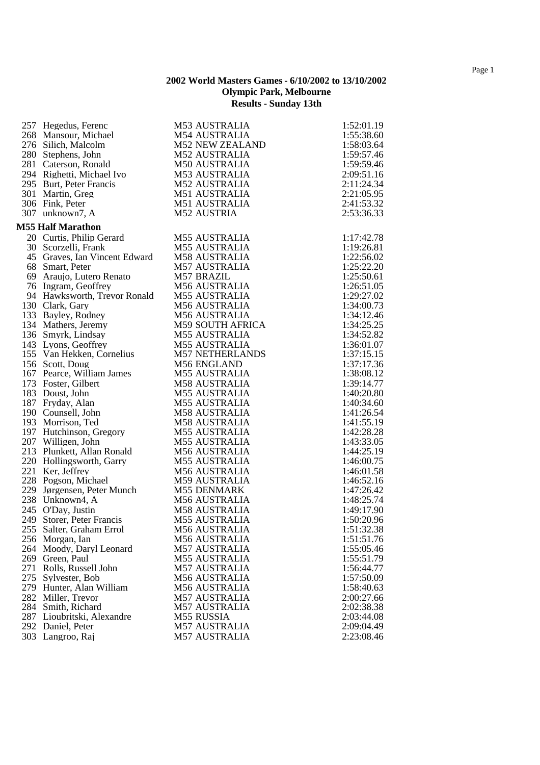| 257 Hegedus, Ferenc           | <b>M53 AUSTRALIA</b>    | 1:52:01.19 |
|-------------------------------|-------------------------|------------|
| 268 Mansour, Michael          | <b>M54 AUSTRALIA</b>    | 1:55:38.60 |
| 276 Silich, Malcolm           | <b>M52 NEW ZEALAND</b>  | 1:58:03.64 |
| 280 Stephens, John            | <b>M52 AUSTRALIA</b>    | 1:59:57.46 |
| 281 Caterson, Ronald          | <b>M50 AUSTRALIA</b>    | 1:59:59.46 |
| 294 Righetti, Michael Ivo     | <b>M53 AUSTRALIA</b>    | 2:09:51.16 |
| 295 Burt, Peter Francis       | <b>M52 AUSTRALIA</b>    | 2:11:24.34 |
| 301 Martin, Greg              | M51 AUSTRALIA           | 2:21:05.95 |
| 306 Fink, Peter               | <b>M51 AUSTRALIA</b>    | 2:41:53.32 |
| 307 unknown7, A               | M52 AUSTRIA             | 2:53:36.33 |
|                               |                         |            |
| <b>M55 Half Marathon</b>      |                         |            |
| 20 Curtis, Philip Gerard      | <b>M55 AUSTRALIA</b>    | 1:17:42.78 |
| 30 Scorzelli, Frank           | <b>M55 AUSTRALIA</b>    | 1:19:26.81 |
| 45 Graves, Ian Vincent Edward | <b>M58 AUSTRALIA</b>    | 1:22:56.02 |
| 68 Smart, Peter               | <b>M57 AUSTRALIA</b>    | 1:25:22.20 |
| 69 Araujo, Lutero Renato      | M57 BRAZIL              | 1:25:50.61 |
| 76 Ingram, Geoffrey           | <b>M56 AUSTRALIA</b>    | 1:26:51.05 |
| 94 Hawksworth, Trevor Ronald  | <b>M55 AUSTRALIA</b>    | 1:29:27.02 |
| 130 Clark, Gary               | <b>M56 AUSTRALIA</b>    | 1:34:00.73 |
| 133 Bayley, Rodney            | <b>M56 AUSTRALIA</b>    | 1:34:12.46 |
| 134 Mathers, Jeremy           | <b>M59 SOUTH AFRICA</b> | 1:34:25.25 |
| 136 Smyrk, Lindsay            | <b>M55 AUSTRALIA</b>    | 1:34:52.82 |
| 143 Lyons, Geoffrey           | <b>M55 AUSTRALIA</b>    | 1:36:01.07 |
| 155 Van Hekken, Cornelius     | <b>M57 NETHERLANDS</b>  | 1:37:15.15 |
| 156 Scott, Doug               | M56 ENGLAND             | 1:37:17.36 |
| 167 Pearce, William James     | <b>M55 AUSTRALIA</b>    | 1:38:08.12 |
| 173 Foster, Gilbert           | <b>M58 AUSTRALIA</b>    | 1:39:14.77 |
| 183 Doust, John               | <b>M55 AUSTRALIA</b>    | 1:40:20.80 |
| 187 Fryday, Alan              | <b>M55 AUSTRALIA</b>    | 1:40:34.60 |
| 190 Counsell, John            | <b>M58 AUSTRALIA</b>    | 1:41:26.54 |
| 193 Morrison, Ted             | <b>M58 AUSTRALIA</b>    | 1:41:55.19 |
| 197 Hutchinson, Gregory       | <b>M55 AUSTRALIA</b>    | 1:42:28.28 |
| 207 Willigen, John            | <b>M55 AUSTRALIA</b>    | 1:43:33.05 |
| 213 Plunkett, Allan Ronald    | M56 AUSTRALIA           | 1:44:25.19 |
|                               | <b>M55 AUSTRALIA</b>    |            |
| 220 Hollingsworth, Garry      |                         | 1:46:00.75 |
| 221 Ker, Jeffrey              | <b>M56 AUSTRALIA</b>    | 1:46:01.58 |
| 228 Pogson, Michael           | M59 AUSTRALIA           | 1:46:52.16 |
| 229 Jørgensen, Peter Munch    | <b>M55 DENMARK</b>      | 1:47:26.42 |
| 238 Unknown4, A               | <b>M56 AUSTRALIA</b>    | 1:48:25.74 |
| 245 O'Day, Justin             | <b>M58 AUSTRALIA</b>    | 1:49:17.90 |
| 249 Storer, Peter Francis     | <b>M55 AUSTRALIA</b>    | 1:50:20.96 |
| 255 Salter, Graham Errol      | M56 AUSTRALIA           | 1:51:32.38 |
| 256 Morgan, Ian               | <b>M56 AUSTRALIA</b>    | 1:51:51.76 |
| 264 Moody, Daryl Leonard      | <b>M57 AUSTRALIA</b>    | 1:55:05.46 |
| 269 Green, Paul               | <b>M55 AUSTRALIA</b>    | 1:55:51.79 |
| 271 Rolls, Russell John       | <b>M57 AUSTRALIA</b>    | 1:56:44.77 |
| 275 Sylvester, Bob            | <b>M56 AUSTRALIA</b>    | 1:57:50.09 |
| 279 Hunter, Alan William      | M56 AUSTRALIA           | 1:58:40.63 |
| 282 Miller, Trevor            | <b>M57 AUSTRALIA</b>    | 2:00:27.66 |
| 284 Smith, Richard            | <b>M57 AUSTRALIA</b>    | 2:02:38.38 |
| 287 Lioubritski, Alexandre    | M55 RUSSIA              | 2:03:44.08 |
| 292 Daniel, Peter             | <b>M57 AUSTRALIA</b>    | 2:09:04.49 |
| 303 Langroo, Raj              | M57 AUSTRALIA           | 2:23:08.46 |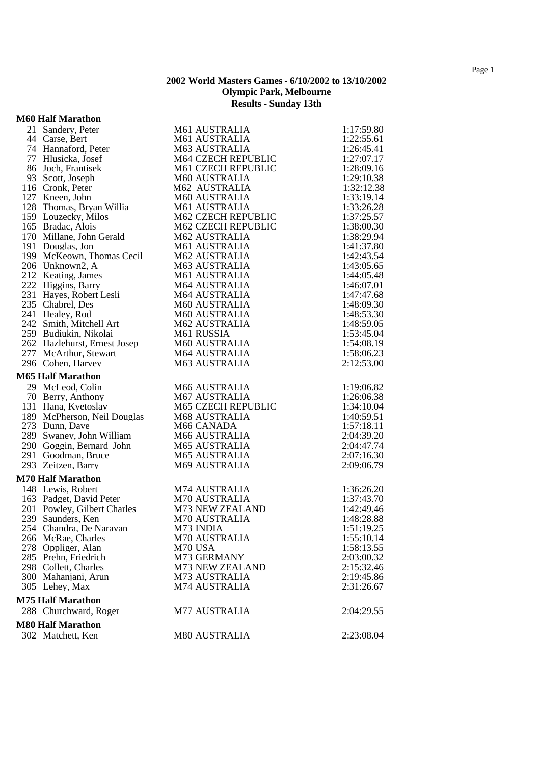## **M60 Half Marathon**

| 21 Sandery, Peter            | M61 AUSTRALIA        | 1:17:59.80 |
|------------------------------|----------------------|------------|
| 44 Carse, Bert               | M61 AUSTRALIA        | 1:22:55.61 |
| 74 Hannaford, Peter          | <b>M63 AUSTRALIA</b> | 1:26:45.41 |
| 77 Hlusicka, Josef           | M64 CZECH REPUBLIC   | 1:27:07.17 |
| 86 Joch, Frantisek           | M61 CZECH REPUBLIC   | 1:28:09.16 |
| 93 Scott, Joseph             | M60 AUSTRALIA        | 1:29:10.38 |
| 116 Cronk, Peter             | M62 AUSTRALIA        | 1:32:12.38 |
| 127 Kneen, John              | M60 AUSTRALIA        | 1:33:19.14 |
| 128 Thomas, Bryan Willia     | M61 AUSTRALIA        | 1:33:26.28 |
| 159 Louzecky, Milos          | M62 CZECH REPUBLIC   | 1:37:25.57 |
| 165 Bradac, Alois            | M62 CZECH REPUBLIC   | 1:38:00.30 |
| 170 Millane, John Gerald     | M62 AUSTRALIA        | 1:38:29.94 |
| 191 Douglas, Jon             | M61 AUSTRALIA        | 1:41:37.80 |
| 199 McKeown, Thomas Cecil    | <b>M62 AUSTRALIA</b> | 1:42:43.54 |
| 206 Unknown2, A              | M63 AUSTRALIA        | 1:43:05.65 |
| 212 Keating, James           | M61 AUSTRALIA        | 1:44:05.48 |
| 222 Higgins, Barry           | M64 AUSTRALIA        | 1:46:07.01 |
| 231 Hayes, Robert Lesli      | <b>M64 AUSTRALIA</b> | 1:47:47.68 |
| 235 Chabrel, Des             | <b>M60 AUSTRALIA</b> | 1:48:09.30 |
| 241 Healey, Rod              | M60 AUSTRALIA        | 1:48:53.30 |
| 242 Smith, Mitchell Art      | M62 AUSTRALIA        | 1:48:59.05 |
| 259 Budiukin, Nikolai        | M61 RUSSIA           | 1:53:45.04 |
| 262 Hazlehurst, Ernest Josep | M60 AUSTRALIA        | 1:54:08.19 |
| 277 McArthur, Stewart        | <b>M64 AUSTRALIA</b> | 1:58:06.23 |
| 296 Cohen, Harvey            | <b>M63 AUSTRALIA</b> | 2:12:53.00 |
| <b>M65 Half Marathon</b>     |                      |            |
| 29 McLeod, Colin             | M66 AUSTRALIA        | 1:19:06.82 |
| 70 Berry, Anthony            | <b>M67 AUSTRALIA</b> | 1:26:06.38 |
| 131 Hana, Kvetoslav          | M65 CZECH REPUBLIC   | 1:34:10.04 |
| 189 McPherson, Neil Douglas  | M68 AUSTRALIA        | 1:40:59.51 |
| 273 Dunn, Dave               | M66 CANADA           | 1:57:18.11 |
| 289 Swaney, John William     | M66 AUSTRALIA        | 2:04:39.20 |
| 290 Goggin, Bernard John     | <b>M65 AUSTRALIA</b> | 2:04:47.74 |
| 291 Goodman, Bruce           | <b>M65 AUSTRALIA</b> | 2:07:16.30 |
| 293 Zeitzen, Barry           | M69 AUSTRALIA        | 2:09:06.79 |
| <b>M70 Half Marathon</b>     |                      |            |
| 148 Lewis, Robert            | M74 AUSTRALIA        | 1:36:26.20 |
| 163 Padget, David Peter      | M70 AUSTRALIA        | 1:37:43.70 |
| 201 Powley, Gilbert Charles  | M73 NEW ZEALAND      | 1:42:49.46 |
| 239 Saunders, Ken            | M70 AUSTRALIA        | 1:48:28.88 |
| 254 Chandra, De Narayan      | M73 INDIA            | 1:51:19.25 |
| 266 McRae, Charles           | M70 AUSTRALIA        | 1:55:10.14 |
| 278 Oppliger, Alan           | M70 USA              | 1:58:13.55 |
| 285 Prehn, Friedrich         | M73 GERMANY          | 2:03:00.32 |
| 298 Collett, Charles         | M73 NEW ZEALAND      | 2:15:32.46 |
| 300 Mahanjani, Arun          | M73 AUSTRALIA        | 2:19:45.86 |
| 305 Lehey, Max               | M74 AUSTRALIA        | 2:31:26.67 |
| <b>M75 Half Marathon</b>     |                      |            |
| 288 Churchward, Roger        | <b>M77 AUSTRALIA</b> | 2:04:29.55 |
| <b>M80 Half Marathon</b>     |                      |            |
| 302 Matchett, Ken            | <b>M80 AUSTRALIA</b> | 2:23:08.04 |
|                              |                      |            |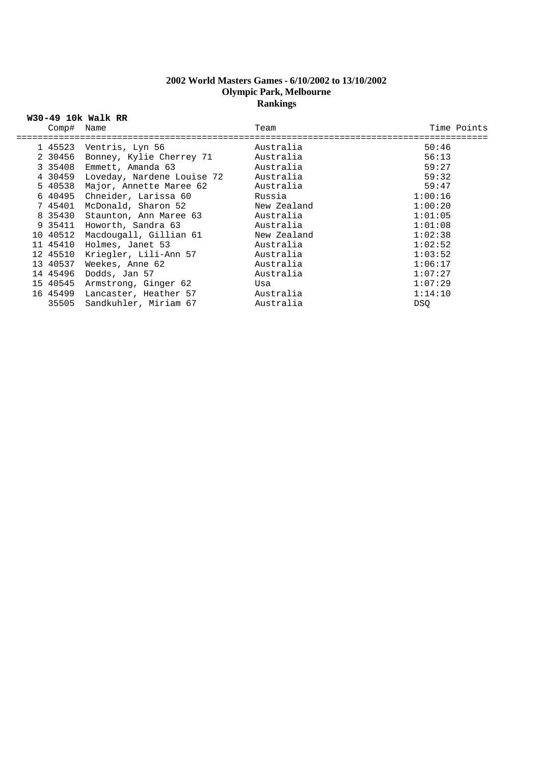## **2002 World Masters Games - 6/10/2002 to 13/10/2002 Olympic Park, Melbourne Rankings**

| Comp# Name | W30-49 10k Walk RR                 | Team        | Time Points |
|------------|------------------------------------|-------------|-------------|
|            |                                    | Australia   | 50:46       |
|            | 1 45523 Ventris, Lyn 56            |             |             |
| 2 30456    |                                    |             | 56:13       |
|            | 3 35408 Emmett, Amanda 63          | Australia   | 59:27       |
|            | 4 30459 Loveday, Nardene Louise 72 | Australia   | 59:32       |
|            | 5 40538 Major, Annette Maree 62    | Australia   | 59:47       |
|            | 6 40495 Chneider, Larissa 60       | Russia      | 1:00:16     |
| 7 45401    | McDonald, Sharon 52                | New Zealand | 1:00:20     |
| 8 35430    | Staunton, Ann Maree 63             | Australia   | 1:01:05     |
| 9 35411    | Howorth, Sandra 63                 | Australia   | 1:01:08     |
| 10 40512   | Macdougall, Gillian 61             | New Zealand | 1:02:38     |
| 11 45410   | Holmes, Janet 53                   | Australia   | 1:02:52     |
| 12 45510   | Kriegler, Lili-Ann 57              | Australia   | 1:03:52     |
| 13 40537   | Weekes, Anne 62                    | Australia   | 1:06:17     |
| 14 45496   | Dodds, Jan 57                      | Australia   | 1:07:27     |
| 15 40545   | Armstrong, Ginger 62               | Usa         | 1:07:29     |
|            | 16 45499 Lancaster, Heather 57     | Australia   | 1:14:10     |
| 35505      | Sandkuhler, Miriam 67              | Australia   | <b>DSO</b>  |